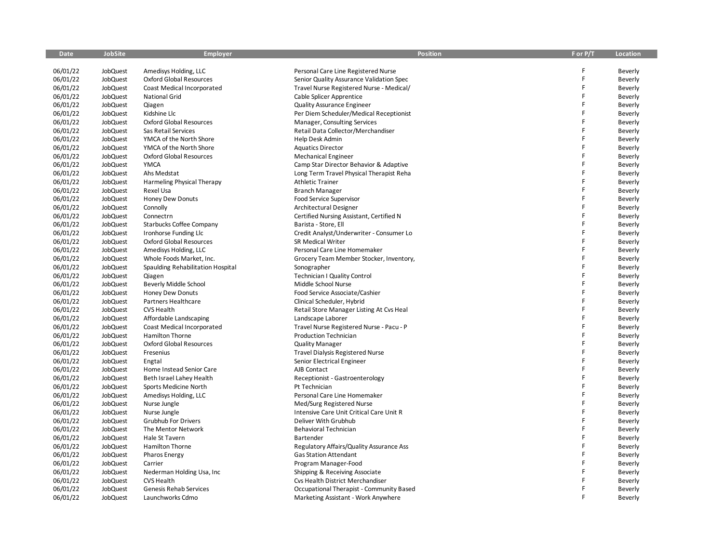| <b>Date</b> | <b>JobSite</b> | <b>Employer</b>                   | <b>Position</b>                          | F or P/T | <b>Location</b> |
|-------------|----------------|-----------------------------------|------------------------------------------|----------|-----------------|
|             |                |                                   |                                          |          |                 |
| 06/01/22    | JobQuest       | Amedisys Holding, LLC             | Personal Care Line Registered Nurse      | F        | Beverly         |
| 06/01/22    | JobQuest       | <b>Oxford Global Resources</b>    | Senior Quality Assurance Validation Spec | F        | Beverly         |
| 06/01/22    | JobQuest       | Coast Medical Incorporated        | Travel Nurse Registered Nurse - Medical/ | F        | Beverly         |
| 06/01/22    | JobQuest       | <b>National Grid</b>              | Cable Splicer Apprentice                 | F        | Beverly         |
| 06/01/22    | JobQuest       | Qiagen                            | <b>Quality Assurance Engineer</b>        | F        | Beverly         |
| 06/01/22    | JobQuest       | Kidshine Llc                      | Per Diem Scheduler/Medical Receptionist  | F        | Beverly         |
| 06/01/22    | JobQuest       | <b>Oxford Global Resources</b>    | Manager, Consulting Services             | F        | Beverly         |
| 06/01/22    | JobQuest       | Sas Retail Services               | Retail Data Collector/Merchandiser       | F        | Beverly         |
| 06/01/22    | JobQuest       | YMCA of the North Shore           | Help Desk Admin                          | F        | Beverly         |
| 06/01/22    | JobQuest       | YMCA of the North Shore           | <b>Aquatics Director</b>                 | F        | Beverly         |
| 06/01/22    | JobQuest       | <b>Oxford Global Resources</b>    | <b>Mechanical Engineer</b>               | F        | Beverly         |
| 06/01/22    | JobQuest       | <b>YMCA</b>                       | Camp Star Director Behavior & Adaptive   | F        | Beverly         |
| 06/01/22    | JobQuest       | Ahs Medstat                       | Long Term Travel Physical Therapist Reha | F        | Beverly         |
| 06/01/22    | JobQuest       | Harmeling Physical Therapy        | <b>Athletic Trainer</b>                  | F        | Beverly         |
| 06/01/22    | JobQuest       | Rexel Usa                         | <b>Branch Manager</b>                    | F        | Beverly         |
| 06/01/22    | JobQuest       | Honey Dew Donuts                  | Food Service Supervisor                  | F        | Beverly         |
| 06/01/22    | JobQuest       | Connolly                          | <b>Architectural Designer</b>            | F        | Beverly         |
| 06/01/22    | JobQuest       | Connectrn                         | Certified Nursing Assistant, Certified N | F        | Beverly         |
| 06/01/22    | JobQuest       | <b>Starbucks Coffee Company</b>   | Barista - Store, Ell                     | F        | Beverly         |
| 06/01/22    | JobQuest       | Ironhorse Funding Llc             | Credit Analyst/Underwriter - Consumer Lo | F        | Beverly         |
| 06/01/22    | JobQuest       | <b>Oxford Global Resources</b>    | SR Medical Writer                        | F        | Beverly         |
| 06/01/22    | JobQuest       | Amedisys Holding, LLC             | Personal Care Line Homemaker             | F        | Beverly         |
| 06/01/22    | JobQuest       | Whole Foods Market, Inc.          | Grocery Team Member Stocker, Inventory,  | F        | Beverly         |
| 06/01/22    | JobQuest       | Spaulding Rehabilitation Hospital | Sonographer                              | F        | Beverly         |
| 06/01/22    | JobQuest       | Qiagen                            | <b>Technician I Quality Control</b>      | F        | Beverly         |
| 06/01/22    | JobQuest       | Beverly Middle School             | Middle School Nurse                      | F        | Beverly         |
| 06/01/22    | JobQuest       | Honey Dew Donuts                  | Food Service Associate/Cashier           | F        | Beverly         |
| 06/01/22    | JobQuest       | Partners Healthcare               | Clinical Scheduler, Hybrid               | F        | Beverly         |
| 06/01/22    | JobQuest       | CVS Health                        | Retail Store Manager Listing At Cvs Heal | F        | Beverly         |
| 06/01/22    | JobQuest       | Affordable Landscaping            | Landscape Laborer                        | F        | Beverly         |
| 06/01/22    | JobQuest       | Coast Medical Incorporated        | Travel Nurse Registered Nurse - Pacu - P | F        | Beverly         |
| 06/01/22    | JobQuest       | Hamilton Thorne                   | <b>Production Technician</b>             | F        | Beverly         |
| 06/01/22    | JobQuest       | <b>Oxford Global Resources</b>    | <b>Quality Manager</b>                   | F        | Beverly         |
| 06/01/22    | JobQuest       | Fresenius                         | <b>Travel Dialysis Registered Nurse</b>  | F        | Beverly         |
| 06/01/22    | JobQuest       | Engtal                            | Senior Electrical Engineer               | F        | Beverly         |
| 06/01/22    | JobQuest       | Home Instead Senior Care          | AJB Contact                              | F        | Beverly         |
| 06/01/22    | JobQuest       | Beth Israel Lahey Health          | Receptionist - Gastroenterology          | F        | Beverly         |
| 06/01/22    | JobQuest       | Sports Medicine North             | Pt Technician                            | F        | Beverly         |
| 06/01/22    | JobQuest       | Amedisys Holding, LLC             | Personal Care Line Homemaker             | F        | Beverly         |
| 06/01/22    | JobQuest       | Nurse Jungle                      | Med/Surg Registered Nurse                | F        | Beverly         |
| 06/01/22    | JobQuest       | Nurse Jungle                      | Intensive Care Unit Critical Care Unit R | F        | Beverly         |
| 06/01/22    | JobQuest       | Grubhub For Drivers               | Deliver With Grubhub                     | F        | Beverly         |
| 06/01/22    | JobQuest       | The Mentor Network                | Behavioral Technician                    | F        | Beverly         |
| 06/01/22    | JobQuest       | Hale St Tavern                    | Bartender                                | F        | Beverly         |
| 06/01/22    | JobQuest       | Hamilton Thorne                   | Regulatory Affairs/Quality Assurance Ass | F        | Beverly         |
| 06/01/22    | JobQuest       | <b>Pharos Energy</b>              | <b>Gas Station Attendant</b>             | F        | Beverly         |
| 06/01/22    | JobQuest       | Carrier                           | Program Manager-Food                     | F        | Beverly         |
| 06/01/22    | JobQuest       | Nederman Holding Usa, Inc         | Shipping & Receiving Associate           | F        | Beverly         |
| 06/01/22    | JobQuest       | CVS Health                        | Cvs Health District Merchandiser         |          | Beverly         |
| 06/01/22    | JobQuest       | Genesis Rehab Services            | Occupational Therapist - Community Based | F        | Beverly         |
| 06/01/22    | JobQuest       | Launchworks Cdmo                  |                                          | F        |                 |
|             |                |                                   | Marketing Assistant - Work Anywhere      |          | Beverly         |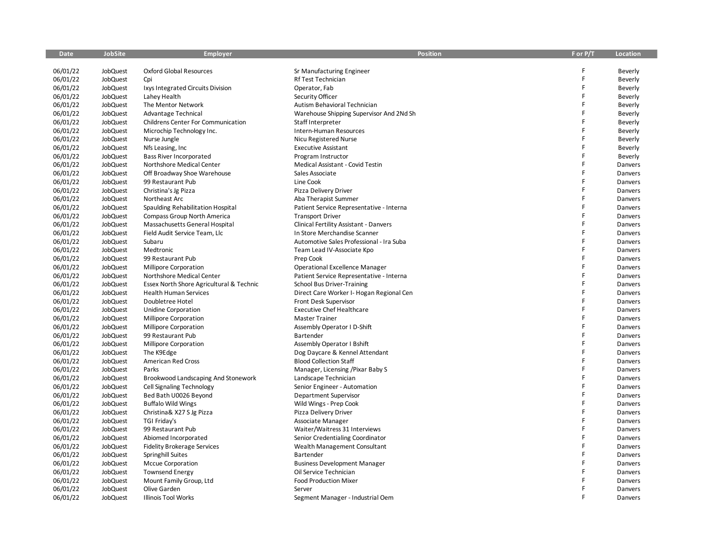| Date     | JobSite  | <b>Employer</b>                          | <b>Position</b>                          | F or P/T | Location |
|----------|----------|------------------------------------------|------------------------------------------|----------|----------|
|          |          |                                          |                                          | F        |          |
| 06/01/22 | JobQuest | <b>Oxford Global Resources</b>           | Sr Manufacturing Engineer                | F        | Beverly  |
| 06/01/22 | JobQuest | Cpi                                      | Rf Test Technician                       | F        | Beverly  |
| 06/01/22 | JobQuest | Ixys Integrated Circuits Division        | Operator, Fab                            | F        | Beverly  |
| 06/01/22 | JobQuest | Lahey Health                             | Security Officer                         | F        | Beverly  |
| 06/01/22 | JobQuest | The Mentor Network                       | Autism Behavioral Technician             | F        | Beverly  |
| 06/01/22 | JobQuest | Advantage Technical                      | Warehouse Shipping Supervisor And 2Nd Sh | Ë        | Beverly  |
| 06/01/22 | JobQuest | Childrens Center For Communication       | Staff Interpreter                        | F        | Beverly  |
| 06/01/22 | JobQuest | Microchip Technology Inc.                | Intern-Human Resources                   | F        | Beverly  |
| 06/01/22 | JobQuest | Nurse Jungle                             | Nicu Registered Nurse                    | F        | Beverly  |
| 06/01/22 | JobQuest | Nfs Leasing, Inc.                        | <b>Executive Assistant</b>               | E        | Beverly  |
| 06/01/22 | JobQuest | Bass River Incorporated                  | Program Instructor                       |          | Beverly  |
| 06/01/22 | JobQuest | Northshore Medical Center                | Medical Assistant - Covid Testin         | F        | Danvers  |
| 06/01/22 | JobQuest | Off Broadway Shoe Warehouse              | Sales Associate                          | F        | Danvers  |
| 06/01/22 | JobQuest | 99 Restaurant Pub                        | Line Cook                                | F        | Danvers  |
| 06/01/22 | JobQuest | Christina's Jg Pizza                     | Pizza Delivery Driver                    | F        | Danvers  |
| 06/01/22 | JobQuest | Northeast Arc                            | Aba Therapist Summer                     | F        | Danvers  |
| 06/01/22 | JobQuest | Spaulding Rehabilitation Hospital        | Patient Service Representative - Interna | F        | Danvers  |
| 06/01/22 | JobQuest | Compass Group North America              | <b>Transport Driver</b>                  | F        | Danvers  |
| 06/01/22 | JobQuest | Massachusetts General Hospital           | Clinical Fertility Assistant - Danvers   | F        | Danvers  |
| 06/01/22 | JobQuest | Field Audit Service Team, Llc            | In Store Merchandise Scanner             | F        | Danvers  |
| 06/01/22 | JobQuest | Subaru                                   | Automotive Sales Professional - Ira Suba | F        | Danvers  |
| 06/01/22 | JobQuest | Medtronic                                | Team Lead IV-Associate Kpo               | Ë        | Danvers  |
| 06/01/22 | JobQuest | 99 Restaurant Pub                        | Prep Cook                                | F        | Danvers  |
| 06/01/22 | JobQuest | Millipore Corporation                    | Operational Excellence Manager           | F        | Danvers  |
| 06/01/22 | JobQuest | Northshore Medical Center                | Patient Service Representative - Interna | F        | Danvers  |
| 06/01/22 | JobQuest | Essex North Shore Agricultural & Technic | <b>School Bus Driver-Training</b>        | F        | Danvers  |
| 06/01/22 | JobQuest | <b>Health Human Services</b>             | Direct Care Worker I- Hogan Regional Cen | F        | Danvers  |
| 06/01/22 | JobQuest | Doubletree Hotel                         | Front Desk Supervisor                    | F        | Danvers  |
| 06/01/22 | JobQuest | Unidine Corporation                      | <b>Executive Chef Healthcare</b>         | F        | Danvers  |
| 06/01/22 | JobQuest | <b>Millipore Corporation</b>             | Master Trainer                           | Ë        | Danvers  |
| 06/01/22 | JobQuest | Millipore Corporation                    | Assembly Operator I D-Shift              | Ë        | Danvers  |
| 06/01/22 | JobQuest | 99 Restaurant Pub                        | Bartender                                | F        | Danvers  |
| 06/01/22 | JobQuest | Millipore Corporation                    | Assembly Operator I Bshift               | Ë        | Danvers  |
| 06/01/22 | JobQuest | The K9Edge                               | Dog Daycare & Kennel Attendant           | F        | Danvers  |
| 06/01/22 | JobQuest | <b>American Red Cross</b>                | <b>Blood Collection Staff</b>            | F        | Danvers  |
| 06/01/22 | JobQuest | Parks                                    | Manager, Licensing / Pixar Baby S        | Ë        | Danvers  |
| 06/01/22 | JobQuest | Brookwood Landscaping And Stonework      | Landscape Technician                     | F        | Danvers  |
| 06/01/22 | JobQuest | <b>Cell Signaling Technology</b>         | Senior Engineer - Automation             | Ë        | Danvers  |
| 06/01/22 | JobQuest | Bed Bath U0026 Beyond                    | Department Supervisor                    | F        | Danvers  |
| 06/01/22 | JobQuest | <b>Buffalo Wild Wings</b>                | Wild Wings - Prep Cook                   | F        | Danvers  |
| 06/01/22 | JobQuest | Christina& X27 S Jg Pizza                | Pizza Delivery Driver                    | F        | Danvers  |
| 06/01/22 | JobQuest | TGI Friday's                             | Associate Manager                        | F        | Danvers  |
| 06/01/22 | JobQuest | 99 Restaurant Pub                        | Waiter/Waitress 31 Interviews            | F        | Danvers  |
| 06/01/22 | JobQuest | Abiomed Incorporated                     | Senior Credentialing Coordinator         | Ë        | Danvers  |
| 06/01/22 | JobQuest | <b>Fidelity Brokerage Services</b>       | Wealth Management Consultant             | F        | Danvers  |
| 06/01/22 | JobQuest | <b>Springhill Suites</b>                 | Bartender                                | F        | Danvers  |
| 06/01/22 | JobQuest | <b>Mccue Corporation</b>                 | <b>Business Development Manager</b>      | Ë        | Danvers  |
| 06/01/22 | JobQuest | <b>Townsend Energy</b>                   | Oil Service Technician                   | F        | Danvers  |
| 06/01/22 | JobQuest | Mount Family Group, Ltd                  | <b>Food Production Mixer</b>             | F        | Danvers  |
| 06/01/22 | JobQuest | Olive Garden                             | Server                                   | F        | Danvers  |
| 06/01/22 | JobQuest | <b>Illinois Tool Works</b>               | Segment Manager - Industrial Oem         | F        | Danvers  |
|          |          |                                          |                                          |          |          |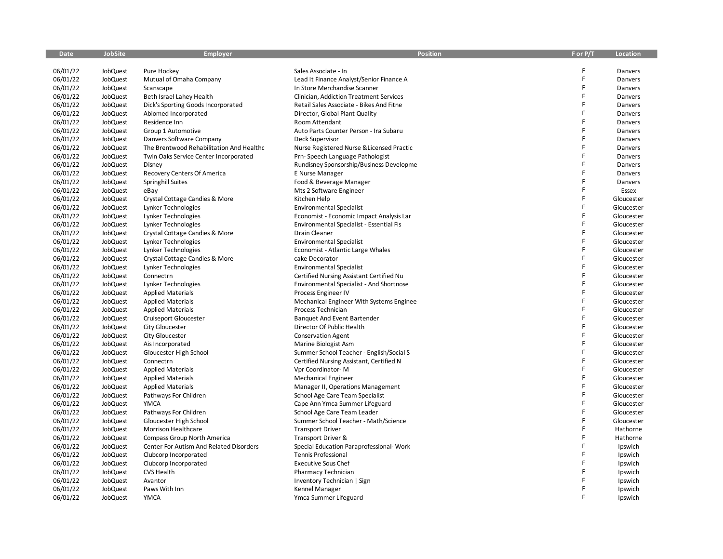| <b>Date</b> | <b>JobSite</b> | Employer                                 | <b>Position</b>                           | F or P/T | Location   |
|-------------|----------------|------------------------------------------|-------------------------------------------|----------|------------|
|             |                |                                          |                                           |          |            |
| 06/01/22    | JobQuest       | Pure Hockey                              | Sales Associate - In                      |          | Danvers    |
| 06/01/22    | JobQuest       | Mutual of Omaha Company                  | Lead It Finance Analyst/Senior Finance A  |          | Danvers    |
| 06/01/22    | JobQuest       | Scanscape                                | In Store Merchandise Scanner              | F        | Danvers    |
| 06/01/22    | JobQuest       | Beth Israel Lahey Health                 | Clinician, Addiction Treatment Services   | F        | Danvers    |
| 06/01/22    | JobQuest       | Dick's Sporting Goods Incorporated       | Retail Sales Associate - Bikes And Fitne  | F        | Danvers    |
| 06/01/22    | JobQuest       | Abiomed Incorporated                     | Director, Global Plant Quality            | F        | Danvers    |
| 06/01/22    | JobQuest       | Residence Inn                            | Room Attendant                            |          | Danvers    |
| 06/01/22    | JobQuest       | Group 1 Automotive                       | Auto Parts Counter Person - Ira Subaru    | F        | Danvers    |
| 06/01/22    | JobQuest       | Danvers Software Company                 | Deck Supervisor                           |          | Danvers    |
| 06/01/22    | JobQuest       | The Brentwood Rehabilitation And Healthc | Nurse Registered Nurse & Licensed Practic | F        | Danvers    |
| 06/01/22    | JobQuest       | Twin Oaks Service Center Incorporated    | Prn-Speech Language Pathologist           | F        | Danvers    |
| 06/01/22    | JobQuest       | Disney                                   | Rundisney Sponsorship/Business Developme  | F        | Danvers    |
| 06/01/22    | JobQuest       | Recovery Centers Of America              | E Nurse Manager                           | F        | Danvers    |
| 06/01/22    | JobQuest       | Springhill Suites                        | Food & Beverage Manager                   |          | Danvers    |
| 06/01/22    | JobQuest       | eBay                                     | Mts 2 Software Engineer                   | F        | Essex      |
| 06/01/22    | JobQuest       | Crystal Cottage Candies & More           | Kitchen Help                              | F        | Gloucester |
| 06/01/22    | JobQuest       | Lynker Technologies                      | <b>Environmental Specialist</b>           | F        | Gloucester |
| 06/01/22    | JobQuest       | Lynker Technologies                      | Economist - Economic Impact Analysis Lar  | F        | Gloucester |
| 06/01/22    | JobQuest       | Lynker Technologies                      | Environmental Specialist - Essential Fis  | F        | Gloucester |
| 06/01/22    | JobQuest       | Crystal Cottage Candies & More           | Drain Cleaner                             | F        | Gloucester |
| 06/01/22    | JobQuest       | Lynker Technologies                      | <b>Environmental Specialist</b>           | F        | Gloucester |
| 06/01/22    | JobQuest       | Lynker Technologies                      | Economist - Atlantic Large Whales         | F        | Gloucester |
| 06/01/22    | JobQuest       | Crystal Cottage Candies & More           | cake Decorator                            | F        | Gloucester |
| 06/01/22    | JobQuest       | Lynker Technologies                      | <b>Environmental Specialist</b>           | F        | Gloucester |
| 06/01/22    | JobQuest       | Connectrn                                | Certified Nursing Assistant Certified Nu  | F        | Gloucester |
| 06/01/22    | JobQuest       | Lynker Technologies                      | Environmental Specialist - And Shortnose  | F        | Gloucester |
| 06/01/22    | JobQuest       | <b>Applied Materials</b>                 | Process Engineer IV                       | F        | Gloucester |
| 06/01/22    | JobQuest       | <b>Applied Materials</b>                 | Mechanical Engineer With Systems Enginee  | F        | Gloucester |
| 06/01/22    | JobQuest       | <b>Applied Materials</b>                 | Process Technician                        |          | Gloucester |
| 06/01/22    | JobQuest       | Cruiseport Gloucester                    | Banquet And Event Bartender               | F        | Gloucester |
| 06/01/22    | JobQuest       | City Gloucester                          | Director Of Public Health                 | F        | Gloucester |
| 06/01/22    | JobQuest       | City Gloucester                          | <b>Conservation Agent</b>                 | F        | Gloucester |
| 06/01/22    | JobQuest       | Ais Incorporated                         | Marine Biologist Asm                      | F        | Gloucester |
| 06/01/22    | JobQuest       | Gloucester High School                   | Summer School Teacher - English/Social S  | F        | Gloucester |
| 06/01/22    | JobQuest       | Connectrn                                | Certified Nursing Assistant, Certified N  | F        | Gloucester |
| 06/01/22    | JobQuest       | <b>Applied Materials</b>                 | Vpr Coordinator-M                         | F        | Gloucester |
| 06/01/22    | JobQuest       | <b>Applied Materials</b>                 | <b>Mechanical Engineer</b>                | F        | Gloucester |
| 06/01/22    | JobQuest       | <b>Applied Materials</b>                 | Manager II, Operations Management         | F        | Gloucester |
| 06/01/22    | JobQuest       | Pathways For Children                    | School Age Care Team Specialist           | F        | Gloucester |
| 06/01/22    | JobQuest       | <b>YMCA</b>                              | Cape Ann Ymca Summer Lifeguard            | F        | Gloucester |
| 06/01/22    | JobQuest       | Pathways For Children                    | School Age Care Team Leader               | F        | Gloucester |
| 06/01/22    | JobQuest       | Gloucester High School                   | Summer School Teacher - Math/Science      | F        | Gloucester |
| 06/01/22    | JobQuest       | Morrison Healthcare                      | <b>Transport Driver</b>                   | F        | Hathorne   |
| 06/01/22    | JobQuest       | Compass Group North America              | Transport Driver &                        |          | Hathorne   |
| 06/01/22    | JobQuest       | Center For Autism And Related Disorders  | Special Education Paraprofessional- Work  |          | Ipswich    |
| 06/01/22    | JobQuest       | Clubcorp Incorporated                    | <b>Tennis Professional</b>                | F        | Ipswich    |
| 06/01/22    | JobQuest       | Clubcorp Incorporated                    | <b>Executive Sous Chef</b>                | F        | Ipswich    |
| 06/01/22    | JobQuest       | <b>CVS Health</b>                        | Pharmacy Technician                       |          | Ipswich    |
| 06/01/22    | JobQuest       | Avantor                                  | Inventory Technician   Sign               |          | Ipswich    |
| 06/01/22    | JobQuest       | Paws With Inn                            | Kennel Manager                            |          | Ipswich    |
| 06/01/22    | JobQuest       | <b>YMCA</b>                              | Ymca Summer Lifeguard                     |          | Ipswich    |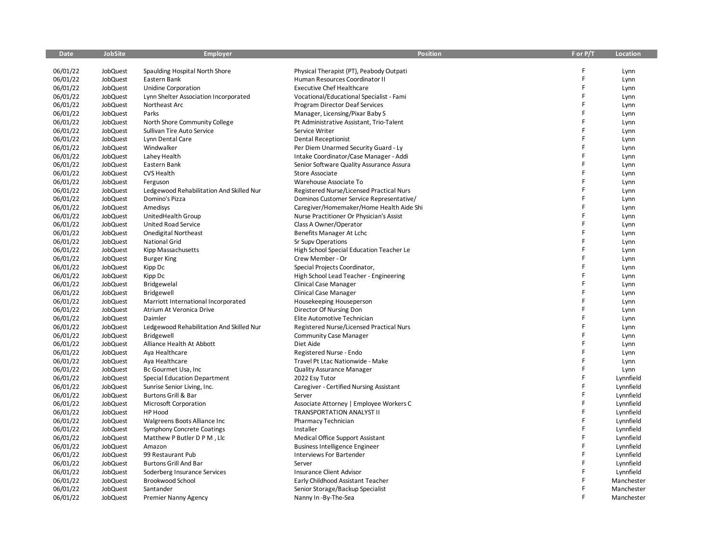| Date                 | JobSite              | Employer                                                        | <b>Position</b>                                                          | F or P/T | Location     |
|----------------------|----------------------|-----------------------------------------------------------------|--------------------------------------------------------------------------|----------|--------------|
|                      |                      |                                                                 |                                                                          | F        |              |
| 06/01/22<br>06/01/22 | JobQuest             | Spaulding Hospital North Shore                                  | Physical Therapist (PT), Peabody Outpati                                 | F        | Lynn         |
| 06/01/22             | JobQuest<br>JobQuest | Eastern Bank<br>Unidine Corporation                             | Human Resources Coordinator II<br><b>Executive Chef Healthcare</b>       | F        | Lynn         |
| 06/01/22             | JobQuest             | Lynn Shelter Association Incorporated                           | Vocational/Educational Specialist - Fami                                 | F        | Lynn<br>Lynn |
|                      |                      | Northeast Arc                                                   |                                                                          | F        |              |
| 06/01/22<br>06/01/22 | JobQuest<br>JobQuest | Parks                                                           | <b>Program Director Deaf Services</b><br>Manager, Licensing/Pixar Baby S | F        | Lynn         |
|                      |                      |                                                                 | Pt Administrative Assistant, Trio-Talent                                 | F        | Lynn         |
| 06/01/22<br>06/01/22 | JobQuest<br>JobQuest | North Shore Community College<br>Sullivan Tire Auto Service     | Service Writer                                                           | F        | Lynn<br>Lynn |
| 06/01/22             | JobQuest             | Lynn Dental Care                                                | <b>Dental Receptionist</b>                                               | F        |              |
| 06/01/22             | JobQuest             | Windwalker                                                      | Per Diem Unarmed Security Guard - Ly                                     | F        | Lynn<br>Lynn |
| 06/01/22             | JobQuest             | Lahey Health                                                    | Intake Coordinator/Case Manager - Addi                                   | F        | Lynn         |
| 06/01/22             | JobQuest             | Eastern Bank                                                    | Senior Software Quality Assurance Assura                                 | F        | Lynn         |
| 06/01/22             | JobQuest             | <b>CVS Health</b>                                               | <b>Store Associate</b>                                                   | F        | Lynn         |
| 06/01/22             | JobQuest             | Ferguson                                                        | Warehouse Associate To                                                   | F        | Lynn         |
| 06/01/22             | JobQuest             | Ledgewood Rehabilitation And Skilled Nur                        | Registered Nurse/Licensed Practical Nurs                                 | F        | Lynn         |
| 06/01/22             | JobQuest             | Domino's Pizza                                                  | Dominos Customer Service Representative/                                 | F        | Lynn         |
| 06/01/22             | JobQuest             | Amedisys                                                        | Caregiver/Homemaker/Home Health Aide Shi                                 | F        | Lynn         |
| 06/01/22             | JobQuest             | UnitedHealth Group                                              | Nurse Practitioner Or Physician's Assist                                 | F        | Lynn         |
| 06/01/22             | JobQuest             | United Road Service                                             | Class A Owner/Operator                                                   | F        | Lynn         |
| 06/01/22             | JobQuest             | <b>Onedigital Northeast</b>                                     | Benefits Manager At Lchc                                                 | F        | Lynn         |
| 06/01/22             | JobQuest             | <b>National Grid</b>                                            | Sr Supv Operations                                                       | F        | Lynn         |
| 06/01/22             | JobQuest             |                                                                 |                                                                          | F        |              |
| 06/01/22             | JobQuest             | Kipp Massachusetts<br><b>Burger King</b>                        | High School Special Education Teacher Le<br>Crew Member - Or             | F        | Lynn         |
|                      |                      |                                                                 |                                                                          | F        | Lynn         |
| 06/01/22             | JobQuest             | Kipp Dc                                                         | Special Projects Coordinator,                                            | F        | Lynn         |
| 06/01/22<br>06/01/22 | JobQuest<br>JobQuest | Kipp Dc                                                         | High School Lead Teacher - Engineering                                   | F        | Lynn         |
| 06/01/22             | JobQuest             | Bridgewelal                                                     | Clinical Case Manager                                                    | F        | Lynn<br>Lynn |
| 06/01/22             | JobQuest             | Bridgewell                                                      | Clinical Case Manager                                                    | F        |              |
| 06/01/22             | JobQuest             | Marriott International Incorporated<br>Atrium At Veronica Drive | Housekeeping Houseperson<br>Director Of Nursing Don                      | F        | Lynn         |
| 06/01/22             |                      | Daimler                                                         | Elite Automotive Technician                                              | F        | Lynn         |
|                      | JobQuest             |                                                                 |                                                                          | F        | Lynn         |
| 06/01/22             | JobQuest             | Ledgewood Rehabilitation And Skilled Nur                        | Registered Nurse/Licensed Practical Nurs                                 | F.       | Lynn         |
| 06/01/22             | JobQuest             | Bridgewell                                                      | <b>Community Case Manager</b>                                            | F        | Lynn         |
| 06/01/22             | JobQuest             | Alliance Health At Abbott                                       | Diet Aide                                                                | F        | Lynn         |
| 06/01/22             | JobQuest             | Aya Healthcare                                                  | Registered Nurse - Endo                                                  | F        | Lynn         |
| 06/01/22             | JobQuest             | Aya Healthcare                                                  | Travel Pt Ltac Nationwide - Make                                         | F        | Lynn         |
| 06/01/22             | JobQuest             | Bc Gourmet Usa, Inc.                                            | <b>Quality Assurance Manager</b>                                         | F        | Lynn         |
| 06/01/22             | <b>JobQuest</b>      | <b>Special Education Department</b>                             | 2022 Esy Tutor                                                           | F        | Lynnfield    |
| 06/01/22             | JobQuest             | Sunrise Senior Living, Inc.                                     | Caregiver - Certified Nursing Assistant                                  | F        | Lynnfield    |
| 06/01/22             | JobQuest             | Burtons Grill & Bar                                             | Server                                                                   | F        | Lynnfield    |
| 06/01/22             | JobQuest             | Microsoft Corporation                                           | Associate Attorney   Employee Workers C<br>TRANSPORTATION ANALYST II     | F        | Lynnfield    |
| 06/01/22<br>06/01/22 | JobQuest             | HP Hood                                                         |                                                                          | F        | Lynnfield    |
|                      | JobQuest             | Walgreens Boots Alliance Inc                                    | Pharmacy Technician                                                      | F        | Lynnfield    |
| 06/01/22             | JobQuest             | Symphony Concrete Coatings                                      | Installer                                                                | F        | Lynnfield    |
| 06/01/22             | JobQuest             | Matthew P Butler D P M, Llc                                     | Medical Office Support Assistant                                         | F        | Lynnfield    |
| 06/01/22             | JobQuest             | Amazon                                                          | <b>Business Intelligence Engineer</b>                                    | F        | Lynnfield    |
| 06/01/22             | JobQuest             | 99 Restaurant Pub                                               | <b>Interviews For Bartender</b>                                          | F        | Lynnfield    |
| 06/01/22             | JobQuest             | <b>Burtons Grill And Bar</b>                                    | Server                                                                   | F.       | Lynnfield    |
| 06/01/22             | JobQuest             | Soderberg Insurance Services                                    | Insurance Client Advisor                                                 | F        | Lynnfield    |
| 06/01/22             | <b>JobQuest</b>      | Brookwood School                                                | Early Childhood Assistant Teacher                                        | F        | Manchester   |
| 06/01/22             | JobQuest             | Santander                                                       | Senior Storage/Backup Specialist                                         | E        | Manchester   |
| 06/01/22             | JobQuest             | Premier Nanny Agency                                            | Nanny In -By-The-Sea                                                     |          | Manchester   |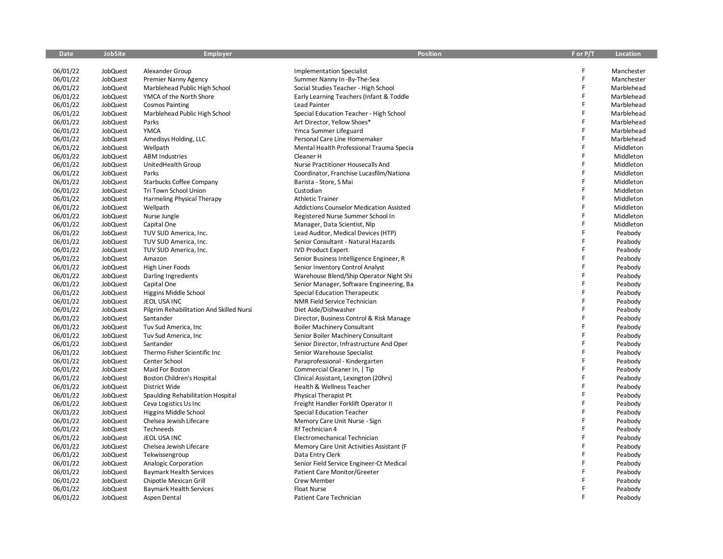| <b>Date</b> | <b>JobSite</b>  | <b>Employer</b>                          | <b>Position</b>                                 | F or P/T    | Location   |
|-------------|-----------------|------------------------------------------|-------------------------------------------------|-------------|------------|
|             |                 |                                          |                                                 |             |            |
| 06/01/22    | JobQuest        | Alexander Group                          | <b>Implementation Specialist</b>                | F           | Manchester |
| 06/01/22    | JobQuest        | <b>Premier Nanny Agency</b>              | Summer Nanny In -By-The-Sea                     | $\mathsf F$ | Manchester |
| 06/01/22    | JobQuest        | Marblehead Public High School            | Social Studies Teacher - High School            | F           | Marblehead |
| 06/01/22    | JobQuest        | YMCA of the North Shore                  | Early Learning Teachers (Infant & Toddle        | F           | Marblehead |
| 06/01/22    | JobQuest        | <b>Cosmos Painting</b>                   | Lead Painter                                    | F           | Marblehead |
| 06/01/22    | JobQuest        | Marblehead Public High School            | Special Education Teacher - High School         | F           | Marblehead |
| 06/01/22    | JobQuest        | Parks                                    | Art Director, Yellow Shoes*                     | $\mathsf F$ | Marblehead |
| 06/01/22    | JobQuest        | <b>YMCA</b>                              | Ymca Summer Lifeguard                           | F           | Marblehead |
| 06/01/22    | JobQuest        | Amedisys Holding, LLC                    | Personal Care Line Homemaker                    | F           | Marblehead |
| 06/01/22    | JobQuest        | Wellpath                                 | Mental Health Professional Trauma Specia        | F           | Middleton  |
| 06/01/22    | JobQuest        | <b>ABM Industries</b>                    | Cleaner H                                       | F           | Middleton  |
| 06/01/22    | JobQuest        | UnitedHealth Group                       | Nurse Practitioner Housecalls And               | F           | Middleton  |
| 06/01/22    | JobQuest        | Parks                                    | Coordinator, Franchise Lucasfilm/Nationa        | F           | Middleton  |
| 06/01/22    | JobQuest        | <b>Starbucks Coffee Company</b>          | Barista - Store, S Mai                          | F           | Middleton  |
| 06/01/22    | JobQuest        | Tri Town School Union                    | Custodian                                       | F           | Middleton  |
| 06/01/22    | JobQuest        | Harmeling Physical Therapy               | <b>Athletic Trainer</b>                         | F           | Middleton  |
| 06/01/22    | JobQuest        | Wellpath                                 | <b>Addictions Counselor Medication Assisted</b> | F           | Middleton  |
| 06/01/22    | JobQuest        | Nurse Jungle                             | Registered Nurse Summer School In               | F           | Middleton  |
| 06/01/22    | JobQuest        | Capital One                              | Manager, Data Scientist, Nlp                    | F           | Middleton  |
| 06/01/22    | JobQuest        | TUV SUD America, Inc.                    | Lead Auditor, Medical Devices (HTP)             | F           | Peabody    |
| 06/01/22    | <b>JobQuest</b> | TUV SUD America, Inc.                    | Senior Consultant - Natural Hazards             | F           | Peabody    |
| 06/01/22    | JobQuest        | TUV SUD America, Inc.                    | <b>IVD Product Expert</b>                       | F           | Peabody    |
| 06/01/22    | JobQuest        | Amazon                                   | Senior Business Intelligence Engineer, R        | F           | Peabody    |
| 06/01/22    | JobQuest        | <b>High Liner Foods</b>                  | Senior Inventory Control Analyst                | F           | Peabody    |
| 06/01/22    | JobQuest        | Darling Ingredients                      | Warehouse Blend/Ship Operator Night Shi         | F           | Peabody    |
| 06/01/22    | JobQuest        | Capital One                              | Senior Manager, Software Engineering, Ba        | F           | Peabody    |
| 06/01/22    | JobQuest        | Higgins Middle School                    | Special Education Therapeutic                   | F           | Peabody    |
| 06/01/22    | JobQuest        | JEOL USA INC                             | NMR Field Service Technician                    | F           | Peabody    |
| 06/01/22    | JobQuest        | Pilgrim Rehabilitation And Skilled Nursi | Diet Aide/Dishwasher                            | F           | Peabody    |
| 06/01/22    | JobQuest        | Santander                                | Director, Business Control & Risk Manage        | F           | Peabody    |
| 06/01/22    | JobQuest        | Tuv Sud America, Inc.                    | Boiler Machinery Consultant                     | F           | Peabody    |
| 06/01/22    | JobQuest        | Tuv Sud America, Inc                     | Senior Boiler Machinery Consultant              | F           | Peabody    |
| 06/01/22    | JobQuest        | Santander                                | Senior Director, Infrastructure And Oper        | F           | Peabody    |
| 06/01/22    | JobQuest        | Thermo Fisher Scientific Inc             | Senior Warehouse Specialist                     | F           | Peabody    |
| 06/01/22    | JobQuest        | Center School                            | Paraprofessional - Kindergarten                 | F           | Peabody    |
| 06/01/22    | JobQuest        | Maid For Boston                          | Commercial Cleaner In,   Tip                    | F           | Peabody    |
| 06/01/22    | JobQuest        | Boston Children's Hospital               | Clinical Assistant, Lexington (20hrs)           | F           | Peabody    |
| 06/01/22    | JobQuest        | District Wide                            | Health & Wellness Teacher                       | F           | Peabody    |
| 06/01/22    | JobQuest        | Spaulding Rehabilitation Hospital        | Physical Therapist Pt                           | F           | Peabody    |
| 06/01/22    | JobQuest        | Ceva Logistics Us Inc                    | Freight Handler Forklift Operator II            | F           | Peabody    |
| 06/01/22    | JobQuest        | Higgins Middle School                    | <b>Special Education Teacher</b>                | F           | Peabody    |
| 06/01/22    | JobQuest        | Chelsea Jewish Lifecare                  | Memory Care Unit Nurse - Sign                   | F           | Peabody    |
| 06/01/22    | JobQuest        | Techneeds                                | Rf Technician 4                                 | F           | Peabody    |
| 06/01/22    | JobQuest        | JEOL USA INC                             | Electromechanical Technician                    | F           | Peabody    |
| 06/01/22    | JobQuest        | Chelsea Jewish Lifecare                  | Memory Care Unit Activities Assistant (F        | F           | Peabody    |
| 06/01/22    | JobQuest        | Tekwissengroup                           | Data Entry Clerk                                | F           | Peabody    |
| 06/01/22    | JobQuest        | Analogic Corporation                     | Senior Field Service Engineer-Ct Medical        | F           | Peabody    |
| 06/01/22    | JobQuest        | <b>Baymark Health Services</b>           | Patient Care Monitor/Greeter                    | F           | Peabody    |
| 06/01/22    | JobQuest        | Chipotle Mexican Grill                   | Crew Member                                     | F           | Peabody    |
| 06/01/22    | JobQuest        | <b>Baymark Health Services</b>           | Float Nurse                                     | F           | Peabody    |
| 06/01/22    | JobQuest        | Aspen Dental                             | Patient Care Technician                         | F           | Peabody    |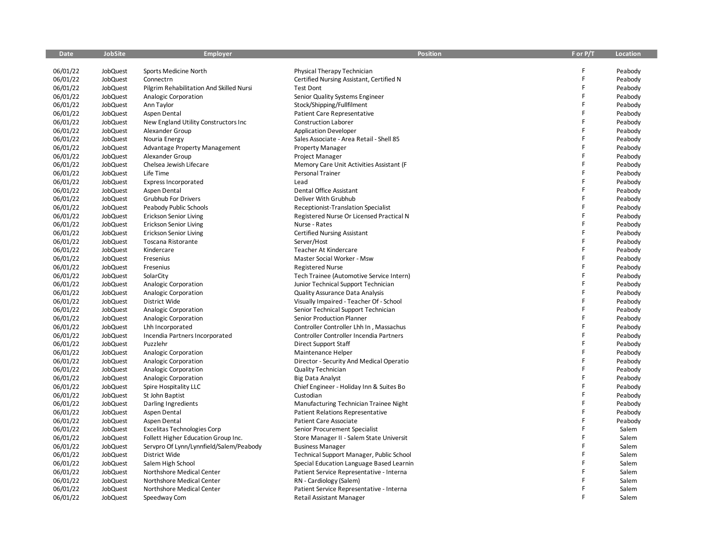| Date     | JobSite         | Employer                                 | <b>Position</b>                            | F or P/T | Location |
|----------|-----------------|------------------------------------------|--------------------------------------------|----------|----------|
|          |                 |                                          |                                            |          |          |
| 06/01/22 | JobQuest        | Sports Medicine North                    | Physical Therapy Technician                | F<br>F   | Peabody  |
| 06/01/22 | JobQuest        | Connectrn                                | Certified Nursing Assistant, Certified N   |          | Peabody  |
| 06/01/22 | JobQuest        | Pilgrim Rehabilitation And Skilled Nursi | <b>Test Dont</b>                           | F<br>F   | Peabody  |
| 06/01/22 | JobQuest        | Analogic Corporation                     | Senior Quality Systems Engineer            | F        | Peabody  |
| 06/01/22 | JobQuest        | Ann Taylor                               | Stock/Shipping/Fullfilment                 | F        | Peabody  |
| 06/01/22 | JobQuest        | Aspen Dental                             | <b>Patient Care Representative</b>         | Ë        | Peabody  |
| 06/01/22 | JobQuest        | New England Utility Constructors Inc     | <b>Construction Laborer</b>                | Ë        | Peabody  |
| 06/01/22 | JobQuest        | Alexander Group                          | <b>Application Developer</b>               | F        | Peabody  |
| 06/01/22 | JobQuest        | Nouria Energy                            | Sales Associate - Area Retail - Shell 85   |          | Peabody  |
| 06/01/22 | JobQuest        | Advantage Property Management            | <b>Property Manager</b>                    | F<br>Ë   | Peabody  |
| 06/01/22 | JobQuest        | Alexander Group                          | Project Manager                            |          | Peabody  |
| 06/01/22 | JobQuest        | Chelsea Jewish Lifecare                  | Memory Care Unit Activities Assistant (F   | F        | Peabody  |
| 06/01/22 | JobQuest        | Life Time                                | Personal Trainer                           | F        | Peabody  |
| 06/01/22 | JobQuest        | <b>Express Incorporated</b>              | Lead                                       | F        | Peabody  |
| 06/01/22 | JobQuest        | Aspen Dental                             | Dental Office Assistant                    | F        | Peabody  |
| 06/01/22 | <b>JobQuest</b> | <b>Grubhub For Drivers</b>               | Deliver With Grubhub                       | F        | Peabody  |
| 06/01/22 | JobQuest        | Peabody Public Schools                   | <b>Receptionist-Translation Specialist</b> | F        | Peabody  |
| 06/01/22 | JobQuest        | <b>Erickson Senior Living</b>            | Registered Nurse Or Licensed Practical N   | F        | Peabody  |
| 06/01/22 | JobQuest        | <b>Erickson Senior Living</b>            | Nurse - Rates                              | F        | Peabody  |
| 06/01/22 | JobQuest        | <b>Erickson Senior Living</b>            | <b>Certified Nursing Assistant</b>         | F        | Peabody  |
| 06/01/22 | JobQuest        | Toscana Ristorante                       | Server/Host                                | F        | Peabody  |
| 06/01/22 | JobQuest        | Kindercare                               | Teacher At Kindercare                      | Ë        | Peabody  |
| 06/01/22 | JobQuest        | Fresenius                                | Master Social Worker - Msw                 | F        | Peabody  |
| 06/01/22 | JobQuest        | Fresenius                                | <b>Registered Nurse</b>                    | F        | Peabody  |
| 06/01/22 | JobQuest        | SolarCity                                | Tech Trainee (Automotive Service Intern)   | F        | Peabody  |
| 06/01/22 | JobQuest        | Analogic Corporation                     | Junior Technical Support Technician        | F        | Peabody  |
| 06/01/22 | JobQuest        | Analogic Corporation                     | Quality Assurance Data Analysis            | F        | Peabody  |
| 06/01/22 | JobQuest        | District Wide                            | Visually Impaired - Teacher Of - School    | Ë        | Peabody  |
| 06/01/22 | <b>JobQuest</b> | Analogic Corporation                     | Senior Technical Support Technician        | F        | Peabody  |
| 06/01/22 | JobQuest        | Analogic Corporation                     | Senior Production Planner                  | F        | Peabody  |
| 06/01/22 | JobQuest        | Lhh Incorporated                         | Controller Controller Lhh In, Massachus    | F        | Peabody  |
| 06/01/22 | <b>JobQuest</b> | Incendia Partners Incorporated           | Controller Controller Incendia Partners    | F        | Peabody  |
| 06/01/22 | JobQuest        | Puzzlehr                                 | Direct Support Staff                       | Ë        | Peabody  |
| 06/01/22 | JobQuest        | Analogic Corporation                     | Maintenance Helper                         | F        | Peabody  |
| 06/01/22 | JobQuest        | Analogic Corporation                     | Director - Security And Medical Operatio   | F        | Peabody  |
| 06/01/22 | JobQuest        | Analogic Corporation                     | Quality Technician                         | F        | Peabody  |
| 06/01/22 | JobQuest        | Analogic Corporation                     | <b>Big Data Analyst</b>                    | F        | Peabody  |
| 06/01/22 | JobQuest        | Spire Hospitality LLC                    | Chief Engineer - Holiday Inn & Suites Bo   | Ë        | Peabody  |
| 06/01/22 | JobQuest        | St John Baptist                          | Custodian                                  | Ë        | Peabody  |
| 06/01/22 | <b>JobQuest</b> | Darling Ingredients                      | Manufacturing Technician Trainee Night     | F        | Peabody  |
| 06/01/22 | JobQuest        | Aspen Dental                             | <b>Patient Relations Representative</b>    | F        | Peabody  |
| 06/01/22 | JobQuest        | Aspen Dental                             | Patient Care Associate                     | F        | Peabody  |
| 06/01/22 | JobQuest        | <b>Excelitas Technologies Corp</b>       | Senior Procurement Specialist              | F        | Salem    |
| 06/01/22 | JobQuest        | Follett Higher Education Group Inc.      | Store Manager II - Salem State Universit   | F        | Salem    |
| 06/01/22 | JobQuest        | Servpro Of Lynn/Lynnfield/Salem/Peabody  | <b>Business Manager</b>                    | F        | Salem    |
| 06/01/22 | JobQuest        | District Wide                            | Technical Support Manager, Public School   | F        | Salem    |
| 06/01/22 | JobQuest        | Salem High School                        | Special Education Language Based Learnin   | F        | Salem    |
| 06/01/22 | JobQuest        | Northshore Medical Center                | Patient Service Representative - Interna   | F        | Salem    |
| 06/01/22 | JobQuest        | Northshore Medical Center                | RN - Cardiology (Salem)                    | F        | Salem    |
| 06/01/22 | JobQuest        | Northshore Medical Center                | Patient Service Representative - Interna   | F        | Salem    |
| 06/01/22 | <b>JobQuest</b> | Speedway Com                             | <b>Retail Assistant Manager</b>            | F        | Salem    |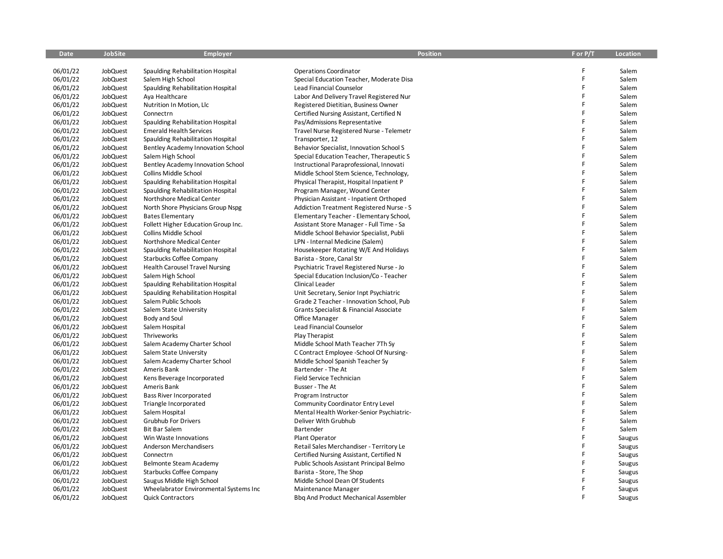| Date     | JobSite         | Employer                               | <b>Position</b>                                 | F or P/T | Location |
|----------|-----------------|----------------------------------------|-------------------------------------------------|----------|----------|
|          |                 |                                        |                                                 |          |          |
| 06/01/22 | JobQuest        | Spaulding Rehabilitation Hospital      | <b>Operations Coordinator</b>                   | F        | Salem    |
| 06/01/22 | JobQuest        | Salem High School                      | Special Education Teacher, Moderate Disa        | F        | Salem    |
| 06/01/22 | <b>JobQuest</b> | Spaulding Rehabilitation Hospital      | Lead Financial Counselor                        | F        | Salem    |
| 06/01/22 | JobQuest        | Aya Healthcare                         | Labor And Delivery Travel Registered Nur        | F        | Salem    |
| 06/01/22 | JobQuest        | Nutrition In Motion, Llc               | Registered Dietitian, Business Owner            | F        | Salem    |
| 06/01/22 | <b>JobQuest</b> | Connectrn                              | Certified Nursing Assistant, Certified N        | F.       | Salem    |
| 06/01/22 | JobQuest        | Spaulding Rehabilitation Hospital      | Pas/Admissions Representative                   | F        | Salem    |
| 06/01/22 | JobQuest        | <b>Emerald Health Services</b>         | Travel Nurse Registered Nurse - Telemetr        | F        | Salem    |
| 06/01/22 | JobQuest        | Spaulding Rehabilitation Hospital      | Transporter, 12                                 | F        | Salem    |
| 06/01/22 | JobQuest        | Bentley Academy Innovation School      | Behavior Specialist, Innovation School S        | F        | Salem    |
| 06/01/22 | JobQuest        | Salem High School                      | Special Education Teacher, Therapeutic S        | F        | Salem    |
| 06/01/22 | JobQuest        | Bentley Academy Innovation School      | Instructional Paraprofessional, Innovati        | F        | Salem    |
| 06/01/22 | JobQuest        | <b>Collins Middle School</b>           | Middle School Stem Science, Technology,         | F        | Salem    |
| 06/01/22 | JobQuest        | Spaulding Rehabilitation Hospital      | Physical Therapist, Hospital Inpatient P        | F        | Salem    |
| 06/01/22 | JobQuest        | Spaulding Rehabilitation Hospital      | Program Manager, Wound Center                   | F        | Salem    |
| 06/01/22 | <b>JobQuest</b> | <b>Northshore Medical Center</b>       | Physician Assistant - Inpatient Orthoped        | F        | Salem    |
| 06/01/22 | JobQuest        | North Shore Physicians Group Nspg      | <b>Addiction Treatment Registered Nurse - S</b> | F        | Salem    |
| 06/01/22 | JobQuest        | <b>Bates Elementary</b>                | Elementary Teacher - Elementary School,         | F        | Salem    |
| 06/01/22 | JobQuest        | Follett Higher Education Group Inc.    | Assistant Store Manager - Full Time - Sa        | F        | Salem    |
| 06/01/22 | JobQuest        | Collins Middle School                  | Middle School Behavior Specialist, Publi        | F        | Salem    |
| 06/01/22 | JobQuest        | Northshore Medical Center              | LPN - Internal Medicine (Salem)                 | F        | Salem    |
| 06/01/22 | JobQuest        | Spaulding Rehabilitation Hospital      | Housekeeper Rotating W/E And Holidays           | F        | Salem    |
| 06/01/22 | JobQuest        | Starbucks Coffee Company               | Barista - Store, Canal Str                      | F        | Salem    |
| 06/01/22 | JobQuest        | <b>Health Carousel Travel Nursing</b>  | Psychiatric Travel Registered Nurse - Jo        | F        | Salem    |
| 06/01/22 | JobQuest        | Salem High School                      | Special Education Inclusion/Co - Teacher        | F        | Salem    |
| 06/01/22 | JobQuest        | Spaulding Rehabilitation Hospital      | Clinical Leader                                 | F        | Salem    |
| 06/01/22 | JobQuest        | Spaulding Rehabilitation Hospital      | Unit Secretary, Senior Inpt Psychiatric         | F        | Salem    |
| 06/01/22 | JobQuest        | Salem Public Schools                   | Grade 2 Teacher - Innovation School, Pub        | F        | Salem    |
| 06/01/22 | JobQuest        | Salem State University                 | Grants Specialist & Financial Associate         | F        | Salem    |
| 06/01/22 | JobQuest        | <b>Body and Soul</b>                   | Office Manager                                  | F        | Salem    |
| 06/01/22 | JobQuest        | Salem Hospital                         | Lead Financial Counselor                        | F        | Salem    |
| 06/01/22 | <b>JobQuest</b> | Thriveworks                            | Play Therapist                                  | F.       | Salem    |
| 06/01/22 | JobQuest        | Salem Academy Charter School           | Middle School Math Teacher 7Th Sy               | F        | Salem    |
| 06/01/22 | JobQuest        | Salem State University                 | C Contract Employee -School Of Nursing-         | F        | Salem    |
| 06/01/22 | JobQuest        | Salem Academy Charter School           | Middle School Spanish Teacher Sy                | F        | Salem    |
| 06/01/22 | JobQuest        | Ameris Bank                            | Bartender - The At                              | F        | Salem    |
| 06/01/22 | JobQuest        | Kens Beverage Incorporated             | Field Service Technician                        | F        | Salem    |
| 06/01/22 | JobQuest        | Ameris Bank                            | Busser - The At                                 | F        | Salem    |
| 06/01/22 | JobQuest        | Bass River Incorporated                | Program Instructor                              | F        | Salem    |
| 06/01/22 | <b>JobQuest</b> | Triangle Incorporated                  | Community Coordinator Entry Level               | F        | Salem    |
| 06/01/22 | JobQuest        | Salem Hospital                         | Mental Health Worker-Senior Psychiatric-        | F        | Salem    |
| 06/01/22 | JobQuest        | <b>Grubhub For Drivers</b>             | Deliver With Grubhub                            | F        | Salem    |
| 06/01/22 | JobQuest        | <b>Bit Bar Salem</b>                   | Bartender                                       | F.       | Salem    |
| 06/01/22 | JobQuest        | Win Waste Innovations                  | Plant Operator                                  | F        | Saugus   |
| 06/01/22 | JobQuest        | Anderson Merchandisers                 | Retail Sales Merchandiser - Territory Le        | F        | Saugus   |
| 06/01/22 | JobQuest        | Connectrn                              | Certified Nursing Assistant, Certified N        | F        | Saugus   |
| 06/01/22 | JobQuest        | Belmonte Steam Academy                 | Public Schools Assistant Principal Belmo        | F        | Saugus   |
| 06/01/22 | <b>JobQuest</b> | <b>Starbucks Coffee Company</b>        | Barista - Store, The Shop                       | F        | Saugus   |
| 06/01/22 | <b>JobQuest</b> | Saugus Middle High School              | Middle School Dean Of Students                  | F        | Saugus   |
| 06/01/22 | <b>JobQuest</b> | Wheelabrator Environmental Systems Inc | Maintenance Manager                             | F        | Saugus   |
| 06/01/22 | <b>JobQuest</b> | <b>Quick Contractors</b>               | <b>Bbg And Product Mechanical Assembler</b>     | F        | Saugus   |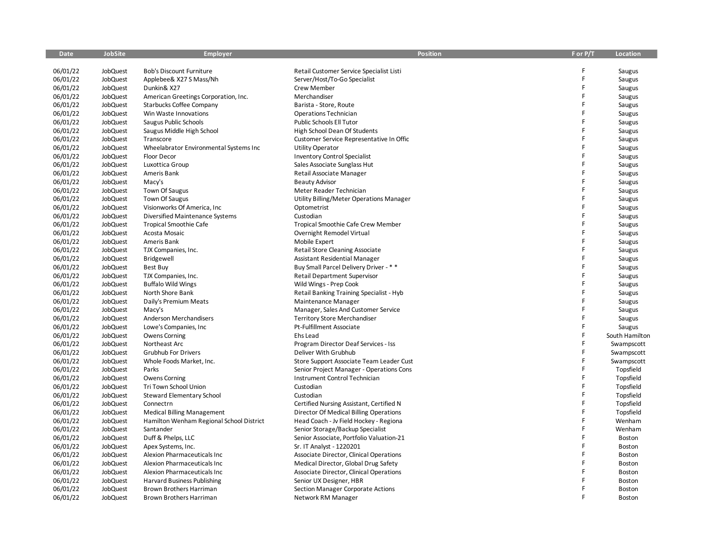| <b>Date</b> | <b>JobSite</b>  | <b>Employer</b>                          | <b>Position</b>                          | F or P/T    | <b>Location</b> |
|-------------|-----------------|------------------------------------------|------------------------------------------|-------------|-----------------|
|             |                 |                                          |                                          |             |                 |
| 06/01/22    | <b>JobQuest</b> | <b>Bob's Discount Furniture</b>          | Retail Customer Service Specialist Listi | F           | Saugus          |
| 06/01/22    | JobQuest        | Applebee& X27 S Mass/Nh                  | Server/Host/To-Go Specialist             | F           | Saugus          |
| 06/01/22    | JobQuest        | Dunkin& X27                              | Crew Member                              | F           | Saugus          |
| 06/01/22    | JobQuest        | American Greetings Corporation, Inc.     | Merchandiser                             | F           | Saugus          |
| 06/01/22    | JobQuest        | <b>Starbucks Coffee Company</b>          | Barista - Store, Route                   | F           | Saugus          |
| 06/01/22    | JobQuest        | Win Waste Innovations                    | Operations Technician                    | F           | Saugus          |
| 06/01/22    | JobQuest        | Saugus Public Schools                    | Public Schools Ell Tutor                 | F           | Saugus          |
| 06/01/22    | JobQuest        | Saugus Middle High School                | High School Dean Of Students             | F           | Saugus          |
| 06/01/22    | JobQuest        | Transcore                                | Customer Service Representative In Offic | F           | Saugus          |
| 06/01/22    | JobQuest        | Wheelabrator Environmental Systems Inc   | <b>Utility Operator</b>                  | F           | Saugus          |
| 06/01/22    | JobQuest        | Floor Decor                              | <b>Inventory Control Specialist</b>      | F           | Saugus          |
| 06/01/22    | JobQuest        | Luxottica Group                          | Sales Associate Sunglass Hut             | F           | Saugus          |
| 06/01/22    | JobQuest        | Ameris Bank                              | Retail Associate Manager                 | F           | Saugus          |
| 06/01/22    | JobQuest        | Macy's                                   | <b>Beauty Advisor</b>                    | F           | Saugus          |
| 06/01/22    | JobQuest        | Town Of Saugus                           | Meter Reader Technician                  | F           | Saugus          |
| 06/01/22    | JobQuest        | Town Of Saugus                           | Utility Billing/Meter Operations Manager | F           | Saugus          |
| 06/01/22    | JobQuest        | Visionworks Of America, Inc.             | Optometrist                              | F           | Saugus          |
| 06/01/22    | JobQuest        | Diversified Maintenance Systems          | Custodian                                | F           | Saugus          |
| 06/01/22    | JobQuest        | <b>Tropical Smoothie Cafe</b>            | Tropical Smoothie Cafe Crew Member       | F           | Saugus          |
| 06/01/22    | JobQuest        | Acosta Mosaic                            | Overnight Remodel Virtual                | F           | Saugus          |
| 06/01/22    | JobQuest        | Ameris Bank                              | Mobile Expert                            | F           | Saugus          |
| 06/01/22    | JobQuest        | TJX Companies, Inc.                      | Retail Store Cleaning Associate          | F           | Saugus          |
| 06/01/22    | <b>JobQuest</b> | Bridgewell                               | Assistant Residential Manager            | F           | Saugus          |
| 06/01/22    | JobQuest        | Best Buy                                 | Buy Small Parcel Delivery Driver - * *   | F           | Saugus          |
| 06/01/22    | JobQuest        | TJX Companies, Inc.                      | <b>Retail Department Supervisor</b>      | F           | Saugus          |
| 06/01/22    | JobQuest        | <b>Buffalo Wild Wings</b>                | Wild Wings - Prep Cook                   | F           | Saugus          |
| 06/01/22    | JobQuest        | North Shore Bank                         | Retail Banking Training Specialist - Hyb | F           | Saugus          |
| 06/01/22    | JobQuest        | Daily's Premium Meats                    | Maintenance Manager                      | F           | Saugus          |
| 06/01/22    | JobQuest        | Macy's                                   | Manager, Sales And Customer Service      | F           | Saugus          |
| 06/01/22    | JobQuest        | Anderson Merchandisers                   | <b>Territory Store Merchandiser</b>      | F           | Saugus          |
| 06/01/22    | JobQuest        | Lowe's Companies, Inc.                   | Pt-Fulfillment Associate                 | F           | Saugus          |
| 06/01/22    | JobQuest        | Owens Corning                            | Ehs Lead                                 | F           | South Hamilton  |
| 06/01/22    | JobQuest        | Northeast Arc                            | Program Director Deaf Services - Iss     | $\mathsf F$ | Swampscott      |
| 06/01/22    | JobQuest        | <b>Grubhub For Drivers</b>               | Deliver With Grubhub                     | $\mathsf F$ | Swampscott      |
| 06/01/22    | JobQuest        | Whole Foods Market, Inc.                 | Store Support Associate Team Leader Cust | F           | Swampscott      |
| 06/01/22    | JobQuest        | Parks                                    | Senior Project Manager - Operations Cons | F           | Topsfield       |
| 06/01/22    | JobQuest        | <b>Owens Corning</b>                     | Instrument Control Technician            | F           | Topsfield       |
| 06/01/22    | JobQuest        | Tri Town School Union                    | Custodian                                | F           | Topsfield       |
| 06/01/22    | JobQuest        | <b>Steward Elementary School</b>         | Custodian                                | F           | Topsfield       |
| 06/01/22    | JobQuest        | Connectrn                                | Certified Nursing Assistant, Certified N | F           | Topsfield       |
| 06/01/22    | JobQuest        | <b>Medical Billing Management</b>        | Director Of Medical Billing Operations   | F           | Topsfield       |
| 06/01/22    | JobQuest        | Hamilton Wenham Regional School District | Head Coach - Jv Field Hockey - Regiona   | F           | Wenham          |
| 06/01/22    | JobQuest        | Santander                                | Senior Storage/Backup Specialist         | F           | Wenham          |
| 06/01/22    | JobQuest        | Duff & Phelps, LLC                       | Senior Associate, Portfolio Valuation-21 | F           | Boston          |
| 06/01/22    | JobQuest        | Apex Systems, Inc.                       | Sr. IT Analyst - 1220201                 | F           | Boston          |
| 06/01/22    | JobQuest        | Alexion Pharmaceuticals Inc              | Associate Director, Clinical Operations  | F           | Boston          |
| 06/01/22    | JobQuest        | Alexion Pharmaceuticals Inc              | Medical Director, Global Drug Safety     | F           | Boston          |
| 06/01/22    | JobQuest        | Alexion Pharmaceuticals Inc              | Associate Director, Clinical Operations  | F           | Boston          |
| 06/01/22    | JobQuest        | Harvard Business Publishing              | Senior UX Designer, HBR                  | F           | Boston          |
| 06/01/22    | JobQuest        | <b>Brown Brothers Harriman</b>           | Section Manager Corporate Actions        | F           | Boston          |
| 06/01/22    | JobQuest        | Brown Brothers Harriman                  | Network RM Manager                       | E           | Boston          |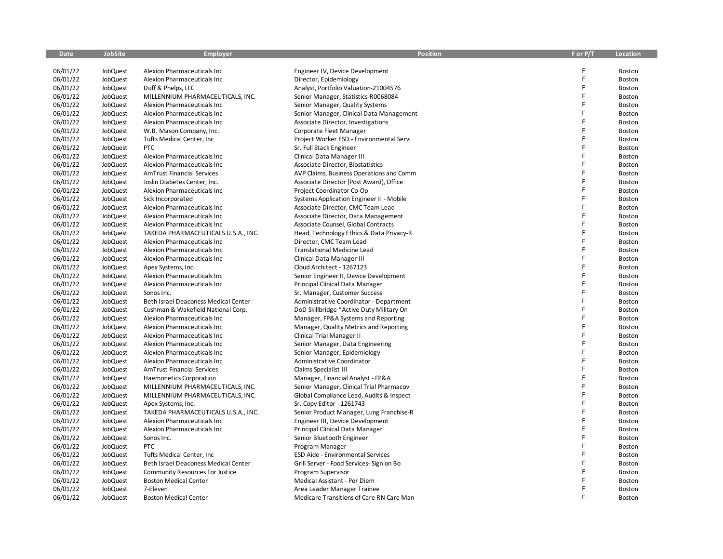| <b>Date</b> | <b>JobSite</b> | <b>Employer</b>                                                 | <b>Position</b>                          | F or P/T | <b>Location</b> |
|-------------|----------------|-----------------------------------------------------------------|------------------------------------------|----------|-----------------|
|             |                |                                                                 |                                          |          |                 |
| 06/01/22    | JobQuest       | Alexion Pharmaceuticals Inc                                     | Engineer IV, Device Development          | F        | Boston          |
| 06/01/22    | JobQuest       | Alexion Pharmaceuticals Inc                                     | Director, Epidemiology                   | F        | Boston          |
| 06/01/22    | JobQuest       | Duff & Phelps, LLC                                              | Analyst, Portfolio Valuation-21004576    | F        | Boston          |
| 06/01/22    | JobQuest       | MILLENNIUM PHARMACEUTICALS, INC.                                | Senior Manager, Statistics-R0068084      | F        | <b>Boston</b>   |
| 06/01/22    | JobQuest       | Alexion Pharmaceuticals Inc                                     | Senior Manager, Quality Systems          | F        | Boston          |
| 06/01/22    | JobQuest       | Alexion Pharmaceuticals Inc                                     | Senior Manager, Clinical Data Management | F        | Boston          |
| 06/01/22    | JobQuest       | Alexion Pharmaceuticals Inc                                     | Associate Director, Investigations       | F        | Boston          |
| 06/01/22    | JobQuest       | W.B. Mason Company, Inc.                                        | Corporate Fleet Manager                  | F        | Boston          |
| 06/01/22    | JobQuest       | Tufts Medical Center, Inc                                       | Project Worker ESD - Environmental Servi | F        | Boston          |
| 06/01/22    | JobQuest       | <b>PTC</b>                                                      | Sr. Full Stack Engineer                  | F        | Boston          |
| 06/01/22    | JobQuest       | Alexion Pharmaceuticals Inc                                     | Clinical Data Manager III                | F        | Boston          |
| 06/01/22    | JobQuest       | Alexion Pharmaceuticals Inc                                     | Associate Director, Biostatistics        |          | Boston          |
| 06/01/22    | JobQuest       | <b>AmTrust Financial Services</b>                               | AVP Claims, Business Operations and Comm | F        | Boston          |
| 06/01/22    | JobQuest       | Joslin Diabetes Center, Inc.                                    | Associate Director (Post Award), Office  | F        | Boston          |
| 06/01/22    | JobQuest       | Alexion Pharmaceuticals Inc                                     | Project Coordinator Co-Op                | F        | Boston          |
| 06/01/22    | JobQuest       | Sick Incorporated                                               | Systems Application Engineer II - Mobile | F        | Boston          |
| 06/01/22    | JobQuest       | Alexion Pharmaceuticals Inc                                     | Associate Director, CMC Team Lead        | F        | Boston          |
| 06/01/22    | JobQuest       | Alexion Pharmaceuticals Inc                                     | Associate Director, Data Management      | F        | Boston          |
| 06/01/22    | JobQuest       | Alexion Pharmaceuticals Inc                                     | Associate Counsel, Global Contracts      | F        | Boston          |
| 06/01/22    | JobQuest       | TAKEDA PHARMACEUTICALS U.S.A., INC.                             | Head, Technology Ethics & Data Privacy-R | F        | Boston          |
| 06/01/22    | JobQuest       | Alexion Pharmaceuticals Inc                                     | Director, CMC Team Lead                  | F        | Boston          |
| 06/01/22    | JobQuest       | Alexion Pharmaceuticals Inc                                     | <b>Translational Medicine Lead</b>       | F        | Boston          |
| 06/01/22    | JobQuest       | Alexion Pharmaceuticals Inc                                     | Clinical Data Manager III                | F        | Boston          |
| 06/01/22    | JobQuest       | Apex Systems, Inc.                                              | Cloud Architect - 1267123                | F        | Boston          |
| 06/01/22    | JobQuest       | Alexion Pharmaceuticals Inc                                     | Senior Engineer II, Device Development   | F        | Boston          |
| 06/01/22    | JobQuest       | Alexion Pharmaceuticals Inc                                     | Principal Clinical Data Manager          | F        | Boston          |
| 06/01/22    | JobQuest       | Sonos Inc.                                                      | Sr. Manager, Customer Success            | F        | Boston          |
| 06/01/22    | JobQuest       | Beth Israel Deaconess Medical Center                            | Administrative Coordinator - Department  | F        | Boston          |
| 06/01/22    | JobQuest       | Cushman & Wakefield National Corp.                              | DoD Skillbridge *Active Duty Military On | F        | Boston          |
| 06/01/22    | JobQuest       | Alexion Pharmaceuticals Inc                                     | Manager, FP&A Systems and Reporting      | F        | Boston          |
| 06/01/22    | JobQuest       | Alexion Pharmaceuticals Inc                                     | Manager, Quality Metrics and Reporting   | F        | Boston          |
| 06/01/22    | JobQuest       | Alexion Pharmaceuticals Inc                                     | Clinical Trial Manager II                | F        | Boston          |
| 06/01/22    | JobQuest       | Alexion Pharmaceuticals Inc                                     | Senior Manager, Data Engineering         | F        | Boston          |
| 06/01/22    | JobQuest       | Alexion Pharmaceuticals Inc                                     | Senior Manager, Epidemiology             | F        | Boston          |
| 06/01/22    | JobQuest       | Alexion Pharmaceuticals Inc                                     | Administrative Coordinator               | F        | Boston          |
| 06/01/22    | JobQuest       | <b>AmTrust Financial Services</b>                               | Claims Specialist III                    | F        | Boston          |
| 06/01/22    | JobQuest       | <b>Haemonetics Corporation</b>                                  | Manager, Financial Analyst - FP&A        | F        | Boston          |
| 06/01/22    | JobQuest       | MILLENNIUM PHARMACEUTICALS, INC.                                | Senior Manager, Clinical Trial Pharmacov | F        | Boston          |
| 06/01/22    | JobQuest       | MILLENNIUM PHARMACEUTICALS, INC.                                | Global Compliance Lead, Audits & Inspect |          | Boston          |
| 06/01/22    | JobQuest       | Apex Systems, Inc.                                              | Sr. Copy Editor - 1261743                | F        | Boston          |
| 06/01/22    | JobQuest       | TAKEDA PHARMACEUTICALS U.S.A., INC.                             | Senior Product Manager, Lung Franchise-R | F        | Boston          |
| 06/01/22    | JobQuest       | Alexion Pharmaceuticals Inc                                     | Engineer III, Device Development         | F        | Boston          |
| 06/01/22    | JobQuest       | Alexion Pharmaceuticals Inc                                     | Principal Clinical Data Manager          | F        | Boston          |
| 06/01/22    | JobQuest       | Sonos Inc.                                                      | Senior Bluetooth Engineer                | F        | Boston          |
| 06/01/22    | JobQuest       | <b>PTC</b>                                                      | Program Manager                          | F        | Boston          |
| 06/01/22    | JobQuest       | Tufts Medical Center, Inc.                                      | <b>ESD Aide - Environmental Services</b> | F        | Boston          |
| 06/01/22    | JobQuest       | Beth Israel Deaconess Medical Center                            | Grill Server - Food Services- Sign on Bo | F        | Boston          |
| 06/01/22    | JobQuest       |                                                                 |                                          |          | Boston          |
|             |                | Community Resources For Justice<br><b>Boston Medical Center</b> | Program Supervisor                       |          |                 |
| 06/01/22    | JobQuest       | 7-Eleven                                                        | Medical Assistant - Per Diem             | F        | Boston          |
| 06/01/22    | JobQuest       |                                                                 | Area Leader Manager Trainee              |          | Boston          |
| 06/01/22    | JobQuest       | <b>Boston Medical Center</b>                                    | Medicare Transitions of Care RN Care Man |          | Boston          |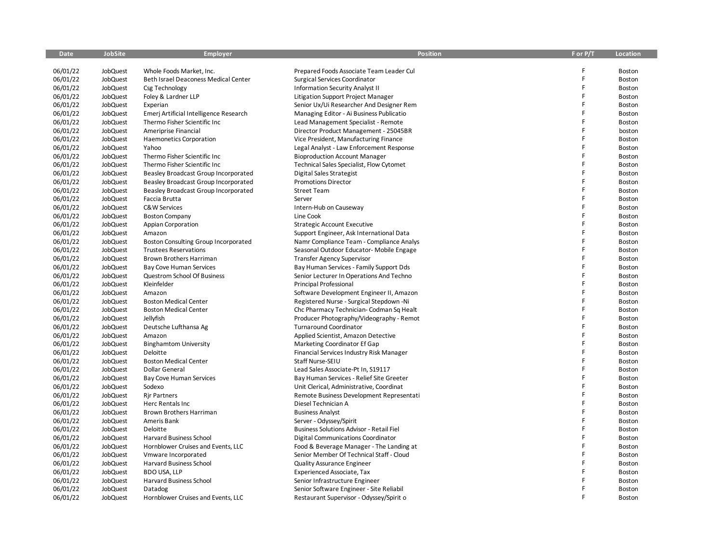| Date     | <b>JobSite</b>  | <b>Employer</b>                        | <b>Position</b>                           | F or P/T | Location      |
|----------|-----------------|----------------------------------------|-------------------------------------------|----------|---------------|
|          |                 |                                        |                                           |          |               |
| 06/01/22 | JobQuest        | Whole Foods Market, Inc.               | Prepared Foods Associate Team Leader Cul  |          | Boston        |
| 06/01/22 | JobQuest        | Beth Israel Deaconess Medical Center   | Surgical Services Coordinator             |          | Boston        |
| 06/01/22 | <b>JobQuest</b> | Csg Technology                         | <b>Information Security Analyst II</b>    | F        | Boston        |
| 06/01/22 | JobQuest        | Foley & Lardner LLP                    | Litigation Support Project Manager        |          | Boston        |
| 06/01/22 | JobQuest        | Experian                               | Senior Ux/Ui Researcher And Designer Rem  | F        | Boston        |
| 06/01/22 | JobQuest        | Emerj Artificial Intelligence Research | Managing Editor - Ai Business Publicatio  | F        | Boston        |
| 06/01/22 | JobQuest        | Thermo Fisher Scientific Inc           | Lead Management Specialist - Remote       |          | Boston        |
| 06/01/22 | JobQuest        | Ameriprise Financial                   | Director Product Management - 25045BR     | F        | boston        |
| 06/01/22 | JobQuest        | <b>Haemonetics Corporation</b>         | Vice President, Manufacturing Finance     | F        | Boston        |
| 06/01/22 | JobQuest        | Yahoo                                  | Legal Analyst - Law Enforcement Response  | F        | Boston        |
| 06/01/22 | JobQuest        | Thermo Fisher Scientific Inc           | <b>Bioproduction Account Manager</b>      |          | Boston        |
| 06/01/22 | JobQuest        | Thermo Fisher Scientific Inc           | Technical Sales Specialist, Flow Cytomet  |          | Boston        |
| 06/01/22 | JobQuest        | Beasley Broadcast Group Incorporated   | Digital Sales Strategist                  | F        | <b>Boston</b> |
| 06/01/22 | JobQuest        | Beasley Broadcast Group Incorporated   | <b>Promotions Director</b>                |          | Boston        |
| 06/01/22 | JobQuest        | Beasley Broadcast Group Incorporated   | <b>Street Team</b>                        | F        | Boston        |
| 06/01/22 | <b>JobQuest</b> | Faccia Brutta                          | Server                                    | F        | Boston        |
| 06/01/22 | JobQuest        | <b>C&amp;W Services</b>                | Intern-Hub on Causeway                    | F        | Boston        |
| 06/01/22 | JobQuest        | <b>Boston Company</b>                  | Line Cook                                 |          | Boston        |
| 06/01/22 | JobQuest        | <b>Appian Corporation</b>              | <b>Strategic Account Executive</b>        |          | Boston        |
| 06/01/22 | JobQuest        | Amazon                                 | Support Engineer, Ask International Data  | F        | Boston        |
| 06/01/22 | JobQuest        | Boston Consulting Group Incorporated   | Namr Compliance Team - Compliance Analys  |          | Boston        |
| 06/01/22 | JobQuest        | <b>Trustees Reservations</b>           | Seasonal Outdoor Educator- Mobile Engage  | F        | Boston        |
| 06/01/22 | JobQuest        | Brown Brothers Harriman                | <b>Transfer Agency Supervisor</b>         | F        | Boston        |
| 06/01/22 | <b>JobQuest</b> | Bay Cove Human Services                | Bay Human Services - Family Support Dds   |          | Boston        |
| 06/01/22 | JobQuest        | <b>Questrom School Of Business</b>     | Senior Lecturer In Operations And Techno  | F        | Boston        |
| 06/01/22 | JobQuest        | Kleinfelder                            | Principal Professional                    |          | Boston        |
| 06/01/22 | JobQuest        | Amazon                                 | Software Development Engineer II, Amazon  | F        | Boston        |
| 06/01/22 | JobQuest        | <b>Boston Medical Center</b>           | Registered Nurse - Surgical Stepdown -Ni  |          | Boston        |
| 06/01/22 | JobQuest        | <b>Boston Medical Center</b>           | Chc Pharmacy Technician- Codman Sq Healt  |          | Boston        |
| 06/01/22 | JobQuest        | Jellyfish                              | Producer Photography/Videography - Remot  | F        | Boston        |
| 06/01/22 | JobQuest        | Deutsche Lufthansa Ag                  | <b>Turnaround Coordinator</b>             |          | Boston        |
| 06/01/22 | JobQuest        | Amazon                                 | Applied Scientist, Amazon Detective       | F        | Boston        |
| 06/01/22 | JobQuest        | <b>Binghamtom University</b>           | Marketing Coordinator Ef Gap              | F        | Boston        |
| 06/01/22 | <b>JobQuest</b> | Deloitte                               | Financial Services Industry Risk Manager  |          | Boston        |
| 06/01/22 | JobQuest        | <b>Boston Medical Center</b>           | Staff Nurse-SEIU                          | F        | Boston        |
| 06/01/22 | JobQuest        | <b>Dollar General</b>                  | Lead Sales Associate-Pt In, S19117        |          | Boston        |
| 06/01/22 | <b>JobQuest</b> | Bay Cove Human Services                | Bay Human Services - Relief Site Greeter  | F        | Boston        |
| 06/01/22 | JobQuest        | Sodexo                                 | Unit Clerical, Administrative, Coordinat  |          | Boston        |
| 06/01/22 | JobQuest        | <b>Rir Partners</b>                    | Remote Business Development Representati  |          | Boston        |
| 06/01/22 | JobQuest        | Herc Rentals Inc                       | Diesel Technician A                       | F        | Boston        |
| 06/01/22 | JobQuest        | Brown Brothers Harriman                | <b>Business Analyst</b>                   |          | Boston        |
| 06/01/22 | JobQuest        | Ameris Bank                            | Server - Odyssey/Spirit                   | F        | Boston        |
| 06/01/22 | JobQuest        | Deloitte                               | Business Solutions Advisor - Retail Fiel  | F        | Boston        |
| 06/01/22 | JobQuest        | Harvard Business School                | <b>Digital Communications Coordinator</b> |          | Boston        |
| 06/01/22 | JobQuest        | Hornblower Cruises and Events, LLC     | Food & Beverage Manager - The Landing at  |          | Boston        |
| 06/01/22 | JobQuest        | Vmware Incorporated                    | Senior Member Of Technical Staff - Cloud  | F        | Boston        |
| 06/01/22 | JobQuest        | Harvard Business School                | <b>Quality Assurance Engineer</b>         | F        | Boston        |
| 06/01/22 | JobQuest        | <b>BDO USA, LLP</b>                    |                                           |          | Boston        |
|          |                 |                                        | <b>Experienced Associate, Tax</b>         |          |               |
| 06/01/22 | <b>JobQuest</b> | Harvard Business School                | Senior Infrastructure Engineer            |          | Boston        |
| 06/01/22 | JobQuest        | Datadog                                | Senior Software Engineer - Site Reliabil  |          | Boston        |
| 06/01/22 | JobQuest        | Hornblower Cruises and Events, LLC     | Restaurant Supervisor - Odyssey/Spirit o  |          | Boston        |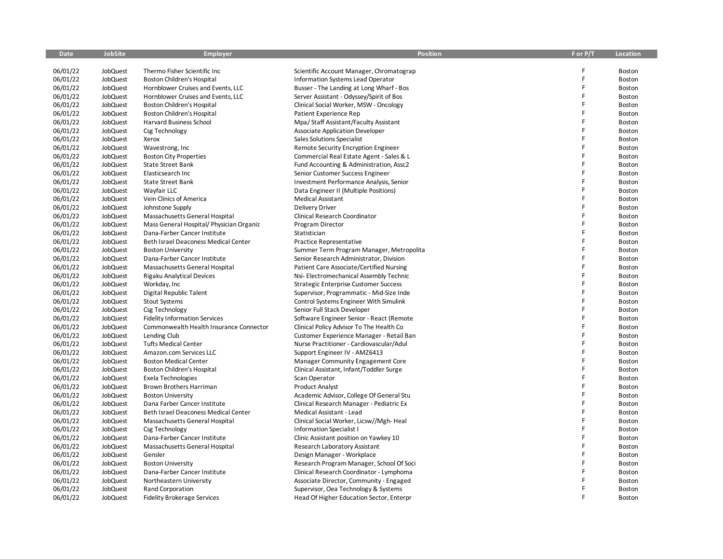| <b>Date</b> | <b>JobSite</b> | <b>Employer</b>                          | <b>Position</b>                            | F or P/T | <b>Location</b> |
|-------------|----------------|------------------------------------------|--------------------------------------------|----------|-----------------|
|             |                |                                          |                                            |          |                 |
| 06/01/22    | JobQuest       | Thermo Fisher Scientific Inc             | Scientific Account Manager, Chromatograp   | F        | Boston          |
| 06/01/22    | JobQuest       | <b>Boston Children's Hospital</b>        | Information Systems Lead Operator          | F        | Boston          |
| 06/01/22    | JobQuest       | Hornblower Cruises and Events, LLC       | Busser - The Landing at Long Wharf - Bos   | F        | Boston          |
| 06/01/22    | JobQuest       | Hornblower Cruises and Events, LLC       | Server Assistant - Odyssey/Spirit of Bos   | F        | Boston          |
| 06/01/22    | JobQuest       | <b>Boston Children's Hospital</b>        | Clinical Social Worker, MSW - Oncology     | F        | Boston          |
| 06/01/22    | JobQuest       | Boston Children's Hospital               | Patient Experience Rep                     | F        | Boston          |
| 06/01/22    | JobQuest       | <b>Harvard Business School</b>           | Mpa/Staff Assistant/Faculty Assistant      | F        | Boston          |
| 06/01/22    | JobQuest       | Csg Technology                           | <b>Associate Application Developer</b>     | F        | Boston          |
| 06/01/22    | JobQuest       | Xerox                                    | Sales Solutions Specialist                 | F        | <b>Boston</b>   |
| 06/01/22    | JobQuest       | Wavestrong, Inc                          | <b>Remote Security Encryption Engineer</b> | F        | Boston          |
| 06/01/22    | JobQuest       | <b>Boston City Properties</b>            | Commercial Real Estate Agent - Sales & L   | Ë        | Boston          |
| 06/01/22    | JobQuest       | <b>State Street Bank</b>                 | Fund Accounting & Administration, Assc2    | F        | Boston          |
| 06/01/22    | JobQuest       | Elasticsearch Inc                        | Senior Customer Success Engineer           | F        | Boston          |
| 06/01/22    | JobQuest       | <b>State Street Bank</b>                 | Investment Performance Analysis, Senior    | F        | <b>Boston</b>   |
| 06/01/22    | JobQuest       | Wayfair LLC                              | Data Engineer II (Multiple Positions)      | F        | Boston          |
| 06/01/22    | JobQuest       | Vein Clinics of America                  | <b>Medical Assistant</b>                   | F        | Boston          |
| 06/01/22    | JobQuest       | Johnstone Supply                         | <b>Delivery Driver</b>                     | F        | Boston          |
| 06/01/22    | JobQuest       | Massachusetts General Hospital           | Clinical Research Coordinator              | F        | Boston          |
| 06/01/22    | JobQuest       | Mass General Hospital/ Physician Organiz | Program Director                           | F        | Boston          |
| 06/01/22    | JobQuest       | Dana-Farber Cancer Institute             | Statistician                               | F        | Boston          |
| 06/01/22    | JobQuest       | Beth Israel Deaconess Medical Center     | Practice Representative                    | F        | Boston          |
| 06/01/22    | JobQuest       | <b>Boston University</b>                 | Summer Term Program Manager, Metropolita   | F        | Boston          |
| 06/01/22    | JobQuest       | Dana-Farber Cancer Institute             | Senior Research Administrator, Division    | F        | Boston          |
| 06/01/22    | JobQuest       | Massachusetts General Hospital           | Patient Care Associate/Certified Nursing   | Ë        | Boston          |
| 06/01/22    | JobQuest       | <b>Rigaku Analytical Devices</b>         | Nsi-Electromechanical Assembly Technic     | F        | Boston          |
| 06/01/22    | JobQuest       | Workday, Inc                             | Strategic Enterprise Customer Success      | F        | Boston          |
| 06/01/22    | JobQuest       | Digital Republic Talent                  | Supervisor, Programmatic - Mid-Size Inde   | F        | Boston          |
| 06/01/22    | JobQuest       | <b>Stout Systems</b>                     | Control Systems Engineer With Simulink     | F        | Boston          |
| 06/01/22    | JobQuest       | Csg Technology                           | Senior Full Stack Developer                | F        | Boston          |
| 06/01/22    | JobQuest       | <b>Fidelity Information Services</b>     | Software Engineer Senior - React (Remote   | F        | Boston          |
| 06/01/22    | JobQuest       | Commonwealth Health Insurance Connector  | Clinical Policy Advisor To The Health Co   | F        | Boston          |
| 06/01/22    | JobQuest       | Lending Club                             | Customer Experience Manager - Retail Ban   | F        | Boston          |
| 06/01/22    | JobQuest       | <b>Tufts Medical Center</b>              | Nurse Practitioner - Cardiovascular/Adul   | F        | <b>Boston</b>   |
| 06/01/22    | JobQuest       | Amazon.com Services LLC                  | Support Engineer IV - AMZ6413              | F        | Boston          |
| 06/01/22    | JobQuest       | <b>Boston Medical Center</b>             | Manager Community Engagement Core          | F        | Boston          |
| 06/01/22    | JobQuest       | <b>Boston Children's Hospital</b>        | Clinical Assistant, Infant/Toddler Surge   | F        | Boston          |
| 06/01/22    | JobQuest       | Exela Technologies                       | Scan Operator                              | F        | Boston          |
| 06/01/22    | JobQuest       | <b>Brown Brothers Harriman</b>           | <b>Product Analyst</b>                     | F        | Boston          |
| 06/01/22    | JobQuest       | <b>Boston University</b>                 | Academic Advisor, College Of General Stu   | F        | Boston          |
| 06/01/22    | JobQuest       | Dana Farber Cancer Institute             | Clinical Research Manager - Pediatric Ex   | F        | Boston          |
| 06/01/22    | JobQuest       | Beth Israel Deaconess Medical Center     | Medical Assistant - Lead                   | F        | Boston          |
| 06/01/22    | JobQuest       | Massachusetts General Hospital           | Clinical Social Worker, Licsw//Mgh-Heal    | F        | Boston          |
| 06/01/22    | JobQuest       | Csg Technology                           | <b>Information Specialist I</b>            | Ë        | Boston          |
| 06/01/22    | JobQuest       | Dana-Farber Cancer Institute             | Clinic Assistant position on Yawkey 10     | F        | Boston          |
| 06/01/22    | JobQuest       | Massachusetts General Hospital           | Research Laboratory Assistant              | Ë        | Boston          |
| 06/01/22    | JobQuest       | Gensler                                  | Design Manager - Workplace                 | F        | Boston          |
| 06/01/22    | JobQuest       | <b>Boston University</b>                 | Research Program Manager, School Of Soci   | F        | Boston          |
| 06/01/22    | JobQuest       | Dana-Farber Cancer Institute             | Clinical Research Coordinator - Lymphoma   | F        | <b>Boston</b>   |
| 06/01/22    | JobQuest       | Northeastern University                  | Associate Director, Community - Engaged    |          | Boston          |
| 06/01/22    | JobQuest       | Rand Corporation                         | Supervisor, Oea Technology & Systems       | F        | Boston          |
| 06/01/22    | JobQuest       | Fidelity Brokerage Services              | Head Of Higher Education Sector, Enterpr   | F        | Boston          |
|             |                |                                          |                                            |          |                 |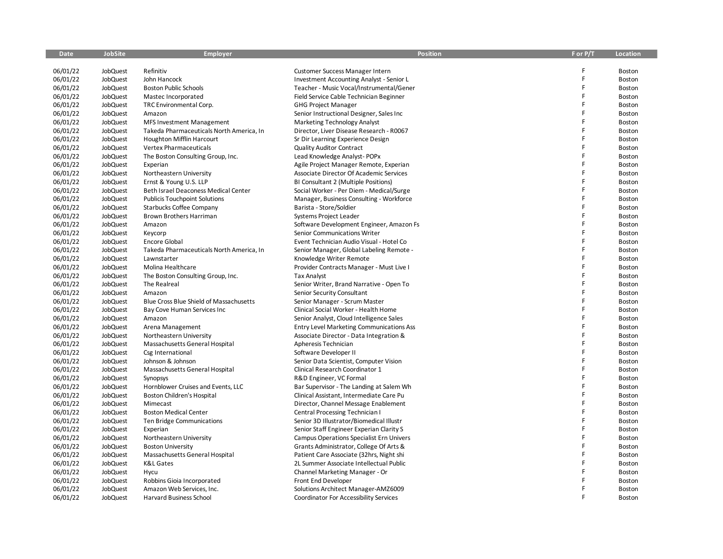| Date     | <b>JobSite</b>  | <b>Employer</b>                          | <b>Position</b>                                 | F or P/T | Location |
|----------|-----------------|------------------------------------------|-------------------------------------------------|----------|----------|
|          |                 |                                          |                                                 |          |          |
| 06/01/22 | JobQuest        | Refinitiv                                | <b>Customer Success Manager Intern</b>          |          | Boston   |
| 06/01/22 | JobQuest        | John Hancock                             | <b>Investment Accounting Analyst - Senior L</b> |          | Boston   |
| 06/01/22 | <b>JobQuest</b> | <b>Boston Public Schools</b>             | Teacher - Music Vocal/Instrumental/Gener        | F        | Boston   |
| 06/01/22 | JobQuest        | Mastec Incorporated                      | Field Service Cable Technician Beginner         |          | Boston   |
| 06/01/22 | JobQuest        | TRC Environmental Corp.                  | <b>GHG Project Manager</b>                      | F        | Boston   |
| 06/01/22 | JobQuest        | Amazon                                   | Senior Instructional Designer, Sales Inc        | F        | Boston   |
| 06/01/22 | JobQuest        | <b>MFS Investment Management</b>         | Marketing Technology Analyst                    |          | Boston   |
| 06/01/22 | JobQuest        | Takeda Pharmaceuticals North America, In | Director, Liver Disease Research - R0067        | F        | Boston   |
| 06/01/22 | JobQuest        | Houghton Mifflin Harcourt                | Sr Dir Learning Experience Design               | F        | Boston   |
| 06/01/22 | JobQuest        | Vertex Pharmaceuticals                   | <b>Quality Auditor Contract</b>                 | F        | Boston   |
| 06/01/22 | JobQuest        | The Boston Consulting Group, Inc.        | Lead Knowledge Analyst-POPx                     |          | Boston   |
| 06/01/22 | JobQuest        | Experian                                 | Agile Project Manager Remote, Experian          |          | Boston   |
| 06/01/22 | JobQuest        | Northeastern University                  | Associate Director Of Academic Services         | F        | Boston   |
| 06/01/22 | JobQuest        | Ernst & Young U.S. LLP                   | BI Consultant 2 (Multiple Positions)            |          | Boston   |
| 06/01/22 | JobQuest        | Beth Israel Deaconess Medical Center     | Social Worker - Per Diem - Medical/Surge        | F        | Boston   |
| 06/01/22 | <b>JobQuest</b> | <b>Publicis Touchpoint Solutions</b>     | Manager, Business Consulting - Workforce        | F        | Boston   |
| 06/01/22 | JobQuest        | <b>Starbucks Coffee Company</b>          | Barista - Store/Soldier                         | F        | Boston   |
| 06/01/22 | JobQuest        | Brown Brothers Harriman                  | Systems Project Leader                          |          | Boston   |
| 06/01/22 | JobQuest        | Amazon                                   | Software Development Engineer, Amazon Fs        |          | Boston   |
| 06/01/22 | JobQuest        | Keycorp                                  | Senior Communications Writer                    | F        | Boston   |
| 06/01/22 | JobQuest        | Encore Global                            | Event Technician Audio Visual - Hotel Co        |          | Boston   |
| 06/01/22 | JobQuest        | Takeda Pharmaceuticals North America, In | Senior Manager, Global Labeling Remote -        | F        | Boston   |
| 06/01/22 | JobQuest        | Lawnstarter                              | Knowledge Writer Remote                         | F        | Boston   |
| 06/01/22 | <b>JobQuest</b> | Molina Healthcare                        | Provider Contracts Manager - Must Live I        |          | Boston   |
| 06/01/22 | JobQuest        | The Boston Consulting Group, Inc.        | Tax Analyst                                     | F        | Boston   |
| 06/01/22 | JobQuest        | The Realreal                             | Senior Writer, Brand Narrative - Open To        | F        | Boston   |
| 06/01/22 | JobQuest        | Amazon                                   | Senior Security Consultant                      | F        | Boston   |
| 06/01/22 | JobQuest        | Blue Cross Blue Shield of Massachusetts  | Senior Manager - Scrum Master                   |          | Boston   |
| 06/01/22 | JobQuest        | Bay Cove Human Services Inc              | Clinical Social Worker - Health Home            |          | Boston   |
| 06/01/22 | JobQuest        | Amazon                                   | Senior Analyst, Cloud Intelligence Sales        | F        | Boston   |
| 06/01/22 | JobQuest        | Arena Management                         | Entry Level Marketing Communications Ass        |          | Boston   |
| 06/01/22 | JobQuest        | Northeastern University                  | Associate Director - Data Integration &         | F        | Boston   |
| 06/01/22 | JobQuest        | Massachusetts General Hospital           | Apheresis Technician                            | F        | Boston   |
| 06/01/22 | <b>JobQuest</b> | Csg International                        | Software Developer II                           |          | Boston   |
| 06/01/22 | JobQuest        | Johnson & Johnson                        | Senior Data Scientist, Computer Vision          | F        | Boston   |
| 06/01/22 | JobQuest        | Massachusetts General Hospital           | Clinical Research Coordinator 1                 |          | Boston   |
| 06/01/22 | <b>JobQuest</b> | Synopsys                                 | R&D Engineer, VC Formal                         | F        | Boston   |
| 06/01/22 | JobQuest        | Hornblower Cruises and Events, LLC       | Bar Supervisor - The Landing at Salem Wh        |          | Boston   |
| 06/01/22 | JobQuest        | Boston Children's Hospital               | Clinical Assistant, Intermediate Care Pu        |          | Boston   |
| 06/01/22 | JobQuest        | Mimecast                                 | Director, Channel Message Enablement            | F        | Boston   |
| 06/01/22 | JobQuest        | <b>Boston Medical Center</b>             | Central Processing Technician I                 |          | Boston   |
| 06/01/22 | JobQuest        | Ten Bridge Communications                | Senior 3D Illustrator/Biomedical Illustr        | F        | Boston   |
| 06/01/22 | <b>JobQuest</b> | Experian                                 | Senior Staff Engineer Experian Clarity S        | F        | Boston   |
| 06/01/22 | JobQuest        | Northeastern University                  | Campus Operations Specialist Ern Univers        |          | Boston   |
| 06/01/22 | JobQuest        | <b>Boston University</b>                 | Grants Administrator, College Of Arts &         |          | Boston   |
| 06/01/22 | JobQuest        | Massachusetts General Hospital           | Patient Care Associate (32hrs, Night shi        | F        | Boston   |
| 06/01/22 | JobQuest        | K&L Gates                                | 2L Summer Associate Intellectual Public         | F        | Boston   |
| 06/01/22 | JobQuest        | Hycu                                     | Channel Marketing Manager - Or                  |          | Boston   |
| 06/01/22 | <b>JobQuest</b> | Robbins Gioia Incorporated               | Front End Developer                             |          | Boston   |
| 06/01/22 | JobQuest        | Amazon Web Services, Inc.                | Solutions Architect Manager-AMZ6009             |          | Boston   |
| 06/01/22 | JobQuest        | Harvard Business School                  | <b>Coordinator For Accessibility Services</b>   |          | Boston   |
|          |                 |                                          |                                                 |          |          |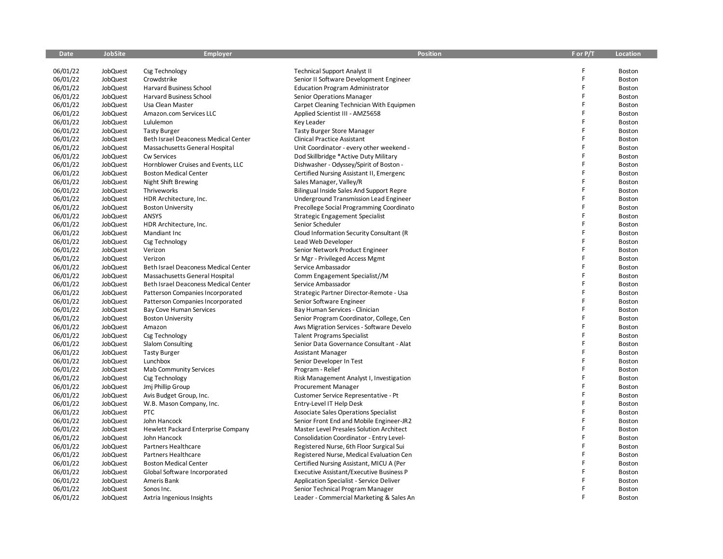| <b>Date</b> | <b>JobSite</b> | <b>Employer</b>                      | <b>Position</b>                                 | F or P/T | <b>Location</b> |
|-------------|----------------|--------------------------------------|-------------------------------------------------|----------|-----------------|
|             |                |                                      |                                                 |          |                 |
| 06/01/22    | JobQuest       | Csg Technology                       | <b>Technical Support Analyst II</b>             | F        | Boston          |
| 06/01/22    | JobQuest       | Crowdstrike                          | Senior II Software Development Engineer         | F        | Boston          |
| 06/01/22    | JobQuest       | Harvard Business School              | <b>Education Program Administrator</b>          | F        | Boston          |
| 06/01/22    | JobQuest       | Harvard Business School              | Senior Operations Manager                       | F        | Boston          |
| 06/01/22    | JobQuest       | Usa Clean Master                     | Carpet Cleaning Technician With Equipmen        | F        | Boston          |
| 06/01/22    | JobQuest       | Amazon.com Services LLC              | Applied Scientist III - AMZ5658                 | F        | Boston          |
| 06/01/22    | JobQuest       | Lululemon                            | Key Leader                                      | F        | Boston          |
| 06/01/22    | JobQuest       | <b>Tasty Burger</b>                  | Tasty Burger Store Manager                      | F        | Boston          |
| 06/01/22    | JobQuest       | Beth Israel Deaconess Medical Center | <b>Clinical Practice Assistant</b>              | F        | Boston          |
| 06/01/22    | JobQuest       | Massachusetts General Hospital       | Unit Coordinator - every other weekend -        | F        | Boston          |
| 06/01/22    | JobQuest       | Cw Services                          | Dod Skillbridge *Active Duty Military           | F        | Boston          |
| 06/01/22    | JobQuest       | Hornblower Cruises and Events, LLC   | Dishwasher - Odyssey/Spirit of Boston -         | F        | Boston          |
| 06/01/22    | JobQuest       | <b>Boston Medical Center</b>         | Certified Nursing Assistant II, Emergenc        | F        | Boston          |
| 06/01/22    | JobQuest       | <b>Night Shift Brewing</b>           | Sales Manager, Valley/R                         | F        | Boston          |
| 06/01/22    | JobQuest       | Thriveworks                          | Bilingual Inside Sales And Support Repre        | F        | Boston          |
| 06/01/22    | JobQuest       | HDR Architecture, Inc.               | Underground Transmission Lead Engineer          | F        | Boston          |
| 06/01/22    | JobQuest       | <b>Boston University</b>             | Precollege Social Programming Coordinato        | F        | Boston          |
| 06/01/22    | JobQuest       | ANSYS                                | <b>Strategic Engagement Specialist</b>          | F        | Boston          |
| 06/01/22    | JobQuest       | HDR Architecture, Inc.               | Senior Scheduler                                | F        | Boston          |
| 06/01/22    | JobQuest       | Mandiant Inc                         | Cloud Information Security Consultant (R        | F        | Boston          |
| 06/01/22    | JobQuest       | Csg Technology                       | Lead Web Developer                              | F        | Boston          |
| 06/01/22    | JobQuest       | Verizon                              | Senior Network Product Engineer                 | F        | Boston          |
| 06/01/22    | JobQuest       | Verizon                              | Sr Mgr - Privileged Access Mgmt                 | F        | Boston          |
| 06/01/22    | JobQuest       | Beth Israel Deaconess Medical Center | Service Ambassador                              | F        | Boston          |
| 06/01/22    | JobQuest       | Massachusetts General Hospital       | Comm Engagement Specialist//M                   | F        | Boston          |
| 06/01/22    | JobQuest       | Beth Israel Deaconess Medical Center | Service Ambassador                              | F        | Boston          |
| 06/01/22    | JobQuest       | Patterson Companies Incorporated     | Strategic Partner Director-Remote - Usa         | F        | Boston          |
| 06/01/22    | JobQuest       | Patterson Companies Incorporated     | Senior Software Engineer                        | Ë        | Boston          |
| 06/01/22    | JobQuest       | <b>Bay Cove Human Services</b>       | Bay Human Services - Clinician                  | F        | Boston          |
| 06/01/22    | JobQuest       | <b>Boston University</b>             | Senior Program Coordinator, College, Cen        | F        | Boston          |
| 06/01/22    | JobQuest       | Amazon                               | Aws Migration Services - Software Develo        | F        | Boston          |
| 06/01/22    | JobQuest       | Csg Technology                       | <b>Talent Programs Specialist</b>               | F        | Boston          |
| 06/01/22    | JobQuest       | Slalom Consulting                    | Senior Data Governance Consultant - Alat        | F        | Boston          |
| 06/01/22    | JobQuest       | <b>Tasty Burger</b>                  | <b>Assistant Manager</b>                        | F        | Boston          |
| 06/01/22    | JobQuest       | Lunchbox                             | Senior Developer In Test                        | F        | Boston          |
| 06/01/22    | JobQuest       | <b>Mab Community Services</b>        | Program - Relief                                | F        | Boston          |
| 06/01/22    | JobQuest       | Csg Technology                       | Risk Management Analyst I, Investigation        | F        | Boston          |
| 06/01/22    | JobQuest       | Jmj Phillip Group                    | Procurement Manager                             | F        | Boston          |
| 06/01/22    | JobQuest       | Avis Budget Group, Inc.              | Customer Service Representative - Pt            | F        | Boston          |
| 06/01/22    | JobQuest       | W.B. Mason Company, Inc.             | Entry-Level IT Help Desk                        | F        | Boston          |
| 06/01/22    | JobQuest       | <b>PTC</b>                           | Associate Sales Operations Specialist           | F        | Boston          |
| 06/01/22    | JobQuest       | John Hancock                         | Senior Front End and Mobile Engineer-JR2        | F        | Boston          |
| 06/01/22    | JobQuest       | Hewlett Packard Enterprise Company   | Master Level Presales Solution Architect        | F        | Boston          |
| 06/01/22    | JobQuest       | John Hancock                         | Consolidation Coordinator - Entry Level-        | F        | Boston          |
| 06/01/22    | JobQuest       | Partners Healthcare                  | Registered Nurse, 6th Floor Surgical Sui        | F        | Boston          |
| 06/01/22    | JobQuest       | Partners Healthcare                  | Registered Nurse, Medical Evaluation Cen        | F        | Boston          |
| 06/01/22    | JobQuest       | <b>Boston Medical Center</b>         | Certified Nursing Assistant, MICU A (Per        | F        | Boston          |
| 06/01/22    | JobQuest       | Global Software Incorporated         | <b>Executive Assistant/Executive Business P</b> | F        | Boston          |
| 06/01/22    | JobQuest       | Ameris Bank                          | <b>Application Specialist - Service Deliver</b> |          | Boston          |
| 06/01/22    | JobQuest       | Sonos Inc.                           | Senior Technical Program Manager                | F        | Boston          |
| 06/01/22    | JobQuest       | Axtria Ingenious Insights            | Leader - Commercial Marketing & Sales An        | F        | Boston          |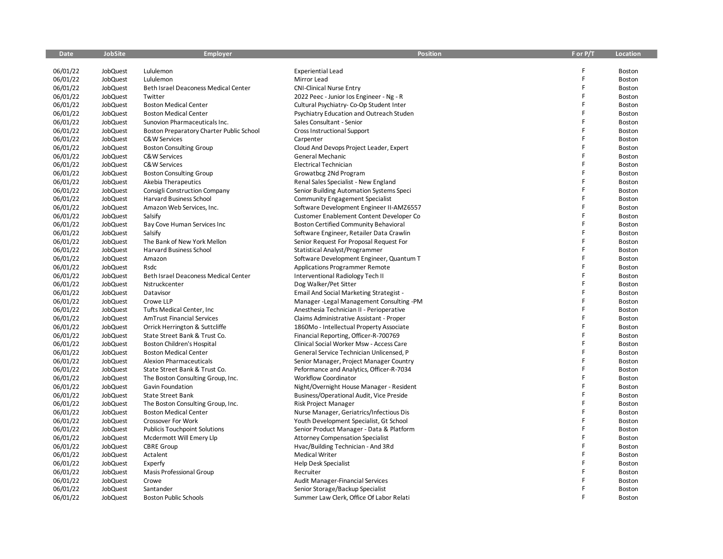| <b>Date</b> | <b>JobSite</b> | <b>Employer</b>                          | <b>Position</b>                                 | F or P/T | <b>Location</b> |
|-------------|----------------|------------------------------------------|-------------------------------------------------|----------|-----------------|
|             |                |                                          |                                                 |          |                 |
| 06/01/22    | JobQuest       | Lululemon                                | <b>Experiential Lead</b>                        | F        | Boston          |
| 06/01/22    | JobQuest       | Lululemon                                | Mirror Lead                                     | F        | Boston          |
| 06/01/22    | JobQuest       | Beth Israel Deaconess Medical Center     | <b>CNI-Clinical Nurse Entry</b>                 | F        | Boston          |
| 06/01/22    | JobQuest       | Twitter                                  | 2022 Peec - Junior Ios Engineer - Ng - R        | F        | Boston          |
| 06/01/22    | JobQuest       | <b>Boston Medical Center</b>             | Cultural Psychiatry- Co-Op Student Inter        | F        | Boston          |
| 06/01/22    | JobQuest       | <b>Boston Medical Center</b>             | <b>Psychiatry Education and Outreach Studen</b> | F        | Boston          |
| 06/01/22    | JobQuest       | Sunovion Pharmaceuticals Inc.            | Sales Consultant - Senior                       | F        | Boston          |
| 06/01/22    | JobQuest       | Boston Preparatory Charter Public School | <b>Cross Instructional Support</b>              | F        | Boston          |
| 06/01/22    | JobQuest       | C&W Services                             | Carpenter                                       | F        | Boston          |
| 06/01/22    | JobQuest       | <b>Boston Consulting Group</b>           | Cloud And Devops Project Leader, Expert         | F        | Boston          |
| 06/01/22    | JobQuest       | C&W Services                             | General Mechanic                                | F        | Boston          |
| 06/01/22    | JobQuest       | C&W Services                             | Electrical Technician                           |          | Boston          |
| 06/01/22    | JobQuest       | <b>Boston Consulting Group</b>           | Growatbcg 2Nd Program                           | F        | Boston          |
| 06/01/22    | JobQuest       | Akebia Therapeutics                      | Renal Sales Specialist - New England            | F        | Boston          |
| 06/01/22    | JobQuest       | Consigli Construction Company            | Senior Building Automation Systems Speci        | F        | Boston          |
| 06/01/22    | JobQuest       | Harvard Business School                  | <b>Community Engagement Specialist</b>          | F        | Boston          |
| 06/01/22    | JobQuest       | Amazon Web Services, Inc.                | Software Development Engineer II-AMZ6557        | F        | Boston          |
| 06/01/22    | JobQuest       | Salsify                                  | Customer Enablement Content Developer Co        | F        | Boston          |
| 06/01/22    | JobQuest       | Bay Cove Human Services Inc              | <b>Boston Certified Community Behavioral</b>    | F        | Boston          |
| 06/01/22    | JobQuest       | Salsify                                  | Software Engineer, Retailer Data Crawlin        | F        | Boston          |
| 06/01/22    | JobQuest       | The Bank of New York Mellon              | Senior Request For Proposal Request For         | F        | Boston          |
| 06/01/22    | JobQuest       | <b>Harvard Business School</b>           | Statistical Analyst/Programmer                  | F        | Boston          |
| 06/01/22    | JobQuest       | Amazon                                   | Software Development Engineer, Quantum T        | F        | Boston          |
| 06/01/22    | JobQuest       | Rsdc                                     | <b>Applications Programmer Remote</b>           | F        | Boston          |
| 06/01/22    | JobQuest       | Beth Israel Deaconess Medical Center     | Interventional Radiology Tech II                | F        | Boston          |
| 06/01/22    | JobQuest       | Nstruckcenter                            | Dog Walker/Pet Sitter                           | F        | Boston          |
| 06/01/22    | JobQuest       | Datavisor                                | Email And Social Marketing Strategist -         | F        | Boston          |
| 06/01/22    | JobQuest       | Crowe LLP                                | Manager - Legal Management Consulting - PM      | Ë        | Boston          |
| 06/01/22    | JobQuest       | Tufts Medical Center, Inc                | Anesthesia Technician II - Perioperative        | F        | Boston          |
| 06/01/22    | JobQuest       | <b>AmTrust Financial Services</b>        | Claims Administrative Assistant - Proper        | F        | Boston          |
| 06/01/22    | JobQuest       | Orrick Herrington & Suttcliffe           | 1860Mo - Intellectual Property Associate        | F        | Boston          |
| 06/01/22    | JobQuest       | State Street Bank & Trust Co.            | Financial Reporting, Officer-R-700769           | F        | Boston          |
| 06/01/22    | JobQuest       | Boston Children's Hospital               | Clinical Social Worker Msw - Access Care        | F        | Boston          |
| 06/01/22    | JobQuest       | <b>Boston Medical Center</b>             | General Service Technician Unlicensed, P        | F        | Boston          |
| 06/01/22    | JobQuest       | <b>Alexion Pharmaceuticals</b>           | Senior Manager, Project Manager Country         | F        | Boston          |
| 06/01/22    | JobQuest       | State Street Bank & Trust Co.            | Peformance and Analytics, Officer-R-7034        | F        | Boston          |
| 06/01/22    | JobQuest       | The Boston Consulting Group, Inc.        | <b>Workflow Coordinator</b>                     | F        | Boston          |
| 06/01/22    | JobQuest       | Gavin Foundation                         | Night/Overnight House Manager - Resident        | Ë        | Boston          |
| 06/01/22    | JobQuest       | <b>State Street Bank</b>                 | Business/Operational Audit, Vice Preside        | F        | Boston          |
| 06/01/22    | JobQuest       | The Boston Consulting Group, Inc.        | Risk Project Manager                            | F        | Boston          |
| 06/01/22    | JobQuest       | <b>Boston Medical Center</b>             | Nurse Manager, Geriatrics/Infectious Dis        | Ë        | Boston          |
| 06/01/22    | JobQuest       | <b>Crossover For Work</b>                | Youth Development Specialist, Gt School         | F        | Boston          |
| 06/01/22    | JobQuest       | <b>Publicis Touchpoint Solutions</b>     | Senior Product Manager - Data & Platform        | F        | Boston          |
| 06/01/22    | JobQuest       | Mcdermott Will Emery Llp                 | <b>Attorney Compensation Specialist</b>         | F        | Boston          |
| 06/01/22    | JobQuest       | <b>CBRE</b> Group                        | Hvac/Building Technician - And 3Rd              | F        | Boston          |
| 06/01/22    | JobQuest       | Actalent                                 | Medical Writer                                  | F        | Boston          |
| 06/01/22    | JobQuest       | Experfy                                  | <b>Help Desk Specialist</b>                     | F        | Boston          |
| 06/01/22    | JobQuest       | Masis Professional Group                 | Recruiter                                       |          | Boston          |
| 06/01/22    | JobQuest       | Crowe                                    | Audit Manager-Financial Services                |          | Boston          |
| 06/01/22    | JobQuest       | Santander                                | Senior Storage/Backup Specialist                | F        | Boston          |
| 06/01/22    | JobQuest       | <b>Boston Public Schools</b>             | Summer Law Clerk, Office Of Labor Relati        | F        | Boston          |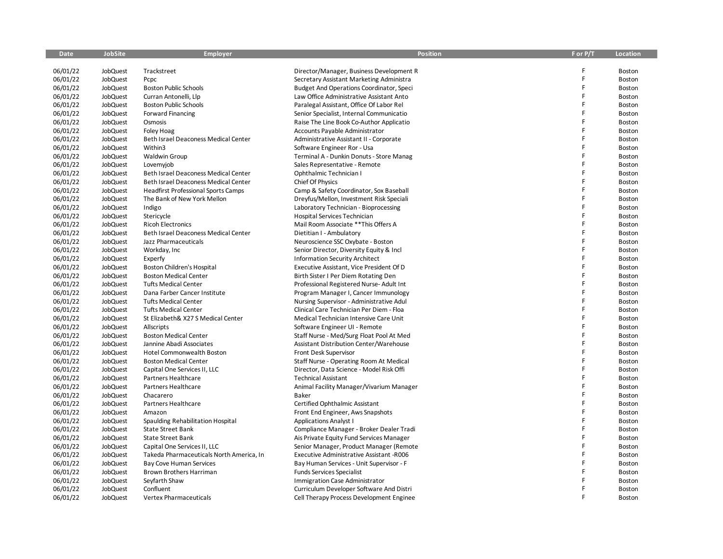| <b>Date</b> | <b>JobSite</b> | <b>Employer</b>                            | <b>Position</b>                                 | F or P/T | <b>Location</b> |
|-------------|----------------|--------------------------------------------|-------------------------------------------------|----------|-----------------|
|             |                |                                            |                                                 |          |                 |
| 06/01/22    | JobQuest       | Trackstreet                                | Director/Manager, Business Development R        | F        | Boston          |
| 06/01/22    | JobQuest       | Pcpc                                       | Secretary Assistant Marketing Administra        | F        | Boston          |
| 06/01/22    | JobQuest       | <b>Boston Public Schools</b>               | <b>Budget And Operations Coordinator, Speci</b> | F        | Boston          |
| 06/01/22    | JobQuest       | Curran Antonelli, Llp                      | Law Office Administrative Assistant Anto        | F        | Boston          |
| 06/01/22    | JobQuest       | <b>Boston Public Schools</b>               | Paralegal Assistant, Office Of Labor Rel        | F        | Boston          |
| 06/01/22    | JobQuest       | <b>Forward Financing</b>                   | Senior Specialist, Internal Communicatio        | F        | Boston          |
| 06/01/22    | JobQuest       | Osmosis                                    | Raise The Line Book Co-Author Applicatio        | F        | Boston          |
| 06/01/22    | JobQuest       | <b>Foley Hoag</b>                          | <b>Accounts Payable Administrator</b>           | F        | Boston          |
| 06/01/22    | JobQuest       | Beth Israel Deaconess Medical Center       | Administrative Assistant II - Corporate         | F        | Boston          |
| 06/01/22    | JobQuest       | Within3                                    | Software Engineer Ror - Usa                     | F        | Boston          |
| 06/01/22    | JobQuest       | <b>Waldwin Group</b>                       | Terminal A - Dunkin Donuts - Store Manag        | F        | Boston          |
| 06/01/22    | JobQuest       | Lovemyjob                                  | Sales Representative - Remote                   |          | Boston          |
| 06/01/22    | JobQuest       | Beth Israel Deaconess Medical Center       | Ophthalmic Technician I                         | F        | Boston          |
| 06/01/22    | JobQuest       | Beth Israel Deaconess Medical Center       | Chief Of Physics                                | F        | Boston          |
| 06/01/22    | JobQuest       | <b>Headfirst Professional Sports Camps</b> | Camp & Safety Coordinator, Sox Baseball         | F        | Boston          |
| 06/01/22    | JobQuest       | The Bank of New York Mellon                | Dreyfus/Mellon, Investment Risk Speciali        | F        | Boston          |
| 06/01/22    | JobQuest       | Indigo                                     | Laboratory Technician - Bioprocessing           | F        | Boston          |
| 06/01/22    | JobQuest       | Stericycle                                 | Hospital Services Technician                    | F        | Boston          |
| 06/01/22    | JobQuest       | <b>Ricoh Electronics</b>                   | Mail Room Associate ** This Offers A            | F        | Boston          |
| 06/01/22    | JobQuest       | Beth Israel Deaconess Medical Center       | Dietitian I - Ambulatory                        | F        | Boston          |
| 06/01/22    | JobQuest       | Jazz Pharmaceuticals                       | Neuroscience SSC Oxybate - Boston               | F        | Boston          |
| 06/01/22    | JobQuest       | Workday, Inc                               | Senior Director, Diversity Equity & Incl        | F        | Boston          |
| 06/01/22    | JobQuest       | Experfy                                    | <b>Information Security Architect</b>           | F        | Boston          |
| 06/01/22    | JobQuest       | Boston Children's Hospital                 | Executive Assistant, Vice President Of D        | F        | Boston          |
| 06/01/22    | JobQuest       | <b>Boston Medical Center</b>               | Birth Sister I Per Diem Rotating Den            | F        | Boston          |
| 06/01/22    | JobQuest       | <b>Tufts Medical Center</b>                | Professional Registered Nurse-Adult Int         | F        | Boston          |
| 06/01/22    | JobQuest       | Dana Farber Cancer Institute               | Program Manager I, Cancer Immunology            | F        | Boston          |
| 06/01/22    | JobQuest       | <b>Tufts Medical Center</b>                | Nursing Supervisor - Administrative Adul        | F        | Boston          |
| 06/01/22    | JobQuest       | <b>Tufts Medical Center</b>                | Clinical Care Technician Per Diem - Floa        | F        | Boston          |
| 06/01/22    | JobQuest       | St Elizabeth& X27 S Medical Center         | Medical Technician Intensive Care Unit          | F        | Boston          |
| 06/01/22    | JobQuest       | Allscripts                                 | Software Engineer UI - Remote                   | F        | Boston          |
| 06/01/22    | JobQuest       | <b>Boston Medical Center</b>               | Staff Nurse - Med/Surg Float Pool At Med        | F        | Boston          |
| 06/01/22    | JobQuest       | Jannine Abadi Associates                   | Assistant Distribution Center/Warehouse         | F        | Boston          |
| 06/01/22    | JobQuest       | Hotel Commonwealth Boston                  | Front Desk Supervisor                           | F        | Boston          |
| 06/01/22    | JobQuest       | <b>Boston Medical Center</b>               | Staff Nurse - Operating Room At Medical         | F        | Boston          |
| 06/01/22    | JobQuest       | Capital One Services II, LLC               | Director, Data Science - Model Risk Offi        | F        | Boston          |
| 06/01/22    | JobQuest       | Partners Healthcare                        | <b>Technical Assistant</b>                      | F        | Boston          |
| 06/01/22    | JobQuest       | Partners Healthcare                        | Animal Facility Manager/Vivarium Manager        | F        | Boston          |
| 06/01/22    | JobQuest       | Chacarero                                  | <b>Baker</b>                                    | F        | Boston          |
| 06/01/22    | JobQuest       | Partners Healthcare                        | Certified Ophthalmic Assistant                  | F        | Boston          |
| 06/01/22    | JobQuest       | Amazon                                     | Front End Engineer, Aws Snapshots               | F        | Boston          |
| 06/01/22    | JobQuest       | Spaulding Rehabilitation Hospital          | <b>Applications Analyst I</b>                   | F        | Boston          |
| 06/01/22    | JobQuest       | <b>State Street Bank</b>                   | Compliance Manager - Broker Dealer Tradi        | F        | Boston          |
| 06/01/22    | JobQuest       | <b>State Street Bank</b>                   | Ais Private Equity Fund Services Manager        | F        | Boston          |
| 06/01/22    | JobQuest       | Capital One Services II, LLC               | Senior Manager, Product Manager (Remote         | F        | Boston          |
| 06/01/22    | JobQuest       | Takeda Pharmaceuticals North America, In   | <b>Executive Administrative Assistant -R006</b> | F        | Boston          |
| 06/01/22    | JobQuest       | <b>Bay Cove Human Services</b>             | Bay Human Services - Unit Supervisor - F        | F        | <b>Boston</b>   |
| 06/01/22    | JobQuest       | Brown Brothers Harriman                    | <b>Funds Services Specialist</b>                |          | Boston          |
| 06/01/22    | JobQuest       | Seyfarth Shaw                              | Immigration Case Administrator                  |          | Boston          |
| 06/01/22    | JobQuest       | Confluent                                  | Curriculum Developer Software And Distri        | F        | Boston          |
| 06/01/22    | JobQuest       | <b>Vertex Pharmaceuticals</b>              | Cell Therapy Process Development Enginee        |          | Boston          |
|             |                |                                            |                                                 |          |                 |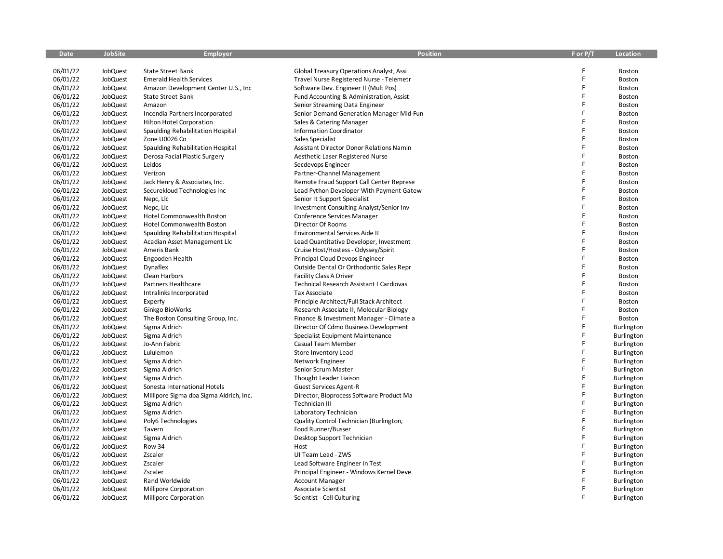| <b>Date</b> | <b>JobSite</b>       | <b>Employer</b>                         | <b>Position</b>                                      | F or P/T | <b>Location</b>   |
|-------------|----------------------|-----------------------------------------|------------------------------------------------------|----------|-------------------|
|             |                      |                                         |                                                      |          |                   |
| 06/01/22    | JobQuest             | <b>State Street Bank</b>                | Global Treasury Operations Analyst, Assi             | F        | Boston            |
| 06/01/22    | JobQuest             | <b>Emerald Health Services</b>          | Travel Nurse Registered Nurse - Telemetr             | F        | Boston            |
| 06/01/22    | JobQuest             | Amazon Development Center U.S., Inc.    | Software Dev. Engineer II (Mult Pos)                 | F        | Boston            |
| 06/01/22    | JobQuest             | <b>State Street Bank</b>                | Fund Accounting & Administration, Assist             | F        | <b>Boston</b>     |
| 06/01/22    | JobQuest             | Amazon                                  | Senior Streaming Data Engineer                       | F        | Boston            |
| 06/01/22    | JobQuest             | Incendia Partners Incorporated          | Senior Demand Generation Manager Mid-Fun             | F        | Boston            |
| 06/01/22    | JobQuest             | Hilton Hotel Corporation                | Sales & Catering Manager                             | F        | Boston            |
| 06/01/22    | JobQuest             | Spaulding Rehabilitation Hospital       | <b>Information Coordinator</b>                       | F        | Boston            |
| 06/01/22    | JobQuest             | Zone U0026 Co                           | Sales Specialist                                     | F        | Boston            |
| 06/01/22    | JobQuest             | Spaulding Rehabilitation Hospital       | <b>Assistant Director Donor Relations Namin</b>      | F        | Boston            |
| 06/01/22    | JobQuest             | Derosa Facial Plastic Surgery           | Aesthetic Laser Registered Nurse                     | F        | Boston            |
| 06/01/22    | JobQuest             | Leidos                                  | Secdevops Engineer                                   | F        | Boston            |
| 06/01/22    | JobQuest             | Verizon                                 | Partner-Channel Management                           | F        | Boston            |
| 06/01/22    | JobQuest             | Jack Henry & Associates, Inc.           | Remote Fraud Support Call Center Represe             | F        | Boston            |
| 06/01/22    | JobQuest             | Securekloud Technologies Inc            | Lead Python Developer With Payment Gatew             | F        | Boston            |
| 06/01/22    | JobQuest             | Nepc, Llc                               | Senior It Support Specialist                         | F        | Boston            |
| 06/01/22    | JobQuest             | Nepc, Llc                               | Investment Consulting Analyst/Senior Inv             | F        | Boston            |
| 06/01/22    | JobQuest             | Hotel Commonwealth Boston               | Conference Services Manager                          | F        | Boston            |
| 06/01/22    | JobQuest             | Hotel Commonwealth Boston               | Director Of Rooms                                    | F        | Boston            |
| 06/01/22    | JobQuest             | Spaulding Rehabilitation Hospital       | Environmental Services Aide II                       | F        | Boston            |
| 06/01/22    | JobQuest             | Acadian Asset Management Llc            | Lead Quantitative Developer, Investment              | F        | Boston            |
| 06/01/22    | JobQuest             | Ameris Bank                             | Cruise Host/Hostess - Odyssey/Spirit                 | F        | Boston            |
| 06/01/22    | JobQuest             | Engooden Health                         | Principal Cloud Devops Engineer                      | F        | Boston            |
| 06/01/22    | JobQuest             | Dynaflex                                | Outside Dental Or Orthodontic Sales Repr             | F        | Boston            |
| 06/01/22    | JobQuest             | Clean Harbors                           | Facility Class A Driver                              | F        | Boston            |
| 06/01/22    | JobQuest             | Partners Healthcare                     | Technical Research Assistant I Cardiovas             | F        | Boston            |
| 06/01/22    | JobQuest             | Intralinks Incorporated                 | Tax Associate                                        | F        | Boston            |
| 06/01/22    | JobQuest             | Experfy                                 | Principle Architect/Full Stack Architect             | F        | Boston            |
| 06/01/22    | JobQuest             | Ginkgo BioWorks                         | Research Associate II, Molecular Biology             | F        | Boston            |
| 06/01/22    | JobQuest             | The Boston Consulting Group, Inc.       | Finance & Investment Manager - Climate a             | F        | Boston            |
| 06/01/22    | JobQuest             | Sigma Aldrich                           | Director Of Cdmo Business Development                | F        | Burlington        |
| 06/01/22    | JobQuest             | Sigma Aldrich                           | Specialist Equipment Maintenance                     | F        | <b>Burlington</b> |
| 06/01/22    | JobQuest             | Jo-Ann Fabric                           | Casual Team Member                                   | F        | Burlington        |
| 06/01/22    | JobQuest             | Lululemon                               | Store Inventory Lead                                 | F        | Burlington        |
| 06/01/22    | JobQuest             | Sigma Aldrich                           | Network Engineer                                     | F        | Burlington        |
| 06/01/22    | JobQuest             | Sigma Aldrich                           | Senior Scrum Master                                  | F        | Burlington        |
| 06/01/22    | JobQuest             | Sigma Aldrich                           | Thought Leader Liaison                               | F        | Burlington        |
| 06/01/22    | JobQuest             | Sonesta International Hotels            | <b>Guest Services Agent-R</b>                        | F        | Burlington        |
| 06/01/22    | JobQuest             | Millipore Sigma dba Sigma Aldrich, Inc. | Director, Bioprocess Software Product Ma             | F        | Burlington        |
| 06/01/22    | JobQuest             | Sigma Aldrich                           | Technician III                                       | F        | Burlington        |
| 06/01/22    | JobQuest             | Sigma Aldrich                           | Laboratory Technician                                | F        | Burlington        |
| 06/01/22    | JobQuest             | Poly6 Technologies                      | Quality Control Technician (Burlington,              | F        | Burlington        |
| 06/01/22    | JobQuest             | Tavern                                  | Food Runner/Busser                                   | F        | Burlington        |
| 06/01/22    | JobQuest             | Sigma Aldrich                           | Desktop Support Technician                           | F        | Burlington        |
| 06/01/22    | JobQuest             | Row 34                                  | Host                                                 | F        | Burlington        |
| 06/01/22    | JobQuest             | Zscaler                                 | UI Team Lead - ZWS                                   | F        | Burlington        |
| 06/01/22    | JobQuest             | Zscaler                                 | Lead Software Engineer in Test                       | F        | Burlington        |
| 06/01/22    | JobQuest             | Zscaler                                 | Principal Engineer - Windows Kernel Deve             | F        |                   |
| 06/01/22    |                      | Rand Worldwide                          |                                                      |          | Burlington        |
| 06/01/22    | JobQuest<br>JobQuest |                                         | <b>Account Manager</b><br><b>Associate Scientist</b> | F        | Burlington        |
|             |                      | Millipore Corporation                   |                                                      | F        | Burlington        |
| 06/01/22    | JobQuest             | Millipore Corporation                   | Scientist - Cell Culturing                           |          | Burlington        |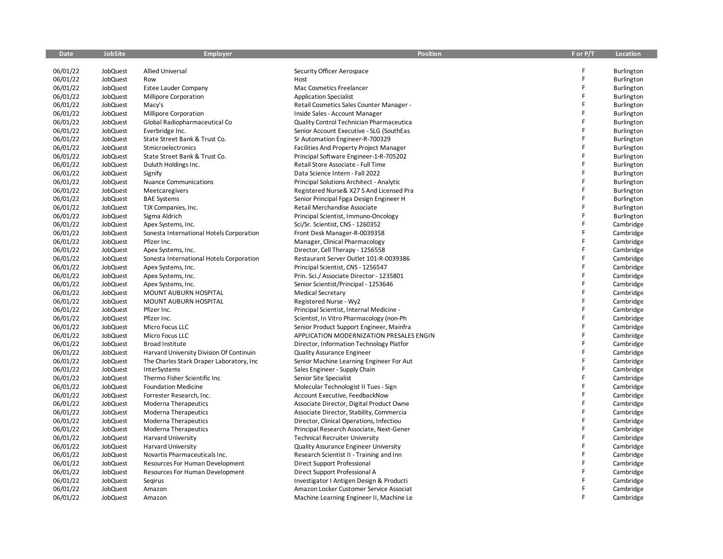| Date                 | JobSite              | <b>Employer</b>                                         | <b>Position</b>                                                                      | F or P/T    | Location                 |
|----------------------|----------------------|---------------------------------------------------------|--------------------------------------------------------------------------------------|-------------|--------------------------|
|                      |                      |                                                         |                                                                                      | F           |                          |
| 06/01/22             | JobQuest             | <b>Allied Universal</b><br>Row                          | Security Officer Aerospace                                                           | F           | Burlington               |
| 06/01/22<br>06/01/22 | JobQuest<br>JobQuest |                                                         | Host<br>Mac Cosmetics Freelancer                                                     | F           | Burlington               |
| 06/01/22             | JobQuest             | <b>Estee Lauder Company</b><br>Millipore Corporation    | <b>Application Specialist</b>                                                        | F           | Burlington<br>Burlington |
|                      |                      |                                                         |                                                                                      | F           |                          |
| 06/01/22<br>06/01/22 | JobQuest<br>JobQuest | Macy's<br>Millipore Corporation                         | Retail Cosmetics Sales Counter Manager -                                             | F           | Burlington               |
|                      | JobQuest             |                                                         | Inside Sales - Account Manager                                                       | F           | <b>Burlington</b>        |
| 06/01/22<br>06/01/22 | JobQuest             | Global Radiopharmaceutical Co<br>Everbridge Inc.        | Quality Control Technician Pharmaceutica<br>Senior Account Executive - SLG (SouthEas | F           | Burlington               |
| 06/01/22             | JobQuest             | State Street Bank & Trust Co.                           | Sr Automation Engineer-R-700329                                                      | F           | Burlington               |
| 06/01/22             | JobQuest             | Stmicroelectronics                                      | Facilities And Property Project Manager                                              | F           | Burlington<br>Burlington |
| 06/01/22             | JobQuest             | State Street Bank & Trust Co.                           | Principal Software Engineer-1-R-705202                                               | F           | <b>Burlington</b>        |
| 06/01/22             | JobQuest             | Duluth Holdings Inc.                                    | Retail Store Associate - Full Time                                                   | F           | Burlington               |
| 06/01/22             | JobQuest             | Signify                                                 | Data Science Intern - Fall 2022                                                      | F           | Burlington               |
| 06/01/22             | JobQuest             | <b>Nuance Communications</b>                            | Principal Solutions Architect - Analytic                                             | F           | Burlington               |
| 06/01/22             | JobQuest             | Meetcaregivers                                          | Registered Nurse& X27 S And Licensed Pra                                             | F           | <b>Burlington</b>        |
| 06/01/22             | <b>JobQuest</b>      | <b>BAE Systems</b>                                      |                                                                                      | F           |                          |
| 06/01/22             |                      |                                                         | Senior Principal Fpga Design Engineer H                                              | F           | Burlington               |
|                      | JobQuest             | TJX Companies, Inc.                                     | Retail Merchandise Associate                                                         | F           | Burlington               |
| 06/01/22<br>06/01/22 | JobQuest             | Sigma Aldrich                                           | Principal Scientist, Immuno-Oncology                                                 | F           | Burlington               |
|                      | JobQuest             | Apex Systems, Inc.                                      | Sci/Sr. Scientist, CNS - 1260352                                                     | F           | Cambridge                |
| 06/01/22             | JobQuest             | Sonesta International Hotels Corporation<br>Pfizer Inc. | Front Desk Manager-R-0039358                                                         | F           | Cambridge                |
| 06/01/22             | JobQuest             |                                                         | Manager, Clinical Pharmacology                                                       | F           | Cambridge                |
| 06/01/22             | JobQuest             | Apex Systems, Inc.                                      | Director, Cell Therapy - 1256558                                                     | F           | Cambridge                |
| 06/01/22             | JobQuest             | Sonesta International Hotels Corporation                | Restaurant Server Outlet 101-R-0039386                                               | F           | Cambridge                |
| 06/01/22             | <b>JobQuest</b>      | Apex Systems, Inc.                                      | Principal Scientist, CNS - 1256547                                                   | F           | Cambridge                |
| 06/01/22             | JobQuest             | Apex Systems, Inc.                                      | Prin. Sci./ Associate Director - 1235801                                             | F           | Cambridge                |
| 06/01/22             | JobQuest             | Apex Systems, Inc.                                      | Senior Scientist/Principal - 1253646                                                 | $\mathsf F$ | Cambridge                |
| 06/01/22             | JobQuest             | MOUNT AUBURN HOSPITAL                                   | <b>Medical Secretary</b>                                                             | F           | Cambridge                |
| 06/01/22             | JobQuest             | MOUNT AUBURN HOSPITAL                                   | Registered Nurse - Wy2                                                               | F           | Cambridge                |
| 06/01/22             | JobQuest             | Pfizer Inc.                                             | Principal Scientist, Internal Medicine -                                             | F           | Cambridge                |
| 06/01/22             | JobQuest             | Pfizer Inc.                                             | Scientist, In Vitro Pharmacology (non-Ph                                             | F           | Cambridge                |
| 06/01/22             | JobQuest             | Micro Focus LLC                                         | Senior Product Support Engineer, Mainfra                                             | F           | Cambridge                |
| 06/01/22             | JobQuest             | Micro Focus LLC                                         | APPLICATION MODERNIZATION PRESALES ENGIN                                             |             | Cambridge                |
| 06/01/22             | JobQuest             | Broad Institute                                         | Director, Information Technology Platfor                                             | F<br>F      | Cambridge                |
| 06/01/22             | JobQuest             | Harvard University Division Of Continuin                | <b>Quality Assurance Engineer</b>                                                    | F           | Cambridge                |
| 06/01/22             | JobQuest             | The Charles Stark Draper Laboratory, Inc                | Senior Machine Learning Engineer For Aut                                             | F           | Cambridge                |
| 06/01/22             | JobQuest             | InterSystems                                            | Sales Engineer - Supply Chain                                                        | F           | Cambridge                |
| 06/01/22             | <b>JobQuest</b>      | Thermo Fisher Scientific Inc                            | Senior Site Specialist                                                               | F           | Cambridge                |
| 06/01/22             | JobQuest             | <b>Foundation Medicine</b>                              | Molecular Technologist II Tues - Sign                                                |             | Cambridge                |
| 06/01/22             | JobQuest             | Forrester Research, Inc.                                | Account Executive, FeedbackNow                                                       | F           | Cambridge                |
| 06/01/22             | JobQuest             | Moderna Therapeutics                                    | Associate Director, Digital Product Owne                                             | $\mathsf F$ | Cambridge                |
| 06/01/22             | JobQuest             | Moderna Therapeutics                                    | Associate Director, Stability, Commercia                                             | F           | Cambridge                |
| 06/01/22             | JobQuest             | <b>Moderna Therapeutics</b>                             | Director, Clinical Operations, Infectiou                                             | F           | Cambridge                |
| 06/01/22             | JobQuest             | Moderna Therapeutics                                    | Principal Research Associate, Next-Gener                                             | F           | Cambridge                |
| 06/01/22             | JobQuest             | <b>Harvard University</b>                               | <b>Technical Recruiter University</b>                                                | F           | Cambridge                |
| 06/01/22             | JobQuest             | <b>Harvard University</b>                               | <b>Quality Assurance Engineer University</b>                                         | $\mathsf F$ | Cambridge                |
| 06/01/22             | JobQuest             | Novartis Pharmaceuticals Inc.                           | Research Scientist II - Training and Inn                                             | F           | Cambridge                |
| 06/01/22             | JobQuest             | Resources For Human Development                         | Direct Support Professional                                                          | F           | Cambridge                |
| 06/01/22             | JobQuest             | Resources For Human Development                         | Direct Support Professional A                                                        | F           | Cambridge                |
| 06/01/22             | <b>JobQuest</b>      | Segirus                                                 | Investigator I Antigen Design & Producti                                             | F           | Cambridge                |
| 06/01/22             | JobQuest             | Amazon                                                  | Amazon Locker Customer Service Associat                                              | $\mathsf F$ | Cambridge                |
| 06/01/22             | JobQuest             | Amazon                                                  | Machine Learning Engineer II, Machine Le                                             | E           | Cambridge                |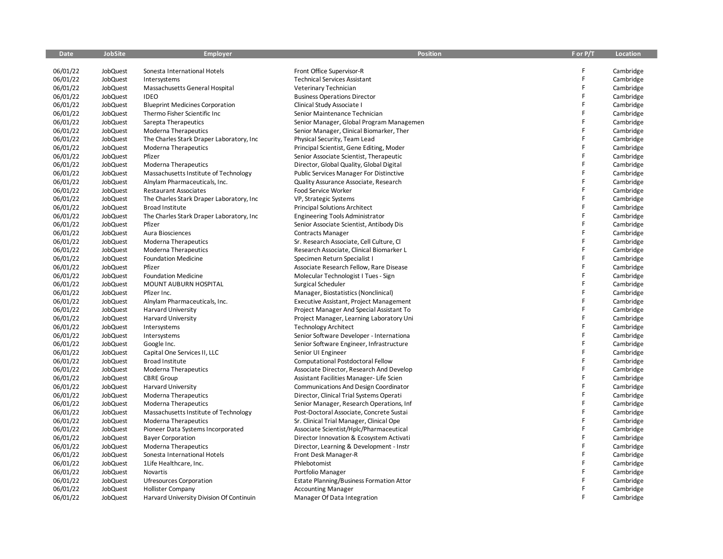| <b>Date</b> | <b>JobSite</b> | <b>Employer</b>                           | <b>Position</b>                                | F or P/T | Location  |
|-------------|----------------|-------------------------------------------|------------------------------------------------|----------|-----------|
|             |                |                                           |                                                |          |           |
| 06/01/22    | JobQuest       | Sonesta International Hotels              | Front Office Supervisor-R                      | F        | Cambridge |
| 06/01/22    | JobQuest       | Intersystems                              | <b>Technical Services Assistant</b>            | F        | Cambridge |
| 06/01/22    | JobQuest       | Massachusetts General Hospital            | Veterinary Technician                          | F        | Cambridge |
| 06/01/22    | JobQuest       | <b>IDEO</b>                               | <b>Business Operations Director</b>            | F        | Cambridge |
| 06/01/22    | JobQuest       | <b>Blueprint Medicines Corporation</b>    | Clinical Study Associate I                     | F        | Cambridge |
| 06/01/22    | JobQuest       | Thermo Fisher Scientific Inc              | Senior Maintenance Technician                  | F        | Cambridge |
| 06/01/22    | JobQuest       | Sarepta Therapeutics                      | Senior Manager, Global Program Managemen       | F        | Cambridge |
| 06/01/22    | JobQuest       | <b>Moderna Therapeutics</b>               | Senior Manager, Clinical Biomarker, Ther       | F        | Cambridge |
| 06/01/22    | JobQuest       | The Charles Stark Draper Laboratory, Inc. | Physical Security, Team Lead                   | F        | Cambridge |
| 06/01/22    | JobQuest       | <b>Moderna Therapeutics</b>               | Principal Scientist, Gene Editing, Moder       | F        | Cambridge |
| 06/01/22    | JobQuest       | Pfizer                                    | Senior Associate Scientist, Therapeutic        | F        | Cambridge |
| 06/01/22    | JobQuest       | Moderna Therapeutics                      | Director, Global Quality, Global Digital       | F        | Cambridge |
| 06/01/22    | JobQuest       | Massachusetts Institute of Technology     | Public Services Manager For Distinctive        | F        | Cambridge |
| 06/01/22    | JobQuest       | Alnylam Pharmaceuticals, Inc.             | Quality Assurance Associate, Research          | F        | Cambridge |
| 06/01/22    | JobQuest       | <b>Restaurant Associates</b>              | Food Service Worker                            | F        | Cambridge |
| 06/01/22    | JobQuest       | The Charles Stark Draper Laboratory, Inc. | VP, Strategic Systems                          | F        | Cambridge |
| 06/01/22    | JobQuest       | <b>Broad Institute</b>                    | <b>Principal Solutions Architect</b>           | F        | Cambridge |
| 06/01/22    | JobQuest       | The Charles Stark Draper Laboratory, Inc. | <b>Engineering Tools Administrator</b>         | F        | Cambridge |
| 06/01/22    | JobQuest       | Pfizer                                    | Senior Associate Scientist, Antibody Dis       | F        | Cambridge |
| 06/01/22    | JobQuest       | Aura Biosciences                          | <b>Contracts Manager</b>                       | F.       | Cambridge |
| 06/01/22    | JobQuest       | <b>Moderna Therapeutics</b>               | Sr. Research Associate, Cell Culture, Cl       | F        | Cambridge |
| 06/01/22    | JobQuest       | Moderna Therapeutics                      | Research Associate, Clinical Biomarker L       | F        | Cambridge |
| 06/01/22    | JobQuest       | <b>Foundation Medicine</b>                | Specimen Return Specialist I                   | F        | Cambridge |
| 06/01/22    | JobQuest       | Pfizer                                    | Associate Research Fellow, Rare Disease        | F        | Cambridge |
| 06/01/22    | JobQuest       | <b>Foundation Medicine</b>                | Molecular Technologist I Tues - Sign           | F        | Cambridge |
| 06/01/22    | JobQuest       | MOUNT AUBURN HOSPITAL                     | Surgical Scheduler                             | F        | Cambridge |
| 06/01/22    | JobQuest       | Pfizer Inc.                               | Manager, Biostatistics (Nonclinical)           | F        | Cambridge |
| 06/01/22    | JobQuest       | Alnylam Pharmaceuticals, Inc.             | <b>Executive Assistant, Project Management</b> | F        | Cambridge |
| 06/01/22    | JobQuest       | <b>Harvard University</b>                 | Project Manager And Special Assistant To       | F        | Cambridge |
| 06/01/22    | JobQuest       | <b>Harvard University</b>                 | Project Manager, Learning Laboratory Uni       | F        | Cambridge |
| 06/01/22    | JobQuest       | Intersystems                              | <b>Technology Architect</b>                    | F        | Cambridge |
| 06/01/22    | JobQuest       | Intersystems                              | Senior Software Developer - Internationa       | F        | Cambridge |
| 06/01/22    | JobQuest       | Google Inc.                               | Senior Software Engineer, Infrastructure       | F        | Cambridge |
| 06/01/22    | JobQuest       | Capital One Services II, LLC              | Senior UI Engineer                             | F        | Cambridge |
| 06/01/22    | JobQuest       | <b>Broad Institute</b>                    | Computational Postdoctoral Fellow              | F        | Cambridge |
| 06/01/22    | JobQuest       | <b>Moderna Therapeutics</b>               | Associate Director, Research And Develop       | F        | Cambridge |
| 06/01/22    | JobQuest       | <b>CBRE</b> Group                         | Assistant Facilities Manager-Life Scien        | F        | Cambridge |
| 06/01/22    | JobQuest       | Harvard University                        | Communications And Design Coordinator          | F        | Cambridge |
| 06/01/22    | JobQuest       | Moderna Therapeutics                      | Director, Clinical Trial Systems Operati       | F        | Cambridge |
| 06/01/22    | JobQuest       | <b>Moderna Therapeutics</b>               | Senior Manager, Research Operations, Inf       | F        | Cambridge |
| 06/01/22    | JobQuest       | Massachusetts Institute of Technology     | Post-Doctoral Associate, Concrete Sustai       | F        | Cambridge |
| 06/01/22    | JobQuest       | <b>Moderna Therapeutics</b>               | Sr. Clinical Trial Manager, Clinical Ope       | F        | Cambridge |
| 06/01/22    | JobQuest       | Pioneer Data Systems Incorporated         | Associate Scientist/Hplc/Pharmaceutical        | F        | Cambridge |
| 06/01/22    | JobQuest       | <b>Bayer Corporation</b>                  | Director Innovation & Ecosystem Activati       | F        | Cambridge |
| 06/01/22    | JobQuest       | Moderna Therapeutics                      | Director, Learning & Development - Instr       | F        | Cambridge |
| 06/01/22    | JobQuest       | Sonesta International Hotels              | Front Desk Manager-R                           | F        | Cambridge |
| 06/01/22    | JobQuest       | 1Life Healthcare, Inc.                    | Phlebotomist                                   | F        | Cambridge |
| 06/01/22    | JobQuest       | Novartis                                  | Portfolio Manager                              | F        | Cambridge |
| 06/01/22    | JobQuest       | <b>Ufresources Corporation</b>            | Estate Planning/Business Formation Attor       |          | Cambridge |
| 06/01/22    | JobQuest       | <b>Hollister Company</b>                  | <b>Accounting Manager</b>                      | F        | Cambridge |
| 06/01/22    | JobQuest       | Harvard University Division Of Continuin  | Manager Of Data Integration                    | F        | Cambridge |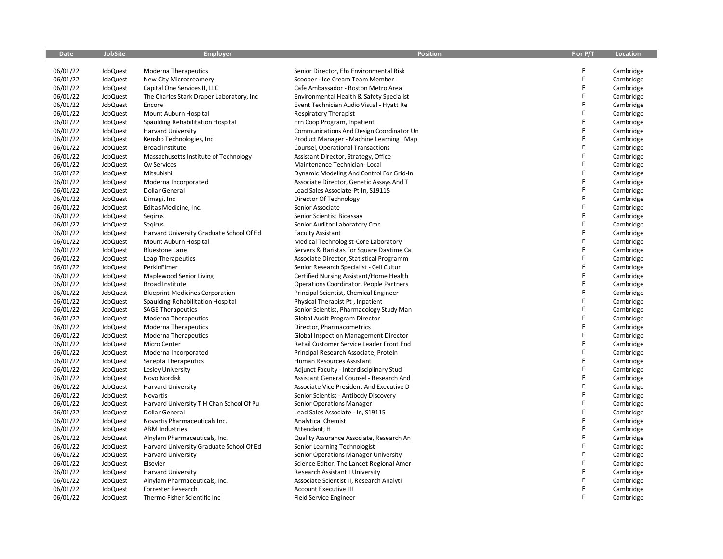| 06/01/22<br>JobQuest<br>F<br>Cambridge<br>Moderna Therapeutics<br>Senior Director, Ehs Environmental Risk<br>F<br>06/01/22<br>JobQuest<br>New City Microcreamery<br>Scooper - Ice Cream Team Member<br>Cambridge<br>F<br>06/01/22<br><b>JobQuest</b><br>Capital One Services II, LLC<br>Cafe Ambassador - Boston Metro Area<br>Cambridge<br>$\mathsf F$<br>06/01/22<br>JobQuest<br>The Charles Stark Draper Laboratory, Inc.<br>Environmental Health & Safety Specialist<br>Cambridge<br>F<br>06/01/22<br>JobQuest<br>Encore<br>Event Technician Audio Visual - Hyatt Re<br>Cambridge<br>F<br>06/01/22<br>JobQuest<br>Cambridge<br>Mount Auburn Hospital<br><b>Respiratory Therapist</b><br>F<br>06/01/22<br>JobQuest<br>Spaulding Rehabilitation Hospital<br>Ern Coop Program, Inpatient<br>Cambridge<br>F<br>06/01/22<br>JobQuest<br>Communications And Design Coordinator Un<br>Cambridge<br><b>Harvard University</b><br>F<br>06/01/22<br>JobQuest<br>Kensho Technologies, Inc<br>Product Manager - Machine Learning, Map<br>Cambridge<br>F<br>06/01/22<br>JobQuest<br><b>Broad Institute</b><br>Counsel, Operational Transactions<br>Cambridge<br>F<br>06/01/22<br>JobQuest<br>Massachusetts Institute of Technology<br>Assistant Director, Strategy, Office<br>Cambridge<br>F<br>06/01/22<br>JobQuest<br>Cambridge<br>Cw Services<br>Maintenance Technician-Local<br>F<br>06/01/22<br>JobQuest<br>Mitsubishi<br>Dynamic Modeling And Control For Grid-In<br>Cambridge<br>F<br>06/01/22<br>JobQuest<br>Cambridge<br>Moderna Incorporated<br>Associate Director, Genetic Assays And T<br>F<br>06/01/22<br>JobQuest<br>Dollar General<br>Lead Sales Associate-Pt In, S19115<br>Cambridge<br>F<br>06/01/22<br><b>JobQuest</b><br>Dimagi, Inc<br>Director Of Technology<br>Cambridge<br>F<br>06/01/22<br>JobQuest<br>Senior Associate<br>Cambridge<br>Editas Medicine, Inc.<br>F<br>06/01/22<br>JobQuest<br>Segirus<br>Senior Scientist Bioassay<br>Cambridge<br>F<br>06/01/22<br>JobQuest<br>Senior Auditor Laboratory Cmc<br>Cambridge<br>Segirus<br>F<br>06/01/22<br>Cambridge<br>JobQuest<br>Harvard University Graduate School Of Ed<br><b>Faculty Assistant</b><br>F<br>06/01/22<br>JobQuest<br>Mount Auburn Hospital<br>Medical Technologist-Core Laboratory<br>Cambridge<br>F<br>06/01/22<br>JobQuest<br><b>Bluestone Lane</b><br>Servers & Baristas For Square Daytime Ca<br>Cambridge<br>F<br>06/01/22<br>JobQuest<br>Leap Therapeutics<br>Associate Director, Statistical Programm<br>Cambridge<br>F<br>06/01/22<br>PerkinElmer<br><b>JobQuest</b><br>Senior Research Specialist - Cell Cultur<br>Cambridge<br>F<br>06/01/22<br>JobQuest<br>Maplewood Senior Living<br>Certified Nursing Assistant/Home Health<br>Cambridge<br>F<br>06/01/22<br>JobQuest<br><b>Broad Institute</b><br>Operations Coordinator, People Partners<br>Cambridge<br>F<br>06/01/22<br>JobQuest<br><b>Blueprint Medicines Corporation</b><br>Principal Scientist, Chemical Engineer<br>Cambridge<br>F<br>06/01/22<br>JobQuest<br>Spaulding Rehabilitation Hospital<br>Physical Therapist Pt, Inpatient<br>Cambridge<br>F<br>06/01/22<br>JobQuest<br><b>SAGE Therapeutics</b><br>Senior Scientist, Pharmacology Study Man<br>Cambridge<br>F<br>06/01/22<br>JobQuest<br><b>Moderna Therapeutics</b><br>Global Audit Program Director<br>Cambridge<br>F<br>06/01/22<br>JobQuest<br><b>Moderna Therapeutics</b><br>Director, Pharmacometrics<br>Cambridge<br>F<br>06/01/22<br>JobQuest<br><b>Moderna Therapeutics</b><br>Global Inspection Management Director<br>Cambridge<br>F<br>06/01/22<br>JobQuest<br>Cambridge<br>Micro Center<br>Retail Customer Service Leader Front End<br>F<br>06/01/22<br>JobQuest<br>Principal Research Associate, Protein<br>Cambridge<br>Moderna Incorporated<br>F<br>06/01/22<br>JobQuest<br>Human Resources Assistant<br>Cambridge<br>Sarepta Therapeutics<br>F<br>06/01/22<br>JobQuest<br>Lesley University<br>Adjunct Faculty - Interdisciplinary Stud<br>Cambridge<br>$\mathsf F$<br>06/01/22<br><b>JobQuest</b><br>Novo Nordisk<br>Assistant General Counsel - Research And<br>Cambridge<br>F<br>06/01/22<br>JobQuest<br><b>Harvard University</b><br>Associate Vice President And Executive D<br>Cambridge<br>F<br>06/01/22<br>JobQuest<br>Novartis<br>Senior Scientist - Antibody Discovery<br>Cambridge<br>F<br>06/01/22<br>JobQuest<br>Harvard University T H Chan School Of Pu<br>Senior Operations Manager<br>Cambridge<br>F<br>06/01/22<br>JobQuest<br>Dollar General<br>Lead Sales Associate - In, S19115<br>Cambridge<br>F<br>06/01/22<br>JobQuest<br>Novartis Pharmaceuticals Inc.<br><b>Analytical Chemist</b><br>Cambridge<br>F<br>06/01/22<br>JobQuest<br><b>ABM Industries</b><br>Attendant, H<br>Cambridge<br>F<br>06/01/22<br>JobQuest<br>Cambridge<br>Alnylam Pharmaceuticals, Inc.<br>Quality Assurance Associate, Research An<br>$\mathsf F$<br>06/01/22<br>JobQuest<br>Harvard University Graduate School Of Ed<br>Senior Learning Technologist<br>Cambridge<br>$\mathsf F$<br>06/01/22<br>JobQuest<br>Cambridge<br>Harvard University<br>Senior Operations Manager University<br>F<br>06/01/22<br>JobQuest<br>Elsevier<br>Science Editor, The Lancet Regional Amer<br>Cambridge<br>F<br>06/01/22<br>JobQuest<br><b>Harvard University</b><br>Research Assistant I University<br>Cambridge<br>F<br>06/01/22<br><b>JobQuest</b><br>Alnylam Pharmaceuticals, Inc.<br>Associate Scientist II, Research Analyti<br>Cambridge<br>$\mathsf F$<br>06/01/22<br>JobQuest<br><b>Account Executive III</b><br>Cambridge<br>Forrester Research<br>E | Date     | JobSite  | <b>Employer</b>              | <b>Position</b>        | F or P/T | Location  |
|----------------------------------------------------------------------------------------------------------------------------------------------------------------------------------------------------------------------------------------------------------------------------------------------------------------------------------------------------------------------------------------------------------------------------------------------------------------------------------------------------------------------------------------------------------------------------------------------------------------------------------------------------------------------------------------------------------------------------------------------------------------------------------------------------------------------------------------------------------------------------------------------------------------------------------------------------------------------------------------------------------------------------------------------------------------------------------------------------------------------------------------------------------------------------------------------------------------------------------------------------------------------------------------------------------------------------------------------------------------------------------------------------------------------------------------------------------------------------------------------------------------------------------------------------------------------------------------------------------------------------------------------------------------------------------------------------------------------------------------------------------------------------------------------------------------------------------------------------------------------------------------------------------------------------------------------------------------------------------------------------------------------------------------------------------------------------------------------------------------------------------------------------------------------------------------------------------------------------------------------------------------------------------------------------------------------------------------------------------------------------------------------------------------------------------------------------------------------------------------------------------------------------------------------------------------------------------------------------------------------------------------------------------------------------------------------------------------------------------------------------------------------------------------------------------------------------------------------------------------------------------------------------------------------------------------------------------------------------------------------------------------------------------------------------------------------------------------------------------------------------------------------------------------------------------------------------------------------------------------------------------------------------------------------------------------------------------------------------------------------------------------------------------------------------------------------------------------------------------------------------------------------------------------------------------------------------------------------------------------------------------------------------------------------------------------------------------------------------------------------------------------------------------------------------------------------------------------------------------------------------------------------------------------------------------------------------------------------------------------------------------------------------------------------------------------------------------------------------------------------------------------------------------------------------------------------------------------------------------------------------------------------------------------------------------------------------------------------------------------------------------------------------------------------------------------------------------------------------------------------------------------------------------------------------------------------------------------------------------------------------------------------------------------------------------------------------------------------------------------------------------------------------------------------------------------------------------------------------------------------------------------------------------------------------------------------------------------------------------------------------------------------------------------------------------------------------------------------------------------------------------------------------------------------------------------------------------------------------------------------------------------------------------------------------------------------------------------------------------------------------------------------------------------------------------------------------------------------------------------------------------------------------------------------------------------------------------|----------|----------|------------------------------|------------------------|----------|-----------|
|                                                                                                                                                                                                                                                                                                                                                                                                                                                                                                                                                                                                                                                                                                                                                                                                                                                                                                                                                                                                                                                                                                                                                                                                                                                                                                                                                                                                                                                                                                                                                                                                                                                                                                                                                                                                                                                                                                                                                                                                                                                                                                                                                                                                                                                                                                                                                                                                                                                                                                                                                                                                                                                                                                                                                                                                                                                                                                                                                                                                                                                                                                                                                                                                                                                                                                                                                                                                                                                                                                                                                                                                                                                                                                                                                                                                                                                                                                                                                                                                                                                                                                                                                                                                                                                                                                                                                                                                                                                                                                                                                                                                                                                                                                                                                                                                                                                                                                                                                                                                                                                                                                                                                                                                                                                                                                                                                                                                                                                                                                                                                                                  |          |          |                              |                        |          |           |
|                                                                                                                                                                                                                                                                                                                                                                                                                                                                                                                                                                                                                                                                                                                                                                                                                                                                                                                                                                                                                                                                                                                                                                                                                                                                                                                                                                                                                                                                                                                                                                                                                                                                                                                                                                                                                                                                                                                                                                                                                                                                                                                                                                                                                                                                                                                                                                                                                                                                                                                                                                                                                                                                                                                                                                                                                                                                                                                                                                                                                                                                                                                                                                                                                                                                                                                                                                                                                                                                                                                                                                                                                                                                                                                                                                                                                                                                                                                                                                                                                                                                                                                                                                                                                                                                                                                                                                                                                                                                                                                                                                                                                                                                                                                                                                                                                                                                                                                                                                                                                                                                                                                                                                                                                                                                                                                                                                                                                                                                                                                                                                                  |          |          |                              |                        |          |           |
|                                                                                                                                                                                                                                                                                                                                                                                                                                                                                                                                                                                                                                                                                                                                                                                                                                                                                                                                                                                                                                                                                                                                                                                                                                                                                                                                                                                                                                                                                                                                                                                                                                                                                                                                                                                                                                                                                                                                                                                                                                                                                                                                                                                                                                                                                                                                                                                                                                                                                                                                                                                                                                                                                                                                                                                                                                                                                                                                                                                                                                                                                                                                                                                                                                                                                                                                                                                                                                                                                                                                                                                                                                                                                                                                                                                                                                                                                                                                                                                                                                                                                                                                                                                                                                                                                                                                                                                                                                                                                                                                                                                                                                                                                                                                                                                                                                                                                                                                                                                                                                                                                                                                                                                                                                                                                                                                                                                                                                                                                                                                                                                  |          |          |                              |                        |          |           |
|                                                                                                                                                                                                                                                                                                                                                                                                                                                                                                                                                                                                                                                                                                                                                                                                                                                                                                                                                                                                                                                                                                                                                                                                                                                                                                                                                                                                                                                                                                                                                                                                                                                                                                                                                                                                                                                                                                                                                                                                                                                                                                                                                                                                                                                                                                                                                                                                                                                                                                                                                                                                                                                                                                                                                                                                                                                                                                                                                                                                                                                                                                                                                                                                                                                                                                                                                                                                                                                                                                                                                                                                                                                                                                                                                                                                                                                                                                                                                                                                                                                                                                                                                                                                                                                                                                                                                                                                                                                                                                                                                                                                                                                                                                                                                                                                                                                                                                                                                                                                                                                                                                                                                                                                                                                                                                                                                                                                                                                                                                                                                                                  |          |          |                              |                        |          |           |
|                                                                                                                                                                                                                                                                                                                                                                                                                                                                                                                                                                                                                                                                                                                                                                                                                                                                                                                                                                                                                                                                                                                                                                                                                                                                                                                                                                                                                                                                                                                                                                                                                                                                                                                                                                                                                                                                                                                                                                                                                                                                                                                                                                                                                                                                                                                                                                                                                                                                                                                                                                                                                                                                                                                                                                                                                                                                                                                                                                                                                                                                                                                                                                                                                                                                                                                                                                                                                                                                                                                                                                                                                                                                                                                                                                                                                                                                                                                                                                                                                                                                                                                                                                                                                                                                                                                                                                                                                                                                                                                                                                                                                                                                                                                                                                                                                                                                                                                                                                                                                                                                                                                                                                                                                                                                                                                                                                                                                                                                                                                                                                                  |          |          |                              |                        |          |           |
|                                                                                                                                                                                                                                                                                                                                                                                                                                                                                                                                                                                                                                                                                                                                                                                                                                                                                                                                                                                                                                                                                                                                                                                                                                                                                                                                                                                                                                                                                                                                                                                                                                                                                                                                                                                                                                                                                                                                                                                                                                                                                                                                                                                                                                                                                                                                                                                                                                                                                                                                                                                                                                                                                                                                                                                                                                                                                                                                                                                                                                                                                                                                                                                                                                                                                                                                                                                                                                                                                                                                                                                                                                                                                                                                                                                                                                                                                                                                                                                                                                                                                                                                                                                                                                                                                                                                                                                                                                                                                                                                                                                                                                                                                                                                                                                                                                                                                                                                                                                                                                                                                                                                                                                                                                                                                                                                                                                                                                                                                                                                                                                  |          |          |                              |                        |          |           |
|                                                                                                                                                                                                                                                                                                                                                                                                                                                                                                                                                                                                                                                                                                                                                                                                                                                                                                                                                                                                                                                                                                                                                                                                                                                                                                                                                                                                                                                                                                                                                                                                                                                                                                                                                                                                                                                                                                                                                                                                                                                                                                                                                                                                                                                                                                                                                                                                                                                                                                                                                                                                                                                                                                                                                                                                                                                                                                                                                                                                                                                                                                                                                                                                                                                                                                                                                                                                                                                                                                                                                                                                                                                                                                                                                                                                                                                                                                                                                                                                                                                                                                                                                                                                                                                                                                                                                                                                                                                                                                                                                                                                                                                                                                                                                                                                                                                                                                                                                                                                                                                                                                                                                                                                                                                                                                                                                                                                                                                                                                                                                                                  |          |          |                              |                        |          |           |
|                                                                                                                                                                                                                                                                                                                                                                                                                                                                                                                                                                                                                                                                                                                                                                                                                                                                                                                                                                                                                                                                                                                                                                                                                                                                                                                                                                                                                                                                                                                                                                                                                                                                                                                                                                                                                                                                                                                                                                                                                                                                                                                                                                                                                                                                                                                                                                                                                                                                                                                                                                                                                                                                                                                                                                                                                                                                                                                                                                                                                                                                                                                                                                                                                                                                                                                                                                                                                                                                                                                                                                                                                                                                                                                                                                                                                                                                                                                                                                                                                                                                                                                                                                                                                                                                                                                                                                                                                                                                                                                                                                                                                                                                                                                                                                                                                                                                                                                                                                                                                                                                                                                                                                                                                                                                                                                                                                                                                                                                                                                                                                                  |          |          |                              |                        |          |           |
|                                                                                                                                                                                                                                                                                                                                                                                                                                                                                                                                                                                                                                                                                                                                                                                                                                                                                                                                                                                                                                                                                                                                                                                                                                                                                                                                                                                                                                                                                                                                                                                                                                                                                                                                                                                                                                                                                                                                                                                                                                                                                                                                                                                                                                                                                                                                                                                                                                                                                                                                                                                                                                                                                                                                                                                                                                                                                                                                                                                                                                                                                                                                                                                                                                                                                                                                                                                                                                                                                                                                                                                                                                                                                                                                                                                                                                                                                                                                                                                                                                                                                                                                                                                                                                                                                                                                                                                                                                                                                                                                                                                                                                                                                                                                                                                                                                                                                                                                                                                                                                                                                                                                                                                                                                                                                                                                                                                                                                                                                                                                                                                  |          |          |                              |                        |          |           |
|                                                                                                                                                                                                                                                                                                                                                                                                                                                                                                                                                                                                                                                                                                                                                                                                                                                                                                                                                                                                                                                                                                                                                                                                                                                                                                                                                                                                                                                                                                                                                                                                                                                                                                                                                                                                                                                                                                                                                                                                                                                                                                                                                                                                                                                                                                                                                                                                                                                                                                                                                                                                                                                                                                                                                                                                                                                                                                                                                                                                                                                                                                                                                                                                                                                                                                                                                                                                                                                                                                                                                                                                                                                                                                                                                                                                                                                                                                                                                                                                                                                                                                                                                                                                                                                                                                                                                                                                                                                                                                                                                                                                                                                                                                                                                                                                                                                                                                                                                                                                                                                                                                                                                                                                                                                                                                                                                                                                                                                                                                                                                                                  |          |          |                              |                        |          |           |
|                                                                                                                                                                                                                                                                                                                                                                                                                                                                                                                                                                                                                                                                                                                                                                                                                                                                                                                                                                                                                                                                                                                                                                                                                                                                                                                                                                                                                                                                                                                                                                                                                                                                                                                                                                                                                                                                                                                                                                                                                                                                                                                                                                                                                                                                                                                                                                                                                                                                                                                                                                                                                                                                                                                                                                                                                                                                                                                                                                                                                                                                                                                                                                                                                                                                                                                                                                                                                                                                                                                                                                                                                                                                                                                                                                                                                                                                                                                                                                                                                                                                                                                                                                                                                                                                                                                                                                                                                                                                                                                                                                                                                                                                                                                                                                                                                                                                                                                                                                                                                                                                                                                                                                                                                                                                                                                                                                                                                                                                                                                                                                                  |          |          |                              |                        |          |           |
|                                                                                                                                                                                                                                                                                                                                                                                                                                                                                                                                                                                                                                                                                                                                                                                                                                                                                                                                                                                                                                                                                                                                                                                                                                                                                                                                                                                                                                                                                                                                                                                                                                                                                                                                                                                                                                                                                                                                                                                                                                                                                                                                                                                                                                                                                                                                                                                                                                                                                                                                                                                                                                                                                                                                                                                                                                                                                                                                                                                                                                                                                                                                                                                                                                                                                                                                                                                                                                                                                                                                                                                                                                                                                                                                                                                                                                                                                                                                                                                                                                                                                                                                                                                                                                                                                                                                                                                                                                                                                                                                                                                                                                                                                                                                                                                                                                                                                                                                                                                                                                                                                                                                                                                                                                                                                                                                                                                                                                                                                                                                                                                  |          |          |                              |                        |          |           |
|                                                                                                                                                                                                                                                                                                                                                                                                                                                                                                                                                                                                                                                                                                                                                                                                                                                                                                                                                                                                                                                                                                                                                                                                                                                                                                                                                                                                                                                                                                                                                                                                                                                                                                                                                                                                                                                                                                                                                                                                                                                                                                                                                                                                                                                                                                                                                                                                                                                                                                                                                                                                                                                                                                                                                                                                                                                                                                                                                                                                                                                                                                                                                                                                                                                                                                                                                                                                                                                                                                                                                                                                                                                                                                                                                                                                                                                                                                                                                                                                                                                                                                                                                                                                                                                                                                                                                                                                                                                                                                                                                                                                                                                                                                                                                                                                                                                                                                                                                                                                                                                                                                                                                                                                                                                                                                                                                                                                                                                                                                                                                                                  |          |          |                              |                        |          |           |
|                                                                                                                                                                                                                                                                                                                                                                                                                                                                                                                                                                                                                                                                                                                                                                                                                                                                                                                                                                                                                                                                                                                                                                                                                                                                                                                                                                                                                                                                                                                                                                                                                                                                                                                                                                                                                                                                                                                                                                                                                                                                                                                                                                                                                                                                                                                                                                                                                                                                                                                                                                                                                                                                                                                                                                                                                                                                                                                                                                                                                                                                                                                                                                                                                                                                                                                                                                                                                                                                                                                                                                                                                                                                                                                                                                                                                                                                                                                                                                                                                                                                                                                                                                                                                                                                                                                                                                                                                                                                                                                                                                                                                                                                                                                                                                                                                                                                                                                                                                                                                                                                                                                                                                                                                                                                                                                                                                                                                                                                                                                                                                                  |          |          |                              |                        |          |           |
|                                                                                                                                                                                                                                                                                                                                                                                                                                                                                                                                                                                                                                                                                                                                                                                                                                                                                                                                                                                                                                                                                                                                                                                                                                                                                                                                                                                                                                                                                                                                                                                                                                                                                                                                                                                                                                                                                                                                                                                                                                                                                                                                                                                                                                                                                                                                                                                                                                                                                                                                                                                                                                                                                                                                                                                                                                                                                                                                                                                                                                                                                                                                                                                                                                                                                                                                                                                                                                                                                                                                                                                                                                                                                                                                                                                                                                                                                                                                                                                                                                                                                                                                                                                                                                                                                                                                                                                                                                                                                                                                                                                                                                                                                                                                                                                                                                                                                                                                                                                                                                                                                                                                                                                                                                                                                                                                                                                                                                                                                                                                                                                  |          |          |                              |                        |          |           |
|                                                                                                                                                                                                                                                                                                                                                                                                                                                                                                                                                                                                                                                                                                                                                                                                                                                                                                                                                                                                                                                                                                                                                                                                                                                                                                                                                                                                                                                                                                                                                                                                                                                                                                                                                                                                                                                                                                                                                                                                                                                                                                                                                                                                                                                                                                                                                                                                                                                                                                                                                                                                                                                                                                                                                                                                                                                                                                                                                                                                                                                                                                                                                                                                                                                                                                                                                                                                                                                                                                                                                                                                                                                                                                                                                                                                                                                                                                                                                                                                                                                                                                                                                                                                                                                                                                                                                                                                                                                                                                                                                                                                                                                                                                                                                                                                                                                                                                                                                                                                                                                                                                                                                                                                                                                                                                                                                                                                                                                                                                                                                                                  |          |          |                              |                        |          |           |
|                                                                                                                                                                                                                                                                                                                                                                                                                                                                                                                                                                                                                                                                                                                                                                                                                                                                                                                                                                                                                                                                                                                                                                                                                                                                                                                                                                                                                                                                                                                                                                                                                                                                                                                                                                                                                                                                                                                                                                                                                                                                                                                                                                                                                                                                                                                                                                                                                                                                                                                                                                                                                                                                                                                                                                                                                                                                                                                                                                                                                                                                                                                                                                                                                                                                                                                                                                                                                                                                                                                                                                                                                                                                                                                                                                                                                                                                                                                                                                                                                                                                                                                                                                                                                                                                                                                                                                                                                                                                                                                                                                                                                                                                                                                                                                                                                                                                                                                                                                                                                                                                                                                                                                                                                                                                                                                                                                                                                                                                                                                                                                                  |          |          |                              |                        |          |           |
|                                                                                                                                                                                                                                                                                                                                                                                                                                                                                                                                                                                                                                                                                                                                                                                                                                                                                                                                                                                                                                                                                                                                                                                                                                                                                                                                                                                                                                                                                                                                                                                                                                                                                                                                                                                                                                                                                                                                                                                                                                                                                                                                                                                                                                                                                                                                                                                                                                                                                                                                                                                                                                                                                                                                                                                                                                                                                                                                                                                                                                                                                                                                                                                                                                                                                                                                                                                                                                                                                                                                                                                                                                                                                                                                                                                                                                                                                                                                                                                                                                                                                                                                                                                                                                                                                                                                                                                                                                                                                                                                                                                                                                                                                                                                                                                                                                                                                                                                                                                                                                                                                                                                                                                                                                                                                                                                                                                                                                                                                                                                                                                  |          |          |                              |                        |          |           |
|                                                                                                                                                                                                                                                                                                                                                                                                                                                                                                                                                                                                                                                                                                                                                                                                                                                                                                                                                                                                                                                                                                                                                                                                                                                                                                                                                                                                                                                                                                                                                                                                                                                                                                                                                                                                                                                                                                                                                                                                                                                                                                                                                                                                                                                                                                                                                                                                                                                                                                                                                                                                                                                                                                                                                                                                                                                                                                                                                                                                                                                                                                                                                                                                                                                                                                                                                                                                                                                                                                                                                                                                                                                                                                                                                                                                                                                                                                                                                                                                                                                                                                                                                                                                                                                                                                                                                                                                                                                                                                                                                                                                                                                                                                                                                                                                                                                                                                                                                                                                                                                                                                                                                                                                                                                                                                                                                                                                                                                                                                                                                                                  |          |          |                              |                        |          |           |
|                                                                                                                                                                                                                                                                                                                                                                                                                                                                                                                                                                                                                                                                                                                                                                                                                                                                                                                                                                                                                                                                                                                                                                                                                                                                                                                                                                                                                                                                                                                                                                                                                                                                                                                                                                                                                                                                                                                                                                                                                                                                                                                                                                                                                                                                                                                                                                                                                                                                                                                                                                                                                                                                                                                                                                                                                                                                                                                                                                                                                                                                                                                                                                                                                                                                                                                                                                                                                                                                                                                                                                                                                                                                                                                                                                                                                                                                                                                                                                                                                                                                                                                                                                                                                                                                                                                                                                                                                                                                                                                                                                                                                                                                                                                                                                                                                                                                                                                                                                                                                                                                                                                                                                                                                                                                                                                                                                                                                                                                                                                                                                                  |          |          |                              |                        |          |           |
|                                                                                                                                                                                                                                                                                                                                                                                                                                                                                                                                                                                                                                                                                                                                                                                                                                                                                                                                                                                                                                                                                                                                                                                                                                                                                                                                                                                                                                                                                                                                                                                                                                                                                                                                                                                                                                                                                                                                                                                                                                                                                                                                                                                                                                                                                                                                                                                                                                                                                                                                                                                                                                                                                                                                                                                                                                                                                                                                                                                                                                                                                                                                                                                                                                                                                                                                                                                                                                                                                                                                                                                                                                                                                                                                                                                                                                                                                                                                                                                                                                                                                                                                                                                                                                                                                                                                                                                                                                                                                                                                                                                                                                                                                                                                                                                                                                                                                                                                                                                                                                                                                                                                                                                                                                                                                                                                                                                                                                                                                                                                                                                  |          |          |                              |                        |          |           |
|                                                                                                                                                                                                                                                                                                                                                                                                                                                                                                                                                                                                                                                                                                                                                                                                                                                                                                                                                                                                                                                                                                                                                                                                                                                                                                                                                                                                                                                                                                                                                                                                                                                                                                                                                                                                                                                                                                                                                                                                                                                                                                                                                                                                                                                                                                                                                                                                                                                                                                                                                                                                                                                                                                                                                                                                                                                                                                                                                                                                                                                                                                                                                                                                                                                                                                                                                                                                                                                                                                                                                                                                                                                                                                                                                                                                                                                                                                                                                                                                                                                                                                                                                                                                                                                                                                                                                                                                                                                                                                                                                                                                                                                                                                                                                                                                                                                                                                                                                                                                                                                                                                                                                                                                                                                                                                                                                                                                                                                                                                                                                                                  |          |          |                              |                        |          |           |
|                                                                                                                                                                                                                                                                                                                                                                                                                                                                                                                                                                                                                                                                                                                                                                                                                                                                                                                                                                                                                                                                                                                                                                                                                                                                                                                                                                                                                                                                                                                                                                                                                                                                                                                                                                                                                                                                                                                                                                                                                                                                                                                                                                                                                                                                                                                                                                                                                                                                                                                                                                                                                                                                                                                                                                                                                                                                                                                                                                                                                                                                                                                                                                                                                                                                                                                                                                                                                                                                                                                                                                                                                                                                                                                                                                                                                                                                                                                                                                                                                                                                                                                                                                                                                                                                                                                                                                                                                                                                                                                                                                                                                                                                                                                                                                                                                                                                                                                                                                                                                                                                                                                                                                                                                                                                                                                                                                                                                                                                                                                                                                                  |          |          |                              |                        |          |           |
|                                                                                                                                                                                                                                                                                                                                                                                                                                                                                                                                                                                                                                                                                                                                                                                                                                                                                                                                                                                                                                                                                                                                                                                                                                                                                                                                                                                                                                                                                                                                                                                                                                                                                                                                                                                                                                                                                                                                                                                                                                                                                                                                                                                                                                                                                                                                                                                                                                                                                                                                                                                                                                                                                                                                                                                                                                                                                                                                                                                                                                                                                                                                                                                                                                                                                                                                                                                                                                                                                                                                                                                                                                                                                                                                                                                                                                                                                                                                                                                                                                                                                                                                                                                                                                                                                                                                                                                                                                                                                                                                                                                                                                                                                                                                                                                                                                                                                                                                                                                                                                                                                                                                                                                                                                                                                                                                                                                                                                                                                                                                                                                  |          |          |                              |                        |          |           |
|                                                                                                                                                                                                                                                                                                                                                                                                                                                                                                                                                                                                                                                                                                                                                                                                                                                                                                                                                                                                                                                                                                                                                                                                                                                                                                                                                                                                                                                                                                                                                                                                                                                                                                                                                                                                                                                                                                                                                                                                                                                                                                                                                                                                                                                                                                                                                                                                                                                                                                                                                                                                                                                                                                                                                                                                                                                                                                                                                                                                                                                                                                                                                                                                                                                                                                                                                                                                                                                                                                                                                                                                                                                                                                                                                                                                                                                                                                                                                                                                                                                                                                                                                                                                                                                                                                                                                                                                                                                                                                                                                                                                                                                                                                                                                                                                                                                                                                                                                                                                                                                                                                                                                                                                                                                                                                                                                                                                                                                                                                                                                                                  |          |          |                              |                        |          |           |
|                                                                                                                                                                                                                                                                                                                                                                                                                                                                                                                                                                                                                                                                                                                                                                                                                                                                                                                                                                                                                                                                                                                                                                                                                                                                                                                                                                                                                                                                                                                                                                                                                                                                                                                                                                                                                                                                                                                                                                                                                                                                                                                                                                                                                                                                                                                                                                                                                                                                                                                                                                                                                                                                                                                                                                                                                                                                                                                                                                                                                                                                                                                                                                                                                                                                                                                                                                                                                                                                                                                                                                                                                                                                                                                                                                                                                                                                                                                                                                                                                                                                                                                                                                                                                                                                                                                                                                                                                                                                                                                                                                                                                                                                                                                                                                                                                                                                                                                                                                                                                                                                                                                                                                                                                                                                                                                                                                                                                                                                                                                                                                                  |          |          |                              |                        |          |           |
|                                                                                                                                                                                                                                                                                                                                                                                                                                                                                                                                                                                                                                                                                                                                                                                                                                                                                                                                                                                                                                                                                                                                                                                                                                                                                                                                                                                                                                                                                                                                                                                                                                                                                                                                                                                                                                                                                                                                                                                                                                                                                                                                                                                                                                                                                                                                                                                                                                                                                                                                                                                                                                                                                                                                                                                                                                                                                                                                                                                                                                                                                                                                                                                                                                                                                                                                                                                                                                                                                                                                                                                                                                                                                                                                                                                                                                                                                                                                                                                                                                                                                                                                                                                                                                                                                                                                                                                                                                                                                                                                                                                                                                                                                                                                                                                                                                                                                                                                                                                                                                                                                                                                                                                                                                                                                                                                                                                                                                                                                                                                                                                  |          |          |                              |                        |          |           |
|                                                                                                                                                                                                                                                                                                                                                                                                                                                                                                                                                                                                                                                                                                                                                                                                                                                                                                                                                                                                                                                                                                                                                                                                                                                                                                                                                                                                                                                                                                                                                                                                                                                                                                                                                                                                                                                                                                                                                                                                                                                                                                                                                                                                                                                                                                                                                                                                                                                                                                                                                                                                                                                                                                                                                                                                                                                                                                                                                                                                                                                                                                                                                                                                                                                                                                                                                                                                                                                                                                                                                                                                                                                                                                                                                                                                                                                                                                                                                                                                                                                                                                                                                                                                                                                                                                                                                                                                                                                                                                                                                                                                                                                                                                                                                                                                                                                                                                                                                                                                                                                                                                                                                                                                                                                                                                                                                                                                                                                                                                                                                                                  |          |          |                              |                        |          |           |
|                                                                                                                                                                                                                                                                                                                                                                                                                                                                                                                                                                                                                                                                                                                                                                                                                                                                                                                                                                                                                                                                                                                                                                                                                                                                                                                                                                                                                                                                                                                                                                                                                                                                                                                                                                                                                                                                                                                                                                                                                                                                                                                                                                                                                                                                                                                                                                                                                                                                                                                                                                                                                                                                                                                                                                                                                                                                                                                                                                                                                                                                                                                                                                                                                                                                                                                                                                                                                                                                                                                                                                                                                                                                                                                                                                                                                                                                                                                                                                                                                                                                                                                                                                                                                                                                                                                                                                                                                                                                                                                                                                                                                                                                                                                                                                                                                                                                                                                                                                                                                                                                                                                                                                                                                                                                                                                                                                                                                                                                                                                                                                                  |          |          |                              |                        |          |           |
|                                                                                                                                                                                                                                                                                                                                                                                                                                                                                                                                                                                                                                                                                                                                                                                                                                                                                                                                                                                                                                                                                                                                                                                                                                                                                                                                                                                                                                                                                                                                                                                                                                                                                                                                                                                                                                                                                                                                                                                                                                                                                                                                                                                                                                                                                                                                                                                                                                                                                                                                                                                                                                                                                                                                                                                                                                                                                                                                                                                                                                                                                                                                                                                                                                                                                                                                                                                                                                                                                                                                                                                                                                                                                                                                                                                                                                                                                                                                                                                                                                                                                                                                                                                                                                                                                                                                                                                                                                                                                                                                                                                                                                                                                                                                                                                                                                                                                                                                                                                                                                                                                                                                                                                                                                                                                                                                                                                                                                                                                                                                                                                  |          |          |                              |                        |          |           |
|                                                                                                                                                                                                                                                                                                                                                                                                                                                                                                                                                                                                                                                                                                                                                                                                                                                                                                                                                                                                                                                                                                                                                                                                                                                                                                                                                                                                                                                                                                                                                                                                                                                                                                                                                                                                                                                                                                                                                                                                                                                                                                                                                                                                                                                                                                                                                                                                                                                                                                                                                                                                                                                                                                                                                                                                                                                                                                                                                                                                                                                                                                                                                                                                                                                                                                                                                                                                                                                                                                                                                                                                                                                                                                                                                                                                                                                                                                                                                                                                                                                                                                                                                                                                                                                                                                                                                                                                                                                                                                                                                                                                                                                                                                                                                                                                                                                                                                                                                                                                                                                                                                                                                                                                                                                                                                                                                                                                                                                                                                                                                                                  |          |          |                              |                        |          |           |
|                                                                                                                                                                                                                                                                                                                                                                                                                                                                                                                                                                                                                                                                                                                                                                                                                                                                                                                                                                                                                                                                                                                                                                                                                                                                                                                                                                                                                                                                                                                                                                                                                                                                                                                                                                                                                                                                                                                                                                                                                                                                                                                                                                                                                                                                                                                                                                                                                                                                                                                                                                                                                                                                                                                                                                                                                                                                                                                                                                                                                                                                                                                                                                                                                                                                                                                                                                                                                                                                                                                                                                                                                                                                                                                                                                                                                                                                                                                                                                                                                                                                                                                                                                                                                                                                                                                                                                                                                                                                                                                                                                                                                                                                                                                                                                                                                                                                                                                                                                                                                                                                                                                                                                                                                                                                                                                                                                                                                                                                                                                                                                                  |          |          |                              |                        |          |           |
|                                                                                                                                                                                                                                                                                                                                                                                                                                                                                                                                                                                                                                                                                                                                                                                                                                                                                                                                                                                                                                                                                                                                                                                                                                                                                                                                                                                                                                                                                                                                                                                                                                                                                                                                                                                                                                                                                                                                                                                                                                                                                                                                                                                                                                                                                                                                                                                                                                                                                                                                                                                                                                                                                                                                                                                                                                                                                                                                                                                                                                                                                                                                                                                                                                                                                                                                                                                                                                                                                                                                                                                                                                                                                                                                                                                                                                                                                                                                                                                                                                                                                                                                                                                                                                                                                                                                                                                                                                                                                                                                                                                                                                                                                                                                                                                                                                                                                                                                                                                                                                                                                                                                                                                                                                                                                                                                                                                                                                                                                                                                                                                  |          |          |                              |                        |          |           |
|                                                                                                                                                                                                                                                                                                                                                                                                                                                                                                                                                                                                                                                                                                                                                                                                                                                                                                                                                                                                                                                                                                                                                                                                                                                                                                                                                                                                                                                                                                                                                                                                                                                                                                                                                                                                                                                                                                                                                                                                                                                                                                                                                                                                                                                                                                                                                                                                                                                                                                                                                                                                                                                                                                                                                                                                                                                                                                                                                                                                                                                                                                                                                                                                                                                                                                                                                                                                                                                                                                                                                                                                                                                                                                                                                                                                                                                                                                                                                                                                                                                                                                                                                                                                                                                                                                                                                                                                                                                                                                                                                                                                                                                                                                                                                                                                                                                                                                                                                                                                                                                                                                                                                                                                                                                                                                                                                                                                                                                                                                                                                                                  |          |          |                              |                        |          |           |
|                                                                                                                                                                                                                                                                                                                                                                                                                                                                                                                                                                                                                                                                                                                                                                                                                                                                                                                                                                                                                                                                                                                                                                                                                                                                                                                                                                                                                                                                                                                                                                                                                                                                                                                                                                                                                                                                                                                                                                                                                                                                                                                                                                                                                                                                                                                                                                                                                                                                                                                                                                                                                                                                                                                                                                                                                                                                                                                                                                                                                                                                                                                                                                                                                                                                                                                                                                                                                                                                                                                                                                                                                                                                                                                                                                                                                                                                                                                                                                                                                                                                                                                                                                                                                                                                                                                                                                                                                                                                                                                                                                                                                                                                                                                                                                                                                                                                                                                                                                                                                                                                                                                                                                                                                                                                                                                                                                                                                                                                                                                                                                                  |          |          |                              |                        |          |           |
|                                                                                                                                                                                                                                                                                                                                                                                                                                                                                                                                                                                                                                                                                                                                                                                                                                                                                                                                                                                                                                                                                                                                                                                                                                                                                                                                                                                                                                                                                                                                                                                                                                                                                                                                                                                                                                                                                                                                                                                                                                                                                                                                                                                                                                                                                                                                                                                                                                                                                                                                                                                                                                                                                                                                                                                                                                                                                                                                                                                                                                                                                                                                                                                                                                                                                                                                                                                                                                                                                                                                                                                                                                                                                                                                                                                                                                                                                                                                                                                                                                                                                                                                                                                                                                                                                                                                                                                                                                                                                                                                                                                                                                                                                                                                                                                                                                                                                                                                                                                                                                                                                                                                                                                                                                                                                                                                                                                                                                                                                                                                                                                  |          |          |                              |                        |          |           |
|                                                                                                                                                                                                                                                                                                                                                                                                                                                                                                                                                                                                                                                                                                                                                                                                                                                                                                                                                                                                                                                                                                                                                                                                                                                                                                                                                                                                                                                                                                                                                                                                                                                                                                                                                                                                                                                                                                                                                                                                                                                                                                                                                                                                                                                                                                                                                                                                                                                                                                                                                                                                                                                                                                                                                                                                                                                                                                                                                                                                                                                                                                                                                                                                                                                                                                                                                                                                                                                                                                                                                                                                                                                                                                                                                                                                                                                                                                                                                                                                                                                                                                                                                                                                                                                                                                                                                                                                                                                                                                                                                                                                                                                                                                                                                                                                                                                                                                                                                                                                                                                                                                                                                                                                                                                                                                                                                                                                                                                                                                                                                                                  |          |          |                              |                        |          |           |
|                                                                                                                                                                                                                                                                                                                                                                                                                                                                                                                                                                                                                                                                                                                                                                                                                                                                                                                                                                                                                                                                                                                                                                                                                                                                                                                                                                                                                                                                                                                                                                                                                                                                                                                                                                                                                                                                                                                                                                                                                                                                                                                                                                                                                                                                                                                                                                                                                                                                                                                                                                                                                                                                                                                                                                                                                                                                                                                                                                                                                                                                                                                                                                                                                                                                                                                                                                                                                                                                                                                                                                                                                                                                                                                                                                                                                                                                                                                                                                                                                                                                                                                                                                                                                                                                                                                                                                                                                                                                                                                                                                                                                                                                                                                                                                                                                                                                                                                                                                                                                                                                                                                                                                                                                                                                                                                                                                                                                                                                                                                                                                                  |          |          |                              |                        |          |           |
|                                                                                                                                                                                                                                                                                                                                                                                                                                                                                                                                                                                                                                                                                                                                                                                                                                                                                                                                                                                                                                                                                                                                                                                                                                                                                                                                                                                                                                                                                                                                                                                                                                                                                                                                                                                                                                                                                                                                                                                                                                                                                                                                                                                                                                                                                                                                                                                                                                                                                                                                                                                                                                                                                                                                                                                                                                                                                                                                                                                                                                                                                                                                                                                                                                                                                                                                                                                                                                                                                                                                                                                                                                                                                                                                                                                                                                                                                                                                                                                                                                                                                                                                                                                                                                                                                                                                                                                                                                                                                                                                                                                                                                                                                                                                                                                                                                                                                                                                                                                                                                                                                                                                                                                                                                                                                                                                                                                                                                                                                                                                                                                  |          |          |                              |                        |          |           |
|                                                                                                                                                                                                                                                                                                                                                                                                                                                                                                                                                                                                                                                                                                                                                                                                                                                                                                                                                                                                                                                                                                                                                                                                                                                                                                                                                                                                                                                                                                                                                                                                                                                                                                                                                                                                                                                                                                                                                                                                                                                                                                                                                                                                                                                                                                                                                                                                                                                                                                                                                                                                                                                                                                                                                                                                                                                                                                                                                                                                                                                                                                                                                                                                                                                                                                                                                                                                                                                                                                                                                                                                                                                                                                                                                                                                                                                                                                                                                                                                                                                                                                                                                                                                                                                                                                                                                                                                                                                                                                                                                                                                                                                                                                                                                                                                                                                                                                                                                                                                                                                                                                                                                                                                                                                                                                                                                                                                                                                                                                                                                                                  |          |          |                              |                        |          |           |
|                                                                                                                                                                                                                                                                                                                                                                                                                                                                                                                                                                                                                                                                                                                                                                                                                                                                                                                                                                                                                                                                                                                                                                                                                                                                                                                                                                                                                                                                                                                                                                                                                                                                                                                                                                                                                                                                                                                                                                                                                                                                                                                                                                                                                                                                                                                                                                                                                                                                                                                                                                                                                                                                                                                                                                                                                                                                                                                                                                                                                                                                                                                                                                                                                                                                                                                                                                                                                                                                                                                                                                                                                                                                                                                                                                                                                                                                                                                                                                                                                                                                                                                                                                                                                                                                                                                                                                                                                                                                                                                                                                                                                                                                                                                                                                                                                                                                                                                                                                                                                                                                                                                                                                                                                                                                                                                                                                                                                                                                                                                                                                                  |          |          |                              |                        |          |           |
|                                                                                                                                                                                                                                                                                                                                                                                                                                                                                                                                                                                                                                                                                                                                                                                                                                                                                                                                                                                                                                                                                                                                                                                                                                                                                                                                                                                                                                                                                                                                                                                                                                                                                                                                                                                                                                                                                                                                                                                                                                                                                                                                                                                                                                                                                                                                                                                                                                                                                                                                                                                                                                                                                                                                                                                                                                                                                                                                                                                                                                                                                                                                                                                                                                                                                                                                                                                                                                                                                                                                                                                                                                                                                                                                                                                                                                                                                                                                                                                                                                                                                                                                                                                                                                                                                                                                                                                                                                                                                                                                                                                                                                                                                                                                                                                                                                                                                                                                                                                                                                                                                                                                                                                                                                                                                                                                                                                                                                                                                                                                                                                  |          |          |                              |                        |          |           |
|                                                                                                                                                                                                                                                                                                                                                                                                                                                                                                                                                                                                                                                                                                                                                                                                                                                                                                                                                                                                                                                                                                                                                                                                                                                                                                                                                                                                                                                                                                                                                                                                                                                                                                                                                                                                                                                                                                                                                                                                                                                                                                                                                                                                                                                                                                                                                                                                                                                                                                                                                                                                                                                                                                                                                                                                                                                                                                                                                                                                                                                                                                                                                                                                                                                                                                                                                                                                                                                                                                                                                                                                                                                                                                                                                                                                                                                                                                                                                                                                                                                                                                                                                                                                                                                                                                                                                                                                                                                                                                                                                                                                                                                                                                                                                                                                                                                                                                                                                                                                                                                                                                                                                                                                                                                                                                                                                                                                                                                                                                                                                                                  |          |          |                              |                        |          |           |
|                                                                                                                                                                                                                                                                                                                                                                                                                                                                                                                                                                                                                                                                                                                                                                                                                                                                                                                                                                                                                                                                                                                                                                                                                                                                                                                                                                                                                                                                                                                                                                                                                                                                                                                                                                                                                                                                                                                                                                                                                                                                                                                                                                                                                                                                                                                                                                                                                                                                                                                                                                                                                                                                                                                                                                                                                                                                                                                                                                                                                                                                                                                                                                                                                                                                                                                                                                                                                                                                                                                                                                                                                                                                                                                                                                                                                                                                                                                                                                                                                                                                                                                                                                                                                                                                                                                                                                                                                                                                                                                                                                                                                                                                                                                                                                                                                                                                                                                                                                                                                                                                                                                                                                                                                                                                                                                                                                                                                                                                                                                                                                                  |          |          |                              |                        |          |           |
|                                                                                                                                                                                                                                                                                                                                                                                                                                                                                                                                                                                                                                                                                                                                                                                                                                                                                                                                                                                                                                                                                                                                                                                                                                                                                                                                                                                                                                                                                                                                                                                                                                                                                                                                                                                                                                                                                                                                                                                                                                                                                                                                                                                                                                                                                                                                                                                                                                                                                                                                                                                                                                                                                                                                                                                                                                                                                                                                                                                                                                                                                                                                                                                                                                                                                                                                                                                                                                                                                                                                                                                                                                                                                                                                                                                                                                                                                                                                                                                                                                                                                                                                                                                                                                                                                                                                                                                                                                                                                                                                                                                                                                                                                                                                                                                                                                                                                                                                                                                                                                                                                                                                                                                                                                                                                                                                                                                                                                                                                                                                                                                  |          |          |                              |                        |          |           |
|                                                                                                                                                                                                                                                                                                                                                                                                                                                                                                                                                                                                                                                                                                                                                                                                                                                                                                                                                                                                                                                                                                                                                                                                                                                                                                                                                                                                                                                                                                                                                                                                                                                                                                                                                                                                                                                                                                                                                                                                                                                                                                                                                                                                                                                                                                                                                                                                                                                                                                                                                                                                                                                                                                                                                                                                                                                                                                                                                                                                                                                                                                                                                                                                                                                                                                                                                                                                                                                                                                                                                                                                                                                                                                                                                                                                                                                                                                                                                                                                                                                                                                                                                                                                                                                                                                                                                                                                                                                                                                                                                                                                                                                                                                                                                                                                                                                                                                                                                                                                                                                                                                                                                                                                                                                                                                                                                                                                                                                                                                                                                                                  |          |          |                              |                        |          |           |
|                                                                                                                                                                                                                                                                                                                                                                                                                                                                                                                                                                                                                                                                                                                                                                                                                                                                                                                                                                                                                                                                                                                                                                                                                                                                                                                                                                                                                                                                                                                                                                                                                                                                                                                                                                                                                                                                                                                                                                                                                                                                                                                                                                                                                                                                                                                                                                                                                                                                                                                                                                                                                                                                                                                                                                                                                                                                                                                                                                                                                                                                                                                                                                                                                                                                                                                                                                                                                                                                                                                                                                                                                                                                                                                                                                                                                                                                                                                                                                                                                                                                                                                                                                                                                                                                                                                                                                                                                                                                                                                                                                                                                                                                                                                                                                                                                                                                                                                                                                                                                                                                                                                                                                                                                                                                                                                                                                                                                                                                                                                                                                                  |          |          |                              |                        |          |           |
|                                                                                                                                                                                                                                                                                                                                                                                                                                                                                                                                                                                                                                                                                                                                                                                                                                                                                                                                                                                                                                                                                                                                                                                                                                                                                                                                                                                                                                                                                                                                                                                                                                                                                                                                                                                                                                                                                                                                                                                                                                                                                                                                                                                                                                                                                                                                                                                                                                                                                                                                                                                                                                                                                                                                                                                                                                                                                                                                                                                                                                                                                                                                                                                                                                                                                                                                                                                                                                                                                                                                                                                                                                                                                                                                                                                                                                                                                                                                                                                                                                                                                                                                                                                                                                                                                                                                                                                                                                                                                                                                                                                                                                                                                                                                                                                                                                                                                                                                                                                                                                                                                                                                                                                                                                                                                                                                                                                                                                                                                                                                                                                  |          |          |                              |                        |          |           |
|                                                                                                                                                                                                                                                                                                                                                                                                                                                                                                                                                                                                                                                                                                                                                                                                                                                                                                                                                                                                                                                                                                                                                                                                                                                                                                                                                                                                                                                                                                                                                                                                                                                                                                                                                                                                                                                                                                                                                                                                                                                                                                                                                                                                                                                                                                                                                                                                                                                                                                                                                                                                                                                                                                                                                                                                                                                                                                                                                                                                                                                                                                                                                                                                                                                                                                                                                                                                                                                                                                                                                                                                                                                                                                                                                                                                                                                                                                                                                                                                                                                                                                                                                                                                                                                                                                                                                                                                                                                                                                                                                                                                                                                                                                                                                                                                                                                                                                                                                                                                                                                                                                                                                                                                                                                                                                                                                                                                                                                                                                                                                                                  |          |          |                              |                        |          |           |
|                                                                                                                                                                                                                                                                                                                                                                                                                                                                                                                                                                                                                                                                                                                                                                                                                                                                                                                                                                                                                                                                                                                                                                                                                                                                                                                                                                                                                                                                                                                                                                                                                                                                                                                                                                                                                                                                                                                                                                                                                                                                                                                                                                                                                                                                                                                                                                                                                                                                                                                                                                                                                                                                                                                                                                                                                                                                                                                                                                                                                                                                                                                                                                                                                                                                                                                                                                                                                                                                                                                                                                                                                                                                                                                                                                                                                                                                                                                                                                                                                                                                                                                                                                                                                                                                                                                                                                                                                                                                                                                                                                                                                                                                                                                                                                                                                                                                                                                                                                                                                                                                                                                                                                                                                                                                                                                                                                                                                                                                                                                                                                                  |          |          |                              |                        |          |           |
|                                                                                                                                                                                                                                                                                                                                                                                                                                                                                                                                                                                                                                                                                                                                                                                                                                                                                                                                                                                                                                                                                                                                                                                                                                                                                                                                                                                                                                                                                                                                                                                                                                                                                                                                                                                                                                                                                                                                                                                                                                                                                                                                                                                                                                                                                                                                                                                                                                                                                                                                                                                                                                                                                                                                                                                                                                                                                                                                                                                                                                                                                                                                                                                                                                                                                                                                                                                                                                                                                                                                                                                                                                                                                                                                                                                                                                                                                                                                                                                                                                                                                                                                                                                                                                                                                                                                                                                                                                                                                                                                                                                                                                                                                                                                                                                                                                                                                                                                                                                                                                                                                                                                                                                                                                                                                                                                                                                                                                                                                                                                                                                  |          |          |                              |                        |          |           |
|                                                                                                                                                                                                                                                                                                                                                                                                                                                                                                                                                                                                                                                                                                                                                                                                                                                                                                                                                                                                                                                                                                                                                                                                                                                                                                                                                                                                                                                                                                                                                                                                                                                                                                                                                                                                                                                                                                                                                                                                                                                                                                                                                                                                                                                                                                                                                                                                                                                                                                                                                                                                                                                                                                                                                                                                                                                                                                                                                                                                                                                                                                                                                                                                                                                                                                                                                                                                                                                                                                                                                                                                                                                                                                                                                                                                                                                                                                                                                                                                                                                                                                                                                                                                                                                                                                                                                                                                                                                                                                                                                                                                                                                                                                                                                                                                                                                                                                                                                                                                                                                                                                                                                                                                                                                                                                                                                                                                                                                                                                                                                                                  | 06/01/22 | JobQuest | Thermo Fisher Scientific Inc | Field Service Engineer |          | Cambridge |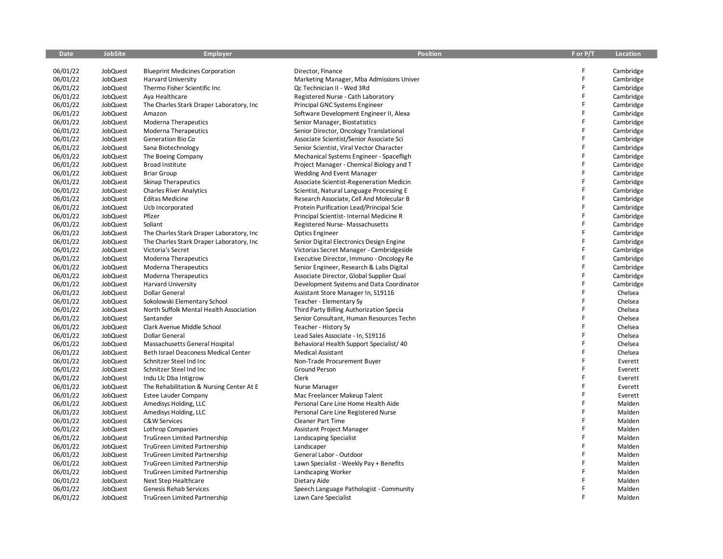| <b>Date</b>          | <b>JobSite</b>       | <b>Employer</b>                                              | <b>Position</b>                                               | F or P/T | Location  |
|----------------------|----------------------|--------------------------------------------------------------|---------------------------------------------------------------|----------|-----------|
|                      |                      |                                                              |                                                               |          |           |
| 06/01/22             | JobQuest             | <b>Blueprint Medicines Corporation</b>                       | Director, Finance                                             | F        | Cambridge |
| 06/01/22             | JobQuest             | <b>Harvard University</b>                                    | Marketing Manager, Mba Admissions Univer                      | F        | Cambridge |
| 06/01/22             | JobQuest             | Thermo Fisher Scientific Inc                                 | Qc Technician II - Wed 3Rd                                    | F        | Cambridge |
| 06/01/22             | JobQuest             | Aya Healthcare                                               | Registered Nurse - Cath Laboratory                            | F        | Cambridge |
| 06/01/22             | JobQuest             | The Charles Stark Draper Laboratory, Inc.                    | Principal GNC Systems Engineer                                | F        | Cambridge |
| 06/01/22             | JobQuest             | Amazon                                                       | Software Development Engineer II, Alexa                       | F        | Cambridge |
| 06/01/22             | JobQuest             | <b>Moderna Therapeutics</b>                                  | Senior Manager, Biostatistics                                 | F        | Cambridge |
| 06/01/22             | JobQuest             | <b>Moderna Therapeutics</b>                                  | Senior Director, Oncology Translational                       | F        | Cambridge |
| 06/01/22             | JobQuest             | Generation Bio Co                                            | Associate Scientist/Senior Associate Sci                      | F        | Cambridge |
| 06/01/22             | JobQuest             | Sana Biotechnology                                           | Senior Scientist, Viral Vector Character                      | F        | Cambridge |
| 06/01/22             | JobQuest             | The Boeing Company                                           | Mechanical Systems Engineer - Spacefligh                      | F        | Cambridge |
| 06/01/22             | JobQuest             | Broad Institute                                              | Project Manager - Chemical Biology and T                      | F        | Cambridge |
| 06/01/22             | JobQuest             | <b>Briar Group</b>                                           | <b>Wedding And Event Manager</b>                              | F        | Cambridge |
| 06/01/22             | JobQuest             | <b>Skinap Therapeutics</b>                                   | Associate Scientist-Regeneration Medicin                      | F        | Cambridge |
| 06/01/22             | JobQuest             | <b>Charles River Analytics</b>                               | Scientist, Natural Language Processing E                      | F        | Cambridge |
| 06/01/22             | JobQuest             | <b>Editas Medicine</b>                                       | Research Associate, Cell And Molecular B                      | F        | Cambridge |
| 06/01/22             | JobQuest             | Ucb Incorporated                                             | Protein Purification Lead/Principal Scie                      | F        | Cambridge |
| 06/01/22             | JobQuest             | Pfizer                                                       | Principal Scientist- Internal Medicine R                      | F        | Cambridge |
| 06/01/22             | JobQuest             | Soliant                                                      | Registered Nurse-Massachusetts                                | F        | Cambridge |
| 06/01/22             | JobQuest             | The Charles Stark Draper Laboratory, Inc.                    | <b>Optics Engineer</b>                                        | F        | Cambridge |
| 06/01/22             | JobQuest             | The Charles Stark Draper Laboratory, Inc.                    | Senior Digital Electronics Design Engine                      | F        | Cambridge |
| 06/01/22             | JobQuest             | Victoria's Secret                                            | Victorias Secret Manager - Cambridgeside                      | F        | Cambridge |
| 06/01/22             | JobQuest             | Moderna Therapeutics                                         | Executive Director, Immuno - Oncology Re                      | F        | Cambridge |
| 06/01/22             | JobQuest             | Moderna Therapeutics                                         | Senior Engineer, Research & Labs Digital                      | F        | Cambridge |
| 06/01/22             | JobQuest             | Moderna Therapeutics                                         | Associate Director, Global Supplier Qual                      | F        | Cambridge |
| 06/01/22             | JobQuest             | <b>Harvard University</b>                                    | Development Systems and Data Coordinator                      | F        | Cambridge |
| 06/01/22             | JobQuest             | Dollar General                                               | Assistant Store Manager In, S19116                            | F        | Chelsea   |
| 06/01/22             | JobQuest             | Sokolowski Elementary School                                 | Teacher - Elementary Sy                                       | F        | Chelsea   |
| 06/01/22             | JobQuest             | North Suffolk Mental Health Association                      | Third Party Billing Authorization Specia                      | F        | Chelsea   |
| 06/01/22             | JobQuest             | Santander                                                    | Senior Consultant, Human Resources Techn                      | F        | Chelsea   |
| 06/01/22             | JobQuest             | Clark Avenue Middle School                                   | Teacher - History Sy                                          | F        | Chelsea   |
| 06/01/22             | JobQuest             | Dollar General                                               | Lead Sales Associate - In, S19116                             | F        | Chelsea   |
| 06/01/22             | JobQuest             | Massachusetts General Hospital                               | Behavioral Health Support Specialist/ 40                      | F        | Chelsea   |
| 06/01/22             | JobQuest             | Beth Israel Deaconess Medical Center                         | <b>Medical Assistant</b>                                      | F        | Chelsea   |
| 06/01/22             | JobQuest             | Schnitzer Steel Ind Inc                                      | Non-Trade Procurement Buyer                                   | F        | Everett   |
| 06/01/22             | JobQuest             | Schnitzer Steel Ind Inc                                      | <b>Ground Person</b>                                          | F        | Everett   |
| 06/01/22             | JobQuest             | Indu Llc Dba Intigrow                                        | <b>Clerk</b>                                                  | F        | Everett   |
| 06/01/22             | JobQuest             | The Rehabilitation & Nursing Center At E                     | Nurse Manager                                                 | F        | Everett   |
| 06/01/22             | JobQuest             | <b>Estee Lauder Company</b>                                  | Mac Freelancer Makeup Talent                                  | F        | Everett   |
| 06/01/22             | JobQuest             | Amedisys Holding, LLC                                        | Personal Care Line Home Health Aide                           | F        | Malden    |
| 06/01/22             | JobQuest             | Amedisys Holding, LLC                                        | Personal Care Line Registered Nurse                           | F        | Malden    |
| 06/01/22             | JobQuest             | C&W Services                                                 | <b>Cleaner Part Time</b>                                      | F        | Malden    |
| 06/01/22             | JobQuest             | <b>Lothrop Companies</b>                                     | Assistant Project Manager                                     | F        | Malden    |
| 06/01/22             | JobQuest             | TruGreen Limited Partnership                                 | Landscaping Specialist                                        | F        | Malden    |
| 06/01/22             | JobQuest             | TruGreen Limited Partnership                                 | Landscaper                                                    | F        | Malden    |
| 06/01/22             | JobQuest             | TruGreen Limited Partnership                                 | General Labor - Outdoor                                       | F        | Malden    |
|                      |                      |                                                              |                                                               | F        | Malden    |
| 06/01/22<br>06/01/22 | JobQuest<br>JobQuest | TruGreen Limited Partnership<br>TruGreen Limited Partnership | Lawn Specialist - Weekly Pay + Benefits<br>Landscaping Worker | F        | Malden    |
|                      |                      |                                                              |                                                               |          |           |
| 06/01/22             | JobQuest             | Next Step Healthcare                                         | Dietary Aide                                                  | F        | Malden    |
| 06/01/22             | JobQuest             | Genesis Rehab Services                                       | Speech Language Pathologist - Community                       | F        | Malden    |
| 06/01/22             | JobQuest             | <b>TruGreen Limited Partnership</b>                          | Lawn Care Specialist                                          |          | Malden    |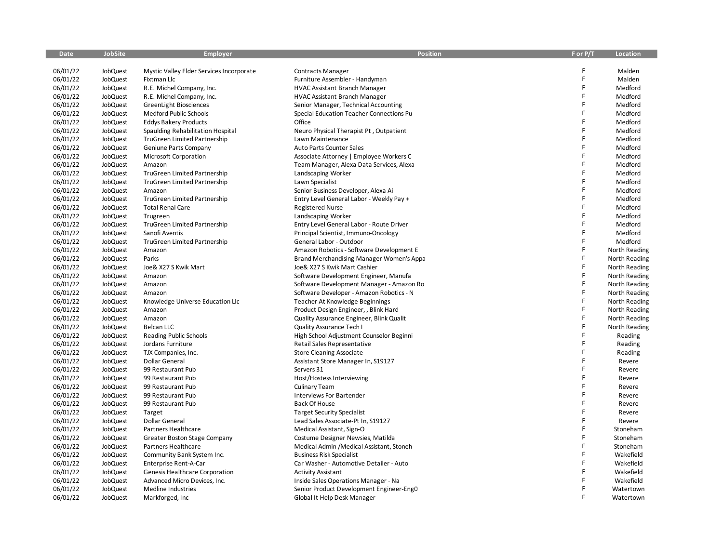| Date                 | JobSite              | <b>Employer</b>                                                   | <b>Position</b>                                                                   | F or P/T     | Location                       |
|----------------------|----------------------|-------------------------------------------------------------------|-----------------------------------------------------------------------------------|--------------|--------------------------------|
|                      |                      |                                                                   |                                                                                   | F            | Malden                         |
| 06/01/22<br>06/01/22 | JobQuest<br>JobQuest | Mystic Valley Elder Services Incorporate<br>Fixtman Llc           | <b>Contracts Manager</b><br>Furniture Assembler - Handyman                        | F            | Malden                         |
| 06/01/22             | JobQuest             | R.E. Michel Company, Inc.                                         | <b>HVAC Assistant Branch Manager</b>                                              | F            | Medford                        |
| 06/01/22             | JobQuest             | R.E. Michel Company, Inc.                                         | <b>HVAC Assistant Branch Manager</b>                                              | F            | Medford                        |
|                      |                      |                                                                   |                                                                                   | F            | Medford                        |
| 06/01/22             | JobQuest             | GreenLight Biosciences                                            | Senior Manager, Technical Accounting                                              | F            | Medford                        |
| 06/01/22<br>06/01/22 | JobQuest             | Medford Public Schools                                            | Special Education Teacher Connections Pu<br>Office                                | F            | Medford                        |
|                      | JobQuest<br>JobQuest | <b>Eddys Bakery Products</b>                                      |                                                                                   | F            | Medford                        |
| 06/01/22<br>06/01/22 | JobQuest             | Spaulding Rehabilitation Hospital<br>TruGreen Limited Partnership | Neuro Physical Therapist Pt, Outpatient<br>Lawn Maintenance                       | F            | Medford                        |
| 06/01/22             | JobQuest             | Geniune Parts Company                                             | Auto Parts Counter Sales                                                          | F            | Medford                        |
| 06/01/22             | JobQuest             | Microsoft Corporation                                             | Associate Attorney   Employee Workers C                                           | F            | Medford                        |
| 06/01/22             | JobQuest             | Amazon                                                            | Team Manager, Alexa Data Services, Alexa                                          | F            | Medford                        |
| 06/01/22             | JobQuest             | TruGreen Limited Partnership                                      | Landscaping Worker                                                                | F            | Medford                        |
| 06/01/22             | JobQuest             | <b>TruGreen Limited Partnership</b>                               | Lawn Specialist                                                                   | $\mathsf{F}$ | Medford                        |
| 06/01/22             | JobQuest             | Amazon                                                            | Senior Business Developer, Alexa Ai                                               | F            | Medford                        |
| 06/01/22             | JobQuest             | <b>TruGreen Limited Partnership</b>                               | Entry Level General Labor - Weekly Pay +                                          | F            | Medford                        |
| 06/01/22             | JobQuest             | <b>Total Renal Care</b>                                           | <b>Registered Nurse</b>                                                           | F            | Medford                        |
| 06/01/22             | JobQuest             | Trugreen                                                          | Landscaping Worker                                                                | F            | Medford                        |
| 06/01/22             | JobQuest             | TruGreen Limited Partnership                                      | Entry Level General Labor - Route Driver                                          | F            | Medford                        |
| 06/01/22             | JobQuest             | Sanofi Aventis                                                    | Principal Scientist, Immuno-Oncology                                              | F            | Medford                        |
| 06/01/22             | JobQuest             | TruGreen Limited Partnership                                      | General Labor - Outdoor                                                           | F            | Medford                        |
| 06/01/22             | JobQuest             | Amazon                                                            | Amazon Robotics - Software Development E                                          | F            | North Reading                  |
| 06/01/22             | JobQuest             | Parks                                                             |                                                                                   | F            |                                |
| 06/01/22             | JobQuest             | Joe& X27 S Kwik Mart                                              | Brand Merchandising Manager Women's Appa<br>Joe& X27 S Kwik Mart Cashier          | F            | North Reading<br>North Reading |
| 06/01/22             | JobQuest             |                                                                   |                                                                                   | F            | North Reading                  |
| 06/01/22             | JobQuest             | Amazon<br>Amazon                                                  | Software Development Engineer, Manufa<br>Software Development Manager - Amazon Ro | F            | North Reading                  |
| 06/01/22             | JobQuest             | Amazon                                                            | Software Developer - Amazon Robotics - N                                          | F            | North Reading                  |
| 06/01/22             | JobQuest             | Knowledge Universe Education Llc                                  | Teacher At Knowledge Beginnings                                                   | F            | North Reading                  |
| 06/01/22             | JobQuest             | Amazon                                                            | Product Design Engineer, , Blink Hard                                             | F            | North Reading                  |
| 06/01/22             | JobQuest             | Amazon                                                            | Quality Assurance Engineer, Blink Qualit                                          | F            | North Reading                  |
| 06/01/22             | JobQuest             | <b>Belcan LLC</b>                                                 | Quality Assurance Tech I                                                          | F            | North Reading                  |
| 06/01/22             | <b>JobQuest</b>      | Reading Public Schools                                            | High School Adjustment Counselor Beginni                                          | F            | Reading                        |
| 06/01/22             | JobQuest             | Jordans Furniture                                                 | Retail Sales Representative                                                       | F            | Reading                        |
| 06/01/22             | JobQuest             | TJX Companies, Inc.                                               | <b>Store Cleaning Associate</b>                                                   | F            | Reading                        |
| 06/01/22             | JobQuest             | Dollar General                                                    | Assistant Store Manager In, S19127                                                | F            | Revere                         |
| 06/01/22             | JobQuest             | 99 Restaurant Pub                                                 | Servers 31                                                                        | F            | Revere                         |
| 06/01/22             | JobQuest             | 99 Restaurant Pub                                                 | Host/Hostess Interviewing                                                         | F            | Revere                         |
| 06/01/22             | JobQuest             | 99 Restaurant Pub                                                 | Culinary Team                                                                     | F            | Revere                         |
| 06/01/22             | JobQuest             | 99 Restaurant Pub                                                 | <b>Interviews For Bartender</b>                                                   | F            | Revere                         |
| 06/01/22             | JobQuest             | 99 Restaurant Pub                                                 | <b>Back Of House</b>                                                              | F            | Revere                         |
| 06/01/22             | JobQuest             | Target                                                            | <b>Target Security Specialist</b>                                                 | F            | Revere                         |
| 06/01/22             | JobQuest             | Dollar General                                                    | Lead Sales Associate-Pt In, S19127                                                | F            | Revere                         |
| 06/01/22             | JobQuest             | Partners Healthcare                                               | Medical Assistant, Sign-O                                                         | F            | Stoneham                       |
| 06/01/22             | JobQuest             | <b>Greater Boston Stage Company</b>                               | Costume Designer Newsies, Matilda                                                 | F            | Stoneham                       |
| 06/01/22             | <b>JobQuest</b>      | Partners Healthcare                                               | Medical Admin / Medical Assistant, Stoneh                                         | F            | Stoneham                       |
| 06/01/22             | JobQuest             | Community Bank System Inc.                                        | <b>Business Risk Specialist</b>                                                   | F            | Wakefield                      |
| 06/01/22             | JobQuest             | Enterprise Rent-A-Car                                             | Car Washer - Automotive Detailer - Auto                                           | F            | Wakefield                      |
| 06/01/22             | JobQuest             | Genesis Healthcare Corporation                                    | <b>Activity Assistant</b>                                                         | F            | Wakefield                      |
| 06/01/22             | <b>JobQuest</b>      | Advanced Micro Devices, Inc.                                      | Inside Sales Operations Manager - Na                                              | F            | Wakefield                      |
| 06/01/22             | JobQuest             | Medline Industries                                                | Senior Product Development Engineer-Eng0                                          | F            | Watertown                      |
| 06/01/22             | JobQuest             | Markforged, Inc                                                   | Global It Help Desk Manager                                                       | F            | Watertown                      |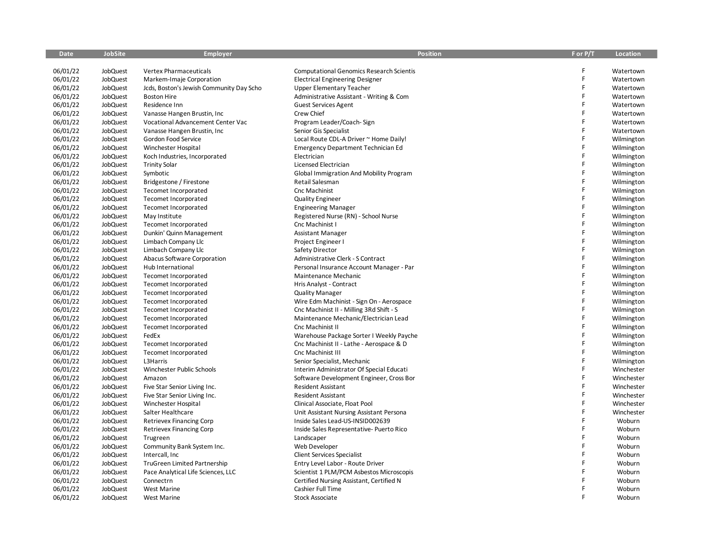| <b>Date</b> | <b>JobSite</b> | <b>Employer</b>                          | <b>Position</b>                                 | F or P/T | Location   |
|-------------|----------------|------------------------------------------|-------------------------------------------------|----------|------------|
|             |                |                                          |                                                 |          |            |
| 06/01/22    | JobQuest       | <b>Vertex Pharmaceuticals</b>            | <b>Computational Genomics Research Scientis</b> | F        | Watertown  |
| 06/01/22    | JobQuest       | Markem-Imaje Corporation                 | <b>Electrical Engineering Designer</b>          | F        | Watertown  |
| 06/01/22    | JobQuest       | Jcds, Boston's Jewish Community Day Scho | <b>Upper Elementary Teacher</b>                 | F        | Watertown  |
| 06/01/22    | JobQuest       | <b>Boston Hire</b>                       | Administrative Assistant - Writing & Com        | F.       | Watertown  |
| 06/01/22    | JobQuest       | Residence Inn                            | <b>Guest Services Agent</b>                     | F        | Watertown  |
| 06/01/22    | JobQuest       | Vanasse Hangen Brustin, Inc.             | Crew Chief                                      | F        | Watertown  |
| 06/01/22    | JobQuest       | Vocational Advancement Center Vac        | Program Leader/Coach-Sign                       | F        | Watertown  |
| 06/01/22    | JobQuest       | Vanasse Hangen Brustin, Inc.             | Senior Gis Specialist                           | F        | Watertown  |
| 06/01/22    | JobQuest       | Gordon Food Service                      | Local Route CDL-A Driver ~ Home Daily!          | F        | Wilmington |
| 06/01/22    | JobQuest       | Winchester Hospital                      | <b>Emergency Department Technician Ed</b>       | F        | Wilmington |
| 06/01/22    | JobQuest       | Koch Industries, Incorporated            | Electrician                                     | F        | Wilmington |
| 06/01/22    | JobQuest       | <b>Trinity Solar</b>                     | Licensed Electrician                            | F        | Wilmington |
| 06/01/22    | JobQuest       | Symbotic                                 | <b>Global Immigration And Mobility Program</b>  | F        | Wilmington |
| 06/01/22    | JobQuest       | Bridgestone / Firestone                  | Retail Salesman                                 | F        | Wilmington |
| 06/01/22    | JobQuest       | Tecomet Incorporated                     | Cnc Machinist                                   | F        | Wilmington |
| 06/01/22    | JobQuest       | Tecomet Incorporated                     | <b>Quality Engineer</b>                         | F        | Wilmington |
| 06/01/22    | JobQuest       | Tecomet Incorporated                     | <b>Engineering Manager</b>                      | F        | Wilmington |
| 06/01/22    | JobQuest       | May Institute                            | Registered Nurse (RN) - School Nurse            | F        | Wilmington |
| 06/01/22    | JobQuest       | Tecomet Incorporated                     | Cnc Machinist I                                 | F        | Wilmington |
| 06/01/22    | JobQuest       | Dunkin' Quinn Management                 | Assistant Manager                               | F        | Wilmington |
| 06/01/22    | JobQuest       | Limbach Company Llc                      | Project Engineer I                              | F        | Wilmington |
| 06/01/22    | JobQuest       | Limbach Company Llc                      | Safety Director                                 | F        | Wilmington |
| 06/01/22    | JobQuest       | Abacus Software Corporation              | Administrative Clerk - S Contract               | F        | Wilmington |
| 06/01/22    | JobQuest       | Hub International                        | Personal Insurance Account Manager - Par        | F        | Wilmington |
| 06/01/22    | JobQuest       | Tecomet Incorporated                     | Maintenance Mechanic                            | F        | Wilmington |
| 06/01/22    | JobQuest       | Tecomet Incorporated                     | Hris Analyst - Contract                         | F        | Wilmington |
| 06/01/22    | JobQuest       | Tecomet Incorporated                     | <b>Quality Manager</b>                          | F        | Wilmington |
| 06/01/22    | JobQuest       | Tecomet Incorporated                     | Wire Edm Machinist - Sign On - Aerospace        | F        | Wilmington |
| 06/01/22    | JobQuest       | Tecomet Incorporated                     | Cnc Machinist II - Milling 3Rd Shift - S        | F        | Wilmington |
| 06/01/22    | JobQuest       | Tecomet Incorporated                     | Maintenance Mechanic/Electrician Lead           | F        | Wilmington |
| 06/01/22    | JobQuest       | Tecomet Incorporated                     | Cnc Machinist II                                | F        | Wilmington |
| 06/01/22    | JobQuest       | FedEx                                    | Warehouse Package Sorter I Weekly Payche        | F        | Wilmington |
| 06/01/22    | JobQuest       | Tecomet Incorporated                     | Cnc Machinist II - Lathe - Aerospace & D        | F        | Wilmington |
| 06/01/22    | JobQuest       | Tecomet Incorporated                     | Cnc Machinist III                               | F        | Wilmington |
| 06/01/22    | JobQuest       | L3Harris                                 | Senior Specialist, Mechanic                     | F        | Wilmington |
| 06/01/22    | JobQuest       | Winchester Public Schools                | Interim Administrator Of Special Educati        | F        | Winchester |
| 06/01/22    | JobQuest       | Amazon                                   | Software Development Engineer, Cross Bor        | F        | Winchester |
| 06/01/22    | JobQuest       | Five Star Senior Living Inc.             | Resident Assistant                              | F        | Winchester |
| 06/01/22    | JobQuest       | Five Star Senior Living Inc.             | <b>Resident Assistant</b>                       | F        | Winchester |
| 06/01/22    | JobQuest       | Winchester Hospital                      | Clinical Associate, Float Pool                  | F        | Winchester |
| 06/01/22    | JobQuest       | Salter Healthcare                        | Unit Assistant Nursing Assistant Persona        | F        | Winchester |
| 06/01/22    | JobQuest       | Retrievex Financing Corp                 | Inside Sales Lead-US-INSID002639                | F.       | Woburn     |
| 06/01/22    | JobQuest       | Retrievex Financing Corp                 | Inside Sales Representative- Puerto Rico        | F        | Woburn     |
| 06/01/22    | JobQuest       | Trugreen                                 | Landscaper                                      | F        | Woburn     |
| 06/01/22    | JobQuest       | Community Bank System Inc.               | Web Developer                                   | F        | Woburn     |
| 06/01/22    | JobQuest       | Intercall, Inc                           | <b>Client Services Specialist</b>               | F        | Woburn     |
| 06/01/22    | JobQuest       | TruGreen Limited Partnership             | Entry Level Labor - Route Driver                | F        | Woburn     |
| 06/01/22    | JobQuest       | Pace Analytical Life Sciences, LLC       | Scientist 1 PLM/PCM Asbestos Microscopis        | F        | Woburn     |
| 06/01/22    | JobQuest       | Connectrn                                | Certified Nursing Assistant, Certified N        |          | Woburn     |
| 06/01/22    | JobQuest       | <b>West Marine</b>                       | Cashier Full Time                               | F        | Woburn     |
| 06/01/22    | JobQuest       | <b>West Marine</b>                       | <b>Stock Associate</b>                          | F        | Woburn     |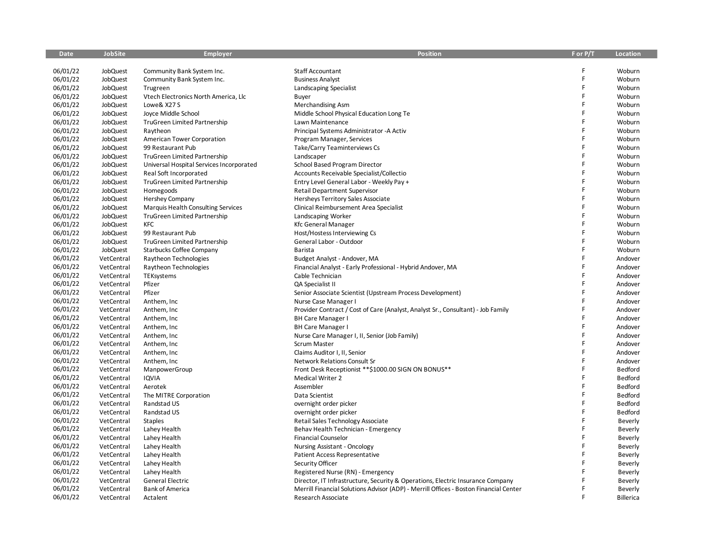| <b>Date</b> | <b>JobSite</b> | <b>Employer</b>                          | <b>Position</b>                                                                       | F or P/T | <b>Location</b>  |
|-------------|----------------|------------------------------------------|---------------------------------------------------------------------------------------|----------|------------------|
|             |                |                                          |                                                                                       |          |                  |
| 06/01/22    | JobQuest       | Community Bank System Inc.               | <b>Staff Accountant</b>                                                               | F        | Woburn           |
| 06/01/22    | JobQuest       | Community Bank System Inc.               | <b>Business Analyst</b>                                                               | F        | Woburn           |
| 06/01/22    | JobQuest       | Trugreen                                 | Landscaping Specialist                                                                | F        | Woburn           |
| 06/01/22    | JobQuest       | Vtech Electronics North America, Llc     | Buyer                                                                                 | F        | Woburn           |
| 06/01/22    | JobQuest       | Lowe& X27 S                              | Merchandising Asm                                                                     | F        | Woburn           |
| 06/01/22    | JobQuest       | Joyce Middle School                      | Middle School Physical Education Long Te                                              | F        | Woburn           |
| 06/01/22    | JobQuest       | TruGreen Limited Partnership             | Lawn Maintenance                                                                      | F        | Woburn           |
| 06/01/22    | JobQuest       | Raytheon                                 | Principal Systems Administrator -A Activ                                              | F        | Woburn           |
| 06/01/22    | JobQuest       | American Tower Corporation               | Program Manager, Services                                                             | F        | Woburn           |
| 06/01/22    | JobQuest       | 99 Restaurant Pub                        | Take/Carry Teaminterviews Cs                                                          | F        | Woburn           |
| 06/01/22    | JobQuest       | TruGreen Limited Partnership             | Landscaper                                                                            | F        | Woburn           |
| 06/01/22    | JobQuest       | Universal Hospital Services Incorporated | School Based Program Director                                                         |          | Woburn           |
| 06/01/22    | JobQuest       | Real Soft Incorporated                   | Accounts Receivable Specialist/Collectio                                              | F        | Woburn           |
| 06/01/22    | JobQuest       | TruGreen Limited Partnership             | Entry Level General Labor - Weekly Pay +                                              | F        | Woburn           |
| 06/01/22    | JobQuest       | Homegoods                                | <b>Retail Department Supervisor</b>                                                   | F        | Woburn           |
| 06/01/22    | JobQuest       | <b>Hershey Company</b>                   | Hersheys Territory Sales Associate                                                    | F        | Woburn           |
| 06/01/22    | JobQuest       | Marquis Health Consulting Services       | Clinical Reimbursement Area Specialist                                                | F        | Woburn           |
| 06/01/22    | JobQuest       | <b>TruGreen Limited Partnership</b>      | Landscaping Worker                                                                    | F        | Woburn           |
| 06/01/22    | JobQuest       | <b>KFC</b>                               | <b>Kfc General Manager</b>                                                            | F        | Woburn           |
| 06/01/22    | JobQuest       | 99 Restaurant Pub                        | Host/Hostess Interviewing Cs                                                          | F        | Woburn           |
| 06/01/22    | JobQuest       | TruGreen Limited Partnership             | General Labor - Outdoor                                                               | F        | Woburn           |
| 06/01/22    | JobQuest       | <b>Starbucks Coffee Company</b>          | Barista                                                                               | F        | Woburn           |
| 06/01/22    | VetCentral     | Raytheon Technologies                    | Budget Analyst - Andover, MA                                                          | F        | Andover          |
| 06/01/22    | VetCentral     | Raytheon Technologies                    | Financial Analyst - Early Professional - Hybrid Andover, MA                           | F        | Andover          |
| 06/01/22    | VetCentral     | TEKsystems                               | Cable Technician                                                                      | F        | Andover          |
| 06/01/22    | VetCentral     | Pfizer                                   | QA Specialist II                                                                      | F        | Andover          |
| 06/01/22    | VetCentral     | Pfizer                                   | Senior Associate Scientist (Upstream Process Development)                             | F        | Andover          |
| 06/01/22    | VetCentral     | Anthem, Inc                              | Nurse Case Manager I                                                                  | Ē        | Andover          |
| 06/01/22    | VetCentral     | Anthem, Inc                              | Provider Contract / Cost of Care (Analyst, Analyst Sr., Consultant) - Job Family      | F        | Andover          |
| 06/01/22    | VetCentral     | Anthem, Inc.                             | <b>BH Care Manager I</b>                                                              | F        | Andover          |
| 06/01/22    | VetCentral     | Anthem, Inc                              | <b>BH Care Manager I</b>                                                              | Ē        | Andover          |
| 06/01/22    | VetCentral     | Anthem, Inc.                             | Nurse Care Manager I, II, Senior (Job Family)                                         | F        | Andover          |
| 06/01/22    | VetCentral     | Anthem, Inc                              | <b>Scrum Master</b>                                                                   | F        | Andover          |
| 06/01/22    | VetCentral     | Anthem, Inc.                             | Claims Auditor I, II, Senior                                                          | F        | Andover          |
| 06/01/22    | VetCentral     | Anthem, Inc                              | Network Relations Consult Sr                                                          | F        | Andover          |
| 06/01/22    | VetCentral     | ManpowerGroup                            | Front Desk Receptionist ** \$1000.00 SIGN ON BONUS**                                  | F        | Bedford          |
| 06/01/22    | VetCentral     | <b>IQVIA</b>                             | <b>Medical Writer 2</b>                                                               | F        | Bedford          |
| 06/01/22    | VetCentral     | Aerotek                                  | Assembler                                                                             | F        | Bedford          |
| 06/01/22    | VetCentral     | The MITRE Corporation                    | Data Scientist                                                                        | F        | Bedford          |
| 06/01/22    | VetCentral     | Randstad US                              | overnight order picker                                                                | F        | Bedford          |
| 06/01/22    | VetCentral     | Randstad US                              | overnight order picker                                                                | F        | Bedford          |
| 06/01/22    | VetCentral     | <b>Staples</b>                           | Retail Sales Technology Associate                                                     | F        | Beverly          |
| 06/01/22    | VetCentral     | Lahey Health                             | Behav Health Technician - Emergency                                                   | F        | Beverly          |
| 06/01/22    | VetCentral     | Lahey Health                             | <b>Financial Counselor</b>                                                            | F        | Beverly          |
| 06/01/22    | VetCentral     | Lahey Health                             | Nursing Assistant - Oncology                                                          | F        | Beverly          |
| 06/01/22    | VetCentral     | Lahey Health                             | Patient Access Representative                                                         | F        | Beverly          |
| 06/01/22    | VetCentral     | Lahey Health                             | Security Officer                                                                      | F        | Beverly          |
| 06/01/22    | VetCentral     | Lahey Health                             | Registered Nurse (RN) - Emergency                                                     |          | Beverly          |
| 06/01/22    | VetCentral     | <b>General Electric</b>                  | Director, IT Infrastructure, Security & Operations, Electric Insurance Company        |          | Beverly          |
| 06/01/22    | VetCentral     | <b>Bank of America</b>                   | Merrill Financial Solutions Advisor (ADP) - Merrill Offices - Boston Financial Center | F        | Beverly          |
| 06/01/22    | VetCentral     | Actalent                                 | Research Associate                                                                    | F        | <b>Billerica</b> |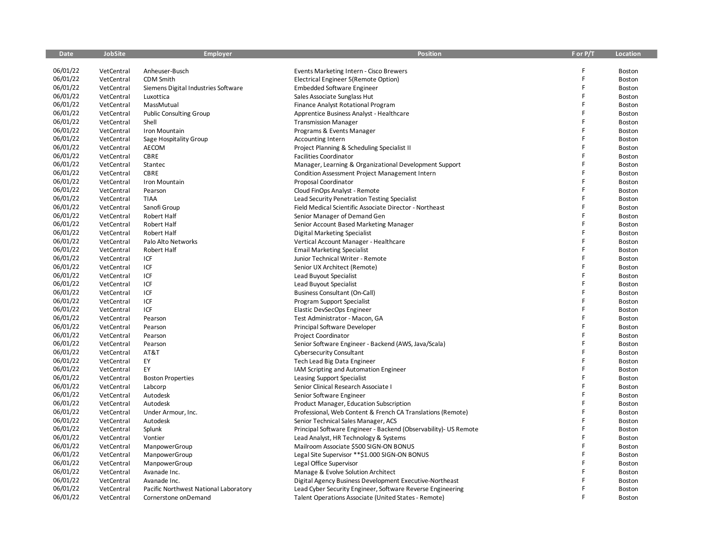| <b>Date</b> | <b>JobSite</b> | <b>Employer</b>                       | <b>Position</b>                                                  | F or P/T | <b>Location</b> |
|-------------|----------------|---------------------------------------|------------------------------------------------------------------|----------|-----------------|
|             |                |                                       |                                                                  |          |                 |
| 06/01/22    | VetCentral     | Anheuser-Busch                        | Events Marketing Intern - Cisco Brewers                          | F        | Boston          |
| 06/01/22    | VetCentral     | CDM Smith                             | Electrical Engineer 5(Remote Option)                             | F        | Boston          |
| 06/01/22    | VetCentral     | Siemens Digital Industries Software   | <b>Embedded Software Engineer</b>                                | F        | Boston          |
| 06/01/22    | VetCentral     | Luxottica                             | Sales Associate Sunglass Hut                                     | F        | Boston          |
| 06/01/22    | VetCentral     | MassMutual                            | Finance Analyst Rotational Program                               | F        | Boston          |
| 06/01/22    | VetCentral     | <b>Public Consulting Group</b>        | Apprentice Business Analyst - Healthcare                         | F        | Boston          |
| 06/01/22    | VetCentral     | Shell                                 | <b>Transmission Manager</b>                                      | F        | Boston          |
| 06/01/22    | VetCentral     | Iron Mountain                         | Programs & Events Manager                                        | F        | Boston          |
| 06/01/22    | VetCentral     | Sage Hospitality Group                | <b>Accounting Intern</b>                                         | F        | Boston          |
| 06/01/22    | VetCentral     | AECOM                                 | Project Planning & Scheduling Specialist II                      | F        | Boston          |
| 06/01/22    | VetCentral     | <b>CBRE</b>                           | <b>Facilities Coordinator</b>                                    | F        | Boston          |
| 06/01/22    | VetCentral     | Stantec                               | Manager, Learning & Organizational Development Support           | F        | Boston          |
| 06/01/22    | VetCentral     | CBRE                                  | <b>Condition Assessment Project Management Intern</b>            | F        | Boston          |
| 06/01/22    | VetCentral     | Iron Mountain                         | Proposal Coordinator                                             | F        | Boston          |
| 06/01/22    | VetCentral     | Pearson                               | Cloud FinOps Analyst - Remote                                    | F        | Boston          |
| 06/01/22    | VetCentral     | <b>TIAA</b>                           | Lead Security Penetration Testing Specialist                     | F        | Boston          |
| 06/01/22    | VetCentral     | Sanofi Group                          | Field Medical Scientific Associate Director - Northeast          | F        | Boston          |
| 06/01/22    | VetCentral     | Robert Half                           | Senior Manager of Demand Gen                                     | F        | Boston          |
| 06/01/22    | VetCentral     | Robert Half                           | Senior Account Based Marketing Manager                           | Ë        | Boston          |
| 06/01/22    | VetCentral     | Robert Half                           | <b>Digital Marketing Specialist</b>                              | F        | Boston          |
| 06/01/22    | VetCentral     | Palo Alto Networks                    | Vertical Account Manager - Healthcare                            | Ë        | Boston          |
| 06/01/22    | VetCentral     | Robert Half                           | <b>Email Marketing Specialist</b>                                | F        | Boston          |
| 06/01/22    | VetCentral     | ICF                                   | Junior Technical Writer - Remote                                 | F        | Boston          |
| 06/01/22    | VetCentral     | ICF                                   | Senior UX Architect (Remote)                                     | F        | Boston          |
| 06/01/22    | VetCentral     | ICF                                   | Lead Buyout Specialist                                           | F        | Boston          |
| 06/01/22    | VetCentral     | ICF                                   | Lead Buyout Specialist                                           | F        | Boston          |
| 06/01/22    | VetCentral     | ICF                                   | <b>Business Consultant (On-Call)</b>                             |          | Boston          |
| 06/01/22    | VetCentral     | ICF                                   | Program Support Specialist                                       | F        | Boston          |
| 06/01/22    | VetCentral     | ICF                                   | Elastic DevSecOps Engineer                                       | Ë        | Boston          |
| 06/01/22    | VetCentral     | Pearson                               | Test Administrator - Macon, GA                                   | F        | Boston          |
| 06/01/22    | VetCentral     | Pearson                               | Principal Software Developer                                     | F        | Boston          |
| 06/01/22    | VetCentral     | Pearson                               | <b>Project Coordinator</b>                                       | F        | Boston          |
| 06/01/22    | VetCentral     | Pearson                               | Senior Software Engineer - Backend (AWS, Java/Scala)             | F        | Boston          |
| 06/01/22    | VetCentral     | AT&T                                  | <b>Cybersecurity Consultant</b>                                  | F        | Boston          |
| 06/01/22    | VetCentral     | EY                                    | Tech Lead Big Data Engineer                                      | F        | Boston          |
| 06/01/22    | VetCentral     | EY                                    | IAM Scripting and Automation Engineer                            | F        | Boston          |
| 06/01/22    | VetCentral     | <b>Boston Properties</b>              | Leasing Support Specialist                                       |          | Boston          |
| 06/01/22    | VetCentral     | Labcorp                               | Senior Clinical Research Associate I                             | F        | Boston          |
| 06/01/22    | VetCentral     | Autodesk                              | Senior Software Engineer                                         | F        | Boston          |
| 06/01/22    | VetCentral     | Autodesk                              | Product Manager, Education Subscription                          | F        | Boston          |
| 06/01/22    | VetCentral     | Under Armour, Inc.                    | Professional, Web Content & French CA Translations (Remote)      | F        | Boston          |
| 06/01/22    | VetCentral     | Autodesk                              | Senior Technical Sales Manager, ACS                              | Ē        | Boston          |
| 06/01/22    | VetCentral     | Splunk                                | Principal Software Engineer - Backend (Observability)- US Remote | F        | Boston          |
| 06/01/22    | VetCentral     | Vontier                               | Lead Analyst, HR Technology & Systems                            | F        | Boston          |
| 06/01/22    | VetCentral     | ManpowerGroup                         | Mailroom Associate \$500 SIGN-ON BONUS                           | F        | Boston          |
| 06/01/22    | VetCentral     | ManpowerGroup                         | Legal Site Supervisor ** \$1.000 SIGN-ON BONUS                   | F        | Boston          |
| 06/01/22    | VetCentral     | ManpowerGroup                         | Legal Office Supervisor                                          | F        | Boston          |
| 06/01/22    | VetCentral     | Avanade Inc.                          | Manage & Evolve Solution Architect                               | F        | Boston          |
| 06/01/22    | VetCentral     | Avanade Inc.                          | Digital Agency Business Development Executive-Northeast          |          | Boston          |
| 06/01/22    | VetCentral     | Pacific Northwest National Laboratory | Lead Cyber Security Engineer, Software Reverse Engineering       | F        | Boston          |
| 06/01/22    | VetCentral     | Cornerstone onDemand                  | Talent Operations Associate (United States - Remote)             | F        | Boston          |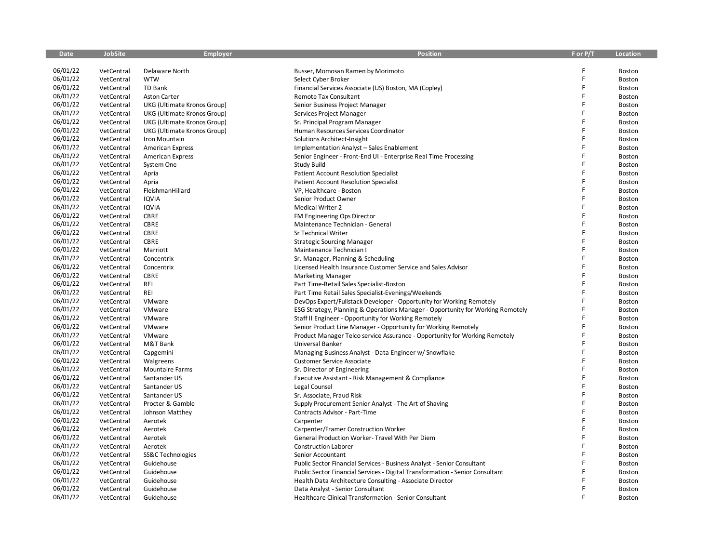| <b>Date</b> | <b>JobSite</b> | <b>Employer</b>             | <b>Position</b>                                                                | F or P/T | <b>Location</b> |
|-------------|----------------|-----------------------------|--------------------------------------------------------------------------------|----------|-----------------|
|             |                |                             |                                                                                |          |                 |
| 06/01/22    | VetCentral     | Delaware North              | Busser, Momosan Ramen by Morimoto                                              |          | Boston          |
| 06/01/22    | VetCentral     | <b>WTW</b>                  | Select Cyber Broker                                                            | F        | Boston          |
| 06/01/22    | VetCentral     | TD Bank                     | Financial Services Associate (US) Boston, MA (Copley)                          | F        | Boston          |
| 06/01/22    | VetCentral     | <b>Aston Carter</b>         | Remote Tax Consultant                                                          | F        | Boston          |
| 06/01/22    | VetCentral     | UKG (Ultimate Kronos Group) | Senior Business Project Manager                                                | F        | Boston          |
| 06/01/22    | VetCentral     | UKG (Ultimate Kronos Group) | Services Project Manager                                                       | F        | Boston          |
| 06/01/22    | VetCentral     | UKG (Ultimate Kronos Group) | Sr. Principal Program Manager                                                  | F        | Boston          |
| 06/01/22    | VetCentral     | UKG (Ultimate Kronos Group) | Human Resources Services Coordinator                                           | F        | Boston          |
| 06/01/22    | VetCentral     | Iron Mountain               | Solutions Architect-Insight                                                    |          | Boston          |
| 06/01/22    | VetCentral     | <b>American Express</b>     | Implementation Analyst - Sales Enablement                                      | F        | Boston          |
| 06/01/22    | VetCentral     | <b>American Express</b>     | Senior Engineer - Front-End UI - Enterprise Real Time Processing               | F        | Boston          |
| 06/01/22    | VetCentral     | System One                  | <b>Study Build</b>                                                             |          | Boston          |
| 06/01/22    | VetCentral     | Apria                       | <b>Patient Account Resolution Specialist</b>                                   | F        | Boston          |
| 06/01/22    | VetCentral     | Apria                       | <b>Patient Account Resolution Specialist</b>                                   | F        | Boston          |
| 06/01/22    | VetCentral     | FleishmanHillard            | VP, Healthcare - Boston                                                        | F        | Boston          |
| 06/01/22    | VetCentral     | <b>IQVIA</b>                | Senior Product Owner                                                           | F        | Boston          |
| 06/01/22    | VetCentral     | <b>IQVIA</b>                | <b>Medical Writer 2</b>                                                        |          | Boston          |
| 06/01/22    | VetCentral     | CBRE                        | FM Engineering Ops Director                                                    | F        | Boston          |
| 06/01/22    | VetCentral     | CBRE                        | Maintenance Technician - General                                               | F        | Boston          |
| 06/01/22    | VetCentral     | CBRE                        | Sr Technical Writer                                                            | F        | Boston          |
| 06/01/22    | VetCentral     | CBRE                        | <b>Strategic Sourcing Manager</b>                                              | F        | Boston          |
| 06/01/22    | VetCentral     | Marriott                    | Maintenance Technician I                                                       |          | Boston          |
| 06/01/22    | VetCentral     | Concentrix                  | Sr. Manager, Planning & Scheduling                                             | F        | Boston          |
| 06/01/22    | VetCentral     | Concentrix                  | Licensed Health Insurance Customer Service and Sales Advisor                   | F        | Boston          |
| 06/01/22    | VetCentral     | <b>CBRE</b>                 | <b>Marketing Manager</b>                                                       | Ē        | Boston          |
| 06/01/22    | VetCentral     | REI                         | Part Time-Retail Sales Specialist-Boston                                       |          | Boston          |
| 06/01/22    | VetCentral     | REI                         | Part Time Retail Sales Specialist-Evenings/Weekends                            | F        | Boston          |
| 06/01/22    | VetCentral     | VMware                      | DevOps Expert/Fullstack Developer - Opportunity for Working Remotely           |          | Boston          |
| 06/01/22    | VetCentral     | VMware                      | ESG Strategy, Planning & Operations Manager - Opportunity for Working Remotely |          | Boston          |
| 06/01/22    | VetCentral     | VMware                      | Staff II Engineer - Opportunity for Working Remotely                           | F        | Boston          |
| 06/01/22    | VetCentral     | VMware                      | Senior Product Line Manager - Opportunity for Working Remotely                 |          | Boston          |
| 06/01/22    | VetCentral     | VMware                      | Product Manager Telco service Assurance - Opportunity for Working Remotely     | F        | Boston          |
| 06/01/22    | VetCentral     | M&T Bank                    | Universal Banker                                                               | Ē        | Boston          |
| 06/01/22    | VetCentral     | Capgemini                   | Managing Business Analyst - Data Engineer w/ Snowflake                         | F        | Boston          |
| 06/01/22    | VetCentral     | Walgreens                   | <b>Customer Service Associate</b>                                              | F        | Boston          |
| 06/01/22    | VetCentral     | <b>Mountaire Farms</b>      | Sr. Director of Engineering                                                    | F        | Boston          |
| 06/01/22    | VetCentral     | Santander US                | Executive Assistant - Risk Management & Compliance                             | F        | Boston          |
| 06/01/22    | VetCentral     | Santander US                | Legal Counsel                                                                  |          | Boston          |
| 06/01/22    | VetCentral     | Santander US                | Sr. Associate, Fraud Risk                                                      | F        | Boston          |
| 06/01/22    | VetCentral     | Procter & Gamble            | Supply Procurement Senior Analyst - The Art of Shaving                         | F        | Boston          |
| 06/01/22    | VetCentral     | Johnson Matthey             | Contracts Advisor - Part-Time                                                  |          | Boston          |
| 06/01/22    | VetCentral     | Aerotek                     | Carpenter                                                                      |          | Boston          |
| 06/01/22    | VetCentral     | Aerotek                     | Carpenter/Framer Construction Worker                                           | F        | Boston          |
| 06/01/22    | VetCentral     | Aerotek                     | General Production Worker-Travel With Per Diem                                 |          | Boston          |
| 06/01/22    | VetCentral     | Aerotek                     | <b>Construction Laborer</b>                                                    | F        | Boston          |
| 06/01/22    | VetCentral     | SS&C Technologies           | Senior Accountant                                                              | F        | Boston          |
| 06/01/22    | VetCentral     | Guidehouse                  | Public Sector Financial Services - Business Analyst - Senior Consultant        | F        | Boston          |
| 06/01/22    | VetCentral     | Guidehouse                  | Public Sector Financial Services - Digital Transformation - Senior Consultant  |          | Boston          |
| 06/01/22    | VetCentral     | Guidehouse                  | Health Data Architecture Consulting - Associate Director                       |          | Boston          |
| 06/01/22    | VetCentral     | Guidehouse                  | Data Analyst - Senior Consultant                                               | F        | Boston          |
| 06/01/22    | VetCentral     | Guidehouse                  | Healthcare Clinical Transformation - Senior Consultant                         | F        | Boston          |
|             |                |                             |                                                                                |          |                 |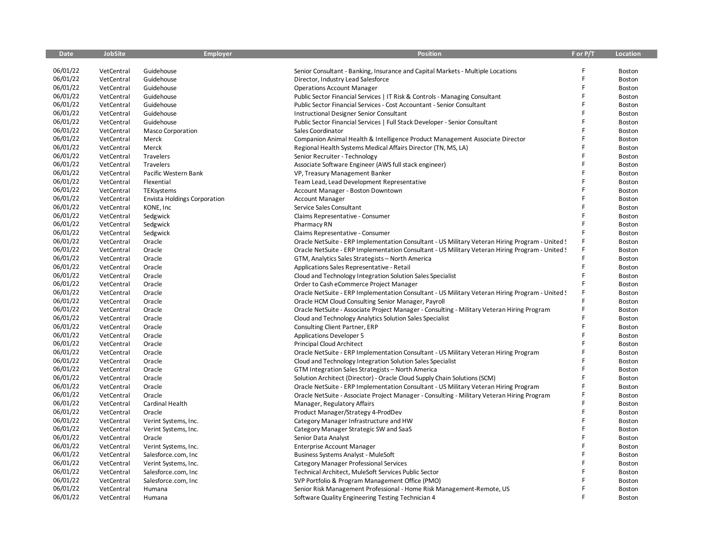| <b>Date</b> | <b>JobSite</b> | <b>Employer</b>                     | <b>Position</b>                                                                                 | F or P/T | Location      |
|-------------|----------------|-------------------------------------|-------------------------------------------------------------------------------------------------|----------|---------------|
|             |                |                                     |                                                                                                 |          |               |
| 06/01/22    | VetCentral     | Guidehouse                          | Senior Consultant - Banking, Insurance and Capital Markets - Multiple Locations                 |          | Boston        |
| 06/01/22    | VetCentral     | Guidehouse                          | Director, Industry Lead Salesforce                                                              | Ē        | Boston        |
| 06/01/22    | VetCentral     | Guidehouse                          | <b>Operations Account Manager</b>                                                               | F        | Boston        |
| 06/01/22    | VetCentral     | Guidehouse                          | Public Sector Financial Services   IT Risk & Controls - Managing Consultant                     | F        | Boston        |
| 06/01/22    | VetCentral     | Guidehouse                          | Public Sector Financial Services - Cost Accountant - Senior Consultant                          | F        | Boston        |
| 06/01/22    | VetCentral     | Guidehouse                          | <b>Instructional Designer Senior Consultant</b>                                                 |          | Boston        |
| 06/01/22    | VetCentral     | Guidehouse                          | Public Sector Financial Services   Full Stack Developer - Senior Consultant                     |          | Boston        |
| 06/01/22    | VetCentral     | <b>Masco Corporation</b>            | Sales Coordinator                                                                               | F        | Boston        |
| 06/01/22    | VetCentral     | Merck                               | Companion Animal Health & Intelligence Product Management Associate Director                    |          | Boston        |
| 06/01/22    | VetCentral     | Merck                               | Regional Health Systems Medical Affairs Director (TN, MS, LA)                                   |          | Boston        |
| 06/01/22    | VetCentral     | Travelers                           | Senior Recruiter - Technology                                                                   | F        | Boston        |
| 06/01/22    | VetCentral     | Travelers                           | Associate Software Engineer (AWS full stack engineer)                                           | F        | Boston        |
| 06/01/22    | VetCentral     | Pacific Western Bank                | VP, Treasury Management Banker                                                                  | F        | Boston        |
| 06/01/22    | VetCentral     | Flexential                          | Team Lead, Lead Development Representative                                                      | Ē        | Boston        |
| 06/01/22    | VetCentral     | TEKsystems                          | Account Manager - Boston Downtown                                                               |          | Boston        |
| 06/01/22    | VetCentral     | <b>Envista Holdings Corporation</b> | <b>Account Manager</b>                                                                          | F        | Boston        |
| 06/01/22    | VetCentral     | KONE, Inc                           | Service Sales Consultant                                                                        |          | Boston        |
| 06/01/22    | VetCentral     | Sedgwick                            | Claims Representative - Consumer                                                                | F        | Boston        |
| 06/01/22    | VetCentral     | Sedgwick                            | Pharmacy RN                                                                                     |          | Boston        |
| 06/01/22    | VetCentral     | Sedgwick                            | Claims Representative - Consumer                                                                |          | Boston        |
| 06/01/22    | VetCentral     | Oracle                              | Oracle NetSuite - ERP Implementation Consultant - US Military Veteran Hiring Program - United S |          | Boston        |
| 06/01/22    | VetCentral     | Oracle                              | Oracle NetSuite - ERP Implementation Consultant - US Military Veteran Hiring Program - United 9 |          | Boston        |
| 06/01/22    | VetCentral     | Oracle                              | GTM, Analytics Sales Strategists - North America                                                | F        | Boston        |
| 06/01/22    | VetCentral     | Oracle                              | Applications Sales Representative - Retail                                                      | Ë        | Boston        |
| 06/01/22    | VetCentral     | Oracle                              | Cloud and Technology Integration Solution Sales Specialist                                      | F        | Boston        |
| 06/01/22    | VetCentral     | Oracle                              | Order to Cash eCommerce Project Manager                                                         | E        | Boston        |
| 06/01/22    | VetCentral     | Oracle                              | Oracle NetSuite - ERP Implementation Consultant - US Military Veteran Hiring Program - United S |          | Boston        |
| 06/01/22    | VetCentral     | Oracle                              | Oracle HCM Cloud Consulting Senior Manager, Payroll                                             |          | Boston        |
| 06/01/22    | VetCentral     | Oracle                              | Oracle NetSuite - Associate Project Manager - Consulting - Military Veteran Hiring Program      | F        | Boston        |
| 06/01/22    | VetCentral     | Oracle                              | Cloud and Technology Analytics Solution Sales Specialist                                        |          | Boston        |
| 06/01/22    | VetCentral     | Oracle                              | Consulting Client Partner, ERP                                                                  |          | Boston        |
| 06/01/22    | VetCentral     | Oracle                              | <b>Applications Developer 5</b>                                                                 |          | Boston        |
| 06/01/22    | VetCentral     | Oracle                              | <b>Principal Cloud Architect</b>                                                                |          | Boston        |
| 06/01/22    | VetCentral     | Oracle                              | Oracle NetSuite - ERP Implementation Consultant - US Military Veteran Hiring Program            |          | Boston        |
| 06/01/22    | VetCentral     | Oracle                              | Cloud and Technology Integration Solution Sales Specialist                                      |          | Boston        |
| 06/01/22    | VetCentral     | Oracle                              | GTM Integration Sales Strategists - North America                                               | E        | Boston        |
| 06/01/22    | VetCentral     | Oracle                              | Solution Architect (Director) - Oracle Cloud Supply Chain Solutions (SCM)                       |          | Boston        |
| 06/01/22    | VetCentral     | Oracle                              | Oracle NetSuite - ERP Implementation Consultant - US Military Veteran Hiring Program            |          | Boston        |
| 06/01/22    | VetCentral     | Oracle                              | Oracle NetSuite - Associate Project Manager - Consulting - Military Veteran Hiring Program      |          | Boston        |
| 06/01/22    | VetCentral     | Cardinal Health                     | Manager, Regulatory Affairs                                                                     |          | Boston        |
| 06/01/22    | VetCentral     | Oracle                              | Product Manager/Strategy 4-ProdDev                                                              | F        | Boston        |
| 06/01/22    | VetCentral     | Verint Systems, Inc.                | Category Manager Infrastructure and HW                                                          | F        | Boston        |
| 06/01/22    | VetCentral     | Verint Systems, Inc.                | Category Manager Strategic SW and SaaS                                                          | F        | Boston        |
| 06/01/22    | VetCentral     | Oracle                              | Senior Data Analyst                                                                             |          | Boston        |
| 06/01/22    | VetCentral     | Verint Systems, Inc.                | <b>Enterprise Account Manager</b>                                                               | F        | <b>Boston</b> |
| 06/01/22    | VetCentral     | Salesforce.com, Inc                 | <b>Business Systems Analyst - MuleSoft</b>                                                      | F        | <b>Boston</b> |
| 06/01/22    | VetCentral     | Verint Systems, Inc.                | <b>Category Manager Professional Services</b>                                                   | F        | Boston        |
| 06/01/22    | VetCentral     | Salesforce.com, Inc                 | Technical Architect, MuleSoft Services Public Sector                                            |          | <b>Boston</b> |
| 06/01/22    | VetCentral     | Salesforce.com, Inc                 | SVP Portfolio & Program Management Office (PMO)                                                 |          | Boston        |
| 06/01/22    | VetCentral     | Humana                              | Senior Risk Management Professional - Home Risk Management-Remote, US                           |          | <b>Boston</b> |
| 06/01/22    | VetCentral     | Humana                              | Software Quality Engineering Testing Technician 4                                               | F        | Boston        |
|             |                |                                     |                                                                                                 |          |               |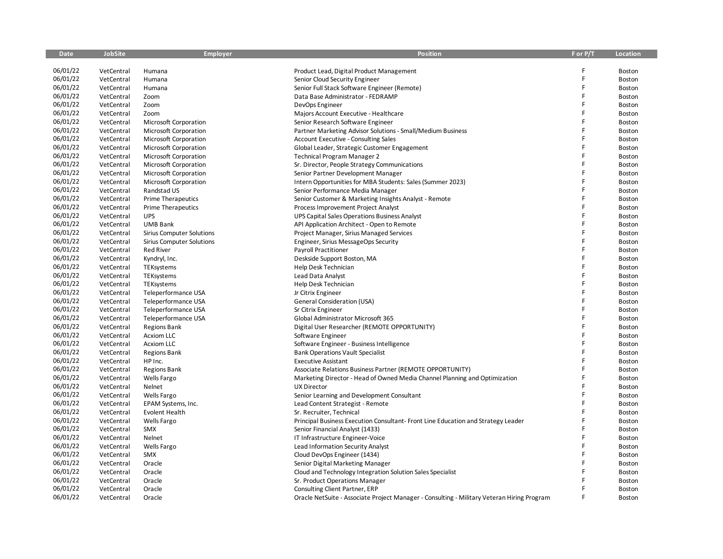| <b>Date</b> | <b>JobSite</b> | Employer                         | <b>Position</b>                                                                            | F or P/T | <b>Location</b> |
|-------------|----------------|----------------------------------|--------------------------------------------------------------------------------------------|----------|-----------------|
|             |                |                                  |                                                                                            |          |                 |
| 06/01/22    | VetCentral     | Humana                           | Product Lead, Digital Product Management                                                   | F        | Boston          |
| 06/01/22    | VetCentral     | Humana                           | Senior Cloud Security Engineer                                                             | F        | Boston          |
| 06/01/22    | VetCentral     | Humana                           | Senior Full Stack Software Engineer (Remote)                                               | F        | Boston          |
| 06/01/22    | VetCentral     | Zoom                             | Data Base Administrator - FEDRAMP                                                          | F        | <b>Boston</b>   |
| 06/01/22    | VetCentral     | Zoom                             | DevOps Engineer                                                                            | F        | Boston          |
| 06/01/22    | VetCentral     | Zoom                             | Majors Account Executive - Healthcare                                                      | F        | Boston          |
| 06/01/22    | VetCentral     | <b>Microsoft Corporation</b>     | Senior Research Software Engineer                                                          | F        | Boston          |
| 06/01/22    | VetCentral     | <b>Microsoft Corporation</b>     | Partner Marketing Advisor Solutions - Small/Medium Business                                | F        | Boston          |
| 06/01/22    | VetCentral     | Microsoft Corporation            | <b>Account Executive - Consulting Sales</b>                                                | F        | Boston          |
| 06/01/22    | VetCentral     | Microsoft Corporation            | Global Leader, Strategic Customer Engagement                                               | F        | Boston          |
| 06/01/22    | VetCentral     | Microsoft Corporation            | Technical Program Manager 2                                                                | F        | Boston          |
| 06/01/22    | VetCentral     | Microsoft Corporation            | Sr. Director, People Strategy Communications                                               |          | Boston          |
| 06/01/22    | VetCentral     | Microsoft Corporation            | Senior Partner Development Manager                                                         | F        | Boston          |
| 06/01/22    | VetCentral     | Microsoft Corporation            | Intern Opportunities for MBA Students: Sales (Summer 2023)                                 | F        | Boston          |
| 06/01/22    | VetCentral     | Randstad US                      | Senior Performance Media Manager                                                           | F        | Boston          |
| 06/01/22    | VetCentral     | <b>Prime Therapeutics</b>        | Senior Customer & Marketing Insights Analyst - Remote                                      | F        | Boston          |
| 06/01/22    | VetCentral     | <b>Prime Therapeutics</b>        | Process Improvement Project Analyst                                                        | F        | Boston          |
| 06/01/22    | VetCentral     | <b>UPS</b>                       | UPS Capital Sales Operations Business Analyst                                              | F        | Boston          |
| 06/01/22    | VetCentral     | <b>UMB Bank</b>                  | API Application Architect - Open to Remote                                                 | F        | Boston          |
| 06/01/22    | VetCentral     | <b>Sirius Computer Solutions</b> | Project Manager, Sirius Managed Services                                                   | F        | Boston          |
| 06/01/22    | VetCentral     | <b>Sirius Computer Solutions</b> | Engineer, Sirius MessageOps Security                                                       | F        | Boston          |
| 06/01/22    | VetCentral     | <b>Red River</b>                 | Payroll Practitioner                                                                       | F        | Boston          |
| 06/01/22    | VetCentral     | Kyndryl, Inc.                    | Deskside Support Boston, MA                                                                | F        | Boston          |
| 06/01/22    | VetCentral     | TEKsystems                       | Help Desk Technician                                                                       | F        | Boston          |
| 06/01/22    | VetCentral     | TEKsystems                       | Lead Data Analyst                                                                          | F        | Boston          |
| 06/01/22    | VetCentral     | TEKsystems                       | Help Desk Technician                                                                       | F        | <b>Boston</b>   |
| 06/01/22    | VetCentral     | Teleperformance USA              | Jr Citrix Engineer                                                                         | F        | Boston          |
| 06/01/22    | VetCentral     | Teleperformance USA              | General Consideration (USA)                                                                | F        | Boston          |
| 06/01/22    | VetCentral     | Teleperformance USA              | Sr Citrix Engineer                                                                         | F        | Boston          |
| 06/01/22    | VetCentral     | Teleperformance USA              | Global Administrator Microsoft 365                                                         | F        | Boston          |
| 06/01/22    | VetCentral     | <b>Regions Bank</b>              | Digital User Researcher (REMOTE OPPORTUNITY)                                               | Ē        | Boston          |
| 06/01/22    | VetCentral     | <b>Acxiom LLC</b>                | Software Engineer                                                                          | F        | Boston          |
| 06/01/22    | VetCentral     | <b>Acxiom LLC</b>                | Software Engineer - Business Intelligence                                                  | F        | Boston          |
| 06/01/22    | VetCentral     | <b>Regions Bank</b>              | <b>Bank Operations Vault Specialist</b>                                                    | F        | Boston          |
| 06/01/22    | VetCentral     | HP Inc.                          | <b>Executive Assistant</b>                                                                 | F        | Boston          |
| 06/01/22    | VetCentral     | <b>Regions Bank</b>              | Associate Relations Business Partner (REMOTE OPPORTUNITY)                                  | F        | Boston          |
| 06/01/22    | VetCentral     | Wells Fargo                      | Marketing Director - Head of Owned Media Channel Planning and Optimization                 | F        | Boston          |
| 06/01/22    | VetCentral     | Nelnet                           | <b>UX Director</b>                                                                         | Ē        | Boston          |
| 06/01/22    | VetCentral     | Wells Fargo                      | Senior Learning and Development Consultant                                                 |          | Boston          |
| 06/01/22    | VetCentral     | EPAM Systems, Inc.               | Lead Content Strategist - Remote                                                           | F        | Boston          |
| 06/01/22    | VetCentral     | <b>Evolent Health</b>            | Sr. Recruiter, Technical                                                                   | F        | Boston          |
| 06/01/22    | VetCentral     | Wells Fargo                      | Principal Business Execution Consultant-Front Line Education and Strategy Leader           | F        | Boston          |
| 06/01/22    | VetCentral     | SMX                              | Senior Financial Analyst (1433)                                                            | F        | Boston          |
| 06/01/22    | VetCentral     | Nelnet                           | IT Infrastructure Engineer-Voice                                                           | F        | Boston          |
| 06/01/22    | VetCentral     | Wells Fargo                      | Lead Information Security Analyst                                                          | F        | Boston          |
| 06/01/22    | VetCentral     | <b>SMX</b>                       | Cloud DevOps Engineer (1434)                                                               | F        | Boston          |
| 06/01/22    | VetCentral     | Oracle                           | Senior Digital Marketing Manager                                                           | F        | Boston          |
| 06/01/22    | VetCentral     | Oracle                           | Cloud and Technology Integration Solution Sales Specialist                                 |          | Boston          |
| 06/01/22    | VetCentral     | Oracle                           | Sr. Product Operations Manager                                                             |          | Boston          |
| 06/01/22    | VetCentral     | Oracle                           | Consulting Client Partner, ERP                                                             |          | Boston          |
| 06/01/22    | VetCentral     | Oracle                           | Oracle NetSuite - Associate Project Manager - Consulting - Military Veteran Hiring Program |          | Boston          |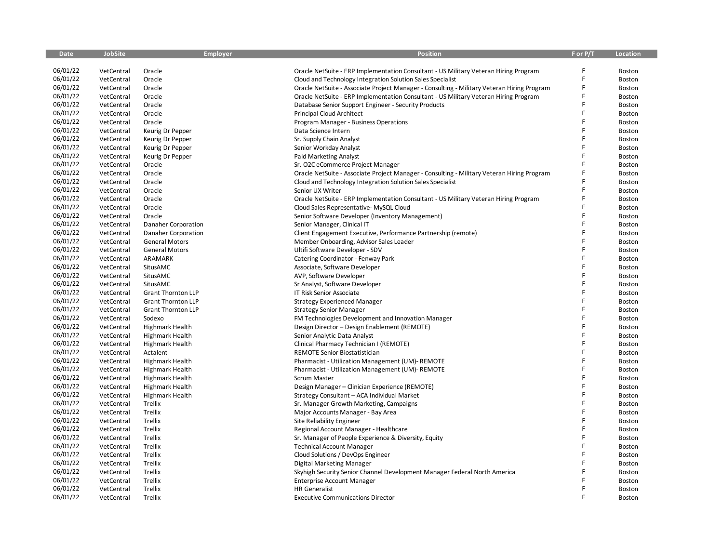| <b>Date</b> | <b>JobSite</b> | <b>Employer</b>           | <b>Position</b>                                                                            | F or P/T | Location |
|-------------|----------------|---------------------------|--------------------------------------------------------------------------------------------|----------|----------|
|             |                |                           |                                                                                            |          |          |
| 06/01/22    | VetCentral     | Oracle                    | Oracle NetSuite - ERP Implementation Consultant - US Military Veteran Hiring Program       |          | Boston   |
| 06/01/22    | VetCentral     | Oracle                    | Cloud and Technology Integration Solution Sales Specialist                                 |          | Boston   |
| 06/01/22    | VetCentral     | Oracle                    | Oracle NetSuite - Associate Project Manager - Consulting - Military Veteran Hiring Program | F        | Boston   |
| 06/01/22    | VetCentral     | Oracle                    | Oracle NetSuite - ERP Implementation Consultant - US Military Veteran Hiring Program       | F        | Boston   |
| 06/01/22    | VetCentral     | Oracle                    | Database Senior Support Engineer - Security Products                                       |          | Boston   |
| 06/01/22    | VetCentral     | Oracle                    | Principal Cloud Architect                                                                  | Ē        | Boston   |
| 06/01/22    | VetCentral     | Oracle                    | Program Manager - Business Operations                                                      | F        | Boston   |
| 06/01/22    | VetCentral     | Keurig Dr Pepper          | Data Science Intern                                                                        | F        | Boston   |
| 06/01/22    | VetCentral     | Keurig Dr Pepper          | Sr. Supply Chain Analyst                                                                   | F        | Boston   |
| 06/01/22    | VetCentral     | Keurig Dr Pepper          | Senior Workday Analyst                                                                     | F        | Boston   |
| 06/01/22    | VetCentral     | Keurig Dr Pepper          | Paid Marketing Analyst                                                                     | F        | Boston   |
| 06/01/22    | VetCentral     | Oracle                    | Sr. O2C eCommerce Project Manager                                                          |          | Boston   |
| 06/01/22    | VetCentral     | Oracle                    | Oracle NetSuite - Associate Project Manager - Consulting - Military Veteran Hiring Program | F        | Boston   |
| 06/01/22    | VetCentral     | Oracle                    | Cloud and Technology Integration Solution Sales Specialist                                 | F        | Boston   |
| 06/01/22    | VetCentral     | Oracle                    | Senior UX Writer                                                                           | F        | Boston   |
| 06/01/22    | VetCentral     | Oracle                    | Oracle NetSuite - ERP Implementation Consultant - US Military Veteran Hiring Program       | F        | Boston   |
| 06/01/22    | VetCentral     | Oracle                    | Cloud Sales Representative- MySQL Cloud                                                    |          | Boston   |
| 06/01/22    | VetCentral     | Oracle                    | Senior Software Developer (Inventory Management)                                           | Ē        | Boston   |
| 06/01/22    | VetCentral     | Danaher Corporation       | Senior Manager, Clinical IT                                                                | F        | Boston   |
| 06/01/22    | VetCentral     | Danaher Corporation       | Client Engagement Executive, Performance Partnership (remote)                              | F        | Boston   |
| 06/01/22    | VetCentral     | <b>General Motors</b>     | Member Onboarding, Advisor Sales Leader                                                    | F        | Boston   |
| 06/01/22    | VetCentral     | <b>General Motors</b>     | Ultifi Software Developer - SDV                                                            |          | Boston   |
| 06/01/22    | VetCentral     | ARAMARK                   | Catering Coordinator - Fenway Park                                                         | F        | Boston   |
| 06/01/22    | VetCentral     | SitusAMC                  | Associate, Software Developer                                                              | F        | Boston   |
| 06/01/22    | VetCentral     | SitusAMC                  | AVP, Software Developer                                                                    | F        | Boston   |
| 06/01/22    | VetCentral     | SitusAMC                  | Sr Analyst, Software Developer                                                             | F        | Boston   |
| 06/01/22    | VetCentral     | <b>Grant Thornton LLP</b> | IT Risk Senior Associate                                                                   | F        | Boston   |
| 06/01/22    | VetCentral     | <b>Grant Thornton LLP</b> | Strategy Experienced Manager                                                               | Ë        | Boston   |
| 06/01/22    | VetCentral     | <b>Grant Thornton LLP</b> | <b>Strategy Senior Manager</b>                                                             | F        | Boston   |
| 06/01/22    | VetCentral     | Sodexo                    | FM Technologies Development and Innovation Manager                                         | F        | Boston   |
| 06/01/22    | VetCentral     | <b>Highmark Health</b>    | Design Director - Design Enablement (REMOTE)                                               | F        | Boston   |
| 06/01/22    | VetCentral     | Highmark Health           | Senior Analytic Data Analyst                                                               | F        | Boston   |
| 06/01/22    | VetCentral     | Highmark Health           | Clinical Pharmacy Technician I (REMOTE)                                                    | F        | Boston   |
| 06/01/22    | VetCentral     | Actalent                  | REMOTE Senior Biostatistician                                                              | F        | Boston   |
| 06/01/22    | VetCentral     | Highmark Health           | Pharmacist - Utilization Management (UM)- REMOTE                                           | Ë        | Boston   |
| 06/01/22    | VetCentral     | Highmark Health           | Pharmacist - Utilization Management (UM)- REMOTE                                           | F        | Boston   |
| 06/01/22    | VetCentral     | Highmark Health           | <b>Scrum Master</b>                                                                        | F        | Boston   |
| 06/01/22    | VetCentral     | Highmark Health           | Design Manager - Clinician Experience (REMOTE)                                             | F        | Boston   |
| 06/01/22    | VetCentral     | <b>Highmark Health</b>    | Strategy Consultant - ACA Individual Market                                                | F        | Boston   |
| 06/01/22    | VetCentral     | Trellix                   | Sr. Manager Growth Marketing, Campaigns                                                    | F        | Boston   |
| 06/01/22    | VetCentral     | Trellix                   | Major Accounts Manager - Bay Area                                                          | F        | Boston   |
| 06/01/22    | VetCentral     | Trellix                   | Site Reliability Engineer                                                                  | F        | Boston   |
| 06/01/22    | VetCentral     | Trellix                   | Regional Account Manager - Healthcare                                                      | F        | Boston   |
| 06/01/22    | VetCentral     | Trellix                   | Sr. Manager of People Experience & Diversity, Equity                                       |          | Boston   |
| 06/01/22    | VetCentral     | Trellix                   | <b>Technical Account Manager</b>                                                           | F        | Boston   |
| 06/01/22    | VetCentral     | Trellix                   | Cloud Solutions / DevOps Engineer                                                          | F        | Boston   |
| 06/01/22    | VetCentral     | Trellix                   | Digital Marketing Manager                                                                  | F        | Boston   |
| 06/01/22    | VetCentral     | Trellix                   | Skyhigh Security Senior Channel Development Manager Federal North America                  |          | Boston   |
| 06/01/22    | VetCentral     | Trellix                   | <b>Enterprise Account Manager</b>                                                          |          | Boston   |
| 06/01/22    | VetCentral     | Trellix                   | <b>HR</b> Generalist                                                                       | F        | Boston   |
| 06/01/22    | VetCentral     | Trellix                   | <b>Executive Communications Director</b>                                                   | F        | Boston   |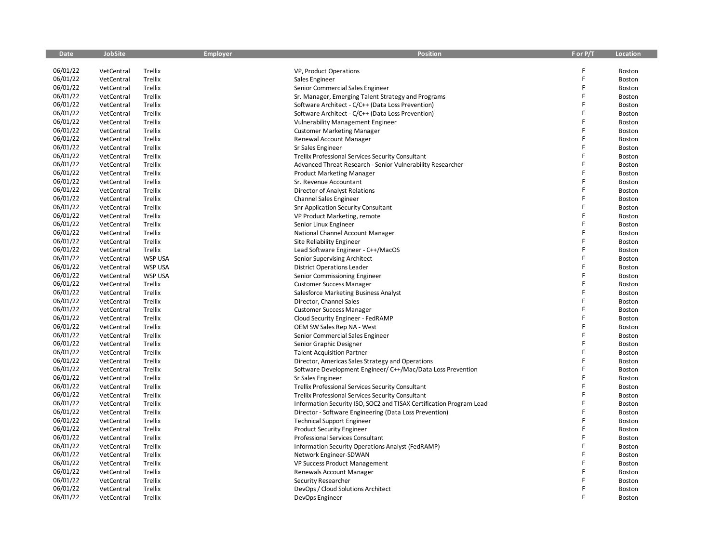| <b>Date</b> | <b>JobSite</b> | <b>Employer</b> | <b>Position</b>                                                     | F or P/T | Location |
|-------------|----------------|-----------------|---------------------------------------------------------------------|----------|----------|
|             |                |                 |                                                                     |          |          |
| 06/01/22    | VetCentral     | Trellix         | VP, Product Operations                                              |          | Boston   |
| 06/01/22    | VetCentral     | Trellix         | Sales Engineer                                                      | F        | Boston   |
| 06/01/22    | VetCentral     | Trellix         | Senior Commercial Sales Engineer                                    | F        | Boston   |
| 06/01/22    | VetCentral     | Trellix         | Sr. Manager, Emerging Talent Strategy and Programs                  | F        | Boston   |
| 06/01/22    | VetCentral     | Trellix         | Software Architect - C/C++ (Data Loss Prevention)                   |          | Boston   |
| 06/01/22    | VetCentral     | Trellix         | Software Architect - C/C++ (Data Loss Prevention)                   |          | Boston   |
| 06/01/22    | VetCentral     | Trellix         | <b>Vulnerability Management Engineer</b>                            |          | Boston   |
| 06/01/22    | VetCentral     | Trellix         | <b>Customer Marketing Manager</b>                                   | F        | Boston   |
| 06/01/22    | VetCentral     | Trellix         | Renewal Account Manager                                             |          | Boston   |
| 06/01/22    | VetCentral     | Trellix         | Sr Sales Engineer                                                   | F        | Boston   |
| 06/01/22    | VetCentral     | Trellix         | Trellix Professional Services Security Consultant                   | F        | Boston   |
| 06/01/22    | VetCentral     | Trellix         | Advanced Threat Research - Senior Vulnerability Researcher          |          | Boston   |
| 06/01/22    | VetCentral     | Trellix         | <b>Product Marketing Manager</b>                                    | F        | Boston   |
| 06/01/22    | VetCentral     | Trellix         | Sr. Revenue Accountant                                              |          | Boston   |
| 06/01/22    | VetCentral     | Trellix         | Director of Analyst Relations                                       |          | Boston   |
| 06/01/22    | VetCentral     | Trellix         | <b>Channel Sales Engineer</b>                                       |          | Boston   |
| 06/01/22    | VetCentral     | Trellix         | <b>Snr Application Security Consultant</b>                          |          | Boston   |
| 06/01/22    | VetCentral     | Trellix         | VP Product Marketing, remote                                        |          | Boston   |
| 06/01/22    | VetCentral     | Trellix         | Senior Linux Engineer                                               | F        | Boston   |
| 06/01/22    | VetCentral     | Trellix         | National Channel Account Manager                                    | F        | Boston   |
| 06/01/22    | VetCentral     | Trellix         | Site Reliability Engineer                                           | E        | Boston   |
| 06/01/22    | VetCentral     | Trellix         | Lead Software Engineer - C++/MacOS                                  |          | Boston   |
| 06/01/22    | VetCentral     | <b>WSP USA</b>  | Senior Supervising Architect                                        |          | Boston   |
| 06/01/22    | VetCentral     | <b>WSP USA</b>  | <b>District Operations Leader</b>                                   |          | Boston   |
| 06/01/22    | VetCentral     | <b>WSP USA</b>  | Senior Commissioning Engineer                                       | F        | Boston   |
| 06/01/22    | VetCentral     | Trellix         | <b>Customer Success Manager</b>                                     |          | Boston   |
| 06/01/22    | VetCentral     | Trellix         | Salesforce Marketing Business Analyst                               | F        | Boston   |
| 06/01/22    | VetCentral     | Trellix         | Director, Channel Sales                                             |          | Boston   |
| 06/01/22    | VetCentral     | Trellix         | <b>Customer Success Manager</b>                                     |          | Boston   |
| 06/01/22    | VetCentral     | Trellix         | Cloud Security Engineer - FedRAMP                                   | F        | Boston   |
| 06/01/22    | VetCentral     | Trellix         | OEM SW Sales Rep NA - West                                          |          | Boston   |
| 06/01/22    | VetCentral     | Trellix         | Senior Commercial Sales Engineer                                    |          | Boston   |
| 06/01/22    | VetCentral     | Trellix         | Senior Graphic Designer                                             | F        | Boston   |
| 06/01/22    | VetCentral     | Trellix         | <b>Talent Acquisition Partner</b>                                   |          | Boston   |
| 06/01/22    | VetCentral     | Trellix         | Director, Americas Sales Strategy and Operations                    |          | Boston   |
| 06/01/22    | VetCentral     | Trellix         | Software Development Engineer/ C++/Mac/Data Loss Prevention         |          | Boston   |
| 06/01/22    | VetCentral     | Trellix         | Sr Sales Engineer                                                   |          | Boston   |
| 06/01/22    | VetCentral     | Trellix         | Trellix Professional Services Security Consultant                   |          | Boston   |
| 06/01/22    | VetCentral     | Trellix         | Trellix Professional Services Security Consultant                   |          | Boston   |
| 06/01/22    | VetCentral     | Trellix         | Information Security ISO, SOC2 and TISAX Certification Program Lead | F        | Boston   |
| 06/01/22    | VetCentral     | Trellix         | Director - Software Engineering (Data Loss Prevention)              |          | Boston   |
| 06/01/22    | VetCentral     | Trellix         | <b>Technical Support Engineer</b>                                   | F        | Boston   |
| 06/01/22    | VetCentral     | Trellix         | <b>Product Security Engineer</b>                                    | E        | Boston   |
| 06/01/22    | VetCentral     | Trellix         | Professional Services Consultant                                    |          | Boston   |
| 06/01/22    | VetCentral     | Trellix         | Information Security Operations Analyst (FedRAMP)                   | F        | Boston   |
| 06/01/22    | VetCentral     | Trellix         | Network Engineer-SDWAN                                              |          | Boston   |
| 06/01/22    | VetCentral     | Trellix         | <b>VP Success Product Management</b>                                |          | Boston   |
| 06/01/22    | VetCentral     | Trellix         | Renewals Account Manager                                            |          | Boston   |
| 06/01/22    | VetCentral     | Trellix         | Security Researcher                                                 |          | Boston   |
| 06/01/22    | VetCentral     | Trellix         | DevOps / Cloud Solutions Architect                                  |          | Boston   |
| 06/01/22    | VetCentral     | Trellix         | DevOps Engineer                                                     |          | Boston   |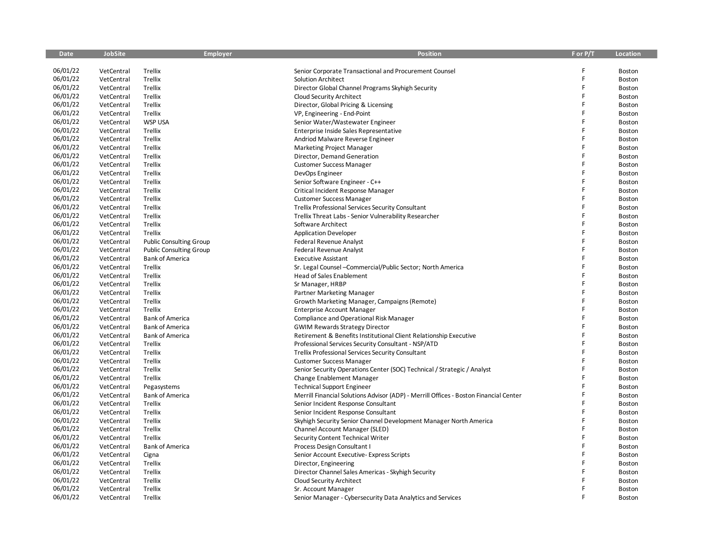| <b>Date</b> | <b>JobSite</b> | <b>Employer</b>                | <b>Position</b>                                                                       | F or P/T | Location      |
|-------------|----------------|--------------------------------|---------------------------------------------------------------------------------------|----------|---------------|
|             |                |                                |                                                                                       |          |               |
| 06/01/22    | VetCentral     | Trellix                        | Senior Corporate Transactional and Procurement Counsel                                | F        | Boston        |
| 06/01/22    | VetCentral     | Trellix                        | <b>Solution Architect</b>                                                             | F        | Boston        |
| 06/01/22    | VetCentral     | Trellix                        | Director Global Channel Programs Skyhigh Security                                     | F        | Boston        |
| 06/01/22    | VetCentral     | Trellix                        | Cloud Security Architect                                                              | F        | Boston        |
| 06/01/22    | VetCentral     | Trellix                        | Director, Global Pricing & Licensing                                                  |          | Boston        |
| 06/01/22    | VetCentral     | Trellix                        | VP, Engineering - End-Point                                                           | F        | Boston        |
| 06/01/22    | VetCentral     | <b>WSP USA</b>                 | Senior Water/Wastewater Engineer                                                      | F        | Boston        |
| 06/01/22    | VetCentral     | Trellix                        | Enterprise Inside Sales Representative                                                | F        | Boston        |
| 06/01/22    | VetCentral     | Trellix                        | Andriod Malware Reverse Engineer                                                      | F        | Boston        |
| 06/01/22    | VetCentral     | Trellix                        | <b>Marketing Project Manager</b>                                                      | F        | Boston        |
| 06/01/22    | VetCentral     | Trellix                        | Director, Demand Generation                                                           | F        | Boston        |
| 06/01/22    | VetCentral     | Trellix                        | <b>Customer Success Manager</b>                                                       | F        | Boston        |
| 06/01/22    | VetCentral     | Trellix                        | DevOps Engineer                                                                       | F        | Boston        |
| 06/01/22    | VetCentral     | Trellix                        | Senior Software Engineer - C++                                                        | F        | Boston        |
| 06/01/22    | VetCentral     | Trellix                        | Critical Incident Response Manager                                                    | F        | Boston        |
| 06/01/22    | VetCentral     | Trellix                        | <b>Customer Success Manager</b>                                                       | Ë        | Boston        |
| 06/01/22    | VetCentral     | Trellix                        | Trellix Professional Services Security Consultant                                     | F        | Boston        |
| 06/01/22    | VetCentral     | Trellix                        | Trellix Threat Labs - Senior Vulnerability Researcher                                 | F        | Boston        |
| 06/01/22    | VetCentral     | Trellix                        | Software Architect                                                                    | F        | Boston        |
| 06/01/22    | VetCentral     | Trellix                        | <b>Application Developer</b>                                                          | F        | Boston        |
| 06/01/22    | VetCentral     | <b>Public Consulting Group</b> | <b>Federal Revenue Analyst</b>                                                        | F        | Boston        |
| 06/01/22    | VetCentral     | <b>Public Consulting Group</b> | Federal Revenue Analyst                                                               |          | Boston        |
| 06/01/22    | VetCentral     | <b>Bank of America</b>         | <b>Executive Assistant</b>                                                            | F        | Boston        |
| 06/01/22    | VetCentral     | Trellix                        | Sr. Legal Counsel - Commercial/Public Sector; North America                           | F        | Boston        |
| 06/01/22    | VetCentral     | Trellix                        | <b>Head of Sales Enablement</b>                                                       | F        | Boston        |
| 06/01/22    | VetCentral     | Trellix                        | Sr Manager, HRBP                                                                      | F        | Boston        |
| 06/01/22    | VetCentral     | Trellix                        | Partner Marketing Manager                                                             | Ē        | Boston        |
| 06/01/22    | VetCentral     | Trellix                        | Growth Marketing Manager, Campaigns (Remote)                                          | F        | Boston        |
| 06/01/22    | VetCentral     | Trellix                        | <b>Enterprise Account Manager</b>                                                     | F        | Boston        |
| 06/01/22    | VetCentral     | <b>Bank of America</b>         | Compliance and Operational Risk Manager                                               | F        | Boston        |
| 06/01/22    | VetCentral     | <b>Bank of America</b>         | <b>GWIM Rewards Strategy Director</b>                                                 |          | Boston        |
| 06/01/22    | VetCentral     | <b>Bank of America</b>         | Retirement & Benefits Institutional Client Relationship Executive                     | F        | Boston        |
| 06/01/22    | VetCentral     | Trellix                        | Professional Services Security Consultant - NSP/ATD                                   | Ē        | Boston        |
| 06/01/22    | VetCentral     | Trellix                        | <b>Trellix Professional Services Security Consultant</b>                              | F        | Boston        |
| 06/01/22    | VetCentral     | Trellix                        | <b>Customer Success Manager</b>                                                       | F        | Boston        |
| 06/01/22    | VetCentral     | Trellix                        | Senior Security Operations Center (SOC) Technical / Strategic / Analyst               | F        | <b>Boston</b> |
| 06/01/22    | VetCentral     | Trellix                        | Change Enablement Manager                                                             | F        | Boston        |
| 06/01/22    | VetCentral     | Pegasystems                    | <b>Technical Support Engineer</b>                                                     |          | Boston        |
| 06/01/22    | VetCentral     | <b>Bank of America</b>         | Merrill Financial Solutions Advisor (ADP) - Merrill Offices - Boston Financial Center |          | Boston        |
| 06/01/22    | VetCentral     | Trellix                        | Senior Incident Response Consultant                                                   | F        | Boston        |
| 06/01/22    | VetCentral     | Trellix                        | Senior Incident Response Consultant                                                   | Ē        | Boston        |
| 06/01/22    | VetCentral     | Trellix                        | Skyhigh Security Senior Channel Development Manager North America                     | F        | Boston        |
| 06/01/22    | VetCentral     | Trellix                        | Channel Account Manager (SLED)                                                        | F        | Boston        |
| 06/01/22    | VetCentral     | Trellix                        | Security Content Technical Writer                                                     |          | Boston        |
| 06/01/22    | VetCentral     | <b>Bank of America</b>         | Process Design Consultant I                                                           | Ē        | Boston        |
| 06/01/22    | VetCentral     | Cigna                          | Senior Account Executive- Express Scripts                                             | F        | <b>Boston</b> |
| 06/01/22    | VetCentral     | Trellix                        | Director, Engineering                                                                 | F        | Boston        |
| 06/01/22    | VetCentral     | Trellix                        | Director Channel Sales Americas - Skyhigh Security                                    | F        | Boston        |
| 06/01/22    | VetCentral     | Trellix                        | Cloud Security Architect                                                              |          | Boston        |
| 06/01/22    | VetCentral     | Trellix                        | Sr. Account Manager                                                                   | F        | Boston        |
| 06/01/22    | VetCentral     | Trellix                        | Senior Manager - Cybersecurity Data Analytics and Services                            | F        | Boston        |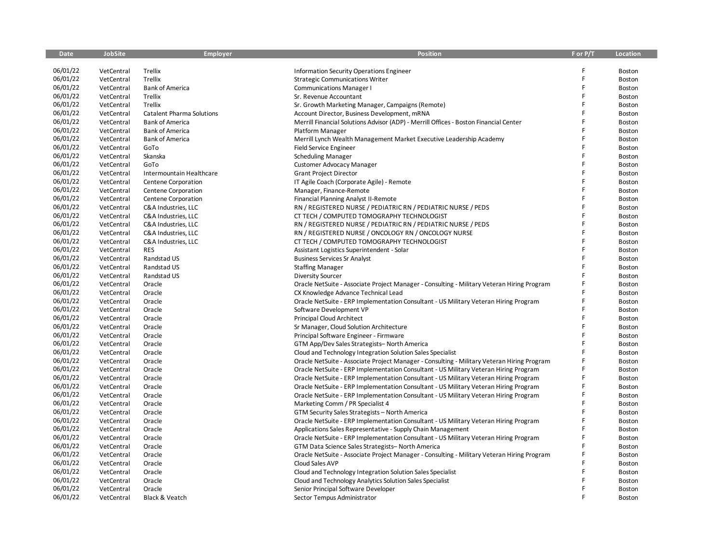| <b>Date</b> | <b>JobSite</b> | <b>Employer</b>                  | <b>Position</b>                                                                            | F or P/T | Location      |
|-------------|----------------|----------------------------------|--------------------------------------------------------------------------------------------|----------|---------------|
|             |                |                                  |                                                                                            |          |               |
| 06/01/22    | VetCentral     | Trellix                          | Information Security Operations Engineer                                                   |          | Boston        |
| 06/01/22    | VetCentral     | Trellix                          | <b>Strategic Communications Writer</b>                                                     | F        | Boston        |
| 06/01/22    | VetCentral     | <b>Bank of America</b>           | <b>Communications Manager I</b>                                                            | F        | Boston        |
| 06/01/22    | VetCentral     | Trellix                          | Sr. Revenue Accountant                                                                     | F        | <b>Boston</b> |
| 06/01/22    | VetCentral     | Trellix                          | Sr. Growth Marketing Manager, Campaigns (Remote)                                           | F        | Boston        |
| 06/01/22    | VetCentral     | <b>Catalent Pharma Solutions</b> | Account Director, Business Development, mRNA                                               |          | Boston        |
| 06/01/22    | VetCentral     | <b>Bank of America</b>           | Merrill Financial Solutions Advisor (ADP) - Merrill Offices - Boston Financial Center      |          | Boston        |
| 06/01/22    | VetCentral     | <b>Bank of America</b>           | Platform Manager                                                                           | F        | Boston        |
| 06/01/22    | VetCentral     | <b>Bank of America</b>           | Merrill Lynch Wealth Management Market Executive Leadership Academy                        | Ē        | <b>Boston</b> |
| 06/01/22    | VetCentral     | GoTo                             | Field Service Engineer                                                                     | F        | Boston        |
| 06/01/22    | VetCentral     | Skanska                          | <b>Scheduling Manager</b>                                                                  | F        | Boston        |
| 06/01/22    | VetCentral     | GoTo                             | Customer Advocacy Manager                                                                  | F        | Boston        |
| 06/01/22    | VetCentral     | Intermountain Healthcare         | <b>Grant Project Director</b>                                                              | F        | Boston        |
| 06/01/22    | VetCentral     | Centene Corporation              | IT Agile Coach (Corporate Agile) - Remote                                                  | Ē        | <b>Boston</b> |
| 06/01/22    | VetCentral     | Centene Corporation              | Manager, Finance-Remote                                                                    |          | Boston        |
| 06/01/22    | VetCentral     | Centene Corporation              | Financial Planning Analyst II-Remote                                                       | F        | Boston        |
| 06/01/22    | VetCentral     | C&A Industries, LLC              | RN / REGISTERED NURSE / PEDIATRIC RN / PEDIATRIC NURSE / PEDS                              |          | Boston        |
| 06/01/22    | VetCentral     | C&A Industries, LLC              | CT TECH / COMPUTED TOMOGRAPHY TECHNOLOGIST                                                 | F        | Boston        |
| 06/01/22    | VetCentral     | C&A Industries, LLC              | RN / REGISTERED NURSE / PEDIATRIC RN / PEDIATRIC NURSE / PEDS                              |          | Boston        |
| 06/01/22    | VetCentral     | C&A Industries, LLC              | RN / REGISTERED NURSE / ONCOLOGY RN / ONCOLOGY NURSE                                       |          | Boston        |
| 06/01/22    | VetCentral     | C&A Industries, LLC              | CT TECH / COMPUTED TOMOGRAPHY TECHNOLOGIST                                                 | Ē        | Boston        |
| 06/01/22    | VetCentral     | <b>RES</b>                       | Assistant Logistics Superintendent - Solar                                                 |          | Boston        |
| 06/01/22    | VetCentral     | Randstad US                      | <b>Business Services Sr Analyst</b>                                                        | F        | Boston        |
| 06/01/22    | VetCentral     | Randstad US                      | <b>Staffing Manager</b>                                                                    | F        | Boston        |
| 06/01/22    | VetCentral     | Randstad US                      | <b>Diversity Sourcer</b>                                                                   | F        | Boston        |
| 06/01/22    | VetCentral     | Oracle                           | Oracle NetSuite - Associate Project Manager - Consulting - Military Veteran Hiring Program | Ē        | Boston        |
| 06/01/22    | VetCentral     | Oracle                           | CX Knowledge Advance Technical Lead                                                        |          | Boston        |
| 06/01/22    | VetCentral     | Oracle                           | Oracle NetSuite - ERP Implementation Consultant - US Military Veteran Hiring Program       |          | Boston        |
| 06/01/22    | VetCentral     | Oracle                           | Software Development VP                                                                    | F        | Boston        |
| 06/01/22    | VetCentral     | Oracle                           | Principal Cloud Architect                                                                  | F        | Boston        |
| 06/01/22    | VetCentral     | Oracle                           | Sr Manager, Cloud Solution Architecture                                                    | F        | Boston        |
| 06/01/22    | VetCentral     | Oracle                           | Principal Software Engineer - Firmware                                                     |          | Boston        |
| 06/01/22    | VetCentral     | Oracle                           | GTM App/Dev Sales Strategists-North America                                                | F        | <b>Boston</b> |
| 06/01/22    | VetCentral     | Oracle                           | Cloud and Technology Integration Solution Sales Specialist                                 | F        | Boston        |
| 06/01/22    | VetCentral     | Oracle                           | Oracle NetSuite - Associate Project Manager - Consulting - Military Veteran Hiring Program | F        | Boston        |
| 06/01/22    | VetCentral     | Oracle                           | Oracle NetSuite - ERP Implementation Consultant - US Military Veteran Hiring Program       |          | Boston        |
| 06/01/22    | VetCentral     | Oracle                           | Oracle NetSuite - ERP Implementation Consultant - US Military Veteran Hiring Program       |          | Boston        |
| 06/01/22    | VetCentral     | Oracle                           | Oracle NetSuite - ERP Implementation Consultant - US Military Veteran Hiring Program       |          | Boston        |
| 06/01/22    | VetCentral     | Oracle                           | Oracle NetSuite - ERP Implementation Consultant - US Military Veteran Hiring Program       |          | Boston        |
| 06/01/22    | VetCentral     | Oracle                           | Marketing Comm / PR Specialist 4                                                           |          | Boston        |
| 06/01/22    | VetCentral     | Oracle                           | GTM Security Sales Strategists – North America                                             |          | Boston        |
| 06/01/22    | VetCentral     | Oracle                           | Oracle NetSuite - ERP Implementation Consultant - US Military Veteran Hiring Program       |          | Boston        |
| 06/01/22    | VetCentral     | Oracle                           | Applications Sales Representative - Supply Chain Management                                |          | Boston        |
| 06/01/22    | VetCentral     | Oracle                           | Oracle NetSuite - ERP Implementation Consultant - US Military Veteran Hiring Program       |          | Boston        |
| 06/01/22    | VetCentral     | Oracle                           | GTM Data Science Sales Strategists-North America                                           |          | <b>Boston</b> |
| 06/01/22    | VetCentral     | Oracle                           | Oracle NetSuite - Associate Project Manager - Consulting - Military Veteran Hiring Program | F        | <b>Boston</b> |
| 06/01/22    | VetCentral     | Oracle                           | Cloud Sales AVP                                                                            |          | Boston        |
| 06/01/22    | VetCentral     | Oracle                           | Cloud and Technology Integration Solution Sales Specialist                                 | Ē        | <b>Boston</b> |
| 06/01/22    | VetCentral     | Oracle                           | Cloud and Technology Analytics Solution Sales Specialist                                   |          | Boston        |
| 06/01/22    | VetCentral     | Oracle                           | Senior Principal Software Developer                                                        | F        | <b>Boston</b> |
| 06/01/22    | VetCentral     | Black & Veatch                   | Sector Tempus Administrator                                                                | F        | Boston        |
|             |                |                                  |                                                                                            |          |               |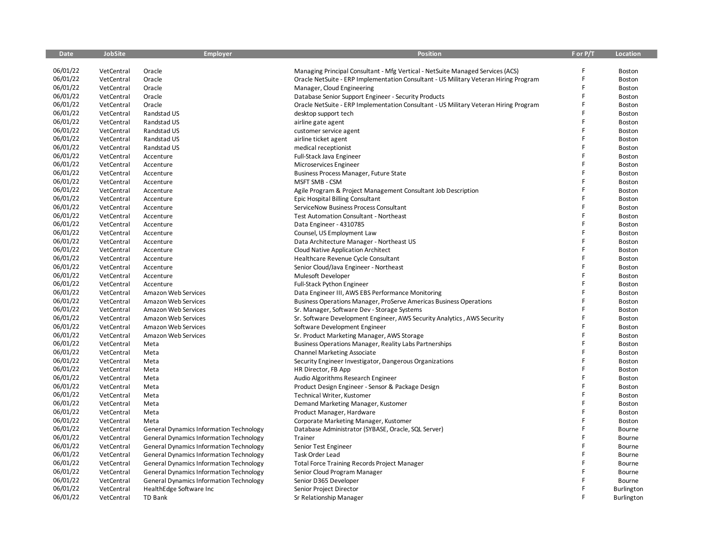| <b>Date</b> | <b>JobSite</b> | <b>Employer</b>                                | <b>Position</b>                                                                      | F or P/T | <b>Location</b>   |
|-------------|----------------|------------------------------------------------|--------------------------------------------------------------------------------------|----------|-------------------|
|             |                |                                                |                                                                                      |          |                   |
| 06/01/22    | VetCentral     | Oracle                                         | Managing Principal Consultant - Mfg Vertical - NetSuite Managed Services (ACS)       |          | Boston            |
| 06/01/22    | VetCentral     | Oracle                                         | Oracle NetSuite - ERP Implementation Consultant - US Military Veteran Hiring Program | F        | Boston            |
| 06/01/22    | VetCentral     | Oracle                                         | Manager, Cloud Engineering                                                           | F        | <b>Boston</b>     |
| 06/01/22    | VetCentral     | Oracle                                         | Database Senior Support Engineer - Security Products                                 | F        | <b>Boston</b>     |
| 06/01/22    | VetCentral     | Oracle                                         | Oracle NetSuite - ERP Implementation Consultant - US Military Veteran Hiring Program | F        | Boston            |
| 06/01/22    | VetCentral     | Randstad US                                    | desktop support tech                                                                 |          | Boston            |
| 06/01/22    | VetCentral     | Randstad US                                    | airline gate agent                                                                   | F        | Boston            |
| 06/01/22    | VetCentral     | Randstad US                                    | customer service agent                                                               | F        | Boston            |
| 06/01/22    | VetCentral     | Randstad US                                    | airline ticket agent                                                                 | F        | Boston            |
| 06/01/22    | VetCentral     | Randstad US                                    | medical receptionist                                                                 | F        | Boston            |
| 06/01/22    | VetCentral     | Accenture                                      | Full-Stack Java Engineer                                                             | F        | Boston            |
| 06/01/22    | VetCentral     | Accenture                                      | Microservices Engineer                                                               |          | Boston            |
| 06/01/22    | VetCentral     | Accenture                                      | Business Process Manager, Future State                                               | F        | Boston            |
| 06/01/22    | VetCentral     | Accenture                                      | MSFT SMB - CSM                                                                       | F        | <b>Boston</b>     |
| 06/01/22    | VetCentral     | Accenture                                      | Agile Program & Project Management Consultant Job Description                        | F        | Boston            |
| 06/01/22    | VetCentral     | Accenture                                      | Epic Hospital Billing Consultant                                                     | F        | Boston            |
| 06/01/22    | VetCentral     | Accenture                                      | ServiceNow Business Process Consultant                                               | F        | Boston            |
| 06/01/22    | VetCentral     | Accenture                                      | <b>Test Automation Consultant - Northeast</b>                                        | F        | Boston            |
| 06/01/22    | VetCentral     | Accenture                                      | Data Engineer - 4310785                                                              | F        | Boston            |
| 06/01/22    | VetCentral     | Accenture                                      | Counsel, US Employment Law                                                           | F        | Boston            |
| 06/01/22    | VetCentral     | Accenture                                      | Data Architecture Manager - Northeast US                                             | F        | <b>Boston</b>     |
| 06/01/22    | VetCentral     | Accenture                                      | Cloud Native Application Architect                                                   | F        | Boston            |
| 06/01/22    | VetCentral     | Accenture                                      | Healthcare Revenue Cycle Consultant                                                  | F        | <b>Boston</b>     |
| 06/01/22    | VetCentral     | Accenture                                      | Senior Cloud/Java Engineer - Northeast                                               | F        | Boston            |
| 06/01/22    | VetCentral     | Accenture                                      | Mulesoft Developer                                                                   | F        | Boston            |
| 06/01/22    | VetCentral     | Accenture                                      | Full-Stack Python Engineer                                                           | F        | <b>Boston</b>     |
| 06/01/22    | VetCentral     | Amazon Web Services                            | Data Engineer III, AWS EBS Performance Monitoring                                    | F        | Boston            |
| 06/01/22    | VetCentral     | Amazon Web Services                            | Business Operations Manager, ProServe Americas Business Operations                   | Ē        | <b>Boston</b>     |
| 06/01/22    | VetCentral     | Amazon Web Services                            | Sr. Manager, Software Dev - Storage Systems                                          | F        | Boston            |
| 06/01/22    | VetCentral     | Amazon Web Services                            | Sr. Software Development Engineer, AWS Security Analytics, AWS Security              | F        | Boston            |
| 06/01/22    | VetCentral     | Amazon Web Services                            | Software Development Engineer                                                        |          | <b>Boston</b>     |
| 06/01/22    | VetCentral     | Amazon Web Services                            | Sr. Product Marketing Manager, AWS Storage                                           | F        | Boston            |
| 06/01/22    | VetCentral     | Meta                                           | Business Operations Manager, Reality Labs Partnerships                               | Ë        | Boston            |
| 06/01/22    | VetCentral     | Meta                                           | <b>Channel Marketing Associate</b>                                                   | F        | Boston            |
| 06/01/22    | VetCentral     | Meta                                           | Security Engineer Investigator, Dangerous Organizations                              | F        | Boston            |
| 06/01/22    | VetCentral     | Meta                                           | HR Director, FB App                                                                  | F        | Boston            |
| 06/01/22    | VetCentral     | Meta                                           | Audio Algorithms Research Engineer                                                   | F        | Boston            |
| 06/01/22    | VetCentral     | Meta                                           | Product Design Engineer - Sensor & Package Design                                    | F        | Boston            |
| 06/01/22    | VetCentral     | Meta                                           | Technical Writer, Kustomer                                                           |          | Boston            |
| 06/01/22    | VetCentral     | Meta                                           | Demand Marketing Manager, Kustomer                                                   | F        | Boston            |
| 06/01/22    | VetCentral     | Meta                                           | Product Manager, Hardware                                                            | F        | Boston            |
| 06/01/22    | VetCentral     | Meta                                           | Corporate Marketing Manager, Kustomer                                                | F        | Boston            |
| 06/01/22    | VetCentral     | <b>General Dynamics Information Technology</b> | Database Administrator (SYBASE, Oracle, SQL Server)                                  | F        | Bourne            |
| 06/01/22    | VetCentral     | <b>General Dynamics Information Technology</b> | Trainer                                                                              | F        | Bourne            |
| 06/01/22    | VetCentral     | <b>General Dynamics Information Technology</b> | Senior Test Engineer                                                                 | F        | Bourne            |
| 06/01/22    | VetCentral     | <b>General Dynamics Information Technology</b> | Task Order Lead                                                                      | F        | Bourne            |
| 06/01/22    | VetCentral     | <b>General Dynamics Information Technology</b> | <b>Total Force Training Records Project Manager</b>                                  | F        | Bourne            |
| 06/01/22    | VetCentral     | <b>General Dynamics Information Technology</b> | Senior Cloud Program Manager                                                         |          | Bourne            |
| 06/01/22    | VetCentral     | <b>General Dynamics Information Technology</b> | Senior D365 Developer                                                                |          | Bourne            |
| 06/01/22    | VetCentral     | HealthEdge Software Inc                        | Senior Project Director                                                              | F        | Burlington        |
| 06/01/22    | VetCentral     | TD Bank                                        | Sr Relationship Manager                                                              | F        | <b>Burlington</b> |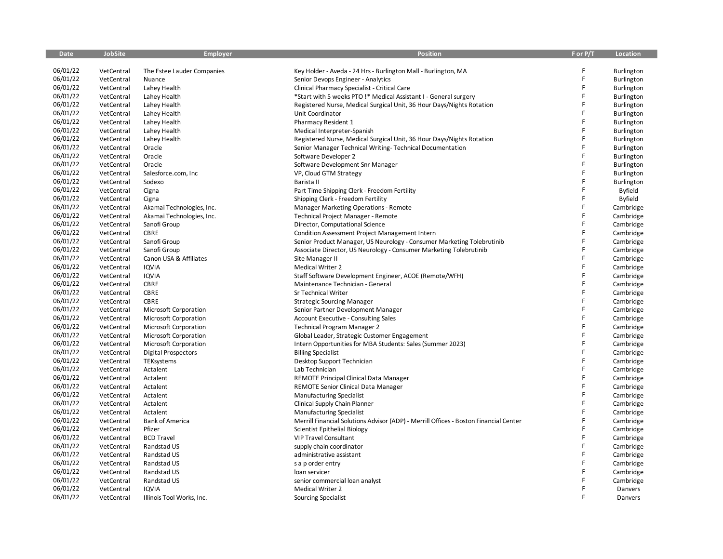| <b>Date</b> | <b>JobSite</b> | <b>Employer</b>              | <b>Position</b>                                                                       | F or P/T | Location       |
|-------------|----------------|------------------------------|---------------------------------------------------------------------------------------|----------|----------------|
|             |                |                              |                                                                                       |          |                |
| 06/01/22    | VetCentral     | The Estee Lauder Companies   | Key Holder - Aveda - 24 Hrs - Burlington Mall - Burlington, MA                        | F        | Burlington     |
| 06/01/22    | VetCentral     | Nuance                       | Senior Devops Engineer - Analytics                                                    | F        | Burlington     |
| 06/01/22    | VetCentral     | Lahey Health                 | Clinical Pharmacy Specialist - Critical Care                                          | F        | Burlington     |
| 06/01/22    | VetCentral     | Lahey Health                 | *Start with 5 weeks PTO !* Medical Assistant I - General surgery                      | F        | Burlington     |
| 06/01/22    | VetCentral     | Lahey Health                 | Registered Nurse, Medical Surgical Unit, 36 Hour Days/Nights Rotation                 | F        | Burlington     |
| 06/01/22    | VetCentral     | Lahey Health                 | Unit Coordinator                                                                      | F        | Burlington     |
| 06/01/22    | VetCentral     | Lahey Health                 | Pharmacy Resident 1                                                                   | F        | Burlington     |
| 06/01/22    | VetCentral     | Lahey Health                 | Medical Interpreter-Spanish                                                           | F        | Burlington     |
| 06/01/22    | VetCentral     | Lahey Health                 | Registered Nurse, Medical Surgical Unit, 36 Hour Days/Nights Rotation                 | F        | Burlington     |
| 06/01/22    | VetCentral     | Oracle                       | Senior Manager Technical Writing-Technical Documentation                              | F        | Burlington     |
| 06/01/22    | VetCentral     | Oracle                       | Software Developer 2                                                                  | F        | Burlington     |
| 06/01/22    | VetCentral     | Oracle                       | Software Development Snr Manager                                                      |          | Burlington     |
| 06/01/22    | VetCentral     | Salesforce.com, Inc          | VP, Cloud GTM Strategy                                                                | F        | Burlington     |
| 06/01/22    | VetCentral     | Sodexo                       | Barista II                                                                            | F        | Burlington     |
| 06/01/22    | VetCentral     | Cigna                        | Part Time Shipping Clerk - Freedom Fertility                                          | F        | <b>Byfield</b> |
| 06/01/22    | VetCentral     | Cigna                        | Shipping Clerk - Freedom Fertility                                                    | F        | Byfield        |
| 06/01/22    | VetCentral     | Akamai Technologies, Inc.    | Manager Marketing Operations - Remote                                                 | F        | Cambridge      |
| 06/01/22    | VetCentral     | Akamai Technologies, Inc.    | Technical Project Manager - Remote                                                    | F        | Cambridge      |
| 06/01/22    | VetCentral     | Sanofi Group                 | Director, Computational Science                                                       | F        | Cambridge      |
| 06/01/22    | VetCentral     | <b>CBRE</b>                  | <b>Condition Assessment Project Management Intern</b>                                 | F        | Cambridge      |
| 06/01/22    | VetCentral     | Sanofi Group                 | Senior Product Manager, US Neurology - Consumer Marketing Tolebrutinib                | F        | Cambridge      |
| 06/01/22    | VetCentral     | Sanofi Group                 | Associate Director, US Neurology - Consumer Marketing Tolebrutinib                    | F        | Cambridge      |
| 06/01/22    | VetCentral     | Canon USA & Affiliates       | Site Manager II                                                                       | F        | Cambridge      |
| 06/01/22    | VetCentral     | <b>IQVIA</b>                 | Medical Writer 2                                                                      | F        | Cambridge      |
| 06/01/22    | VetCentral     | IQVIA                        | Staff Software Development Engineer, ACOE (Remote/WFH)                                | F        | Cambridge      |
| 06/01/22    | VetCentral     | CBRE                         | Maintenance Technician - General                                                      | F        | Cambridge      |
| 06/01/22    | VetCentral     | <b>CBRE</b>                  | Sr Technical Writer                                                                   | F        | Cambridge      |
| 06/01/22    | VetCentral     | CBRE                         | <b>Strategic Sourcing Manager</b>                                                     | F        | Cambridge      |
| 06/01/22    | VetCentral     | Microsoft Corporation        | Senior Partner Development Manager                                                    | F        | Cambridge      |
| 06/01/22    | VetCentral     | Microsoft Corporation        | Account Executive - Consulting Sales                                                  | F        | Cambridge      |
| 06/01/22    | VetCentral     | Microsoft Corporation        | Technical Program Manager 2                                                           | F        | Cambridge      |
| 06/01/22    | VetCentral     | <b>Microsoft Corporation</b> | Global Leader, Strategic Customer Engagement                                          | F        | Cambridge      |
| 06/01/22    | VetCentral     | Microsoft Corporation        | Intern Opportunities for MBA Students: Sales (Summer 2023)                            | F        | Cambridge      |
| 06/01/22    | VetCentral     | <b>Digital Prospectors</b>   | <b>Billing Specialist</b>                                                             | F        | Cambridge      |
| 06/01/22    | VetCentral     | TEKsystems                   | Desktop Support Technician                                                            | F        | Cambridge      |
| 06/01/22    | VetCentral     | Actalent                     | Lab Technician                                                                        | F        | Cambridge      |
| 06/01/22    | VetCentral     | Actalent                     | REMOTE Principal Clinical Data Manager                                                | F        | Cambridge      |
| 06/01/22    | VetCentral     | Actalent                     | REMOTE Senior Clinical Data Manager                                                   | F        | Cambridge      |
| 06/01/22    | VetCentral     | Actalent                     | <b>Manufacturing Specialist</b>                                                       | F        | Cambridge      |
| 06/01/22    | VetCentral     | Actalent                     | Clinical Supply Chain Planner                                                         | F        | Cambridge      |
| 06/01/22    | VetCentral     | Actalent                     | <b>Manufacturing Specialist</b>                                                       | Ë        | Cambridge      |
| 06/01/22    | VetCentral     | <b>Bank of America</b>       | Merrill Financial Solutions Advisor (ADP) - Merrill Offices - Boston Financial Center | F        | Cambridge      |
| 06/01/22    | VetCentral     | Pfizer                       | Scientist Epithelial Biology                                                          | F        | Cambridge      |
| 06/01/22    | VetCentral     | <b>BCD Travel</b>            | <b>VIP Travel Consultant</b>                                                          | F        | Cambridge      |
| 06/01/22    | VetCentral     | Randstad US                  | supply chain coordinator                                                              | F        | Cambridge      |
| 06/01/22    | VetCentral     | Randstad US                  | administrative assistant                                                              | F        | Cambridge      |
| 06/01/22    | VetCentral     | Randstad US                  | s a p order entry                                                                     | F        | Cambridge      |
| 06/01/22    | VetCentral     | Randstad US                  | loan servicer                                                                         | F        | Cambridge      |
| 06/01/22    | VetCentral     | Randstad US                  | senior commercial loan analyst                                                        |          | Cambridge      |
| 06/01/22    | VetCentral     | <b>IQVIA</b>                 | <b>Medical Writer 2</b>                                                               | F        | Danvers        |
| 06/01/22    | VetCentral     | Illinois Tool Works, Inc.    | <b>Sourcing Specialist</b>                                                            | F        | Danvers        |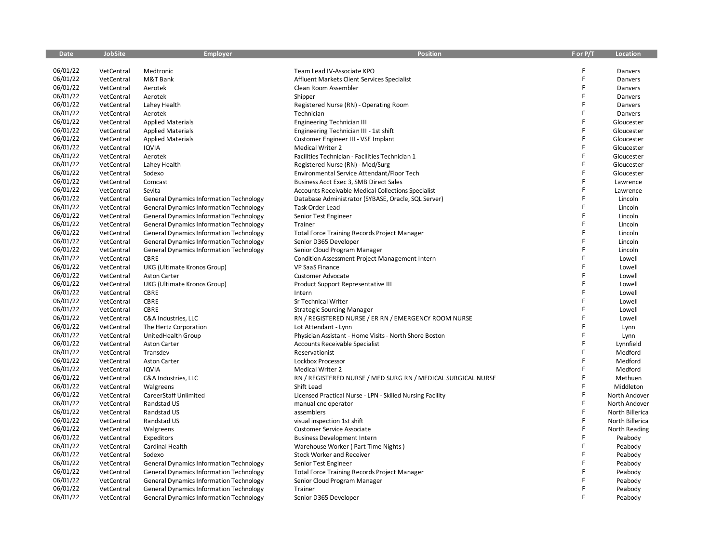| <b>Date</b>          | <b>JobSite</b>           | <b>Employer</b>                                                                                  | <b>Position</b>                                              | F or P/T | Location           |
|----------------------|--------------------------|--------------------------------------------------------------------------------------------------|--------------------------------------------------------------|----------|--------------------|
|                      |                          |                                                                                                  |                                                              |          |                    |
| 06/01/22             | VetCentral               | Medtronic                                                                                        | Team Lead IV-Associate KPO                                   | F        | Danvers            |
| 06/01/22             | VetCentral               | M&T Bank                                                                                         | Affluent Markets Client Services Specialist                  | F        | Danvers            |
| 06/01/22             | VetCentral               | Aerotek                                                                                          | Clean Room Assembler                                         | F        | Danvers            |
| 06/01/22             | VetCentral               | Aerotek                                                                                          | Shipper                                                      | F        | Danvers            |
| 06/01/22             | VetCentral               | Lahey Health                                                                                     | Registered Nurse (RN) - Operating Room                       | F        | Danvers            |
| 06/01/22             | VetCentral               | Aerotek                                                                                          | Technician                                                   | F        | Danvers            |
| 06/01/22             | VetCentral               | <b>Applied Materials</b>                                                                         | <b>Engineering Technician III</b>                            | F        | Gloucester         |
| 06/01/22             | VetCentral               | <b>Applied Materials</b>                                                                         | Engineering Technician III - 1st shift                       | F        | Gloucester         |
| 06/01/22             | VetCentral               | <b>Applied Materials</b>                                                                         | Customer Engineer III - VSE Implant                          | F        | Gloucester         |
| 06/01/22             | VetCentral               | <b>IQVIA</b>                                                                                     | <b>Medical Writer 2</b>                                      | F        | Gloucester         |
| 06/01/22             | VetCentral               | Aerotek                                                                                          | Facilities Technician - Facilities Technician 1              | F        | Gloucester         |
| 06/01/22             | VetCentral               | Lahey Health                                                                                     | Registered Nurse (RN) - Med/Surg                             |          | Gloucester         |
| 06/01/22             | VetCentral               | Sodexo                                                                                           | Environmental Service Attendant/Floor Tech                   | F        | Gloucester         |
| 06/01/22             | VetCentral               | Comcast                                                                                          | Business Acct Exec 3, SMB Direct Sales                       | F        | Lawrence           |
| 06/01/22             | VetCentral               | Sevita                                                                                           | Accounts Receivable Medical Collections Specialist           | F        | Lawrence           |
| 06/01/22             | VetCentral               | <b>General Dynamics Information Technology</b>                                                   | Database Administrator (SYBASE, Oracle, SQL Server)          | F        | Lincoln            |
| 06/01/22             | VetCentral               | <b>General Dynamics Information Technology</b>                                                   | <b>Task Order Lead</b>                                       |          | Lincoln            |
| 06/01/22             | VetCentral               | <b>General Dynamics Information Technology</b>                                                   | Senior Test Engineer                                         | F        | Lincoln            |
| 06/01/22             | VetCentral               | <b>General Dynamics Information Technology</b>                                                   | Trainer                                                      | F        | Lincoln            |
| 06/01/22             | VetCentral               | <b>General Dynamics Information Technology</b>                                                   | <b>Total Force Training Records Project Manager</b>          | F        | Lincoln            |
| 06/01/22             | VetCentral               | <b>General Dynamics Information Technology</b>                                                   | Senior D365 Developer                                        | F        | Lincoln            |
| 06/01/22             | VetCentral               | <b>General Dynamics Information Technology</b>                                                   | Senior Cloud Program Manager                                 |          | Lincoln            |
| 06/01/22             | VetCentral               | <b>CBRE</b>                                                                                      | Condition Assessment Project Management Intern               | F        | Lowell             |
| 06/01/22             | VetCentral               | UKG (Ultimate Kronos Group)                                                                      | <b>VP SaaS Finance</b>                                       | F        | Lowell             |
| 06/01/22             | VetCentral               | <b>Aston Carter</b>                                                                              | Customer Advocate                                            | F        | Lowell             |
| 06/01/22             | VetCentral               | UKG (Ultimate Kronos Group)                                                                      | Product Support Representative III                           | F        | Lowell             |
| 06/01/22             | VetCentral               | CBRE                                                                                             | Intern                                                       | F        | Lowell             |
| 06/01/22             | VetCentral               | CBRE                                                                                             | Sr Technical Writer                                          | Ë        | Lowell             |
| 06/01/22             | VetCentral               | CBRE                                                                                             | <b>Strategic Sourcing Manager</b>                            | F        | Lowell             |
| 06/01/22             | VetCentral               | C&A Industries, LLC                                                                              | RN / REGISTERED NURSE / ER RN / EMERGENCY ROOM NURSE         | F        | Lowell             |
| 06/01/22             | VetCentral               | The Hertz Corporation                                                                            | Lot Attendant - Lynn                                         | F        | Lynn               |
| 06/01/22             | VetCentral               | UnitedHealth Group                                                                               | Physician Assistant - Home Visits - North Shore Boston       | F        | Lynn               |
| 06/01/22             | VetCentral               | <b>Aston Carter</b>                                                                              | <b>Accounts Receivable Specialist</b>                        | F        | Lynnfield          |
| 06/01/22             | VetCentral               | Transdev                                                                                         | Reservationist                                               | F        | Medford            |
| 06/01/22             | VetCentral               | <b>Aston Carter</b>                                                                              | Lockbox Processor                                            | Ë        | Medford            |
| 06/01/22             | VetCentral               | <b>IQVIA</b>                                                                                     | Medical Writer 2                                             | F        | Medford            |
| 06/01/22             | VetCentral               | C&A Industries, LLC                                                                              | RN / REGISTERED NURSE / MED SURG RN / MEDICAL SURGICAL NURSE | F        | Methuen            |
| 06/01/22             | VetCentral               | Walgreens                                                                                        | Shift Lead                                                   | F        | Middleton          |
| 06/01/22             | VetCentral               | CareerStaff Unlimited                                                                            | Licensed Practical Nurse - LPN - Skilled Nursing Facility    | F        | North Andover      |
| 06/01/22             | VetCentral               | Randstad US                                                                                      | manual cnc operator                                          | F<br>F   | North Andover      |
| 06/01/22             | VetCentral               | Randstad US                                                                                      | assemblers                                                   |          | North Billerica    |
| 06/01/22             | VetCentral               | Randstad US                                                                                      | visual inspection 1st shift                                  | F<br>F   | North Billerica    |
| 06/01/22             | VetCentral               | Walgreens                                                                                        | <b>Customer Service Associate</b>                            |          | North Reading      |
| 06/01/22             | VetCentral               | Expeditors                                                                                       | <b>Business Development Intern</b>                           |          | Peabody            |
| 06/01/22             | VetCentral               | Cardinal Health                                                                                  | Warehouse Worker (Part Time Nights)                          | F<br>F   | Peabody            |
| 06/01/22             | VetCentral               | Sodexo                                                                                           | Stock Worker and Receiver                                    | F        | Peabody            |
| 06/01/22             | VetCentral               | <b>General Dynamics Information Technology</b>                                                   | Senior Test Engineer                                         | F        | Peabody            |
| 06/01/22<br>06/01/22 | VetCentral               | <b>General Dynamics Information Technology</b>                                                   | <b>Total Force Training Records Project Manager</b>          |          | Peabody            |
| 06/01/22             | VetCentral               | <b>General Dynamics Information Technology</b>                                                   | Senior Cloud Program Manager                                 |          | Peabody            |
| 06/01/22             | VetCentral<br>VetCentral | <b>General Dynamics Information Technology</b><br><b>General Dynamics Information Technology</b> | Trainer<br>Senior D365 Developer                             | F        | Peabody<br>Peabody |
|                      |                          |                                                                                                  |                                                              |          |                    |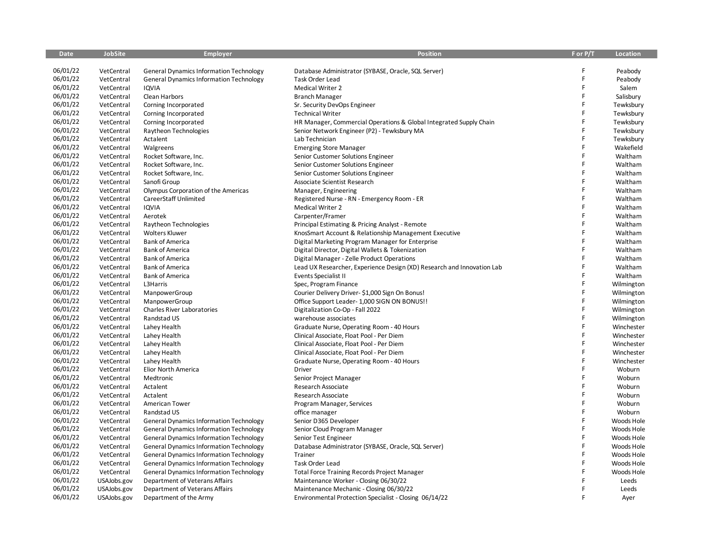| <b>Date</b> | <b>JobSite</b> | <b>Employer</b>                                | <b>Position</b>                                                        | F or P/T | <b>Location</b> |
|-------------|----------------|------------------------------------------------|------------------------------------------------------------------------|----------|-----------------|
|             |                |                                                |                                                                        |          |                 |
| 06/01/22    | VetCentral     | <b>General Dynamics Information Technology</b> | Database Administrator (SYBASE, Oracle, SQL Server)                    |          | Peabody         |
| 06/01/22    | VetCentral     | <b>General Dynamics Information Technology</b> | <b>Task Order Lead</b>                                                 | F        | Peabody         |
| 06/01/22    | VetCentral     | <b>IQVIA</b>                                   | <b>Medical Writer 2</b>                                                | F        | Salem           |
| 06/01/22    | VetCentral     | Clean Harbors                                  | <b>Branch Manager</b>                                                  | F        | Salisbury       |
| 06/01/22    | VetCentral     | Corning Incorporated                           | Sr. Security DevOps Engineer                                           | F        | Tewksbury       |
| 06/01/22    | VetCentral     | Corning Incorporated                           | <b>Technical Writer</b>                                                | F        | Tewksbury       |
| 06/01/22    | VetCentral     | Corning Incorporated                           | HR Manager, Commercial Operations & Global Integrated Supply Chain     | F        | Tewksbury       |
| 06/01/22    | VetCentral     | Raytheon Technologies                          | Senior Network Engineer (P2) - Tewksbury MA                            | F        | Tewksbury       |
| 06/01/22    | VetCentral     | Actalent                                       | Lab Technician                                                         | F        | Tewksbury       |
| 06/01/22    | VetCentral     | Walgreens                                      | <b>Emerging Store Manager</b>                                          | F        | Wakefield       |
| 06/01/22    | VetCentral     | Rocket Software, Inc.                          | Senior Customer Solutions Engineer                                     | F        | Waltham         |
| 06/01/22    | VetCentral     | Rocket Software, Inc.                          | Senior Customer Solutions Engineer                                     | F        | Waltham         |
| 06/01/22    | VetCentral     | Rocket Software, Inc.                          | Senior Customer Solutions Engineer                                     | F        | Waltham         |
| 06/01/22    | VetCentral     | Sanofi Group                                   | Associate Scientist Research                                           | F        | Waltham         |
| 06/01/22    | VetCentral     | Olympus Corporation of the Americas            | Manager, Engineering                                                   | F        | Waltham         |
| 06/01/22    | VetCentral     | CareerStaff Unlimited                          | Registered Nurse - RN - Emergency Room - ER                            | F        | Waltham         |
| 06/01/22    | VetCentral     | <b>IQVIA</b>                                   | Medical Writer 2                                                       | F        | Waltham         |
| 06/01/22    | VetCentral     | Aerotek                                        | Carpenter/Framer                                                       | F        | Waltham         |
| 06/01/22    | VetCentral     | Raytheon Technologies                          | Principal Estimating & Pricing Analyst - Remote                        | F        | Waltham         |
| 06/01/22    | VetCentral     | <b>Wolters Kluwer</b>                          | KnosSmart Account & Relationship Management Executive                  | F        | Waltham         |
| 06/01/22    | VetCentral     | <b>Bank of America</b>                         | Digital Marketing Program Manager for Enterprise                       | F        | Waltham         |
| 06/01/22    | VetCentral     | <b>Bank of America</b>                         | Digital Director, Digital Wallets & Tokenization                       | F        | Waltham         |
| 06/01/22    | VetCentral     | <b>Bank of America</b>                         | Digital Manager - Zelle Product Operations                             | F        | Waltham         |
| 06/01/22    | VetCentral     | <b>Bank of America</b>                         | Lead UX Researcher, Experience Design (XD) Research and Innovation Lab | F        | Waltham         |
| 06/01/22    | VetCentral     | <b>Bank of America</b>                         | <b>Events Specialist II</b>                                            | F        | Waltham         |
| 06/01/22    | VetCentral     | L3Harris                                       | Spec, Program Finance                                                  | F        | Wilmington      |
| 06/01/22    | VetCentral     | ManpowerGroup                                  | Courier Delivery Driver-\$1,000 Sign On Bonus!                         | F        | Wilmington      |
| 06/01/22    | VetCentral     | ManpowerGroup                                  | Office Support Leader-1,000 SIGN ON BONUS!!                            | F        | Wilmington      |
| 06/01/22    | VetCentral     | Charles River Laboratories                     | Digitalization Co-Op - Fall 2022                                       | F        | Wilmington      |
| 06/01/22    | VetCentral     | Randstad US                                    | warehouse associates                                                   | F        | Wilmington      |
| 06/01/22    | VetCentral     | Lahey Health                                   | Graduate Nurse, Operating Room - 40 Hours                              | F        | Winchester      |
| 06/01/22    | VetCentral     | Lahey Health                                   | Clinical Associate, Float Pool - Per Diem                              | F        | Winchester      |
| 06/01/22    | VetCentral     | Lahey Health                                   | Clinical Associate, Float Pool - Per Diem                              | F        | Winchester      |
| 06/01/22    | VetCentral     | Lahey Health                                   | Clinical Associate, Float Pool - Per Diem                              | F        | Winchester      |
| 06/01/22    | VetCentral     | Lahey Health                                   | Graduate Nurse, Operating Room - 40 Hours                              | F        | Winchester      |
| 06/01/22    | VetCentral     | <b>Elior North America</b>                     | Driver                                                                 | F        | Woburn          |
| 06/01/22    | VetCentral     | Medtronic                                      | Senior Project Manager                                                 | F        | Woburn          |
| 06/01/22    | VetCentral     | Actalent                                       | Research Associate                                                     | F        | Woburn          |
| 06/01/22    | VetCentral     | Actalent                                       | Research Associate                                                     | F        | Woburn          |
| 06/01/22    | VetCentral     | American Tower                                 | Program Manager, Services                                              | F        | Woburn          |
| 06/01/22    | VetCentral     | Randstad US                                    | office manager                                                         | Ë        | Woburn          |
| 06/01/22    | VetCentral     | <b>General Dynamics Information Technology</b> | Senior D365 Developer                                                  | F        | Woods Hole      |
| 06/01/22    | VetCentral     | <b>General Dynamics Information Technology</b> | Senior Cloud Program Manager                                           | F        | Woods Hole      |
| 06/01/22    | VetCentral     | <b>General Dynamics Information Technology</b> | Senior Test Engineer                                                   | F        | Woods Hole      |
| 06/01/22    | VetCentral     | <b>General Dynamics Information Technology</b> | Database Administrator (SYBASE, Oracle, SQL Server)                    | F        | Woods Hole      |
| 06/01/22    | VetCentral     | <b>General Dynamics Information Technology</b> | Trainer                                                                | F        | Woods Hole      |
| 06/01/22    | VetCentral     | <b>General Dynamics Information Technology</b> | Task Order Lead                                                        | F        | Woods Hole      |
| 06/01/22    | VetCentral     | <b>General Dynamics Information Technology</b> | <b>Total Force Training Records Project Manager</b>                    |          | Woods Hole      |
| 06/01/22    | USAJobs.gov    | Department of Veterans Affairs                 | Maintenance Worker - Closing 06/30/22                                  |          | Leeds           |
| 06/01/22    | USAJobs.gov    | Department of Veterans Affairs                 | Maintenance Mechanic - Closing 06/30/22                                | F        | Leeds           |
| 06/01/22    | USAJobs.gov    | Department of the Army                         | Environmental Protection Specialist - Closing 06/14/22                 |          | Ayer            |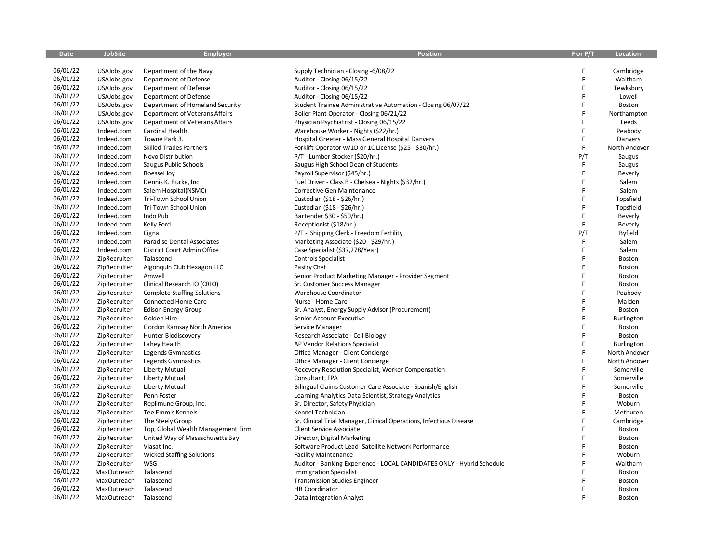| <b>Date</b> | <b>JobSite</b> | <b>Employer</b>                    | <b>Position</b>                                                        | F or P/T | Location      |
|-------------|----------------|------------------------------------|------------------------------------------------------------------------|----------|---------------|
|             |                |                                    |                                                                        |          |               |
| 06/01/22    | USAJobs.gov    | Department of the Navy             | Supply Technician - Closing -6/08/22                                   | F        | Cambridge     |
| 06/01/22    | USAJobs.gov    | Department of Defense              | Auditor - Closing 06/15/22                                             | F        | Waltham       |
| 06/01/22    | USAJobs.gov    | Department of Defense              | Auditor - Closing 06/15/22                                             | F        | Tewksbury     |
| 06/01/22    | USAJobs.gov    | Department of Defense              | Auditor - Closing 06/15/22                                             | F        | Lowell        |
| 06/01/22    | USAJobs.gov    | Department of Homeland Security    | Student Trainee Administrative Automation - Closing 06/07/22           | F        | Boston        |
| 06/01/22    | USAJobs.gov    | Department of Veterans Affairs     | Boiler Plant Operator - Closing 06/21/22                               | F        | Northampton   |
| 06/01/22    | USAJobs.gov    | Department of Veterans Affairs     | Physician Psychiatrist - Closing 06/15/22                              | F        | Leeds         |
| 06/01/22    | Indeed.com     | Cardinal Health                    | Warehouse Worker - Nights (\$22/hr.)                                   | F        | Peabody       |
| 06/01/22    | Indeed.com     | Towne Park 3.                      | Hospital Greeter - Mass General Hospital Danvers                       | F        | Danvers       |
| 06/01/22    | Indeed.com     | <b>Skilled Trades Partners</b>     | Forklift Operator w/1D or 1C License (\$25 - \$30/hr.)                 | F.       | North Andover |
| 06/01/22    | Indeed.com     | Novo Distribution                  | P/T - Lumber Stocker (\$20/hr.)                                        | P/T      | Saugus        |
| 06/01/22    | Indeed.com     | Saugus Public Schools              | Saugus High School Dean of Students                                    | F        | Saugus        |
| 06/01/22    | Indeed.com     | Roessel Joy                        | Payroll Supervisor (\$45/hr.)                                          | F        | Beverly       |
| 06/01/22    | Indeed.com     | Dennis K. Burke, Inc               | Fuel Driver - Class B - Chelsea - Nights (\$32/hr.)                    | F        | Salem         |
| 06/01/22    | Indeed.com     | Salem Hospital(NSMC)               | Corrective Gen Maintenance                                             | F        | Salem         |
| 06/01/22    | Indeed.com     | Tri-Town School Union              | Custodian (\$18 - \$26/hr.)                                            | F        | Topsfield     |
| 06/01/22    | Indeed.com     | Tri-Town School Union              | Custodian (\$18 - \$26/hr.)                                            | F        | Topsfield     |
| 06/01/22    | Indeed.com     | Indo Pub                           | Bartender \$30 - \$50/hr.)                                             | F        | Beverly       |
| 06/01/22    | Indeed.com     | Kelly Ford                         | Receptionist (\$18/hr.)                                                | F        | Beverly       |
| 06/01/22    | Indeed.com     | Cigna                              | P/T - Shipping Clerk - Freedom Fertility                               | P/T      | Byfield       |
| 06/01/22    | Indeed.com     | Paradise Dental Associates         | Marketing Associate (\$20 - \$29/hr.)                                  | F.       | Salem         |
| 06/01/22    | Indeed.com     | District Court Admin Office        | Case Specialist (\$37,278/Year)                                        | F        | Salem         |
| 06/01/22    | ZipRecruiter   | Talascend                          | Controls Specialist                                                    | F        | Boston        |
| 06/01/22    | ZipRecruiter   | Algonquin Club Hexagon LLC         | Pastry Chef                                                            | F        | Boston        |
| 06/01/22    | ZipRecruiter   | Amwell                             | Senior Product Marketing Manager - Provider Segment                    | F        | Boston        |
| 06/01/22    | ZipRecruiter   | Clinical Research IO (CRIO)        | Sr. Customer Success Manager                                           | F        | Boston        |
| 06/01/22    | ZipRecruiter   | <b>Complete Staffing Solutions</b> | Warehouse Coordinator                                                  | F        | Peabody       |
| 06/01/22    | ZipRecruiter   | Connected Home Care                | Nurse - Home Care                                                      | Ë        | Malden        |
| 06/01/22    | ZipRecruiter   | <b>Edison Energy Group</b>         | Sr. Analyst, Energy Supply Advisor (Procurement)                       | F        | Boston        |
| 06/01/22    | ZipRecruiter   | Golden Hire                        | Senior Account Executive                                               | F        | Burlington    |
| 06/01/22    | ZipRecruiter   | Gordon Ramsay North America        | Service Manager                                                        | F        | Boston        |
| 06/01/22    | ZipRecruiter   | Hunter Biodiscovery                | Research Associate - Cell Biology                                      | F        | Boston        |
| 06/01/22    | ZipRecruiter   | Lahey Health                       | AP Vendor Relations Specialist                                         | F        | Burlington    |
| 06/01/22    | ZipRecruiter   | Legends Gymnastics                 | Office Manager - Client Concierge                                      | F        | North Andover |
| 06/01/22    | ZipRecruiter   | Legends Gymnastics                 | Office Manager - Client Concierge                                      | F        | North Andover |
| 06/01/22    | ZipRecruiter   | Liberty Mutual                     | Recovery Resolution Specialist, Worker Compensation                    | F        | Somerville    |
| 06/01/22    | ZipRecruiter   | Liberty Mutual                     | Consultant, FPA                                                        | F        | Somerville    |
| 06/01/22    | ZipRecruiter   | <b>Liberty Mutual</b>              | Bilingual Claims Customer Care Associate - Spanish/English             | F        | Somerville    |
| 06/01/22    | ZipRecruiter   | Penn Foster                        | Learning Analytics Data Scientist, Strategy Analytics                  | F        | Boston        |
| 06/01/22    | ZipRecruiter   | Replimune Group, Inc.              | Sr. Director, Safety Physician                                         | F        | Woburn        |
| 06/01/22    | ZipRecruiter   | Tee Emm's Kennels                  | Kennel Technician                                                      | F        | Methuren      |
| 06/01/22    | ZipRecruiter   | The Steely Group                   | Sr. Clinical Trial Manager, Clinical Operations, Infectious Disease    | F        | Cambridge     |
| 06/01/22    | ZipRecruiter   | Top, Global Wealth Management Firm | Client Service Associate                                               | F        | Boston        |
| 06/01/22    | ZipRecruiter   | United Way of Massachusetts Bay    | Director, Digital Marketing                                            | F        | Boston        |
| 06/01/22    | ZipRecruiter   | Viasat Inc.                        | Software Product Lead- Satellite Network Performance                   | F        | Boston        |
| 06/01/22    | ZipRecruiter   | <b>Wicked Staffing Solutions</b>   | <b>Facility Maintenance</b>                                            | F        | Woburn        |
| 06/01/22    | ZipRecruiter   | <b>WSG</b>                         | Auditor - Banking Experience - LOCAL CANDIDATES ONLY - Hybrid Schedule | F        | Waltham       |
| 06/01/22    | MaxOutreach    | Talascend                          | <b>Immigration Specialist</b>                                          |          | Boston        |
| 06/01/22    | MaxOutreach    | Talascend                          | <b>Transmission Studies Engineer</b>                                   |          | Boston        |
| 06/01/22    | MaxOutreach    | Talascend                          | <b>HR Coordinator</b>                                                  |          | Boston        |
| 06/01/22    | MaxOutreach    | Talascend                          | Data Integration Analyst                                               |          | Boston        |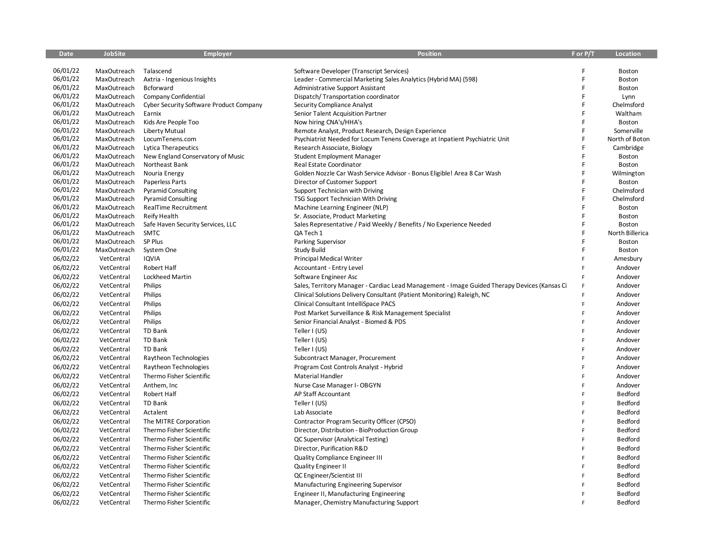| <b>Date</b> | <b>JobSite</b> | <b>Employer</b>                         | <b>Position</b>                                                                              | F or P/T | Location        |
|-------------|----------------|-----------------------------------------|----------------------------------------------------------------------------------------------|----------|-----------------|
|             |                |                                         |                                                                                              |          |                 |
| 06/01/22    | MaxOutreach    | Talascend                               | Software Developer (Transcript Services)                                                     | F        | Boston          |
| 06/01/22    | MaxOutreach    | Axtria - Ingenious Insights             | Leader - Commercial Marketing Sales Analytics (Hybrid MA) (598)                              | F        | Boston          |
| 06/01/22    | MaxOutreach    | <b>Bcforward</b>                        | Administrative Support Assistant                                                             | F        | Boston          |
| 06/01/22    | MaxOutreach    | Company Confidential                    | Dispatch/Transportation coordinator                                                          | F        | Lynn            |
| 06/01/22    | MaxOutreach    | Cyber Security Software Product Company | Security Compliance Analyst                                                                  | F        | Chelmsford      |
| 06/01/22    | MaxOutreach    | Earnix                                  | Senior Talent Acquisition Partner                                                            | F        | Waltham         |
| 06/01/22    | MaxOutreach    | Kids Are People Too                     | Now hiring CNA's/HHA's                                                                       | F        | Boston          |
| 06/01/22    | MaxOutreach    | <b>Liberty Mutual</b>                   | Remote Analyst, Product Research, Design Experience                                          | F        | Somerville      |
| 06/01/22    | MaxOutreach    | LocumTenens.com                         | Psychiatrist Needed for Locum Tenens Coverage at Inpatient Psychiatric Unit                  | F        | North of Boton  |
| 06/01/22    | MaxOutreach    | <b>Lytica Therapeutics</b>              | Research Associate, Biology                                                                  | F        | Cambridge       |
| 06/01/22    | MaxOutreach    | New England Conservatory of Music       | Student Employment Manager                                                                   | F        | Boston          |
| 06/01/22    | MaxOutreach    | Northeast Bank                          | Real Estate Coordinator                                                                      | F        | Boston          |
| 06/01/22    | MaxOutreach    | Nouria Energy                           | Golden Nozzle Car Wash Service Advisor - Bonus Eligible! Area 8 Car Wash                     | F        | Wilmington      |
| 06/01/22    | MaxOutreach    | Paperless Parts                         | Director of Customer Support                                                                 | F        | Boston          |
| 06/01/22    | MaxOutreach    | <b>Pyramid Consulting</b>               | Support Technician with Driving                                                              | F        | Chelmsford      |
| 06/01/22    | MaxOutreach    | <b>Pyramid Consulting</b>               | TSG Support Technician With Driving                                                          | F        | Chelmsford      |
| 06/01/22    | MaxOutreach    | <b>RealTime Recruitment</b>             | Machine Learning Engineer (NLP)                                                              | F        | Boston          |
| 06/01/22    | MaxOutreach    | Reify Health                            | Sr. Associate, Product Marketing                                                             | F        | Boston          |
| 06/01/22    | MaxOutreach    | Safe Haven Security Services, LLC       | Sales Representative / Paid Weekly / Benefits / No Experience Needed                         | F        | Boston          |
| 06/01/22    | MaxOutreach    | <b>SMTC</b>                             | QA Tech 1                                                                                    |          | North Billerica |
| 06/01/22    | MaxOutreach    | SP Plus                                 | Parking Supervisor                                                                           | F        | <b>Boston</b>   |
| 06/01/22    | MaxOutreach    | System One                              | <b>Study Build</b>                                                                           | F        | Boston          |
| 06/02/22    | VetCentral     | <b>IQVIA</b>                            | <b>Principal Medical Writer</b>                                                              | F        | Amesbury        |
| 06/02/22    | VetCentral     | Robert Half                             | Accountant - Entry Level                                                                     | F        | Andover         |
| 06/02/22    | VetCentral     | Lockheed Martin                         | Software Engineer Asc                                                                        | F        | Andover         |
| 06/02/22    | VetCentral     | Philips                                 | Sales, Territory Manager - Cardiac Lead Management - Image Guided Therapy Devices (Kansas Ci | F        | Andover         |
| 06/02/22    | VetCentral     | Philips                                 | Clinical Solutions Delivery Consultant (Patient Monitoring) Raleigh, NC                      | F        | Andover         |
| 06/02/22    | VetCentral     | Philips                                 | Clinical Consultant IntelliSpace PACS                                                        | F        | Andover         |
| 06/02/22    | VetCentral     | Philips                                 | Post Market Surveillance & Risk Management Specialist                                        | F        | Andover         |
| 06/02/22    | VetCentral     | Philips                                 | Senior Financial Analyst - Biomed & PDS                                                      | F        | Andover         |
| 06/02/22    | VetCentral     | TD Bank                                 | Teller I (US)                                                                                | Ë        | Andover         |
| 06/02/22    | VetCentral     | TD Bank                                 | Teller I (US)                                                                                | F        | Andover         |
| 06/02/22    | VetCentral     | TD Bank                                 | Teller I (US)                                                                                | F        | Andover         |
| 06/02/22    | VetCentral     | Raytheon Technologies                   | Subcontract Manager, Procurement                                                             | F        | Andover         |
| 06/02/22    | VetCentral     | Raytheon Technologies                   | Program Cost Controls Analyst - Hybrid                                                       | F        | Andover         |
| 06/02/22    | VetCentral     | Thermo Fisher Scientific                | Material Handler                                                                             | F        | Andover         |
| 06/02/22    | VetCentral     | Anthem, Inc.                            | Nurse Case Manager I- OBGYN                                                                  | F        | Andover         |
| 06/02/22    | VetCentral     | Robert Half                             | AP Staff Accountant                                                                          | F        | Bedford         |
| 06/02/22    | VetCentral     | TD Bank                                 | Teller I (US)                                                                                | F        | Bedford         |
| 06/02/22    | VetCentral     | Actalent                                | Lab Associate                                                                                | F        | Bedford         |
| 06/02/22    |                |                                         |                                                                                              | F        | Bedford         |
|             | VetCentral     | The MITRE Corporation                   | Contractor Program Security Officer (CPSO)                                                   | F        |                 |
| 06/02/22    | VetCentral     | Thermo Fisher Scientific                | Director, Distribution - BioProduction Group                                                 |          | Bedford         |
| 06/02/22    | VetCentral     | Thermo Fisher Scientific                | QC Supervisor (Analytical Testing)                                                           | E        | Bedford         |
| 06/02/22    | VetCentral     | Thermo Fisher Scientific                | Director, Purification R&D                                                                   | F        | Bedford         |
| 06/02/22    | VetCentral     | Thermo Fisher Scientific                | Quality Compliance Engineer III                                                              | F        | Bedford         |
| 06/02/22    | VetCentral     | Thermo Fisher Scientific                | Quality Engineer II                                                                          | Ë        | Bedford         |
| 06/02/22    | VetCentral     | Thermo Fisher Scientific                | QC Engineer/Scientist III                                                                    | F        | Bedford         |
| 06/02/22    | VetCentral     | Thermo Fisher Scientific                | Manufacturing Engineering Supervisor                                                         | F        | Bedford         |
| 06/02/22    | VetCentral     | Thermo Fisher Scientific                | Engineer II, Manufacturing Engineering                                                       | F        | Bedford         |
| 06/02/22    | VetCentral     | Thermo Fisher Scientific                | Manager, Chemistry Manufacturing Support                                                     | F        | Bedford         |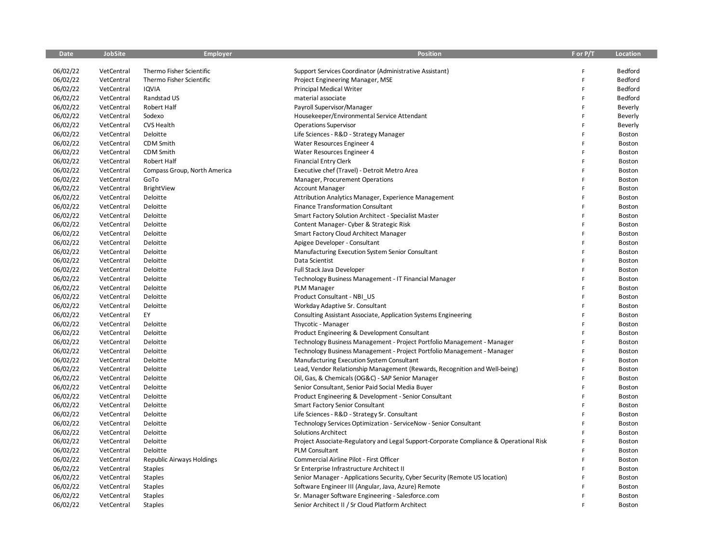| <b>Date</b> | <b>JobSite</b> | <b>Employer</b>              | Position                                                                               | F or P/T | Location |
|-------------|----------------|------------------------------|----------------------------------------------------------------------------------------|----------|----------|
|             |                |                              |                                                                                        |          |          |
| 06/02/22    | VetCentral     | Thermo Fisher Scientific     | Support Services Coordinator (Administrative Assistant)                                | F        | Bedford  |
| 06/02/22    | VetCentral     | Thermo Fisher Scientific     | Project Engineering Manager, MSE                                                       | F        | Bedford  |
| 06/02/22    | VetCentral     | <b>IQVIA</b>                 | <b>Principal Medical Writer</b>                                                        | F        | Bedford  |
| 06/02/22    | VetCentral     | Randstad US                  | material associate                                                                     | F        | Bedford  |
| 06/02/22    | VetCentral     | Robert Half                  | Payroll Supervisor/Manager                                                             | F        | Beverly  |
| 06/02/22    | VetCentral     | Sodexo                       | Housekeeper/Environmental Service Attendant                                            | F        | Beverly  |
| 06/02/22    | VetCentral     | <b>CVS Health</b>            | <b>Operations Supervisor</b>                                                           | F        | Beverly  |
| 06/02/22    | VetCentral     | Deloitte                     | Life Sciences - R&D - Strategy Manager                                                 | F        | Boston   |
| 06/02/22    | VetCentral     | <b>CDM Smith</b>             | Water Resources Engineer 4                                                             | F        | Boston   |
| 06/02/22    | VetCentral     | CDM Smith                    | Water Resources Engineer 4                                                             | F        | Boston   |
| 06/02/22    | VetCentral     | Robert Half                  | <b>Financial Entry Clerk</b>                                                           | F        | Boston   |
| 06/02/22    | VetCentral     | Compass Group, North America | Executive chef (Travel) - Detroit Metro Area                                           | Ë        | Boston   |
| 06/02/22    | VetCentral     | GoTo                         | Manager, Procurement Operations                                                        | F        | Boston   |
| 06/02/22    | VetCentral     | BrightView                   | <b>Account Manager</b>                                                                 | E        | Boston   |
| 06/02/22    | VetCentral     | Deloitte                     | Attribution Analytics Manager, Experience Management                                   | F        | Boston   |
| 06/02/22    | VetCentral     | Deloitte                     | Finance Transformation Consultant                                                      | F        | Boston   |
| 06/02/22    | VetCentral     | Deloitte                     | Smart Factory Solution Architect - Specialist Master                                   | F        | Boston   |
| 06/02/22    | VetCentral     | Deloitte                     | Content Manager- Cyber & Strategic Risk                                                | F        | Boston   |
| 06/02/22    | VetCentral     | Deloitte                     | Smart Factory Cloud Architect Manager                                                  | Ë        | Boston   |
| 06/02/22    | VetCentral     | Deloitte                     | Apigee Developer - Consultant                                                          | F        | Boston   |
| 06/02/22    | VetCentral     | Deloitte                     | Manufacturing Execution System Senior Consultant                                       | F        | Boston   |
| 06/02/22    | VetCentral     | Deloitte                     | Data Scientist                                                                         | F        | Boston   |
| 06/02/22    | VetCentral     | Deloitte                     | Full Stack Java Developer                                                              | F        | Boston   |
| 06/02/22    | VetCentral     | Deloitte                     | Technology Business Management - IT Financial Manager                                  | F        | Boston   |
| 06/02/22    | VetCentral     | Deloitte                     | PLM Manager                                                                            | F        | Boston   |
| 06/02/22    | VetCentral     | Deloitte                     | Product Consultant - NBI US                                                            | F        | Boston   |
| 06/02/22    | VetCentral     | Deloitte                     | Workday Adaptive Sr. Consultant                                                        | F        | Boston   |
| 06/02/22    | VetCentral     | EY                           | Consulting Assistant Associate, Application Systems Engineering                        | F        | Boston   |
| 06/02/22    | VetCentral     | Deloitte                     | Thycotic - Manager                                                                     | Ë        | Boston   |
| 06/02/22    | VetCentral     | Deloitte                     | Product Engineering & Development Consultant                                           | Ë        | Boston   |
| 06/02/22    | VetCentral     | Deloitte                     | Technology Business Management - Project Portfolio Management - Manager                | Ë        | Boston   |
| 06/02/22    | VetCentral     | Deloitte                     | Technology Business Management - Project Portfolio Management - Manager                | F        | Boston   |
| 06/02/22    | VetCentral     | Deloitte                     | Manufacturing Execution System Consultant                                              | F        | Boston   |
| 06/02/22    | VetCentral     | Deloitte                     | Lead, Vendor Relationship Management (Rewards, Recognition and Well-being)             | p        | Boston   |
| 06/02/22    | VetCentral     | Deloitte                     | Oil, Gas, & Chemicals (OG&C) - SAP Senior Manager                                      | F        | Boston   |
| 06/02/22    | VetCentral     | Deloitte                     | Senior Consultant, Senior Paid Social Media Buyer                                      | F        | Boston   |
| 06/02/22    | VetCentral     | Deloitte                     | Product Engineering & Development - Senior Consultant                                  | F        | Boston   |
| 06/02/22    | VetCentral     | Deloitte                     | Smart Factory Senior Consultant                                                        | F        | Boston   |
| 06/02/22    | VetCentral     | Deloitte                     | Life Sciences - R&D - Strategy Sr. Consultant                                          | F        | Boston   |
| 06/02/22    | VetCentral     | Deloitte                     | Technology Services Optimization - ServiceNow - Senior Consultant                      | F        | Boston   |
| 06/02/22    | VetCentral     | Deloitte                     | <b>Solutions Architect</b>                                                             | F        | Boston   |
| 06/02/22    | VetCentral     | Deloitte                     | Project Associate-Regulatory and Legal Support-Corporate Compliance & Operational Risk | F        | Boston   |
| 06/02/22    | VetCentral     | Deloitte                     | <b>PLM Consultant</b>                                                                  | F        | Boston   |
| 06/02/22    | VetCentral     | Republic Airways Holdings    | Commercial Airline Pilot - First Officer                                               | F        | Boston   |
| 06/02/22    | VetCentral     | Staples                      | Sr Enterprise Infrastructure Architect II                                              | F        | Boston   |
| 06/02/22    | VetCentral     | Staples                      | Senior Manager - Applications Security, Cyber Security (Remote US location)            | F        | Boston   |
| 06/02/22    | VetCentral     | <b>Staples</b>               | Software Engineer III (Angular, Java, Azure) Remote                                    | F        | Boston   |
| 06/02/22    | VetCentral     | Staples                      | Sr. Manager Software Engineering - Salesforce.com                                      | F        | Boston   |
| 06/02/22    | VetCentral     | <b>Staples</b>               | Senior Architect II / Sr Cloud Platform Architect                                      | p        | Boston   |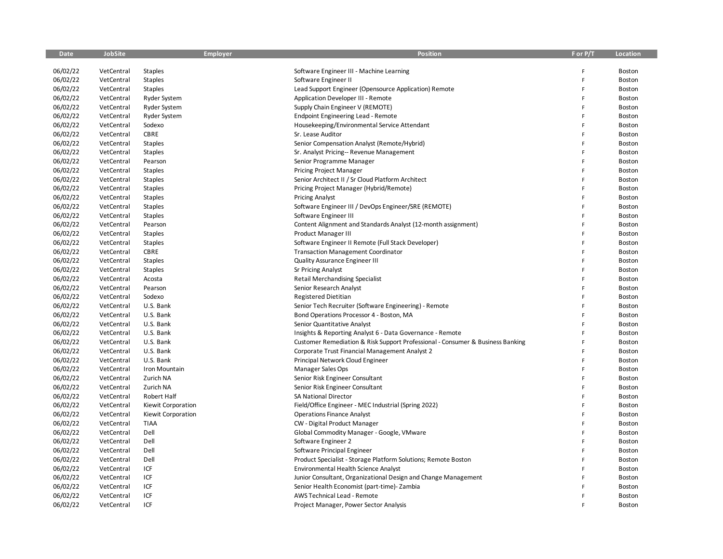| Date     | <b>JobSite</b> | <b>Employer</b>    | <b>Position</b>                                                                | F or P/T | Location      |
|----------|----------------|--------------------|--------------------------------------------------------------------------------|----------|---------------|
|          |                |                    |                                                                                |          |               |
| 06/02/22 | VetCentral     | Staples            | Software Engineer III - Machine Learning                                       | F        | Boston        |
| 06/02/22 | VetCentral     | Staples            | Software Engineer II                                                           | F        | Boston        |
| 06/02/22 | VetCentral     | Staples            | Lead Support Engineer (Opensource Application) Remote                          | F        | Boston        |
| 06/02/22 | VetCentral     | Ryder System       | <b>Application Developer III - Remote</b>                                      | F        | Boston        |
| 06/02/22 | VetCentral     | Ryder System       | Supply Chain Engineer V (REMOTE)                                               | F        | Boston        |
| 06/02/22 | VetCentral     | Ryder System       | <b>Endpoint Engineering Lead - Remote</b>                                      | F        | <b>Boston</b> |
| 06/02/22 | VetCentral     | Sodexo             | Housekeeping/Environmental Service Attendant                                   | F        | Boston        |
| 06/02/22 | VetCentral     | CBRE               | Sr. Lease Auditor                                                              | F        | Boston        |
| 06/02/22 | VetCentral     | <b>Staples</b>     | Senior Compensation Analyst (Remote/Hybrid)                                    | F        | Boston        |
| 06/02/22 | VetCentral     | <b>Staples</b>     | Sr. Analyst Pricing-- Revenue Management                                       | F        | Boston        |
| 06/02/22 | VetCentral     | Pearson            | Senior Programme Manager                                                       | F        | Boston        |
| 06/02/22 | VetCentral     | <b>Staples</b>     | <b>Pricing Project Manager</b>                                                 | E        | <b>Boston</b> |
| 06/02/22 | VetCentral     | <b>Staples</b>     | Senior Architect II / Sr Cloud Platform Architect                              | F        | Boston        |
| 06/02/22 | VetCentral     | <b>Staples</b>     | Pricing Project Manager (Hybrid/Remote)                                        | F        | Boston        |
| 06/02/22 | VetCentral     | <b>Staples</b>     | <b>Pricing Analyst</b>                                                         | F        | Boston        |
| 06/02/22 | VetCentral     | Staples            | Software Engineer III / DevOps Engineer/SRE (REMOTE)                           | F        | Boston        |
| 06/02/22 | VetCentral     | <b>Staples</b>     | Software Engineer III                                                          | F        | Boston        |
| 06/02/22 | VetCentral     | Pearson            | Content Alignment and Standards Analyst (12-month assignment)                  | F        | Boston        |
| 06/02/22 | VetCentral     | Staples            | Product Manager III                                                            | F        | <b>Boston</b> |
| 06/02/22 | VetCentral     | Staples            | Software Engineer II Remote (Full Stack Developer)                             | F        | Boston        |
| 06/02/22 | VetCentral     | CBRE               | <b>Transaction Management Coordinator</b>                                      | F        | Boston        |
| 06/02/22 | VetCentral     | Staples            | Quality Assurance Engineer III                                                 | F        | Boston        |
| 06/02/22 | VetCentral     | <b>Staples</b>     | Sr Pricing Analyst                                                             | F        | Boston        |
| 06/02/22 | VetCentral     | Acosta             | <b>Retail Merchandising Specialist</b>                                         | F        | Boston        |
| 06/02/22 | VetCentral     | Pearson            | Senior Research Analyst                                                        | F        | Boston        |
| 06/02/22 | VetCentral     | Sodexo             | Registered Dietitian                                                           | Ë        | Boston        |
| 06/02/22 | VetCentral     | U.S. Bank          | Senior Tech Recruiter (Software Engineering) - Remote                          | Ë        | Boston        |
| 06/02/22 | VetCentral     | U.S. Bank          | Bond Operations Processor 4 - Boston, MA                                       | F        | Boston        |
| 06/02/22 | VetCentral     | U.S. Bank          | Senior Quantitative Analyst                                                    | F        | Boston        |
| 06/02/22 | VetCentral     | U.S. Bank          | Insights & Reporting Analyst 6 - Data Governance - Remote                      | E        | Boston        |
| 06/02/22 | VetCentral     | U.S. Bank          | Customer Remediation & Risk Support Professional - Consumer & Business Banking | F        | Boston        |
| 06/02/22 | VetCentral     | U.S. Bank          | Corporate Trust Financial Management Analyst 2                                 | E        | Boston        |
| 06/02/22 | VetCentral     | U.S. Bank          | Principal Network Cloud Engineer                                               | F        | <b>Boston</b> |
| 06/02/22 | VetCentral     | Iron Mountain      | Manager Sales Ops                                                              | F        | <b>Boston</b> |
| 06/02/22 | VetCentral     | Zurich NA          | Senior Risk Engineer Consultant                                                | F        | <b>Boston</b> |
| 06/02/22 | VetCentral     | Zurich NA          | Senior Risk Engineer Consultant                                                | F        | Boston        |
| 06/02/22 | VetCentral     | Robert Half        | SA National Director                                                           | F        | Boston        |
| 06/02/22 | VetCentral     | Kiewit Corporation | Field/Office Engineer - MEC Industrial (Spring 2022)                           | F        | Boston        |
| 06/02/22 | VetCentral     | Kiewit Corporation | <b>Operations Finance Analyst</b>                                              | F        | Boston        |
| 06/02/22 | VetCentral     | <b>TIAA</b>        | CW - Digital Product Manager                                                   | F        | Boston        |
| 06/02/22 | VetCentral     | Dell               | Global Commodity Manager - Google, VMware                                      | F        | Boston        |
| 06/02/22 | VetCentral     | Dell               | Software Engineer 2                                                            | F        | Boston        |
| 06/02/22 | VetCentral     | Dell               | Software Principal Engineer                                                    | F        | Boston        |
| 06/02/22 | VetCentral     | Dell               | Product Specialist - Storage Platform Solutions; Remote Boston                 | F        | Boston        |
| 06/02/22 | VetCentral     | ICF                | Environmental Health Science Analyst                                           | Ë        | Boston        |
| 06/02/22 | VetCentral     | ICF                | Junior Consultant, Organizational Design and Change Management                 | F        | Boston        |
| 06/02/22 | VetCentral     | ICF                | Senior Health Economist (part-time)- Zambia                                    | F        | Boston        |
| 06/02/22 | VetCentral     | ICF                | AWS Technical Lead - Remote                                                    | F        | Boston        |
| 06/02/22 | VetCentral     | ICF                | Project Manager, Power Sector Analysis                                         | F        | Boston        |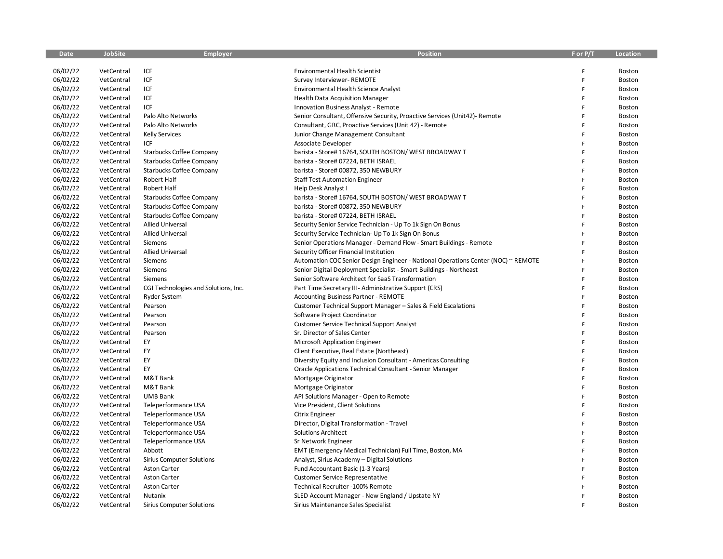| <b>Date</b> | <b>JobSite</b> | <b>Employer</b>                      | <b>Position</b>                                                                   | F or P/T | Location      |
|-------------|----------------|--------------------------------------|-----------------------------------------------------------------------------------|----------|---------------|
|             |                |                                      |                                                                                   |          |               |
| 06/02/22    | VetCentral     | ICF                                  | <b>Environmental Health Scientist</b>                                             | F        | Boston        |
| 06/02/22    | VetCentral     | ICF                                  | Survey Interviewer-REMOTE                                                         | F        | Boston        |
| 06/02/22    | VetCentral     | ICF                                  | Environmental Health Science Analyst                                              | F        | Boston        |
| 06/02/22    | VetCentral     | ICF                                  | Health Data Acquisition Manager                                                   | F        | Boston        |
| 06/02/22    | VetCentral     | ICF                                  | <b>Innovation Business Analyst - Remote</b>                                       | F        | <b>Boston</b> |
| 06/02/22    | VetCentral     | Palo Alto Networks                   | Senior Consultant, Offensive Security, Proactive Services (Unit42)- Remote        | F        | Boston        |
| 06/02/22    | VetCentral     | Palo Alto Networks                   | Consultant, GRC, Proactive Services (Unit 42) - Remote                            | F        | Boston        |
| 06/02/22    | VetCentral     | <b>Kelly Services</b>                | Junior Change Management Consultant                                               | F        | Boston        |
| 06/02/22    | VetCentral     | ICF                                  | Associate Developer                                                               | F        | Boston        |
| 06/02/22    | VetCentral     | Starbucks Coffee Company             | barista - Store# 16764, SOUTH BOSTON/ WEST BROADWAY T                             | F        | Boston        |
| 06/02/22    | VetCentral     | <b>Starbucks Coffee Company</b>      | barista - Store# 07224, BETH ISRAEL                                               | F        | Boston        |
| 06/02/22    | VetCentral     | <b>Starbucks Coffee Company</b>      | barista - Store# 00872, 350 NEWBURY                                               | E        | Boston        |
| 06/02/22    | VetCentral     | Robert Half                          | <b>Staff Test Automation Engineer</b>                                             | F        | Boston        |
| 06/02/22    | VetCentral     | Robert Half                          | Help Desk Analyst I                                                               | F        | Boston        |
| 06/02/22    | VetCentral     | <b>Starbucks Coffee Company</b>      | barista - Store# 16764, SOUTH BOSTON/ WEST BROADWAY T                             | F        | Boston        |
| 06/02/22    | VetCentral     | <b>Starbucks Coffee Company</b>      | barista - Store# 00872, 350 NEWBURY                                               | F        | Boston        |
| 06/02/22    | VetCentral     | Starbucks Coffee Company             | barista - Store# 07224, BETH ISRAEL                                               | F        | Boston        |
| 06/02/22    | VetCentral     | <b>Allied Universal</b>              | Security Senior Service Technician - Up To 1k Sign On Bonus                       | F        | Boston        |
| 06/02/22    | VetCentral     | <b>Allied Universal</b>              | Security Service Technician- Up To 1k Sign On Bonus                               | F        | Boston        |
| 06/02/22    | VetCentral     | Siemens                              | Senior Operations Manager - Demand Flow - Smart Buildings - Remote                | F        | Boston        |
| 06/02/22    | VetCentral     | <b>Allied Universal</b>              | Security Officer Financial Institution                                            | F        | Boston        |
| 06/02/22    | VetCentral     | Siemens                              | Automation COC Senior Design Engineer - National Operations Center (NOC) ~ REMOTE | F        | Boston        |
| 06/02/22    | VetCentral     | Siemens                              | Senior Digital Deployment Specialist - Smart Buildings - Northeast                | F        | Boston        |
| 06/02/22    | VetCentral     | Siemens                              | Senior Software Architect for SaaS Transformation                                 | F        | Boston        |
| 06/02/22    | VetCentral     | CGI Technologies and Solutions, Inc. | Part Time Secretary III- Administrative Support (CRS)                             | F        | Boston        |
| 06/02/22    | VetCentral     | <b>Ryder System</b>                  | <b>Accounting Business Partner - REMOTE</b>                                       | F        | Boston        |
| 06/02/22    | VetCentral     | Pearson                              | Customer Technical Support Manager - Sales & Field Escalations                    | F        | Boston        |
| 06/02/22    | VetCentral     | Pearson                              | Software Project Coordinator                                                      | Ë        | Boston        |
| 06/02/22    | VetCentral     | Pearson                              | <b>Customer Service Technical Support Analyst</b>                                 | F        | Boston        |
| 06/02/22    | VetCentral     | Pearson                              | Sr. Director of Sales Center                                                      | Ë        | Boston        |
| 06/02/22    | VetCentral     | EY                                   | Microsoft Application Engineer                                                    | F        | Boston        |
| 06/02/22    | VetCentral     | EY                                   | Client Executive, Real Estate (Northeast)                                         | F        | Boston        |
| 06/02/22    | VetCentral     | EY                                   | Diversity Equity and Inclusion Consultant - Americas Consulting                   | F        | Boston        |
| 06/02/22    | VetCentral     | EY                                   | Oracle Applications Technical Consultant - Senior Manager                         | F        | Boston        |
| 06/02/22    | VetCentral     | M&T Bank                             | Mortgage Originator                                                               | F        | Boston        |
| 06/02/22    | VetCentral     | M&T Bank                             | Mortgage Originator                                                               | F        | Boston        |
| 06/02/22    | VetCentral     | <b>UMB Bank</b>                      | API Solutions Manager - Open to Remote                                            | F        | Boston        |
| 06/02/22    | VetCentral     | Teleperformance USA                  | Vice President, Client Solutions                                                  | F        | Boston        |
| 06/02/22    | VetCentral     | Teleperformance USA                  | Citrix Engineer                                                                   | F        | Boston        |
| 06/02/22    | VetCentral     | Teleperformance USA                  | Director, Digital Transformation - Travel                                         | F        | Boston        |
| 06/02/22    | VetCentral     | Teleperformance USA                  | <b>Solutions Architect</b>                                                        | Ë        | Boston        |
| 06/02/22    | VetCentral     | Teleperformance USA                  | Sr Network Engineer                                                               | F        | Boston        |
| 06/02/22    | VetCentral     | Abbott                               | EMT (Emergency Medical Technician) Full Time, Boston, MA                          | Ë        | Boston        |
| 06/02/22    | VetCentral     | <b>Sirius Computer Solutions</b>     | Analyst, Sirius Academy - Digital Solutions                                       | F        | Boston        |
| 06/02/22    | VetCentral     | <b>Aston Carter</b>                  | Fund Accountant Basic (1-3 Years)                                                 | E        | Boston        |
| 06/02/22    | VetCentral     | <b>Aston Carter</b>                  | <b>Customer Service Representative</b>                                            | F        | Boston        |
| 06/02/22    | VetCentral     | <b>Aston Carter</b>                  | Technical Recruiter -100% Remote                                                  | F        | Boston        |
| 06/02/22    | VetCentral     | Nutanix                              | SLED Account Manager - New England / Upstate NY                                   | F        | Boston        |
| 06/02/22    | VetCentral     | <b>Sirius Computer Solutions</b>     | Sirius Maintenance Sales Specialist                                               | F        | Boston        |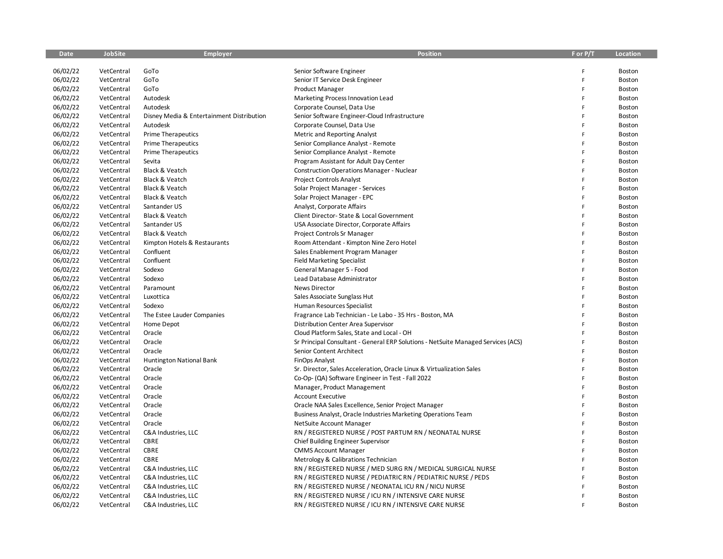| <b>Date</b> | <b>JobSite</b> | <b>Employer</b>                           | <b>Position</b>                                                                   | F or P/T | Location      |
|-------------|----------------|-------------------------------------------|-----------------------------------------------------------------------------------|----------|---------------|
|             |                |                                           |                                                                                   |          |               |
| 06/02/22    | VetCentral     | GoTo                                      | Senior Software Engineer                                                          | F        | Boston        |
| 06/02/22    | VetCentral     | GoTo                                      | Senior IT Service Desk Engineer                                                   | F        | Boston        |
| 06/02/22    | VetCentral     | GoTo                                      | <b>Product Manager</b>                                                            | F        | Boston        |
| 06/02/22    | VetCentral     | Autodesk                                  | Marketing Process Innovation Lead                                                 | F        | Boston        |
| 06/02/22    | VetCentral     | Autodesk                                  | Corporate Counsel, Data Use                                                       | F        | Boston        |
| 06/02/22    | VetCentral     | Disney Media & Entertainment Distribution | Senior Software Engineer-Cloud Infrastructure                                     | F        | Boston        |
| 06/02/22    | VetCentral     | Autodesk                                  | Corporate Counsel, Data Use                                                       | F        | Boston        |
| 06/02/22    | VetCentral     | <b>Prime Therapeutics</b>                 | <b>Metric and Reporting Analyst</b>                                               | F        | Boston        |
| 06/02/22    | VetCentral     | <b>Prime Therapeutics</b>                 | Senior Compliance Analyst - Remote                                                | F        | Boston        |
| 06/02/22    | VetCentral     | <b>Prime Therapeutics</b>                 | Senior Compliance Analyst - Remote                                                | F        | Boston        |
| 06/02/22    | VetCentral     | Sevita                                    | Program Assistant for Adult Day Center                                            | F        | Boston        |
| 06/02/22    | VetCentral     | Black & Veatch                            | <b>Construction Operations Manager - Nuclear</b>                                  | Ë        | Boston        |
| 06/02/22    | VetCentral     | Black & Veatch                            | Project Controls Analyst                                                          | F        | Boston        |
| 06/02/22    | VetCentral     | Black & Veatch                            | Solar Project Manager - Services                                                  | E        | Boston        |
| 06/02/22    | VetCentral     | Black & Veatch                            | Solar Project Manager - EPC                                                       | E        | Boston        |
| 06/02/22    | VetCentral     | Santander US                              | Analyst, Corporate Affairs                                                        | F        | Boston        |
| 06/02/22    | VetCentral     | Black & Veatch                            | Client Director- State & Local Government                                         | F        | Boston        |
| 06/02/22    | VetCentral     | Santander US                              | USA Associate Director, Corporate Affairs                                         | F        | <b>Boston</b> |
| 06/02/22    | VetCentral     | Black & Veatch                            | Project Controls Sr Manager                                                       | Ë        | Boston        |
| 06/02/22    | VetCentral     | Kimpton Hotels & Restaurants              | Room Attendant - Kimpton Nine Zero Hotel                                          | F        | <b>Boston</b> |
| 06/02/22    | VetCentral     | Confluent                                 | Sales Enablement Program Manager                                                  | F        | Boston        |
| 06/02/22    | VetCentral     | Confluent                                 | <b>Field Marketing Specialist</b>                                                 | F        | Boston        |
| 06/02/22    | VetCentral     | Sodexo                                    | General Manager 5 - Food                                                          | F        | Boston        |
| 06/02/22    | VetCentral     | Sodexo                                    | Lead Database Administrator                                                       | F        | Boston        |
| 06/02/22    | VetCentral     | Paramount                                 | <b>News Director</b>                                                              | F        | Boston        |
| 06/02/22    | VetCentral     | Luxottica                                 | Sales Associate Sunglass Hut                                                      | F        | Boston        |
| 06/02/22    | VetCentral     | Sodexo                                    | Human Resources Specialist                                                        | F        | Boston        |
| 06/02/22    | VetCentral     | The Estee Lauder Companies                | Fragrance Lab Technician - Le Labo - 35 Hrs - Boston, MA                          | F        | Boston        |
| 06/02/22    | VetCentral     | Home Depot                                | Distribution Center Area Supervisor                                               | F        | Boston        |
| 06/02/22    | VetCentral     | Oracle                                    | Cloud Platform Sales, State and Local - OH                                        | Ë        | Boston        |
| 06/02/22    | VetCentral     | Oracle                                    | Sr Principal Consultant - General ERP Solutions - NetSuite Managed Services (ACS) | F        | Boston        |
| 06/02/22    | VetCentral     | Oracle                                    | Senior Content Architect                                                          | F        | Boston        |
| 06/02/22    | VetCentral     | <b>Huntington National Bank</b>           | FinOps Analyst                                                                    | F        | Boston        |
| 06/02/22    | VetCentral     | Oracle                                    | Sr. Director, Sales Acceleration, Oracle Linux & Virtualization Sales             | Ë        | Boston        |
| 06/02/22    | VetCentral     | Oracle                                    | Co-Op- (QA) Software Engineer in Test - Fall 2022                                 | F        | Boston        |
| 06/02/22    | VetCentral     | Oracle                                    | Manager, Product Management                                                       | F        | Boston        |
| 06/02/22    | VetCentral     | Oracle                                    | <b>Account Executive</b>                                                          | F        | <b>Boston</b> |
| 06/02/22    | VetCentral     | Oracle                                    | Oracle NAA Sales Excellence, Senior Project Manager                               | F        | <b>Boston</b> |
| 06/02/22    | VetCentral     | Oracle                                    | Business Analyst, Oracle Industries Marketing Operations Team                     | F        | Boston        |
| 06/02/22    | VetCentral     | Oracle                                    | NetSuite Account Manager                                                          | Ë        | <b>Boston</b> |
| 06/02/22    | VetCentral     | C&A Industries, LLC                       | RN / REGISTERED NURSE / POST PARTUM RN / NEONATAL NURSE                           | F        | Boston        |
| 06/02/22    | VetCentral     | <b>CBRE</b>                               | Chief Building Engineer Supervisor                                                | F        | Boston        |
| 06/02/22    | VetCentral     | <b>CBRE</b>                               | <b>CMMS Account Manager</b>                                                       | F        | Boston        |
| 06/02/22    | VetCentral     | CBRE                                      | Metrology & Calibrations Technician                                               | F        | Boston        |
| 06/02/22    | VetCentral     | C&A Industries, LLC                       | RN / REGISTERED NURSE / MED SURG RN / MEDICAL SURGICAL NURSE                      | F        | Boston        |
| 06/02/22    | VetCentral     | C&A Industries, LLC                       | RN / REGISTERED NURSE / PEDIATRIC RN / PEDIATRIC NURSE / PEDS                     | F        | Boston        |
| 06/02/22    | VetCentral     | C&A Industries, LLC                       | RN / REGISTERED NURSE / NEONATAL ICU RN / NICU NURSE                              | F        | Boston        |
| 06/02/22    | VetCentral     | C&A Industries, LLC                       | RN / REGISTERED NURSE / ICU RN / INTENSIVE CARE NURSE                             | F        | Boston        |
| 06/02/22    | VetCentral     | C&A Industries, LLC                       | RN / REGISTERED NURSE / ICU RN / INTENSIVE CARE NURSE                             | p        | Boston        |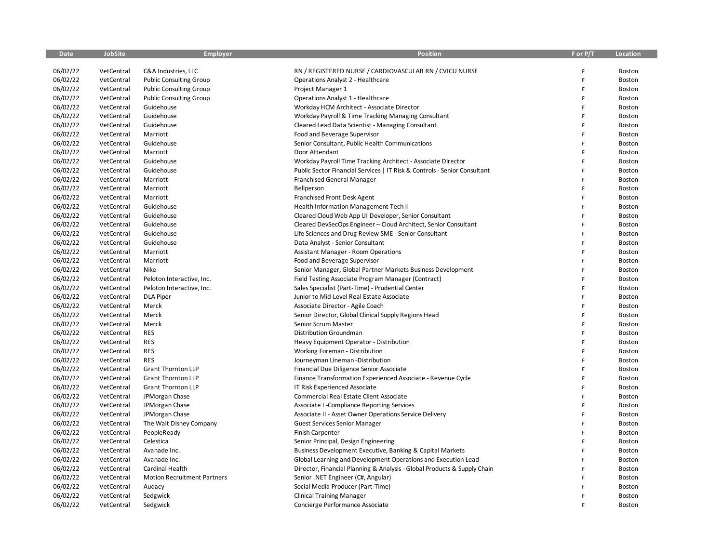| <b>Date</b> | <b>JobSite</b> | <b>Employer</b>                    | <b>Position</b>                                                           | F or P/T | Location |
|-------------|----------------|------------------------------------|---------------------------------------------------------------------------|----------|----------|
|             |                |                                    |                                                                           |          |          |
| 06/02/22    | VetCentral     | C&A Industries, LLC                | RN / REGISTERED NURSE / CARDIOVASCULAR RN / CVICU NURSE                   | F        | Boston   |
| 06/02/22    | VetCentral     | <b>Public Consulting Group</b>     | Operations Analyst 2 - Healthcare                                         | F        | Boston   |
| 06/02/22    | VetCentral     | <b>Public Consulting Group</b>     | Project Manager 1                                                         | F        | Boston   |
| 06/02/22    | VetCentral     | <b>Public Consulting Group</b>     | Operations Analyst 1 - Healthcare                                         | F        | Boston   |
| 06/02/22    | VetCentral     | Guidehouse                         | Workday HCM Architect - Associate Director                                | F        | Boston   |
| 06/02/22    | VetCentral     | Guidehouse                         | Workday Payroll & Time Tracking Managing Consultant                       | F        | Boston   |
| 06/02/22    | VetCentral     | Guidehouse                         | Cleared Lead Data Scientist - Managing Consultant                         | F        | Boston   |
| 06/02/22    | VetCentral     | Marriott                           | Food and Beverage Supervisor                                              | F        | Boston   |
| 06/02/22    | VetCentral     | Guidehouse                         | Senior Consultant, Public Health Communications                           | F        | Boston   |
| 06/02/22    | VetCentral     | Marriott                           | Door Attendant                                                            | F        | Boston   |
| 06/02/22    | VetCentral     | Guidehouse                         | Workday Payroll Time Tracking Architect - Associate Director              | F        | Boston   |
| 06/02/22    | VetCentral     | Guidehouse                         | Public Sector Financial Services   IT Risk & Controls - Senior Consultant | F        | Boston   |
| 06/02/22    | VetCentral     | Marriott                           | <b>Franchised General Manager</b>                                         | F        | Boston   |
| 06/02/22    | VetCentral     | Marriott                           | Bellperson                                                                | E        | Boston   |
| 06/02/22    | VetCentral     | Marriott                           | Franchised Front Desk Agent                                               | E        | Boston   |
| 06/02/22    | VetCentral     | Guidehouse                         | Health Information Management Tech II                                     | F        | Boston   |
| 06/02/22    | VetCentral     | Guidehouse                         | Cleared Cloud Web App UI Developer, Senior Consultant                     | F        | Boston   |
| 06/02/22    | VetCentral     | Guidehouse                         | Cleared DevSecOps Engineer - Cloud Architect, Senior Consultant           | F        | Boston   |
| 06/02/22    | VetCentral     | Guidehouse                         | Life Sciences and Drug Review SME - Senior Consultant                     | F        | Boston   |
| 06/02/22    | VetCentral     | Guidehouse                         | Data Analyst - Senior Consultant                                          | F        | Boston   |
| 06/02/22    | VetCentral     | Marriott                           | <b>Assistant Manager - Room Operations</b>                                | F        | Boston   |
| 06/02/22    | VetCentral     | Marriott                           | Food and Beverage Supervisor                                              | F        | Boston   |
| 06/02/22    | VetCentral     | Nike                               | Senior Manager, Global Partner Markets Business Development               | F        | Boston   |
| 06/02/22    | VetCentral     | Peloton Interactive, Inc.          | Field Testing Associate Program Manager (Contract)                        | F        | Boston   |
| 06/02/22    | VetCentral     | Peloton Interactive, Inc.          | Sales Specialist (Part-Time) - Prudential Center                          | F        | Boston   |
| 06/02/22    | VetCentral     | <b>DLA Piper</b>                   | Junior to Mid-Level Real Estate Associate                                 | F        | Boston   |
| 06/02/22    | VetCentral     | Merck                              | Associate Director - Agile Coach                                          | F        | Boston   |
| 06/02/22    | VetCentral     | Merck                              | Senior Director, Global Clinical Supply Regions Head                      | F        | Boston   |
| 06/02/22    | VetCentral     | Merck                              | Senior Scrum Master                                                       | F        | Boston   |
| 06/02/22    | VetCentral     | <b>RES</b>                         | Distribution Groundman                                                    | Ë        | Boston   |
| 06/02/22    | VetCentral     | <b>RES</b>                         | Heavy Equipment Operator - Distribution                                   | F        | Boston   |
| 06/02/22    | VetCentral     | <b>RES</b>                         | Working Foreman - Distribution                                            | F        | Boston   |
| 06/02/22    | VetCentral     | <b>RES</b>                         | Journeyman Lineman -Distribution                                          | F        | Boston   |
| 06/02/22    | VetCentral     | <b>Grant Thornton LLP</b>          | Financial Due Diligence Senior Associate                                  | F        | Boston   |
| 06/02/22    | VetCentral     | <b>Grant Thornton LLP</b>          | Finance Transformation Experienced Associate - Revenue Cycle              | F        | Boston   |
| 06/02/22    | VetCentral     | <b>Grant Thornton LLP</b>          | IT Risk Experienced Associate                                             | F        | Boston   |
| 06/02/22    | VetCentral     | JPMorgan Chase                     | Commercial Real Estate Client Associate                                   | F        | Boston   |
| 06/02/22    | VetCentral     | JPMorgan Chase                     | Associate I -Compliance Reporting Services                                | F        | Boston   |
| 06/02/22    | VetCentral     | JPMorgan Chase                     | Associate II - Asset Owner Operations Service Delivery                    | F        | Boston   |
| 06/02/22    | VetCentral     | The Walt Disney Company            | <b>Guest Services Senior Manager</b>                                      | F        | Boston   |
| 06/02/22    | VetCentral     | PeopleReady                        | <b>Finish Carpenter</b>                                                   | F        | Boston   |
| 06/02/22    | VetCentral     | Celestica                          | Senior Principal, Design Engineering                                      | F        | Boston   |
| 06/02/22    | VetCentral     | Avanade Inc.                       | Business Development Executive, Banking & Capital Markets                 | F        | Boston   |
| 06/02/22    | VetCentral     | Avanade Inc.                       | Global Learning and Development Operations and Execution Lead             | F        | Boston   |
| 06/02/22    | VetCentral     | Cardinal Health                    | Director, Financial Planning & Analysis - Global Products & Supply Chain  | F        | Boston   |
| 06/02/22    | VetCentral     | <b>Motion Recruitment Partners</b> | Senior .NET Engineer (C#, Angular)                                        | F        | Boston   |
| 06/02/22    | VetCentral     | Audacy                             | Social Media Producer (Part-Time)                                         | F        | Boston   |
| 06/02/22    | VetCentral     | Sedgwick                           | <b>Clinical Training Manager</b>                                          | F        | Boston   |
| 06/02/22    | VetCentral     | Sedgwick                           | Concierge Performance Associate                                           | p        | Boston   |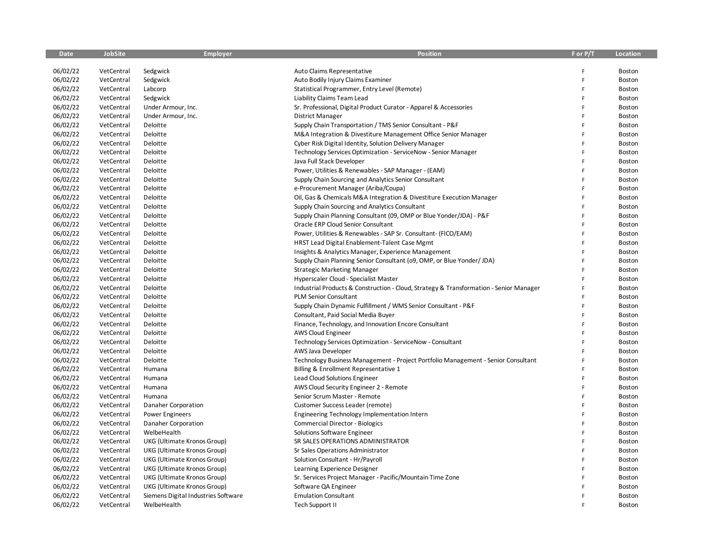| Date     | <b>JobSite</b> | <b>Employer</b>                     | <b>Position</b>                                                                        | F or P/T | Location |
|----------|----------------|-------------------------------------|----------------------------------------------------------------------------------------|----------|----------|
|          |                |                                     |                                                                                        |          |          |
| 06/02/22 | VetCentral     | Sedgwick                            | Auto Claims Representative                                                             | F        | Boston   |
| 06/02/22 | VetCentral     | Sedgwick                            | Auto Bodily Injury Claims Examiner                                                     | F        | Boston   |
| 06/02/22 | VetCentral     | Labcorp                             | Statistical Programmer, Entry Level (Remote)                                           | F        | Boston   |
| 06/02/22 | VetCentral     | Sedgwick                            | Liability Claims Team Lead                                                             | F        | Boston   |
| 06/02/22 | VetCentral     | Under Armour, Inc.                  | Sr. Professional, Digital Product Curator - Apparel & Accessories                      | F        | Boston   |
| 06/02/22 | VetCentral     | Under Armour, Inc.                  | <b>District Manager</b>                                                                | F        | Boston   |
| 06/02/22 | VetCentral     | Deloitte                            | Supply Chain Transportation / TMS Senior Consultant - P&F                              | F        | Boston   |
| 06/02/22 | VetCentral     | Deloitte                            | M&A Integration & Divestiture Management Office Senior Manager                         | F        | Boston   |
| 06/02/22 | VetCentral     | Deloitte                            | Cyber Risk Digital Identity, Solution Delivery Manager                                 | F        | Boston   |
| 06/02/22 | VetCentral     | Deloitte                            | Technology Services Optimization - ServiceNow - Senior Manager                         | F        | Boston   |
| 06/02/22 | VetCentral     | Deloitte                            | Java Full Stack Developer                                                              | F        | Boston   |
| 06/02/22 | VetCentral     | Deloitte                            | Power, Utilities & Renewables - SAP Manager - (EAM)                                    | Ē        | Boston   |
| 06/02/22 | VetCentral     | Deloitte                            | Supply Chain Sourcing and Analytics Senior Consultant                                  | F        | Boston   |
| 06/02/22 | VetCentral     | Deloitte                            | e-Procurement Manager (Ariba/Coupa)                                                    | F        | Boston   |
| 06/02/22 | VetCentral     | Deloitte                            | Oil, Gas & Chemicals M&A Integration & Divestiture Execution Manager                   | F        | Boston   |
| 06/02/22 | VetCentral     | Deloitte                            | Supply Chain Sourcing and Analytics Consultant                                         | F        | Boston   |
| 06/02/22 | VetCentral     | Deloitte                            | Supply Chain Planning Consultant (09, OMP or Blue Yonder/JDA) - P&F                    | F        | Boston   |
| 06/02/22 | VetCentral     | Deloitte                            | Oracle ERP Cloud Senior Consultant                                                     | F        | Boston   |
| 06/02/22 | VetCentral     | Deloitte                            | Power, Utilities & Renewables - SAP Sr. Consultant- (FICO/EAM)                         | F        | Boston   |
| 06/02/22 | VetCentral     | Deloitte                            | HRST Lead Digital Enablement-Talent Case Mgmt                                          | F        | Boston   |
| 06/02/22 | VetCentral     | Deloitte                            | Insights & Analytics Manager, Experience Management                                    | F        | Boston   |
| 06/02/22 | VetCentral     | Deloitte                            | Supply Chain Planning Senior Consultant (09, OMP, or Blue Yonder/ JDA)                 | F        | Boston   |
| 06/02/22 | VetCentral     | Deloitte                            | <b>Strategic Marketing Manager</b>                                                     | F        | Boston   |
| 06/02/22 | VetCentral     | Deloitte                            | Hyperscaler Cloud - Specialist Master                                                  | F        | Boston   |
| 06/02/22 | VetCentral     | Deloitte                            | Industrial Products & Construction - Cloud, Strategy & Transformation - Senior Manager | F        | Boston   |
| 06/02/22 | VetCentral     | Deloitte                            | PLM Senior Consultant                                                                  | F        | Boston   |
| 06/02/22 | VetCentral     | Deloitte                            | Supply Chain Dynamic Fulfillment / WMS Senior Consultant - P&F                         | F        | Boston   |
| 06/02/22 | VetCentral     | Deloitte                            | Consultant, Paid Social Media Buyer                                                    | F        | Boston   |
| 06/02/22 | VetCentral     | Deloitte                            | Finance, Technology, and Innovation Encore Consultant                                  | F        | Boston   |
| 06/02/22 | VetCentral     | Deloitte                            | AWS Cloud Engineer                                                                     | F        | Boston   |
| 06/02/22 | VetCentral     | Deloitte                            | Technology Services Optimization - ServiceNow - Consultant                             | F        | Boston   |
| 06/02/22 | VetCentral     | Deloitte                            | AWS Java Developer                                                                     | F        | Boston   |
| 06/02/22 | VetCentral     | Deloitte                            | Technology Business Management - Project Portfolio Management - Senior Consultant      | F        | Boston   |
| 06/02/22 | VetCentral     | Humana                              | Billing & Enrollment Representative 1                                                  | p        | Boston   |
| 06/02/22 | VetCentral     | Humana                              | Lead Cloud Solutions Engineer                                                          | F        | Boston   |
| 06/02/22 | VetCentral     | Humana                              | AWS Cloud Security Engineer 2 - Remote                                                 | F        | Boston   |
| 06/02/22 | VetCentral     | Humana                              | Senior Scrum Master - Remote                                                           | F        | Boston   |
| 06/02/22 | VetCentral     | Danaher Corporation                 | Customer Success Leader (remote)                                                       | F        | Boston   |
| 06/02/22 | VetCentral     | <b>Power Engineers</b>              | Engineering Technology Implementation Intern                                           | F        | Boston   |
| 06/02/22 | VetCentral     | Danaher Corporation                 | <b>Commercial Director - Biologics</b>                                                 | F        | Boston   |
| 06/02/22 | VetCentral     | WelbeHealth                         | Solutions Software Engineer                                                            | F        | Boston   |
| 06/02/22 | VetCentral     | UKG (Ultimate Kronos Group)         | SR SALES OPERATIONS ADMINISTRATOR                                                      | Ë        | Boston   |
| 06/02/22 | VetCentral     | UKG (Ultimate Kronos Group)         | Sr Sales Operations Administrator                                                      | F        | Boston   |
| 06/02/22 | VetCentral     | UKG (Ultimate Kronos Group)         | Solution Consultant - Hr/Payroll                                                       | F        | Boston   |
| 06/02/22 | VetCentral     | UKG (Ultimate Kronos Group)         | Learning Experience Designer                                                           | F        | Boston   |
| 06/02/22 | VetCentral     | UKG (Ultimate Kronos Group)         | Sr. Services Project Manager - Pacific/Mountain Time Zone                              | Ë        | Boston   |
| 06/02/22 | VetCentral     | UKG (Ultimate Kronos Group)         | Software QA Engineer                                                                   | F        | Boston   |
| 06/02/22 | VetCentral     | Siemens Digital Industries Software | <b>Emulation Consultant</b>                                                            | F        | Boston   |
| 06/02/22 | VetCentral     | WelbeHealth                         | Tech Support II                                                                        | p        | Boston   |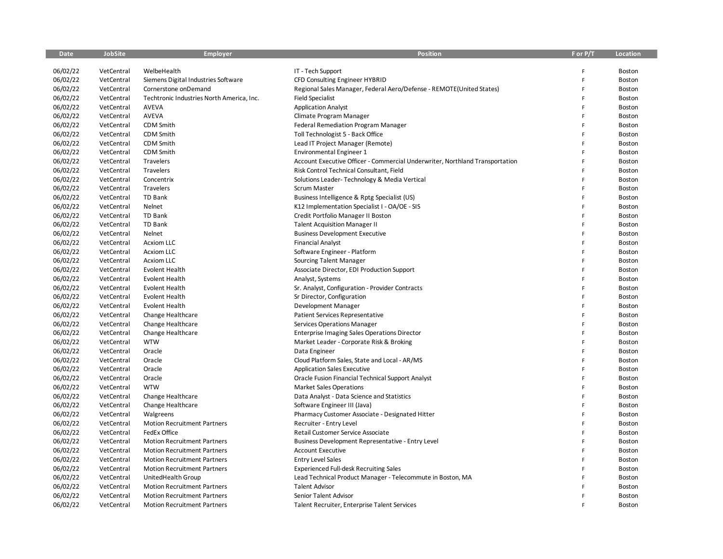| <b>Date</b> | <b>JobSite</b> | <b>Employer</b>                           | <b>Position</b>                                                              | F or P/T     | Location      |
|-------------|----------------|-------------------------------------------|------------------------------------------------------------------------------|--------------|---------------|
|             |                |                                           |                                                                              |              |               |
| 06/02/22    | VetCentral     | WelbeHealth                               | IT - Tech Support                                                            | F            | Boston        |
| 06/02/22    | VetCentral     | Siemens Digital Industries Software       | CFD Consulting Engineer HYBRID                                               | F            | Boston        |
| 06/02/22    | VetCentral     | Cornerstone onDemand                      | Regional Sales Manager, Federal Aero/Defense - REMOTE(United States)         | F            | Boston        |
| 06/02/22    | VetCentral     | Techtronic Industries North America, Inc. | <b>Field Specialist</b>                                                      | F            | Boston        |
| 06/02/22    | VetCentral     | <b>AVEVA</b>                              | <b>Application Analyst</b>                                                   | F            | Boston        |
| 06/02/22    | VetCentral     | AVEVA                                     | Climate Program Manager                                                      | F            | Boston        |
| 06/02/22    | VetCentral     | CDM Smith                                 | Federal Remediation Program Manager                                          | F            | Boston        |
| 06/02/22    | VetCentral     | CDM Smith                                 | Toll Technologist 5 - Back Office                                            | F            | Boston        |
| 06/02/22    | VetCentral     | CDM Smith                                 | Lead IT Project Manager (Remote)                                             | F            | Boston        |
| 06/02/22    | VetCentral     | <b>CDM Smith</b>                          | <b>Environmental Engineer 1</b>                                              | F            | Boston        |
| 06/02/22    | VetCentral     | Travelers                                 | Account Executive Officer - Commercial Underwriter, Northland Transportation | F            | Boston        |
| 06/02/22    | VetCentral     | Travelers                                 | Risk Control Technical Consultant, Field                                     | F            | Boston        |
| 06/02/22    | VetCentral     | Concentrix                                | Solutions Leader-Technology & Media Vertical                                 | F            | Boston        |
| 06/02/22    | VetCentral     | Travelers                                 | <b>Scrum Master</b>                                                          | F            | Boston        |
| 06/02/22    | VetCentral     | <b>TD Bank</b>                            | Business Intelligence & Rptg Specialist (US)                                 | F            | Boston        |
| 06/02/22    | VetCentral     | Nelnet                                    | K12 Implementation Specialist I - OA/OE - SIS                                | $\mathsf{F}$ | Boston        |
| 06/02/22    | VetCentral     | TD Bank                                   | Credit Portfolio Manager II Boston                                           | F            | Boston        |
| 06/02/22    | VetCentral     | TD Bank                                   | <b>Talent Acquisition Manager II</b>                                         | $\mathsf F$  | Boston        |
| 06/02/22    | VetCentral     | Nelnet                                    | <b>Business Development Executive</b>                                        | F            | Boston        |
| 06/02/22    | VetCentral     | <b>Acxiom LLC</b>                         | <b>Financial Analyst</b>                                                     | F            | Boston        |
| 06/02/22    | VetCentral     | <b>Acxiom LLC</b>                         | Software Engineer - Platform                                                 | F            | Boston        |
| 06/02/22    | VetCentral     | <b>Acxiom LLC</b>                         | Sourcing Talent Manager                                                      | F            | Boston        |
| 06/02/22    | VetCentral     | <b>Evolent Health</b>                     | Associate Director, EDI Production Support                                   | F            | Boston        |
| 06/02/22    | VetCentral     | Evolent Health                            | Analyst, Systems                                                             | F            | Boston        |
| 06/02/22    | VetCentral     | Evolent Health                            | Sr. Analyst, Configuration - Provider Contracts                              | F            | Boston        |
| 06/02/22    | VetCentral     | <b>Evolent Health</b>                     | Sr Director, Configuration                                                   | F            | Boston        |
| 06/02/22    |                |                                           |                                                                              | F            |               |
|             | VetCentral     | Evolent Health                            | Development Manager                                                          | F            | Boston        |
| 06/02/22    | VetCentral     | Change Healthcare                         | Patient Services Representative                                              | F            | Boston        |
| 06/02/22    | VetCentral     | Change Healthcare                         | Services Operations Manager                                                  | F            | Boston        |
| 06/02/22    | VetCentral     | Change Healthcare                         | Enterprise Imaging Sales Operations Director                                 | F            | <b>Boston</b> |
| 06/02/22    | VetCentral     | <b>WTW</b>                                | Market Leader - Corporate Risk & Broking                                     |              | Boston        |
| 06/02/22    | VetCentral     | Oracle                                    | Data Engineer                                                                | F            | Boston        |
| 06/02/22    | VetCentral     | Oracle                                    | Cloud Platform Sales, State and Local - AR/MS                                | F            | Boston        |
| 06/02/22    | VetCentral     | Oracle                                    | <b>Application Sales Executive</b>                                           | F            | Boston        |
| 06/02/22    | VetCentral     | Oracle                                    | Oracle Fusion Financial Technical Support Analyst                            | F            | Boston        |
| 06/02/22    | VetCentral     | <b>WTW</b>                                | <b>Market Sales Operations</b>                                               | F            | Boston        |
| 06/02/22    | VetCentral     | Change Healthcare                         | Data Analyst - Data Science and Statistics                                   | $\mathsf F$  | Boston        |
| 06/02/22    | VetCentral     | Change Healthcare                         | Software Engineer III (Java)                                                 | F            | Boston        |
| 06/02/22    | VetCentral     | Walgreens                                 | Pharmacy Customer Associate - Designated Hitter                              | F            | Boston        |
| 06/02/22    | VetCentral     | <b>Motion Recruitment Partners</b>        | Recruiter - Entry Level                                                      | F            | Boston        |
| 06/02/22    | VetCentral     | FedEx Office                              | Retail Customer Service Associate                                            | F            | Boston        |
| 06/02/22    | VetCentral     | <b>Motion Recruitment Partners</b>        | Business Development Representative - Entry Level                            | F            | Boston        |
| 06/02/22    | VetCentral     | <b>Motion Recruitment Partners</b>        | <b>Account Executive</b>                                                     | F            | Boston        |
| 06/02/22    | VetCentral     | <b>Motion Recruitment Partners</b>        | <b>Entry Level Sales</b>                                                     | F            | <b>Boston</b> |
| 06/02/22    | VetCentral     | <b>Motion Recruitment Partners</b>        | <b>Experienced Full-desk Recruiting Sales</b>                                | F            | Boston        |
| 06/02/22    | VetCentral     | UnitedHealth Group                        | Lead Technical Product Manager - Telecommute in Boston, MA                   | F            | Boston        |
| 06/02/22    | VetCentral     | <b>Motion Recruitment Partners</b>        | <b>Talent Advisor</b>                                                        | F            | Boston        |
| 06/02/22    | VetCentral     | <b>Motion Recruitment Partners</b>        | Senior Talent Advisor                                                        | F            | Boston        |
| 06/02/22    | VetCentral     | <b>Motion Recruitment Partners</b>        | Talent Recruiter, Enterprise Talent Services                                 | F            | Boston        |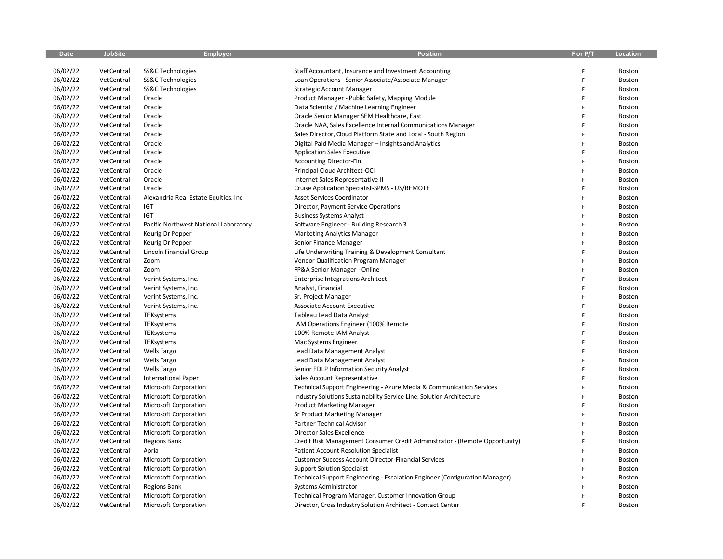| <b>Date</b> | <b>JobSite</b> | <b>Employer</b>                       | Position                                                                    | F or P/T | Location      |
|-------------|----------------|---------------------------------------|-----------------------------------------------------------------------------|----------|---------------|
|             |                |                                       |                                                                             |          |               |
| 06/02/22    | VetCentral     | SS&C Technologies                     | Staff Accountant, Insurance and Investment Accounting                       | F        | Boston        |
| 06/02/22    | VetCentral     | SS&C Technologies                     | Loan Operations - Senior Associate/Associate Manager                        | F        | Boston        |
| 06/02/22    | VetCentral     | SS&C Technologies                     | <b>Strategic Account Manager</b>                                            | F        | Boston        |
| 06/02/22    | VetCentral     | Oracle                                | Product Manager - Public Safety, Mapping Module                             | F        | Boston        |
| 06/02/22    | VetCentral     | Oracle                                | Data Scientist / Machine Learning Engineer                                  | F        | <b>Boston</b> |
| 06/02/22    | VetCentral     | Oracle                                | Oracle Senior Manager SEM Healthcare, East                                  | F        | Boston        |
| 06/02/22    | VetCentral     | Oracle                                | Oracle NAA, Sales Excellence Internal Communications Manager                | F        | Boston        |
| 06/02/22    | VetCentral     | Oracle                                | Sales Director, Cloud Platform State and Local - South Region               | F        | Boston        |
| 06/02/22    | VetCentral     | Oracle                                | Digital Paid Media Manager - Insights and Analytics                         | F        | Boston        |
| 06/02/22    | VetCentral     | Oracle                                | <b>Application Sales Executive</b>                                          | F        | Boston        |
| 06/02/22    | VetCentral     | Oracle                                | Accounting Director-Fin                                                     | F        | Boston        |
| 06/02/22    | VetCentral     | Oracle                                | Principal Cloud Architect-OCI                                               | F        | Boston        |
| 06/02/22    | VetCentral     | Oracle                                | Internet Sales Representative II                                            | F        | Boston        |
| 06/02/22    | VetCentral     | Oracle                                | Cruise Application Specialist-SPMS - US/REMOTE                              | F        | Boston        |
| 06/02/22    | VetCentral     | Alexandria Real Estate Equities, Inc. | <b>Asset Services Coordinator</b>                                           | F        | Boston        |
| 06/02/22    | VetCentral     | IGT                                   | Director, Payment Service Operations                                        | F        | Boston        |
| 06/02/22    | VetCentral     | <b>IGT</b>                            | <b>Business Systems Analyst</b>                                             | F        | Boston        |
| 06/02/22    | VetCentral     | Pacific Northwest National Laboratory | Software Engineer - Building Research 3                                     | F        | <b>Boston</b> |
| 06/02/22    | VetCentral     | Keurig Dr Pepper                      | <b>Marketing Analytics Manager</b>                                          | F        | Boston        |
| 06/02/22    | VetCentral     | Keurig Dr Pepper                      | Senior Finance Manager                                                      | F        | Boston        |
| 06/02/22    | VetCentral     | Lincoln Financial Group               | Life Underwriting Training & Development Consultant                         | F        | Boston        |
| 06/02/22    | VetCentral     | Zoom                                  | Vendor Qualification Program Manager                                        | F        | Boston        |
| 06/02/22    | VetCentral     | Zoom                                  | FP&A Senior Manager - Online                                                | F        | Boston        |
| 06/02/22    | VetCentral     | Verint Systems, Inc.                  | <b>Enterprise Integrations Architect</b>                                    | F        | Boston        |
| 06/02/22    | VetCentral     | Verint Systems, Inc.                  | Analyst, Financial                                                          | F        | Boston        |
| 06/02/22    | VetCentral     | Verint Systems, Inc.                  | Sr. Project Manager                                                         | F        | Boston        |
| 06/02/22    | VetCentral     | Verint Systems, Inc.                  | Associate Account Executive                                                 | F        | Boston        |
| 06/02/22    | VetCentral     | TEKsystems                            | Tableau Lead Data Analyst                                                   | Ë        | Boston        |
| 06/02/22    | VetCentral     | TEKsystems                            | IAM Operations Engineer (100% Remote                                        | F        | Boston        |
| 06/02/22    | VetCentral     | TEKsystems                            | 100% Remote IAM Analyst                                                     | Ë        | Boston        |
| 06/02/22    | VetCentral     | TEKsystems                            | Mac Systems Engineer                                                        | F        | Boston        |
| 06/02/22    | VetCentral     | Wells Fargo                           | Lead Data Management Analyst                                                | F        | Boston        |
| 06/02/22    | VetCentral     | <b>Wells Fargo</b>                    | Lead Data Management Analyst                                                | F        | Boston        |
| 06/02/22    | VetCentral     | <b>Wells Fargo</b>                    | Senior EDLP Information Security Analyst                                    | F        | Boston        |
| 06/02/22    | VetCentral     | <b>International Paper</b>            | Sales Account Representative                                                | F        | Boston        |
| 06/02/22    | VetCentral     | Microsoft Corporation                 | Technical Support Engineering - Azure Media & Communication Services        | F        | Boston        |
| 06/02/22    | VetCentral     | Microsoft Corporation                 | Industry Solutions Sustainability Service Line, Solution Architecture       | F        | Boston        |
| 06/02/22    | VetCentral     | Microsoft Corporation                 | <b>Product Marketing Manager</b>                                            | F        | Boston        |
| 06/02/22    | VetCentral     | Microsoft Corporation                 | Sr Product Marketing Manager                                                | F        | Boston        |
| 06/02/22    | VetCentral     | Microsoft Corporation                 | Partner Technical Advisor                                                   | F        | Boston        |
| 06/02/22    | VetCentral     | Microsoft Corporation                 | Director Sales Excellence                                                   | Ë        | Boston        |
| 06/02/22    | VetCentral     | <b>Regions Bank</b>                   | Credit Risk Management Consumer Credit Administrator - (Remote Opportunity) | F        | Boston        |
| 06/02/22    | VetCentral     | Apria                                 | <b>Patient Account Resolution Specialist</b>                                | F        | Boston        |
| 06/02/22    | VetCentral     | Microsoft Corporation                 | <b>Customer Success Account Director-Financial Services</b>                 | F        | Boston        |
| 06/02/22    | VetCentral     | Microsoft Corporation                 | <b>Support Solution Specialist</b>                                          | E        | Boston        |
| 06/02/22    | VetCentral     | Microsoft Corporation                 | Technical Support Engineering - Escalation Engineer (Configuration Manager) | F        | Boston        |
| 06/02/22    | VetCentral     | <b>Regions Bank</b>                   | Systems Administrator                                                       | F        | Boston        |
| 06/02/22    | VetCentral     | Microsoft Corporation                 | Technical Program Manager, Customer Innovation Group                        | F        | Boston        |
| 06/02/22    | VetCentral     | Microsoft Corporation                 | Director, Cross Industry Solution Architect - Contact Center                | F        | Boston        |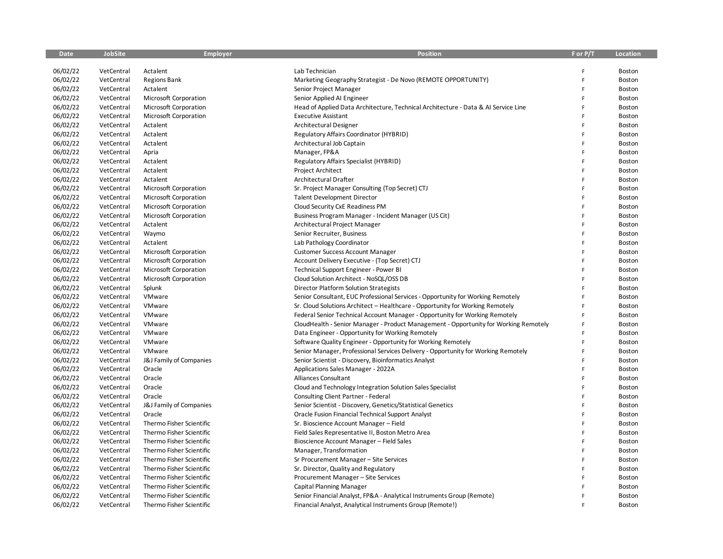| <b>Date</b> | JobSite    | Employer                 | Position                                                                             | F or P/T | Location      |
|-------------|------------|--------------------------|--------------------------------------------------------------------------------------|----------|---------------|
|             |            |                          |                                                                                      |          |               |
| 06/02/22    | VetCentral | Actalent                 | Lab Technician                                                                       |          | Boston        |
| 06/02/22    | VetCentral | <b>Regions Bank</b>      | Marketing Geography Strategist - De Novo (REMOTE OPPORTUNITY)                        |          | Boston        |
| 06/02/22    | VetCentral | Actalent                 | Senior Project Manager                                                               |          | Boston        |
| 06/02/22    | VetCentral | Microsoft Corporation    | Senior Applied AI Engineer                                                           |          | Boston        |
| 06/02/22    | VetCentral | Microsoft Corporation    | Head of Applied Data Architecture, Technical Architecture - Data & AI Service Line   |          | Boston        |
| 06/02/22    | VetCentral | Microsoft Corporation    | <b>Executive Assistant</b>                                                           |          | <b>Boston</b> |
| 06/02/22    | VetCentral | Actalent                 | Architectural Designer                                                               |          | <b>Boston</b> |
| 06/02/22    | VetCentral | Actalent                 | Regulatory Affairs Coordinator (HYBRID)                                              |          | Boston        |
| 06/02/22    | VetCentral | Actalent                 | Architectural Job Captain                                                            |          | <b>Boston</b> |
| 06/02/22    | VetCentral | Apria                    | Manager, FP&A                                                                        | F        | Boston        |
| 06/02/22    | VetCentral | Actalent                 | Regulatory Affairs Specialist (HYBRID)                                               |          | Boston        |
| 06/02/22    | VetCentral | Actalent                 | Project Architect                                                                    |          | Boston        |
| 06/02/22    | VetCentral | Actalent                 | Architectural Drafter                                                                |          | Boston        |
| 06/02/22    | VetCentral | Microsoft Corporation    | Sr. Project Manager Consulting (Top Secret) CTJ                                      |          | Boston        |
| 06/02/22    | VetCentral | Microsoft Corporation    | <b>Talent Development Director</b>                                                   |          | <b>Boston</b> |
| 06/02/22    | VetCentral | Microsoft Corporation    | Cloud Security CxE Readiness PM                                                      | F        | Boston        |
| 06/02/22    | VetCentral | Microsoft Corporation    | Business Program Manager - Incident Manager (US Cit)                                 |          | <b>Boston</b> |
| 06/02/22    | VetCentral | Actalent                 | Architectural Project Manager                                                        | F        | Boston        |
| 06/02/22    | VetCentral | Waymo                    | Senior Recruiter, Business                                                           |          | <b>Boston</b> |
| 06/02/22    | VetCentral | Actalent                 | Lab Pathology Coordinator                                                            |          | <b>Boston</b> |
| 06/02/22    | VetCentral | Microsoft Corporation    | <b>Customer Success Account Manager</b>                                              |          | Boston        |
| 06/02/22    | VetCentral | Microsoft Corporation    | Account Delivery Executive - (Top Secret) CTJ                                        |          | Boston        |
| 06/02/22    | VetCentral | Microsoft Corporation    | Technical Support Engineer - Power BI                                                |          | Boston        |
| 06/02/22    | VetCentral | Microsoft Corporation    | Cloud Solution Architect - NoSQL/OSS DB                                              |          | <b>Boston</b> |
| 06/02/22    | VetCentral | Splunk                   | Director Platform Solution Strategists                                               |          | <b>Boston</b> |
| 06/02/22    | VetCentral | VMware                   | Senior Consultant, EUC Professional Services - Opportunity for Working Remotely      |          | <b>Boston</b> |
| 06/02/22    | VetCentral | VMware                   | Sr. Cloud Solutions Architect – Healthcare - Opportunity for Working Remotely        |          | <b>Boston</b> |
| 06/02/22    | VetCentral | VMware                   | Federal Senior Technical Account Manager - Opportunity for Working Remotely          |          | Boston        |
| 06/02/22    | VetCentral | VMware                   | CloudHealth - Senior Manager - Product Management - Opportunity for Working Remotely |          | Boston        |
| 06/02/22    | VetCentral | VMware                   | Data Engineer - Opportunity for Working Remotely                                     |          | Boston        |
| 06/02/22    | VetCentral | VMware                   | Software Quality Engineer - Opportunity for Working Remotely                         |          | Boston        |
| 06/02/22    | VetCentral | VMware                   | Senior Manager, Professional Services Delivery - Opportunity for Working Remotely    |          | <b>Boston</b> |
| 06/02/22    | VetCentral | J&J Family of Companies  | Senior Scientist - Discovery, Bioinformatics Analyst                                 |          | <b>Boston</b> |
| 06/02/22    | VetCentral | Oracle                   | Applications Sales Manager - 2022A                                                   |          | <b>Boston</b> |
| 06/02/22    | VetCentral | Oracle                   | Alliances Consultant                                                                 | F        | Boston        |
| 06/02/22    | VetCentral | Oracle                   | Cloud and Technology Integration Solution Sales Specialist                           |          | <b>Boston</b> |
| 06/02/22    | VetCentral | Oracle                   | Consulting Client Partner - Federal                                                  | F        | Boston        |
| 06/02/22    | VetCentral | J&J Family of Companies  | Senior Scientist - Discovery, Genetics/Statistical Genetics                          |          | <b>Boston</b> |
| 06/02/22    | VetCentral | Oracle                   | Oracle Fusion Financial Technical Support Analyst                                    |          | <b>Boston</b> |
| 06/02/22    | VetCentral | Thermo Fisher Scientific | Sr. Bioscience Account Manager - Field                                               |          | Boston        |
| 06/02/22    | VetCentral | Thermo Fisher Scientific | Field Sales Representative II, Boston Metro Area                                     |          | <b>Boston</b> |
| 06/02/22    | VetCentral | Thermo Fisher Scientific | Bioscience Account Manager - Field Sales                                             |          | <b>Boston</b> |
| 06/02/22    | VetCentral | Thermo Fisher Scientific | Manager, Transformation                                                              |          | Boston        |
| 06/02/22    | VetCentral | Thermo Fisher Scientific | Sr Procurement Manager - Site Services                                               |          | <b>Boston</b> |
| 06/02/22    | VetCentral | Thermo Fisher Scientific | Sr. Director, Quality and Regulatory                                                 |          | <b>Boston</b> |
| 06/02/22    | VetCentral | Thermo Fisher Scientific | Procurement Manager - Site Services                                                  |          | <b>Boston</b> |
| 06/02/22    | VetCentral | Thermo Fisher Scientific | Capital Planning Manager                                                             |          | Boston        |
| 06/02/22    | VetCentral | Thermo Fisher Scientific | Senior Financial Analyst, FP&A - Analytical Instruments Group (Remote)               |          | Boston        |
| 06/02/22    | VetCentral | Thermo Fisher Scientific | Financial Analyst, Analytical Instruments Group (Remote!)                            |          | Boston        |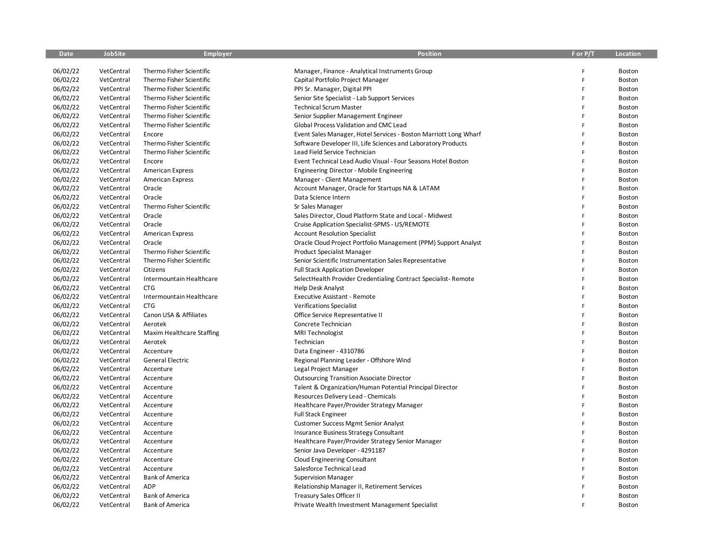| <b>Date</b> | <b>JobSite</b> | <b>Employer</b>           | <b>Position</b>                                                  | F or P/T | Location |
|-------------|----------------|---------------------------|------------------------------------------------------------------|----------|----------|
|             |                |                           |                                                                  |          |          |
| 06/02/22    | VetCentral     | Thermo Fisher Scientific  | Manager, Finance - Analytical Instruments Group                  | F        | Boston   |
| 06/02/22    | VetCentral     | Thermo Fisher Scientific  | Capital Portfolio Project Manager                                | F        | Boston   |
| 06/02/22    | VetCentral     | Thermo Fisher Scientific  | PPI Sr. Manager, Digital PPI                                     | F        | Boston   |
| 06/02/22    | VetCentral     | Thermo Fisher Scientific  | Senior Site Specialist - Lab Support Services                    | F        | Boston   |
| 06/02/22    | VetCentral     | Thermo Fisher Scientific  | <b>Technical Scrum Master</b>                                    | F        | Boston   |
| 06/02/22    | VetCentral     | Thermo Fisher Scientific  | Senior Supplier Management Engineer                              | F        | Boston   |
| 06/02/22    | VetCentral     | Thermo Fisher Scientific  | Global Process Validation and CMC Lead                           | F        | Boston   |
| 06/02/22    | VetCentral     | Encore                    | Event Sales Manager, Hotel Services - Boston Marriott Long Wharf | F        | Boston   |
| 06/02/22    | VetCentral     | Thermo Fisher Scientific  | Software Developer III, Life Sciences and Laboratory Products    | F        | Boston   |
| 06/02/22    | VetCentral     | Thermo Fisher Scientific  | Lead Field Service Technician                                    | F        | Boston   |
| 06/02/22    | VetCentral     | Encore                    | Event Technical Lead Audio Visual - Four Seasons Hotel Boston    | F        | Boston   |
| 06/02/22    | VetCentral     | <b>American Express</b>   | <b>Engineering Director - Mobile Engineering</b>                 | F        | Boston   |
| 06/02/22    | VetCentral     | <b>American Express</b>   | Manager - Client Management                                      | F        | Boston   |
| 06/02/22    | VetCentral     | Oracle                    | Account Manager, Oracle for Startups NA & LATAM                  | F        | Boston   |
| 06/02/22    | VetCentral     | Oracle                    | Data Science Intern                                              | F        | Boston   |
| 06/02/22    | VetCentral     | Thermo Fisher Scientific  | Sr Sales Manager                                                 | F        | Boston   |
| 06/02/22    | VetCentral     | Oracle                    | Sales Director, Cloud Platform State and Local - Midwest         | F        | Boston   |
| 06/02/22    | VetCentral     | Oracle                    | Cruise Application Specialist-SPMS - US/REMOTE                   | F        | Boston   |
| 06/02/22    | VetCentral     | <b>American Express</b>   | <b>Account Resolution Specialist</b>                             | F        | Boston   |
| 06/02/22    | VetCentral     | Oracle                    | Oracle Cloud Project Portfolio Management (PPM) Support Analyst  | F        | Boston   |
| 06/02/22    | VetCentral     | Thermo Fisher Scientific  | Product Specialist Manager                                       | F        | Boston   |
| 06/02/22    | VetCentral     | Thermo Fisher Scientific  | Senior Scientific Instrumentation Sales Representative           | F        | Boston   |
| 06/02/22    | VetCentral     | Citizens                  | <b>Full Stack Application Developer</b>                          | F        | Boston   |
| 06/02/22    | VetCentral     | Intermountain Healthcare  | SelectHealth Provider Credentialing Contract Specialist-Remote   | F        | Boston   |
| 06/02/22    | VetCentral     | <b>CTG</b>                | <b>Help Desk Analyst</b>                                         | F        | Boston   |
| 06/02/22    | VetCentral     | Intermountain Healthcare  | <b>Executive Assistant - Remote</b>                              | F        | Boston   |
| 06/02/22    | VetCentral     | <b>CTG</b>                | <b>Verifications Specialist</b>                                  | F        | Boston   |
| 06/02/22    | VetCentral     | Canon USA & Affiliates    | Office Service Representative II                                 | F        | Boston   |
| 06/02/22    | VetCentral     | Aerotek                   | Concrete Technician                                              | F        | Boston   |
| 06/02/22    | VetCentral     | Maxim Healthcare Staffing | MRI Technologist                                                 | F        | Boston   |
| 06/02/22    | VetCentral     | Aerotek                   | Technician                                                       | F        | Boston   |
| 06/02/22    | VetCentral     | Accenture                 | Data Engineer - 4310786                                          | F        | Boston   |
| 06/02/22    | VetCentral     | General Electric          | Regional Planning Leader - Offshore Wind                         | F        | Boston   |
| 06/02/22    | VetCentral     | Accenture                 | Legal Project Manager                                            | F        | Boston   |
| 06/02/22    | VetCentral     | Accenture                 | <b>Outsourcing Transition Associate Director</b>                 | F        | Boston   |
| 06/02/22    | VetCentral     | Accenture                 | Talent & Organization/Human Potential Principal Director         | F        | Boston   |
| 06/02/22    | VetCentral     | Accenture                 | Resources Delivery Lead - Chemicals                              | F        | Boston   |
| 06/02/22    | VetCentral     | Accenture                 | Healthcare Payer/Provider Strategy Manager                       | F        | Boston   |
| 06/02/22    | VetCentral     | Accenture                 | <b>Full Stack Engineer</b>                                       | F        | Boston   |
| 06/02/22    | VetCentral     | Accenture                 | <b>Customer Success Mgmt Senior Analyst</b>                      | F        | Boston   |
| 06/02/22    | VetCentral     | Accenture                 | Insurance Business Strategy Consultant                           | F        | Boston   |
| 06/02/22    | VetCentral     | Accenture                 | Healthcare Payer/Provider Strategy Senior Manager                | F        | Boston   |
| 06/02/22    | VetCentral     | Accenture                 | Senior Java Developer - 4291187                                  | F        | Boston   |
| 06/02/22    | VetCentral     | Accenture                 | Cloud Engineering Consultant                                     | F        | Boston   |
| 06/02/22    | VetCentral     | Accenture                 | Salesforce Technical Lead                                        | F        | Boston   |
| 06/02/22    | VetCentral     | <b>Bank of America</b>    | <b>Supervision Manager</b>                                       | F        | Boston   |
| 06/02/22    | VetCentral     | <b>ADP</b>                | Relationship Manager II, Retirement Services                     | F        | Boston   |
| 06/02/22    | VetCentral     | <b>Bank of America</b>    | <b>Treasury Sales Officer II</b>                                 | F        | Boston   |
| 06/02/22    | VetCentral     | <b>Bank of America</b>    | Private Wealth Investment Management Specialist                  | F        | Boston   |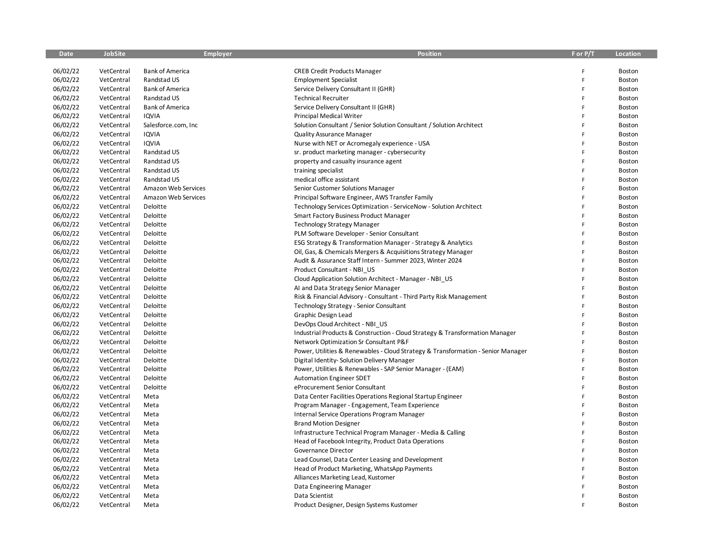| <b>Date</b> | <b>JobSite</b> | <b>Employer</b>        | <b>Position</b>                                                                  | F or P/T | Location |
|-------------|----------------|------------------------|----------------------------------------------------------------------------------|----------|----------|
|             |                |                        |                                                                                  |          |          |
| 06/02/22    | VetCentral     | <b>Bank of America</b> | <b>CREB Credit Products Manager</b>                                              | F        | Boston   |
| 06/02/22    | VetCentral     | Randstad US            | <b>Employment Specialist</b>                                                     | F        | Boston   |
| 06/02/22    | VetCentral     | <b>Bank of America</b> | Service Delivery Consultant II (GHR)                                             | F        | Boston   |
| 06/02/22    | VetCentral     | Randstad US            | <b>Technical Recruiter</b>                                                       | F        | Boston   |
| 06/02/22    | VetCentral     | <b>Bank of America</b> | Service Delivery Consultant II (GHR)                                             | F        | Boston   |
| 06/02/22    | VetCentral     | <b>IQVIA</b>           | <b>Principal Medical Writer</b>                                                  | F        | Boston   |
| 06/02/22    | VetCentral     | Salesforce.com, Inc    | Solution Consultant / Senior Solution Consultant / Solution Architect            | F        | Boston   |
| 06/02/22    | VetCentral     | <b>IQVIA</b>           | <b>Quality Assurance Manager</b>                                                 | F        | Boston   |
| 06/02/22    | VetCentral     | <b>IQVIA</b>           | Nurse with NET or Acromegaly experience - USA                                    | F        | Boston   |
| 06/02/22    | VetCentral     | Randstad US            | sr. product marketing manager - cybersecurity                                    | F        | Boston   |
| 06/02/22    | VetCentral     | Randstad US            | property and casualty insurance agent                                            | F        | Boston   |
| 06/02/22    | VetCentral     | Randstad US            | training specialist                                                              | Ë        | Boston   |
| 06/02/22    | VetCentral     | Randstad US            | medical office assistant                                                         | F        | Boston   |
| 06/02/22    | VetCentral     | Amazon Web Services    | Senior Customer Solutions Manager                                                | F        | Boston   |
| 06/02/22    | VetCentral     | Amazon Web Services    | Principal Software Engineer, AWS Transfer Family                                 | F        | Boston   |
| 06/02/22    | VetCentral     | Deloitte               | Technology Services Optimization - ServiceNow - Solution Architect               | F        | Boston   |
| 06/02/22    | VetCentral     | Deloitte               | Smart Factory Business Product Manager                                           | F        | Boston   |
| 06/02/22    | VetCentral     | Deloitte               | <b>Technology Strategy Manager</b>                                               | F        | Boston   |
| 06/02/22    | VetCentral     | Deloitte               | PLM Software Developer - Senior Consultant                                       | F        | Boston   |
| 06/02/22    | VetCentral     | Deloitte               | ESG Strategy & Transformation Manager - Strategy & Analytics                     | F        | Boston   |
| 06/02/22    | VetCentral     | Deloitte               | Oil, Gas, & Chemicals Mergers & Acquisitions Strategy Manager                    | F        | Boston   |
| 06/02/22    | VetCentral     | Deloitte               | Audit & Assurance Staff Intern - Summer 2023, Winter 2024                        | F        | Boston   |
| 06/02/22    | VetCentral     | Deloitte               | Product Consultant - NBI US                                                      | F        | Boston   |
| 06/02/22    | VetCentral     | Deloitte               | Cloud Application Solution Architect - Manager - NBI_US                          | F        | Boston   |
| 06/02/22    | VetCentral     | Deloitte               | AI and Data Strategy Senior Manager                                              | F        | Boston   |
| 06/02/22    | VetCentral     | Deloitte               | Risk & Financial Advisory - Consultant - Third Party Risk Management             | F        | Boston   |
| 06/02/22    | VetCentral     | Deloitte               | Technology Strategy - Senior Consultant                                          | Ē        | Boston   |
| 06/02/22    | VetCentral     | Deloitte               | Graphic Design Lead                                                              | F        | Boston   |
| 06/02/22    | VetCentral     | Deloitte               | DevOps Cloud Architect - NBI_US                                                  | F        | Boston   |
| 06/02/22    | VetCentral     | Deloitte               | Industrial Products & Construction - Cloud Strategy & Transformation Manager     | F        | Boston   |
| 06/02/22    | VetCentral     | Deloitte               | Network Optimization Sr Consultant P&F                                           | F        | Boston   |
| 06/02/22    | VetCentral     | Deloitte               | Power, Utilities & Renewables - Cloud Strategy & Transformation - Senior Manager | F        | Boston   |
| 06/02/22    | VetCentral     | Deloitte               | Digital Identity-Solution Delivery Manager                                       | F        | Boston   |
| 06/02/22    | VetCentral     | Deloitte               | Power, Utilities & Renewables - SAP Senior Manager - (EAM)                       | F        | Boston   |
| 06/02/22    | VetCentral     | Deloitte               | <b>Automation Engineer SDET</b>                                                  | F        | Boston   |
| 06/02/22    | VetCentral     | Deloitte               | eProcurement Senior Consultant                                                   | F        | Boston   |
| 06/02/22    | VetCentral     | Meta                   | Data Center Facilities Operations Regional Startup Engineer                      | F        | Boston   |
| 06/02/22    | VetCentral     | Meta                   | Program Manager - Engagement, Team Experience                                    | F        | Boston   |
| 06/02/22    | VetCentral     | Meta                   | Internal Service Operations Program Manager                                      | F        | Boston   |
| 06/02/22    | VetCentral     | Meta                   | <b>Brand Motion Designer</b>                                                     | F        | Boston   |
| 06/02/22    | VetCentral     | Meta                   | Infrastructure Technical Program Manager - Media & Calling                       | F        | Boston   |
| 06/02/22    | VetCentral     | Meta                   | Head of Facebook Integrity, Product Data Operations                              | Ë        | Boston   |
| 06/02/22    | VetCentral     | Meta                   | Governance Director                                                              | F        | Boston   |
| 06/02/22    | VetCentral     | Meta                   | Lead Counsel, Data Center Leasing and Development                                | F        | Boston   |
| 06/02/22    | VetCentral     | Meta                   | Head of Product Marketing, WhatsApp Payments                                     | F        | Boston   |
| 06/02/22    | VetCentral     | Meta                   | Alliances Marketing Lead, Kustomer                                               | F        | Boston   |
| 06/02/22    | VetCentral     | Meta                   | Data Engineering Manager                                                         | F        | Boston   |
| 06/02/22    | VetCentral     | Meta                   | Data Scientist                                                                   | F        | Boston   |
| 06/02/22    | VetCentral     | Meta                   | Product Designer, Design Systems Kustomer                                        | p        | Boston   |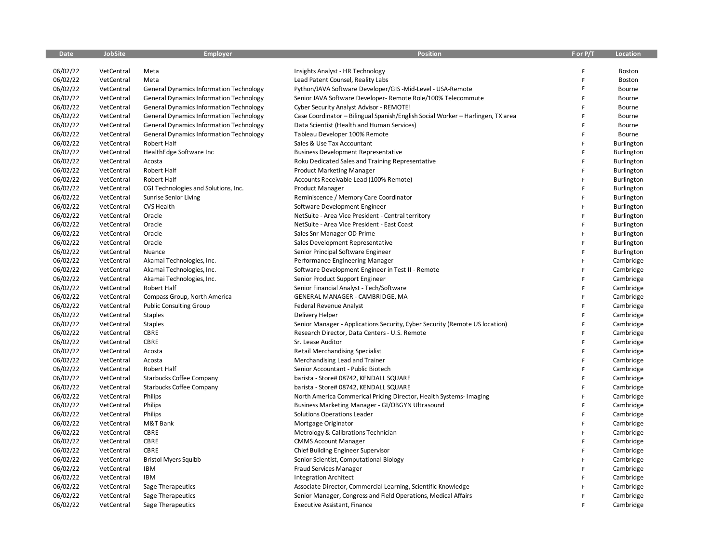| <b>Date</b> | <b>JobSite</b> | <b>Employer</b>                                | <b>Position</b>                                                                 | F or P/T     | Location   |
|-------------|----------------|------------------------------------------------|---------------------------------------------------------------------------------|--------------|------------|
|             |                |                                                |                                                                                 |              |            |
| 06/02/22    | VetCentral     | Meta                                           | Insights Analyst - HR Technology                                                | F            | Boston     |
| 06/02/22    | VetCentral     | Meta                                           | Lead Patent Counsel, Reality Labs                                               | F            | Boston     |
| 06/02/22    | VetCentral     | <b>General Dynamics Information Technology</b> | Python/JAVA Software Developer/GIS-Mid-Level - USA-Remote                       | F            | Bourne     |
| 06/02/22    | VetCentral     | <b>General Dynamics Information Technology</b> | Senior JAVA Software Developer- Remote Role/100% Telecommute                    | F            | Bourne     |
| 06/02/22    | VetCentral     | <b>General Dynamics Information Technology</b> | Cyber Security Analyst Advisor - REMOTE!                                        | F            | Bourne     |
| 06/02/22    | VetCentral     | <b>General Dynamics Information Technology</b> | Case Coordinator - Bilingual Spanish/English Social Worker - Harlingen, TX area | F            | Bourne     |
| 06/02/22    | VetCentral     | <b>General Dynamics Information Technology</b> | Data Scientist (Health and Human Services)                                      | F            | Bourne     |
| 06/02/22    | VetCentral     | <b>General Dynamics Information Technology</b> | Tableau Developer 100% Remote                                                   | F            | Bourne     |
| 06/02/22    | VetCentral     | Robert Half                                    | Sales & Use Tax Accountant                                                      | F            | Burlington |
| 06/02/22    | VetCentral     | HealthEdge Software Inc                        | <b>Business Development Representative</b>                                      | F            | Burlington |
| 06/02/22    | VetCentral     | Acosta                                         | Roku Dedicated Sales and Training Representative                                | F            | Burlington |
| 06/02/22    | VetCentral     | Robert Half                                    | <b>Product Marketing Manager</b>                                                | F            | Burlington |
| 06/02/22    | VetCentral     | Robert Half                                    | Accounts Receivable Lead (100% Remote)                                          | F            | Burlington |
| 06/02/22    | VetCentral     | CGI Technologies and Solutions, Inc.           | Product Manager                                                                 | F            | Burlington |
| 06/02/22    | VetCentral     | <b>Sunrise Senior Living</b>                   | Reminiscence / Memory Care Coordinator                                          | F            | Burlington |
| 06/02/22    | VetCentral     | CVS Health                                     | Software Development Engineer                                                   | F            | Burlington |
| 06/02/22    | VetCentral     | Oracle                                         | NetSuite - Area Vice President - Central territory                              | Ë            | Burlington |
| 06/02/22    | VetCentral     | Oracle                                         | NetSuite - Area Vice President - East Coast                                     | F.           | Burlington |
| 06/02/22    | VetCentral     | Oracle                                         | Sales Snr Manager OD Prime                                                      | F            | Burlington |
| 06/02/22    | VetCentral     | Oracle                                         | Sales Development Representative                                                | F            | Burlington |
| 06/02/22    | VetCentral     | Nuance                                         | Senior Principal Software Engineer                                              | F            | Burlington |
| 06/02/22    | VetCentral     | Akamai Technologies, Inc.                      | Performance Engineering Manager                                                 | F            | Cambridge  |
| 06/02/22    | VetCentral     | Akamai Technologies, Inc.                      | Software Development Engineer in Test II - Remote                               | F            | Cambridge  |
| 06/02/22    | VetCentral     | Akamai Technologies, Inc.                      | Senior Product Support Engineer                                                 | F            | Cambridge  |
| 06/02/22    | VetCentral     | Robert Half                                    | Senior Financial Analyst - Tech/Software                                        | F            | Cambridge  |
| 06/02/22    | VetCentral     | Compass Group, North America                   | GENERAL MANAGER - CAMBRIDGE, MA                                                 | F            | Cambridge  |
| 06/02/22    | VetCentral     | <b>Public Consulting Group</b>                 | Federal Revenue Analyst                                                         | F            | Cambridge  |
| 06/02/22    | VetCentral     | <b>Staples</b>                                 | Delivery Helper                                                                 | F            | Cambridge  |
| 06/02/22    | VetCentral     | <b>Staples</b>                                 | Senior Manager - Applications Security, Cyber Security (Remote US location)     | F            | Cambridge  |
| 06/02/22    | VetCentral     | CBRE                                           | Research Director, Data Centers - U.S. Remote                                   | F            | Cambridge  |
| 06/02/22    | VetCentral     | <b>CBRE</b>                                    | Sr. Lease Auditor                                                               | F            | Cambridge  |
| 06/02/22    | VetCentral     | Acosta                                         | <b>Retail Merchandising Specialist</b>                                          | F            | Cambridge  |
| 06/02/22    | VetCentral     | Acosta                                         | Merchandising Lead and Trainer                                                  | $\mathsf{F}$ | Cambridge  |
| 06/02/22    | VetCentral     | Robert Half                                    | Senior Accountant - Public Biotech                                              | F            | Cambridge  |
| 06/02/22    | VetCentral     | <b>Starbucks Coffee Company</b>                | barista - Store# 08742, KENDALL SQUARE                                          | F            | Cambridge  |
| 06/02/22    | VetCentral     | <b>Starbucks Coffee Company</b>                | barista - Store# 08742, KENDALL SQUARE                                          | F            | Cambridge  |
| 06/02/22    | VetCentral     | Philips                                        | North America Commerical Pricing Director, Health Systems- Imaging              | F            | Cambridge  |
| 06/02/22    | VetCentral     | Philips                                        | Business Marketing Manager - GI/OBGYN Ultrasound                                | F            | Cambridge  |
| 06/02/22    | VetCentral     | Philips                                        | Solutions Operations Leader                                                     | F            | Cambridge  |
| 06/02/22    | VetCentral     | M&T Bank                                       | Mortgage Originator                                                             | F            | Cambridge  |
| 06/02/22    | VetCentral     | <b>CBRE</b>                                    | Metrology & Calibrations Technician                                             | F            | Cambridge  |
| 06/02/22    | VetCentral     | <b>CBRE</b>                                    | <b>CMMS Account Manager</b>                                                     | F            | Cambridge  |
| 06/02/22    | VetCentral     | <b>CBRE</b>                                    | Chief Building Engineer Supervisor                                              | F            | Cambridge  |
| 06/02/22    | VetCentral     | <b>Bristol Myers Squibb</b>                    | Senior Scientist, Computational Biology                                         | F            | Cambridge  |
| 06/02/22    | VetCentral     | IBM                                            | <b>Fraud Services Manager</b>                                                   | F            | Cambridge  |
| 06/02/22    | VetCentral     | IBM                                            | <b>Integration Architect</b>                                                    | F            | Cambridge  |
| 06/02/22    | VetCentral     | Sage Therapeutics                              | Associate Director, Commercial Learning, Scientific Knowledge                   | F            | Cambridge  |
| 06/02/22    | VetCentral     | Sage Therapeutics                              | Senior Manager, Congress and Field Operations, Medical Affairs                  | F            | Cambridge  |
| 06/02/22    | VetCentral     | Sage Therapeutics                              | Executive Assistant, Finance                                                    | F            | Cambridge  |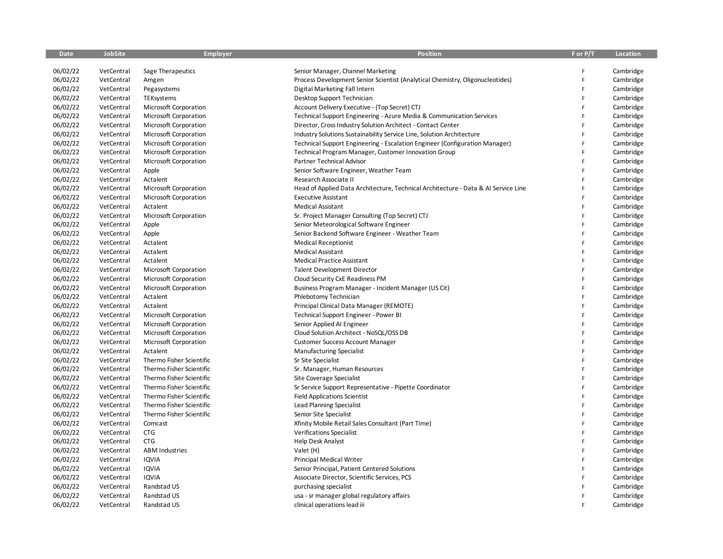| <b>Date</b> | <b>JobSite</b> | <b>Employer</b>          | <b>Position</b>                                                                    | F or P/T | Location  |
|-------------|----------------|--------------------------|------------------------------------------------------------------------------------|----------|-----------|
|             |                |                          |                                                                                    |          |           |
| 06/02/22    | VetCentral     | Sage Therapeutics        | Senior Manager, Channel Marketing                                                  | F        | Cambridge |
| 06/02/22    | VetCentral     | Amgen                    | Process Development Senior Scientist (Analytical Chemistry, Oligonucleotides)      | F        | Cambridge |
| 06/02/22    | VetCentral     | Pegasystems              | Digital Marketing Fall Intern                                                      | F        | Cambridge |
| 06/02/22    | VetCentral     | TEKsystems               | Desktop Support Technician                                                         | F        | Cambridge |
| 06/02/22    | VetCentral     | Microsoft Corporation    | Account Delivery Executive - (Top Secret) CTJ                                      | F        | Cambridge |
| 06/02/22    | VetCentral     | Microsoft Corporation    | Technical Support Engineering - Azure Media & Communication Services               | F        | Cambridge |
| 06/02/22    | VetCentral     | Microsoft Corporation    | Director, Cross Industry Solution Architect - Contact Center                       | F        | Cambridge |
| 06/02/22    | VetCentral     | Microsoft Corporation    | Industry Solutions Sustainability Service Line, Solution Architecture              | F        | Cambridge |
| 06/02/22    | VetCentral     | Microsoft Corporation    | Technical Support Engineering - Escalation Engineer (Configuration Manager)        | F        | Cambridge |
| 06/02/22    | VetCentral     | Microsoft Corporation    | Technical Program Manager, Customer Innovation Group                               | F        | Cambridge |
| 06/02/22    | VetCentral     | Microsoft Corporation    | Partner Technical Advisor                                                          | F        | Cambridge |
| 06/02/22    | VetCentral     | Apple                    | Senior Software Engineer, Weather Team                                             | F        | Cambridge |
| 06/02/22    | VetCentral     | Actalent                 | Research Associate II                                                              | F        | Cambridge |
| 06/02/22    | VetCentral     | Microsoft Corporation    | Head of Applied Data Architecture, Technical Architecture - Data & AI Service Line | F        | Cambridge |
| 06/02/22    | VetCentral     | Microsoft Corporation    | <b>Executive Assistant</b>                                                         | F        | Cambridge |
| 06/02/22    | VetCentral     | Actalent                 | <b>Medical Assistant</b>                                                           | F        | Cambridge |
| 06/02/22    | VetCentral     | Microsoft Corporation    | Sr. Project Manager Consulting (Top Secret) CTJ                                    | F        | Cambridge |
| 06/02/22    | VetCentral     | Apple                    | Senior Meteorological Software Engineer                                            | F        | Cambridge |
| 06/02/22    | VetCentral     | Apple                    | Senior Backend Software Engineer - Weather Team                                    | F        | Cambridge |
| 06/02/22    | VetCentral     | Actalent                 | <b>Medical Receptionist</b>                                                        | F        | Cambridge |
| 06/02/22    | VetCentral     | Actalent                 | Medical Assistant                                                                  | F        | Cambridge |
| 06/02/22    | VetCentral     | Actalent                 | <b>Medical Practice Assistant</b>                                                  | F        | Cambridge |
| 06/02/22    | VetCentral     | Microsoft Corporation    | <b>Talent Development Director</b>                                                 | F        | Cambridge |
| 06/02/22    | VetCentral     | Microsoft Corporation    | Cloud Security CxE Readiness PM                                                    | F        | Cambridge |
| 06/02/22    | VetCentral     | Microsoft Corporation    | Business Program Manager - Incident Manager (US Cit)                               | F        | Cambridge |
| 06/02/22    | VetCentral     | Actalent                 | Phlebotomy Technician                                                              | F        | Cambridge |
| 06/02/22    | VetCentral     | Actalent                 | Principal Clinical Data Manager (REMOTE)                                           | F        | Cambridge |
| 06/02/22    | VetCentral     | Microsoft Corporation    | Technical Support Engineer - Power BI                                              | F        | Cambridge |
| 06/02/22    | VetCentral     | Microsoft Corporation    | Senior Applied AI Engineer                                                         | F        | Cambridge |
| 06/02/22    | VetCentral     | Microsoft Corporation    | Cloud Solution Architect - NoSQL/OSS DB                                            | F        | Cambridge |
| 06/02/22    | VetCentral     | Microsoft Corporation    | <b>Customer Success Account Manager</b>                                            | F        | Cambridge |
| 06/02/22    | VetCentral     | Actalent                 | <b>Manufacturing Specialist</b>                                                    | F        | Cambridge |
| 06/02/22    | VetCentral     | Thermo Fisher Scientific | Sr Site Specialist                                                                 | F        | Cambridge |
| 06/02/22    | VetCentral     | Thermo Fisher Scientific | Sr. Manager, Human Resources                                                       | F        | Cambridge |
| 06/02/22    | VetCentral     | Thermo Fisher Scientific | Site Coverage Specialist                                                           | F        | Cambridge |
| 06/02/22    | VetCentral     | Thermo Fisher Scientific | Sr Service Support Representative - Pipette Coordinator                            | F        | Cambridge |
| 06/02/22    | VetCentral     | Thermo Fisher Scientific | <b>Field Applications Scientist</b>                                                | F        | Cambridge |
| 06/02/22    | VetCentral     | Thermo Fisher Scientific | <b>Lead Planning Specialist</b>                                                    | F        | Cambridge |
| 06/02/22    | VetCentral     | Thermo Fisher Scientific | Senior Site Specialist                                                             | F        | Cambridge |
| 06/02/22    | VetCentral     | Comcast                  | Xfinity Mobile Retail Sales Consultant (Part Time)                                 | F        | Cambridge |
| 06/02/22    | VetCentral     | <b>CTG</b>               | <b>Verifications Specialist</b>                                                    | F        | Cambridge |
| 06/02/22    | VetCentral     | <b>CTG</b>               | <b>Help Desk Analyst</b>                                                           | F        | Cambridge |
| 06/02/22    | VetCentral     | <b>ABM Industries</b>    | Valet (H)                                                                          | F        | Cambridge |
| 06/02/22    | VetCentral     | <b>IQVIA</b>             | Principal Medical Writer                                                           | F        | Cambridge |
| 06/02/22    | VetCentral     | IQVIA                    | Senior Principal, Patient Centered Solutions                                       | F        | Cambridge |
| 06/02/22    | VetCentral     | <b>IQVIA</b>             | Associate Director, Scientific Services, PCS                                       | F        | Cambridge |
| 06/02/22    | VetCentral     | Randstad US              | purchasing specialist                                                              | F        | Cambridge |
| 06/02/22    | VetCentral     | Randstad US              | usa - sr manager global regulatory affairs                                         | F        | Cambridge |
| 06/02/22    | VetCentral     | Randstad US              | clinical operations lead iii                                                       | F        | Cambridge |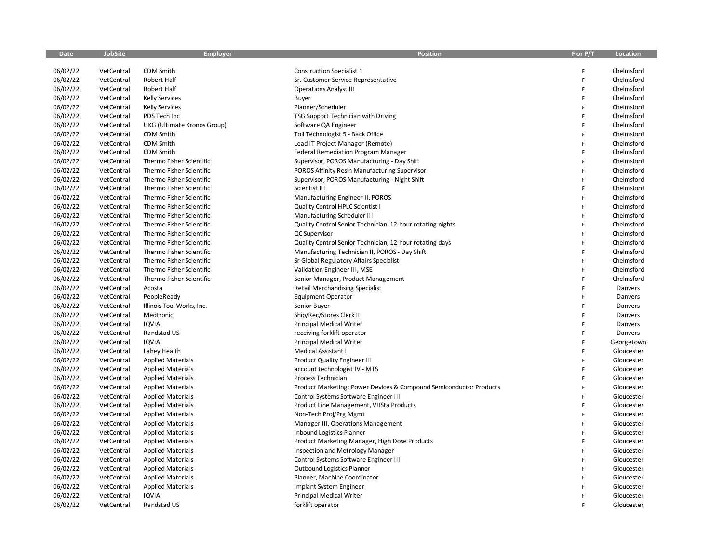| <b>Date</b> | <b>JobSite</b> | Employer                    | <b>Position</b>                                                    | F or P/T     | Location   |
|-------------|----------------|-----------------------------|--------------------------------------------------------------------|--------------|------------|
|             |                |                             |                                                                    |              |            |
| 06/02/22    | VetCentral     | <b>CDM Smith</b>            | <b>Construction Specialist 1</b>                                   | F            | Chelmsford |
| 06/02/22    | VetCentral     | Robert Half                 | Sr. Customer Service Representative                                | F            | Chelmsford |
| 06/02/22    | VetCentral     | Robert Half                 | <b>Operations Analyst III</b>                                      | F            | Chelmsford |
| 06/02/22    | VetCentral     | <b>Kelly Services</b>       | Buyer                                                              | $\mathsf{F}$ | Chelmsford |
| 06/02/22    | VetCentral     | <b>Kelly Services</b>       | Planner/Scheduler                                                  | $\mathsf{F}$ | Chelmsford |
| 06/02/22    | VetCentral     | PDS Tech Inc                | TSG Support Technician with Driving                                | F            | Chelmsford |
| 06/02/22    | VetCentral     | UKG (Ultimate Kronos Group) | Software QA Engineer                                               | $\mathsf{F}$ | Chelmsford |
| 06/02/22    | VetCentral     | <b>CDM Smith</b>            | Toll Technologist 5 - Back Office                                  | F            | Chelmsford |
| 06/02/22    | VetCentral     | CDM Smith                   | Lead IT Project Manager (Remote)                                   | $\mathsf F$  | Chelmsford |
| 06/02/22    | VetCentral     | <b>CDM Smith</b>            | <b>Federal Remediation Program Manager</b>                         | $\mathsf{F}$ | Chelmsford |
| 06/02/22    | VetCentral     | Thermo Fisher Scientific    | Supervisor, POROS Manufacturing - Day Shift                        | $\mathsf F$  | Chelmsford |
| 06/02/22    | VetCentral     | Thermo Fisher Scientific    | POROS Affinity Resin Manufacturing Supervisor                      | F            | Chelmsford |
| 06/02/22    | VetCentral     | Thermo Fisher Scientific    | Supervisor, POROS Manufacturing - Night Shift                      | F            | Chelmsford |
| 06/02/22    | VetCentral     | Thermo Fisher Scientific    | Scientist III                                                      | F            | Chelmsford |
| 06/02/22    | VetCentral     | Thermo Fisher Scientific    | Manufacturing Engineer II, POROS                                   | F            | Chelmsford |
| 06/02/22    | VetCentral     | Thermo Fisher Scientific    | Quality Control HPLC Scientist I                                   | F            | Chelmsford |
| 06/02/22    | VetCentral     | Thermo Fisher Scientific    | Manufacturing Scheduler III                                        | F            | Chelmsford |
| 06/02/22    | VetCentral     | Thermo Fisher Scientific    | Quality Control Senior Technician, 12-hour rotating nights         | $\mathsf{F}$ | Chelmsford |
| 06/02/22    | VetCentral     | Thermo Fisher Scientific    | QC Supervisor                                                      | $\mathsf{F}$ | Chelmsford |
| 06/02/22    | VetCentral     | Thermo Fisher Scientific    | Quality Control Senior Technician, 12-hour rotating days           | $\mathsf{F}$ | Chelmsford |
| 06/02/22    | VetCentral     | Thermo Fisher Scientific    | Manufacturing Technician II, POROS - Day Shift                     | F            | Chelmsford |
| 06/02/22    | VetCentral     | Thermo Fisher Scientific    | Sr Global Regulatory Affairs Specialist                            | $\mathsf{F}$ | Chelmsford |
| 06/02/22    | VetCentral     | Thermo Fisher Scientific    | Validation Engineer III, MSE                                       | F            | Chelmsford |
| 06/02/22    | VetCentral     | Thermo Fisher Scientific    | Senior Manager, Product Management                                 | $\mathsf F$  | Chelmsford |
| 06/02/22    | VetCentral     | Acosta                      | <b>Retail Merchandising Specialist</b>                             | F            | Danvers    |
| 06/02/22    | VetCentral     | PeopleReady                 | <b>Equipment Operator</b>                                          | $\mathsf F$  | Danvers    |
| 06/02/22    | VetCentral     | Illinois Tool Works, Inc.   | Senior Buyer                                                       | F            | Danvers    |
| 06/02/22    | VetCentral     | Medtronic                   | Ship/Rec/Stores Clerk II                                           | F            | Danvers    |
| 06/02/22    | VetCentral     | <b>IQVIA</b>                | Principal Medical Writer                                           | F            | Danvers    |
| 06/02/22    | VetCentral     | Randstad US                 | receiving forklift operator                                        | F            | Danvers    |
| 06/02/22    | VetCentral     | <b>IQVIA</b>                | Principal Medical Writer                                           | F            | Georgetown |
| 06/02/22    | VetCentral     | Lahey Health                | Medical Assistant I                                                | F            | Gloucester |
| 06/02/22    | VetCentral     | <b>Applied Materials</b>    | <b>Product Quality Engineer III</b>                                | $\mathsf{F}$ | Gloucester |
| 06/02/22    | VetCentral     | <b>Applied Materials</b>    | account technologist IV - MTS                                      | F            | Gloucester |
| 06/02/22    | VetCentral     | <b>Applied Materials</b>    | Process Technician                                                 | F            | Gloucester |
| 06/02/22    | VetCentral     | <b>Applied Materials</b>    | Product Marketing; Power Devices & Compound Semiconductor Products | F            | Gloucester |
| 06/02/22    | VetCentral     | <b>Applied Materials</b>    | Control Systems Software Engineer III                              | $\mathsf F$  | Gloucester |
| 06/02/22    | VetCentral     | <b>Applied Materials</b>    | Product Line Management, VIISta Products                           | F            | Gloucester |
| 06/02/22    | VetCentral     | <b>Applied Materials</b>    | Non-Tech Proj/Prg Mgmt                                             | $\mathsf{F}$ | Gloucester |
| 06/02/22    | VetCentral     | <b>Applied Materials</b>    | Manager III, Operations Management                                 | $\mathsf{F}$ | Gloucester |
| 06/02/22    | VetCentral     | <b>Applied Materials</b>    | <b>Inbound Logistics Planner</b>                                   | $\mathsf F$  | Gloucester |
| 06/02/22    | VetCentral     | <b>Applied Materials</b>    | Product Marketing Manager, High Dose Products                      | $\mathsf F$  | Gloucester |
| 06/02/22    | VetCentral     | <b>Applied Materials</b>    | Inspection and Metrology Manager                                   | F            | Gloucester |
| 06/02/22    | VetCentral     | <b>Applied Materials</b>    | Control Systems Software Engineer III                              | F            | Gloucester |
| 06/02/22    | VetCentral     | <b>Applied Materials</b>    | Outbound Logistics Planner                                         | F            | Gloucester |
| 06/02/22    | VetCentral     | <b>Applied Materials</b>    | Planner, Machine Coordinator                                       | F            | Gloucester |
| 06/02/22    | VetCentral     | <b>Applied Materials</b>    | Implant System Engineer                                            | F            | Gloucester |
| 06/02/22    | VetCentral     | <b>IQVIA</b>                | <b>Principal Medical Writer</b>                                    | F            | Gloucester |
| 06/02/22    | VetCentral     | Randstad US                 | forklift operator                                                  | F            | Gloucester |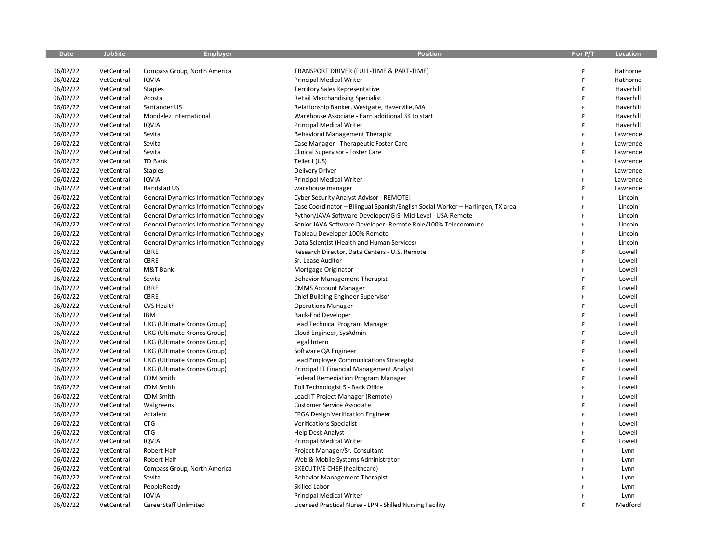| <b>Date</b> | <b>JobSite</b> | <b>Employer</b>                                | <b>Position</b>                                                                 | F or P/T | Location  |
|-------------|----------------|------------------------------------------------|---------------------------------------------------------------------------------|----------|-----------|
|             |                |                                                |                                                                                 |          |           |
| 06/02/22    | VetCentral     | Compass Group, North America                   | TRANSPORT DRIVER (FULL-TIME & PART-TIME)                                        | F        | Hathorne  |
| 06/02/22    | VetCentral     | <b>IQVIA</b>                                   | <b>Principal Medical Writer</b>                                                 | F        | Hathorne  |
| 06/02/22    | VetCentral     | <b>Staples</b>                                 | <b>Territory Sales Representative</b>                                           | F        | Haverhill |
| 06/02/22    | VetCentral     | Acosta                                         | <b>Retail Merchandising Specialist</b>                                          | F        | Haverhill |
| 06/02/22    | VetCentral     | Santander US                                   | Relationship Banker, Westgate, Haverville, MA                                   | F        | Haverhill |
| 06/02/22    | VetCentral     | Mondelez International                         | Warehouse Associate - Earn additional 3K to start                               | F        | Haverhill |
| 06/02/22    | VetCentral     | <b>IQVIA</b>                                   | <b>Principal Medical Writer</b>                                                 | F        | Haverhill |
| 06/02/22    | VetCentral     | Sevita                                         | <b>Behavioral Management Therapist</b>                                          | F        | Lawrence  |
| 06/02/22    | VetCentral     | Sevita                                         | Case Manager - Therapeutic Foster Care                                          | F        | Lawrence  |
| 06/02/22    | VetCentral     | Sevita                                         | Clinical Supervisor - Foster Care                                               | F        | Lawrence  |
| 06/02/22    | VetCentral     | TD Bank                                        | Teller I (US)                                                                   | F        | Lawrence  |
| 06/02/22    | VetCentral     | <b>Staples</b>                                 | <b>Delivery Driver</b>                                                          | F        | Lawrence  |
| 06/02/22    | VetCentral     | <b>IQVIA</b>                                   | Principal Medical Writer                                                        | F        | Lawrence  |
| 06/02/22    | VetCentral     | Randstad US                                    | warehouse manager                                                               | F        | Lawrence  |
| 06/02/22    | VetCentral     | <b>General Dynamics Information Technology</b> | Cyber Security Analyst Advisor - REMOTE!                                        | F        | Lincoln   |
| 06/02/22    | VetCentral     | <b>General Dynamics Information Technology</b> | Case Coordinator - Bilingual Spanish/English Social Worker - Harlingen, TX area | F        | Lincoln   |
| 06/02/22    | VetCentral     | <b>General Dynamics Information Technology</b> | Python/JAVA Software Developer/GIS-Mid-Level - USA-Remote                       | F        | Lincoln   |
| 06/02/22    | VetCentral     | <b>General Dynamics Information Technology</b> | Senior JAVA Software Developer- Remote Role/100% Telecommute                    | F        | Lincoln   |
| 06/02/22    | VetCentral     | <b>General Dynamics Information Technology</b> | Tableau Developer 100% Remote                                                   | F        | Lincoln   |
| 06/02/22    | VetCentral     | <b>General Dynamics Information Technology</b> | Data Scientist (Health and Human Services)                                      | F        | Lincoln   |
| 06/02/22    | VetCentral     | <b>CBRE</b>                                    | Research Director, Data Centers - U.S. Remote                                   | F        | Lowell    |
| 06/02/22    | VetCentral     | CBRE                                           | Sr. Lease Auditor                                                               | F        | Lowell    |
| 06/02/22    | VetCentral     | M&T Bank                                       | Mortgage Originator                                                             | F        | Lowell    |
| 06/02/22    | VetCentral     | Sevita                                         | <b>Behavior Management Therapist</b>                                            | F        | Lowell    |
| 06/02/22    | VetCentral     | CBRE                                           | <b>CMMS Account Manager</b>                                                     | F        | Lowell    |
| 06/02/22    | VetCentral     | CBRE                                           | Chief Building Engineer Supervisor                                              | F        | Lowell    |
| 06/02/22    | VetCentral     | <b>CVS Health</b>                              | <b>Operations Manager</b>                                                       | F        | Lowell    |
| 06/02/22    | VetCentral     | IBM                                            | Back-End Developer                                                              | F        | Lowell    |
| 06/02/22    | VetCentral     | UKG (Ultimate Kronos Group)                    | Lead Technical Program Manager                                                  | F        | Lowell    |
| 06/02/22    | VetCentral     | UKG (Ultimate Kronos Group)                    | Cloud Engineer, SysAdmin                                                        | F        | Lowell    |
| 06/02/22    | VetCentral     | UKG (Ultimate Kronos Group)                    | Legal Intern                                                                    | F        | Lowell    |
| 06/02/22    | VetCentral     | UKG (Ultimate Kronos Group)                    | Software QA Engineer                                                            | F        | Lowell    |
| 06/02/22    | VetCentral     | UKG (Ultimate Kronos Group)                    | Lead Employee Communications Strategist                                         | F        | Lowell    |
| 06/02/22    | VetCentral     | UKG (Ultimate Kronos Group)                    | Principal IT Financial Management Analyst                                       | F        | Lowell    |
| 06/02/22    | VetCentral     | CDM Smith                                      | Federal Remediation Program Manager                                             | F        | Lowell    |
| 06/02/22    | VetCentral     | <b>CDM Smith</b>                               | Toll Technologist 5 - Back Office                                               | F        | Lowell    |
| 06/02/22    | VetCentral     | CDM Smith                                      | Lead IT Project Manager (Remote)                                                | F        | Lowell    |
| 06/02/22    | VetCentral     | Walgreens                                      | <b>Customer Service Associate</b>                                               | F        | Lowell    |
| 06/02/22    | VetCentral     | Actalent                                       | FPGA Design Verification Engineer                                               | F        | Lowell    |
| 06/02/22    | VetCentral     | <b>CTG</b>                                     | <b>Verifications Specialist</b>                                                 | F        | Lowell    |
| 06/02/22    | VetCentral     | <b>CTG</b>                                     | <b>Help Desk Analyst</b>                                                        | F        | Lowell    |
| 06/02/22    | VetCentral     | <b>IQVIA</b>                                   | <b>Principal Medical Writer</b>                                                 | F        | Lowell    |
| 06/02/22    | VetCentral     | Robert Half                                    | Project Manager/Sr. Consultant                                                  | F        | Lynn      |
| 06/02/22    | VetCentral     | Robert Half                                    | Web & Mobile Systems Administrator                                              | F        | Lynn      |
| 06/02/22    | VetCentral     | Compass Group, North America                   | <b>EXECUTIVE CHEF (healthcare)</b>                                              | F        | Lynn      |
| 06/02/22    | VetCentral     | Sevita                                         | <b>Behavior Management Therapist</b>                                            | F        | Lynn      |
| 06/02/22    | VetCentral     | PeopleReady                                    | Skilled Labor                                                                   | F        | Lynn      |
| 06/02/22    | VetCentral     | <b>IQVIA</b>                                   | <b>Principal Medical Writer</b>                                                 | F        | Lynn      |
| 06/02/22    | VetCentral     | CareerStaff Unlimited                          | Licensed Practical Nurse - LPN - Skilled Nursing Facility                       | F        | Medford   |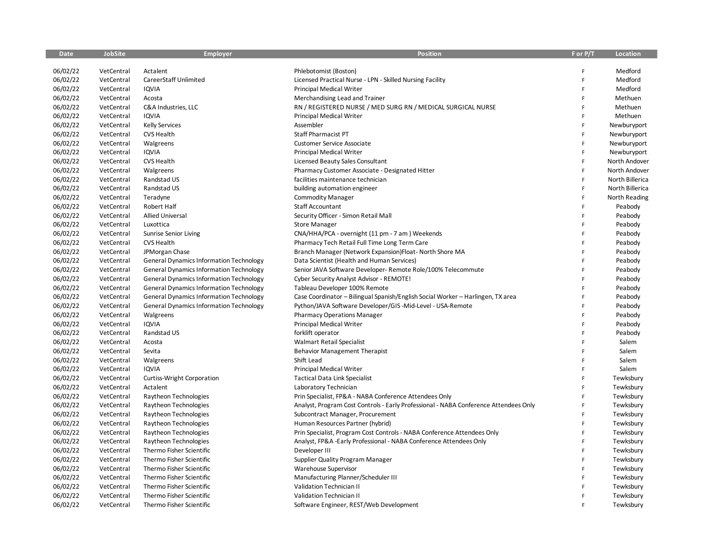| Date     | <b>JobSite</b> | <b>Employer</b>                                | <b>Position</b>                                                                      | F or P/T     | Location        |
|----------|----------------|------------------------------------------------|--------------------------------------------------------------------------------------|--------------|-----------------|
|          |                |                                                |                                                                                      |              |                 |
| 06/02/22 | VetCentral     | Actalent                                       | Phlebotomist (Boston)                                                                | F            | Medford         |
| 06/02/22 | VetCentral     | CareerStaff Unlimited                          | Licensed Practical Nurse - LPN - Skilled Nursing Facility                            | F            | Medford         |
| 06/02/22 | VetCentral     | <b>IQVIA</b>                                   | <b>Principal Medical Writer</b>                                                      | F            | Medford         |
| 06/02/22 | VetCentral     | Acosta                                         | Merchandising Lead and Trainer                                                       | F            | Methuen         |
| 06/02/22 | VetCentral     | C&A Industries, LLC                            | RN / REGISTERED NURSE / MED SURG RN / MEDICAL SURGICAL NURSE                         | F            | Methuen         |
| 06/02/22 | VetCentral     | <b>IQVIA</b>                                   | Principal Medical Writer                                                             | F            | Methuen         |
| 06/02/22 | VetCentral     | <b>Kelly Services</b>                          | Assembler                                                                            | F            | Newburyport     |
| 06/02/22 | VetCentral     | <b>CVS Health</b>                              | Staff Pharmacist PT                                                                  | F            | Newburyport     |
| 06/02/22 | VetCentral     | Walgreens                                      | <b>Customer Service Associate</b>                                                    | $\mathsf{F}$ | Newburyport     |
| 06/02/22 | VetCentral     | <b>IQVIA</b>                                   | <b>Principal Medical Writer</b>                                                      | F            | Newburyport     |
| 06/02/22 | VetCentral     | <b>CVS Health</b>                              | Licensed Beauty Sales Consultant                                                     | $\mathsf{F}$ | North Andover   |
| 06/02/22 | VetCentral     | Walgreens                                      | Pharmacy Customer Associate - Designated Hitter                                      | F            | North Andover   |
| 06/02/22 | VetCentral     | Randstad US                                    | facilities maintenance technician                                                    | F            | North Billerica |
| 06/02/22 | VetCentral     | Randstad US                                    | building automation engineer                                                         | $\mathsf{F}$ | North Billerica |
| 06/02/22 | VetCentral     | Teradyne                                       | <b>Commodity Manager</b>                                                             | $\mathsf F$  | North Reading   |
| 06/02/22 | VetCentral     | Robert Half                                    | Staff Accountant                                                                     | $\mathsf{F}$ | Peabody         |
| 06/02/22 | VetCentral     | <b>Allied Universal</b>                        | Security Officer - Simon Retail Mall                                                 | F            | Peabody         |
| 06/02/22 | VetCentral     | Luxottica                                      | <b>Store Manager</b>                                                                 | F            | Peabody         |
| 06/02/22 | VetCentral     | <b>Sunrise Senior Living</b>                   | CNA/HHA/PCA - overnight (11 pm - 7 am) Weekends                                      | F            | Peabody         |
| 06/02/22 | VetCentral     | <b>CVS Health</b>                              | Pharmacy Tech Retail Full Time Long Term Care                                        | F            | Peabody         |
| 06/02/22 | VetCentral     | JPMorgan Chase                                 | Branch Manager (Network Expansion)Float- North Shore MA                              | F            | Peabody         |
| 06/02/22 | VetCentral     | <b>General Dynamics Information Technology</b> | Data Scientist (Health and Human Services)                                           | $\mathsf{F}$ | Peabody         |
| 06/02/22 | VetCentral     | <b>General Dynamics Information Technology</b> | Senior JAVA Software Developer- Remote Role/100% Telecommute                         | F            | Peabody         |
| 06/02/22 | VetCentral     | <b>General Dynamics Information Technology</b> | Cyber Security Analyst Advisor - REMOTE!                                             | F            | Peabody         |
| 06/02/22 | VetCentral     | <b>General Dynamics Information Technology</b> | Tableau Developer 100% Remote                                                        | F            | Peabody         |
| 06/02/22 | VetCentral     | <b>General Dynamics Information Technology</b> | Case Coordinator - Bilingual Spanish/English Social Worker - Harlingen, TX area      | F            | Peabody         |
| 06/02/22 | VetCentral     | <b>General Dynamics Information Technology</b> | Python/JAVA Software Developer/GIS-Mid-Level - USA-Remote                            | F            | Peabody         |
| 06/02/22 | VetCentral     | Walgreens                                      | <b>Pharmacy Operations Manager</b>                                                   | F            | Peabody         |
| 06/02/22 | VetCentral     | <b>IQVIA</b>                                   | <b>Principal Medical Writer</b>                                                      | F            | Peabody         |
| 06/02/22 | VetCentral     | Randstad US                                    | forklift operator                                                                    | F            | Peabody         |
| 06/02/22 | VetCentral     | Acosta                                         | <b>Walmart Retail Specialist</b>                                                     | F            | Salem           |
| 06/02/22 | VetCentral     | Sevita                                         | <b>Behavior Management Therapist</b>                                                 | F            | Salem           |
| 06/02/22 | VetCentral     | Walgreens                                      | Shift Lead                                                                           | $\mathsf{F}$ | Salem           |
| 06/02/22 | VetCentral     | <b>IQVIA</b>                                   | <b>Principal Medical Writer</b>                                                      | F            | Salem           |
| 06/02/22 | VetCentral     | Curtiss-Wright Corporation                     | <b>Tactical Data Link Specialist</b>                                                 | F            | Tewksbury       |
| 06/02/22 | VetCentral     | Actalent                                       | Laboratory Technician                                                                | F            | Tewksbury       |
| 06/02/22 | VetCentral     | Raytheon Technologies                          | Prin Specialist, FP&A - NABA Conference Attendees Only                               | $\mathsf F$  | Tewksbury       |
| 06/02/22 | VetCentral     | Raytheon Technologies                          | Analyst, Program Cost Controls - Early Professional - NABA Conference Attendees Only | F            | Tewksbury       |
| 06/02/22 | VetCentral     | Raytheon Technologies                          | Subcontract Manager, Procurement                                                     | $\mathsf{F}$ | Tewksbury       |
| 06/02/22 | VetCentral     | Raytheon Technologies                          | Human Resources Partner (hybrid)                                                     | F            | Tewksbury       |
| 06/02/22 | VetCentral     | Raytheon Technologies                          | Prin Specialist, Program Cost Controls - NABA Conference Attendees Only              | $\mathsf{F}$ | Tewksbury       |
| 06/02/22 | VetCentral     | Raytheon Technologies                          | Analyst, FP&A -Early Professional - NABA Conference Attendees Only                   | F            | Tewksbury       |
| 06/02/22 | VetCentral     | Thermo Fisher Scientific                       | Developer III                                                                        | F            | Tewksbury       |
| 06/02/22 | VetCentral     | Thermo Fisher Scientific                       | Supplier Quality Program Manager                                                     | F            | Tewksbury       |
| 06/02/22 | VetCentral     | Thermo Fisher Scientific                       | Warehouse Supervisor                                                                 | F            | Tewksbury       |
| 06/02/22 | VetCentral     | Thermo Fisher Scientific                       | Manufacturing Planner/Scheduler III                                                  | F            | Tewksbury       |
| 06/02/22 | VetCentral     | Thermo Fisher Scientific                       | Validation Technician II                                                             | F            | Tewksbury       |
| 06/02/22 | VetCentral     | Thermo Fisher Scientific                       | Validation Technician II                                                             | $\mathsf{F}$ | Tewksbury       |
| 06/02/22 | VetCentral     | Thermo Fisher Scientific                       | Software Engineer, REST/Web Development                                              | Ė            | Tewksbury       |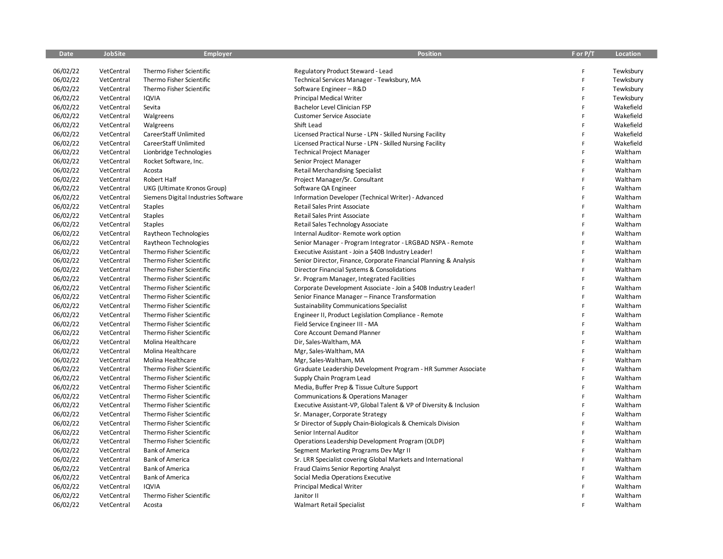| <b>Date</b> | <b>JobSite</b> | <b>Employer</b>                     | <b>Position</b>                                                     | F or P/T       | Location  |
|-------------|----------------|-------------------------------------|---------------------------------------------------------------------|----------------|-----------|
|             |                |                                     |                                                                     |                |           |
| 06/02/22    | VetCentral     | Thermo Fisher Scientific            | Regulatory Product Steward - Lead                                   | F              | Tewksbury |
| 06/02/22    | VetCentral     | Thermo Fisher Scientific            | Technical Services Manager - Tewksbury, MA                          | $\mathsf{F}$   | Tewksbury |
| 06/02/22    | VetCentral     | Thermo Fisher Scientific            | Software Engineer - R&D                                             | $\mathsf{F}$   | Tewksbury |
| 06/02/22    | VetCentral     | <b>IQVIA</b>                        | Principal Medical Writer                                            | F              | Tewksbury |
| 06/02/22    | VetCentral     | Sevita                              | Bachelor Level Clinician FSP                                        | $\mathsf{F}$   | Wakefield |
| 06/02/22    | VetCentral     | Walgreens                           | <b>Customer Service Associate</b>                                   | F              | Wakefield |
| 06/02/22    | VetCentral     | Walgreens                           | Shift Lead                                                          | F              | Wakefield |
| 06/02/22    | VetCentral     | CareerStaff Unlimited               | Licensed Practical Nurse - LPN - Skilled Nursing Facility           | F              | Wakefield |
| 06/02/22    | VetCentral     | CareerStaff Unlimited               | Licensed Practical Nurse - LPN - Skilled Nursing Facility           | F              | Wakefield |
| 06/02/22    | VetCentral     | Lionbridge Technologies             | <b>Technical Project Manager</b>                                    | F              | Waltham   |
| 06/02/22    | VetCentral     | Rocket Software, Inc.               | Senior Project Manager                                              | F              | Waltham   |
| 06/02/22    | VetCentral     | Acosta                              | <b>Retail Merchandising Specialist</b>                              | F              | Waltham   |
| 06/02/22    | VetCentral     | Robert Half                         | Project Manager/Sr. Consultant                                      | F              | Waltham   |
| 06/02/22    | VetCentral     | UKG (Ultimate Kronos Group)         | Software QA Engineer                                                | $\mathsf{F}$   | Waltham   |
| 06/02/22    | VetCentral     | Siemens Digital Industries Software | Information Developer (Technical Writer) - Advanced                 | F              | Waltham   |
| 06/02/22    | VetCentral     | Staples                             | Retail Sales Print Associate                                        | $\overline{F}$ | Waltham   |
| 06/02/22    | VetCentral     | <b>Staples</b>                      | Retail Sales Print Associate                                        | F              | Waltham   |
| 06/02/22    | VetCentral     | <b>Staples</b>                      | Retail Sales Technology Associate                                   | F              | Waltham   |
| 06/02/22    | VetCentral     | Raytheon Technologies               | Internal Auditor-Remote work option                                 | F              | Waltham   |
| 06/02/22    | VetCentral     | Raytheon Technologies               | Senior Manager - Program Integrator - LRGBAD NSPA - Remote          | F              | Waltham   |
| 06/02/22    | VetCentral     | Thermo Fisher Scientific            | Executive Assistant - Join a \$40B Industry Leader!                 | F              | Waltham   |
| 06/02/22    | VetCentral     | Thermo Fisher Scientific            | Senior Director, Finance, Corporate Financial Planning & Analysis   | F              | Waltham   |
| 06/02/22    | VetCentral     | Thermo Fisher Scientific            | Director Financial Systems & Consolidations                         | F              | Waltham   |
| 06/02/22    | VetCentral     | Thermo Fisher Scientific            | Sr. Program Manager, Integrated Facilities                          | F              | Waltham   |
| 06/02/22    | VetCentral     | Thermo Fisher Scientific            | Corporate Development Associate - Join a \$40B Industry Leader!     | F              | Waltham   |
| 06/02/22    | VetCentral     | Thermo Fisher Scientific            | Senior Finance Manager - Finance Transformation                     | F              | Waltham   |
| 06/02/22    | VetCentral     | Thermo Fisher Scientific            | Sustainability Communications Specialist                            | F              | Waltham   |
| 06/02/22    | VetCentral     | Thermo Fisher Scientific            | Engineer II, Product Legislation Compliance - Remote                | F              | Waltham   |
| 06/02/22    | VetCentral     | Thermo Fisher Scientific            | Field Service Engineer III - MA                                     | F              | Waltham   |
| 06/02/22    | VetCentral     | Thermo Fisher Scientific            | Core Account Demand Planner                                         | F              | Waltham   |
| 06/02/22    | VetCentral     | Molina Healthcare                   | Dir, Sales-Waltham, MA                                              | $\mathsf{F}$   | Waltham   |
| 06/02/22    | VetCentral     | Molina Healthcare                   | Mgr, Sales-Waltham, MA                                              | F              | Waltham   |
| 06/02/22    | VetCentral     | Molina Healthcare                   | Mgr, Sales-Waltham, MA                                              | F              | Waltham   |
| 06/02/22    | VetCentral     | Thermo Fisher Scientific            | Graduate Leadership Development Program - HR Summer Associate       | F              | Waltham   |
| 06/02/22    | VetCentral     | Thermo Fisher Scientific            | Supply Chain Program Lead                                           | $\mathsf{F}$   | Waltham   |
| 06/02/22    | VetCentral     | Thermo Fisher Scientific            | Media, Buffer Prep & Tissue Culture Support                         | F              | Waltham   |
| 06/02/22    | VetCentral     | Thermo Fisher Scientific            | Communications & Operations Manager                                 | $\mathsf{F}$   | Waltham   |
| 06/02/22    | VetCentral     | Thermo Fisher Scientific            | Executive Assistant-VP, Global Talent & VP of Diversity & Inclusion | F              | Waltham   |
| 06/02/22    | VetCentral     | Thermo Fisher Scientific            | Sr. Manager, Corporate Strategy                                     | F              | Waltham   |
| 06/02/22    | VetCentral     | Thermo Fisher Scientific            | Sr Director of Supply Chain-Biologicals & Chemicals Division        | F              | Waltham   |
| 06/02/22    | VetCentral     | Thermo Fisher Scientific            | Senior Internal Auditor                                             | F              | Waltham   |
| 06/02/22    | VetCentral     | Thermo Fisher Scientific            | Operations Leadership Development Program (OLDP)                    | F              | Waltham   |
| 06/02/22    | VetCentral     | <b>Bank of America</b>              | Segment Marketing Programs Dev Mgr II                               | F              | Waltham   |
| 06/02/22    | VetCentral     | <b>Bank of America</b>              | Sr. LRR Specialist covering Global Markets and International        | F              | Waltham   |
| 06/02/22    | VetCentral     | <b>Bank of America</b>              | Fraud Claims Senior Reporting Analyst                               | F              | Waltham   |
| 06/02/22    | VetCentral     | <b>Bank of America</b>              | Social Media Operations Executive                                   | F              | Waltham   |
| 06/02/22    | VetCentral     | <b>IQVIA</b>                        | <b>Principal Medical Writer</b>                                     | F              | Waltham   |
| 06/02/22    | VetCentral     | Thermo Fisher Scientific            | Janitor II                                                          | F              | Waltham   |
| 06/02/22    | VetCentral     | Acosta                              | <b>Walmart Retail Specialist</b>                                    | F              | Waltham   |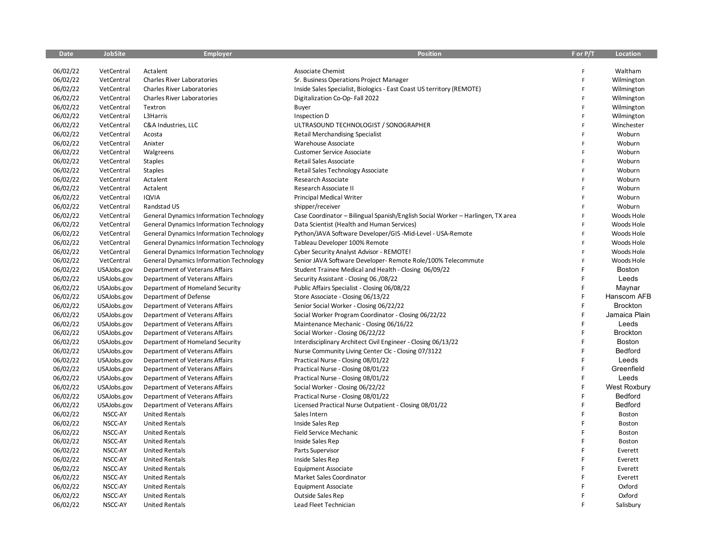| <b>Date</b> | <b>JobSite</b> | <b>Employer</b>                                | <b>Position</b>                                                                 | F or P/T     | Location        |
|-------------|----------------|------------------------------------------------|---------------------------------------------------------------------------------|--------------|-----------------|
|             |                |                                                |                                                                                 |              |                 |
| 06/02/22    | VetCentral     | Actalent                                       | <b>Associate Chemist</b>                                                        | F            | Waltham         |
| 06/02/22    | VetCentral     | <b>Charles River Laboratories</b>              | Sr. Business Operations Project Manager                                         | F            | Wilmington      |
| 06/02/22    | VetCentral     | <b>Charles River Laboratories</b>              | Inside Sales Specialist, Biologics - East Coast US territory (REMOTE)           | F            | Wilmington      |
| 06/02/22    | VetCentral     | <b>Charles River Laboratories</b>              | Digitalization Co-Op-Fall 2022                                                  | F            | Wilmington      |
| 06/02/22    | VetCentral     | Textron                                        | Buyer                                                                           | F            | Wilmington      |
| 06/02/22    | VetCentral     | L3Harris                                       | Inspection D                                                                    | F            | Wilmington      |
| 06/02/22    | VetCentral     | C&A Industries, LLC                            | ULTRASOUND TECHNOLOGIST / SONOGRAPHER                                           | $\mathsf{F}$ | Winchester      |
| 06/02/22    | VetCentral     | Acosta                                         | <b>Retail Merchandising Specialist</b>                                          | F            | Woburn          |
| 06/02/22    | VetCentral     | Anixter                                        | Warehouse Associate                                                             | F            | Woburn          |
| 06/02/22    | VetCentral     | Walgreens                                      | <b>Customer Service Associate</b>                                               | F            | Woburn          |
| 06/02/22    | VetCentral     | <b>Staples</b>                                 | Retail Sales Associate                                                          | F            | Woburn          |
| 06/02/22    | VetCentral     | <b>Staples</b>                                 | Retail Sales Technology Associate                                               | F            | Woburn          |
| 06/02/22    | VetCentral     | Actalent                                       | Research Associate                                                              | F            | Woburn          |
| 06/02/22    | VetCentral     | Actalent                                       | Research Associate II                                                           | F            | Woburn          |
| 06/02/22    | VetCentral     | IQVIA                                          | <b>Principal Medical Writer</b>                                                 | F            | Woburn          |
| 06/02/22    | VetCentral     | Randstad US                                    | shipper/receiver                                                                | F            | Woburn          |
| 06/02/22    | VetCentral     | <b>General Dynamics Information Technology</b> | Case Coordinator - Bilingual Spanish/English Social Worker - Harlingen, TX area | F            | Woods Hole      |
| 06/02/22    | VetCentral     | <b>General Dynamics Information Technology</b> | Data Scientist (Health and Human Services)                                      | F            | Woods Hole      |
| 06/02/22    | VetCentral     | <b>General Dynamics Information Technology</b> | Python/JAVA Software Developer/GIS-Mid-Level - USA-Remote                       | F            | Woods Hole      |
| 06/02/22    | VetCentral     | <b>General Dynamics Information Technology</b> | Tableau Developer 100% Remote                                                   | F            | Woods Hole      |
| 06/02/22    | VetCentral     | <b>General Dynamics Information Technology</b> | Cyber Security Analyst Advisor - REMOTE!                                        | F            | Woods Hole      |
| 06/02/22    | VetCentral     | <b>General Dynamics Information Technology</b> | Senior JAVA Software Developer- Remote Role/100% Telecommute                    | $\mathsf{F}$ | Woods Hole      |
| 06/02/22    | USAJobs.gov    | Department of Veterans Affairs                 | Student Trainee Medical and Health - Closing 06/09/22                           | F            | Boston          |
| 06/02/22    | USAJobs.gov    | Department of Veterans Affairs                 | Security Assistant - Closing 06./08/22                                          | F            | Leeds           |
| 06/02/22    | USAJobs.gov    | Department of Homeland Security                | Public Affairs Specialist - Closing 06/08/22                                    | F            | Maynar          |
| 06/02/22    | USAJobs.gov    | Department of Defense                          | Store Associate - Closing 06/13/22                                              | F            | Hanscom AFB     |
| 06/02/22    | USAJobs.gov    | Department of Veterans Affairs                 | Senior Social Worker - Closing 06/22/22                                         | F            | <b>Brockton</b> |
| 06/02/22    | USAJobs.gov    | Department of Veterans Affairs                 | Social Worker Program Coordinator - Closing 06/22/22                            | F            | Jamaica Plain   |
| 06/02/22    | USAJobs.gov    | Department of Veterans Affairs                 | Maintenance Mechanic - Closing 06/16/22                                         | F            | Leeds           |
| 06/02/22    | USAJobs.gov    | Department of Veterans Affairs                 | Social Worker - Closing 06/22/22                                                | F            | <b>Brockton</b> |
| 06/02/22    | USAJobs.gov    | Department of Homeland Security                | Interdisciplinary Architect Civil Engineer - Closing 06/13/22                   | F            | <b>Boston</b>   |
| 06/02/22    | USAJobs.gov    | Department of Veterans Affairs                 | Nurse Community Living Center Clc - Closing 07/3122                             | F            | Bedford         |
| 06/02/22    | USAJobs.gov    | Department of Veterans Affairs                 | Practical Nurse - Closing 08/01/22                                              | F            | Leeds           |
| 06/02/22    | USAJobs.gov    | Department of Veterans Affairs                 | Practical Nurse - Closing 08/01/22                                              | F            | Greenfield      |
| 06/02/22    | USAJobs.gov    | Department of Veterans Affairs                 | Practical Nurse - Closing 08/01/22                                              | F            | Leeds           |
| 06/02/22    | USAJobs.gov    | Department of Veterans Affairs                 | Social Worker - Closing 06/22/22                                                | F            | West Roxbury    |
| 06/02/22    | USAJobs.gov    | Department of Veterans Affairs                 | Practical Nurse - Closing 08/01/22                                              | F            | Bedford         |
| 06/02/22    | USAJobs.gov    | Department of Veterans Affairs                 | Licensed Practical Nurse Outpatient - Closing 08/01/22                          | F            | Bedford         |
| 06/02/22    | NSCC-AY        | <b>United Rentals</b>                          | Sales Intern                                                                    | F            | Boston          |
| 06/02/22    | NSCC-AY        | <b>United Rentals</b>                          | Inside Sales Rep                                                                | F            | Boston          |
| 06/02/22    | NSCC-AY        | <b>United Rentals</b>                          | Field Service Mechanic                                                          | F            | Boston          |
| 06/02/22    | NSCC-AY        | <b>United Rentals</b>                          | Inside Sales Rep                                                                | E            | Boston          |
| 06/02/22    | NSCC-AY        | <b>United Rentals</b>                          | Parts Supervisor                                                                | Ë            | Everett         |
| 06/02/22    | NSCC-AY        | <b>United Rentals</b>                          | Inside Sales Rep                                                                | F            | Everett         |
| 06/02/22    | NSCC-AY        | <b>United Rentals</b>                          | <b>Equipment Associate</b>                                                      | F            | Everett         |
| 06/02/22    | NSCC-AY        | <b>United Rentals</b>                          | Market Sales Coordinator                                                        | Ë            | Everett         |
| 06/02/22    | NSCC-AY        | <b>United Rentals</b>                          | <b>Equipment Associate</b>                                                      |              | Oxford          |
| 06/02/22    | NSCC-AY        | <b>United Rentals</b>                          | <b>Outside Sales Rep</b>                                                        | F            | Oxford          |
| 06/02/22    | NSCC-AY        | <b>United Rentals</b>                          | Lead Fleet Technician                                                           | Ë            | Salisbury       |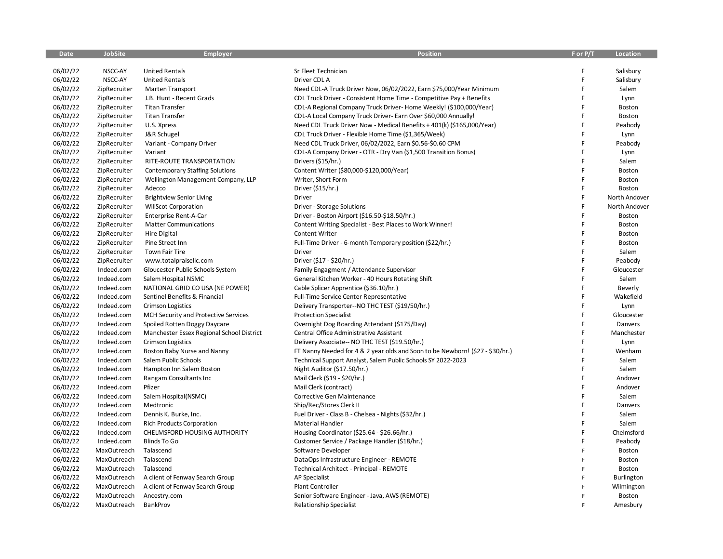| <b>Date</b> | <b>JobSite</b> | <b>Employer</b>                           | <b>Position</b>                                                               | F or P/T | Location          |
|-------------|----------------|-------------------------------------------|-------------------------------------------------------------------------------|----------|-------------------|
|             |                |                                           |                                                                               |          |                   |
| 06/02/22    | NSCC-AY        | <b>United Rentals</b>                     | Sr Fleet Technician                                                           | F        | Salisbury         |
| 06/02/22    | NSCC-AY        | <b>United Rentals</b>                     | Driver CDL A                                                                  | F        | Salisbury         |
| 06/02/22    | ZipRecruiter   | <b>Marten Transport</b>                   | Need CDL-A Truck Driver Now, 06/02/2022, Earn \$75,000/Year Minimum           | F        | Salem             |
| 06/02/22    | ZipRecruiter   | J.B. Hunt - Recent Grads                  | CDL Truck Driver - Consistent Home Time - Competitive Pay + Benefits          | F        | Lynn              |
| 06/02/22    | ZipRecruiter   | <b>Titan Transfer</b>                     | CDL-A Regional Company Truck Driver- Home Weekly! (\$100,000/Year)            | F        | Boston            |
| 06/02/22    | ZipRecruiter   | <b>Titan Transfer</b>                     | CDL-A Local Company Truck Driver- Earn Over \$60,000 Annually!                | F        | Boston            |
| 06/02/22    | ZipRecruiter   | U.S. Xpress                               | Need CDL Truck Driver Now - Medical Benefits + 401(k) (\$165,000/Year)        | F        | Peabody           |
| 06/02/22    | ZipRecruiter   | J&R Schugel                               | CDL Truck Driver - Flexible Home Time (\$1,365/Week)                          | F        | Lynn              |
| 06/02/22    | ZipRecruiter   | Variant - Company Driver                  | Need CDL Truck Driver, 06/02/2022, Earn \$0.56-\$0.60 CPM                     | F        | Peabody           |
| 06/02/22    | ZipRecruiter   | Variant                                   | CDL-A Company Driver - OTR - Dry Van (\$1,500 Transition Bonus)               | F        | Lynn              |
| 06/02/22    | ZipRecruiter   | RITE-ROUTE TRANSPORTATION                 | Drivers (\$15/hr.)                                                            | F        | Salem             |
| 06/02/22    | ZipRecruiter   | <b>Contemporary Staffing Solutions</b>    | Content Writer (\$80,000-\$120,000/Year)                                      | F        | Boston            |
| 06/02/22    | ZipRecruiter   | Wellington Management Company, LLP        | Writer, Short Form                                                            | F        | Boston            |
| 06/02/22    | ZipRecruiter   | Adecco                                    | Driver (\$15/hr.)                                                             | F        | Boston            |
| 06/02/22    | ZipRecruiter   | <b>Brightview Senior Living</b>           | <b>Driver</b>                                                                 | F        | North Andover     |
| 06/02/22    | ZipRecruiter   | <b>WillScot Corporation</b>               | Driver - Storage Solutions                                                    | F        | North Andover     |
| 06/02/22    | ZipRecruiter   | Enterprise Rent-A-Car                     | Driver - Boston Airport (\$16.50-\$18.50/hr.)                                 | F        | Boston            |
| 06/02/22    | ZipRecruiter   | <b>Matter Communications</b>              | Content Writing Specialist - Best Places to Work Winner!                      | F        | Boston            |
| 06/02/22    | ZipRecruiter   | <b>Hire Digital</b>                       | Content Writer                                                                | F        | Boston            |
| 06/02/22    | ZipRecruiter   | Pine Street Inn                           | Full-Time Driver - 6-month Temporary position (\$22/hr.)                      | F        | Boston            |
| 06/02/22    | ZipRecruiter   | <b>Town Fair Tire</b>                     | Driver                                                                        | F        | Salem             |
| 06/02/22    | ZipRecruiter   | www.totalpraisellc.com                    | Driver (\$17 - \$20/hr.)                                                      | F        | Peabody           |
| 06/02/22    | Indeed.com     | Gloucester Public Schools System          | Family Engagment / Attendance Supervisor                                      | F        | Gloucester        |
| 06/02/22    | Indeed.com     | Salem Hospital NSMC                       | General Kitchen Worker - 40 Hours Rotating Shift                              | F        | Salem             |
| 06/02/22    | Indeed.com     | NATIONAL GRID CO USA (NE POWER)           | Cable Splicer Apprentice (\$36.10/hr.)                                        | F        | Beverly           |
| 06/02/22    | Indeed.com     | Sentinel Benefits & Financial             | Full-Time Service Center Representative                                       | F        | Wakefield         |
| 06/02/22    | Indeed.com     | <b>Crimson Logistics</b>                  | Delivery Transporter--NO THC TEST (\$19/50/hr.)                               | F        | Lynn              |
| 06/02/22    | Indeed.com     | MCH Security and Protective Services      | <b>Protection Specialist</b>                                                  | F        | Gloucester        |
| 06/02/22    | Indeed.com     | Spoiled Rotten Doggy Daycare              | Overnight Dog Boarding Attendant (\$175/Day)                                  | F        | Danvers           |
| 06/02/22    | Indeed.com     | Manchester Essex Regional School District | Central Office Administrative Assistant                                       | F        | Manchester        |
| 06/02/22    | Indeed.com     | <b>Crimson Logistics</b>                  | Delivery Associate-- NO THC TEST (\$19.50/hr.)                                | F        | Lynn              |
| 06/02/22    | Indeed.com     | Boston Baby Nurse and Nanny               | FT Nanny Needed for 4 & 2 year olds and Soon to be Newborn! (\$27 - \$30/hr.) | F        | Wenham            |
| 06/02/22    | Indeed.com     | Salem Public Schools                      | Technical Support Analyst, Salem Public Schools SY 2022-2023                  | F        | Salem             |
| 06/02/22    | Indeed.com     | Hampton Inn Salem Boston                  | Night Auditor (\$17.50/hr.)                                                   | F        | Salem             |
| 06/02/22    | Indeed.com     | Rangam Consultants Inc                    | Mail Clerk (\$19 - \$20/hr.)                                                  | F        | Andover           |
| 06/02/22    | Indeed.com     | Pfizer                                    | Mail Clerk (contract)                                                         | F        | Andover           |
| 06/02/22    | Indeed.com     | Salem Hospital(NSMC)                      | Corrective Gen Maintenance                                                    | F        | Salem             |
| 06/02/22    | Indeed.com     | Medtronic                                 | Ship/Rec/Stores Clerk II                                                      | F        | Danvers           |
| 06/02/22    | Indeed.com     | Dennis K. Burke, Inc.                     | Fuel Driver - Class B - Chelsea - Nights (\$32/hr.)                           | F        | Salem             |
| 06/02/22    | Indeed.com     | <b>Rich Products Corporation</b>          | Material Handler                                                              | F        | Salem             |
| 06/02/22    | Indeed.com     | CHELMSFORD HOUSING AUTHORITY              | Housing Coordinator (\$25.64 - \$26.66/hr.)                                   | F        | Chelmsford        |
| 06/02/22    | Indeed.com     | <b>Blinds To Go</b>                       | Customer Service / Package Handler (\$18/hr.)                                 | F        | Peabody           |
| 06/02/22    | MaxOutreach    | Talascend                                 | Software Developer                                                            | F        | Boston            |
| 06/02/22    | MaxOutreach    | Talascend                                 | DataOps Infrastructure Engineer - REMOTE                                      | F        | Boston            |
| 06/02/22    | MaxOutreach    | Talascend                                 | Technical Architect - Principal - REMOTE                                      | F        | Boston            |
| 06/02/22    | MaxOutreach    | A client of Fenway Search Group           | <b>AP Specialist</b>                                                          | F        | <b>Burlington</b> |
| 06/02/22    | MaxOutreach    | A client of Fenway Search Group           | <b>Plant Controller</b>                                                       | F        | Wilmington        |
| 06/02/22    | MaxOutreach    | Ancestry.com                              | Senior Software Engineer - Java, AWS (REMOTE)                                 | F        | Boston            |
| 06/02/22    | MaxOutreach    | BankProv                                  | <b>Relationship Specialist</b>                                                | F        | Amesbury          |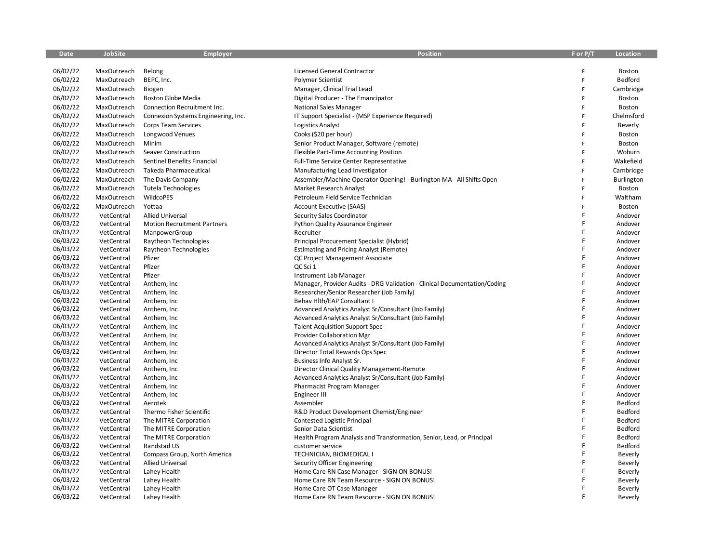| 06/02/22<br>MaxOutreach<br>Belong<br>Licensed General Contractor<br>Boston<br>F<br>06/02/22<br>MaxOutreach<br>BEPC, Inc.<br>Polymer Scientist<br>Bedford<br>F<br>06/02/22<br>MaxOutreach<br>Biogen<br>Manager, Clinical Trial Lead<br>F<br>Cambridge<br>06/02/22<br>Boston<br>MaxOutreach<br><b>Boston Globe Media</b><br>Digital Producer - The Emancipator<br>F<br>06/02/22<br>Boston<br>MaxOutreach<br>Connection Recruitment Inc.<br><b>National Sales Manager</b><br>F<br>06/02/22<br>IT Support Specialist - (MSP Experience Required)<br>Chelmsford<br>MaxOutreach<br>Connexion Systems Engineering, Inc.<br>F<br>06/02/22<br>MaxOutreach<br>Corps Team Services<br>Logistics Analyst<br>F<br>Beverly<br>06/02/22<br>MaxOutreach<br>Longwood Venues<br>Cooks (\$20 per hour)<br>Boston<br>F<br>06/02/22<br>MaxOutreach<br>Minim<br>Senior Product Manager, Software (remote)<br>F<br>Boston<br>06/02/22<br>MaxOutreach<br>Seaver Construction<br>Flexible Part-Time Accounting Position<br>Woburn<br>F<br>06/02/22<br>Sentinel Benefits Financial<br>Full-Time Service Center Representative<br>Wakefield<br>MaxOutreach<br>F<br>06/02/22<br>MaxOutreach<br>Takeda Pharmaceutical<br>Manufacturing Lead Investigator<br>F<br>Cambridge<br>06/02/22<br>MaxOutreach<br>The Davis Company<br>Assembler/Machine Operator Opening! - Burlington MA - All Shifts Open<br>F<br>Burlington<br>06/02/22<br>MaxOutreach<br><b>Tutela Technologies</b><br>Market Research Analyst<br>Boston<br>F<br>06/02/22<br>MaxOutreach<br>WildcoPES<br>Petroleum Field Service Technician<br>Waltham<br>F<br>06/02/22<br>Account Executive (SAAS)<br>MaxOutreach<br>Yottaa<br>Ë<br>Boston<br>06/03/22<br>F<br>VetCentral<br><b>Allied Universal</b><br>Security Sales Coordinator<br>Andover<br>06/03/22<br>F<br>VetCentral<br><b>Motion Recruitment Partners</b><br><b>Python Quality Assurance Engineer</b><br>Andover<br>06/03/22<br>F<br>VetCentral<br>ManpowerGroup<br>Recruiter<br>Andover<br>06/03/22<br>F<br>VetCentral<br>Raytheon Technologies<br>Principal Procurement Specialist (Hybrid)<br>Andover<br>06/03/22<br>VetCentral<br>Raytheon Technologies<br><b>Estimating and Pricing Analyst (Remote)</b><br>Andover<br>06/03/22<br>Pfizer<br>F<br>VetCentral<br>Andover<br>QC Project Management Associate<br>06/03/22<br>Pfizer<br>F<br>VetCentral<br>QC Sci 1<br>Andover<br>06/03/22<br>Pfizer<br>F<br>VetCentral<br>Instrument Lab Manager<br>Andover<br>06/03/22<br>VetCentral<br>Anthem, Inc<br>Manager, Provider Audits - DRG Validation - Clinical Documentation/Coding<br>Andover<br>06/03/22<br>VetCentral<br>Researcher/Senior Researcher (Job Family)<br>Andover<br>Anthem, Inc<br>06/03/22<br>F<br>VetCentral<br>Behav Hlth/EAP Consultant I<br>Andover<br>Anthem, Inc<br>06/03/22<br>F<br>Advanced Analytics Analyst Sr/Consultant (Job Family)<br>VetCentral<br>Anthem, Inc<br>Andover<br>06/03/22<br>F<br>VetCentral<br>Advanced Analytics Analyst Sr/Consultant (Job Family)<br>Andover<br>Anthem, Inc<br>06/03/22<br>F<br>VetCentral<br>Anthem, Inc.<br><b>Talent Acquisition Support Spec</b><br>Andover<br>06/03/22<br>F<br>VetCentral<br>Provider Collaboration Mgr<br>Andover<br>Anthem, Inc<br>06/03/22<br>F<br>VetCentral<br>Anthem, Inc<br>Advanced Analytics Analyst Sr/Consultant (Job Family)<br>Andover<br>06/03/22<br>F<br>VetCentral<br>Anthem, Inc<br>Director Total Rewards Ops Spec<br>Andover<br>Ë<br>06/03/22<br>VetCentral<br>Andover<br>Anthem, Inc<br>Business Info Analyst Sr.<br>06/03/22<br>Ë<br>VetCentral<br>Director Clinical Quality Management-Remote<br>Andover<br>Anthem, Inc<br>06/03/22<br>VetCentral<br>F<br>Andover<br>Anthem, Inc<br>Advanced Analytics Analyst Sr/Consultant (Job Family)<br>06/03/22<br>F<br>VetCentral<br>Anthem, Inc<br>Pharmacist Program Manager<br>Andover<br>06/03/22<br>F<br>VetCentral<br>Anthem, Inc.<br>Engineer III<br>Andover<br>06/03/22<br>F<br>Bedford<br>VetCentral<br>Assembler<br>Aerotek<br>06/03/22<br>Bedford<br>VetCentral<br>Thermo Fisher Scientific<br>R&D Product Development Chemist/Engineer<br>06/03/22<br>F<br>Bedford<br>VetCentral<br>The MITRE Corporation<br><b>Contested Logistic Principal</b><br>06/03/22<br>F<br>Bedford<br>VetCentral<br>The MITRE Corporation<br>Senior Data Scientist<br>06/03/22<br>Bedford<br>VetCentral<br>The MITRE Corporation<br>Health Program Analysis and Transformation, Senior, Lead, or Principal<br>06/03/22<br>Ē<br>Bedford<br>VetCentral<br>Randstad US<br>customer service<br>06/03/22<br>F<br>VetCentral<br>Compass Group, North America<br>TECHNICIAN, BIOMEDICAL I<br>Beverly<br>06/03/22<br>F<br><b>Allied Universal</b><br>VetCentral<br>Security Officer Engineering<br>Beverly<br>06/03/22<br>F<br>VetCentral<br>Lahey Health<br>Home Care RN Case Manager - SIGN ON BONUS!<br>Beverly<br>06/03/22<br>VetCentral<br>Lahey Health<br>Home Care RN Team Resource - SIGN ON BONUS!<br>Beverly<br>06/03/22<br>F<br>VetCentral<br>Home Care OT Case Manager<br>Lahey Health<br>Beverly | <b>Date</b> | <b>JobSite</b> | <b>Employer</b> | <b>Position</b>                             | F or P/T | <b>Location</b> |
|----------------------------------------------------------------------------------------------------------------------------------------------------------------------------------------------------------------------------------------------------------------------------------------------------------------------------------------------------------------------------------------------------------------------------------------------------------------------------------------------------------------------------------------------------------------------------------------------------------------------------------------------------------------------------------------------------------------------------------------------------------------------------------------------------------------------------------------------------------------------------------------------------------------------------------------------------------------------------------------------------------------------------------------------------------------------------------------------------------------------------------------------------------------------------------------------------------------------------------------------------------------------------------------------------------------------------------------------------------------------------------------------------------------------------------------------------------------------------------------------------------------------------------------------------------------------------------------------------------------------------------------------------------------------------------------------------------------------------------------------------------------------------------------------------------------------------------------------------------------------------------------------------------------------------------------------------------------------------------------------------------------------------------------------------------------------------------------------------------------------------------------------------------------------------------------------------------------------------------------------------------------------------------------------------------------------------------------------------------------------------------------------------------------------------------------------------------------------------------------------------------------------------------------------------------------------------------------------------------------------------------------------------------------------------------------------------------------------------------------------------------------------------------------------------------------------------------------------------------------------------------------------------------------------------------------------------------------------------------------------------------------------------------------------------------------------------------------------------------------------------------------------------------------------------------------------------------------------------------------------------------------------------------------------------------------------------------------------------------------------------------------------------------------------------------------------------------------------------------------------------------------------------------------------------------------------------------------------------------------------------------------------------------------------------------------------------------------------------------------------------------------------------------------------------------------------------------------------------------------------------------------------------------------------------------------------------------------------------------------------------------------------------------------------------------------------------------------------------------------------------------------------------------------------------------------------------------------------------------------------------------------------------------------------------------------------------------------------------------------------------------------------------------------------------------------------------------------------------------------------------------------------------------------------------------------------------------------------------------------------------------------------------------------------------------------------------------------------------------------------------------------------------------------------------------------------------------------------------------------------------------------------------------------------------------------------------------------------------------------------------------------------------------------|-------------|----------------|-----------------|---------------------------------------------|----------|-----------------|
|                                                                                                                                                                                                                                                                                                                                                                                                                                                                                                                                                                                                                                                                                                                                                                                                                                                                                                                                                                                                                                                                                                                                                                                                                                                                                                                                                                                                                                                                                                                                                                                                                                                                                                                                                                                                                                                                                                                                                                                                                                                                                                                                                                                                                                                                                                                                                                                                                                                                                                                                                                                                                                                                                                                                                                                                                                                                                                                                                                                                                                                                                                                                                                                                                                                                                                                                                                                                                                                                                                                                                                                                                                                                                                                                                                                                                                                                                                                                                                                                                                                                                                                                                                                                                                                                                                                                                                                                                                                                                                                                                                                                                                                                                                                                                                                                                                                                                                                                                                                                                                        |             |                |                 |                                             |          |                 |
|                                                                                                                                                                                                                                                                                                                                                                                                                                                                                                                                                                                                                                                                                                                                                                                                                                                                                                                                                                                                                                                                                                                                                                                                                                                                                                                                                                                                                                                                                                                                                                                                                                                                                                                                                                                                                                                                                                                                                                                                                                                                                                                                                                                                                                                                                                                                                                                                                                                                                                                                                                                                                                                                                                                                                                                                                                                                                                                                                                                                                                                                                                                                                                                                                                                                                                                                                                                                                                                                                                                                                                                                                                                                                                                                                                                                                                                                                                                                                                                                                                                                                                                                                                                                                                                                                                                                                                                                                                                                                                                                                                                                                                                                                                                                                                                                                                                                                                                                                                                                                                        |             |                |                 |                                             |          |                 |
|                                                                                                                                                                                                                                                                                                                                                                                                                                                                                                                                                                                                                                                                                                                                                                                                                                                                                                                                                                                                                                                                                                                                                                                                                                                                                                                                                                                                                                                                                                                                                                                                                                                                                                                                                                                                                                                                                                                                                                                                                                                                                                                                                                                                                                                                                                                                                                                                                                                                                                                                                                                                                                                                                                                                                                                                                                                                                                                                                                                                                                                                                                                                                                                                                                                                                                                                                                                                                                                                                                                                                                                                                                                                                                                                                                                                                                                                                                                                                                                                                                                                                                                                                                                                                                                                                                                                                                                                                                                                                                                                                                                                                                                                                                                                                                                                                                                                                                                                                                                                                                        |             |                |                 |                                             |          |                 |
|                                                                                                                                                                                                                                                                                                                                                                                                                                                                                                                                                                                                                                                                                                                                                                                                                                                                                                                                                                                                                                                                                                                                                                                                                                                                                                                                                                                                                                                                                                                                                                                                                                                                                                                                                                                                                                                                                                                                                                                                                                                                                                                                                                                                                                                                                                                                                                                                                                                                                                                                                                                                                                                                                                                                                                                                                                                                                                                                                                                                                                                                                                                                                                                                                                                                                                                                                                                                                                                                                                                                                                                                                                                                                                                                                                                                                                                                                                                                                                                                                                                                                                                                                                                                                                                                                                                                                                                                                                                                                                                                                                                                                                                                                                                                                                                                                                                                                                                                                                                                                                        |             |                |                 |                                             |          |                 |
|                                                                                                                                                                                                                                                                                                                                                                                                                                                                                                                                                                                                                                                                                                                                                                                                                                                                                                                                                                                                                                                                                                                                                                                                                                                                                                                                                                                                                                                                                                                                                                                                                                                                                                                                                                                                                                                                                                                                                                                                                                                                                                                                                                                                                                                                                                                                                                                                                                                                                                                                                                                                                                                                                                                                                                                                                                                                                                                                                                                                                                                                                                                                                                                                                                                                                                                                                                                                                                                                                                                                                                                                                                                                                                                                                                                                                                                                                                                                                                                                                                                                                                                                                                                                                                                                                                                                                                                                                                                                                                                                                                                                                                                                                                                                                                                                                                                                                                                                                                                                                                        |             |                |                 |                                             |          |                 |
|                                                                                                                                                                                                                                                                                                                                                                                                                                                                                                                                                                                                                                                                                                                                                                                                                                                                                                                                                                                                                                                                                                                                                                                                                                                                                                                                                                                                                                                                                                                                                                                                                                                                                                                                                                                                                                                                                                                                                                                                                                                                                                                                                                                                                                                                                                                                                                                                                                                                                                                                                                                                                                                                                                                                                                                                                                                                                                                                                                                                                                                                                                                                                                                                                                                                                                                                                                                                                                                                                                                                                                                                                                                                                                                                                                                                                                                                                                                                                                                                                                                                                                                                                                                                                                                                                                                                                                                                                                                                                                                                                                                                                                                                                                                                                                                                                                                                                                                                                                                                                                        |             |                |                 |                                             |          |                 |
|                                                                                                                                                                                                                                                                                                                                                                                                                                                                                                                                                                                                                                                                                                                                                                                                                                                                                                                                                                                                                                                                                                                                                                                                                                                                                                                                                                                                                                                                                                                                                                                                                                                                                                                                                                                                                                                                                                                                                                                                                                                                                                                                                                                                                                                                                                                                                                                                                                                                                                                                                                                                                                                                                                                                                                                                                                                                                                                                                                                                                                                                                                                                                                                                                                                                                                                                                                                                                                                                                                                                                                                                                                                                                                                                                                                                                                                                                                                                                                                                                                                                                                                                                                                                                                                                                                                                                                                                                                                                                                                                                                                                                                                                                                                                                                                                                                                                                                                                                                                                                                        |             |                |                 |                                             |          |                 |
|                                                                                                                                                                                                                                                                                                                                                                                                                                                                                                                                                                                                                                                                                                                                                                                                                                                                                                                                                                                                                                                                                                                                                                                                                                                                                                                                                                                                                                                                                                                                                                                                                                                                                                                                                                                                                                                                                                                                                                                                                                                                                                                                                                                                                                                                                                                                                                                                                                                                                                                                                                                                                                                                                                                                                                                                                                                                                                                                                                                                                                                                                                                                                                                                                                                                                                                                                                                                                                                                                                                                                                                                                                                                                                                                                                                                                                                                                                                                                                                                                                                                                                                                                                                                                                                                                                                                                                                                                                                                                                                                                                                                                                                                                                                                                                                                                                                                                                                                                                                                                                        |             |                |                 |                                             |          |                 |
|                                                                                                                                                                                                                                                                                                                                                                                                                                                                                                                                                                                                                                                                                                                                                                                                                                                                                                                                                                                                                                                                                                                                                                                                                                                                                                                                                                                                                                                                                                                                                                                                                                                                                                                                                                                                                                                                                                                                                                                                                                                                                                                                                                                                                                                                                                                                                                                                                                                                                                                                                                                                                                                                                                                                                                                                                                                                                                                                                                                                                                                                                                                                                                                                                                                                                                                                                                                                                                                                                                                                                                                                                                                                                                                                                                                                                                                                                                                                                                                                                                                                                                                                                                                                                                                                                                                                                                                                                                                                                                                                                                                                                                                                                                                                                                                                                                                                                                                                                                                                                                        |             |                |                 |                                             |          |                 |
|                                                                                                                                                                                                                                                                                                                                                                                                                                                                                                                                                                                                                                                                                                                                                                                                                                                                                                                                                                                                                                                                                                                                                                                                                                                                                                                                                                                                                                                                                                                                                                                                                                                                                                                                                                                                                                                                                                                                                                                                                                                                                                                                                                                                                                                                                                                                                                                                                                                                                                                                                                                                                                                                                                                                                                                                                                                                                                                                                                                                                                                                                                                                                                                                                                                                                                                                                                                                                                                                                                                                                                                                                                                                                                                                                                                                                                                                                                                                                                                                                                                                                                                                                                                                                                                                                                                                                                                                                                                                                                                                                                                                                                                                                                                                                                                                                                                                                                                                                                                                                                        |             |                |                 |                                             |          |                 |
|                                                                                                                                                                                                                                                                                                                                                                                                                                                                                                                                                                                                                                                                                                                                                                                                                                                                                                                                                                                                                                                                                                                                                                                                                                                                                                                                                                                                                                                                                                                                                                                                                                                                                                                                                                                                                                                                                                                                                                                                                                                                                                                                                                                                                                                                                                                                                                                                                                                                                                                                                                                                                                                                                                                                                                                                                                                                                                                                                                                                                                                                                                                                                                                                                                                                                                                                                                                                                                                                                                                                                                                                                                                                                                                                                                                                                                                                                                                                                                                                                                                                                                                                                                                                                                                                                                                                                                                                                                                                                                                                                                                                                                                                                                                                                                                                                                                                                                                                                                                                                                        |             |                |                 |                                             |          |                 |
|                                                                                                                                                                                                                                                                                                                                                                                                                                                                                                                                                                                                                                                                                                                                                                                                                                                                                                                                                                                                                                                                                                                                                                                                                                                                                                                                                                                                                                                                                                                                                                                                                                                                                                                                                                                                                                                                                                                                                                                                                                                                                                                                                                                                                                                                                                                                                                                                                                                                                                                                                                                                                                                                                                                                                                                                                                                                                                                                                                                                                                                                                                                                                                                                                                                                                                                                                                                                                                                                                                                                                                                                                                                                                                                                                                                                                                                                                                                                                                                                                                                                                                                                                                                                                                                                                                                                                                                                                                                                                                                                                                                                                                                                                                                                                                                                                                                                                                                                                                                                                                        |             |                |                 |                                             |          |                 |
|                                                                                                                                                                                                                                                                                                                                                                                                                                                                                                                                                                                                                                                                                                                                                                                                                                                                                                                                                                                                                                                                                                                                                                                                                                                                                                                                                                                                                                                                                                                                                                                                                                                                                                                                                                                                                                                                                                                                                                                                                                                                                                                                                                                                                                                                                                                                                                                                                                                                                                                                                                                                                                                                                                                                                                                                                                                                                                                                                                                                                                                                                                                                                                                                                                                                                                                                                                                                                                                                                                                                                                                                                                                                                                                                                                                                                                                                                                                                                                                                                                                                                                                                                                                                                                                                                                                                                                                                                                                                                                                                                                                                                                                                                                                                                                                                                                                                                                                                                                                                                                        |             |                |                 |                                             |          |                 |
|                                                                                                                                                                                                                                                                                                                                                                                                                                                                                                                                                                                                                                                                                                                                                                                                                                                                                                                                                                                                                                                                                                                                                                                                                                                                                                                                                                                                                                                                                                                                                                                                                                                                                                                                                                                                                                                                                                                                                                                                                                                                                                                                                                                                                                                                                                                                                                                                                                                                                                                                                                                                                                                                                                                                                                                                                                                                                                                                                                                                                                                                                                                                                                                                                                                                                                                                                                                                                                                                                                                                                                                                                                                                                                                                                                                                                                                                                                                                                                                                                                                                                                                                                                                                                                                                                                                                                                                                                                                                                                                                                                                                                                                                                                                                                                                                                                                                                                                                                                                                                                        |             |                |                 |                                             |          |                 |
|                                                                                                                                                                                                                                                                                                                                                                                                                                                                                                                                                                                                                                                                                                                                                                                                                                                                                                                                                                                                                                                                                                                                                                                                                                                                                                                                                                                                                                                                                                                                                                                                                                                                                                                                                                                                                                                                                                                                                                                                                                                                                                                                                                                                                                                                                                                                                                                                                                                                                                                                                                                                                                                                                                                                                                                                                                                                                                                                                                                                                                                                                                                                                                                                                                                                                                                                                                                                                                                                                                                                                                                                                                                                                                                                                                                                                                                                                                                                                                                                                                                                                                                                                                                                                                                                                                                                                                                                                                                                                                                                                                                                                                                                                                                                                                                                                                                                                                                                                                                                                                        |             |                |                 |                                             |          |                 |
|                                                                                                                                                                                                                                                                                                                                                                                                                                                                                                                                                                                                                                                                                                                                                                                                                                                                                                                                                                                                                                                                                                                                                                                                                                                                                                                                                                                                                                                                                                                                                                                                                                                                                                                                                                                                                                                                                                                                                                                                                                                                                                                                                                                                                                                                                                                                                                                                                                                                                                                                                                                                                                                                                                                                                                                                                                                                                                                                                                                                                                                                                                                                                                                                                                                                                                                                                                                                                                                                                                                                                                                                                                                                                                                                                                                                                                                                                                                                                                                                                                                                                                                                                                                                                                                                                                                                                                                                                                                                                                                                                                                                                                                                                                                                                                                                                                                                                                                                                                                                                                        |             |                |                 |                                             |          |                 |
|                                                                                                                                                                                                                                                                                                                                                                                                                                                                                                                                                                                                                                                                                                                                                                                                                                                                                                                                                                                                                                                                                                                                                                                                                                                                                                                                                                                                                                                                                                                                                                                                                                                                                                                                                                                                                                                                                                                                                                                                                                                                                                                                                                                                                                                                                                                                                                                                                                                                                                                                                                                                                                                                                                                                                                                                                                                                                                                                                                                                                                                                                                                                                                                                                                                                                                                                                                                                                                                                                                                                                                                                                                                                                                                                                                                                                                                                                                                                                                                                                                                                                                                                                                                                                                                                                                                                                                                                                                                                                                                                                                                                                                                                                                                                                                                                                                                                                                                                                                                                                                        |             |                |                 |                                             |          |                 |
|                                                                                                                                                                                                                                                                                                                                                                                                                                                                                                                                                                                                                                                                                                                                                                                                                                                                                                                                                                                                                                                                                                                                                                                                                                                                                                                                                                                                                                                                                                                                                                                                                                                                                                                                                                                                                                                                                                                                                                                                                                                                                                                                                                                                                                                                                                                                                                                                                                                                                                                                                                                                                                                                                                                                                                                                                                                                                                                                                                                                                                                                                                                                                                                                                                                                                                                                                                                                                                                                                                                                                                                                                                                                                                                                                                                                                                                                                                                                                                                                                                                                                                                                                                                                                                                                                                                                                                                                                                                                                                                                                                                                                                                                                                                                                                                                                                                                                                                                                                                                                                        |             |                |                 |                                             |          |                 |
|                                                                                                                                                                                                                                                                                                                                                                                                                                                                                                                                                                                                                                                                                                                                                                                                                                                                                                                                                                                                                                                                                                                                                                                                                                                                                                                                                                                                                                                                                                                                                                                                                                                                                                                                                                                                                                                                                                                                                                                                                                                                                                                                                                                                                                                                                                                                                                                                                                                                                                                                                                                                                                                                                                                                                                                                                                                                                                                                                                                                                                                                                                                                                                                                                                                                                                                                                                                                                                                                                                                                                                                                                                                                                                                                                                                                                                                                                                                                                                                                                                                                                                                                                                                                                                                                                                                                                                                                                                                                                                                                                                                                                                                                                                                                                                                                                                                                                                                                                                                                                                        |             |                |                 |                                             |          |                 |
|                                                                                                                                                                                                                                                                                                                                                                                                                                                                                                                                                                                                                                                                                                                                                                                                                                                                                                                                                                                                                                                                                                                                                                                                                                                                                                                                                                                                                                                                                                                                                                                                                                                                                                                                                                                                                                                                                                                                                                                                                                                                                                                                                                                                                                                                                                                                                                                                                                                                                                                                                                                                                                                                                                                                                                                                                                                                                                                                                                                                                                                                                                                                                                                                                                                                                                                                                                                                                                                                                                                                                                                                                                                                                                                                                                                                                                                                                                                                                                                                                                                                                                                                                                                                                                                                                                                                                                                                                                                                                                                                                                                                                                                                                                                                                                                                                                                                                                                                                                                                                                        |             |                |                 |                                             |          |                 |
|                                                                                                                                                                                                                                                                                                                                                                                                                                                                                                                                                                                                                                                                                                                                                                                                                                                                                                                                                                                                                                                                                                                                                                                                                                                                                                                                                                                                                                                                                                                                                                                                                                                                                                                                                                                                                                                                                                                                                                                                                                                                                                                                                                                                                                                                                                                                                                                                                                                                                                                                                                                                                                                                                                                                                                                                                                                                                                                                                                                                                                                                                                                                                                                                                                                                                                                                                                                                                                                                                                                                                                                                                                                                                                                                                                                                                                                                                                                                                                                                                                                                                                                                                                                                                                                                                                                                                                                                                                                                                                                                                                                                                                                                                                                                                                                                                                                                                                                                                                                                                                        |             |                |                 |                                             |          |                 |
|                                                                                                                                                                                                                                                                                                                                                                                                                                                                                                                                                                                                                                                                                                                                                                                                                                                                                                                                                                                                                                                                                                                                                                                                                                                                                                                                                                                                                                                                                                                                                                                                                                                                                                                                                                                                                                                                                                                                                                                                                                                                                                                                                                                                                                                                                                                                                                                                                                                                                                                                                                                                                                                                                                                                                                                                                                                                                                                                                                                                                                                                                                                                                                                                                                                                                                                                                                                                                                                                                                                                                                                                                                                                                                                                                                                                                                                                                                                                                                                                                                                                                                                                                                                                                                                                                                                                                                                                                                                                                                                                                                                                                                                                                                                                                                                                                                                                                                                                                                                                                                        |             |                |                 |                                             |          |                 |
|                                                                                                                                                                                                                                                                                                                                                                                                                                                                                                                                                                                                                                                                                                                                                                                                                                                                                                                                                                                                                                                                                                                                                                                                                                                                                                                                                                                                                                                                                                                                                                                                                                                                                                                                                                                                                                                                                                                                                                                                                                                                                                                                                                                                                                                                                                                                                                                                                                                                                                                                                                                                                                                                                                                                                                                                                                                                                                                                                                                                                                                                                                                                                                                                                                                                                                                                                                                                                                                                                                                                                                                                                                                                                                                                                                                                                                                                                                                                                                                                                                                                                                                                                                                                                                                                                                                                                                                                                                                                                                                                                                                                                                                                                                                                                                                                                                                                                                                                                                                                                                        |             |                |                 |                                             |          |                 |
|                                                                                                                                                                                                                                                                                                                                                                                                                                                                                                                                                                                                                                                                                                                                                                                                                                                                                                                                                                                                                                                                                                                                                                                                                                                                                                                                                                                                                                                                                                                                                                                                                                                                                                                                                                                                                                                                                                                                                                                                                                                                                                                                                                                                                                                                                                                                                                                                                                                                                                                                                                                                                                                                                                                                                                                                                                                                                                                                                                                                                                                                                                                                                                                                                                                                                                                                                                                                                                                                                                                                                                                                                                                                                                                                                                                                                                                                                                                                                                                                                                                                                                                                                                                                                                                                                                                                                                                                                                                                                                                                                                                                                                                                                                                                                                                                                                                                                                                                                                                                                                        |             |                |                 |                                             |          |                 |
|                                                                                                                                                                                                                                                                                                                                                                                                                                                                                                                                                                                                                                                                                                                                                                                                                                                                                                                                                                                                                                                                                                                                                                                                                                                                                                                                                                                                                                                                                                                                                                                                                                                                                                                                                                                                                                                                                                                                                                                                                                                                                                                                                                                                                                                                                                                                                                                                                                                                                                                                                                                                                                                                                                                                                                                                                                                                                                                                                                                                                                                                                                                                                                                                                                                                                                                                                                                                                                                                                                                                                                                                                                                                                                                                                                                                                                                                                                                                                                                                                                                                                                                                                                                                                                                                                                                                                                                                                                                                                                                                                                                                                                                                                                                                                                                                                                                                                                                                                                                                                                        |             |                |                 |                                             |          |                 |
|                                                                                                                                                                                                                                                                                                                                                                                                                                                                                                                                                                                                                                                                                                                                                                                                                                                                                                                                                                                                                                                                                                                                                                                                                                                                                                                                                                                                                                                                                                                                                                                                                                                                                                                                                                                                                                                                                                                                                                                                                                                                                                                                                                                                                                                                                                                                                                                                                                                                                                                                                                                                                                                                                                                                                                                                                                                                                                                                                                                                                                                                                                                                                                                                                                                                                                                                                                                                                                                                                                                                                                                                                                                                                                                                                                                                                                                                                                                                                                                                                                                                                                                                                                                                                                                                                                                                                                                                                                                                                                                                                                                                                                                                                                                                                                                                                                                                                                                                                                                                                                        |             |                |                 |                                             |          |                 |
|                                                                                                                                                                                                                                                                                                                                                                                                                                                                                                                                                                                                                                                                                                                                                                                                                                                                                                                                                                                                                                                                                                                                                                                                                                                                                                                                                                                                                                                                                                                                                                                                                                                                                                                                                                                                                                                                                                                                                                                                                                                                                                                                                                                                                                                                                                                                                                                                                                                                                                                                                                                                                                                                                                                                                                                                                                                                                                                                                                                                                                                                                                                                                                                                                                                                                                                                                                                                                                                                                                                                                                                                                                                                                                                                                                                                                                                                                                                                                                                                                                                                                                                                                                                                                                                                                                                                                                                                                                                                                                                                                                                                                                                                                                                                                                                                                                                                                                                                                                                                                                        |             |                |                 |                                             |          |                 |
|                                                                                                                                                                                                                                                                                                                                                                                                                                                                                                                                                                                                                                                                                                                                                                                                                                                                                                                                                                                                                                                                                                                                                                                                                                                                                                                                                                                                                                                                                                                                                                                                                                                                                                                                                                                                                                                                                                                                                                                                                                                                                                                                                                                                                                                                                                                                                                                                                                                                                                                                                                                                                                                                                                                                                                                                                                                                                                                                                                                                                                                                                                                                                                                                                                                                                                                                                                                                                                                                                                                                                                                                                                                                                                                                                                                                                                                                                                                                                                                                                                                                                                                                                                                                                                                                                                                                                                                                                                                                                                                                                                                                                                                                                                                                                                                                                                                                                                                                                                                                                                        |             |                |                 |                                             |          |                 |
|                                                                                                                                                                                                                                                                                                                                                                                                                                                                                                                                                                                                                                                                                                                                                                                                                                                                                                                                                                                                                                                                                                                                                                                                                                                                                                                                                                                                                                                                                                                                                                                                                                                                                                                                                                                                                                                                                                                                                                                                                                                                                                                                                                                                                                                                                                                                                                                                                                                                                                                                                                                                                                                                                                                                                                                                                                                                                                                                                                                                                                                                                                                                                                                                                                                                                                                                                                                                                                                                                                                                                                                                                                                                                                                                                                                                                                                                                                                                                                                                                                                                                                                                                                                                                                                                                                                                                                                                                                                                                                                                                                                                                                                                                                                                                                                                                                                                                                                                                                                                                                        |             |                |                 |                                             |          |                 |
|                                                                                                                                                                                                                                                                                                                                                                                                                                                                                                                                                                                                                                                                                                                                                                                                                                                                                                                                                                                                                                                                                                                                                                                                                                                                                                                                                                                                                                                                                                                                                                                                                                                                                                                                                                                                                                                                                                                                                                                                                                                                                                                                                                                                                                                                                                                                                                                                                                                                                                                                                                                                                                                                                                                                                                                                                                                                                                                                                                                                                                                                                                                                                                                                                                                                                                                                                                                                                                                                                                                                                                                                                                                                                                                                                                                                                                                                                                                                                                                                                                                                                                                                                                                                                                                                                                                                                                                                                                                                                                                                                                                                                                                                                                                                                                                                                                                                                                                                                                                                                                        |             |                |                 |                                             |          |                 |
|                                                                                                                                                                                                                                                                                                                                                                                                                                                                                                                                                                                                                                                                                                                                                                                                                                                                                                                                                                                                                                                                                                                                                                                                                                                                                                                                                                                                                                                                                                                                                                                                                                                                                                                                                                                                                                                                                                                                                                                                                                                                                                                                                                                                                                                                                                                                                                                                                                                                                                                                                                                                                                                                                                                                                                                                                                                                                                                                                                                                                                                                                                                                                                                                                                                                                                                                                                                                                                                                                                                                                                                                                                                                                                                                                                                                                                                                                                                                                                                                                                                                                                                                                                                                                                                                                                                                                                                                                                                                                                                                                                                                                                                                                                                                                                                                                                                                                                                                                                                                                                        |             |                |                 |                                             |          |                 |
|                                                                                                                                                                                                                                                                                                                                                                                                                                                                                                                                                                                                                                                                                                                                                                                                                                                                                                                                                                                                                                                                                                                                                                                                                                                                                                                                                                                                                                                                                                                                                                                                                                                                                                                                                                                                                                                                                                                                                                                                                                                                                                                                                                                                                                                                                                                                                                                                                                                                                                                                                                                                                                                                                                                                                                                                                                                                                                                                                                                                                                                                                                                                                                                                                                                                                                                                                                                                                                                                                                                                                                                                                                                                                                                                                                                                                                                                                                                                                                                                                                                                                                                                                                                                                                                                                                                                                                                                                                                                                                                                                                                                                                                                                                                                                                                                                                                                                                                                                                                                                                        |             |                |                 |                                             |          |                 |
|                                                                                                                                                                                                                                                                                                                                                                                                                                                                                                                                                                                                                                                                                                                                                                                                                                                                                                                                                                                                                                                                                                                                                                                                                                                                                                                                                                                                                                                                                                                                                                                                                                                                                                                                                                                                                                                                                                                                                                                                                                                                                                                                                                                                                                                                                                                                                                                                                                                                                                                                                                                                                                                                                                                                                                                                                                                                                                                                                                                                                                                                                                                                                                                                                                                                                                                                                                                                                                                                                                                                                                                                                                                                                                                                                                                                                                                                                                                                                                                                                                                                                                                                                                                                                                                                                                                                                                                                                                                                                                                                                                                                                                                                                                                                                                                                                                                                                                                                                                                                                                        |             |                |                 |                                             |          |                 |
|                                                                                                                                                                                                                                                                                                                                                                                                                                                                                                                                                                                                                                                                                                                                                                                                                                                                                                                                                                                                                                                                                                                                                                                                                                                                                                                                                                                                                                                                                                                                                                                                                                                                                                                                                                                                                                                                                                                                                                                                                                                                                                                                                                                                                                                                                                                                                                                                                                                                                                                                                                                                                                                                                                                                                                                                                                                                                                                                                                                                                                                                                                                                                                                                                                                                                                                                                                                                                                                                                                                                                                                                                                                                                                                                                                                                                                                                                                                                                                                                                                                                                                                                                                                                                                                                                                                                                                                                                                                                                                                                                                                                                                                                                                                                                                                                                                                                                                                                                                                                                                        |             |                |                 |                                             |          |                 |
|                                                                                                                                                                                                                                                                                                                                                                                                                                                                                                                                                                                                                                                                                                                                                                                                                                                                                                                                                                                                                                                                                                                                                                                                                                                                                                                                                                                                                                                                                                                                                                                                                                                                                                                                                                                                                                                                                                                                                                                                                                                                                                                                                                                                                                                                                                                                                                                                                                                                                                                                                                                                                                                                                                                                                                                                                                                                                                                                                                                                                                                                                                                                                                                                                                                                                                                                                                                                                                                                                                                                                                                                                                                                                                                                                                                                                                                                                                                                                                                                                                                                                                                                                                                                                                                                                                                                                                                                                                                                                                                                                                                                                                                                                                                                                                                                                                                                                                                                                                                                                                        |             |                |                 |                                             |          |                 |
|                                                                                                                                                                                                                                                                                                                                                                                                                                                                                                                                                                                                                                                                                                                                                                                                                                                                                                                                                                                                                                                                                                                                                                                                                                                                                                                                                                                                                                                                                                                                                                                                                                                                                                                                                                                                                                                                                                                                                                                                                                                                                                                                                                                                                                                                                                                                                                                                                                                                                                                                                                                                                                                                                                                                                                                                                                                                                                                                                                                                                                                                                                                                                                                                                                                                                                                                                                                                                                                                                                                                                                                                                                                                                                                                                                                                                                                                                                                                                                                                                                                                                                                                                                                                                                                                                                                                                                                                                                                                                                                                                                                                                                                                                                                                                                                                                                                                                                                                                                                                                                        |             |                |                 |                                             |          |                 |
|                                                                                                                                                                                                                                                                                                                                                                                                                                                                                                                                                                                                                                                                                                                                                                                                                                                                                                                                                                                                                                                                                                                                                                                                                                                                                                                                                                                                                                                                                                                                                                                                                                                                                                                                                                                                                                                                                                                                                                                                                                                                                                                                                                                                                                                                                                                                                                                                                                                                                                                                                                                                                                                                                                                                                                                                                                                                                                                                                                                                                                                                                                                                                                                                                                                                                                                                                                                                                                                                                                                                                                                                                                                                                                                                                                                                                                                                                                                                                                                                                                                                                                                                                                                                                                                                                                                                                                                                                                                                                                                                                                                                                                                                                                                                                                                                                                                                                                                                                                                                                                        |             |                |                 |                                             |          |                 |
|                                                                                                                                                                                                                                                                                                                                                                                                                                                                                                                                                                                                                                                                                                                                                                                                                                                                                                                                                                                                                                                                                                                                                                                                                                                                                                                                                                                                                                                                                                                                                                                                                                                                                                                                                                                                                                                                                                                                                                                                                                                                                                                                                                                                                                                                                                                                                                                                                                                                                                                                                                                                                                                                                                                                                                                                                                                                                                                                                                                                                                                                                                                                                                                                                                                                                                                                                                                                                                                                                                                                                                                                                                                                                                                                                                                                                                                                                                                                                                                                                                                                                                                                                                                                                                                                                                                                                                                                                                                                                                                                                                                                                                                                                                                                                                                                                                                                                                                                                                                                                                        |             |                |                 |                                             |          |                 |
|                                                                                                                                                                                                                                                                                                                                                                                                                                                                                                                                                                                                                                                                                                                                                                                                                                                                                                                                                                                                                                                                                                                                                                                                                                                                                                                                                                                                                                                                                                                                                                                                                                                                                                                                                                                                                                                                                                                                                                                                                                                                                                                                                                                                                                                                                                                                                                                                                                                                                                                                                                                                                                                                                                                                                                                                                                                                                                                                                                                                                                                                                                                                                                                                                                                                                                                                                                                                                                                                                                                                                                                                                                                                                                                                                                                                                                                                                                                                                                                                                                                                                                                                                                                                                                                                                                                                                                                                                                                                                                                                                                                                                                                                                                                                                                                                                                                                                                                                                                                                                                        |             |                |                 |                                             |          |                 |
|                                                                                                                                                                                                                                                                                                                                                                                                                                                                                                                                                                                                                                                                                                                                                                                                                                                                                                                                                                                                                                                                                                                                                                                                                                                                                                                                                                                                                                                                                                                                                                                                                                                                                                                                                                                                                                                                                                                                                                                                                                                                                                                                                                                                                                                                                                                                                                                                                                                                                                                                                                                                                                                                                                                                                                                                                                                                                                                                                                                                                                                                                                                                                                                                                                                                                                                                                                                                                                                                                                                                                                                                                                                                                                                                                                                                                                                                                                                                                                                                                                                                                                                                                                                                                                                                                                                                                                                                                                                                                                                                                                                                                                                                                                                                                                                                                                                                                                                                                                                                                                        |             |                |                 |                                             |          |                 |
|                                                                                                                                                                                                                                                                                                                                                                                                                                                                                                                                                                                                                                                                                                                                                                                                                                                                                                                                                                                                                                                                                                                                                                                                                                                                                                                                                                                                                                                                                                                                                                                                                                                                                                                                                                                                                                                                                                                                                                                                                                                                                                                                                                                                                                                                                                                                                                                                                                                                                                                                                                                                                                                                                                                                                                                                                                                                                                                                                                                                                                                                                                                                                                                                                                                                                                                                                                                                                                                                                                                                                                                                                                                                                                                                                                                                                                                                                                                                                                                                                                                                                                                                                                                                                                                                                                                                                                                                                                                                                                                                                                                                                                                                                                                                                                                                                                                                                                                                                                                                                                        |             |                |                 |                                             |          |                 |
|                                                                                                                                                                                                                                                                                                                                                                                                                                                                                                                                                                                                                                                                                                                                                                                                                                                                                                                                                                                                                                                                                                                                                                                                                                                                                                                                                                                                                                                                                                                                                                                                                                                                                                                                                                                                                                                                                                                                                                                                                                                                                                                                                                                                                                                                                                                                                                                                                                                                                                                                                                                                                                                                                                                                                                                                                                                                                                                                                                                                                                                                                                                                                                                                                                                                                                                                                                                                                                                                                                                                                                                                                                                                                                                                                                                                                                                                                                                                                                                                                                                                                                                                                                                                                                                                                                                                                                                                                                                                                                                                                                                                                                                                                                                                                                                                                                                                                                                                                                                                                                        |             |                |                 |                                             |          |                 |
|                                                                                                                                                                                                                                                                                                                                                                                                                                                                                                                                                                                                                                                                                                                                                                                                                                                                                                                                                                                                                                                                                                                                                                                                                                                                                                                                                                                                                                                                                                                                                                                                                                                                                                                                                                                                                                                                                                                                                                                                                                                                                                                                                                                                                                                                                                                                                                                                                                                                                                                                                                                                                                                                                                                                                                                                                                                                                                                                                                                                                                                                                                                                                                                                                                                                                                                                                                                                                                                                                                                                                                                                                                                                                                                                                                                                                                                                                                                                                                                                                                                                                                                                                                                                                                                                                                                                                                                                                                                                                                                                                                                                                                                                                                                                                                                                                                                                                                                                                                                                                                        |             |                |                 |                                             |          |                 |
|                                                                                                                                                                                                                                                                                                                                                                                                                                                                                                                                                                                                                                                                                                                                                                                                                                                                                                                                                                                                                                                                                                                                                                                                                                                                                                                                                                                                                                                                                                                                                                                                                                                                                                                                                                                                                                                                                                                                                                                                                                                                                                                                                                                                                                                                                                                                                                                                                                                                                                                                                                                                                                                                                                                                                                                                                                                                                                                                                                                                                                                                                                                                                                                                                                                                                                                                                                                                                                                                                                                                                                                                                                                                                                                                                                                                                                                                                                                                                                                                                                                                                                                                                                                                                                                                                                                                                                                                                                                                                                                                                                                                                                                                                                                                                                                                                                                                                                                                                                                                                                        |             |                |                 |                                             |          |                 |
|                                                                                                                                                                                                                                                                                                                                                                                                                                                                                                                                                                                                                                                                                                                                                                                                                                                                                                                                                                                                                                                                                                                                                                                                                                                                                                                                                                                                                                                                                                                                                                                                                                                                                                                                                                                                                                                                                                                                                                                                                                                                                                                                                                                                                                                                                                                                                                                                                                                                                                                                                                                                                                                                                                                                                                                                                                                                                                                                                                                                                                                                                                                                                                                                                                                                                                                                                                                                                                                                                                                                                                                                                                                                                                                                                                                                                                                                                                                                                                                                                                                                                                                                                                                                                                                                                                                                                                                                                                                                                                                                                                                                                                                                                                                                                                                                                                                                                                                                                                                                                                        |             |                |                 |                                             |          |                 |
|                                                                                                                                                                                                                                                                                                                                                                                                                                                                                                                                                                                                                                                                                                                                                                                                                                                                                                                                                                                                                                                                                                                                                                                                                                                                                                                                                                                                                                                                                                                                                                                                                                                                                                                                                                                                                                                                                                                                                                                                                                                                                                                                                                                                                                                                                                                                                                                                                                                                                                                                                                                                                                                                                                                                                                                                                                                                                                                                                                                                                                                                                                                                                                                                                                                                                                                                                                                                                                                                                                                                                                                                                                                                                                                                                                                                                                                                                                                                                                                                                                                                                                                                                                                                                                                                                                                                                                                                                                                                                                                                                                                                                                                                                                                                                                                                                                                                                                                                                                                                                                        |             |                |                 |                                             |          |                 |
|                                                                                                                                                                                                                                                                                                                                                                                                                                                                                                                                                                                                                                                                                                                                                                                                                                                                                                                                                                                                                                                                                                                                                                                                                                                                                                                                                                                                                                                                                                                                                                                                                                                                                                                                                                                                                                                                                                                                                                                                                                                                                                                                                                                                                                                                                                                                                                                                                                                                                                                                                                                                                                                                                                                                                                                                                                                                                                                                                                                                                                                                                                                                                                                                                                                                                                                                                                                                                                                                                                                                                                                                                                                                                                                                                                                                                                                                                                                                                                                                                                                                                                                                                                                                                                                                                                                                                                                                                                                                                                                                                                                                                                                                                                                                                                                                                                                                                                                                                                                                                                        |             |                |                 |                                             |          |                 |
|                                                                                                                                                                                                                                                                                                                                                                                                                                                                                                                                                                                                                                                                                                                                                                                                                                                                                                                                                                                                                                                                                                                                                                                                                                                                                                                                                                                                                                                                                                                                                                                                                                                                                                                                                                                                                                                                                                                                                                                                                                                                                                                                                                                                                                                                                                                                                                                                                                                                                                                                                                                                                                                                                                                                                                                                                                                                                                                                                                                                                                                                                                                                                                                                                                                                                                                                                                                                                                                                                                                                                                                                                                                                                                                                                                                                                                                                                                                                                                                                                                                                                                                                                                                                                                                                                                                                                                                                                                                                                                                                                                                                                                                                                                                                                                                                                                                                                                                                                                                                                                        |             |                |                 |                                             |          |                 |
|                                                                                                                                                                                                                                                                                                                                                                                                                                                                                                                                                                                                                                                                                                                                                                                                                                                                                                                                                                                                                                                                                                                                                                                                                                                                                                                                                                                                                                                                                                                                                                                                                                                                                                                                                                                                                                                                                                                                                                                                                                                                                                                                                                                                                                                                                                                                                                                                                                                                                                                                                                                                                                                                                                                                                                                                                                                                                                                                                                                                                                                                                                                                                                                                                                                                                                                                                                                                                                                                                                                                                                                                                                                                                                                                                                                                                                                                                                                                                                                                                                                                                                                                                                                                                                                                                                                                                                                                                                                                                                                                                                                                                                                                                                                                                                                                                                                                                                                                                                                                                                        |             |                |                 |                                             |          |                 |
|                                                                                                                                                                                                                                                                                                                                                                                                                                                                                                                                                                                                                                                                                                                                                                                                                                                                                                                                                                                                                                                                                                                                                                                                                                                                                                                                                                                                                                                                                                                                                                                                                                                                                                                                                                                                                                                                                                                                                                                                                                                                                                                                                                                                                                                                                                                                                                                                                                                                                                                                                                                                                                                                                                                                                                                                                                                                                                                                                                                                                                                                                                                                                                                                                                                                                                                                                                                                                                                                                                                                                                                                                                                                                                                                                                                                                                                                                                                                                                                                                                                                                                                                                                                                                                                                                                                                                                                                                                                                                                                                                                                                                                                                                                                                                                                                                                                                                                                                                                                                                                        | 06/03/22    | VetCentral     | Lahey Health    | Home Care RN Team Resource - SIGN ON BONUS! | F        | Beverly         |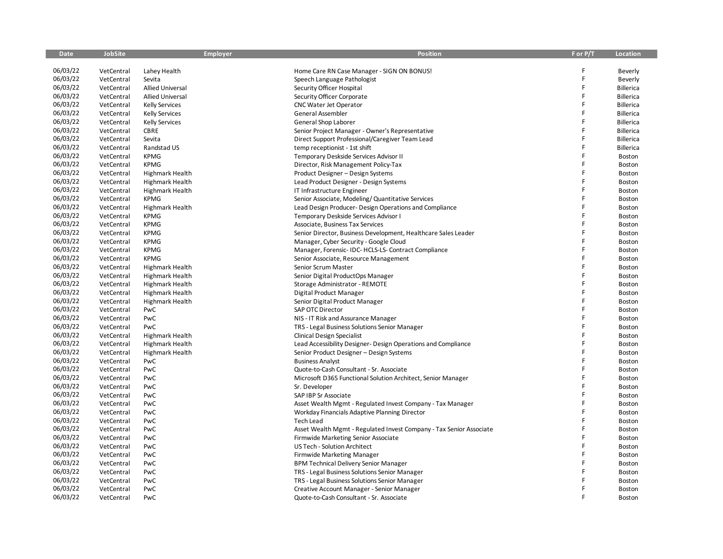| <b>Date</b> | <b>JobSite</b> | <b>Employer</b>         | <b>Position</b>                                                     | F or P/T | Location         |
|-------------|----------------|-------------------------|---------------------------------------------------------------------|----------|------------------|
|             |                |                         |                                                                     |          |                  |
| 06/03/22    | VetCentral     | Lahey Health            | Home Care RN Case Manager - SIGN ON BONUS!                          | F        | Beverly          |
| 06/03/22    | VetCentral     | Sevita                  | Speech Language Pathologist                                         | F        | Beverly          |
| 06/03/22    | VetCentral     | <b>Allied Universal</b> | Security Officer Hospital                                           | F        | <b>Billerica</b> |
| 06/03/22    | VetCentral     | <b>Allied Universal</b> | Security Officer Corporate                                          | F        | <b>Billerica</b> |
| 06/03/22    | VetCentral     | <b>Kelly Services</b>   | <b>CNC Water Jet Operator</b>                                       |          | <b>Billerica</b> |
| 06/03/22    | VetCentral     | <b>Kelly Services</b>   | General Assembler                                                   | F        | <b>Billerica</b> |
| 06/03/22    | VetCentral     | <b>Kelly Services</b>   | General Shop Laborer                                                | F        | <b>Billerica</b> |
| 06/03/22    | VetCentral     | CBRE                    | Senior Project Manager - Owner's Representative                     | F        | <b>Billerica</b> |
| 06/03/22    | VetCentral     | Sevita                  | Direct Support Professional/Caregiver Team Lead                     | F        | <b>Billerica</b> |
| 06/03/22    | VetCentral     | Randstad US             | temp receptionist - 1st shift                                       | F        | <b>Billerica</b> |
| 06/03/22    | VetCentral     | <b>KPMG</b>             | Temporary Deskside Services Advisor II                              | Ē        | Boston           |
| 06/03/22    | VetCentral     | <b>KPMG</b>             | Director, Risk Management Policy-Tax                                | F        | Boston           |
| 06/03/22    | VetCentral     | Highmark Health         | Product Designer - Design Systems                                   | F        | Boston           |
| 06/03/22    | VetCentral     | Highmark Health         | Lead Product Designer - Design Systems                              | F        | Boston           |
| 06/03/22    | VetCentral     | <b>Highmark Health</b>  | IT Infrastructure Engineer                                          |          | Boston           |
| 06/03/22    | VetCentral     | <b>KPMG</b>             | Senior Associate, Modeling/ Quantitative Services                   | F        | Boston           |
| 06/03/22    | VetCentral     | <b>Highmark Health</b>  | Lead Design Producer- Design Operations and Compliance              |          | Boston           |
| 06/03/22    | VetCentral     | <b>KPMG</b>             | Temporary Deskside Services Advisor I                               | F        | Boston           |
| 06/03/22    | VetCentral     | <b>KPMG</b>             | Associate, Business Tax Services                                    | F        | Boston           |
| 06/03/22    | VetCentral     | <b>KPMG</b>             | Senior Director, Business Development, Healthcare Sales Leader      | F        | Boston           |
| 06/03/22    | VetCentral     | <b>KPMG</b>             | Manager, Cyber Security - Google Cloud                              | F        | Boston           |
| 06/03/22    | VetCentral     | <b>KPMG</b>             | Manager, Forensic-IDC-HCLS-LS-Contract Compliance                   |          | Boston           |
| 06/03/22    | VetCentral     | <b>KPMG</b>             | Senior Associate, Resource Management                               | F        | Boston           |
| 06/03/22    | VetCentral     | <b>Highmark Health</b>  | Senior Scrum Master                                                 | Ē        | Boston           |
| 06/03/22    | VetCentral     | <b>Highmark Health</b>  | Senior Digital ProductOps Manager                                   | F        | Boston           |
| 06/03/22    | VetCentral     | Highmark Health         | Storage Administrator - REMOTE                                      | F        | Boston           |
| 06/03/22    | VetCentral     | <b>Highmark Health</b>  | Digital Product Manager                                             | F        | Boston           |
| 06/03/22    | VetCentral     | Highmark Health         | Senior Digital Product Manager                                      | F        | <b>Boston</b>    |
| 06/03/22    | VetCentral     | PwC                     | SAP OTC Director                                                    | F        | Boston           |
| 06/03/22    | VetCentral     | PwC                     | NIS - IT Risk and Assurance Manager                                 | Ë        | Boston           |
| 06/03/22    | VetCentral     | PwC                     | TRS - Legal Business Solutions Senior Manager                       | F        | <b>Boston</b>    |
| 06/03/22    | VetCentral     | <b>Highmark Health</b>  | Clinical Design Specialist                                          | F        | Boston           |
| 06/03/22    | VetCentral     | Highmark Health         | Lead Accessibility Designer- Design Operations and Compliance       | F        | Boston           |
| 06/03/22    | VetCentral     | <b>Highmark Health</b>  | Senior Product Designer - Design Systems                            |          | Boston           |
| 06/03/22    | VetCentral     | PwC                     | <b>Business Analyst</b>                                             | F        | Boston           |
| 06/03/22    | VetCentral     | PwC                     | Quote-to-Cash Consultant - Sr. Associate                            | F        | <b>Boston</b>    |
| 06/03/22    | VetCentral     | PwC                     | Microsoft D365 Functional Solution Architect, Senior Manager        | F        | Boston           |
| 06/03/22    | VetCentral     | PwC                     | Sr. Developer                                                       | Ē        | Boston           |
| 06/03/22    | VetCentral     | PwC                     | SAP IBP Sr Associate                                                | F        | Boston           |
| 06/03/22    | VetCentral     | PwC                     | Asset Wealth Mgmt - Regulated Invest Company - Tax Manager          | F        | Boston           |
| 06/03/22    | VetCentral     | PwC                     | Workday Financials Adaptive Planning Director                       | Ē        | <b>Boston</b>    |
| 06/03/22    | VetCentral     | PwC                     | <b>Tech Lead</b>                                                    | F        | Boston           |
| 06/03/22    | VetCentral     | PwC                     | Asset Wealth Mgmt - Regulated Invest Company - Tax Senior Associate | F        | Boston           |
| 06/03/22    | VetCentral     | PwC                     | Firmwide Marketing Senior Associate                                 |          | Boston           |
| 06/03/22    | VetCentral     | PwC                     | <b>US Tech - Solution Architect</b>                                 | F        | Boston           |
| 06/03/22    | VetCentral     | PwC                     | <b>Firmwide Marketing Manager</b>                                   | F        | Boston           |
| 06/03/22    | VetCentral     | PwC                     |                                                                     | F        | <b>Boston</b>    |
| 06/03/22    | VetCentral     | PwC                     | <b>BPM Technical Delivery Senior Manager</b>                        |          |                  |
| 06/03/22    |                | PwC                     | TRS - Legal Business Solutions Senior Manager                       |          | Boston           |
| 06/03/22    | VetCentral     | PwC                     | TRS - Legal Business Solutions Senior Manager                       |          | Boston           |
| 06/03/22    | VetCentral     | PwC                     | Creative Account Manager - Senior Manager                           |          | Boston           |
|             | VetCentral     |                         | Quote-to-Cash Consultant - Sr. Associate                            |          | Boston           |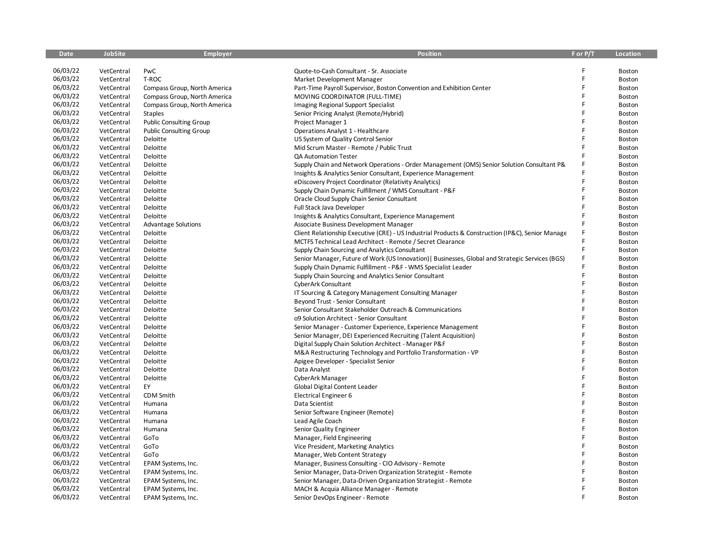| <b>Date</b> | <b>JobSite</b> | <b>Employer</b>                | <b>Position</b>                                                                                   | F or P/T | <b>Location</b> |
|-------------|----------------|--------------------------------|---------------------------------------------------------------------------------------------------|----------|-----------------|
|             |                |                                |                                                                                                   |          |                 |
| 06/03/22    | VetCentral     | PwC                            | Quote-to-Cash Consultant - Sr. Associate                                                          |          | Boston          |
| 06/03/22    | VetCentral     | T-ROC                          | Market Development Manager                                                                        | F        | Boston          |
| 06/03/22    | VetCentral     | Compass Group, North America   | Part-Time Payroll Supervisor, Boston Convention and Exhibition Center                             | F        | Boston          |
| 06/03/22    | VetCentral     | Compass Group, North America   | MOVING COORDINATOR (FULL-TIME)                                                                    | F        | <b>Boston</b>   |
| 06/03/22    | VetCentral     | Compass Group, North America   | Imaging Regional Support Specialist                                                               | F        | Boston          |
| 06/03/22    | VetCentral     | <b>Staples</b>                 | Senior Pricing Analyst (Remote/Hybrid)                                                            | F        | Boston          |
| 06/03/22    | VetCentral     | <b>Public Consulting Group</b> | Project Manager 1                                                                                 | F        | Boston          |
| 06/03/22    | VetCentral     | <b>Public Consulting Group</b> | Operations Analyst 1 - Healthcare                                                                 | F        | Boston          |
| 06/03/22    | VetCentral     | Deloitte                       | US System of Quality Control Senior                                                               | F        | Boston          |
| 06/03/22    | VetCentral     | Deloitte                       | Mid Scrum Master - Remote / Public Trust                                                          | F        | Boston          |
| 06/03/22    | VetCentral     | Deloitte                       | QA Automation Tester                                                                              |          | Boston          |
| 06/03/22    | VetCentral     | Deloitte                       | Supply Chain and Network Operations - Order Management (OMS) Senior Solution Consultant P&        |          | Boston          |
| 06/03/22    | VetCentral     | Deloitte                       | Insights & Analytics Senior Consultant, Experience Management                                     |          | Boston          |
| 06/03/22    | VetCentral     | Deloitte                       | eDiscovery Project Coordinator (Relativity Analytics)                                             | F        | Boston          |
| 06/03/22    | VetCentral     | Deloitte                       | Supply Chain Dynamic Fulfillment / WMS Consultant - P&F                                           | F        | Boston          |
| 06/03/22    | VetCentral     | Deloitte                       | Oracle Cloud Supply Chain Senior Consultant                                                       | F        | Boston          |
| 06/03/22    | VetCentral     | Deloitte                       | Full Stack Java Developer                                                                         | F        | Boston          |
| 06/03/22    | VetCentral     | Deloitte                       | Insights & Analytics Consultant, Experience Management                                            | F        | Boston          |
| 06/03/22    | VetCentral     | <b>Advantage Solutions</b>     | Associate Business Development Manager                                                            | F        | Boston          |
| 06/03/22    | VetCentral     | Deloitte                       | Client Relationship Executive (CRE) - US Industrial Products & Construction (IP&C), Senior Manage | F        | Boston          |
| 06/03/22    | VetCentral     | Deloitte                       | MCTFS Technical Lead Architect - Remote / Secret Clearance                                        |          | Boston          |
| 06/03/22    | VetCentral     | Deloitte                       | Supply Chain Sourcing and Analytics Consultant                                                    | F        | Boston          |
| 06/03/22    | VetCentral     | Deloitte                       | Senior Manager, Future of Work (US Innovation)   Businesses, Global and Strategic Services (BGS)  | F        | Boston          |
| 06/03/22    | VetCentral     | Deloitte                       | Supply Chain Dynamic Fulfillment - P&F - WMS Specialist Leader                                    |          | Boston          |
| 06/03/22    | VetCentral     | Deloitte                       | Supply Chain Sourcing and Analytics Senior Consultant                                             | F        | Boston          |
| 06/03/22    | VetCentral     | Deloitte                       | CyberArk Consultant                                                                               | F        | Boston          |
| 06/03/22    | VetCentral     | Deloitte                       | IT Sourcing & Category Management Consulting Manager                                              | F        | Boston          |
| 06/03/22    | VetCentral     | Deloitte                       | Beyond Trust - Senior Consultant                                                                  | Ē        | Boston          |
| 06/03/22    | VetCentral     | Deloitte                       | Senior Consultant Stakeholder Outreach & Communications                                           | F        | Boston          |
| 06/03/22    | VetCentral     | Deloitte                       | 09 Solution Architect - Senior Consultant                                                         | F        | Boston          |
| 06/03/22    | VetCentral     | Deloitte                       | Senior Manager - Customer Experience, Experience Management                                       |          | Boston          |
| 06/03/22    | VetCentral     | Deloitte                       | Senior Manager, DEI Experienced Recruiting (Talent Acquisition)                                   |          | Boston          |
| 06/03/22    | VetCentral     | Deloitte                       | Digital Supply Chain Solution Architect - Manager P&F                                             | F        | Boston          |
| 06/03/22    | VetCentral     | Deloitte                       | M&A Restructuring Technology and Portfolio Transformation - VP                                    | F        | Boston          |
| 06/03/22    | VetCentral     | Deloitte                       | Apigee Developer - Specialist Senior                                                              | F        | Boston          |
| 06/03/22    | VetCentral     | Deloitte                       | Data Analyst                                                                                      | F        | Boston          |
| 06/03/22    | VetCentral     | Deloitte                       | CyberArk Manager                                                                                  | F        | Boston          |
| 06/03/22    | VetCentral     | EY                             | Global Digital Content Leader                                                                     | F        | Boston          |
| 06/03/22    | VetCentral     | CDM Smith                      | Electrical Engineer 6                                                                             |          | Boston          |
| 06/03/22    | VetCentral     | Humana                         | Data Scientist                                                                                    | F        | Boston          |
| 06/03/22    | VetCentral     | Humana                         | Senior Software Engineer (Remote)                                                                 |          | Boston          |
| 06/03/22    | VetCentral     | Humana                         | Lead Agile Coach                                                                                  | F        | Boston          |
| 06/03/22    | VetCentral     | Humana                         | Senior Quality Engineer                                                                           | F        | Boston          |
| 06/03/22    | VetCentral     | GoTo                           | Manager, Field Engineering                                                                        |          | Boston          |
| 06/03/22    | VetCentral     | GoTo                           | Vice President, Marketing Analytics                                                               | F        | Boston          |
| 06/03/22    | VetCentral     | GoTo                           | Manager, Web Content Strategy                                                                     |          | Boston          |
| 06/03/22    | VetCentral     | EPAM Systems, Inc.             | Manager, Business Consulting - CIO Advisory - Remote                                              | F        | Boston          |
| 06/03/22    | VetCentral     | EPAM Systems, Inc.             | Senior Manager, Data-Driven Organization Strategist - Remote                                      |          | Boston          |
| 06/03/22    | VetCentral     | EPAM Systems, Inc.             | Senior Manager, Data-Driven Organization Strategist - Remote                                      |          | Boston          |
| 06/03/22    | VetCentral     | EPAM Systems, Inc.             | MACH & Acquia Alliance Manager - Remote                                                           |          | Boston          |
| 06/03/22    | VetCentral     | EPAM Systems, Inc.             | Senior DevOps Engineer - Remote                                                                   |          | Boston          |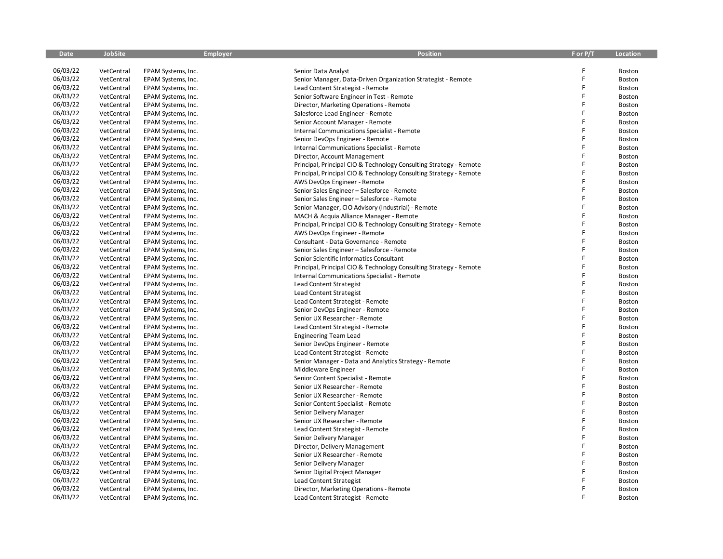| <b>Date</b> | <b>JobSite</b> | <b>Employer</b>    | <b>Position</b>                                                    | F or P/T | <b>Location</b> |
|-------------|----------------|--------------------|--------------------------------------------------------------------|----------|-----------------|
|             |                |                    |                                                                    |          |                 |
| 06/03/22    | VetCentral     | EPAM Systems, Inc. | Senior Data Analyst                                                | F        | Boston          |
| 06/03/22    | VetCentral     | EPAM Systems, Inc. | Senior Manager, Data-Driven Organization Strategist - Remote       | F        | Boston          |
| 06/03/22    | VetCentral     | EPAM Systems, Inc. | Lead Content Strategist - Remote                                   | F        | Boston          |
| 06/03/22    | VetCentral     | EPAM Systems, Inc. | Senior Software Engineer in Test - Remote                          | F        | Boston          |
| 06/03/22    | VetCentral     | EPAM Systems, Inc. | Director, Marketing Operations - Remote                            | F        | Boston          |
| 06/03/22    | VetCentral     | EPAM Systems, Inc. | Salesforce Lead Engineer - Remote                                  | F        | Boston          |
| 06/03/22    | VetCentral     | EPAM Systems, Inc. | Senior Account Manager - Remote                                    | F        | Boston          |
| 06/03/22    | VetCentral     | EPAM Systems, Inc. | <b>Internal Communications Specialist - Remote</b>                 | F        | Boston          |
| 06/03/22    | VetCentral     | EPAM Systems, Inc. | Senior DevOps Engineer - Remote                                    | F        | Boston          |
| 06/03/22    | VetCentral     | EPAM Systems, Inc. | Internal Communications Specialist - Remote                        | F        | Boston          |
| 06/03/22    | VetCentral     | EPAM Systems, Inc. | Director, Account Management                                       | F        | Boston          |
| 06/03/22    | VetCentral     | EPAM Systems, Inc. | Principal, Principal CIO & Technology Consulting Strategy - Remote |          | Boston          |
| 06/03/22    | VetCentral     | EPAM Systems, Inc. | Principal, Principal CIO & Technology Consulting Strategy - Remote | F        | Boston          |
| 06/03/22    | VetCentral     | EPAM Systems, Inc. | AWS DevOps Engineer - Remote                                       | F        | Boston          |
| 06/03/22    | VetCentral     | EPAM Systems, Inc. | Senior Sales Engineer – Salesforce - Remote                        | F        | Boston          |
| 06/03/22    | VetCentral     | EPAM Systems, Inc. | Senior Sales Engineer - Salesforce - Remote                        | F        | Boston          |
| 06/03/22    | VetCentral     | EPAM Systems, Inc. | Senior Manager, CIO Advisory (Industrial) - Remote                 | F        | Boston          |
| 06/03/22    | VetCentral     | EPAM Systems, Inc. | MACH & Acquia Alliance Manager - Remote                            | F        | Boston          |
| 06/03/22    | VetCentral     | EPAM Systems, Inc. | Principal, Principal CIO & Technology Consulting Strategy - Remote | F        | Boston          |
| 06/03/22    | VetCentral     | EPAM Systems, Inc. | AWS DevOps Engineer - Remote                                       | F        | Boston          |
| 06/03/22    | VetCentral     | EPAM Systems, Inc. | Consultant - Data Governance - Remote                              | F        | Boston          |
| 06/03/22    | VetCentral     | EPAM Systems, Inc. | Senior Sales Engineer - Salesforce - Remote                        | F        | Boston          |
| 06/03/22    | VetCentral     | EPAM Systems, Inc. | Senior Scientific Informatics Consultant                           | F        | Boston          |
| 06/03/22    | VetCentral     | EPAM Systems, Inc. | Principal, Principal CIO & Technology Consulting Strategy - Remote | F        | Boston          |
| 06/03/22    | VetCentral     | EPAM Systems, Inc. | Internal Communications Specialist - Remote                        | F        | Boston          |
| 06/03/22    | VetCentral     | EPAM Systems, Inc. | Lead Content Strategist                                            | F        | Boston          |
| 06/03/22    | VetCentral     | EPAM Systems, Inc. | Lead Content Strategist                                            | F        | Boston          |
| 06/03/22    | VetCentral     | EPAM Systems, Inc. | Lead Content Strategist - Remote                                   | F        | Boston          |
| 06/03/22    | VetCentral     | EPAM Systems, Inc. | Senior DevOps Engineer - Remote                                    | F        | Boston          |
| 06/03/22    | VetCentral     | EPAM Systems, Inc. | Senior UX Researcher - Remote                                      | F        | Boston          |
| 06/03/22    | VetCentral     | EPAM Systems, Inc. | Lead Content Strategist - Remote                                   | F        | Boston          |
| 06/03/22    | VetCentral     | EPAM Systems, Inc. | <b>Engineering Team Lead</b>                                       | F        | Boston          |
| 06/03/22    | VetCentral     | EPAM Systems, Inc. | Senior DevOps Engineer - Remote                                    | F        | Boston          |
| 06/03/22    | VetCentral     | EPAM Systems, Inc. | Lead Content Strategist - Remote                                   | F        | Boston          |
| 06/03/22    | VetCentral     | EPAM Systems, Inc. | Senior Manager - Data and Analytics Strategy - Remote              | F        | Boston          |
| 06/03/22    | VetCentral     | EPAM Systems, Inc. | Middleware Engineer                                                | F        | Boston          |
| 06/03/22    | VetCentral     | EPAM Systems, Inc. | Senior Content Specialist - Remote                                 | F        | Boston          |
| 06/03/22    | VetCentral     | EPAM Systems, Inc. | Senior UX Researcher - Remote                                      | Ë        | Boston          |
| 06/03/22    | VetCentral     | EPAM Systems, Inc. | Senior UX Researcher - Remote                                      | F        | Boston          |
| 06/03/22    | VetCentral     | EPAM Systems, Inc. | Senior Content Specialist - Remote                                 | F        | Boston          |
| 06/03/22    | VetCentral     | EPAM Systems, Inc. | Senior Delivery Manager                                            | Ë        | Boston          |
| 06/03/22    | VetCentral     | EPAM Systems, Inc. | Senior UX Researcher - Remote                                      | F        | Boston          |
| 06/03/22    | VetCentral     | EPAM Systems, Inc. | Lead Content Strategist - Remote                                   | F        | Boston          |
| 06/03/22    | VetCentral     | EPAM Systems, Inc. | Senior Delivery Manager                                            | F        | Boston          |
| 06/03/22    | VetCentral     | EPAM Systems, Inc. | Director, Delivery Management                                      | F        | Boston          |
| 06/03/22    | VetCentral     | EPAM Systems, Inc. | Senior UX Researcher - Remote                                      | F        | Boston          |
| 06/03/22    | VetCentral     |                    |                                                                    | F        | Boston          |
| 06/03/22    |                | EPAM Systems, Inc. | Senior Delivery Manager                                            |          |                 |
| 06/03/22    | VetCentral     | EPAM Systems, Inc. | Senior Digital Project Manager                                     |          | Boston          |
| 06/03/22    | VetCentral     | EPAM Systems, Inc. | Lead Content Strategist                                            | F        | Boston          |
| 06/03/22    | VetCentral     | EPAM Systems, Inc. | Director, Marketing Operations - Remote                            |          | Boston          |
|             | VetCentral     | EPAM Systems, Inc. | Lead Content Strategist - Remote                                   |          | Boston          |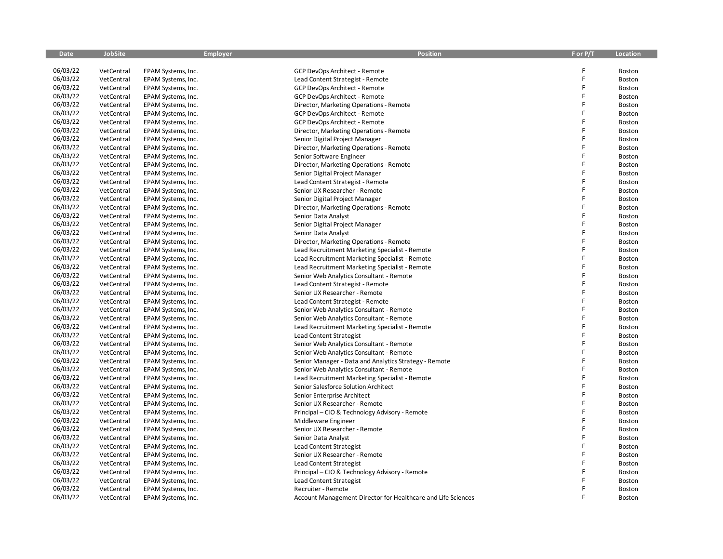| <b>Date</b> | <b>JobSite</b>           | <b>Employer</b>                          | <b>Position</b>                                              | F or P/T | <b>Location</b>  |
|-------------|--------------------------|------------------------------------------|--------------------------------------------------------------|----------|------------------|
|             |                          |                                          |                                                              |          |                  |
| 06/03/22    | VetCentral               | EPAM Systems, Inc.                       | GCP DevOps Architect - Remote                                | F        | Boston           |
| 06/03/22    | VetCentral               | EPAM Systems, Inc.                       | Lead Content Strategist - Remote                             | F        | Boston           |
| 06/03/22    | VetCentral               | EPAM Systems, Inc.                       | GCP DevOps Architect - Remote                                | F        | Boston           |
| 06/03/22    | VetCentral               | EPAM Systems, Inc.                       | GCP DevOps Architect - Remote                                | F        | Boston           |
| 06/03/22    | VetCentral               | EPAM Systems, Inc.                       | Director, Marketing Operations - Remote                      | F        | Boston           |
| 06/03/22    | VetCentral               | EPAM Systems, Inc.                       | GCP DevOps Architect - Remote                                | F        | Boston           |
| 06/03/22    | VetCentral               | EPAM Systems, Inc.                       | GCP DevOps Architect - Remote                                | F        | Boston           |
| 06/03/22    | VetCentral               | EPAM Systems, Inc.                       | Director, Marketing Operations - Remote                      | F        | Boston           |
| 06/03/22    | VetCentral               | EPAM Systems, Inc.                       | Senior Digital Project Manager                               | F        | Boston           |
| 06/03/22    | VetCentral               | EPAM Systems, Inc.                       | Director, Marketing Operations - Remote                      | F        | Boston           |
| 06/03/22    | VetCentral               | EPAM Systems, Inc.                       | Senior Software Engineer                                     | F        | Boston           |
| 06/03/22    | VetCentral               | EPAM Systems, Inc.                       | Director, Marketing Operations - Remote                      | F        | Boston           |
| 06/03/22    | VetCentral               | EPAM Systems, Inc.                       | Senior Digital Project Manager                               | F        | Boston           |
| 06/03/22    | VetCentral               | EPAM Systems, Inc.                       | Lead Content Strategist - Remote                             | F        | Boston           |
| 06/03/22    | VetCentral               | EPAM Systems, Inc.                       | Senior UX Researcher - Remote                                | F        | Boston           |
| 06/03/22    | VetCentral               | EPAM Systems, Inc.                       | Senior Digital Project Manager                               | F        | Boston           |
| 06/03/22    | VetCentral               | EPAM Systems, Inc.                       | Director, Marketing Operations - Remote                      | F        | Boston           |
| 06/03/22    | VetCentral               | EPAM Systems, Inc.                       | Senior Data Analyst                                          | F        | Boston           |
| 06/03/22    | VetCentral               | EPAM Systems, Inc.                       | Senior Digital Project Manager                               | F        | Boston           |
| 06/03/22    | VetCentral               | EPAM Systems, Inc.                       | Senior Data Analyst                                          | F        | Boston           |
| 06/03/22    | VetCentral               | EPAM Systems, Inc.                       | Director, Marketing Operations - Remote                      | F        | <b>Boston</b>    |
| 06/03/22    | VetCentral               | EPAM Systems, Inc.                       | Lead Recruitment Marketing Specialist - Remote               | F        | Boston           |
| 06/03/22    | VetCentral               | EPAM Systems, Inc.                       | Lead Recruitment Marketing Specialist - Remote               | F        | <b>Boston</b>    |
| 06/03/22    | VetCentral               | EPAM Systems, Inc.                       | Lead Recruitment Marketing Specialist - Remote               | F        | Boston           |
| 06/03/22    | VetCentral               | EPAM Systems, Inc.                       | Senior Web Analytics Consultant - Remote                     | F        | Boston           |
| 06/03/22    | VetCentral               | EPAM Systems, Inc.                       | Lead Content Strategist - Remote                             | F        | Boston           |
| 06/03/22    | VetCentral               | EPAM Systems, Inc.                       | Senior UX Researcher - Remote                                | F        | Boston           |
| 06/03/22    | VetCentral               | EPAM Systems, Inc.                       | Lead Content Strategist - Remote                             | F        | Boston           |
| 06/03/22    | VetCentral               | EPAM Systems, Inc.                       | Senior Web Analytics Consultant - Remote                     | F        | Boston           |
| 06/03/22    | VetCentral               | EPAM Systems, Inc.                       | Senior Web Analytics Consultant - Remote                     | F        | Boston           |
| 06/03/22    | VetCentral               | EPAM Systems, Inc.                       | Lead Recruitment Marketing Specialist - Remote               | F        | <b>Boston</b>    |
| 06/03/22    | VetCentral               | EPAM Systems, Inc.                       | Lead Content Strategist                                      | F        | Boston           |
| 06/03/22    | VetCentral               | EPAM Systems, Inc.                       | Senior Web Analytics Consultant - Remote                     | F        | Boston           |
| 06/03/22    | VetCentral               | EPAM Systems, Inc.                       | Senior Web Analytics Consultant - Remote                     | F        | <b>Boston</b>    |
| 06/03/22    | VetCentral               | EPAM Systems, Inc.                       | Senior Manager - Data and Analytics Strategy - Remote        | F        | Boston           |
| 06/03/22    | VetCentral               | EPAM Systems, Inc.                       | Senior Web Analytics Consultant - Remote                     | F        | Boston           |
| 06/03/22    | VetCentral               | EPAM Systems, Inc.                       | Lead Recruitment Marketing Specialist - Remote               | F        | Boston           |
| 06/03/22    | VetCentral               | EPAM Systems, Inc.                       | Senior Salesforce Solution Architect                         | Ë        | Boston           |
| 06/03/22    | VetCentral               | EPAM Systems, Inc.                       | Senior Enterprise Architect                                  | F        | Boston           |
| 06/03/22    | VetCentral               | EPAM Systems, Inc.                       | Senior UX Researcher - Remote                                | F        | <b>Boston</b>    |
| 06/03/22    | VetCentral               | EPAM Systems, Inc.                       | Principal – CIO & Technology Advisory - Remote               | F        | Boston           |
| 06/03/22    | VetCentral               | EPAM Systems, Inc.                       | Middleware Engineer                                          | F        | Boston           |
| 06/03/22    | VetCentral               | EPAM Systems, Inc.                       | Senior UX Researcher - Remote                                | F        | Boston           |
| 06/03/22    | VetCentral               | EPAM Systems, Inc.                       | Senior Data Analyst                                          | F        | Boston           |
| 06/03/22    | VetCentral               | EPAM Systems, Inc.                       | Lead Content Strategist                                      | F        | Boston           |
| 06/03/22    | VetCentral               | EPAM Systems, Inc.                       | Senior UX Researcher - Remote                                | F        | Boston           |
| 06/03/22    | VetCentral               |                                          |                                                              | F        | Boston           |
| 06/03/22    |                          | EPAM Systems, Inc.                       | Lead Content Strategist                                      |          |                  |
| 06/03/22    | VetCentral               | EPAM Systems, Inc.                       | Principal – CIO & Technology Advisory - Remote               |          | Boston           |
| 06/03/22    | VetCentral<br>VetCentral | EPAM Systems, Inc.                       | Lead Content Strategist<br>Recruiter - Remote                | F        | Boston           |
| 06/03/22    | VetCentral               | EPAM Systems, Inc.<br>EPAM Systems, Inc. | Account Management Director for Healthcare and Life Sciences |          | Boston<br>Boston |
|             |                          |                                          |                                                              |          |                  |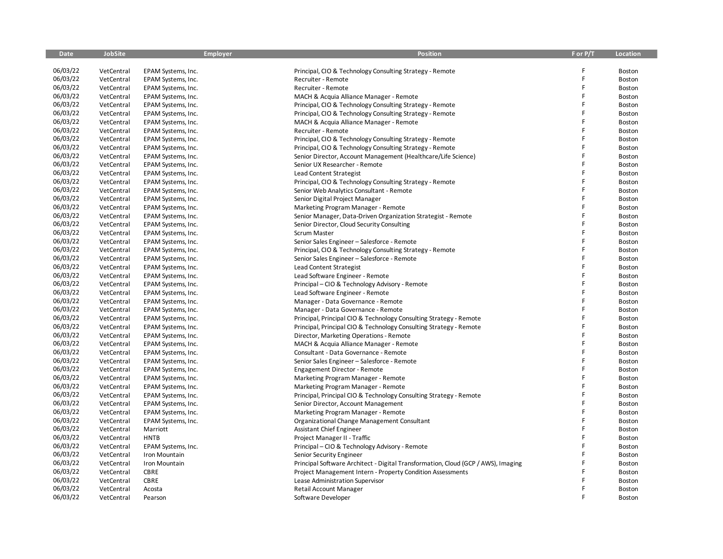| <b>Date</b> | <b>JobSite</b> | <b>Employer</b>    | <b>Position</b>                                                                   | F or P/T | <b>Location</b> |
|-------------|----------------|--------------------|-----------------------------------------------------------------------------------|----------|-----------------|
|             |                |                    |                                                                                   |          |                 |
| 06/03/22    | VetCentral     | EPAM Systems, Inc. | Principal, CIO & Technology Consulting Strategy - Remote                          | F        | Boston          |
| 06/03/22    | VetCentral     | EPAM Systems, Inc. | Recruiter - Remote                                                                | F        | Boston          |
| 06/03/22    | VetCentral     | EPAM Systems, Inc. | Recruiter - Remote                                                                | F        | Boston          |
| 06/03/22    | VetCentral     | EPAM Systems, Inc. | MACH & Acquia Alliance Manager - Remote                                           | F        | <b>Boston</b>   |
| 06/03/22    | VetCentral     | EPAM Systems, Inc. | Principal, CIO & Technology Consulting Strategy - Remote                          | F        | Boston          |
| 06/03/22    | VetCentral     | EPAM Systems, Inc. | Principal, CIO & Technology Consulting Strategy - Remote                          | F        | Boston          |
| 06/03/22    | VetCentral     | EPAM Systems, Inc. | MACH & Acquia Alliance Manager - Remote                                           | F        | Boston          |
| 06/03/22    | VetCentral     | EPAM Systems, Inc. | Recruiter - Remote                                                                | F        | Boston          |
| 06/03/22    | VetCentral     | EPAM Systems, Inc. | Principal, CIO & Technology Consulting Strategy - Remote                          | F        | Boston          |
| 06/03/22    | VetCentral     | EPAM Systems, Inc. | Principal, CIO & Technology Consulting Strategy - Remote                          | F        | Boston          |
| 06/03/22    | VetCentral     | EPAM Systems, Inc. | Senior Director, Account Management (Healthcare/Life Science)                     | F        | Boston          |
| 06/03/22    | VetCentral     | EPAM Systems, Inc. | Senior UX Researcher - Remote                                                     | F        | Boston          |
| 06/03/22    | VetCentral     | EPAM Systems, Inc. | Lead Content Strategist                                                           | F        | Boston          |
| 06/03/22    | VetCentral     | EPAM Systems, Inc. | Principal, CIO & Technology Consulting Strategy - Remote                          | F        | <b>Boston</b>   |
| 06/03/22    | VetCentral     | EPAM Systems, Inc. | Senior Web Analytics Consultant - Remote                                          | F        | Boston          |
| 06/03/22    | VetCentral     | EPAM Systems, Inc. | Senior Digital Project Manager                                                    | F        | Boston          |
| 06/03/22    | VetCentral     | EPAM Systems, Inc. | Marketing Program Manager - Remote                                                | F        | Boston          |
| 06/03/22    | VetCentral     | EPAM Systems, Inc. | Senior Manager, Data-Driven Organization Strategist - Remote                      | F        | Boston          |
| 06/03/22    | VetCentral     | EPAM Systems, Inc. | Senior Director, Cloud Security Consulting                                        | F        | <b>Boston</b>   |
| 06/03/22    | VetCentral     | EPAM Systems, Inc. | <b>Scrum Master</b>                                                               | F        | Boston          |
| 06/03/22    | VetCentral     | EPAM Systems, Inc. | Senior Sales Engineer - Salesforce - Remote                                       | Ë        | Boston          |
| 06/03/22    | VetCentral     | EPAM Systems, Inc. | Principal, CIO & Technology Consulting Strategy - Remote                          | F        | Boston          |
| 06/03/22    | VetCentral     | EPAM Systems, Inc. | Senior Sales Engineer - Salesforce - Remote                                       | F        | Boston          |
| 06/03/22    | VetCentral     | EPAM Systems, Inc. | Lead Content Strategist                                                           | F        | <b>Boston</b>   |
| 06/03/22    | VetCentral     | EPAM Systems, Inc. | Lead Software Engineer - Remote                                                   | F        | Boston          |
| 06/03/22    | VetCentral     | EPAM Systems, Inc. | Principal - CIO & Technology Advisory - Remote                                    | F        | Boston          |
| 06/03/22    | VetCentral     | EPAM Systems, Inc. | Lead Software Engineer - Remote                                                   | F        | Boston          |
| 06/03/22    | VetCentral     | EPAM Systems, Inc. | Manager - Data Governance - Remote                                                | F        | Boston          |
| 06/03/22    | VetCentral     | EPAM Systems, Inc. | Manager - Data Governance - Remote                                                | F        | <b>Boston</b>   |
| 06/03/22    | VetCentral     | EPAM Systems, Inc. | Principal, Principal CIO & Technology Consulting Strategy - Remote                | F        | <b>Boston</b>   |
| 06/03/22    | VetCentral     | EPAM Systems, Inc. | Principal, Principal CIO & Technology Consulting Strategy - Remote                | F        | Boston          |
| 06/03/22    | VetCentral     | EPAM Systems, Inc. | Director, Marketing Operations - Remote                                           | F        | Boston          |
| 06/03/22    | VetCentral     | EPAM Systems, Inc. | MACH & Acquia Alliance Manager - Remote                                           | F        | Boston          |
| 06/03/22    | VetCentral     | EPAM Systems, Inc. | Consultant - Data Governance - Remote                                             | F        | Boston          |
| 06/03/22    | VetCentral     | EPAM Systems, Inc. | Senior Sales Engineer – Salesforce - Remote                                       | F        | Boston          |
| 06/03/22    | VetCentral     | EPAM Systems, Inc. | Engagement Director - Remote                                                      | F        | Boston          |
| 06/03/22    | VetCentral     | EPAM Systems, Inc. | Marketing Program Manager - Remote                                                | F        | Boston          |
| 06/03/22    | VetCentral     | EPAM Systems, Inc. | Marketing Program Manager - Remote                                                | F        | <b>Boston</b>   |
| 06/03/22    | VetCentral     | EPAM Systems, Inc. | Principal, Principal CIO & Technology Consulting Strategy - Remote                | F        | Boston          |
| 06/03/22    | VetCentral     | EPAM Systems, Inc. | Senior Director, Account Management                                               | F        | Boston          |
| 06/03/22    | VetCentral     | EPAM Systems, Inc. | Marketing Program Manager - Remote                                                | F        | Boston          |
| 06/03/22    | VetCentral     | EPAM Systems, Inc. | Organizational Change Management Consultant                                       | F        | Boston          |
| 06/03/22    | VetCentral     | Marriott           | Assistant Chief Engineer                                                          | F        | Boston          |
| 06/03/22    | VetCentral     | <b>HNTB</b>        | Project Manager II - Traffic                                                      | F        | Boston          |
| 06/03/22    | VetCentral     | EPAM Systems, Inc. | Principal - CIO & Technology Advisory - Remote                                    | F        | <b>Boston</b>   |
| 06/03/22    | VetCentral     | Iron Mountain      | Senior Security Engineer                                                          | F        | Boston          |
| 06/03/22    | VetCentral     | Iron Mountain      | Principal Software Architect - Digital Transformation, Cloud (GCP / AWS), Imaging | F        | Boston          |
| 06/03/22    | VetCentral     | <b>CBRE</b>        | Project Management Intern - Property Condition Assessments                        | F        | Boston          |
| 06/03/22    | VetCentral     | CBRE               | Lease Administration Supervisor                                                   | F        | Boston          |
| 06/03/22    | VetCentral     | Acosta             | <b>Retail Account Manager</b>                                                     | F        | Boston          |
| 06/03/22    | VetCentral     | Pearson            | Software Developer                                                                | F        | Boston          |
|             |                |                    |                                                                                   |          |                 |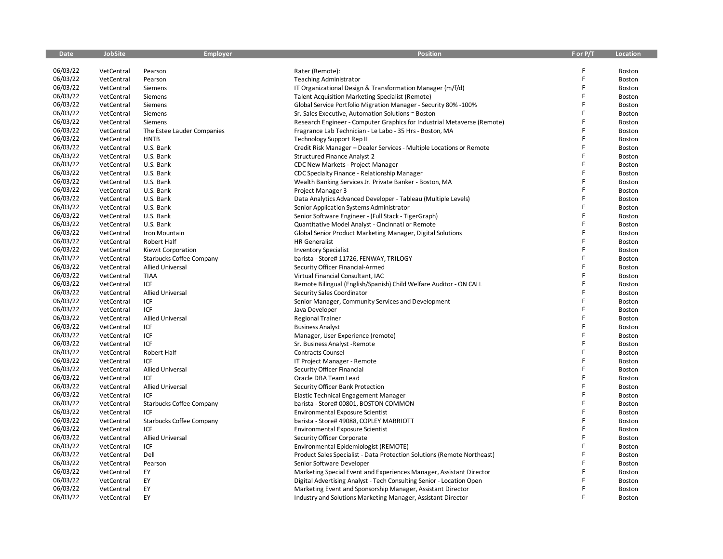| <b>Date</b> | <b>JobSite</b> | Employer                        | <b>Position</b>                                                         | F or P/T | Location      |
|-------------|----------------|---------------------------------|-------------------------------------------------------------------------|----------|---------------|
|             |                |                                 |                                                                         |          |               |
| 06/03/22    | VetCentral     | Pearson                         | Rater (Remote):                                                         |          | Boston        |
| 06/03/22    | VetCentral     | Pearson                         | <b>Teaching Administrator</b>                                           | F        | Boston        |
| 06/03/22    | VetCentral     | Siemens                         | IT Organizational Design & Transformation Manager (m/f/d)               | F        | Boston        |
| 06/03/22    | VetCentral     | Siemens                         | <b>Talent Acquisition Marketing Specialist (Remote)</b>                 | F        | Boston        |
| 06/03/22    | VetCentral     | Siemens                         | Global Service Portfolio Migration Manager - Security 80% -100%         | F        | Boston        |
| 06/03/22    | VetCentral     | Siemens                         | Sr. Sales Executive, Automation Solutions ~ Boston                      | Ē        | Boston        |
| 06/03/22    | VetCentral     | Siemens                         | Research Engineer - Computer Graphics for Industrial Metaverse (Remote) |          | Boston        |
| 06/03/22    | VetCentral     | The Estee Lauder Companies      | Fragrance Lab Technician - Le Labo - 35 Hrs - Boston, MA                | Ē        | Boston        |
| 06/03/22    | VetCentral     | <b>HNTB</b>                     | Technology Support Rep II                                               | F        | <b>Boston</b> |
| 06/03/22    | VetCentral     | U.S. Bank                       | Credit Risk Manager - Dealer Services - Multiple Locations or Remote    | F        | Boston        |
| 06/03/22    | VetCentral     | U.S. Bank                       | <b>Structured Finance Analyst 2</b>                                     | F        | Boston        |
| 06/03/22    | VetCentral     | U.S. Bank                       | CDC New Markets - Project Manager                                       |          | Boston        |
| 06/03/22    | VetCentral     | U.S. Bank                       | CDC Specialty Finance - Relationship Manager                            | F        | Boston        |
| 06/03/22    | VetCentral     | U.S. Bank                       | Wealth Banking Services Jr. Private Banker - Boston, MA                 |          | <b>Boston</b> |
| 06/03/22    | VetCentral     | U.S. Bank                       | Project Manager 3                                                       | F        | Boston        |
| 06/03/22    | VetCentral     | U.S. Bank                       | Data Analytics Advanced Developer - Tableau (Multiple Levels)           | F        | Boston        |
| 06/03/22    | VetCentral     | U.S. Bank                       | Senior Application Systems Administrator                                |          | Boston        |
| 06/03/22    | VetCentral     | U.S. Bank                       | Senior Software Engineer - (Full Stack - TigerGraph)                    | F        | Boston        |
| 06/03/22    | VetCentral     | U.S. Bank                       | Quantitative Model Analyst - Cincinnati or Remote                       |          | Boston        |
| 06/03/22    | VetCentral     | Iron Mountain                   | Global Senior Product Marketing Manager, Digital Solutions              |          | Boston        |
| 06/03/22    | VetCentral     | Robert Half                     | <b>HR</b> Generalist                                                    | F        | Boston        |
| 06/03/22    | VetCentral     | Kiewit Corporation              | <b>Inventory Specialist</b>                                             |          | Boston        |
| 06/03/22    | VetCentral     | <b>Starbucks Coffee Company</b> | barista - Store# 11726, FENWAY, TRILOGY                                 | F        | Boston        |
| 06/03/22    | VetCentral     | <b>Allied Universal</b>         | Security Officer Financial-Armed                                        |          | Boston        |
| 06/03/22    | VetCentral     | <b>TIAA</b>                     | Virtual Financial Consultant, IAC                                       | F        | Boston        |
| 06/03/22    | VetCentral     | ICF                             | Remote Bilingual (English/Spanish) Child Welfare Auditor - ON CALL      | F        | Boston        |
| 06/03/22    | VetCentral     | <b>Allied Universal</b>         | Security Sales Coordinator                                              |          | Boston        |
| 06/03/22    | VetCentral     | ICF                             | Senior Manager, Community Services and Development                      | F        | Boston        |
| 06/03/22    | VetCentral     | ICF                             | Java Developer                                                          | F        | Boston        |
| 06/03/22    | VetCentral     | <b>Allied Universal</b>         | <b>Regional Trainer</b>                                                 | F        | Boston        |
| 06/03/22    | VetCentral     | ICF                             | <b>Business Analyst</b>                                                 | F        | Boston        |
| 06/03/22    | VetCentral     | ICF                             | Manager, User Experience (remote)                                       |          | Boston        |
| 06/03/22    | VetCentral     | ICF                             | Sr. Business Analyst -Remote                                            | F        | <b>Boston</b> |
| 06/03/22    | VetCentral     | Robert Half                     | Contracts Counsel                                                       | F        | Boston        |
| 06/03/22    | VetCentral     | ICF                             | IT Project Manager - Remote                                             | F        | Boston        |
| 06/03/22    | VetCentral     | <b>Allied Universal</b>         | Security Officer Financial                                              | F        | Boston        |
| 06/03/22    | VetCentral     | ICF                             | Oracle DBA Team Lead                                                    |          | Boston        |
| 06/03/22    | VetCentral     | <b>Allied Universal</b>         | Security Officer Bank Protection                                        | F        | Boston        |
| 06/03/22    | VetCentral     | ICF                             | Elastic Technical Engagement Manager                                    | F        | Boston        |
| 06/03/22    | VetCentral     | <b>Starbucks Coffee Company</b> | barista - Store# 00801, BOSTON COMMON                                   | F        | Boston        |
| 06/03/22    | VetCentral     | ICF                             | <b>Environmental Exposure Scientist</b>                                 |          | Boston        |
| 06/03/22    | VetCentral     | <b>Starbucks Coffee Company</b> | barista - Store# 49088, COPLEY MARRIOTT                                 | F        | Boston        |
| 06/03/22    | VetCentral     | ICF                             | <b>Environmental Exposure Scientist</b>                                 | F        | Boston        |
| 06/03/22    | VetCentral     | <b>Allied Universal</b>         | Security Officer Corporate                                              |          | Boston        |
| 06/03/22    | VetCentral     | ICF                             | Environmental Epidemiologist (REMOTE)                                   | F        | <b>Boston</b> |
| 06/03/22    | VetCentral     | Dell                            | Product Sales Specialist - Data Protection Solutions (Remote Northeast) | F        | <b>Boston</b> |
| 06/03/22    | VetCentral     | Pearson                         | Senior Software Developer                                               |          | Boston        |
| 06/03/22    | VetCentral     | EY                              | Marketing Special Event and Experiences Manager, Assistant Director     |          | <b>Boston</b> |
| 06/03/22    | VetCentral     | EY                              | Digital Advertising Analyst - Tech Consulting Senior - Location Open    |          | Boston        |
| 06/03/22    | VetCentral     | EY                              | Marketing Event and Sponsorship Manager, Assistant Director             | F        | <b>Boston</b> |
| 06/03/22    | VetCentral     | EY                              | Industry and Solutions Marketing Manager, Assistant Director            | F        | Boston        |
|             |                |                                 |                                                                         |          |               |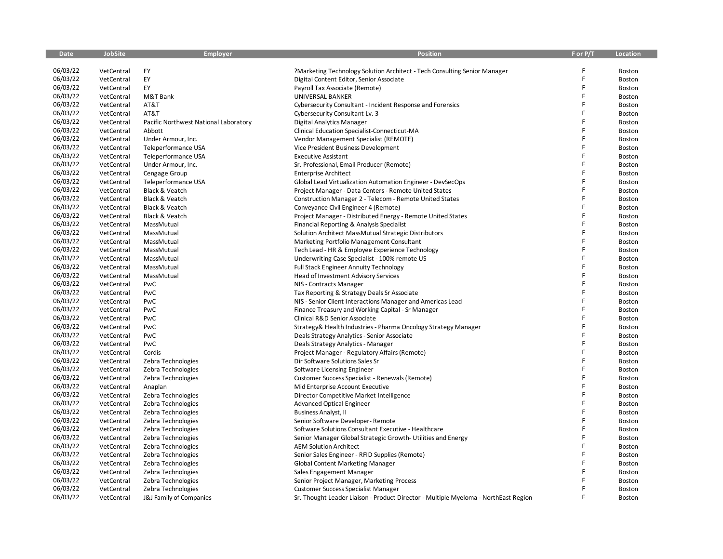| <b>Date</b> | <b>JobSite</b> | <b>Employer</b>                       | <b>Position</b>                                                                     | F or P/T | Location      |
|-------------|----------------|---------------------------------------|-------------------------------------------------------------------------------------|----------|---------------|
|             |                |                                       |                                                                                     |          |               |
| 06/03/22    | VetCentral     | EY                                    | ?Marketing Technology Solution Architect - Tech Consulting Senior Manager           |          | Boston        |
| 06/03/22    | VetCentral     | EY                                    | Digital Content Editor, Senior Associate                                            | F        | Boston        |
| 06/03/22    | VetCentral     | EY                                    | Payroll Tax Associate (Remote)                                                      | F        | Boston        |
| 06/03/22    | VetCentral     | M&T Bank                              | UNIVERSAL BANKER                                                                    | F        | <b>Boston</b> |
| 06/03/22    | VetCentral     | AT&T                                  | Cybersecurity Consultant - Incident Response and Forensics                          | F        | Boston        |
| 06/03/22    | VetCentral     | AT&T                                  | Cybersecurity Consultant Lv. 3                                                      | F        | Boston        |
| 06/03/22    | VetCentral     | Pacific Northwest National Laboratory | <b>Digital Analytics Manager</b>                                                    | F        | Boston        |
| 06/03/22    | VetCentral     | Abbott                                | Clinical Education Specialist-Connecticut-MA                                        | F        | Boston        |
| 06/03/22    | VetCentral     | Under Armour, Inc.                    | Vendor Management Specialist (REMOTE)                                               | F        | Boston        |
| 06/03/22    | VetCentral     | Teleperformance USA                   | Vice President Business Development                                                 | F        | Boston        |
| 06/03/22    | VetCentral     | Teleperformance USA                   | <b>Executive Assistant</b>                                                          | F        | Boston        |
| 06/03/22    | VetCentral     | Under Armour, Inc.                    | Sr. Professional, Email Producer (Remote)                                           |          | Boston        |
| 06/03/22    | VetCentral     | Cengage Group                         | <b>Enterprise Architect</b>                                                         | F        | <b>Boston</b> |
| 06/03/22    | VetCentral     | Teleperformance USA                   | Global Lead Virtualization Automation Engineer - DevSecOps                          | F        | <b>Boston</b> |
| 06/03/22    | VetCentral     | Black & Veatch                        | Project Manager - Data Centers - Remote United States                               | F        | Boston        |
| 06/03/22    | VetCentral     | Black & Veatch                        | Construction Manager 2 - Telecom - Remote United States                             | F        | Boston        |
| 06/03/22    | VetCentral     | Black & Veatch                        | Conveyance Civil Engineer 4 (Remote)                                                | F        | Boston        |
| 06/03/22    | VetCentral     | Black & Veatch                        | Project Manager - Distributed Energy - Remote United States                         | F        | Boston        |
| 06/03/22    | VetCentral     | MassMutual                            | Financial Reporting & Analysis Specialist                                           | F        | Boston        |
| 06/03/22    | VetCentral     | MassMutual                            | Solution Architect MassMutual Strategic Distributors                                | F        | Boston        |
| 06/03/22    | VetCentral     | MassMutual                            | Marketing Portfolio Management Consultant                                           | F        | Boston        |
| 06/03/22    | VetCentral     | MassMutual                            | Tech Lead - HR & Employee Experience Technology                                     | F        | Boston        |
| 06/03/22    | VetCentral     | MassMutual                            | Underwriting Case Specialist - 100% remote US                                       | F        | <b>Boston</b> |
| 06/03/22    | VetCentral     | MassMutual                            | <b>Full Stack Engineer Annuity Technology</b>                                       | F        | Boston        |
| 06/03/22    | VetCentral     | MassMutual                            | Head of Investment Advisory Services                                                | F        | Boston        |
| 06/03/22    | VetCentral     | PwC                                   | NIS - Contracts Manager                                                             | F        | <b>Boston</b> |
| 06/03/22    | VetCentral     | PwC                                   | Tax Reporting & Strategy Deals Sr Associate                                         | F        | Boston        |
| 06/03/22    | VetCentral     | PwC                                   | NIS - Senior Client Interactions Manager and Americas Lead                          | F        | Boston        |
| 06/03/22    | VetCentral     | PwC                                   | Finance Treasury and Working Capital - Sr Manager                                   | F        | Boston        |
| 06/03/22    | VetCentral     | PwC                                   | Clinical R&D Senior Associate                                                       | F        | Boston        |
| 06/03/22    | VetCentral     | PwC                                   | Strategy& Health Industries - Pharma Oncology Strategy Manager                      |          | <b>Boston</b> |
| 06/03/22    | VetCentral     | PwC                                   | Deals Strategy Analytics - Senior Associate                                         | F        | Boston        |
| 06/03/22    | VetCentral     | PwC                                   | Deals Strategy Analytics - Manager                                                  | F        | Boston        |
| 06/03/22    | VetCentral     | Cordis                                | Project Manager - Regulatory Affairs (Remote)                                       | F        | Boston        |
| 06/03/22    | VetCentral     | Zebra Technologies                    | Dir Software Solutions Sales Sr                                                     | F        | Boston        |
| 06/03/22    | VetCentral     | Zebra Technologies                    | Software Licensing Engineer                                                         | F        | Boston        |
| 06/03/22    | VetCentral     | Zebra Technologies                    | Customer Success Specialist - Renewals (Remote)                                     | F        | Boston        |
| 06/03/22    | VetCentral     | Anaplan                               | Mid Enterprise Account Executive                                                    | F        | Boston        |
| 06/03/22    | VetCentral     | Zebra Technologies                    | Director Competitive Market Intelligence                                            |          | Boston        |
| 06/03/22    | VetCentral     | Zebra Technologies                    | <b>Advanced Optical Engineer</b>                                                    | F        | Boston        |
| 06/03/22    | VetCentral     | Zebra Technologies                    | <b>Business Analyst, II</b>                                                         |          | Boston        |
| 06/03/22    | VetCentral     | Zebra Technologies                    | Senior Software Developer- Remote                                                   | F        | Boston        |
| 06/03/22    | VetCentral     | Zebra Technologies                    | Software Solutions Consultant Executive - Healthcare                                | F        | Boston        |
| 06/03/22    | VetCentral     | Zebra Technologies                    | Senior Manager Global Strategic Growth- Utilities and Energy                        | F        | Boston        |
| 06/03/22    | VetCentral     | Zebra Technologies                    | <b>AEM Solution Architect</b>                                                       | F        | Boston        |
| 06/03/22    | VetCentral     | Zebra Technologies                    | Senior Sales Engineer - RFID Supplies (Remote)                                      | F        | Boston        |
| 06/03/22    | VetCentral     | Zebra Technologies                    | <b>Global Content Marketing Manager</b>                                             | F        | Boston        |
| 06/03/22    | VetCentral     | Zebra Technologies                    | Sales Engagement Manager                                                            |          | Boston        |
| 06/03/22    | VetCentral     | Zebra Technologies                    | Senior Project Manager, Marketing Process                                           |          | Boston        |
| 06/03/22    | VetCentral     | Zebra Technologies                    | <b>Customer Success Specialist Manager</b>                                          |          | Boston        |
| 06/03/22    | VetCentral     | J&J Family of Companies               | Sr. Thought Leader Liaison - Product Director - Multiple Myeloma - NorthEast Region |          | Boston        |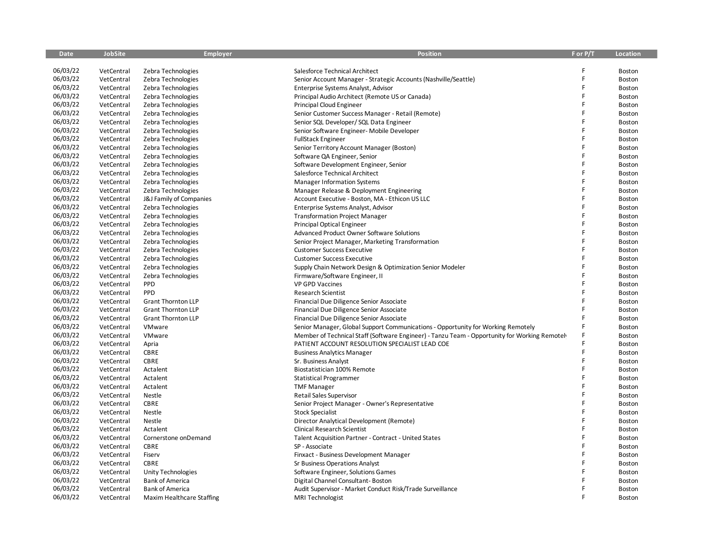| <b>Date</b> | <b>JobSite</b> | <b>Employer</b>           | <b>Position</b>                                                                               | F or P/T | <b>Location</b> |
|-------------|----------------|---------------------------|-----------------------------------------------------------------------------------------------|----------|-----------------|
|             |                |                           |                                                                                               |          |                 |
| 06/03/22    | VetCentral     | Zebra Technologies        | Salesforce Technical Architect                                                                |          | Boston          |
| 06/03/22    | VetCentral     | Zebra Technologies        | Senior Account Manager - Strategic Accounts (Nashville/Seattle)                               | F        | Boston          |
| 06/03/22    | VetCentral     | Zebra Technologies        | Enterprise Systems Analyst, Advisor                                                           | F        | Boston          |
| 06/03/22    | VetCentral     | Zebra Technologies        | Principal Audio Architect (Remote US or Canada)                                               | F        | Boston          |
| 06/03/22    | VetCentral     | Zebra Technologies        | Principal Cloud Engineer                                                                      | F        | Boston          |
| 06/03/22    | VetCentral     | Zebra Technologies        | Senior Customer Success Manager - Retail (Remote)                                             | F        | Boston          |
| 06/03/22    | VetCentral     | Zebra Technologies        | Senior SQL Developer/ SQL Data Engineer                                                       | F        | Boston          |
| 06/03/22    | VetCentral     | Zebra Technologies        | Senior Software Engineer- Mobile Developer                                                    | F        | Boston          |
| 06/03/22    | VetCentral     | Zebra Technologies        | <b>FullStack Engineer</b>                                                                     | F        | Boston          |
| 06/03/22    | VetCentral     | Zebra Technologies        | Senior Territory Account Manager (Boston)                                                     | F        | Boston          |
| 06/03/22    | VetCentral     | Zebra Technologies        | Software QA Engineer, Senior                                                                  | F        | Boston          |
| 06/03/22    | VetCentral     | Zebra Technologies        | Software Development Engineer, Senior                                                         |          | Boston          |
| 06/03/22    | VetCentral     | Zebra Technologies        | Salesforce Technical Architect                                                                | F        | Boston          |
| 06/03/22    | VetCentral     | Zebra Technologies        | <b>Manager Information Systems</b>                                                            | F        | Boston          |
| 06/03/22    | VetCentral     | Zebra Technologies        | Manager Release & Deployment Engineering                                                      | Ë        | Boston          |
| 06/03/22    | VetCentral     | J&J Family of Companies   | Account Executive - Boston, MA - Ethicon US LLC                                               | F        | Boston          |
| 06/03/22    | VetCentral     | Zebra Technologies        | Enterprise Systems Analyst, Advisor                                                           | F        | Boston          |
| 06/03/22    | VetCentral     | Zebra Technologies        | <b>Transformation Project Manager</b>                                                         | F        | Boston          |
| 06/03/22    | VetCentral     | Zebra Technologies        | <b>Principal Optical Engineer</b>                                                             | F        | Boston          |
| 06/03/22    | VetCentral     | Zebra Technologies        | <b>Advanced Product Owner Software Solutions</b>                                              | F        | Boston          |
| 06/03/22    | VetCentral     | Zebra Technologies        | Senior Project Manager, Marketing Transformation                                              | F        | Boston          |
| 06/03/22    | VetCentral     | Zebra Technologies        | <b>Customer Success Executive</b>                                                             |          | Boston          |
| 06/03/22    | VetCentral     | Zebra Technologies        | <b>Customer Success Executive</b>                                                             | F        | Boston          |
| 06/03/22    | VetCentral     | Zebra Technologies        | Supply Chain Network Design & Optimization Senior Modeler                                     | F        | Boston          |
| 06/03/22    | VetCentral     | Zebra Technologies        | Firmware/Software Engineer, II                                                                | F        | Boston          |
| 06/03/22    | VetCentral     | PPD                       | <b>VP GPD Vaccines</b>                                                                        | F        | Boston          |
| 06/03/22    | VetCentral     | PPD                       | <b>Research Scientist</b>                                                                     | F        | Boston          |
| 06/03/22    | VetCentral     | <b>Grant Thornton LLP</b> | Financial Due Diligence Senior Associate                                                      | F        | Boston          |
| 06/03/22    | VetCentral     | <b>Grant Thornton LLP</b> | Financial Due Diligence Senior Associate                                                      | F        | Boston          |
| 06/03/22    | VetCentral     | <b>Grant Thornton LLP</b> | Financial Due Diligence Senior Associate                                                      | F        | Boston          |
| 06/03/22    | VetCentral     | VMware                    | Senior Manager, Global Support Communications - Opportunity for Working Remotely              |          | Boston          |
| 06/03/22    | VetCentral     | VMware                    | Member of Technical Staff (Software Engineer) - Tanzu Team - Opportunity for Working Remotely |          | Boston          |
| 06/03/22    | VetCentral     | Apria                     | PATIENT ACCOUNT RESOLUTION SPECIALIST LEAD COE                                                | F        | Boston          |
| 06/03/22    | VetCentral     | <b>CBRE</b>               | <b>Business Analytics Manager</b>                                                             | F        | Boston          |
| 06/03/22    | VetCentral     | CBRE                      | Sr. Business Analyst                                                                          | F        | Boston          |
| 06/03/22    | VetCentral     | Actalent                  | Biostatistician 100% Remote                                                                   | F        | Boston          |
| 06/03/22    | VetCentral     | Actalent                  | <b>Statistical Programmer</b>                                                                 | F        | Boston          |
| 06/03/22    | VetCentral     | Actalent                  | <b>TMF Manager</b>                                                                            | F        | Boston          |
| 06/03/22    | VetCentral     | Nestle                    | Retail Sales Supervisor                                                                       |          | Boston          |
| 06/03/22    | VetCentral     | CBRE                      | Senior Project Manager - Owner's Representative                                               | F        | Boston          |
| 06/03/22    | VetCentral     | Nestle                    | <b>Stock Specialist</b>                                                                       | F        | Boston          |
| 06/03/22    | VetCentral     | Nestle                    | Director Analytical Development (Remote)                                                      | F        | Boston          |
| 06/03/22    | VetCentral     | Actalent                  | Clinical Research Scientist                                                                   | F        | Boston          |
| 06/03/22    | VetCentral     | Cornerstone onDemand      | Talent Acquisition Partner - Contract - United States                                         | F        | Boston          |
| 06/03/22    | VetCentral     | CBRE                      | SP - Associate                                                                                | F        | Boston          |
| 06/03/22    | VetCentral     | Fiserv                    | Finxact - Business Development Manager                                                        | F        | Boston          |
| 06/03/22    | VetCentral     | CBRE                      | Sr Business Operations Analyst                                                                | F        | Boston          |
| 06/03/22    | VetCentral     | Unity Technologies        | Software Engineer, Solutions Games                                                            |          | Boston          |
| 06/03/22    | VetCentral     | <b>Bank of America</b>    | Digital Channel Consultant-Boston                                                             |          | Boston          |
| 06/03/22    | VetCentral     | <b>Bank of America</b>    | Audit Supervisor - Market Conduct Risk/Trade Surveillance                                     | F        | Boston          |
| 06/03/22    | VetCentral     | Maxim Healthcare Staffing | MRI Technologist                                                                              |          | Boston          |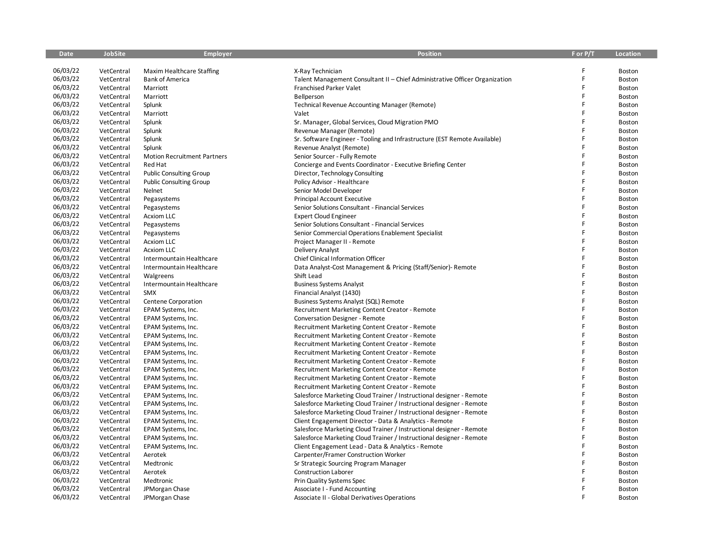| <b>Date</b> | <b>JobSite</b> | <b>Employer</b>                    | <b>Position</b>                                                             | F or P/T | <b>Location</b> |
|-------------|----------------|------------------------------------|-----------------------------------------------------------------------------|----------|-----------------|
|             |                |                                    |                                                                             |          |                 |
| 06/03/22    | VetCentral     | Maxim Healthcare Staffing          | X-Ray Technician                                                            |          | Boston          |
| 06/03/22    | VetCentral     | <b>Bank of America</b>             | Talent Management Consultant II - Chief Administrative Officer Organization | F        | Boston          |
| 06/03/22    | VetCentral     | Marriott                           | Franchised Parker Valet                                                     | F        | Boston          |
| 06/03/22    | VetCentral     | Marriott                           | Bellperson                                                                  | F        | <b>Boston</b>   |
| 06/03/22    | VetCentral     | Splunk                             | <b>Technical Revenue Accounting Manager (Remote)</b>                        | F        | Boston          |
| 06/03/22    | VetCentral     | Marriott                           | Valet                                                                       | F        | Boston          |
| 06/03/22    | VetCentral     | Splunk                             | Sr. Manager, Global Services, Cloud Migration PMO                           | F        | Boston          |
| 06/03/22    | VetCentral     | Splunk                             | Revenue Manager (Remote)                                                    | F        | Boston          |
| 06/03/22    | VetCentral     | Splunk                             | Sr. Software Engineer - Tooling and Infrastructure (EST Remote Available)   |          | Boston          |
| 06/03/22    | VetCentral     | Splunk                             | Revenue Analyst (Remote)                                                    | F        | Boston          |
| 06/03/22    | VetCentral     | <b>Motion Recruitment Partners</b> | Senior Sourcer - Fully Remote                                               | F        | Boston          |
| 06/03/22    | VetCentral     | Red Hat                            | Concierge and Events Coordinator - Executive Briefing Center                |          | Boston          |
| 06/03/22    | VetCentral     | <b>Public Consulting Group</b>     | Director, Technology Consulting                                             | F        | Boston          |
| 06/03/22    | VetCentral     | <b>Public Consulting Group</b>     | Policy Advisor - Healthcare                                                 | F        | Boston          |
| 06/03/22    | VetCentral     | Nelnet                             | Senior Model Developer                                                      | F        | Boston          |
| 06/03/22    | VetCentral     | Pegasystems                        | <b>Principal Account Executive</b>                                          | F        | Boston          |
| 06/03/22    | VetCentral     | Pegasystems                        | Senior Solutions Consultant - Financial Services                            | F        | Boston          |
| 06/03/22    | VetCentral     | <b>Acxiom LLC</b>                  | <b>Expert Cloud Engineer</b>                                                | F        | Boston          |
| 06/03/22    | VetCentral     | Pegasystems                        | Senior Solutions Consultant - Financial Services                            | F        | Boston          |
| 06/03/22    | VetCentral     | Pegasystems                        | Senior Commercial Operations Enablement Specialist                          | F        | Boston          |
| 06/03/22    | VetCentral     | <b>Acxiom LLC</b>                  | Project Manager II - Remote                                                 | F        | Boston          |
| 06/03/22    | VetCentral     | <b>Acxiom LLC</b>                  | Delivery Analyst                                                            |          | Boston          |
| 06/03/22    | VetCentral     | Intermountain Healthcare           | Chief Clinical Information Officer                                          | F        | <b>Boston</b>   |
| 06/03/22    | VetCentral     | Intermountain Healthcare           | Data Analyst-Cost Management & Pricing (Staff/Senior)- Remote               | F        | Boston          |
| 06/03/22    | VetCentral     | Walgreens                          | Shift Lead                                                                  | F        | Boston          |
| 06/03/22    | VetCentral     | Intermountain Healthcare           | <b>Business Systems Analyst</b>                                             | F        | <b>Boston</b>   |
| 06/03/22    | VetCentral     | <b>SMX</b>                         | Financial Analyst (1430)                                                    | F        | Boston          |
| 06/03/22    | VetCentral     | Centene Corporation                | Business Systems Analyst (SQL) Remote                                       | Ē        | Boston          |
| 06/03/22    | VetCentral     | EPAM Systems, Inc.                 | Recruitment Marketing Content Creator - Remote                              | F        | Boston          |
| 06/03/22    | VetCentral     | EPAM Systems, Inc.                 | Conversation Designer - Remote                                              | F        | Boston          |
| 06/03/22    | VetCentral     | EPAM Systems, Inc.                 | Recruitment Marketing Content Creator - Remote                              |          | Boston          |
| 06/03/22    | VetCentral     | EPAM Systems, Inc.                 | Recruitment Marketing Content Creator - Remote                              | F        | Boston          |
| 06/03/22    | VetCentral     | EPAM Systems, Inc.                 | Recruitment Marketing Content Creator - Remote                              | F        | Boston          |
| 06/03/22    | VetCentral     | EPAM Systems, Inc.                 | Recruitment Marketing Content Creator - Remote                              | F        | Boston          |
| 06/03/22    | VetCentral     | EPAM Systems, Inc.                 | Recruitment Marketing Content Creator - Remote                              | F        | Boston          |
| 06/03/22    | VetCentral     | EPAM Systems, Inc.                 | Recruitment Marketing Content Creator - Remote                              | F        | Boston          |
| 06/03/22    | VetCentral     | EPAM Systems, Inc.                 | Recruitment Marketing Content Creator - Remote                              | F        | Boston          |
| 06/03/22    | VetCentral     | EPAM Systems, Inc.                 | Recruitment Marketing Content Creator - Remote                              | Ē        | Boston          |
| 06/03/22    | VetCentral     | EPAM Systems, Inc.                 | Salesforce Marketing Cloud Trainer / Instructional designer - Remote        |          | Boston          |
| 06/03/22    | VetCentral     | EPAM Systems, Inc.                 | Salesforce Marketing Cloud Trainer / Instructional designer - Remote        | F        | Boston          |
| 06/03/22    | VetCentral     | EPAM Systems, Inc.                 | Salesforce Marketing Cloud Trainer / Instructional designer - Remote        | F        | Boston          |
| 06/03/22    | VetCentral     | EPAM Systems, Inc.                 | Client Engagement Director - Data & Analytics - Remote                      | F        | Boston          |
| 06/03/22    | VetCentral     | EPAM Systems, Inc.                 | Salesforce Marketing Cloud Trainer / Instructional designer - Remote        | F        | Boston          |
| 06/03/22    | VetCentral     | EPAM Systems, Inc.                 | Salesforce Marketing Cloud Trainer / Instructional designer - Remote        | F        | Boston          |
| 06/03/22    | VetCentral     | EPAM Systems, Inc.                 | Client Engagement Lead - Data & Analytics - Remote                          | F        | Boston          |
| 06/03/22    | VetCentral     | Aerotek                            | Carpenter/Framer Construction Worker                                        | F        | Boston          |
| 06/03/22    | VetCentral     | Medtronic                          |                                                                             | F        | <b>Boston</b>   |
| 06/03/22    | VetCentral     | Aerotek                            | Sr Strategic Sourcing Program Manager                                       |          |                 |
| 06/03/22    |                |                                    | <b>Construction Laborer</b>                                                 |          | Boston          |
| 06/03/22    | VetCentral     | Medtronic                          | Prin Quality Systems Spec                                                   | F        | Boston          |
| 06/03/22    | VetCentral     | JPMorgan Chase                     | Associate I - Fund Accounting                                               |          | Boston          |
|             | VetCentral     | JPMorgan Chase                     | <b>Associate II - Global Derivatives Operations</b>                         |          | Boston          |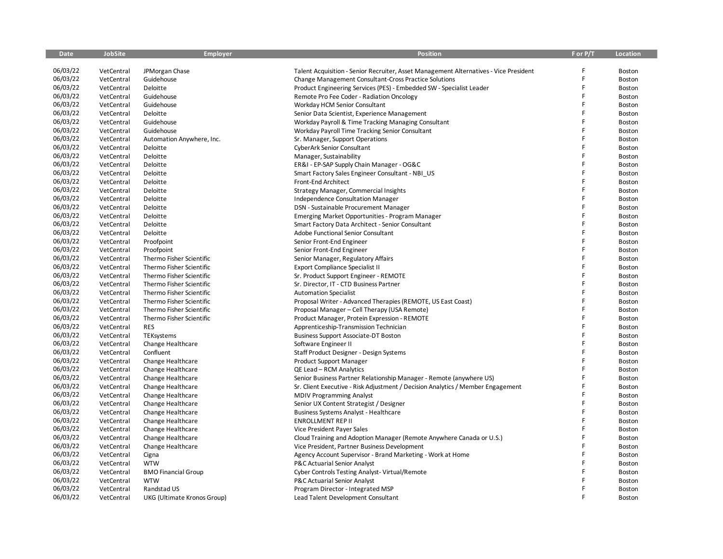| <b>Date</b> | <b>JobSite</b> | <b>Employer</b>             | <b>Position</b>                                                                       | F or P/T | <b>Location</b> |
|-------------|----------------|-----------------------------|---------------------------------------------------------------------------------------|----------|-----------------|
|             |                |                             |                                                                                       |          |                 |
| 06/03/22    | VetCentral     | JPMorgan Chase              | Talent Acquisition - Senior Recruiter, Asset Management Alternatives - Vice President |          | Boston          |
| 06/03/22    | VetCentral     | Guidehouse                  | Change Management Consultant-Cross Practice Solutions                                 |          | Boston          |
| 06/03/22    | VetCentral     | Deloitte                    | Product Engineering Services (PES) - Embedded SW - Specialist Leader                  | F        | Boston          |
| 06/03/22    | VetCentral     | Guidehouse                  | Remote Pro Fee Coder - Radiation Oncology                                             | F        | Boston          |
| 06/03/22    | VetCentral     | Guidehouse                  | Workday HCM Senior Consultant                                                         | F        | Boston          |
| 06/03/22    | VetCentral     | Deloitte                    | Senior Data Scientist, Experience Management                                          | F        | Boston          |
| 06/03/22    | VetCentral     | Guidehouse                  | Workday Payroll & Time Tracking Managing Consultant                                   | F        | Boston          |
| 06/03/22    | VetCentral     | Guidehouse                  | Workday Payroll Time Tracking Senior Consultant                                       | F        | Boston          |
| 06/03/22    | VetCentral     | Automation Anywhere, Inc.   | Sr. Manager, Support Operations                                                       | Ë        | <b>Boston</b>   |
| 06/03/22    | VetCentral     | Deloitte                    | CyberArk Senior Consultant                                                            | F        | Boston          |
| 06/03/22    | VetCentral     | Deloitte                    | Manager, Sustainability                                                               | Ë        | Boston          |
| 06/03/22    | VetCentral     | Deloitte                    | ER&I - EP-SAP Supply Chain Manager - OG&C                                             | F        | Boston          |
| 06/03/22    | VetCentral     | Deloitte                    | Smart Factory Sales Engineer Consultant - NBI US                                      | F        | Boston          |
| 06/03/22    | VetCentral     | Deloitte                    | Front-End Architect                                                                   | F        | <b>Boston</b>   |
| 06/03/22    | VetCentral     | Deloitte                    | Strategy Manager, Commercial Insights                                                 | F        | Boston          |
| 06/03/22    | VetCentral     | Deloitte                    | Independence Consultation Manager                                                     | F        | Boston          |
| 06/03/22    | VetCentral     | Deloitte                    | DSN - Sustainable Procurement Manager                                                 |          | Boston          |
| 06/03/22    | VetCentral     | Deloitte                    | Emerging Market Opportunities - Program Manager                                       | F        | Boston          |
| 06/03/22    | VetCentral     | Deloitte                    | Smart Factory Data Architect - Senior Consultant                                      | F        | Boston          |
| 06/03/22    | VetCentral     | Deloitte                    | Adobe Functional Senior Consultant                                                    | F        | Boston          |
| 06/03/22    | VetCentral     | Proofpoint                  | Senior Front-End Engineer                                                             | F        | Boston          |
| 06/03/22    | VetCentral     | Proofpoint                  | Senior Front-End Engineer                                                             | F        | Boston          |
| 06/03/22    | VetCentral     | Thermo Fisher Scientific    | Senior Manager, Regulatory Affairs                                                    | F        | Boston          |
| 06/03/22    | VetCentral     | Thermo Fisher Scientific    | <b>Export Compliance Specialist II</b>                                                | F        | Boston          |
| 06/03/22    | VetCentral     | Thermo Fisher Scientific    | Sr. Product Support Engineer - REMOTE                                                 | F        | Boston          |
| 06/03/22    | VetCentral     | Thermo Fisher Scientific    | Sr. Director, IT - CTD Business Partner                                               | F        | Boston          |
| 06/03/22    | VetCentral     | Thermo Fisher Scientific    | <b>Automation Specialist</b>                                                          | F        | Boston          |
| 06/03/22    | VetCentral     | Thermo Fisher Scientific    | Proposal Writer - Advanced Therapies (REMOTE, US East Coast)                          | F        | Boston          |
| 06/03/22    | VetCentral     | Thermo Fisher Scientific    | Proposal Manager - Cell Therapy (USA Remote)                                          | F        | Boston          |
| 06/03/22    | VetCentral     | Thermo Fisher Scientific    | Product Manager, Protein Expression - REMOTE                                          | F        | Boston          |
| 06/03/22    | VetCentral     | <b>RES</b>                  | Apprenticeship-Transmission Technician                                                | F        | Boston          |
| 06/03/22    | VetCentral     | TEKsystems                  | <b>Business Support Associate-DT Boston</b>                                           | F        | Boston          |
| 06/03/22    | VetCentral     | Change Healthcare           | Software Engineer II                                                                  | F        | <b>Boston</b>   |
| 06/03/22    | VetCentral     | Confluent                   | Staff Product Designer - Design Systems                                               | F        | Boston          |
| 06/03/22    | VetCentral     | Change Healthcare           | Product Support Manager                                                               | F        | Boston          |
| 06/03/22    | VetCentral     | Change Healthcare           | QE Lead - RCM Analytics                                                               | F        | Boston          |
| 06/03/22    | VetCentral     | Change Healthcare           | Senior Business Partner Relationship Manager - Remote (anywhere US)                   |          | Boston          |
| 06/03/22    | VetCentral     | Change Healthcare           | Sr. Client Executive - Risk Adjustment / Decision Analytics / Member Engagement       | F        | Boston          |
| 06/03/22    | VetCentral     | Change Healthcare           | <b>MDIV Programming Analyst</b>                                                       | F        | Boston          |
| 06/03/22    | VetCentral     | Change Healthcare           | Senior UX Content Strategist / Designer                                               | F        | Boston          |
| 06/03/22    | VetCentral     | Change Healthcare           | Business Systems Analyst - Healthcare                                                 | F        | Boston          |
| 06/03/22    | VetCentral     | Change Healthcare           | <b>ENROLLMENT REP II</b>                                                              | F        | Boston          |
| 06/03/22    | VetCentral     | Change Healthcare           | Vice President Payer Sales                                                            | F        | Boston          |
| 06/03/22    | VetCentral     | Change Healthcare           | Cloud Training and Adoption Manager (Remote Anywhere Canada or U.S.)                  |          | Boston          |
| 06/03/22    | VetCentral     | Change Healthcare           | Vice President, Partner Business Development                                          | F        | <b>Boston</b>   |
| 06/03/22    | VetCentral     | Cigna                       | Agency Account Supervisor - Brand Marketing - Work at Home                            | F        | <b>Boston</b>   |
| 06/03/22    | VetCentral     | <b>WTW</b>                  | P&C Actuarial Senior Analyst                                                          | F        | Boston          |
| 06/03/22    | VetCentral     | <b>BMO Financial Group</b>  | Cyber Controls Testing Analyst-Virtual/Remote                                         | Ē        | <b>Boston</b>   |
| 06/03/22    | VetCentral     | <b>WTW</b>                  | P&C Actuarial Senior Analyst                                                          |          | Boston          |
| 06/03/22    | VetCentral     | Randstad US                 | Program Director - Integrated MSP                                                     | F        | <b>Boston</b>   |
| 06/03/22    | VetCentral     | UKG (Ultimate Kronos Group) | Lead Talent Development Consultant                                                    | F        | Boston          |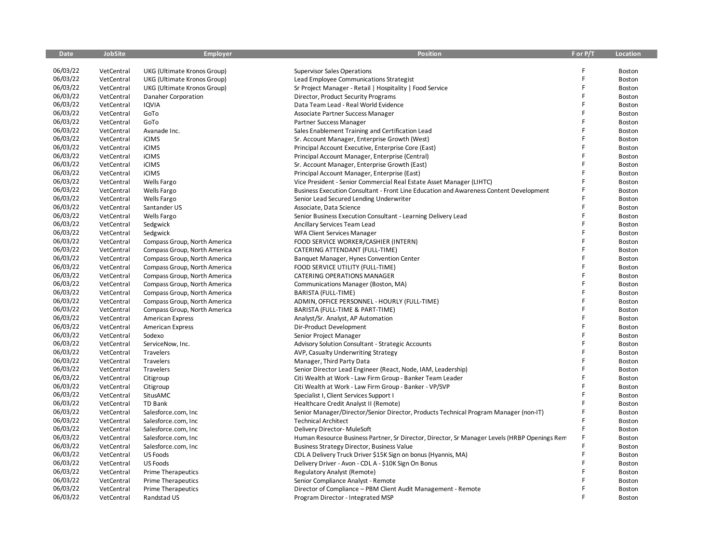| <b>Date</b> | <b>JobSite</b>           | <b>Employer</b>              | <b>Position</b>                                                                              | F or P/T | <b>Location</b> |
|-------------|--------------------------|------------------------------|----------------------------------------------------------------------------------------------|----------|-----------------|
|             |                          |                              |                                                                                              |          |                 |
| 06/03/22    | VetCentral               | UKG (Ultimate Kronos Group)  | <b>Supervisor Sales Operations</b>                                                           |          | Boston          |
| 06/03/22    | VetCentral               | UKG (Ultimate Kronos Group)  | Lead Employee Communications Strategist                                                      | F        | Boston          |
| 06/03/22    | VetCentral               | UKG (Ultimate Kronos Group)  | Sr Project Manager - Retail   Hospitality   Food Service                                     | F        | Boston          |
| 06/03/22    | VetCentral               | Danaher Corporation          | Director, Product Security Programs                                                          | F        | Boston          |
| 06/03/22    | VetCentral               | <b>IQVIA</b>                 | Data Team Lead - Real World Evidence                                                         | F        | Boston          |
| 06/03/22    | VetCentral               | GoTo                         | Associate Partner Success Manager                                                            | F        | Boston          |
| 06/03/22    | VetCentral               | GoTo                         | Partner Success Manager                                                                      | F        | Boston          |
| 06/03/22    | VetCentral               | Avanade Inc.                 | Sales Enablement Training and Certification Lead                                             | F        | Boston          |
| 06/03/22    | VetCentral               | iCIMS                        | Sr. Account Manager, Enterprise Growth (West)                                                | F        | Boston          |
| 06/03/22    | VetCentral               | <b>iCIMS</b>                 | Principal Account Executive, Enterprise Core (East)                                          | F        | Boston          |
| 06/03/22    | VetCentral               | iCIMS                        | Principal Account Manager, Enterprise (Central)                                              | F        | Boston          |
| 06/03/22    | VetCentral               | <b>iCIMS</b>                 | Sr. Account Manager, Enterprise Growth (East)                                                |          | Boston          |
| 06/03/22    | VetCentral               | iCIMS                        | Principal Account Manager, Enterprise (East)                                                 | F        | Boston          |
| 06/03/22    | VetCentral               | Wells Fargo                  | Vice President - Senior Commercial Real Estate Asset Manager (LIHTC)                         | Ē        | Boston          |
| 06/03/22    | VetCentral               | Wells Fargo                  | Business Execution Consultant - Front Line Education and Awareness Content Development       | F        | Boston          |
| 06/03/22    | VetCentral               | Wells Fargo                  | Senior Lead Secured Lending Underwriter                                                      |          | Boston          |
| 06/03/22    | VetCentral               | Santander US                 | Associate, Data Science                                                                      | F        | Boston          |
| 06/03/22    | VetCentral               | <b>Wells Fargo</b>           | Senior Business Execution Consultant - Learning Delivery Lead                                | F        | Boston          |
| 06/03/22    | VetCentral               | Sedgwick                     | Ancillary Services Team Lead                                                                 | F        | Boston          |
| 06/03/22    | VetCentral               | Sedgwick                     | <b>WFA Client Services Manager</b>                                                           | F        | Boston          |
| 06/03/22    | VetCentral               | Compass Group, North America | FOOD SERVICE WORKER/CASHIER (INTERN)                                                         | F        | Boston          |
| 06/03/22    | VetCentral               | Compass Group, North America | CATERING ATTENDANT (FULL-TIME)                                                               | F        | Boston          |
| 06/03/22    | VetCentral               | Compass Group, North America | Banquet Manager, Hynes Convention Center                                                     | F        | Boston          |
| 06/03/22    | VetCentral               | Compass Group, North America | FOOD SERVICE UTILITY (FULL-TIME)                                                             | F        | Boston          |
| 06/03/22    | VetCentral               | Compass Group, North America | CATERING OPERATIONS MANAGER                                                                  | F        | Boston          |
| 06/03/22    | VetCentral               | Compass Group, North America | Communications Manager (Boston, MA)                                                          | F        | Boston          |
| 06/03/22    | VetCentral               | Compass Group, North America | BARISTA (FULL-TIME)                                                                          | F        | Boston          |
| 06/03/22    | VetCentral               | Compass Group, North America | ADMIN, OFFICE PERSONNEL - HOURLY (FULL-TIME)                                                 | F        | Boston          |
| 06/03/22    | VetCentral               | Compass Group, North America | BARISTA (FULL-TIME & PART-TIME)                                                              | F        | Boston          |
| 06/03/22    | VetCentral               | <b>American Express</b>      | Analyst/Sr. Analyst, AP Automation                                                           | F        | Boston          |
| 06/03/22    | VetCentral               | <b>American Express</b>      | Dir-Product Development                                                                      | F        | Boston          |
| 06/03/22    | VetCentral               | Sodexo                       | Senior Project Manager                                                                       | F        | Boston          |
| 06/03/22    | VetCentral               | ServiceNow, Inc.             | <b>Advisory Solution Consultant - Strategic Accounts</b>                                     | F        | Boston          |
| 06/03/22    | VetCentral               | Travelers                    | AVP, Casualty Underwriting Strategy                                                          | F        | Boston          |
| 06/03/22    | VetCentral               | Travelers                    | Manager, Third Party Data                                                                    | F        | Boston          |
| 06/03/22    | VetCentral               | Travelers                    | Senior Director Lead Engineer (React, Node, IAM, Leadership)                                 | F        | Boston          |
| 06/03/22    | VetCentral               | Citigroup                    | Citi Wealth at Work - Law Firm Group - Banker Team Leader                                    | F        | Boston          |
| 06/03/22    | VetCentral               | Citigroup                    | Citi Wealth at Work - Law Firm Group - Banker - VP/SVP                                       | Ē        | Boston          |
| 06/03/22    | VetCentral               | SitusAMC                     | Specialist I, Client Services Support I                                                      |          | Boston          |
| 06/03/22    | VetCentral               | TD Bank                      | Healthcare Credit Analyst II (Remote)                                                        | F        | Boston          |
| 06/03/22    | VetCentral               | Salesforce.com, Inc          | Senior Manager/Director/Senior Director, Products Technical Program Manager (non-IT)         |          | Boston          |
| 06/03/22    | VetCentral               | Salesforce.com, Inc.         | <b>Technical Architect</b>                                                                   | F        | Boston          |
| 06/03/22    | VetCentral               | Salesforce.com, Inc          | Delivery Director- MuleSoft                                                                  |          | Boston          |
| 06/03/22    | VetCentral               | Salesforce.com, Inc          | Human Resource Business Partner, Sr Director, Director, Sr Manager Levels (HRBP Openings Rem |          | Boston          |
| 06/03/22    | VetCentral               | Salesforce.com, Inc          | <b>Business Strategy Director, Business Value</b>                                            | F        | Boston          |
| 06/03/22    | VetCentral               | <b>US Foods</b>              |                                                                                              | F        |                 |
| 06/03/22    |                          | <b>US Foods</b>              | CDL A Delivery Truck Driver \$15K Sign on bonus (Hyannis, MA)                                | F        | Boston          |
| 06/03/22    | VetCentral<br>VetCentral |                              | Delivery Driver - Avon - CDL A - \$10K Sign On Bonus                                         |          | Boston          |
| 06/03/22    |                          | <b>Prime Therapeutics</b>    | Regulatory Analyst (Remote)                                                                  |          | Boston          |
| 06/03/22    | VetCentral               | <b>Prime Therapeutics</b>    | Senior Compliance Analyst - Remote                                                           | F        | Boston          |
| 06/03/22    | VetCentral               | <b>Prime Therapeutics</b>    | Director of Compliance - PBM Client Audit Management - Remote                                |          | Boston          |
|             | VetCentral               | Randstad US                  | Program Director - Integrated MSP                                                            |          | Boston          |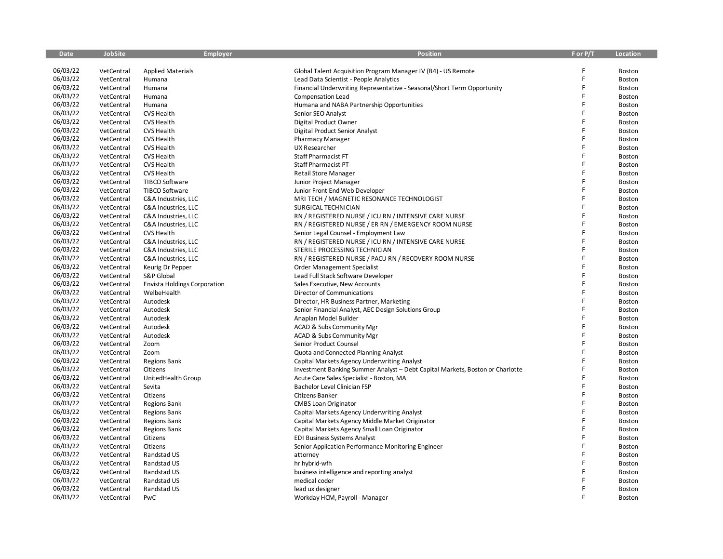| 06/03/22<br>VetCentral<br><b>Applied Materials</b><br>Global Talent Acquisition Program Manager IV (B4) - US Remote<br>Boston<br>06/03/22<br>F<br>VetCentral<br>Lead Data Scientist - People Analytics<br>Humana<br>Boston<br>F<br>06/03/22<br>VetCentral<br>Humana<br>Financial Underwriting Representative - Seasonal/Short Term Opportunity<br>Boston<br>06/03/22<br>F<br>VetCentral<br>Humana<br>Compensation Lead<br>Boston<br>06/03/22<br>F<br>VetCentral<br>Humana and NABA Partnership Opportunities<br>Boston<br>Humana<br>06/03/22<br>F<br><b>CVS Health</b><br>Senior SEO Analyst<br>VetCentral<br>Boston<br>06/03/22<br>F<br>VetCentral<br><b>CVS Health</b><br>Digital Product Owner<br>Boston<br>F<br>06/03/22<br>VetCentral<br><b>CVS Health</b><br>Boston<br>Digital Product Senior Analyst<br>06/03/22<br>F<br>VetCentral<br><b>CVS Health</b><br>Boston<br><b>Pharmacy Manager</b><br>06/03/22<br>F<br>VetCentral<br><b>CVS Health</b><br>UX Researcher<br>Boston<br>06/03/22<br>F<br>VetCentral<br><b>CVS Health</b><br>Staff Pharmacist FT<br>Boston<br>06/03/22<br>VetCentral<br><b>CVS Health</b><br>Staff Pharmacist PT<br>Boston<br>06/03/22<br>F<br>VetCentral<br><b>CVS Health</b><br><b>Retail Store Manager</b><br>Boston<br>06/03/22<br>F<br>VetCentral<br>TIBCO Software<br>Junior Project Manager<br>Boston<br>06/03/22<br>F<br>TIBCO Software<br>VetCentral<br>Junior Front End Web Developer<br>Boston<br>06/03/22<br>F<br>VetCentral<br>C&A Industries, LLC<br>MRI TECH / MAGNETIC RESONANCE TECHNOLOGIST<br>Boston<br>06/03/22<br>VetCentral<br>C&A Industries, LLC<br>SURGICAL TECHNICIAN<br>Boston<br>06/03/22<br>F<br>VetCentral<br>C&A Industries, LLC<br>RN / REGISTERED NURSE / ICU RN / INTENSIVE CARE NURSE<br>Boston<br>06/03/22<br>F<br>VetCentral<br>C&A Industries, LLC<br>RN / REGISTERED NURSE / ER RN / EMERGENCY ROOM NURSE<br>Boston<br>06/03/22<br>F<br>VetCentral<br>CVS Health<br>Boston<br>Senior Legal Counsel - Employment Law<br>06/03/22<br>F<br>VetCentral<br>C&A Industries, LLC<br>RN / REGISTERED NURSE / ICU RN / INTENSIVE CARE NURSE<br>Boston<br>06/03/22<br>VetCentral<br>STERILE PROCESSING TECHNICIAN<br>C&A Industries, LLC<br>Boston<br>06/03/22<br>F<br>VetCentral<br>C&A Industries, LLC<br>RN / REGISTERED NURSE / PACU RN / RECOVERY ROOM NURSE<br>Boston<br>06/03/22<br>F<br>VetCentral<br>Keurig Dr Pepper<br>Order Management Specialist<br>Boston<br>06/03/22<br>F<br>VetCentral<br><b>S&amp;P Global</b><br>Lead Full Stack Software Developer<br>Boston<br>06/03/22<br>F<br>VetCentral<br><b>Envista Holdings Corporation</b><br>Sales Executive, New Accounts<br>Boston<br>06/03/22<br>VetCentral<br>Director of Communications<br>F<br>Boston<br>WelbeHealth<br>06/03/22<br>Ë<br>VetCentral<br>Autodesk<br>Director, HR Business Partner, Marketing<br>Boston<br>06/03/22<br>VetCentral<br>Autodesk<br>Senior Financial Analyst, AEC Design Solutions Group<br>F<br>Boston<br>F<br>06/03/22<br>VetCentral<br>Autodesk<br>Anaplan Model Builder<br>Boston<br>06/03/22<br>F<br>VetCentral<br>Autodesk<br>ACAD & Subs Community Mgr<br>Boston<br>06/03/22<br>F<br>VetCentral<br>Autodesk<br>ACAD & Subs Community Mgr<br>Boston<br>06/03/22<br>F<br>VetCentral<br>Zoom<br>Senior Product Counsel<br>Boston<br>06/03/22<br>F<br>VetCentral<br>Zoom<br>Quota and Connected Planning Analyst<br>Boston<br>06/03/22<br>F<br>VetCentral<br><b>Regions Bank</b><br>Capital Markets Agency Underwriting Analyst<br>Boston<br>06/03/22<br>F<br>VetCentral<br>Citizens<br>Investment Banking Summer Analyst - Debt Capital Markets, Boston or Charlotte<br>Boston<br>06/03/22<br>F<br>VetCentral<br>UnitedHealth Group<br>Acute Care Sales Specialist - Boston, MA<br>Boston<br>06/03/22<br>Ē<br>VetCentral<br>Bachelor Level Clinician FSP<br>Sevita<br>Boston<br>06/03/22<br>F<br>VetCentral<br>Citizens<br>Citizens Banker<br>Boston<br>F<br>06/03/22<br>VetCentral<br><b>Regions Bank</b><br><b>CMBS Loan Originator</b><br>Boston<br>06/03/22<br>Ē<br>VetCentral<br><b>Regions Bank</b><br>Capital Markets Agency Underwriting Analyst<br>Boston<br>06/03/22<br>F<br>VetCentral<br><b>Regions Bank</b><br>Capital Markets Agency Middle Market Originator<br>Boston<br>06/03/22<br>F<br>Boston<br>VetCentral<br><b>Regions Bank</b><br>Capital Markets Agency Small Loan Originator<br>06/03/22<br>VetCentral<br>Citizens<br><b>EDI Business Systems Analyst</b><br>Boston<br>06/03/22<br>F<br>VetCentral<br>Senior Application Performance Monitoring Engineer<br>Boston<br>Citizens<br>06/03/22<br>F<br>VetCentral<br>Randstad US<br>Boston<br>attorney<br>06/03/22<br>F<br>VetCentral<br>Randstad US<br>hr hybrid-wfh<br>Boston<br>06/03/22<br>F<br>VetCentral<br>Randstad US<br>business intelligence and reporting analyst<br>Boston<br>06/03/22<br>VetCentral<br>Randstad US<br>medical coder<br>Boston<br>06/03/22<br>F<br>VetCentral<br>Randstad US<br>Boston<br>lead ux designer<br>06/03/22<br>F<br>VetCentral<br>PwC<br>Workday HCM, Payroll - Manager<br>Boston | <b>Date</b> | <b>JobSite</b> | <b>Employer</b> | <b>Position</b> | F or P/T | Location |
|-----------------------------------------------------------------------------------------------------------------------------------------------------------------------------------------------------------------------------------------------------------------------------------------------------------------------------------------------------------------------------------------------------------------------------------------------------------------------------------------------------------------------------------------------------------------------------------------------------------------------------------------------------------------------------------------------------------------------------------------------------------------------------------------------------------------------------------------------------------------------------------------------------------------------------------------------------------------------------------------------------------------------------------------------------------------------------------------------------------------------------------------------------------------------------------------------------------------------------------------------------------------------------------------------------------------------------------------------------------------------------------------------------------------------------------------------------------------------------------------------------------------------------------------------------------------------------------------------------------------------------------------------------------------------------------------------------------------------------------------------------------------------------------------------------------------------------------------------------------------------------------------------------------------------------------------------------------------------------------------------------------------------------------------------------------------------------------------------------------------------------------------------------------------------------------------------------------------------------------------------------------------------------------------------------------------------------------------------------------------------------------------------------------------------------------------------------------------------------------------------------------------------------------------------------------------------------------------------------------------------------------------------------------------------------------------------------------------------------------------------------------------------------------------------------------------------------------------------------------------------------------------------------------------------------------------------------------------------------------------------------------------------------------------------------------------------------------------------------------------------------------------------------------------------------------------------------------------------------------------------------------------------------------------------------------------------------------------------------------------------------------------------------------------------------------------------------------------------------------------------------------------------------------------------------------------------------------------------------------------------------------------------------------------------------------------------------------------------------------------------------------------------------------------------------------------------------------------------------------------------------------------------------------------------------------------------------------------------------------------------------------------------------------------------------------------------------------------------------------------------------------------------------------------------------------------------------------------------------------------------------------------------------------------------------------------------------------------------------------------------------------------------------------------------------------------------------------------------------------------------------------------------------------------------------------------------------------------------------------------------------------------------------------------------------------------------------------------------------------------------------------------------------------------------------------------------------------------------------------------------------------------------------------------------------------------------------------------------------------------------------------------------------------------------------------|-------------|----------------|-----------------|-----------------|----------|----------|
|                                                                                                                                                                                                                                                                                                                                                                                                                                                                                                                                                                                                                                                                                                                                                                                                                                                                                                                                                                                                                                                                                                                                                                                                                                                                                                                                                                                                                                                                                                                                                                                                                                                                                                                                                                                                                                                                                                                                                                                                                                                                                                                                                                                                                                                                                                                                                                                                                                                                                                                                                                                                                                                                                                                                                                                                                                                                                                                                                                                                                                                                                                                                                                                                                                                                                                                                                                                                                                                                                                                                                                                                                                                                                                                                                                                                                                                                                                                                                                                                                                                                                                                                                                                                                                                                                                                                                                                                                                                                                                                                                                                                                                                                                                                                                                                                                                                                                                                                                                                                                                                           |             |                |                 |                 |          |          |
|                                                                                                                                                                                                                                                                                                                                                                                                                                                                                                                                                                                                                                                                                                                                                                                                                                                                                                                                                                                                                                                                                                                                                                                                                                                                                                                                                                                                                                                                                                                                                                                                                                                                                                                                                                                                                                                                                                                                                                                                                                                                                                                                                                                                                                                                                                                                                                                                                                                                                                                                                                                                                                                                                                                                                                                                                                                                                                                                                                                                                                                                                                                                                                                                                                                                                                                                                                                                                                                                                                                                                                                                                                                                                                                                                                                                                                                                                                                                                                                                                                                                                                                                                                                                                                                                                                                                                                                                                                                                                                                                                                                                                                                                                                                                                                                                                                                                                                                                                                                                                                                           |             |                |                 |                 |          |          |
|                                                                                                                                                                                                                                                                                                                                                                                                                                                                                                                                                                                                                                                                                                                                                                                                                                                                                                                                                                                                                                                                                                                                                                                                                                                                                                                                                                                                                                                                                                                                                                                                                                                                                                                                                                                                                                                                                                                                                                                                                                                                                                                                                                                                                                                                                                                                                                                                                                                                                                                                                                                                                                                                                                                                                                                                                                                                                                                                                                                                                                                                                                                                                                                                                                                                                                                                                                                                                                                                                                                                                                                                                                                                                                                                                                                                                                                                                                                                                                                                                                                                                                                                                                                                                                                                                                                                                                                                                                                                                                                                                                                                                                                                                                                                                                                                                                                                                                                                                                                                                                                           |             |                |                 |                 |          |          |
|                                                                                                                                                                                                                                                                                                                                                                                                                                                                                                                                                                                                                                                                                                                                                                                                                                                                                                                                                                                                                                                                                                                                                                                                                                                                                                                                                                                                                                                                                                                                                                                                                                                                                                                                                                                                                                                                                                                                                                                                                                                                                                                                                                                                                                                                                                                                                                                                                                                                                                                                                                                                                                                                                                                                                                                                                                                                                                                                                                                                                                                                                                                                                                                                                                                                                                                                                                                                                                                                                                                                                                                                                                                                                                                                                                                                                                                                                                                                                                                                                                                                                                                                                                                                                                                                                                                                                                                                                                                                                                                                                                                                                                                                                                                                                                                                                                                                                                                                                                                                                                                           |             |                |                 |                 |          |          |
|                                                                                                                                                                                                                                                                                                                                                                                                                                                                                                                                                                                                                                                                                                                                                                                                                                                                                                                                                                                                                                                                                                                                                                                                                                                                                                                                                                                                                                                                                                                                                                                                                                                                                                                                                                                                                                                                                                                                                                                                                                                                                                                                                                                                                                                                                                                                                                                                                                                                                                                                                                                                                                                                                                                                                                                                                                                                                                                                                                                                                                                                                                                                                                                                                                                                                                                                                                                                                                                                                                                                                                                                                                                                                                                                                                                                                                                                                                                                                                                                                                                                                                                                                                                                                                                                                                                                                                                                                                                                                                                                                                                                                                                                                                                                                                                                                                                                                                                                                                                                                                                           |             |                |                 |                 |          |          |
|                                                                                                                                                                                                                                                                                                                                                                                                                                                                                                                                                                                                                                                                                                                                                                                                                                                                                                                                                                                                                                                                                                                                                                                                                                                                                                                                                                                                                                                                                                                                                                                                                                                                                                                                                                                                                                                                                                                                                                                                                                                                                                                                                                                                                                                                                                                                                                                                                                                                                                                                                                                                                                                                                                                                                                                                                                                                                                                                                                                                                                                                                                                                                                                                                                                                                                                                                                                                                                                                                                                                                                                                                                                                                                                                                                                                                                                                                                                                                                                                                                                                                                                                                                                                                                                                                                                                                                                                                                                                                                                                                                                                                                                                                                                                                                                                                                                                                                                                                                                                                                                           |             |                |                 |                 |          |          |
|                                                                                                                                                                                                                                                                                                                                                                                                                                                                                                                                                                                                                                                                                                                                                                                                                                                                                                                                                                                                                                                                                                                                                                                                                                                                                                                                                                                                                                                                                                                                                                                                                                                                                                                                                                                                                                                                                                                                                                                                                                                                                                                                                                                                                                                                                                                                                                                                                                                                                                                                                                                                                                                                                                                                                                                                                                                                                                                                                                                                                                                                                                                                                                                                                                                                                                                                                                                                                                                                                                                                                                                                                                                                                                                                                                                                                                                                                                                                                                                                                                                                                                                                                                                                                                                                                                                                                                                                                                                                                                                                                                                                                                                                                                                                                                                                                                                                                                                                                                                                                                                           |             |                |                 |                 |          |          |
|                                                                                                                                                                                                                                                                                                                                                                                                                                                                                                                                                                                                                                                                                                                                                                                                                                                                                                                                                                                                                                                                                                                                                                                                                                                                                                                                                                                                                                                                                                                                                                                                                                                                                                                                                                                                                                                                                                                                                                                                                                                                                                                                                                                                                                                                                                                                                                                                                                                                                                                                                                                                                                                                                                                                                                                                                                                                                                                                                                                                                                                                                                                                                                                                                                                                                                                                                                                                                                                                                                                                                                                                                                                                                                                                                                                                                                                                                                                                                                                                                                                                                                                                                                                                                                                                                                                                                                                                                                                                                                                                                                                                                                                                                                                                                                                                                                                                                                                                                                                                                                                           |             |                |                 |                 |          |          |
|                                                                                                                                                                                                                                                                                                                                                                                                                                                                                                                                                                                                                                                                                                                                                                                                                                                                                                                                                                                                                                                                                                                                                                                                                                                                                                                                                                                                                                                                                                                                                                                                                                                                                                                                                                                                                                                                                                                                                                                                                                                                                                                                                                                                                                                                                                                                                                                                                                                                                                                                                                                                                                                                                                                                                                                                                                                                                                                                                                                                                                                                                                                                                                                                                                                                                                                                                                                                                                                                                                                                                                                                                                                                                                                                                                                                                                                                                                                                                                                                                                                                                                                                                                                                                                                                                                                                                                                                                                                                                                                                                                                                                                                                                                                                                                                                                                                                                                                                                                                                                                                           |             |                |                 |                 |          |          |
|                                                                                                                                                                                                                                                                                                                                                                                                                                                                                                                                                                                                                                                                                                                                                                                                                                                                                                                                                                                                                                                                                                                                                                                                                                                                                                                                                                                                                                                                                                                                                                                                                                                                                                                                                                                                                                                                                                                                                                                                                                                                                                                                                                                                                                                                                                                                                                                                                                                                                                                                                                                                                                                                                                                                                                                                                                                                                                                                                                                                                                                                                                                                                                                                                                                                                                                                                                                                                                                                                                                                                                                                                                                                                                                                                                                                                                                                                                                                                                                                                                                                                                                                                                                                                                                                                                                                                                                                                                                                                                                                                                                                                                                                                                                                                                                                                                                                                                                                                                                                                                                           |             |                |                 |                 |          |          |
|                                                                                                                                                                                                                                                                                                                                                                                                                                                                                                                                                                                                                                                                                                                                                                                                                                                                                                                                                                                                                                                                                                                                                                                                                                                                                                                                                                                                                                                                                                                                                                                                                                                                                                                                                                                                                                                                                                                                                                                                                                                                                                                                                                                                                                                                                                                                                                                                                                                                                                                                                                                                                                                                                                                                                                                                                                                                                                                                                                                                                                                                                                                                                                                                                                                                                                                                                                                                                                                                                                                                                                                                                                                                                                                                                                                                                                                                                                                                                                                                                                                                                                                                                                                                                                                                                                                                                                                                                                                                                                                                                                                                                                                                                                                                                                                                                                                                                                                                                                                                                                                           |             |                |                 |                 |          |          |
|                                                                                                                                                                                                                                                                                                                                                                                                                                                                                                                                                                                                                                                                                                                                                                                                                                                                                                                                                                                                                                                                                                                                                                                                                                                                                                                                                                                                                                                                                                                                                                                                                                                                                                                                                                                                                                                                                                                                                                                                                                                                                                                                                                                                                                                                                                                                                                                                                                                                                                                                                                                                                                                                                                                                                                                                                                                                                                                                                                                                                                                                                                                                                                                                                                                                                                                                                                                                                                                                                                                                                                                                                                                                                                                                                                                                                                                                                                                                                                                                                                                                                                                                                                                                                                                                                                                                                                                                                                                                                                                                                                                                                                                                                                                                                                                                                                                                                                                                                                                                                                                           |             |                |                 |                 |          |          |
|                                                                                                                                                                                                                                                                                                                                                                                                                                                                                                                                                                                                                                                                                                                                                                                                                                                                                                                                                                                                                                                                                                                                                                                                                                                                                                                                                                                                                                                                                                                                                                                                                                                                                                                                                                                                                                                                                                                                                                                                                                                                                                                                                                                                                                                                                                                                                                                                                                                                                                                                                                                                                                                                                                                                                                                                                                                                                                                                                                                                                                                                                                                                                                                                                                                                                                                                                                                                                                                                                                                                                                                                                                                                                                                                                                                                                                                                                                                                                                                                                                                                                                                                                                                                                                                                                                                                                                                                                                                                                                                                                                                                                                                                                                                                                                                                                                                                                                                                                                                                                                                           |             |                |                 |                 |          |          |
|                                                                                                                                                                                                                                                                                                                                                                                                                                                                                                                                                                                                                                                                                                                                                                                                                                                                                                                                                                                                                                                                                                                                                                                                                                                                                                                                                                                                                                                                                                                                                                                                                                                                                                                                                                                                                                                                                                                                                                                                                                                                                                                                                                                                                                                                                                                                                                                                                                                                                                                                                                                                                                                                                                                                                                                                                                                                                                                                                                                                                                                                                                                                                                                                                                                                                                                                                                                                                                                                                                                                                                                                                                                                                                                                                                                                                                                                                                                                                                                                                                                                                                                                                                                                                                                                                                                                                                                                                                                                                                                                                                                                                                                                                                                                                                                                                                                                                                                                                                                                                                                           |             |                |                 |                 |          |          |
|                                                                                                                                                                                                                                                                                                                                                                                                                                                                                                                                                                                                                                                                                                                                                                                                                                                                                                                                                                                                                                                                                                                                                                                                                                                                                                                                                                                                                                                                                                                                                                                                                                                                                                                                                                                                                                                                                                                                                                                                                                                                                                                                                                                                                                                                                                                                                                                                                                                                                                                                                                                                                                                                                                                                                                                                                                                                                                                                                                                                                                                                                                                                                                                                                                                                                                                                                                                                                                                                                                                                                                                                                                                                                                                                                                                                                                                                                                                                                                                                                                                                                                                                                                                                                                                                                                                                                                                                                                                                                                                                                                                                                                                                                                                                                                                                                                                                                                                                                                                                                                                           |             |                |                 |                 |          |          |
|                                                                                                                                                                                                                                                                                                                                                                                                                                                                                                                                                                                                                                                                                                                                                                                                                                                                                                                                                                                                                                                                                                                                                                                                                                                                                                                                                                                                                                                                                                                                                                                                                                                                                                                                                                                                                                                                                                                                                                                                                                                                                                                                                                                                                                                                                                                                                                                                                                                                                                                                                                                                                                                                                                                                                                                                                                                                                                                                                                                                                                                                                                                                                                                                                                                                                                                                                                                                                                                                                                                                                                                                                                                                                                                                                                                                                                                                                                                                                                                                                                                                                                                                                                                                                                                                                                                                                                                                                                                                                                                                                                                                                                                                                                                                                                                                                                                                                                                                                                                                                                                           |             |                |                 |                 |          |          |
|                                                                                                                                                                                                                                                                                                                                                                                                                                                                                                                                                                                                                                                                                                                                                                                                                                                                                                                                                                                                                                                                                                                                                                                                                                                                                                                                                                                                                                                                                                                                                                                                                                                                                                                                                                                                                                                                                                                                                                                                                                                                                                                                                                                                                                                                                                                                                                                                                                                                                                                                                                                                                                                                                                                                                                                                                                                                                                                                                                                                                                                                                                                                                                                                                                                                                                                                                                                                                                                                                                                                                                                                                                                                                                                                                                                                                                                                                                                                                                                                                                                                                                                                                                                                                                                                                                                                                                                                                                                                                                                                                                                                                                                                                                                                                                                                                                                                                                                                                                                                                                                           |             |                |                 |                 |          |          |
|                                                                                                                                                                                                                                                                                                                                                                                                                                                                                                                                                                                                                                                                                                                                                                                                                                                                                                                                                                                                                                                                                                                                                                                                                                                                                                                                                                                                                                                                                                                                                                                                                                                                                                                                                                                                                                                                                                                                                                                                                                                                                                                                                                                                                                                                                                                                                                                                                                                                                                                                                                                                                                                                                                                                                                                                                                                                                                                                                                                                                                                                                                                                                                                                                                                                                                                                                                                                                                                                                                                                                                                                                                                                                                                                                                                                                                                                                                                                                                                                                                                                                                                                                                                                                                                                                                                                                                                                                                                                                                                                                                                                                                                                                                                                                                                                                                                                                                                                                                                                                                                           |             |                |                 |                 |          |          |
|                                                                                                                                                                                                                                                                                                                                                                                                                                                                                                                                                                                                                                                                                                                                                                                                                                                                                                                                                                                                                                                                                                                                                                                                                                                                                                                                                                                                                                                                                                                                                                                                                                                                                                                                                                                                                                                                                                                                                                                                                                                                                                                                                                                                                                                                                                                                                                                                                                                                                                                                                                                                                                                                                                                                                                                                                                                                                                                                                                                                                                                                                                                                                                                                                                                                                                                                                                                                                                                                                                                                                                                                                                                                                                                                                                                                                                                                                                                                                                                                                                                                                                                                                                                                                                                                                                                                                                                                                                                                                                                                                                                                                                                                                                                                                                                                                                                                                                                                                                                                                                                           |             |                |                 |                 |          |          |
|                                                                                                                                                                                                                                                                                                                                                                                                                                                                                                                                                                                                                                                                                                                                                                                                                                                                                                                                                                                                                                                                                                                                                                                                                                                                                                                                                                                                                                                                                                                                                                                                                                                                                                                                                                                                                                                                                                                                                                                                                                                                                                                                                                                                                                                                                                                                                                                                                                                                                                                                                                                                                                                                                                                                                                                                                                                                                                                                                                                                                                                                                                                                                                                                                                                                                                                                                                                                                                                                                                                                                                                                                                                                                                                                                                                                                                                                                                                                                                                                                                                                                                                                                                                                                                                                                                                                                                                                                                                                                                                                                                                                                                                                                                                                                                                                                                                                                                                                                                                                                                                           |             |                |                 |                 |          |          |
|                                                                                                                                                                                                                                                                                                                                                                                                                                                                                                                                                                                                                                                                                                                                                                                                                                                                                                                                                                                                                                                                                                                                                                                                                                                                                                                                                                                                                                                                                                                                                                                                                                                                                                                                                                                                                                                                                                                                                                                                                                                                                                                                                                                                                                                                                                                                                                                                                                                                                                                                                                                                                                                                                                                                                                                                                                                                                                                                                                                                                                                                                                                                                                                                                                                                                                                                                                                                                                                                                                                                                                                                                                                                                                                                                                                                                                                                                                                                                                                                                                                                                                                                                                                                                                                                                                                                                                                                                                                                                                                                                                                                                                                                                                                                                                                                                                                                                                                                                                                                                                                           |             |                |                 |                 |          |          |
|                                                                                                                                                                                                                                                                                                                                                                                                                                                                                                                                                                                                                                                                                                                                                                                                                                                                                                                                                                                                                                                                                                                                                                                                                                                                                                                                                                                                                                                                                                                                                                                                                                                                                                                                                                                                                                                                                                                                                                                                                                                                                                                                                                                                                                                                                                                                                                                                                                                                                                                                                                                                                                                                                                                                                                                                                                                                                                                                                                                                                                                                                                                                                                                                                                                                                                                                                                                                                                                                                                                                                                                                                                                                                                                                                                                                                                                                                                                                                                                                                                                                                                                                                                                                                                                                                                                                                                                                                                                                                                                                                                                                                                                                                                                                                                                                                                                                                                                                                                                                                                                           |             |                |                 |                 |          |          |
|                                                                                                                                                                                                                                                                                                                                                                                                                                                                                                                                                                                                                                                                                                                                                                                                                                                                                                                                                                                                                                                                                                                                                                                                                                                                                                                                                                                                                                                                                                                                                                                                                                                                                                                                                                                                                                                                                                                                                                                                                                                                                                                                                                                                                                                                                                                                                                                                                                                                                                                                                                                                                                                                                                                                                                                                                                                                                                                                                                                                                                                                                                                                                                                                                                                                                                                                                                                                                                                                                                                                                                                                                                                                                                                                                                                                                                                                                                                                                                                                                                                                                                                                                                                                                                                                                                                                                                                                                                                                                                                                                                                                                                                                                                                                                                                                                                                                                                                                                                                                                                                           |             |                |                 |                 |          |          |
|                                                                                                                                                                                                                                                                                                                                                                                                                                                                                                                                                                                                                                                                                                                                                                                                                                                                                                                                                                                                                                                                                                                                                                                                                                                                                                                                                                                                                                                                                                                                                                                                                                                                                                                                                                                                                                                                                                                                                                                                                                                                                                                                                                                                                                                                                                                                                                                                                                                                                                                                                                                                                                                                                                                                                                                                                                                                                                                                                                                                                                                                                                                                                                                                                                                                                                                                                                                                                                                                                                                                                                                                                                                                                                                                                                                                                                                                                                                                                                                                                                                                                                                                                                                                                                                                                                                                                                                                                                                                                                                                                                                                                                                                                                                                                                                                                                                                                                                                                                                                                                                           |             |                |                 |                 |          |          |
|                                                                                                                                                                                                                                                                                                                                                                                                                                                                                                                                                                                                                                                                                                                                                                                                                                                                                                                                                                                                                                                                                                                                                                                                                                                                                                                                                                                                                                                                                                                                                                                                                                                                                                                                                                                                                                                                                                                                                                                                                                                                                                                                                                                                                                                                                                                                                                                                                                                                                                                                                                                                                                                                                                                                                                                                                                                                                                                                                                                                                                                                                                                                                                                                                                                                                                                                                                                                                                                                                                                                                                                                                                                                                                                                                                                                                                                                                                                                                                                                                                                                                                                                                                                                                                                                                                                                                                                                                                                                                                                                                                                                                                                                                                                                                                                                                                                                                                                                                                                                                                                           |             |                |                 |                 |          |          |
|                                                                                                                                                                                                                                                                                                                                                                                                                                                                                                                                                                                                                                                                                                                                                                                                                                                                                                                                                                                                                                                                                                                                                                                                                                                                                                                                                                                                                                                                                                                                                                                                                                                                                                                                                                                                                                                                                                                                                                                                                                                                                                                                                                                                                                                                                                                                                                                                                                                                                                                                                                                                                                                                                                                                                                                                                                                                                                                                                                                                                                                                                                                                                                                                                                                                                                                                                                                                                                                                                                                                                                                                                                                                                                                                                                                                                                                                                                                                                                                                                                                                                                                                                                                                                                                                                                                                                                                                                                                                                                                                                                                                                                                                                                                                                                                                                                                                                                                                                                                                                                                           |             |                |                 |                 |          |          |
|                                                                                                                                                                                                                                                                                                                                                                                                                                                                                                                                                                                                                                                                                                                                                                                                                                                                                                                                                                                                                                                                                                                                                                                                                                                                                                                                                                                                                                                                                                                                                                                                                                                                                                                                                                                                                                                                                                                                                                                                                                                                                                                                                                                                                                                                                                                                                                                                                                                                                                                                                                                                                                                                                                                                                                                                                                                                                                                                                                                                                                                                                                                                                                                                                                                                                                                                                                                                                                                                                                                                                                                                                                                                                                                                                                                                                                                                                                                                                                                                                                                                                                                                                                                                                                                                                                                                                                                                                                                                                                                                                                                                                                                                                                                                                                                                                                                                                                                                                                                                                                                           |             |                |                 |                 |          |          |
|                                                                                                                                                                                                                                                                                                                                                                                                                                                                                                                                                                                                                                                                                                                                                                                                                                                                                                                                                                                                                                                                                                                                                                                                                                                                                                                                                                                                                                                                                                                                                                                                                                                                                                                                                                                                                                                                                                                                                                                                                                                                                                                                                                                                                                                                                                                                                                                                                                                                                                                                                                                                                                                                                                                                                                                                                                                                                                                                                                                                                                                                                                                                                                                                                                                                                                                                                                                                                                                                                                                                                                                                                                                                                                                                                                                                                                                                                                                                                                                                                                                                                                                                                                                                                                                                                                                                                                                                                                                                                                                                                                                                                                                                                                                                                                                                                                                                                                                                                                                                                                                           |             |                |                 |                 |          |          |
|                                                                                                                                                                                                                                                                                                                                                                                                                                                                                                                                                                                                                                                                                                                                                                                                                                                                                                                                                                                                                                                                                                                                                                                                                                                                                                                                                                                                                                                                                                                                                                                                                                                                                                                                                                                                                                                                                                                                                                                                                                                                                                                                                                                                                                                                                                                                                                                                                                                                                                                                                                                                                                                                                                                                                                                                                                                                                                                                                                                                                                                                                                                                                                                                                                                                                                                                                                                                                                                                                                                                                                                                                                                                                                                                                                                                                                                                                                                                                                                                                                                                                                                                                                                                                                                                                                                                                                                                                                                                                                                                                                                                                                                                                                                                                                                                                                                                                                                                                                                                                                                           |             |                |                 |                 |          |          |
|                                                                                                                                                                                                                                                                                                                                                                                                                                                                                                                                                                                                                                                                                                                                                                                                                                                                                                                                                                                                                                                                                                                                                                                                                                                                                                                                                                                                                                                                                                                                                                                                                                                                                                                                                                                                                                                                                                                                                                                                                                                                                                                                                                                                                                                                                                                                                                                                                                                                                                                                                                                                                                                                                                                                                                                                                                                                                                                                                                                                                                                                                                                                                                                                                                                                                                                                                                                                                                                                                                                                                                                                                                                                                                                                                                                                                                                                                                                                                                                                                                                                                                                                                                                                                                                                                                                                                                                                                                                                                                                                                                                                                                                                                                                                                                                                                                                                                                                                                                                                                                                           |             |                |                 |                 |          |          |
|                                                                                                                                                                                                                                                                                                                                                                                                                                                                                                                                                                                                                                                                                                                                                                                                                                                                                                                                                                                                                                                                                                                                                                                                                                                                                                                                                                                                                                                                                                                                                                                                                                                                                                                                                                                                                                                                                                                                                                                                                                                                                                                                                                                                                                                                                                                                                                                                                                                                                                                                                                                                                                                                                                                                                                                                                                                                                                                                                                                                                                                                                                                                                                                                                                                                                                                                                                                                                                                                                                                                                                                                                                                                                                                                                                                                                                                                                                                                                                                                                                                                                                                                                                                                                                                                                                                                                                                                                                                                                                                                                                                                                                                                                                                                                                                                                                                                                                                                                                                                                                                           |             |                |                 |                 |          |          |
|                                                                                                                                                                                                                                                                                                                                                                                                                                                                                                                                                                                                                                                                                                                                                                                                                                                                                                                                                                                                                                                                                                                                                                                                                                                                                                                                                                                                                                                                                                                                                                                                                                                                                                                                                                                                                                                                                                                                                                                                                                                                                                                                                                                                                                                                                                                                                                                                                                                                                                                                                                                                                                                                                                                                                                                                                                                                                                                                                                                                                                                                                                                                                                                                                                                                                                                                                                                                                                                                                                                                                                                                                                                                                                                                                                                                                                                                                                                                                                                                                                                                                                                                                                                                                                                                                                                                                                                                                                                                                                                                                                                                                                                                                                                                                                                                                                                                                                                                                                                                                                                           |             |                |                 |                 |          |          |
|                                                                                                                                                                                                                                                                                                                                                                                                                                                                                                                                                                                                                                                                                                                                                                                                                                                                                                                                                                                                                                                                                                                                                                                                                                                                                                                                                                                                                                                                                                                                                                                                                                                                                                                                                                                                                                                                                                                                                                                                                                                                                                                                                                                                                                                                                                                                                                                                                                                                                                                                                                                                                                                                                                                                                                                                                                                                                                                                                                                                                                                                                                                                                                                                                                                                                                                                                                                                                                                                                                                                                                                                                                                                                                                                                                                                                                                                                                                                                                                                                                                                                                                                                                                                                                                                                                                                                                                                                                                                                                                                                                                                                                                                                                                                                                                                                                                                                                                                                                                                                                                           |             |                |                 |                 |          |          |
|                                                                                                                                                                                                                                                                                                                                                                                                                                                                                                                                                                                                                                                                                                                                                                                                                                                                                                                                                                                                                                                                                                                                                                                                                                                                                                                                                                                                                                                                                                                                                                                                                                                                                                                                                                                                                                                                                                                                                                                                                                                                                                                                                                                                                                                                                                                                                                                                                                                                                                                                                                                                                                                                                                                                                                                                                                                                                                                                                                                                                                                                                                                                                                                                                                                                                                                                                                                                                                                                                                                                                                                                                                                                                                                                                                                                                                                                                                                                                                                                                                                                                                                                                                                                                                                                                                                                                                                                                                                                                                                                                                                                                                                                                                                                                                                                                                                                                                                                                                                                                                                           |             |                |                 |                 |          |          |
|                                                                                                                                                                                                                                                                                                                                                                                                                                                                                                                                                                                                                                                                                                                                                                                                                                                                                                                                                                                                                                                                                                                                                                                                                                                                                                                                                                                                                                                                                                                                                                                                                                                                                                                                                                                                                                                                                                                                                                                                                                                                                                                                                                                                                                                                                                                                                                                                                                                                                                                                                                                                                                                                                                                                                                                                                                                                                                                                                                                                                                                                                                                                                                                                                                                                                                                                                                                                                                                                                                                                                                                                                                                                                                                                                                                                                                                                                                                                                                                                                                                                                                                                                                                                                                                                                                                                                                                                                                                                                                                                                                                                                                                                                                                                                                                                                                                                                                                                                                                                                                                           |             |                |                 |                 |          |          |
|                                                                                                                                                                                                                                                                                                                                                                                                                                                                                                                                                                                                                                                                                                                                                                                                                                                                                                                                                                                                                                                                                                                                                                                                                                                                                                                                                                                                                                                                                                                                                                                                                                                                                                                                                                                                                                                                                                                                                                                                                                                                                                                                                                                                                                                                                                                                                                                                                                                                                                                                                                                                                                                                                                                                                                                                                                                                                                                                                                                                                                                                                                                                                                                                                                                                                                                                                                                                                                                                                                                                                                                                                                                                                                                                                                                                                                                                                                                                                                                                                                                                                                                                                                                                                                                                                                                                                                                                                                                                                                                                                                                                                                                                                                                                                                                                                                                                                                                                                                                                                                                           |             |                |                 |                 |          |          |
|                                                                                                                                                                                                                                                                                                                                                                                                                                                                                                                                                                                                                                                                                                                                                                                                                                                                                                                                                                                                                                                                                                                                                                                                                                                                                                                                                                                                                                                                                                                                                                                                                                                                                                                                                                                                                                                                                                                                                                                                                                                                                                                                                                                                                                                                                                                                                                                                                                                                                                                                                                                                                                                                                                                                                                                                                                                                                                                                                                                                                                                                                                                                                                                                                                                                                                                                                                                                                                                                                                                                                                                                                                                                                                                                                                                                                                                                                                                                                                                                                                                                                                                                                                                                                                                                                                                                                                                                                                                                                                                                                                                                                                                                                                                                                                                                                                                                                                                                                                                                                                                           |             |                |                 |                 |          |          |
|                                                                                                                                                                                                                                                                                                                                                                                                                                                                                                                                                                                                                                                                                                                                                                                                                                                                                                                                                                                                                                                                                                                                                                                                                                                                                                                                                                                                                                                                                                                                                                                                                                                                                                                                                                                                                                                                                                                                                                                                                                                                                                                                                                                                                                                                                                                                                                                                                                                                                                                                                                                                                                                                                                                                                                                                                                                                                                                                                                                                                                                                                                                                                                                                                                                                                                                                                                                                                                                                                                                                                                                                                                                                                                                                                                                                                                                                                                                                                                                                                                                                                                                                                                                                                                                                                                                                                                                                                                                                                                                                                                                                                                                                                                                                                                                                                                                                                                                                                                                                                                                           |             |                |                 |                 |          |          |
|                                                                                                                                                                                                                                                                                                                                                                                                                                                                                                                                                                                                                                                                                                                                                                                                                                                                                                                                                                                                                                                                                                                                                                                                                                                                                                                                                                                                                                                                                                                                                                                                                                                                                                                                                                                                                                                                                                                                                                                                                                                                                                                                                                                                                                                                                                                                                                                                                                                                                                                                                                                                                                                                                                                                                                                                                                                                                                                                                                                                                                                                                                                                                                                                                                                                                                                                                                                                                                                                                                                                                                                                                                                                                                                                                                                                                                                                                                                                                                                                                                                                                                                                                                                                                                                                                                                                                                                                                                                                                                                                                                                                                                                                                                                                                                                                                                                                                                                                                                                                                                                           |             |                |                 |                 |          |          |
|                                                                                                                                                                                                                                                                                                                                                                                                                                                                                                                                                                                                                                                                                                                                                                                                                                                                                                                                                                                                                                                                                                                                                                                                                                                                                                                                                                                                                                                                                                                                                                                                                                                                                                                                                                                                                                                                                                                                                                                                                                                                                                                                                                                                                                                                                                                                                                                                                                                                                                                                                                                                                                                                                                                                                                                                                                                                                                                                                                                                                                                                                                                                                                                                                                                                                                                                                                                                                                                                                                                                                                                                                                                                                                                                                                                                                                                                                                                                                                                                                                                                                                                                                                                                                                                                                                                                                                                                                                                                                                                                                                                                                                                                                                                                                                                                                                                                                                                                                                                                                                                           |             |                |                 |                 |          |          |
|                                                                                                                                                                                                                                                                                                                                                                                                                                                                                                                                                                                                                                                                                                                                                                                                                                                                                                                                                                                                                                                                                                                                                                                                                                                                                                                                                                                                                                                                                                                                                                                                                                                                                                                                                                                                                                                                                                                                                                                                                                                                                                                                                                                                                                                                                                                                                                                                                                                                                                                                                                                                                                                                                                                                                                                                                                                                                                                                                                                                                                                                                                                                                                                                                                                                                                                                                                                                                                                                                                                                                                                                                                                                                                                                                                                                                                                                                                                                                                                                                                                                                                                                                                                                                                                                                                                                                                                                                                                                                                                                                                                                                                                                                                                                                                                                                                                                                                                                                                                                                                                           |             |                |                 |                 |          |          |
|                                                                                                                                                                                                                                                                                                                                                                                                                                                                                                                                                                                                                                                                                                                                                                                                                                                                                                                                                                                                                                                                                                                                                                                                                                                                                                                                                                                                                                                                                                                                                                                                                                                                                                                                                                                                                                                                                                                                                                                                                                                                                                                                                                                                                                                                                                                                                                                                                                                                                                                                                                                                                                                                                                                                                                                                                                                                                                                                                                                                                                                                                                                                                                                                                                                                                                                                                                                                                                                                                                                                                                                                                                                                                                                                                                                                                                                                                                                                                                                                                                                                                                                                                                                                                                                                                                                                                                                                                                                                                                                                                                                                                                                                                                                                                                                                                                                                                                                                                                                                                                                           |             |                |                 |                 |          |          |
|                                                                                                                                                                                                                                                                                                                                                                                                                                                                                                                                                                                                                                                                                                                                                                                                                                                                                                                                                                                                                                                                                                                                                                                                                                                                                                                                                                                                                                                                                                                                                                                                                                                                                                                                                                                                                                                                                                                                                                                                                                                                                                                                                                                                                                                                                                                                                                                                                                                                                                                                                                                                                                                                                                                                                                                                                                                                                                                                                                                                                                                                                                                                                                                                                                                                                                                                                                                                                                                                                                                                                                                                                                                                                                                                                                                                                                                                                                                                                                                                                                                                                                                                                                                                                                                                                                                                                                                                                                                                                                                                                                                                                                                                                                                                                                                                                                                                                                                                                                                                                                                           |             |                |                 |                 |          |          |
|                                                                                                                                                                                                                                                                                                                                                                                                                                                                                                                                                                                                                                                                                                                                                                                                                                                                                                                                                                                                                                                                                                                                                                                                                                                                                                                                                                                                                                                                                                                                                                                                                                                                                                                                                                                                                                                                                                                                                                                                                                                                                                                                                                                                                                                                                                                                                                                                                                                                                                                                                                                                                                                                                                                                                                                                                                                                                                                                                                                                                                                                                                                                                                                                                                                                                                                                                                                                                                                                                                                                                                                                                                                                                                                                                                                                                                                                                                                                                                                                                                                                                                                                                                                                                                                                                                                                                                                                                                                                                                                                                                                                                                                                                                                                                                                                                                                                                                                                                                                                                                                           |             |                |                 |                 |          |          |
|                                                                                                                                                                                                                                                                                                                                                                                                                                                                                                                                                                                                                                                                                                                                                                                                                                                                                                                                                                                                                                                                                                                                                                                                                                                                                                                                                                                                                                                                                                                                                                                                                                                                                                                                                                                                                                                                                                                                                                                                                                                                                                                                                                                                                                                                                                                                                                                                                                                                                                                                                                                                                                                                                                                                                                                                                                                                                                                                                                                                                                                                                                                                                                                                                                                                                                                                                                                                                                                                                                                                                                                                                                                                                                                                                                                                                                                                                                                                                                                                                                                                                                                                                                                                                                                                                                                                                                                                                                                                                                                                                                                                                                                                                                                                                                                                                                                                                                                                                                                                                                                           |             |                |                 |                 |          |          |
|                                                                                                                                                                                                                                                                                                                                                                                                                                                                                                                                                                                                                                                                                                                                                                                                                                                                                                                                                                                                                                                                                                                                                                                                                                                                                                                                                                                                                                                                                                                                                                                                                                                                                                                                                                                                                                                                                                                                                                                                                                                                                                                                                                                                                                                                                                                                                                                                                                                                                                                                                                                                                                                                                                                                                                                                                                                                                                                                                                                                                                                                                                                                                                                                                                                                                                                                                                                                                                                                                                                                                                                                                                                                                                                                                                                                                                                                                                                                                                                                                                                                                                                                                                                                                                                                                                                                                                                                                                                                                                                                                                                                                                                                                                                                                                                                                                                                                                                                                                                                                                                           |             |                |                 |                 |          |          |
|                                                                                                                                                                                                                                                                                                                                                                                                                                                                                                                                                                                                                                                                                                                                                                                                                                                                                                                                                                                                                                                                                                                                                                                                                                                                                                                                                                                                                                                                                                                                                                                                                                                                                                                                                                                                                                                                                                                                                                                                                                                                                                                                                                                                                                                                                                                                                                                                                                                                                                                                                                                                                                                                                                                                                                                                                                                                                                                                                                                                                                                                                                                                                                                                                                                                                                                                                                                                                                                                                                                                                                                                                                                                                                                                                                                                                                                                                                                                                                                                                                                                                                                                                                                                                                                                                                                                                                                                                                                                                                                                                                                                                                                                                                                                                                                                                                                                                                                                                                                                                                                           |             |                |                 |                 |          |          |
|                                                                                                                                                                                                                                                                                                                                                                                                                                                                                                                                                                                                                                                                                                                                                                                                                                                                                                                                                                                                                                                                                                                                                                                                                                                                                                                                                                                                                                                                                                                                                                                                                                                                                                                                                                                                                                                                                                                                                                                                                                                                                                                                                                                                                                                                                                                                                                                                                                                                                                                                                                                                                                                                                                                                                                                                                                                                                                                                                                                                                                                                                                                                                                                                                                                                                                                                                                                                                                                                                                                                                                                                                                                                                                                                                                                                                                                                                                                                                                                                                                                                                                                                                                                                                                                                                                                                                                                                                                                                                                                                                                                                                                                                                                                                                                                                                                                                                                                                                                                                                                                           |             |                |                 |                 |          |          |
|                                                                                                                                                                                                                                                                                                                                                                                                                                                                                                                                                                                                                                                                                                                                                                                                                                                                                                                                                                                                                                                                                                                                                                                                                                                                                                                                                                                                                                                                                                                                                                                                                                                                                                                                                                                                                                                                                                                                                                                                                                                                                                                                                                                                                                                                                                                                                                                                                                                                                                                                                                                                                                                                                                                                                                                                                                                                                                                                                                                                                                                                                                                                                                                                                                                                                                                                                                                                                                                                                                                                                                                                                                                                                                                                                                                                                                                                                                                                                                                                                                                                                                                                                                                                                                                                                                                                                                                                                                                                                                                                                                                                                                                                                                                                                                                                                                                                                                                                                                                                                                                           |             |                |                 |                 |          |          |
|                                                                                                                                                                                                                                                                                                                                                                                                                                                                                                                                                                                                                                                                                                                                                                                                                                                                                                                                                                                                                                                                                                                                                                                                                                                                                                                                                                                                                                                                                                                                                                                                                                                                                                                                                                                                                                                                                                                                                                                                                                                                                                                                                                                                                                                                                                                                                                                                                                                                                                                                                                                                                                                                                                                                                                                                                                                                                                                                                                                                                                                                                                                                                                                                                                                                                                                                                                                                                                                                                                                                                                                                                                                                                                                                                                                                                                                                                                                                                                                                                                                                                                                                                                                                                                                                                                                                                                                                                                                                                                                                                                                                                                                                                                                                                                                                                                                                                                                                                                                                                                                           |             |                |                 |                 |          |          |
|                                                                                                                                                                                                                                                                                                                                                                                                                                                                                                                                                                                                                                                                                                                                                                                                                                                                                                                                                                                                                                                                                                                                                                                                                                                                                                                                                                                                                                                                                                                                                                                                                                                                                                                                                                                                                                                                                                                                                                                                                                                                                                                                                                                                                                                                                                                                                                                                                                                                                                                                                                                                                                                                                                                                                                                                                                                                                                                                                                                                                                                                                                                                                                                                                                                                                                                                                                                                                                                                                                                                                                                                                                                                                                                                                                                                                                                                                                                                                                                                                                                                                                                                                                                                                                                                                                                                                                                                                                                                                                                                                                                                                                                                                                                                                                                                                                                                                                                                                                                                                                                           |             |                |                 |                 |          |          |
|                                                                                                                                                                                                                                                                                                                                                                                                                                                                                                                                                                                                                                                                                                                                                                                                                                                                                                                                                                                                                                                                                                                                                                                                                                                                                                                                                                                                                                                                                                                                                                                                                                                                                                                                                                                                                                                                                                                                                                                                                                                                                                                                                                                                                                                                                                                                                                                                                                                                                                                                                                                                                                                                                                                                                                                                                                                                                                                                                                                                                                                                                                                                                                                                                                                                                                                                                                                                                                                                                                                                                                                                                                                                                                                                                                                                                                                                                                                                                                                                                                                                                                                                                                                                                                                                                                                                                                                                                                                                                                                                                                                                                                                                                                                                                                                                                                                                                                                                                                                                                                                           |             |                |                 |                 |          |          |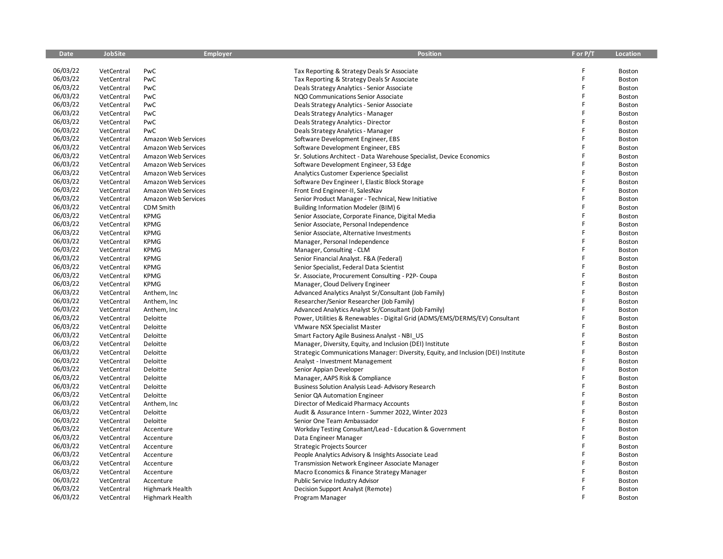| <b>Date</b> | <b>JobSite</b> | <b>Employer</b>        | <b>Position</b>                                                                    | F or P/T | <b>Location</b> |
|-------------|----------------|------------------------|------------------------------------------------------------------------------------|----------|-----------------|
|             |                |                        |                                                                                    |          |                 |
| 06/03/22    | VetCentral     | PwC                    | Tax Reporting & Strategy Deals Sr Associate                                        |          | Boston          |
| 06/03/22    | VetCentral     | PwC                    | Tax Reporting & Strategy Deals Sr Associate                                        | F        | Boston          |
| 06/03/22    | VetCentral     | PwC                    | Deals Strategy Analytics - Senior Associate                                        | F        | Boston          |
| 06/03/22    | VetCentral     | PwC                    | NQO Communications Senior Associate                                                | F        | <b>Boston</b>   |
| 06/03/22    | VetCentral     | PwC                    | Deals Strategy Analytics - Senior Associate                                        | F        | Boston          |
| 06/03/22    | VetCentral     | PwC                    | Deals Strategy Analytics - Manager                                                 | F        | Boston          |
| 06/03/22    | VetCentral     | PwC                    | Deals Strategy Analytics - Director                                                | F        | Boston          |
| 06/03/22    | VetCentral     | PwC                    | Deals Strategy Analytics - Manager                                                 | F        | Boston          |
| 06/03/22    | VetCentral     | Amazon Web Services    | Software Development Engineer, EBS                                                 | F        | Boston          |
| 06/03/22    | VetCentral     | Amazon Web Services    | Software Development Engineer, EBS                                                 | F        | <b>Boston</b>   |
| 06/03/22    | VetCentral     | Amazon Web Services    | Sr. Solutions Architect - Data Warehouse Specialist, Device Economics              | F        | Boston          |
| 06/03/22    | VetCentral     | Amazon Web Services    | Software Development Engineer, S3 Edge                                             | F        | Boston          |
| 06/03/22    | VetCentral     | Amazon Web Services    | Analytics Customer Experience Specialist                                           | F        | Boston          |
| 06/03/22    | VetCentral     | Amazon Web Services    | Software Dev Engineer I, Elastic Block Storage                                     | F        | <b>Boston</b>   |
| 06/03/22    | VetCentral     | Amazon Web Services    | Front End Engineer-II, SalesNav                                                    | F        | Boston          |
| 06/03/22    | VetCentral     | Amazon Web Services    | Senior Product Manager - Technical, New Initiative                                 | F        | Boston          |
| 06/03/22    | VetCentral     | CDM Smith              | Building Information Modeler (BIM) 6                                               |          | Boston          |
| 06/03/22    | VetCentral     | <b>KPMG</b>            | Senior Associate, Corporate Finance, Digital Media                                 | F        | <b>Boston</b>   |
| 06/03/22    | VetCentral     | <b>KPMG</b>            | Senior Associate, Personal Independence                                            | F        | Boston          |
| 06/03/22    | VetCentral     | <b>KPMG</b>            | Senior Associate, Alternative Investments                                          | F        | Boston          |
| 06/03/22    | VetCentral     | <b>KPMG</b>            | Manager, Personal Independence                                                     | F        | Boston          |
| 06/03/22    | VetCentral     | <b>KPMG</b>            | Manager, Consulting - CLM                                                          |          | Boston          |
| 06/03/22    | VetCentral     | <b>KPMG</b>            | Senior Financial Analyst. F&A (Federal)                                            | F        | Boston          |
| 06/03/22    | VetCentral     | <b>KPMG</b>            | Senior Specialist, Federal Data Scientist                                          | F        | Boston          |
| 06/03/22    | VetCentral     | <b>KPMG</b>            | Sr. Associate, Procurement Consulting - P2P- Coupa                                 | F        | Boston          |
| 06/03/22    | VetCentral     | <b>KPMG</b>            | Manager, Cloud Delivery Engineer                                                   | F        | <b>Boston</b>   |
| 06/03/22    | VetCentral     | Anthem, Inc            | Advanced Analytics Analyst Sr/Consultant (Job Family)                              | F        | Boston          |
| 06/03/22    | VetCentral     | Anthem, Inc            | Researcher/Senior Researcher (Job Family)                                          | F        | Boston          |
| 06/03/22    | VetCentral     | Anthem, Inc            | Advanced Analytics Analyst Sr/Consultant (Job Family)                              | F        | Boston          |
| 06/03/22    | VetCentral     | Deloitte               | Power, Utilities & Renewables - Digital Grid (ADMS/EMS/DERMS/EV) Consultant        | F        | <b>Boston</b>   |
| 06/03/22    | VetCentral     | Deloitte               | <b>VMware NSX Specialist Master</b>                                                |          | Boston          |
| 06/03/22    | VetCentral     | Deloitte               | Smart Factory Agile Business Analyst - NBI_US                                      | F        | Boston          |
| 06/03/22    | VetCentral     | Deloitte               | Manager, Diversity, Equity, and Inclusion (DEI) Institute                          |          | Boston          |
| 06/03/22    | VetCentral     | Deloitte               | Strategic Communications Manager: Diversity, Equity, and Inclusion (DEI) Institute |          | Boston          |
| 06/03/22    | VetCentral     | Deloitte               | Analyst - Investment Management                                                    | F        | Boston          |
| 06/03/22    | VetCentral     | Deloitte               | Senior Appian Developer                                                            |          | Boston          |
| 06/03/22    | VetCentral     | Deloitte               | Manager, AAPS Risk & Compliance                                                    | F        | Boston          |
| 06/03/22    | VetCentral     | Deloitte               | <b>Business Solution Analysis Lead-Advisory Research</b>                           | Ë        | Boston          |
| 06/03/22    | VetCentral     | Deloitte               | Senior QA Automation Engineer                                                      | F        | Boston          |
| 06/03/22    | VetCentral     | Anthem, Inc            | Director of Medicaid Pharmacy Accounts                                             | Ë        | Boston          |
| 06/03/22    | VetCentral     | Deloitte               | Audit & Assurance Intern - Summer 2022, Winter 2023                                | F        | Boston          |
| 06/03/22    | VetCentral     | Deloitte               | Senior One Team Ambassador                                                         | F        | Boston          |
| 06/03/22    | VetCentral     | Accenture              | Workday Testing Consultant/Lead - Education & Government                           | F        | Boston          |
| 06/03/22    | VetCentral     | Accenture              | Data Engineer Manager                                                              | F        | Boston          |
| 06/03/22    | VetCentral     | Accenture              | Strategic Projects Sourcer                                                         | F        | Boston          |
| 06/03/22    | VetCentral     | Accenture              | People Analytics Advisory & Insights Associate Lead                                | F        | Boston          |
| 06/03/22    | VetCentral     | Accenture              | Transmission Network Engineer Associate Manager                                    | F        | Boston          |
| 06/03/22    | VetCentral     | Accenture              | Macro Economics & Finance Strategy Manager                                         | F        | Boston          |
| 06/03/22    | VetCentral     | Accenture              | Public Service Industry Advisor                                                    |          | Boston          |
| 06/03/22    | VetCentral     | Highmark Health        | Decision Support Analyst (Remote)                                                  | F        | Boston          |
| 06/03/22    | VetCentral     | <b>Highmark Health</b> | Program Manager                                                                    | F        | Boston          |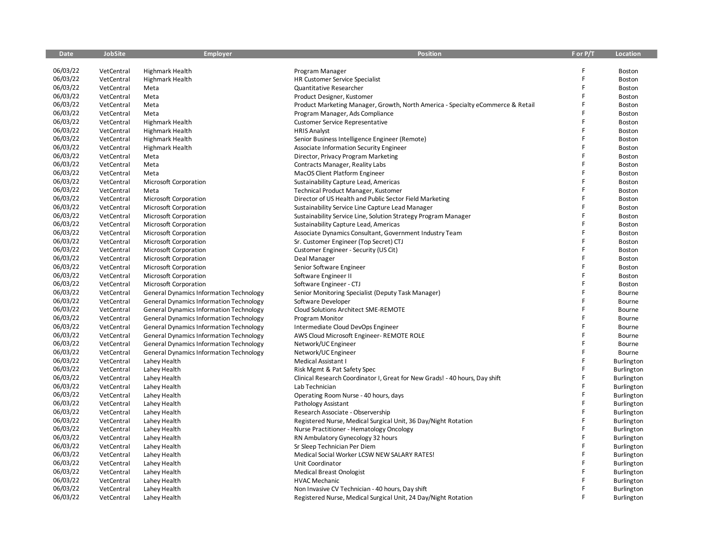| <b>Date</b> | <b>JobSite</b> | <b>Employer</b>                                | <b>Position</b>                                                                 | F or P/T | <b>Location</b> |
|-------------|----------------|------------------------------------------------|---------------------------------------------------------------------------------|----------|-----------------|
|             |                |                                                |                                                                                 |          |                 |
| 06/03/22    | VetCentral     | <b>Highmark Health</b>                         | Program Manager                                                                 | F        | Boston          |
| 06/03/22    | VetCentral     | <b>Highmark Health</b>                         | HR Customer Service Specialist                                                  | F        | Boston          |
| 06/03/22    | VetCentral     | Meta                                           | Quantitative Researcher                                                         | F        | Boston          |
| 06/03/22    | VetCentral     | Meta                                           | Product Designer, Kustomer                                                      | F        | Boston          |
| 06/03/22    | VetCentral     | Meta                                           | Product Marketing Manager, Growth, North America - Specialty eCommerce & Retail | F        | Boston          |
| 06/03/22    | VetCentral     | Meta                                           | Program Manager, Ads Compliance                                                 |          | Boston          |
| 06/03/22    | VetCentral     | <b>Highmark Health</b>                         | <b>Customer Service Representative</b>                                          | F        | Boston          |
| 06/03/22    | VetCentral     | <b>Highmark Health</b>                         | <b>HRIS Analyst</b>                                                             | F        | Boston          |
| 06/03/22    | VetCentral     | Highmark Health                                | Senior Business Intelligence Engineer (Remote)                                  | F        | Boston          |
| 06/03/22    | VetCentral     | Highmark Health                                | Associate Information Security Engineer                                         | F        | Boston          |
| 06/03/22    | VetCentral     | Meta                                           | Director, Privacy Program Marketing                                             | F        | Boston          |
| 06/03/22    | VetCentral     | Meta                                           | Contracts Manager, Reality Labs                                                 |          | Boston          |
| 06/03/22    | VetCentral     | Meta                                           | <b>MacOS Client Platform Engineer</b>                                           | F        | Boston          |
| 06/03/22    | VetCentral     | Microsoft Corporation                          | Sustainability Capture Lead, Americas                                           | F        | Boston          |
| 06/03/22    | VetCentral     | Meta                                           | Technical Product Manager, Kustomer                                             | F        | Boston          |
| 06/03/22    | VetCentral     | Microsoft Corporation                          | Director of US Health and Public Sector Field Marketing                         | F        | Boston          |
| 06/03/22    | VetCentral     | Microsoft Corporation                          | Sustainability Service Line Capture Lead Manager                                | F        | Boston          |
| 06/03/22    | VetCentral     | Microsoft Corporation                          | Sustainability Service Line, Solution Strategy Program Manager                  | F        | Boston          |
| 06/03/22    | VetCentral     | Microsoft Corporation                          | Sustainability Capture Lead, Americas                                           | F        | Boston          |
| 06/03/22    | VetCentral     | Microsoft Corporation                          | Associate Dynamics Consultant, Government Industry Team                         | F        | Boston          |
| 06/03/22    | VetCentral     | Microsoft Corporation                          | Sr. Customer Engineer (Top Secret) CTJ                                          | F        | Boston          |
| 06/03/22    | VetCentral     | Microsoft Corporation                          | Customer Engineer - Security (US Cit)                                           | F        | Boston          |
| 06/03/22    | VetCentral     | Microsoft Corporation                          | Deal Manager                                                                    | F        | Boston          |
| 06/03/22    | VetCentral     | Microsoft Corporation                          | Senior Software Engineer                                                        | F        | Boston          |
| 06/03/22    | VetCentral     | Microsoft Corporation                          | Software Engineer II                                                            | F        | Boston          |
| 06/03/22    | VetCentral     | Microsoft Corporation                          | Software Engineer - CTJ                                                         | F        | Boston          |
| 06/03/22    | VetCentral     | <b>General Dynamics Information Technology</b> | Senior Monitoring Specialist (Deputy Task Manager)                              | F        | Bourne          |
| 06/03/22    | VetCentral     | <b>General Dynamics Information Technology</b> | Software Developer                                                              | F        | Bourne          |
| 06/03/22    | VetCentral     | <b>General Dynamics Information Technology</b> | Cloud Solutions Architect SME-REMOTE                                            | F        | Bourne          |
| 06/03/22    | VetCentral     | <b>General Dynamics Information Technology</b> | Program Monitor                                                                 | F        | Bourne          |
| 06/03/22    | VetCentral     | <b>General Dynamics Information Technology</b> | Intermediate Cloud DevOps Engineer                                              | F        | Bourne          |
| 06/03/22    | VetCentral     | <b>General Dynamics Information Technology</b> | AWS Cloud Microsoft Engineer-REMOTE ROLE                                        | F        | Bourne          |
| 06/03/22    | VetCentral     | <b>General Dynamics Information Technology</b> | Network/UC Engineer                                                             | F        | Bourne          |
| 06/03/22    | VetCentral     | <b>General Dynamics Information Technology</b> | Network/UC Engineer                                                             | F        | Bourne          |
| 06/03/22    | VetCentral     | Lahey Health                                   | Medical Assistant I                                                             | F        | Burlington      |
| 06/03/22    | VetCentral     | Lahey Health                                   | Risk Mgmt & Pat Safety Spec                                                     | F        | Burlington      |
| 06/03/22    | VetCentral     | Lahey Health                                   | Clinical Research Coordinator I, Great for New Grads! - 40 hours, Day shift     | F        | Burlington      |
| 06/03/22    | VetCentral     | Lahey Health                                   | Lab Technician                                                                  | F        | Burlington      |
| 06/03/22    | VetCentral     | Lahey Health                                   | Operating Room Nurse - 40 hours, days                                           | F        | Burlington      |
| 06/03/22    | VetCentral     | Lahey Health                                   | Pathology Assistant                                                             | F        | Burlington      |
| 06/03/22    | VetCentral     | Lahey Health                                   | Research Associate - Observership                                               | F        | Burlington      |
| 06/03/22    | VetCentral     | Lahey Health                                   | Registered Nurse, Medical Surgical Unit, 36 Day/Night Rotation                  | F        | Burlington      |
| 06/03/22    | VetCentral     | Lahey Health                                   | Nurse Practitioner - Hematology Oncology                                        | F        | Burlington      |
| 06/03/22    | VetCentral     | Lahey Health                                   | RN Ambulatory Gynecology 32 hours                                               | F        | Burlington      |
| 06/03/22    | VetCentral     | Lahey Health                                   | Sr Sleep Technician Per Diem                                                    | F        | Burlington      |
| 06/03/22    | VetCentral     | Lahey Health                                   | Medical Social Worker LCSW NEW SALARY RATES!                                    | F        | Burlington      |
| 06/03/22    | VetCentral     | Lahey Health                                   | Unit Coordinator                                                                | F        | Burlington      |
| 06/03/22    | VetCentral     | Lahey Health                                   | <b>Medical Breast Onologist</b>                                                 |          | Burlington      |
| 06/03/22    | VetCentral     | Lahey Health                                   | <b>HVAC Mechanic</b>                                                            |          | Burlington      |
| 06/03/22    | VetCentral     | Lahey Health                                   | Non Invasive CV Technician - 40 hours, Day shift                                | F        | Burlington      |
| 06/03/22    | VetCentral     | Lahey Health                                   | Registered Nurse, Medical Surgical Unit, 24 Day/Night Rotation                  | F        | Burlington      |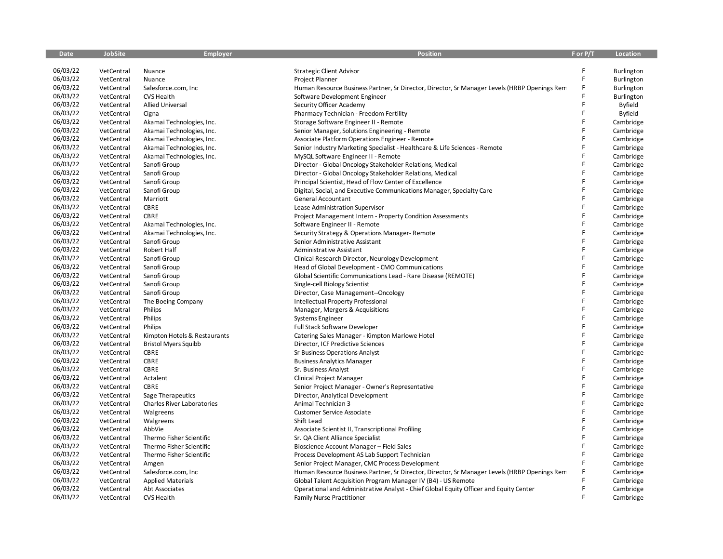| Date     | JobSite    | <b>Employer</b>              | Position                                                                                     | F or P/T | Location       |
|----------|------------|------------------------------|----------------------------------------------------------------------------------------------|----------|----------------|
|          |            |                              |                                                                                              |          |                |
| 06/03/22 | VetCentral | Nuance                       | <b>Strategic Client Advisor</b>                                                              | F        | Burlington     |
| 06/03/22 | VetCentral | Nuance                       | Project Planner                                                                              | F        | Burlington     |
| 06/03/22 | VetCentral | Salesforce.com, Inc          | Human Resource Business Partner, Sr Director, Director, Sr Manager Levels (HRBP Openings Rem |          | Burlington     |
| 06/03/22 | VetCentral | CVS Health                   | Software Development Engineer                                                                |          | Burlington     |
| 06/03/22 | VetCentral | <b>Allied Universal</b>      | Security Officer Academy                                                                     | F        | <b>Byfield</b> |
| 06/03/22 | VetCentral | Cigna                        | Pharmacy Technician - Freedom Fertility                                                      | F        | Byfield        |
| 06/03/22 | VetCentral | Akamai Technologies, Inc.    | Storage Software Engineer II - Remote                                                        | F        | Cambridge      |
| 06/03/22 | VetCentral | Akamai Technologies, Inc.    | Senior Manager, Solutions Engineering - Remote                                               | F        | Cambridge      |
| 06/03/22 | VetCentral | Akamai Technologies, Inc.    | Associate Platform Operations Engineer - Remote                                              | F        | Cambridge      |
| 06/03/22 | VetCentral | Akamai Technologies, Inc.    | Senior Industry Marketing Specialist - Healthcare & Life Sciences - Remote                   | F        | Cambridge      |
| 06/03/22 | VetCentral | Akamai Technologies, Inc.    | MySQL Software Engineer II - Remote                                                          | F        | Cambridge      |
| 06/03/22 | VetCentral | Sanofi Group                 | Director - Global Oncology Stakeholder Relations, Medical                                    | F        | Cambridge      |
| 06/03/22 | VetCentral | Sanofi Group                 | Director - Global Oncology Stakeholder Relations, Medical                                    | F        | Cambridge      |
| 06/03/22 | VetCentral | Sanofi Group                 | Principal Scientist, Head of Flow Center of Excellence                                       | F        | Cambridge      |
| 06/03/22 | VetCentral | Sanofi Group                 | Digital, Social, and Executive Communications Manager, Specialty Care                        | F        | Cambridge      |
| 06/03/22 | VetCentral | Marriott                     | General Accountant                                                                           | F        | Cambridge      |
| 06/03/22 | VetCentral | CBRE                         | Lease Administration Supervisor                                                              | F        | Cambridge      |
| 06/03/22 | VetCentral | CBRE                         | Project Management Intern - Property Condition Assessments                                   | F        | Cambridge      |
| 06/03/22 | VetCentral | Akamai Technologies, Inc.    | Software Engineer II - Remote                                                                | F        | Cambridge      |
| 06/03/22 | VetCentral | Akamai Technologies, Inc.    | Security Strategy & Operations Manager-Remote                                                | F        | Cambridge      |
| 06/03/22 | VetCentral | Sanofi Group                 | Senior Administrative Assistant                                                              | F        | Cambridge      |
| 06/03/22 | VetCentral | Robert Half                  | Administrative Assistant                                                                     | F        | Cambridge      |
| 06/03/22 | VetCentral | Sanofi Group                 | Clinical Research Director, Neurology Development                                            | F        | Cambridge      |
| 06/03/22 | VetCentral | Sanofi Group                 | Head of Global Development - CMO Communications                                              | F        | Cambridge      |
| 06/03/22 | VetCentral | Sanofi Group                 | Global Scientific Communications Lead - Rare Disease (REMOTE)                                | F        | Cambridge      |
| 06/03/22 | VetCentral | Sanofi Group                 | Single-cell Biology Scientist                                                                | F        | Cambridge      |
| 06/03/22 | VetCentral | Sanofi Group                 | Director, Case Management--Oncology                                                          | F        | Cambridge      |
| 06/03/22 | VetCentral | The Boeing Company           | Intellectual Property Professional                                                           | F        | Cambridge      |
| 06/03/22 | VetCentral | Philips                      | Manager, Mergers & Acquisitions                                                              | F        | Cambridge      |
| 06/03/22 | VetCentral | Philips                      | Systems Engineer                                                                             | F        | Cambridge      |
| 06/03/22 | VetCentral | Philips                      | Full Stack Software Developer                                                                | F        | Cambridge      |
| 06/03/22 | VetCentral | Kimpton Hotels & Restaurants | Catering Sales Manager - Kimpton Marlowe Hotel                                               | F        | Cambridge      |
| 06/03/22 | VetCentral |                              | Director, ICF Predictive Sciences                                                            | F        |                |
| 06/03/22 |            | <b>Bristol Myers Squibb</b>  |                                                                                              | F        | Cambridge      |
| 06/03/22 | VetCentral | CBRE                         | Sr Business Operations Analyst                                                               | F        | Cambridge      |
| 06/03/22 | VetCentral | <b>CBRE</b>                  | <b>Business Analytics Manager</b>                                                            | F        | Cambridge      |
| 06/03/22 | VetCentral | CBRE                         | Sr. Business Analyst                                                                         | F        | Cambridge      |
| 06/03/22 | VetCentral | Actalent                     | Clinical Project Manager                                                                     | F        | Cambridge      |
|          | VetCentral | <b>CBRE</b>                  | Senior Project Manager - Owner's Representative                                              | F        | Cambridge      |
| 06/03/22 | VetCentral | Sage Therapeutics            | Director, Analytical Development                                                             | F        | Cambridge      |
| 06/03/22 | VetCentral | Charles River Laboratories   | Animal Technician 3                                                                          | F        | Cambridge      |
| 06/03/22 | VetCentral | Walgreens                    | <b>Customer Service Associate</b>                                                            |          | Cambridge      |
| 06/03/22 | VetCentral | Walgreens                    | Shift Lead                                                                                   | F        | Cambridge      |
| 06/03/22 | VetCentral | AbbVie                       | Associate Scientist II, Transcriptional Profiling                                            | F        | Cambridge      |
| 06/03/22 | VetCentral | Thermo Fisher Scientific     | Sr. QA Client Alliance Specialist                                                            | F        | Cambridge      |
| 06/03/22 | VetCentral | Thermo Fisher Scientific     | Bioscience Account Manager - Field Sales                                                     | F        | Cambridge      |
| 06/03/22 | VetCentral | Thermo Fisher Scientific     | Process Development AS Lab Support Technician                                                | F        | Cambridge      |
| 06/03/22 | VetCentral | Amgen                        | Senior Project Manager, CMC Process Development                                              | F        | Cambridge      |
| 06/03/22 | VetCentral | Salesforce.com, Inc          | Human Resource Business Partner, Sr Director, Director, Sr Manager Levels (HRBP Openings Rem |          | Cambridge      |
| 06/03/22 | VetCentral | <b>Applied Materials</b>     | Global Talent Acquisition Program Manager IV (B4) - US Remote                                |          | Cambridge      |
| 06/03/22 | VetCentral | Abt Associates               | Operational and Administrative Analyst - Chief Global Equity Officer and Equity Center       | F        | Cambridge      |
| 06/03/22 | VetCentral | <b>CVS Health</b>            | <b>Family Nurse Practitioner</b>                                                             | F        | Cambridge      |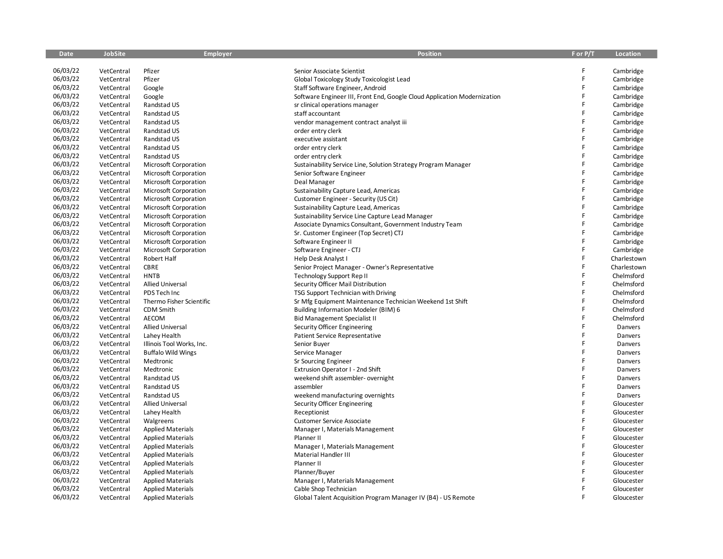| <b>Date</b> | <b>JobSite</b> | Employer                  | <b>Position</b>                                                          | F or P/T | <b>Location</b> |
|-------------|----------------|---------------------------|--------------------------------------------------------------------------|----------|-----------------|
|             |                |                           |                                                                          |          |                 |
| 06/03/22    | VetCentral     | Pfizer                    | Senior Associate Scientist                                               | F        | Cambridge       |
| 06/03/22    | VetCentral     | Pfizer                    | Global Toxicology Study Toxicologist Lead                                | F        | Cambridge       |
| 06/03/22    | VetCentral     | Google                    | Staff Software Engineer, Android                                         | F        | Cambridge       |
| 06/03/22    | VetCentral     | Google                    | Software Engineer III, Front End, Google Cloud Application Modernization | F        | Cambridge       |
| 06/03/22    | VetCentral     | Randstad US               | sr clinical operations manager                                           | F        | Cambridge       |
| 06/03/22    | VetCentral     | Randstad US               | staff accountant                                                         | F        | Cambridge       |
| 06/03/22    | VetCentral     | Randstad US               | vendor management contract analyst iii                                   | F        | Cambridge       |
| 06/03/22    | VetCentral     | Randstad US               | order entry clerk                                                        | F        | Cambridge       |
| 06/03/22    | VetCentral     | Randstad US               | executive assistant                                                      | F        | Cambridge       |
| 06/03/22    | VetCentral     | Randstad US               | order entry clerk                                                        | F        | Cambridge       |
| 06/03/22    | VetCentral     | Randstad US               | order entry clerk                                                        | F        | Cambridge       |
| 06/03/22    | VetCentral     | Microsoft Corporation     | Sustainability Service Line, Solution Strategy Program Manager           | F        | Cambridge       |
| 06/03/22    | VetCentral     | Microsoft Corporation     | Senior Software Engineer                                                 | F        | Cambridge       |
| 06/03/22    | VetCentral     | Microsoft Corporation     | Deal Manager                                                             | F        | Cambridge       |
| 06/03/22    | VetCentral     | Microsoft Corporation     | Sustainability Capture Lead, Americas                                    | F        | Cambridge       |
| 06/03/22    | VetCentral     | Microsoft Corporation     | Customer Engineer - Security (US Cit)                                    | F        | Cambridge       |
| 06/03/22    | VetCentral     | Microsoft Corporation     | Sustainability Capture Lead, Americas                                    | F        | Cambridge       |
| 06/03/22    | VetCentral     | Microsoft Corporation     | Sustainability Service Line Capture Lead Manager                         | F        | Cambridge       |
| 06/03/22    | VetCentral     | Microsoft Corporation     | Associate Dynamics Consultant, Government Industry Team                  | F        | Cambridge       |
| 06/03/22    | VetCentral     | Microsoft Corporation     | Sr. Customer Engineer (Top Secret) CTJ                                   | F        | Cambridge       |
| 06/03/22    | VetCentral     | Microsoft Corporation     | Software Engineer II                                                     | F        | Cambridge       |
| 06/03/22    | VetCentral     | Microsoft Corporation     | Software Engineer - CTJ                                                  | F        | Cambridge       |
| 06/03/22    | VetCentral     | Robert Half               | Help Desk Analyst I                                                      | F        | Charlestown     |
| 06/03/22    | VetCentral     | <b>CBRE</b>               | Senior Project Manager - Owner's Representative                          | Ë        | Charlestown     |
| 06/03/22    | VetCentral     | <b>HNTB</b>               | Technology Support Rep II                                                | F        | Chelmsford      |
| 06/03/22    | VetCentral     | <b>Allied Universal</b>   | Security Officer Mail Distribution                                       | F        | Chelmsford      |
| 06/03/22    | VetCentral     | PDS Tech Inc              | TSG Support Technician with Driving                                      | F        | Chelmsford      |
| 06/03/22    | VetCentral     | Thermo Fisher Scientific  | Sr Mfg Equipment Maintenance Technician Weekend 1st Shift                | F        | Chelmsford      |
| 06/03/22    | VetCentral     | CDM Smith                 | Building Information Modeler (BIM) 6                                     | F        | Chelmsford      |
| 06/03/22    | VetCentral     | AECOM                     | <b>Bid Management Specialist II</b>                                      | F        | Chelmsford      |
| 06/03/22    | VetCentral     | <b>Allied Universal</b>   | Security Officer Engineering                                             | F        | Danvers         |
| 06/03/22    | VetCentral     | Lahey Health              | Patient Service Representative                                           | F        | Danvers         |
| 06/03/22    | VetCentral     | Illinois Tool Works, Inc. | Senior Buyer                                                             | F        | Danvers         |
| 06/03/22    | VetCentral     | <b>Buffalo Wild Wings</b> | Service Manager                                                          | F        | Danvers         |
| 06/03/22    | VetCentral     | Medtronic                 | Sr Sourcing Engineer                                                     | F        | Danvers         |
| 06/03/22    | VetCentral     | Medtronic                 | Extrusion Operator I - 2nd Shift                                         | F        | Danvers         |
| 06/03/22    | VetCentral     | Randstad US               | weekend shift assembler- overnight                                       | F        | Danvers         |
| 06/03/22    | VetCentral     | Randstad US               | assembler                                                                | Ë        | Danvers         |
| 06/03/22    | VetCentral     | Randstad US               | weekend manufacturing overnights                                         | F        | Danvers         |
| 06/03/22    | VetCentral     | <b>Allied Universal</b>   | Security Officer Engineering                                             | F        | Gloucester      |
| 06/03/22    | VetCentral     | Lahey Health              | Receptionist                                                             | F        | Gloucester      |
| 06/03/22    | VetCentral     | Walgreens                 | <b>Customer Service Associate</b>                                        | F.       | Gloucester      |
| 06/03/22    | VetCentral     | <b>Applied Materials</b>  | Manager I, Materials Management                                          | F        | Gloucester      |
| 06/03/22    | VetCentral     | <b>Applied Materials</b>  | Planner II                                                               | F        | Gloucester      |
| 06/03/22    | VetCentral     | <b>Applied Materials</b>  | Manager I, Materials Management                                          | F        | Gloucester      |
| 06/03/22    | VetCentral     | <b>Applied Materials</b>  | Material Handler III                                                     | F        | Gloucester      |
| 06/03/22    | VetCentral     | <b>Applied Materials</b>  | Planner II                                                               | F        | Gloucester      |
| 06/03/22    | VetCentral     | <b>Applied Materials</b>  | Planner/Buyer                                                            | F        | Gloucester      |
| 06/03/22    | VetCentral     | <b>Applied Materials</b>  | Manager I, Materials Management                                          |          | Gloucester      |
| 06/03/22    | VetCentral     | <b>Applied Materials</b>  | Cable Shop Technician                                                    | F        | Gloucester      |
| 06/03/22    | VetCentral     | <b>Applied Materials</b>  | Global Talent Acquisition Program Manager IV (B4) - US Remote            | F        | Gloucester      |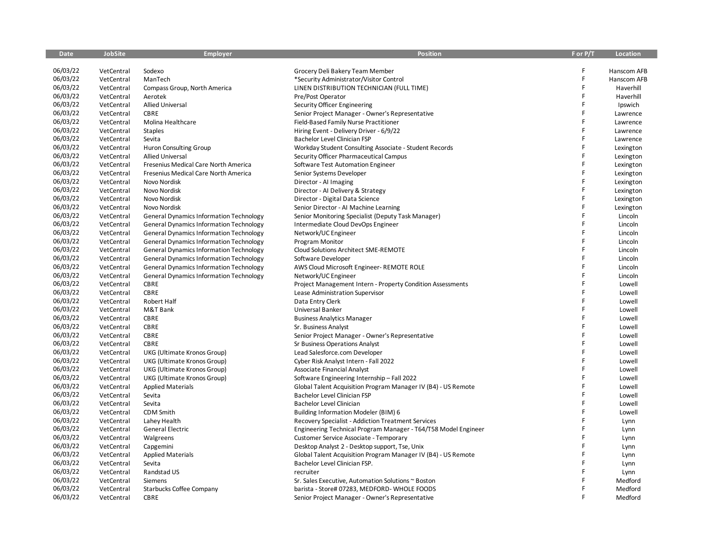| <b>Date</b> | <b>JobSite</b> | <b>Employer</b>                                | <b>Position</b>                                                | F or P/T    | Location    |
|-------------|----------------|------------------------------------------------|----------------------------------------------------------------|-------------|-------------|
|             |                |                                                |                                                                |             |             |
| 06/03/22    | VetCentral     | Sodexo                                         | Grocery Deli Bakery Team Member                                | F           | Hanscom AFB |
| 06/03/22    | VetCentral     | ManTech                                        | *Security Administrator/Visitor Control                        | $\mathsf F$ | Hanscom AFB |
| 06/03/22    | VetCentral     | Compass Group, North America                   | LINEN DISTRIBUTION TECHNICIAN (FULL TIME)                      | F           | Haverhill   |
| 06/03/22    | VetCentral     | Aerotek                                        | Pre/Post Operator                                              | F           | Haverhill   |
| 06/03/22    | VetCentral     | <b>Allied Universal</b>                        | Security Officer Engineering                                   | F           | Ipswich     |
| 06/03/22    | VetCentral     | CBRE                                           | Senior Project Manager - Owner's Representative                | F           | Lawrence    |
| 06/03/22    | VetCentral     | Molina Healthcare                              | Field-Based Family Nurse Practitioner                          | F           | Lawrence    |
| 06/03/22    | VetCentral     | <b>Staples</b>                                 | Hiring Event - Delivery Driver - 6/9/22                        | F           | Lawrence    |
| 06/03/22    | VetCentral     | Sevita                                         | Bachelor Level Clinician FSP                                   | F           | Lawrence    |
| 06/03/22    | VetCentral     | <b>Huron Consulting Group</b>                  | Workday Student Consulting Associate - Student Records         | F           | Lexington   |
| 06/03/22    | VetCentral     | <b>Allied Universal</b>                        | Security Officer Pharmaceutical Campus                         | F           | Lexington   |
| 06/03/22    | VetCentral     | Fresenius Medical Care North America           | Software Test Automation Engineer                              | F           | Lexington   |
| 06/03/22    | VetCentral     | Fresenius Medical Care North America           | Senior Systems Developer                                       | F           | Lexington   |
| 06/03/22    | VetCentral     | Novo Nordisk                                   | Director - Al Imaging                                          | F           | Lexington   |
| 06/03/22    | VetCentral     | Novo Nordisk                                   | Director - AI Delivery & Strategy                              | F           | Lexington   |
| 06/03/22    | VetCentral     | Novo Nordisk                                   | Director - Digital Data Science                                | F           | Lexington   |
| 06/03/22    | VetCentral     | Novo Nordisk                                   | Senior Director - Al Machine Learning                          | F           | Lexington   |
| 06/03/22    | VetCentral     | <b>General Dynamics Information Technology</b> | Senior Monitoring Specialist (Deputy Task Manager)             | F           | Lincoln     |
| 06/03/22    | VetCentral     | <b>General Dynamics Information Technology</b> | Intermediate Cloud DevOps Engineer                             | F           | Lincoln     |
| 06/03/22    | VetCentral     | <b>General Dynamics Information Technology</b> | Network/UC Engineer                                            | F           | Lincoln     |
| 06/03/22    | VetCentral     | <b>General Dynamics Information Technology</b> | <b>Program Monitor</b>                                         | F           | Lincoln     |
| 06/03/22    | VetCentral     | <b>General Dynamics Information Technology</b> | Cloud Solutions Architect SME-REMOTE                           | F           | Lincoln     |
| 06/03/22    | VetCentral     | <b>General Dynamics Information Technology</b> | Software Developer                                             | F           | Lincoln     |
| 06/03/22    | VetCentral     | <b>General Dynamics Information Technology</b> | AWS Cloud Microsoft Engineer-REMOTE ROLE                       | F           | Lincoln     |
| 06/03/22    | VetCentral     | <b>General Dynamics Information Technology</b> | Network/UC Engineer                                            | F           | Lincoln     |
| 06/03/22    | VetCentral     | CBRE                                           | Project Management Intern - Property Condition Assessments     | F           | Lowell      |
| 06/03/22    | VetCentral     | CBRE                                           | Lease Administration Supervisor                                | F           | Lowell      |
| 06/03/22    | VetCentral     | Robert Half                                    | Data Entry Clerk                                               | F           | Lowell      |
| 06/03/22    | VetCentral     | M&T Bank                                       | Universal Banker                                               | F           | Lowell      |
| 06/03/22    | VetCentral     | <b>CBRE</b>                                    | <b>Business Analytics Manager</b>                              | F           | Lowell      |
| 06/03/22    | VetCentral     | CBRE                                           | Sr. Business Analyst                                           | F           | Lowell      |
| 06/03/22    | VetCentral     | CBRE                                           | Senior Project Manager - Owner's Representative                | F           | Lowell      |
| 06/03/22    | VetCentral     | CBRE                                           | Sr Business Operations Analyst                                 | F           | Lowell      |
| 06/03/22    | VetCentral     | UKG (Ultimate Kronos Group)                    | Lead Salesforce.com Developer                                  | F           | Lowell      |
| 06/03/22    | VetCentral     | UKG (Ultimate Kronos Group)                    | Cyber Risk Analyst Intern - Fall 2022                          | F           | Lowell      |
| 06/03/22    | VetCentral     | UKG (Ultimate Kronos Group)                    | Associate Financial Analyst                                    | F           | Lowell      |
| 06/03/22    | VetCentral     | UKG (Ultimate Kronos Group)                    | Software Engineering Internship - Fall 2022                    | F           | Lowell      |
| 06/03/22    | VetCentral     | <b>Applied Materials</b>                       | Global Talent Acquisition Program Manager IV (B4) - US Remote  | F           | Lowell      |
| 06/03/22    | VetCentral     | Sevita                                         | Bachelor Level Clinician FSP                                   | F           | Lowell      |
| 06/03/22    | VetCentral     | Sevita                                         | Bachelor Level Clinician                                       | F           | Lowell      |
| 06/03/22    | VetCentral     | CDM Smith                                      | Building Information Modeler (BIM) 6                           | F           | Lowell      |
| 06/03/22    | VetCentral     | Lahey Health                                   | Recovery Specialist - Addiction Treatment Services             | F           | Lynn        |
| 06/03/22    | VetCentral     | <b>General Electric</b>                        | Engineering Technical Program Manager - T64/T58 Model Engineer | F           | Lynn        |
| 06/03/22    | VetCentral     | Walgreens                                      | Customer Service Associate - Temporary                         | F           | Lynn        |
| 06/03/22    | VetCentral     | Capgemini                                      | Desktop Analyst 2 - Desktop support, Tse, Unix                 | F           | Lynn        |
| 06/03/22    | VetCentral     | <b>Applied Materials</b>                       | Global Talent Acquisition Program Manager IV (B4) - US Remote  | F           | Lynn        |
| 06/03/22    | VetCentral     | Sevita                                         | Bachelor Level Clinician FSP.                                  | F           | Lynn        |
| 06/03/22    | VetCentral     | Randstad US                                    | recruiter                                                      | F           | Lynn        |
| 06/03/22    | VetCentral     | Siemens                                        | Sr. Sales Executive, Automation Solutions ~ Boston             | F           | Medford     |
| 06/03/22    | VetCentral     | <b>Starbucks Coffee Company</b>                | barista - Store# 07283, MEDFORD-WHOLE FOODS                    | F           | Medford     |
| 06/03/22    | VetCentral     | <b>CBRE</b>                                    | Senior Project Manager - Owner's Representative                | F           | Medford     |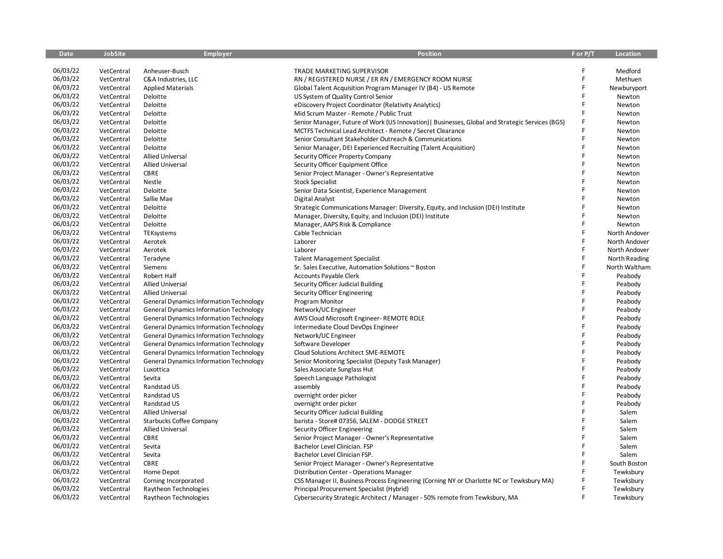| <b>Date</b> | <b>JobSite</b> | <b>Employer</b>                                | <b>Position</b>                                                                                  | F or P/T | <b>Location</b> |
|-------------|----------------|------------------------------------------------|--------------------------------------------------------------------------------------------------|----------|-----------------|
|             |                |                                                |                                                                                                  |          |                 |
| 06/03/22    | VetCentral     | Anheuser-Busch                                 | TRADE MARKETING SUPERVISOR                                                                       | F        | Medford         |
| 06/03/22    | VetCentral     | C&A Industries, LLC                            | RN / REGISTERED NURSE / ER RN / EMERGENCY ROOM NURSE                                             | F        | Methuen         |
| 06/03/22    | VetCentral     | <b>Applied Materials</b>                       | Global Talent Acquisition Program Manager IV (B4) - US Remote                                    | F        | Newburyport     |
| 06/03/22    | VetCentral     | Deloitte                                       | US System of Quality Control Senior                                                              | F        | Newton          |
| 06/03/22    | VetCentral     | Deloitte                                       | eDiscovery Project Coordinator (Relativity Analytics)                                            |          | Newton          |
| 06/03/22    | VetCentral     | Deloitte                                       | Mid Scrum Master - Remote / Public Trust                                                         |          | Newton          |
| 06/03/22    | VetCentral     | Deloitte                                       | Senior Manager, Future of Work (US Innovation)   Businesses, Global and Strategic Services (BGS) |          | Newton          |
| 06/03/22    | VetCentral     | Deloitte                                       | MCTFS Technical Lead Architect - Remote / Secret Clearance                                       | F        | Newton          |
| 06/03/22    | VetCentral     | Deloitte                                       | Senior Consultant Stakeholder Outreach & Communications                                          | F        | Newton          |
| 06/03/22    | VetCentral     | Deloitte                                       | Senior Manager, DEI Experienced Recruiting (Talent Acquisition)                                  | F        | Newton          |
| 06/03/22    | VetCentral     | <b>Allied Universal</b>                        | Security Officer Property Company                                                                | F        | Newton          |
| 06/03/22    | VetCentral     | <b>Allied Universal</b>                        | Security Officer Equipment Office                                                                |          | Newton          |
| 06/03/22    | VetCentral     | CBRE                                           | Senior Project Manager - Owner's Representative                                                  | F        | Newton          |
| 06/03/22    | VetCentral     | Nestle                                         | <b>Stock Specialist</b>                                                                          | Ē        | Newton          |
| 06/03/22    | VetCentral     | Deloitte                                       | Senior Data Scientist, Experience Management                                                     | F        | Newton          |
| 06/03/22    | VetCentral     | Sallie Mae                                     | Digital Analyst                                                                                  |          | Newton          |
| 06/03/22    | VetCentral     | Deloitte                                       | Strategic Communications Manager: Diversity, Equity, and Inclusion (DEI) Institute               |          | Newton          |
| 06/03/22    | VetCentral     | Deloitte                                       | Manager, Diversity, Equity, and Inclusion (DEI) Institute                                        |          | Newton          |
| 06/03/22    | VetCentral     | Deloitte                                       | Manager, AAPS Risk & Compliance                                                                  | F        | Newton          |
| 06/03/22    | VetCentral     | TEKsystems                                     | Cable Technician                                                                                 | F        | North Andover   |
| 06/03/22    | VetCentral     | Aerotek                                        | Laborer                                                                                          | F        | North Andover   |
| 06/03/22    | VetCentral     | Aerotek                                        | Laborer                                                                                          | F        | North Andover   |
| 06/03/22    | VetCentral     | Teradyne                                       | <b>Talent Management Specialist</b>                                                              | F        | North Reading   |
| 06/03/22    | VetCentral     | Siemens                                        | Sr. Sales Executive, Automation Solutions ~ Boston                                               | F        | North Waltham   |
| 06/03/22    | VetCentral     | Robert Half                                    | <b>Accounts Payable Clerk</b>                                                                    | F        | Peabody         |
| 06/03/22    | VetCentral     | <b>Allied Universal</b>                        | Security Officer Judicial Building                                                               | F        | Peabody         |
| 06/03/22    | VetCentral     | <b>Allied Universal</b>                        | Security Officer Engineering                                                                     | F        | Peabody         |
| 06/03/22    | VetCentral     | <b>General Dynamics Information Technology</b> | Program Monitor                                                                                  | F        | Peabody         |
| 06/03/22    | VetCentral     | <b>General Dynamics Information Technology</b> | Network/UC Engineer                                                                              | F        | Peabody         |
| 06/03/22    | VetCentral     | <b>General Dynamics Information Technology</b> | AWS Cloud Microsoft Engineer-REMOTE ROLE                                                         | F        | Peabody         |
| 06/03/22    | VetCentral     | <b>General Dynamics Information Technology</b> | Intermediate Cloud DevOps Engineer                                                               |          | Peabody         |
| 06/03/22    | VetCentral     | <b>General Dynamics Information Technology</b> | Network/UC Engineer                                                                              | F        | Peabody         |
| 06/03/22    | VetCentral     | <b>General Dynamics Information Technology</b> | Software Developer                                                                               | F        | Peabody         |
| 06/03/22    | VetCentral     | <b>General Dynamics Information Technology</b> | <b>Cloud Solutions Architect SME-REMOTE</b>                                                      | F        | Peabody         |
| 06/03/22    | VetCentral     | <b>General Dynamics Information Technology</b> | Senior Monitoring Specialist (Deputy Task Manager)                                               | F        | Peabody         |
| 06/03/22    | VetCentral     | Luxottica                                      | Sales Associate Sunglass Hut                                                                     | F        | Peabody         |
| 06/03/22    | VetCentral     | Sevita                                         | Speech Language Pathologist                                                                      | F        | Peabody         |
| 06/03/22    | VetCentral     | Randstad US                                    | assembly                                                                                         | F        | Peabody         |
| 06/03/22    | VetCentral     | Randstad US                                    | overnight order picker                                                                           |          | Peabody         |
| 06/03/22    | VetCentral     | Randstad US                                    | overnight order picker                                                                           | F        | Peabody         |
| 06/03/22    | VetCentral     | <b>Allied Universal</b>                        | Security Officer Judicial Building                                                               | Ë        | Salem           |
| 06/03/22    | VetCentral     | Starbucks Coffee Company                       | barista - Store# 07356, SALEM - DODGE STREET                                                     | F        | Salem           |
| 06/03/22    | VetCentral     | <b>Allied Universal</b>                        | Security Officer Engineering                                                                     | F        | Salem           |
| 06/03/22    | VetCentral     | <b>CBRE</b>                                    | Senior Project Manager - Owner's Representative                                                  | F        | Salem           |
| 06/03/22    | VetCentral     | Sevita                                         | Bachelor Level Clinician. FSP                                                                    | F        | Salem           |
| 06/03/22    | VetCentral     | Sevita                                         | Bachelor Level Clinician FSP.                                                                    | F        | Salem           |
| 06/03/22    | VetCentral     | <b>CBRE</b>                                    | Senior Project Manager - Owner's Representative                                                  | F        | South Boston    |
| 06/03/22    | VetCentral     | Home Depot                                     | Distribution Center - Operations Manager                                                         |          | Tewksbury       |
| 06/03/22    | VetCentral     | Corning Incorporated                           | CSS Manager II, Business Process Engineering (Corning NY or Charlotte NC or Tewksbury MA)        |          | Tewksbury       |
| 06/03/22    | VetCentral     | Raytheon Technologies                          | Principal Procurement Specialist (Hybrid)                                                        | F        | Tewksbury       |
| 06/03/22    | VetCentral     | Raytheon Technologies                          | Cybersecurity Strategic Architect / Manager - 50% remote from Tewksbury, MA                      | F        | Tewksbury       |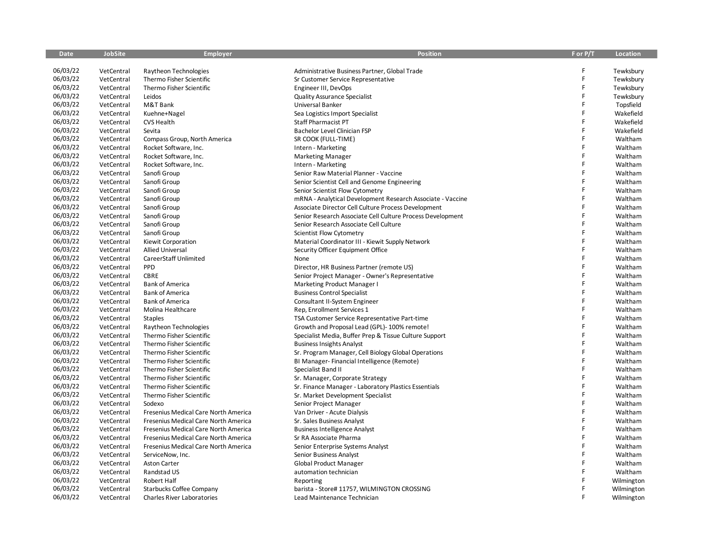| 06/03/22<br>F<br>VetCentral<br>Raytheon Technologies<br>Administrative Business Partner, Global Trade<br>Tewksbury<br>06/03/22<br>F<br>VetCentral<br>Thermo Fisher Scientific<br>Sr Customer Service Representative<br>Tewksbury<br>F<br>06/03/22<br>VetCentral<br>Thermo Fisher Scientific<br>Engineer III, DevOps<br>Tewksbury<br>06/03/22<br>F<br>VetCentral<br>Leidos<br>Quality Assurance Specialist<br>Tewksbury<br>06/03/22<br>F<br>VetCentral<br>M&T Bank<br>Universal Banker<br>Topsfield<br>06/03/22<br>F<br>Wakefield<br>VetCentral<br>Kuehne+Nagel<br>Sea Logistics Import Specialist<br>06/03/22<br>F<br>VetCentral<br><b>CVS Health</b><br><b>Staff Pharmacist PT</b><br>Wakefield<br>F<br>06/03/22<br>Wakefield<br>VetCentral<br>Sevita<br>Bachelor Level Clinician FSP<br>06/03/22<br>F<br>VetCentral<br>SR COOK (FULL-TIME)<br>Waltham<br>Compass Group, North America<br>06/03/22<br>F<br>VetCentral<br>Rocket Software, Inc.<br>Intern - Marketing<br>Waltham<br>F<br>06/03/22<br>Waltham<br>VetCentral<br>Rocket Software, Inc.<br><b>Marketing Manager</b><br>06/03/22<br>F<br>VetCentral<br>Rocket Software, Inc.<br>Waltham<br>Intern - Marketing<br>06/03/22<br>F<br>Waltham<br>VetCentral<br>Sanofi Group<br>Senior Raw Material Planner - Vaccine<br>F<br>06/03/22<br>VetCentral<br>Sanofi Group<br>Waltham<br>Senior Scientist Cell and Genome Engineering<br>06/03/22<br>F<br>VetCentral<br>Sanofi Group<br>Waltham<br>Senior Scientist Flow Cytometry<br>06/03/22<br>F<br>Sanofi Group<br>Waltham<br>VetCentral<br>mRNA - Analytical Development Research Associate - Vaccine<br>06/03/22<br>F<br>VetCentral<br>Sanofi Group<br>Associate Director Cell Culture Process Development<br>Waltham<br>06/03/22<br>F<br>Waltham<br>VetCentral<br>Sanofi Group<br>Senior Research Associate Cell Culture Process Development<br>06/03/22<br>F<br>VetCentral<br>Sanofi Group<br>Senior Research Associate Cell Culture<br>Waltham<br>06/03/22<br>F<br>VetCentral<br>Sanofi Group<br>Scientist Flow Cytometry<br>Waltham<br>06/03/22<br>F<br>Waltham<br>VetCentral<br>Kiewit Corporation<br>Material Coordinator III - Kiewit Supply Network<br>06/03/22<br>Ë<br>VetCentral<br><b>Allied Universal</b><br>Security Officer Equipment Office<br>Waltham<br>06/03/22<br>F<br>VetCentral<br>CareerStaff Unlimited<br>Waltham<br>None<br>06/03/22<br>F<br>PPD<br>VetCentral<br>Director, HR Business Partner (remote US)<br>Waltham<br>06/03/22<br>F<br>VetCentral<br><b>CBRE</b><br>Waltham<br>Senior Project Manager - Owner's Representative<br>06/03/22<br>F<br><b>Bank of America</b><br>Waltham<br>VetCentral<br>Marketing Product Manager I<br>06/03/22<br>F<br><b>Bank of America</b><br>VetCentral<br><b>Business Control Specialist</b><br>Waltham<br>Ë<br>06/03/22<br><b>Bank of America</b><br>Waltham<br>VetCentral<br>Consultant II-System Engineer<br>06/03/22<br>F<br>VetCentral<br>Molina Healthcare<br>Rep, Enrollment Services 1<br>Waltham<br>F<br>06/03/22<br>Waltham<br>VetCentral<br><b>Staples</b><br>TSA Customer Service Representative Part-time<br>06/03/22<br>Ë<br>Waltham<br>VetCentral<br>Raytheon Technologies<br>Growth and Proposal Lead (GPL)-100% remote!<br>06/03/22<br>F<br>Waltham<br>VetCentral<br>Thermo Fisher Scientific<br>Specialist Media, Buffer Prep & Tissue Culture Support<br>F<br>06/03/22<br>VetCentral<br>Thermo Fisher Scientific<br><b>Business Insights Analyst</b><br>Waltham<br>06/03/22<br>F<br>VetCentral<br>Thermo Fisher Scientific<br>Sr. Program Manager, Cell Biology Global Operations<br>Waltham<br>F<br>06/03/22<br>VetCentral<br>Thermo Fisher Scientific<br>BI Manager-Financial Intelligence (Remote)<br>Waltham<br>06/03/22<br>F<br>VetCentral<br>Thermo Fisher Scientific<br>Specialist Band II<br>Waltham<br>06/03/22<br>F<br>Waltham<br>VetCentral<br>Thermo Fisher Scientific<br>Sr. Manager, Corporate Strategy<br>F<br>06/03/22<br>VetCentral<br>Thermo Fisher Scientific<br>Sr. Finance Manager - Laboratory Plastics Essentials<br>Waltham<br>06/03/22<br>F<br>VetCentral<br>Thermo Fisher Scientific<br>Sr. Market Development Specialist<br>Waltham<br>06/03/22<br>F<br>VetCentral<br>Sodexo<br>Senior Project Manager<br>Waltham<br>F<br>06/03/22<br>VetCentral<br>Fresenius Medical Care North America<br>Van Driver - Acute Dialysis<br>Waltham<br>06/03/22<br>F<br>VetCentral<br>Fresenius Medical Care North America<br>Sr. Sales Business Analyst<br>Waltham<br>F<br>06/03/22<br>VetCentral<br>Fresenius Medical Care North America<br>Waltham<br><b>Business Intelligence Analyst</b><br>06/03/22<br>F<br>VetCentral<br>Fresenius Medical Care North America<br>Sr RA Associate Pharma<br>Waltham<br>06/03/22<br>F<br>VetCentral<br>Fresenius Medical Care North America<br>Waltham<br>Senior Enterprise Systems Analyst<br>06/03/22<br>F<br>VetCentral<br>ServiceNow, Inc.<br>Senior Business Analyst<br>Waltham | <b>Date</b> | <b>JobSite</b> | <b>Employer</b> | <b>Position</b> | F or P/T | Location |
|------------------------------------------------------------------------------------------------------------------------------------------------------------------------------------------------------------------------------------------------------------------------------------------------------------------------------------------------------------------------------------------------------------------------------------------------------------------------------------------------------------------------------------------------------------------------------------------------------------------------------------------------------------------------------------------------------------------------------------------------------------------------------------------------------------------------------------------------------------------------------------------------------------------------------------------------------------------------------------------------------------------------------------------------------------------------------------------------------------------------------------------------------------------------------------------------------------------------------------------------------------------------------------------------------------------------------------------------------------------------------------------------------------------------------------------------------------------------------------------------------------------------------------------------------------------------------------------------------------------------------------------------------------------------------------------------------------------------------------------------------------------------------------------------------------------------------------------------------------------------------------------------------------------------------------------------------------------------------------------------------------------------------------------------------------------------------------------------------------------------------------------------------------------------------------------------------------------------------------------------------------------------------------------------------------------------------------------------------------------------------------------------------------------------------------------------------------------------------------------------------------------------------------------------------------------------------------------------------------------------------------------------------------------------------------------------------------------------------------------------------------------------------------------------------------------------------------------------------------------------------------------------------------------------------------------------------------------------------------------------------------------------------------------------------------------------------------------------------------------------------------------------------------------------------------------------------------------------------------------------------------------------------------------------------------------------------------------------------------------------------------------------------------------------------------------------------------------------------------------------------------------------------------------------------------------------------------------------------------------------------------------------------------------------------------------------------------------------------------------------------------------------------------------------------------------------------------------------------------------------------------------------------------------------------------------------------------------------------------------------------------------------------------------------------------------------------------------------------------------------------------------------------------------------------------------------------------------------------------------------------------------------------------------------------------------------------------------------------------------------------------------------------------------------------------------------------------------------------------------------------------------------------------------------------------------------------------------------------------------------------------------------------------------------------------------------------------------------------------------------------------------------------------------------------------------------------------------------------------------------------------------------------------------------------|-------------|----------------|-----------------|-----------------|----------|----------|
|                                                                                                                                                                                                                                                                                                                                                                                                                                                                                                                                                                                                                                                                                                                                                                                                                                                                                                                                                                                                                                                                                                                                                                                                                                                                                                                                                                                                                                                                                                                                                                                                                                                                                                                                                                                                                                                                                                                                                                                                                                                                                                                                                                                                                                                                                                                                                                                                                                                                                                                                                                                                                                                                                                                                                                                                                                                                                                                                                                                                                                                                                                                                                                                                                                                                                                                                                                                                                                                                                                                                                                                                                                                                                                                                                                                                                                                                                                                                                                                                                                                                                                                                                                                                                                                                                                                                                                                                                                                                                                                                                                                                                                                                                                                                                                                                                                                                                                                              |             |                |                 |                 |          |          |
|                                                                                                                                                                                                                                                                                                                                                                                                                                                                                                                                                                                                                                                                                                                                                                                                                                                                                                                                                                                                                                                                                                                                                                                                                                                                                                                                                                                                                                                                                                                                                                                                                                                                                                                                                                                                                                                                                                                                                                                                                                                                                                                                                                                                                                                                                                                                                                                                                                                                                                                                                                                                                                                                                                                                                                                                                                                                                                                                                                                                                                                                                                                                                                                                                                                                                                                                                                                                                                                                                                                                                                                                                                                                                                                                                                                                                                                                                                                                                                                                                                                                                                                                                                                                                                                                                                                                                                                                                                                                                                                                                                                                                                                                                                                                                                                                                                                                                                                              |             |                |                 |                 |          |          |
|                                                                                                                                                                                                                                                                                                                                                                                                                                                                                                                                                                                                                                                                                                                                                                                                                                                                                                                                                                                                                                                                                                                                                                                                                                                                                                                                                                                                                                                                                                                                                                                                                                                                                                                                                                                                                                                                                                                                                                                                                                                                                                                                                                                                                                                                                                                                                                                                                                                                                                                                                                                                                                                                                                                                                                                                                                                                                                                                                                                                                                                                                                                                                                                                                                                                                                                                                                                                                                                                                                                                                                                                                                                                                                                                                                                                                                                                                                                                                                                                                                                                                                                                                                                                                                                                                                                                                                                                                                                                                                                                                                                                                                                                                                                                                                                                                                                                                                                              |             |                |                 |                 |          |          |
|                                                                                                                                                                                                                                                                                                                                                                                                                                                                                                                                                                                                                                                                                                                                                                                                                                                                                                                                                                                                                                                                                                                                                                                                                                                                                                                                                                                                                                                                                                                                                                                                                                                                                                                                                                                                                                                                                                                                                                                                                                                                                                                                                                                                                                                                                                                                                                                                                                                                                                                                                                                                                                                                                                                                                                                                                                                                                                                                                                                                                                                                                                                                                                                                                                                                                                                                                                                                                                                                                                                                                                                                                                                                                                                                                                                                                                                                                                                                                                                                                                                                                                                                                                                                                                                                                                                                                                                                                                                                                                                                                                                                                                                                                                                                                                                                                                                                                                                              |             |                |                 |                 |          |          |
|                                                                                                                                                                                                                                                                                                                                                                                                                                                                                                                                                                                                                                                                                                                                                                                                                                                                                                                                                                                                                                                                                                                                                                                                                                                                                                                                                                                                                                                                                                                                                                                                                                                                                                                                                                                                                                                                                                                                                                                                                                                                                                                                                                                                                                                                                                                                                                                                                                                                                                                                                                                                                                                                                                                                                                                                                                                                                                                                                                                                                                                                                                                                                                                                                                                                                                                                                                                                                                                                                                                                                                                                                                                                                                                                                                                                                                                                                                                                                                                                                                                                                                                                                                                                                                                                                                                                                                                                                                                                                                                                                                                                                                                                                                                                                                                                                                                                                                                              |             |                |                 |                 |          |          |
|                                                                                                                                                                                                                                                                                                                                                                                                                                                                                                                                                                                                                                                                                                                                                                                                                                                                                                                                                                                                                                                                                                                                                                                                                                                                                                                                                                                                                                                                                                                                                                                                                                                                                                                                                                                                                                                                                                                                                                                                                                                                                                                                                                                                                                                                                                                                                                                                                                                                                                                                                                                                                                                                                                                                                                                                                                                                                                                                                                                                                                                                                                                                                                                                                                                                                                                                                                                                                                                                                                                                                                                                                                                                                                                                                                                                                                                                                                                                                                                                                                                                                                                                                                                                                                                                                                                                                                                                                                                                                                                                                                                                                                                                                                                                                                                                                                                                                                                              |             |                |                 |                 |          |          |
|                                                                                                                                                                                                                                                                                                                                                                                                                                                                                                                                                                                                                                                                                                                                                                                                                                                                                                                                                                                                                                                                                                                                                                                                                                                                                                                                                                                                                                                                                                                                                                                                                                                                                                                                                                                                                                                                                                                                                                                                                                                                                                                                                                                                                                                                                                                                                                                                                                                                                                                                                                                                                                                                                                                                                                                                                                                                                                                                                                                                                                                                                                                                                                                                                                                                                                                                                                                                                                                                                                                                                                                                                                                                                                                                                                                                                                                                                                                                                                                                                                                                                                                                                                                                                                                                                                                                                                                                                                                                                                                                                                                                                                                                                                                                                                                                                                                                                                                              |             |                |                 |                 |          |          |
|                                                                                                                                                                                                                                                                                                                                                                                                                                                                                                                                                                                                                                                                                                                                                                                                                                                                                                                                                                                                                                                                                                                                                                                                                                                                                                                                                                                                                                                                                                                                                                                                                                                                                                                                                                                                                                                                                                                                                                                                                                                                                                                                                                                                                                                                                                                                                                                                                                                                                                                                                                                                                                                                                                                                                                                                                                                                                                                                                                                                                                                                                                                                                                                                                                                                                                                                                                                                                                                                                                                                                                                                                                                                                                                                                                                                                                                                                                                                                                                                                                                                                                                                                                                                                                                                                                                                                                                                                                                                                                                                                                                                                                                                                                                                                                                                                                                                                                                              |             |                |                 |                 |          |          |
|                                                                                                                                                                                                                                                                                                                                                                                                                                                                                                                                                                                                                                                                                                                                                                                                                                                                                                                                                                                                                                                                                                                                                                                                                                                                                                                                                                                                                                                                                                                                                                                                                                                                                                                                                                                                                                                                                                                                                                                                                                                                                                                                                                                                                                                                                                                                                                                                                                                                                                                                                                                                                                                                                                                                                                                                                                                                                                                                                                                                                                                                                                                                                                                                                                                                                                                                                                                                                                                                                                                                                                                                                                                                                                                                                                                                                                                                                                                                                                                                                                                                                                                                                                                                                                                                                                                                                                                                                                                                                                                                                                                                                                                                                                                                                                                                                                                                                                                              |             |                |                 |                 |          |          |
|                                                                                                                                                                                                                                                                                                                                                                                                                                                                                                                                                                                                                                                                                                                                                                                                                                                                                                                                                                                                                                                                                                                                                                                                                                                                                                                                                                                                                                                                                                                                                                                                                                                                                                                                                                                                                                                                                                                                                                                                                                                                                                                                                                                                                                                                                                                                                                                                                                                                                                                                                                                                                                                                                                                                                                                                                                                                                                                                                                                                                                                                                                                                                                                                                                                                                                                                                                                                                                                                                                                                                                                                                                                                                                                                                                                                                                                                                                                                                                                                                                                                                                                                                                                                                                                                                                                                                                                                                                                                                                                                                                                                                                                                                                                                                                                                                                                                                                                              |             |                |                 |                 |          |          |
|                                                                                                                                                                                                                                                                                                                                                                                                                                                                                                                                                                                                                                                                                                                                                                                                                                                                                                                                                                                                                                                                                                                                                                                                                                                                                                                                                                                                                                                                                                                                                                                                                                                                                                                                                                                                                                                                                                                                                                                                                                                                                                                                                                                                                                                                                                                                                                                                                                                                                                                                                                                                                                                                                                                                                                                                                                                                                                                                                                                                                                                                                                                                                                                                                                                                                                                                                                                                                                                                                                                                                                                                                                                                                                                                                                                                                                                                                                                                                                                                                                                                                                                                                                                                                                                                                                                                                                                                                                                                                                                                                                                                                                                                                                                                                                                                                                                                                                                              |             |                |                 |                 |          |          |
|                                                                                                                                                                                                                                                                                                                                                                                                                                                                                                                                                                                                                                                                                                                                                                                                                                                                                                                                                                                                                                                                                                                                                                                                                                                                                                                                                                                                                                                                                                                                                                                                                                                                                                                                                                                                                                                                                                                                                                                                                                                                                                                                                                                                                                                                                                                                                                                                                                                                                                                                                                                                                                                                                                                                                                                                                                                                                                                                                                                                                                                                                                                                                                                                                                                                                                                                                                                                                                                                                                                                                                                                                                                                                                                                                                                                                                                                                                                                                                                                                                                                                                                                                                                                                                                                                                                                                                                                                                                                                                                                                                                                                                                                                                                                                                                                                                                                                                                              |             |                |                 |                 |          |          |
|                                                                                                                                                                                                                                                                                                                                                                                                                                                                                                                                                                                                                                                                                                                                                                                                                                                                                                                                                                                                                                                                                                                                                                                                                                                                                                                                                                                                                                                                                                                                                                                                                                                                                                                                                                                                                                                                                                                                                                                                                                                                                                                                                                                                                                                                                                                                                                                                                                                                                                                                                                                                                                                                                                                                                                                                                                                                                                                                                                                                                                                                                                                                                                                                                                                                                                                                                                                                                                                                                                                                                                                                                                                                                                                                                                                                                                                                                                                                                                                                                                                                                                                                                                                                                                                                                                                                                                                                                                                                                                                                                                                                                                                                                                                                                                                                                                                                                                                              |             |                |                 |                 |          |          |
|                                                                                                                                                                                                                                                                                                                                                                                                                                                                                                                                                                                                                                                                                                                                                                                                                                                                                                                                                                                                                                                                                                                                                                                                                                                                                                                                                                                                                                                                                                                                                                                                                                                                                                                                                                                                                                                                                                                                                                                                                                                                                                                                                                                                                                                                                                                                                                                                                                                                                                                                                                                                                                                                                                                                                                                                                                                                                                                                                                                                                                                                                                                                                                                                                                                                                                                                                                                                                                                                                                                                                                                                                                                                                                                                                                                                                                                                                                                                                                                                                                                                                                                                                                                                                                                                                                                                                                                                                                                                                                                                                                                                                                                                                                                                                                                                                                                                                                                              |             |                |                 |                 |          |          |
|                                                                                                                                                                                                                                                                                                                                                                                                                                                                                                                                                                                                                                                                                                                                                                                                                                                                                                                                                                                                                                                                                                                                                                                                                                                                                                                                                                                                                                                                                                                                                                                                                                                                                                                                                                                                                                                                                                                                                                                                                                                                                                                                                                                                                                                                                                                                                                                                                                                                                                                                                                                                                                                                                                                                                                                                                                                                                                                                                                                                                                                                                                                                                                                                                                                                                                                                                                                                                                                                                                                                                                                                                                                                                                                                                                                                                                                                                                                                                                                                                                                                                                                                                                                                                                                                                                                                                                                                                                                                                                                                                                                                                                                                                                                                                                                                                                                                                                                              |             |                |                 |                 |          |          |
|                                                                                                                                                                                                                                                                                                                                                                                                                                                                                                                                                                                                                                                                                                                                                                                                                                                                                                                                                                                                                                                                                                                                                                                                                                                                                                                                                                                                                                                                                                                                                                                                                                                                                                                                                                                                                                                                                                                                                                                                                                                                                                                                                                                                                                                                                                                                                                                                                                                                                                                                                                                                                                                                                                                                                                                                                                                                                                                                                                                                                                                                                                                                                                                                                                                                                                                                                                                                                                                                                                                                                                                                                                                                                                                                                                                                                                                                                                                                                                                                                                                                                                                                                                                                                                                                                                                                                                                                                                                                                                                                                                                                                                                                                                                                                                                                                                                                                                                              |             |                |                 |                 |          |          |
|                                                                                                                                                                                                                                                                                                                                                                                                                                                                                                                                                                                                                                                                                                                                                                                                                                                                                                                                                                                                                                                                                                                                                                                                                                                                                                                                                                                                                                                                                                                                                                                                                                                                                                                                                                                                                                                                                                                                                                                                                                                                                                                                                                                                                                                                                                                                                                                                                                                                                                                                                                                                                                                                                                                                                                                                                                                                                                                                                                                                                                                                                                                                                                                                                                                                                                                                                                                                                                                                                                                                                                                                                                                                                                                                                                                                                                                                                                                                                                                                                                                                                                                                                                                                                                                                                                                                                                                                                                                                                                                                                                                                                                                                                                                                                                                                                                                                                                                              |             |                |                 |                 |          |          |
|                                                                                                                                                                                                                                                                                                                                                                                                                                                                                                                                                                                                                                                                                                                                                                                                                                                                                                                                                                                                                                                                                                                                                                                                                                                                                                                                                                                                                                                                                                                                                                                                                                                                                                                                                                                                                                                                                                                                                                                                                                                                                                                                                                                                                                                                                                                                                                                                                                                                                                                                                                                                                                                                                                                                                                                                                                                                                                                                                                                                                                                                                                                                                                                                                                                                                                                                                                                                                                                                                                                                                                                                                                                                                                                                                                                                                                                                                                                                                                                                                                                                                                                                                                                                                                                                                                                                                                                                                                                                                                                                                                                                                                                                                                                                                                                                                                                                                                                              |             |                |                 |                 |          |          |
|                                                                                                                                                                                                                                                                                                                                                                                                                                                                                                                                                                                                                                                                                                                                                                                                                                                                                                                                                                                                                                                                                                                                                                                                                                                                                                                                                                                                                                                                                                                                                                                                                                                                                                                                                                                                                                                                                                                                                                                                                                                                                                                                                                                                                                                                                                                                                                                                                                                                                                                                                                                                                                                                                                                                                                                                                                                                                                                                                                                                                                                                                                                                                                                                                                                                                                                                                                                                                                                                                                                                                                                                                                                                                                                                                                                                                                                                                                                                                                                                                                                                                                                                                                                                                                                                                                                                                                                                                                                                                                                                                                                                                                                                                                                                                                                                                                                                                                                              |             |                |                 |                 |          |          |
|                                                                                                                                                                                                                                                                                                                                                                                                                                                                                                                                                                                                                                                                                                                                                                                                                                                                                                                                                                                                                                                                                                                                                                                                                                                                                                                                                                                                                                                                                                                                                                                                                                                                                                                                                                                                                                                                                                                                                                                                                                                                                                                                                                                                                                                                                                                                                                                                                                                                                                                                                                                                                                                                                                                                                                                                                                                                                                                                                                                                                                                                                                                                                                                                                                                                                                                                                                                                                                                                                                                                                                                                                                                                                                                                                                                                                                                                                                                                                                                                                                                                                                                                                                                                                                                                                                                                                                                                                                                                                                                                                                                                                                                                                                                                                                                                                                                                                                                              |             |                |                 |                 |          |          |
|                                                                                                                                                                                                                                                                                                                                                                                                                                                                                                                                                                                                                                                                                                                                                                                                                                                                                                                                                                                                                                                                                                                                                                                                                                                                                                                                                                                                                                                                                                                                                                                                                                                                                                                                                                                                                                                                                                                                                                                                                                                                                                                                                                                                                                                                                                                                                                                                                                                                                                                                                                                                                                                                                                                                                                                                                                                                                                                                                                                                                                                                                                                                                                                                                                                                                                                                                                                                                                                                                                                                                                                                                                                                                                                                                                                                                                                                                                                                                                                                                                                                                                                                                                                                                                                                                                                                                                                                                                                                                                                                                                                                                                                                                                                                                                                                                                                                                                                              |             |                |                 |                 |          |          |
|                                                                                                                                                                                                                                                                                                                                                                                                                                                                                                                                                                                                                                                                                                                                                                                                                                                                                                                                                                                                                                                                                                                                                                                                                                                                                                                                                                                                                                                                                                                                                                                                                                                                                                                                                                                                                                                                                                                                                                                                                                                                                                                                                                                                                                                                                                                                                                                                                                                                                                                                                                                                                                                                                                                                                                                                                                                                                                                                                                                                                                                                                                                                                                                                                                                                                                                                                                                                                                                                                                                                                                                                                                                                                                                                                                                                                                                                                                                                                                                                                                                                                                                                                                                                                                                                                                                                                                                                                                                                                                                                                                                                                                                                                                                                                                                                                                                                                                                              |             |                |                 |                 |          |          |
|                                                                                                                                                                                                                                                                                                                                                                                                                                                                                                                                                                                                                                                                                                                                                                                                                                                                                                                                                                                                                                                                                                                                                                                                                                                                                                                                                                                                                                                                                                                                                                                                                                                                                                                                                                                                                                                                                                                                                                                                                                                                                                                                                                                                                                                                                                                                                                                                                                                                                                                                                                                                                                                                                                                                                                                                                                                                                                                                                                                                                                                                                                                                                                                                                                                                                                                                                                                                                                                                                                                                                                                                                                                                                                                                                                                                                                                                                                                                                                                                                                                                                                                                                                                                                                                                                                                                                                                                                                                                                                                                                                                                                                                                                                                                                                                                                                                                                                                              |             |                |                 |                 |          |          |
|                                                                                                                                                                                                                                                                                                                                                                                                                                                                                                                                                                                                                                                                                                                                                                                                                                                                                                                                                                                                                                                                                                                                                                                                                                                                                                                                                                                                                                                                                                                                                                                                                                                                                                                                                                                                                                                                                                                                                                                                                                                                                                                                                                                                                                                                                                                                                                                                                                                                                                                                                                                                                                                                                                                                                                                                                                                                                                                                                                                                                                                                                                                                                                                                                                                                                                                                                                                                                                                                                                                                                                                                                                                                                                                                                                                                                                                                                                                                                                                                                                                                                                                                                                                                                                                                                                                                                                                                                                                                                                                                                                                                                                                                                                                                                                                                                                                                                                                              |             |                |                 |                 |          |          |
|                                                                                                                                                                                                                                                                                                                                                                                                                                                                                                                                                                                                                                                                                                                                                                                                                                                                                                                                                                                                                                                                                                                                                                                                                                                                                                                                                                                                                                                                                                                                                                                                                                                                                                                                                                                                                                                                                                                                                                                                                                                                                                                                                                                                                                                                                                                                                                                                                                                                                                                                                                                                                                                                                                                                                                                                                                                                                                                                                                                                                                                                                                                                                                                                                                                                                                                                                                                                                                                                                                                                                                                                                                                                                                                                                                                                                                                                                                                                                                                                                                                                                                                                                                                                                                                                                                                                                                                                                                                                                                                                                                                                                                                                                                                                                                                                                                                                                                                              |             |                |                 |                 |          |          |
|                                                                                                                                                                                                                                                                                                                                                                                                                                                                                                                                                                                                                                                                                                                                                                                                                                                                                                                                                                                                                                                                                                                                                                                                                                                                                                                                                                                                                                                                                                                                                                                                                                                                                                                                                                                                                                                                                                                                                                                                                                                                                                                                                                                                                                                                                                                                                                                                                                                                                                                                                                                                                                                                                                                                                                                                                                                                                                                                                                                                                                                                                                                                                                                                                                                                                                                                                                                                                                                                                                                                                                                                                                                                                                                                                                                                                                                                                                                                                                                                                                                                                                                                                                                                                                                                                                                                                                                                                                                                                                                                                                                                                                                                                                                                                                                                                                                                                                                              |             |                |                 |                 |          |          |
|                                                                                                                                                                                                                                                                                                                                                                                                                                                                                                                                                                                                                                                                                                                                                                                                                                                                                                                                                                                                                                                                                                                                                                                                                                                                                                                                                                                                                                                                                                                                                                                                                                                                                                                                                                                                                                                                                                                                                                                                                                                                                                                                                                                                                                                                                                                                                                                                                                                                                                                                                                                                                                                                                                                                                                                                                                                                                                                                                                                                                                                                                                                                                                                                                                                                                                                                                                                                                                                                                                                                                                                                                                                                                                                                                                                                                                                                                                                                                                                                                                                                                                                                                                                                                                                                                                                                                                                                                                                                                                                                                                                                                                                                                                                                                                                                                                                                                                                              |             |                |                 |                 |          |          |
|                                                                                                                                                                                                                                                                                                                                                                                                                                                                                                                                                                                                                                                                                                                                                                                                                                                                                                                                                                                                                                                                                                                                                                                                                                                                                                                                                                                                                                                                                                                                                                                                                                                                                                                                                                                                                                                                                                                                                                                                                                                                                                                                                                                                                                                                                                                                                                                                                                                                                                                                                                                                                                                                                                                                                                                                                                                                                                                                                                                                                                                                                                                                                                                                                                                                                                                                                                                                                                                                                                                                                                                                                                                                                                                                                                                                                                                                                                                                                                                                                                                                                                                                                                                                                                                                                                                                                                                                                                                                                                                                                                                                                                                                                                                                                                                                                                                                                                                              |             |                |                 |                 |          |          |
|                                                                                                                                                                                                                                                                                                                                                                                                                                                                                                                                                                                                                                                                                                                                                                                                                                                                                                                                                                                                                                                                                                                                                                                                                                                                                                                                                                                                                                                                                                                                                                                                                                                                                                                                                                                                                                                                                                                                                                                                                                                                                                                                                                                                                                                                                                                                                                                                                                                                                                                                                                                                                                                                                                                                                                                                                                                                                                                                                                                                                                                                                                                                                                                                                                                                                                                                                                                                                                                                                                                                                                                                                                                                                                                                                                                                                                                                                                                                                                                                                                                                                                                                                                                                                                                                                                                                                                                                                                                                                                                                                                                                                                                                                                                                                                                                                                                                                                                              |             |                |                 |                 |          |          |
|                                                                                                                                                                                                                                                                                                                                                                                                                                                                                                                                                                                                                                                                                                                                                                                                                                                                                                                                                                                                                                                                                                                                                                                                                                                                                                                                                                                                                                                                                                                                                                                                                                                                                                                                                                                                                                                                                                                                                                                                                                                                                                                                                                                                                                                                                                                                                                                                                                                                                                                                                                                                                                                                                                                                                                                                                                                                                                                                                                                                                                                                                                                                                                                                                                                                                                                                                                                                                                                                                                                                                                                                                                                                                                                                                                                                                                                                                                                                                                                                                                                                                                                                                                                                                                                                                                                                                                                                                                                                                                                                                                                                                                                                                                                                                                                                                                                                                                                              |             |                |                 |                 |          |          |
|                                                                                                                                                                                                                                                                                                                                                                                                                                                                                                                                                                                                                                                                                                                                                                                                                                                                                                                                                                                                                                                                                                                                                                                                                                                                                                                                                                                                                                                                                                                                                                                                                                                                                                                                                                                                                                                                                                                                                                                                                                                                                                                                                                                                                                                                                                                                                                                                                                                                                                                                                                                                                                                                                                                                                                                                                                                                                                                                                                                                                                                                                                                                                                                                                                                                                                                                                                                                                                                                                                                                                                                                                                                                                                                                                                                                                                                                                                                                                                                                                                                                                                                                                                                                                                                                                                                                                                                                                                                                                                                                                                                                                                                                                                                                                                                                                                                                                                                              |             |                |                 |                 |          |          |
|                                                                                                                                                                                                                                                                                                                                                                                                                                                                                                                                                                                                                                                                                                                                                                                                                                                                                                                                                                                                                                                                                                                                                                                                                                                                                                                                                                                                                                                                                                                                                                                                                                                                                                                                                                                                                                                                                                                                                                                                                                                                                                                                                                                                                                                                                                                                                                                                                                                                                                                                                                                                                                                                                                                                                                                                                                                                                                                                                                                                                                                                                                                                                                                                                                                                                                                                                                                                                                                                                                                                                                                                                                                                                                                                                                                                                                                                                                                                                                                                                                                                                                                                                                                                                                                                                                                                                                                                                                                                                                                                                                                                                                                                                                                                                                                                                                                                                                                              |             |                |                 |                 |          |          |
|                                                                                                                                                                                                                                                                                                                                                                                                                                                                                                                                                                                                                                                                                                                                                                                                                                                                                                                                                                                                                                                                                                                                                                                                                                                                                                                                                                                                                                                                                                                                                                                                                                                                                                                                                                                                                                                                                                                                                                                                                                                                                                                                                                                                                                                                                                                                                                                                                                                                                                                                                                                                                                                                                                                                                                                                                                                                                                                                                                                                                                                                                                                                                                                                                                                                                                                                                                                                                                                                                                                                                                                                                                                                                                                                                                                                                                                                                                                                                                                                                                                                                                                                                                                                                                                                                                                                                                                                                                                                                                                                                                                                                                                                                                                                                                                                                                                                                                                              |             |                |                 |                 |          |          |
|                                                                                                                                                                                                                                                                                                                                                                                                                                                                                                                                                                                                                                                                                                                                                                                                                                                                                                                                                                                                                                                                                                                                                                                                                                                                                                                                                                                                                                                                                                                                                                                                                                                                                                                                                                                                                                                                                                                                                                                                                                                                                                                                                                                                                                                                                                                                                                                                                                                                                                                                                                                                                                                                                                                                                                                                                                                                                                                                                                                                                                                                                                                                                                                                                                                                                                                                                                                                                                                                                                                                                                                                                                                                                                                                                                                                                                                                                                                                                                                                                                                                                                                                                                                                                                                                                                                                                                                                                                                                                                                                                                                                                                                                                                                                                                                                                                                                                                                              |             |                |                 |                 |          |          |
|                                                                                                                                                                                                                                                                                                                                                                                                                                                                                                                                                                                                                                                                                                                                                                                                                                                                                                                                                                                                                                                                                                                                                                                                                                                                                                                                                                                                                                                                                                                                                                                                                                                                                                                                                                                                                                                                                                                                                                                                                                                                                                                                                                                                                                                                                                                                                                                                                                                                                                                                                                                                                                                                                                                                                                                                                                                                                                                                                                                                                                                                                                                                                                                                                                                                                                                                                                                                                                                                                                                                                                                                                                                                                                                                                                                                                                                                                                                                                                                                                                                                                                                                                                                                                                                                                                                                                                                                                                                                                                                                                                                                                                                                                                                                                                                                                                                                                                                              |             |                |                 |                 |          |          |
|                                                                                                                                                                                                                                                                                                                                                                                                                                                                                                                                                                                                                                                                                                                                                                                                                                                                                                                                                                                                                                                                                                                                                                                                                                                                                                                                                                                                                                                                                                                                                                                                                                                                                                                                                                                                                                                                                                                                                                                                                                                                                                                                                                                                                                                                                                                                                                                                                                                                                                                                                                                                                                                                                                                                                                                                                                                                                                                                                                                                                                                                                                                                                                                                                                                                                                                                                                                                                                                                                                                                                                                                                                                                                                                                                                                                                                                                                                                                                                                                                                                                                                                                                                                                                                                                                                                                                                                                                                                                                                                                                                                                                                                                                                                                                                                                                                                                                                                              |             |                |                 |                 |          |          |
|                                                                                                                                                                                                                                                                                                                                                                                                                                                                                                                                                                                                                                                                                                                                                                                                                                                                                                                                                                                                                                                                                                                                                                                                                                                                                                                                                                                                                                                                                                                                                                                                                                                                                                                                                                                                                                                                                                                                                                                                                                                                                                                                                                                                                                                                                                                                                                                                                                                                                                                                                                                                                                                                                                                                                                                                                                                                                                                                                                                                                                                                                                                                                                                                                                                                                                                                                                                                                                                                                                                                                                                                                                                                                                                                                                                                                                                                                                                                                                                                                                                                                                                                                                                                                                                                                                                                                                                                                                                                                                                                                                                                                                                                                                                                                                                                                                                                                                                              |             |                |                 |                 |          |          |
|                                                                                                                                                                                                                                                                                                                                                                                                                                                                                                                                                                                                                                                                                                                                                                                                                                                                                                                                                                                                                                                                                                                                                                                                                                                                                                                                                                                                                                                                                                                                                                                                                                                                                                                                                                                                                                                                                                                                                                                                                                                                                                                                                                                                                                                                                                                                                                                                                                                                                                                                                                                                                                                                                                                                                                                                                                                                                                                                                                                                                                                                                                                                                                                                                                                                                                                                                                                                                                                                                                                                                                                                                                                                                                                                                                                                                                                                                                                                                                                                                                                                                                                                                                                                                                                                                                                                                                                                                                                                                                                                                                                                                                                                                                                                                                                                                                                                                                                              |             |                |                 |                 |          |          |
|                                                                                                                                                                                                                                                                                                                                                                                                                                                                                                                                                                                                                                                                                                                                                                                                                                                                                                                                                                                                                                                                                                                                                                                                                                                                                                                                                                                                                                                                                                                                                                                                                                                                                                                                                                                                                                                                                                                                                                                                                                                                                                                                                                                                                                                                                                                                                                                                                                                                                                                                                                                                                                                                                                                                                                                                                                                                                                                                                                                                                                                                                                                                                                                                                                                                                                                                                                                                                                                                                                                                                                                                                                                                                                                                                                                                                                                                                                                                                                                                                                                                                                                                                                                                                                                                                                                                                                                                                                                                                                                                                                                                                                                                                                                                                                                                                                                                                                                              |             |                |                 |                 |          |          |
|                                                                                                                                                                                                                                                                                                                                                                                                                                                                                                                                                                                                                                                                                                                                                                                                                                                                                                                                                                                                                                                                                                                                                                                                                                                                                                                                                                                                                                                                                                                                                                                                                                                                                                                                                                                                                                                                                                                                                                                                                                                                                                                                                                                                                                                                                                                                                                                                                                                                                                                                                                                                                                                                                                                                                                                                                                                                                                                                                                                                                                                                                                                                                                                                                                                                                                                                                                                                                                                                                                                                                                                                                                                                                                                                                                                                                                                                                                                                                                                                                                                                                                                                                                                                                                                                                                                                                                                                                                                                                                                                                                                                                                                                                                                                                                                                                                                                                                                              |             |                |                 |                 |          |          |
|                                                                                                                                                                                                                                                                                                                                                                                                                                                                                                                                                                                                                                                                                                                                                                                                                                                                                                                                                                                                                                                                                                                                                                                                                                                                                                                                                                                                                                                                                                                                                                                                                                                                                                                                                                                                                                                                                                                                                                                                                                                                                                                                                                                                                                                                                                                                                                                                                                                                                                                                                                                                                                                                                                                                                                                                                                                                                                                                                                                                                                                                                                                                                                                                                                                                                                                                                                                                                                                                                                                                                                                                                                                                                                                                                                                                                                                                                                                                                                                                                                                                                                                                                                                                                                                                                                                                                                                                                                                                                                                                                                                                                                                                                                                                                                                                                                                                                                                              |             |                |                 |                 |          |          |
|                                                                                                                                                                                                                                                                                                                                                                                                                                                                                                                                                                                                                                                                                                                                                                                                                                                                                                                                                                                                                                                                                                                                                                                                                                                                                                                                                                                                                                                                                                                                                                                                                                                                                                                                                                                                                                                                                                                                                                                                                                                                                                                                                                                                                                                                                                                                                                                                                                                                                                                                                                                                                                                                                                                                                                                                                                                                                                                                                                                                                                                                                                                                                                                                                                                                                                                                                                                                                                                                                                                                                                                                                                                                                                                                                                                                                                                                                                                                                                                                                                                                                                                                                                                                                                                                                                                                                                                                                                                                                                                                                                                                                                                                                                                                                                                                                                                                                                                              |             |                |                 |                 |          |          |
|                                                                                                                                                                                                                                                                                                                                                                                                                                                                                                                                                                                                                                                                                                                                                                                                                                                                                                                                                                                                                                                                                                                                                                                                                                                                                                                                                                                                                                                                                                                                                                                                                                                                                                                                                                                                                                                                                                                                                                                                                                                                                                                                                                                                                                                                                                                                                                                                                                                                                                                                                                                                                                                                                                                                                                                                                                                                                                                                                                                                                                                                                                                                                                                                                                                                                                                                                                                                                                                                                                                                                                                                                                                                                                                                                                                                                                                                                                                                                                                                                                                                                                                                                                                                                                                                                                                                                                                                                                                                                                                                                                                                                                                                                                                                                                                                                                                                                                                              |             |                |                 |                 |          |          |
|                                                                                                                                                                                                                                                                                                                                                                                                                                                                                                                                                                                                                                                                                                                                                                                                                                                                                                                                                                                                                                                                                                                                                                                                                                                                                                                                                                                                                                                                                                                                                                                                                                                                                                                                                                                                                                                                                                                                                                                                                                                                                                                                                                                                                                                                                                                                                                                                                                                                                                                                                                                                                                                                                                                                                                                                                                                                                                                                                                                                                                                                                                                                                                                                                                                                                                                                                                                                                                                                                                                                                                                                                                                                                                                                                                                                                                                                                                                                                                                                                                                                                                                                                                                                                                                                                                                                                                                                                                                                                                                                                                                                                                                                                                                                                                                                                                                                                                                              |             |                |                 |                 |          |          |
|                                                                                                                                                                                                                                                                                                                                                                                                                                                                                                                                                                                                                                                                                                                                                                                                                                                                                                                                                                                                                                                                                                                                                                                                                                                                                                                                                                                                                                                                                                                                                                                                                                                                                                                                                                                                                                                                                                                                                                                                                                                                                                                                                                                                                                                                                                                                                                                                                                                                                                                                                                                                                                                                                                                                                                                                                                                                                                                                                                                                                                                                                                                                                                                                                                                                                                                                                                                                                                                                                                                                                                                                                                                                                                                                                                                                                                                                                                                                                                                                                                                                                                                                                                                                                                                                                                                                                                                                                                                                                                                                                                                                                                                                                                                                                                                                                                                                                                                              |             |                |                 |                 |          |          |
|                                                                                                                                                                                                                                                                                                                                                                                                                                                                                                                                                                                                                                                                                                                                                                                                                                                                                                                                                                                                                                                                                                                                                                                                                                                                                                                                                                                                                                                                                                                                                                                                                                                                                                                                                                                                                                                                                                                                                                                                                                                                                                                                                                                                                                                                                                                                                                                                                                                                                                                                                                                                                                                                                                                                                                                                                                                                                                                                                                                                                                                                                                                                                                                                                                                                                                                                                                                                                                                                                                                                                                                                                                                                                                                                                                                                                                                                                                                                                                                                                                                                                                                                                                                                                                                                                                                                                                                                                                                                                                                                                                                                                                                                                                                                                                                                                                                                                                                              |             |                |                 |                 |          |          |
|                                                                                                                                                                                                                                                                                                                                                                                                                                                                                                                                                                                                                                                                                                                                                                                                                                                                                                                                                                                                                                                                                                                                                                                                                                                                                                                                                                                                                                                                                                                                                                                                                                                                                                                                                                                                                                                                                                                                                                                                                                                                                                                                                                                                                                                                                                                                                                                                                                                                                                                                                                                                                                                                                                                                                                                                                                                                                                                                                                                                                                                                                                                                                                                                                                                                                                                                                                                                                                                                                                                                                                                                                                                                                                                                                                                                                                                                                                                                                                                                                                                                                                                                                                                                                                                                                                                                                                                                                                                                                                                                                                                                                                                                                                                                                                                                                                                                                                                              |             |                |                 |                 |          |          |
| 06/03/22<br>F<br>VetCentral<br><b>Aston Carter</b><br><b>Global Product Manager</b><br>Waltham                                                                                                                                                                                                                                                                                                                                                                                                                                                                                                                                                                                                                                                                                                                                                                                                                                                                                                                                                                                                                                                                                                                                                                                                                                                                                                                                                                                                                                                                                                                                                                                                                                                                                                                                                                                                                                                                                                                                                                                                                                                                                                                                                                                                                                                                                                                                                                                                                                                                                                                                                                                                                                                                                                                                                                                                                                                                                                                                                                                                                                                                                                                                                                                                                                                                                                                                                                                                                                                                                                                                                                                                                                                                                                                                                                                                                                                                                                                                                                                                                                                                                                                                                                                                                                                                                                                                                                                                                                                                                                                                                                                                                                                                                                                                                                                                                               |             |                |                 |                 |          |          |
| 06/03/22<br>VetCentral<br>Randstad US<br>Waltham<br>automation technician                                                                                                                                                                                                                                                                                                                                                                                                                                                                                                                                                                                                                                                                                                                                                                                                                                                                                                                                                                                                                                                                                                                                                                                                                                                                                                                                                                                                                                                                                                                                                                                                                                                                                                                                                                                                                                                                                                                                                                                                                                                                                                                                                                                                                                                                                                                                                                                                                                                                                                                                                                                                                                                                                                                                                                                                                                                                                                                                                                                                                                                                                                                                                                                                                                                                                                                                                                                                                                                                                                                                                                                                                                                                                                                                                                                                                                                                                                                                                                                                                                                                                                                                                                                                                                                                                                                                                                                                                                                                                                                                                                                                                                                                                                                                                                                                                                                    |             |                |                 |                 |          |          |
| 06/03/22<br>Robert Half<br>VetCentral<br>Reporting<br>Wilmington                                                                                                                                                                                                                                                                                                                                                                                                                                                                                                                                                                                                                                                                                                                                                                                                                                                                                                                                                                                                                                                                                                                                                                                                                                                                                                                                                                                                                                                                                                                                                                                                                                                                                                                                                                                                                                                                                                                                                                                                                                                                                                                                                                                                                                                                                                                                                                                                                                                                                                                                                                                                                                                                                                                                                                                                                                                                                                                                                                                                                                                                                                                                                                                                                                                                                                                                                                                                                                                                                                                                                                                                                                                                                                                                                                                                                                                                                                                                                                                                                                                                                                                                                                                                                                                                                                                                                                                                                                                                                                                                                                                                                                                                                                                                                                                                                                                             |             |                |                 |                 |          |          |
| 06/03/22<br>F<br><b>Starbucks Coffee Company</b><br>VetCentral<br>barista - Store# 11757, WILMINGTON CROSSING<br>Wilmington                                                                                                                                                                                                                                                                                                                                                                                                                                                                                                                                                                                                                                                                                                                                                                                                                                                                                                                                                                                                                                                                                                                                                                                                                                                                                                                                                                                                                                                                                                                                                                                                                                                                                                                                                                                                                                                                                                                                                                                                                                                                                                                                                                                                                                                                                                                                                                                                                                                                                                                                                                                                                                                                                                                                                                                                                                                                                                                                                                                                                                                                                                                                                                                                                                                                                                                                                                                                                                                                                                                                                                                                                                                                                                                                                                                                                                                                                                                                                                                                                                                                                                                                                                                                                                                                                                                                                                                                                                                                                                                                                                                                                                                                                                                                                                                                  |             |                |                 |                 |          |          |
| 06/03/22<br>F<br>VetCentral<br><b>Charles River Laboratories</b><br>Lead Maintenance Technician<br>Wilmington                                                                                                                                                                                                                                                                                                                                                                                                                                                                                                                                                                                                                                                                                                                                                                                                                                                                                                                                                                                                                                                                                                                                                                                                                                                                                                                                                                                                                                                                                                                                                                                                                                                                                                                                                                                                                                                                                                                                                                                                                                                                                                                                                                                                                                                                                                                                                                                                                                                                                                                                                                                                                                                                                                                                                                                                                                                                                                                                                                                                                                                                                                                                                                                                                                                                                                                                                                                                                                                                                                                                                                                                                                                                                                                                                                                                                                                                                                                                                                                                                                                                                                                                                                                                                                                                                                                                                                                                                                                                                                                                                                                                                                                                                                                                                                                                                |             |                |                 |                 |          |          |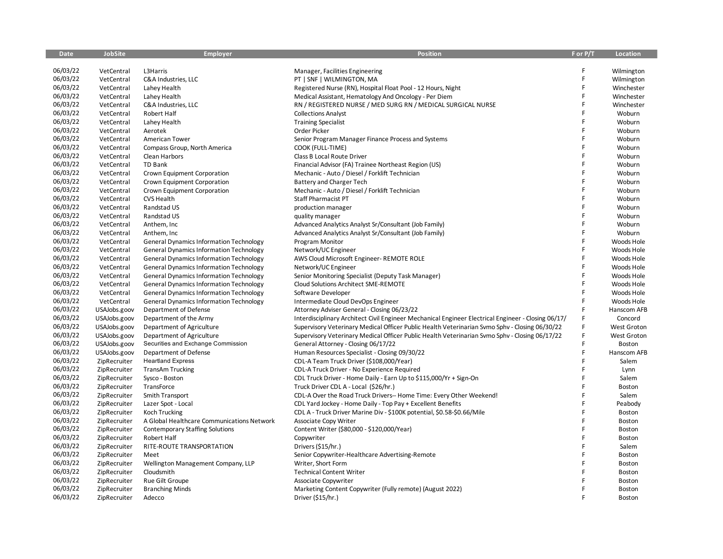| <b>Date</b> | <b>JobSite</b> | <b>Employer</b>                                | <b>Position</b>                                                                                     | F or P/T | Location      |
|-------------|----------------|------------------------------------------------|-----------------------------------------------------------------------------------------------------|----------|---------------|
|             |                |                                                |                                                                                                     |          |               |
| 06/03/22    | VetCentral     | L3Harris                                       | Manager, Facilities Engineering                                                                     | F        | Wilmington    |
| 06/03/22    | VetCentral     | C&A Industries, LLC                            | PT   SNF   WILMINGTON, MA                                                                           | F        | Wilmington    |
| 06/03/22    | VetCentral     | Lahey Health                                   | Registered Nurse (RN), Hospital Float Pool - 12 Hours, Night                                        | F        | Winchester    |
| 06/03/22    | VetCentral     | Lahey Health                                   | Medical Assistant, Hematology And Oncology - Per Diem                                               | F        | Winchester    |
| 06/03/22    | VetCentral     | C&A Industries, LLC                            | RN / REGISTERED NURSE / MED SURG RN / MEDICAL SURGICAL NURSE                                        | F        | Winchester    |
| 06/03/22    | VetCentral     | Robert Half                                    | <b>Collections Analyst</b>                                                                          | F        | Woburn        |
| 06/03/22    | VetCentral     | Lahey Health                                   | <b>Training Specialist</b>                                                                          | F        | Woburn        |
| 06/03/22    | VetCentral     | Aerotek                                        | Order Picker                                                                                        | F        | Woburn        |
| 06/03/22    | VetCentral     | American Tower                                 | Senior Program Manager Finance Process and Systems                                                  | F        | Woburn        |
| 06/03/22    | VetCentral     | Compass Group, North America                   | COOK (FULL-TIME)                                                                                    | F        | Woburn        |
| 06/03/22    | VetCentral     | Clean Harbors                                  | Class B Local Route Driver                                                                          | F        | Woburn        |
| 06/03/22    | VetCentral     | TD Bank                                        | Financial Advisor (FA) Trainee Northeast Region (US)                                                |          | Woburn        |
| 06/03/22    | VetCentral     | Crown Equipment Corporation                    | Mechanic - Auto / Diesel / Forklift Technician                                                      | F        | Woburn        |
| 06/03/22    | VetCentral     | Crown Equipment Corporation                    | Battery and Charger Tech                                                                            | F        | Woburn        |
| 06/03/22    | VetCentral     | Crown Equipment Corporation                    | Mechanic - Auto / Diesel / Forklift Technician                                                      | F        | Woburn        |
| 06/03/22    | VetCentral     | CVS Health                                     | Staff Pharmacist PT                                                                                 | F        | Woburn        |
| 06/03/22    | VetCentral     | Randstad US                                    | production manager                                                                                  | F        | Woburn        |
| 06/03/22    | VetCentral     | Randstad US                                    | quality manager                                                                                     | F        | Woburn        |
| 06/03/22    | VetCentral     | Anthem, Inc                                    | Advanced Analytics Analyst Sr/Consultant (Job Family)                                               | F        | Woburn        |
| 06/03/22    | VetCentral     | Anthem, Inc.                                   | Advanced Analytics Analyst Sr/Consultant (Job Family)                                               | F        | Woburn        |
| 06/03/22    | VetCentral     | <b>General Dynamics Information Technology</b> | Program Monitor                                                                                     | F        | Woods Hole    |
| 06/03/22    | VetCentral     | <b>General Dynamics Information Technology</b> | Network/UC Engineer                                                                                 | F        | Woods Hole    |
| 06/03/22    | VetCentral     | <b>General Dynamics Information Technology</b> | AWS Cloud Microsoft Engineer-REMOTE ROLE                                                            | F        | Woods Hole    |
| 06/03/22    | VetCentral     | <b>General Dynamics Information Technology</b> | Network/UC Engineer                                                                                 | F        | Woods Hole    |
| 06/03/22    | VetCentral     | <b>General Dynamics Information Technology</b> | Senior Monitoring Specialist (Deputy Task Manager)                                                  | F        | Woods Hole    |
| 06/03/22    | VetCentral     | <b>General Dynamics Information Technology</b> | Cloud Solutions Architect SME-REMOTE                                                                | F        | Woods Hole    |
| 06/03/22    | VetCentral     | <b>General Dynamics Information Technology</b> | Software Developer                                                                                  | F        | Woods Hole    |
| 06/03/22    | VetCentral     | <b>General Dynamics Information Technology</b> | Intermediate Cloud DevOps Engineer                                                                  | F        | Woods Hole    |
| 06/03/22    | USAJobs.goov   | Department of Defense                          | Attorney Adviser General - Closing 06/23/22                                                         | F        | Hanscom AFB   |
| 06/03/22    | USAJobs.goov   | Department of the Army                         | Interdisciplinary Architect Civil Engineer Mechanical Engineer Electrical Engineer - Closing 06/17/ | F        | Concord       |
| 06/03/22    | USAJobs.goov   | Department of Agriculture                      | Supervisory Veterinary Medical Officer Public Health Veterinarian Svmo Sphv - Closing 06/30/22      | F        | West Groton   |
| 06/03/22    | USAJobs.goov   | Department of Agriculture                      | Supervisory Veterinary Medical Officer Public Health Veterinarian Svmo Sphv - Closing 06/17/22      | F.       | West Groton   |
| 06/03/22    | USAJobs.goov   | Securities and Exchange Commission             | General Attorney - Closing 06/17/22                                                                 | F        | Boston        |
| 06/03/22    | USAJobs.goov   | Department of Defense                          | Human Resources Specialist - Closing 09/30/22                                                       | F        | Hanscom AFB   |
| 06/03/22    | ZipRecruiter   | <b>Heartland Express</b>                       | CDL-A Team Truck Driver (\$108,000/Year)                                                            | F        | Salem         |
| 06/03/22    | ZipRecruiter   | <b>TransAm Trucking</b>                        | CDL-A Truck Driver - No Experience Required                                                         | F        | Lynn          |
| 06/03/22    | ZipRecruiter   | Sysco - Boston                                 | CDL Truck Driver - Home Daily - Earn Up to \$115,000/Yr + Sign-On                                   | F        | Salem         |
| 06/03/22    | ZipRecruiter   | TransForce                                     | Truck Driver CDL A - Local (\$26/hr.)                                                               | F        | Boston        |
| 06/03/22    | ZipRecruiter   | Smith Transport                                | CDL-A Over the Road Truck Drivers-- Home Time: Every Other Weekend!                                 | F        | Salem         |
| 06/03/22    | ZipRecruiter   | Lazer Spot - Local                             | CDL Yard Jockey - Home Daily - Top Pay + Excellent Benefits                                         | F        | Peabody       |
| 06/03/22    | ZipRecruiter   | Koch Trucking                                  | CDL A - Truck Driver Marine Div - \$100K potential, \$0.58-\$0.66/Mile                              | F        | Boston        |
| 06/03/22    | ZipRecruiter   | A Global Healthcare Communications Network     | Associate Copy Writer                                                                               | F        | Boston        |
| 06/03/22    | ZipRecruiter   | <b>Contemporary Staffing Solutions</b>         | Content Writer (\$80,000 - \$120,000/Year)                                                          | F        | Boston        |
| 06/03/22    | ZipRecruiter   | Robert Half                                    | Copywriter                                                                                          | F        | Boston        |
| 06/03/22    | ZipRecruiter   | RITE-ROUTE TRANSPORTATION                      | Drivers (\$15/hr.)                                                                                  | F        | Salem         |
| 06/03/22    | ZipRecruiter   | Meet                                           | Senior Copywriter-Healthcare Advertising-Remote                                                     | F        | Boston        |
| 06/03/22    | ZipRecruiter   | Wellington Management Company, LLP             | Writer, Short Form                                                                                  | F        | <b>Boston</b> |
| 06/03/22    | ZipRecruiter   | Cloudsmith                                     | <b>Technical Content Writer</b>                                                                     |          | Boston        |
| 06/03/22    | ZipRecruiter   | Rue Gilt Groupe                                | Associate Copywriter                                                                                |          | Boston        |
| 06/03/22    | ZipRecruiter   | <b>Branching Minds</b>                         | Marketing Content Copywriter (Fully remote) (August 2022)                                           | F        | Boston        |
| 06/03/22    | ZipRecruiter   | Adecco                                         | Driver (\$15/hr.)                                                                                   |          | Boston        |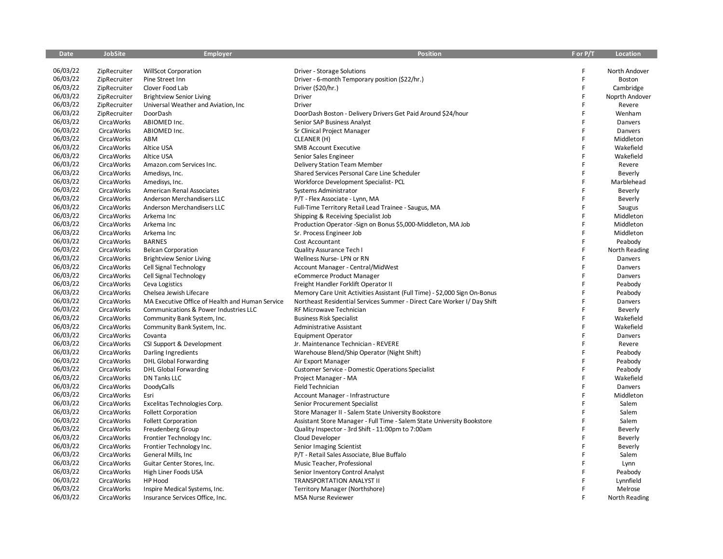| <b>Date</b> | <b>JobSite</b>     | <b>Employer</b>                                 | <b>Position</b>                                                           | F or P/T | <b>Location</b> |
|-------------|--------------------|-------------------------------------------------|---------------------------------------------------------------------------|----------|-----------------|
|             |                    |                                                 |                                                                           |          |                 |
| 06/03/22    | ZipRecruiter       | <b>WillScot Corporation</b>                     | Driver - Storage Solutions                                                | F        | North Andover   |
| 06/03/22    | ZipRecruiter       | Pine Street Inn                                 | Driver - 6-month Temporary position (\$22/hr.)                            | F        | Boston          |
| 06/03/22    | ZipRecruiter       | Clover Food Lab                                 | Driver (\$20/hr.)                                                         | F        | Cambridge       |
| 06/03/22    | ZipRecruiter       | <b>Brightview Senior Living</b>                 | <b>Driver</b>                                                             | F        | Noprth Andover  |
| 06/03/22    | ZipRecruiter       | Universal Weather and Aviation, Inc.            | Driver                                                                    | F        | Revere          |
| 06/03/22    | ZipRecruiter       | DoorDash                                        | DoorDash Boston - Delivery Drivers Get Paid Around \$24/hour              | F        | Wenham          |
| 06/03/22    | <b>CircaWorks</b>  | ABIOMED Inc.                                    | Senior SAP Business Analyst                                               | F        | Danvers         |
| 06/03/22    | <b>CircaWorks</b>  | ABIOMED Inc.                                    | Sr Clinical Project Manager                                               | F        | Danvers         |
| 06/03/22    | <b>CircaWorks</b>  | ABM                                             | CLEANER (H)                                                               | F        | Middleton       |
| 06/03/22    | <b>CircaWorks</b>  | Altice USA                                      | <b>SMB Account Executive</b>                                              | F        | Wakefield       |
| 06/03/22    | <b>CircaWorks</b>  | Altice USA                                      | Senior Sales Engineer                                                     | F        | Wakefield       |
| 06/03/22    | <b>CircaWorks</b>  | Amazon.com Services Inc.                        | Delivery Station Team Member                                              | F        | Revere          |
| 06/03/22    | <b>CircaWorks</b>  | Amedisys, Inc.                                  | Shared Services Personal Care Line Scheduler                              | F        | Beverly         |
| 06/03/22    | <b>CircaWorks</b>  | Amedisys, Inc.                                  | Workforce Development Specialist- PCL                                     | F        | Marblehead      |
| 06/03/22    | <b>CircaWorks</b>  | American Renal Associates                       | Systems Administrator                                                     | F        | <b>Beverly</b>  |
| 06/03/22    | <b>Circa Works</b> | Anderson Merchandisers LLC                      | P/T - Flex Associate - Lynn, MA                                           | F        | Beverly         |
| 06/03/22    | <b>Circa Works</b> | Anderson Merchandisers LLC                      | Full-Time Territory Retail Lead Trainee - Saugus, MA                      | F        | Saugus          |
| 06/03/22    | <b>Circa Works</b> | Arkema Inc                                      | Shipping & Receiving Specialist Job                                       | F        | Middleton       |
| 06/03/22    | <b>CircaWorks</b>  | Arkema Inc                                      | Production Operator - Sign on Bonus \$5,000-Middleton, MA Job             | F        | Middleton       |
| 06/03/22    | <b>CircaWorks</b>  | Arkema Inc                                      | Sr. Process Engineer Job                                                  | F        | Middleton       |
| 06/03/22    | <b>Circa Works</b> | <b>BARNES</b>                                   | Cost Accountant                                                           | F        | Peabody         |
| 06/03/22    | <b>CircaWorks</b>  | <b>Belcan Corporation</b>                       | Quality Assurance Tech I                                                  | F        | North Reading   |
| 06/03/22    | <b>Circa Works</b> | <b>Brightview Senior Living</b>                 | Wellness Nurse-LPN or RN                                                  | F        | Danvers         |
| 06/03/22    | <b>Circa Works</b> | Cell Signal Technology                          | Account Manager - Central/MidWest                                         | F        | Danvers         |
| 06/03/22    | <b>CircaWorks</b>  | Cell Signal Technology                          | eCommerce Product Manager                                                 | F        | Danvers         |
| 06/03/22    | <b>Circa Works</b> | Ceva Logistics                                  | Freight Handler Forklift Operator II                                      | F        | Peabody         |
| 06/03/22    | <b>CircaWorks</b>  | Chelsea Jewish Lifecare                         | Memory Care Unit Activities Assistant (Full Time) - \$2,000 Sign On-Bonus | F        | Peabody         |
| 06/03/22    | <b>Circa Works</b> | MA Executive Office of Health and Human Service | Northeast Residential Services Summer - Direct Care Worker I/ Day Shift   | F        | Danvers         |
| 06/03/22    | <b>Circa Works</b> | Communications & Power Industries LLC           | RF Microwave Technician                                                   | F        | Beverly         |
| 06/03/22    | <b>CircaWorks</b>  | Community Bank System, Inc.                     | <b>Business Risk Specialist</b>                                           | F        | Wakefield       |
| 06/03/22    | <b>Circa Works</b> | Community Bank System, Inc.                     | <b>Administrative Assistant</b>                                           | F        | Wakefield       |
| 06/03/22    | <b>CircaWorks</b>  | Covanta                                         | <b>Equipment Operator</b>                                                 | F        | Danvers         |
| 06/03/22    | <b>Circa Works</b> | CSI Support & Development                       | Jr. Maintenance Technician - REVERE                                       | F        | Revere          |
| 06/03/22    | <b>CircaWorks</b>  | Darling Ingredients                             | Warehouse Blend/Ship Operator (Night Shift)                               | F        | Peabody         |
| 06/03/22    | <b>CircaWorks</b>  | <b>DHL Global Forwarding</b>                    | Air Export Manager                                                        | F        | Peabody         |
| 06/03/22    | <b>Circa Works</b> | <b>DHL Global Forwarding</b>                    | <b>Customer Service - Domestic Operations Specialist</b>                  | F        | Peabody         |
| 06/03/22    | <b>Circa Works</b> | <b>DN Tanks LLC</b>                             | Project Manager - MA                                                      | F        | Wakefield       |
| 06/03/22    | <b>CircaWorks</b>  | DoodyCalls                                      | Field Technician                                                          | F        | Danvers         |
| 06/03/22    | <b>CircaWorks</b>  | Esri                                            | Account Manager - Infrastructure                                          | F        | Middleton       |
| 06/03/22    | <b>Circa Works</b> | Excelitas Technologies Corp.                    | Senior Procurement Specialist                                             | F        | Salem           |
| 06/03/22    | <b>CircaWorks</b>  | <b>Follett Corporation</b>                      | Store Manager II - Salem State University Bookstore                       | F        | Salem           |
| 06/03/22    | <b>Circa Works</b> | <b>Follett Corporation</b>                      | Assistant Store Manager - Full Time - Salem State University Bookstore    | F        | Salem           |
| 06/03/22    | <b>CircaWorks</b>  | Freudenberg Group                               | Quality Inspector - 3rd Shift - 11:00pm to 7:00am                         | F        | <b>Beverly</b>  |
| 06/03/22    | <b>CircaWorks</b>  | Frontier Technology Inc.                        | Cloud Developer                                                           | F        | Beverly         |
| 06/03/22    | <b>Circa Works</b> | Frontier Technology Inc.                        | Senior Imaging Scientist                                                  | F        | Beverly         |
| 06/03/22    | <b>CircaWorks</b>  | General Mills, Inc.                             | P/T - Retail Sales Associate, Blue Buffalo                                | F        | Salem           |
| 06/03/22    | <b>CircaWorks</b>  | Guitar Center Stores, Inc.                      | Music Teacher, Professional                                               | F        | Lynn            |
| 06/03/22    | <b>CircaWorks</b>  | High Liner Foods USA                            | Senior Inventory Control Analyst                                          | F        | Peabody         |
| 06/03/22    | <b>CircaWorks</b>  | HP Hood                                         | TRANSPORTATION ANALYST II                                                 | F        | Lynnfield       |
| 06/03/22    | <b>CircaWorks</b>  | Inspire Medical Systems, Inc.                   | Territory Manager (Northshore)                                            | F        | Melrose         |
| 06/03/22    | <b>Circa Works</b> | Insurance Services Office, Inc.                 | <b>MSA Nurse Reviewer</b>                                                 |          | North Reading   |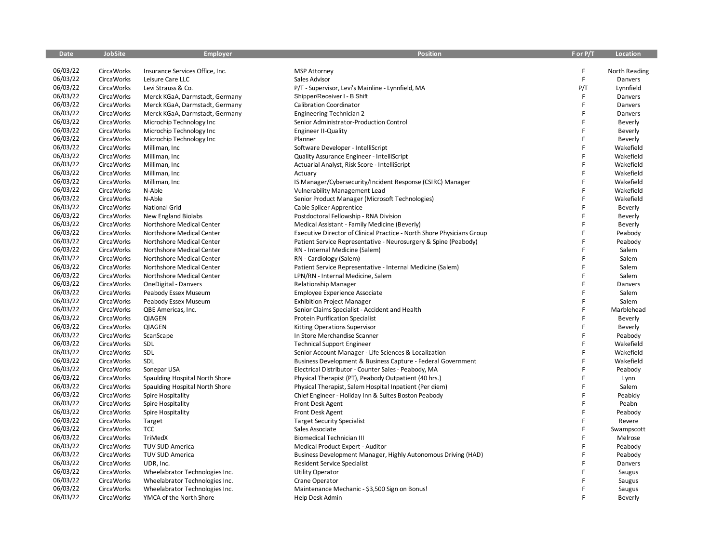| <b>Date</b> | <b>JobSite</b>     | <b>Employer</b>                 | <b>Position</b>                                                        | F or P/T    | Location      |
|-------------|--------------------|---------------------------------|------------------------------------------------------------------------|-------------|---------------|
|             |                    |                                 |                                                                        |             |               |
| 06/03/22    | <b>Circa Works</b> | Insurance Services Office, Inc. | <b>MSP Attorney</b>                                                    | F           | North Reading |
| 06/03/22    | <b>Circa Works</b> | Leisure Care LLC                | Sales Advisor                                                          | $\mathsf F$ | Danvers       |
| 06/03/22    | <b>CircaWorks</b>  | Levi Strauss & Co.              | P/T - Supervisor, Levi's Mainline - Lynnfield, MA                      | P/T         | Lynnfield     |
| 06/03/22    | <b>Circa Works</b> | Merck KGaA, Darmstadt, Germany  | Shipper/Receiver I - B Shift                                           | F           | Danvers       |
| 06/03/22    | <b>CircaWorks</b>  | Merck KGaA, Darmstadt, Germany  | <b>Calibration Coordinator</b>                                         | F           | Danvers       |
| 06/03/22    | <b>CircaWorks</b>  | Merck KGaA, Darmstadt, Germany  | <b>Engineering Technician 2</b>                                        | F           | Danvers       |
| 06/03/22    | <b>CircaWorks</b>  | Microchip Technology Inc        | Senior Administrator-Production Control                                | F           | Beverly       |
| 06/03/22    | <b>CircaWorks</b>  | Microchip Technology Inc        | <b>Engineer II-Quality</b>                                             | F           | Beverly       |
| 06/03/22    | <b>CircaWorks</b>  | Microchip Technology Inc        | Planner                                                                | F           | Beverly       |
| 06/03/22    | <b>CircaWorks</b>  | Milliman, Inc                   | Software Developer - IntelliScript                                     | F           | Wakefield     |
| 06/03/22    | <b>CircaWorks</b>  | Milliman, Inc                   | Quality Assurance Engineer - IntelliScript                             | F           | Wakefield     |
| 06/03/22    | <b>CircaWorks</b>  | Milliman, Inc                   | Actuarial Analyst, Risk Score - IntelliScript                          | F           | Wakefield     |
| 06/03/22    | <b>CircaWorks</b>  | Milliman, Inc                   | Actuary                                                                | F           | Wakefield     |
| 06/03/22    | <b>CircaWorks</b>  | Milliman, Inc                   | IS Manager/Cybersecurity/Incident Response (CSIRC) Manager             | F           | Wakefield     |
| 06/03/22    | <b>CircaWorks</b>  | N-Able                          | <b>Vulnerability Management Lead</b>                                   | F           | Wakefield     |
| 06/03/22    | <b>CircaWorks</b>  | N-Able                          | Senior Product Manager (Microsoft Technologies)                        | F           | Wakefield     |
| 06/03/22    | <b>CircaWorks</b>  | <b>National Grid</b>            | Cable Splicer Apprentice                                               | F           | Beverly       |
| 06/03/22    | <b>CircaWorks</b>  | New England Biolabs             | Postdoctoral Fellowship - RNA Division                                 | F           | Beverly       |
| 06/03/22    | <b>CircaWorks</b>  | Northshore Medical Center       | Medical Assistant - Family Medicine (Beverly)                          | F           | Beverly       |
| 06/03/22    | <b>CircaWorks</b>  | Northshore Medical Center       | Executive Director of Clinical Practice - North Shore Physicians Group | F           | Peabody       |
| 06/03/22    | <b>CircaWorks</b>  | Northshore Medical Center       | Patient Service Representative - Neurosurgery & Spine (Peabody)        | F           | Peabody       |
| 06/03/22    | <b>CircaWorks</b>  | Northshore Medical Center       | RN - Internal Medicine (Salem)                                         | F           | Salem         |
| 06/03/22    | <b>Circa Works</b> | Northshore Medical Center       | RN - Cardiology (Salem)                                                | F           | Salem         |
| 06/03/22    | <b>Circa Works</b> | Northshore Medical Center       | Patient Service Representative - Internal Medicine (Salem)             | F           | Salem         |
| 06/03/22    | <b>CircaWorks</b>  | Northshore Medical Center       | LPN/RN - Internal Medicine, Salem                                      | F           | Salem         |
| 06/03/22    | <b>CircaWorks</b>  | OneDigital - Danvers            | <b>Relationship Manager</b>                                            | F           | Danvers       |
| 06/03/22    | <b>CircaWorks</b>  | Peabody Essex Museum            | Employee Experience Associate                                          | F           | Salem         |
| 06/03/22    | <b>Circa Works</b> | Peabody Essex Museum            | <b>Exhibition Project Manager</b>                                      | F           | Salem         |
| 06/03/22    | <b>CircaWorks</b>  | QBE Americas, Inc.              | Senior Claims Specialist - Accident and Health                         | F           | Marblehead    |
| 06/03/22    | <b>CircaWorks</b>  | QIAGEN                          | <b>Protein Purification Specialist</b>                                 | F           | Beverly       |
| 06/03/22    | <b>CircaWorks</b>  | <b>QIAGEN</b>                   | Kitting Operations Supervisor                                          | F           | Beverly       |
| 06/03/22    | <b>CircaWorks</b>  | ScanScape                       | In Store Merchandise Scanner                                           | F           | Peabody       |
| 06/03/22    | <b>CircaWorks</b>  | SDL                             | <b>Technical Support Engineer</b>                                      | F           | Wakefield     |
| 06/03/22    | <b>CircaWorks</b>  | SDL                             | Senior Account Manager - Life Sciences & Localization                  | F           | Wakefield     |
| 06/03/22    | <b>CircaWorks</b>  | SDL                             | Business Development & Business Capture - Federal Government           | F           | Wakefield     |
| 06/03/22    | <b>CircaWorks</b>  | Sonepar USA                     | Electrical Distributor - Counter Sales - Peabody, MA                   | F           | Peabody       |
| 06/03/22    | <b>CircaWorks</b>  | Spaulding Hospital North Shore  | Physical Therapist (PT), Peabody Outpatient (40 hrs.)                  | F           | Lynn          |
| 06/03/22    | <b>CircaWorks</b>  | Spaulding Hospital North Shore  | Physical Therapist, Salem Hospital Inpatient (Per diem)                | F           | Salem         |
| 06/03/22    | <b>CircaWorks</b>  | Spire Hospitality               | Chief Engineer - Holiday Inn & Suites Boston Peabody                   | F           | Peabidy       |
| 06/03/22    | <b>CircaWorks</b>  | Spire Hospitality               | Front Desk Agent                                                       | F           | Peabn         |
| 06/03/22    | <b>CircaWorks</b>  | Spire Hospitality               | Front Desk Agent                                                       | F           | Peabody       |
| 06/03/22    | <b>CircaWorks</b>  | Target                          | <b>Target Security Specialist</b>                                      | F           | Revere        |
| 06/03/22    | <b>CircaWorks</b>  | TCC                             | Sales Associate                                                        | F           | Swampscott    |
| 06/03/22    | <b>CircaWorks</b>  | TriMedX                         | <b>Biomedical Technician III</b>                                       | F           | Melrose       |
| 06/03/22    | <b>CircaWorks</b>  | TUV SUD America                 | Medical Product Expert - Auditor                                       | F           | Peabody       |
| 06/03/22    | <b>CircaWorks</b>  | TUV SUD America                 | Business Development Manager, Highly Autonomous Driving (HAD)          | F           | Peabody       |
| 06/03/22    | <b>CircaWorks</b>  | UDR, Inc.                       | <b>Resident Service Specialist</b>                                     | F           | Danvers       |
| 06/03/22    | <b>CircaWorks</b>  | Wheelabrator Technologies Inc.  | <b>Utility Operator</b>                                                | F           | Saugus        |
| 06/03/22    | <b>CircaWorks</b>  | Wheelabrator Technologies Inc.  | Crane Operator                                                         | F           | Saugus        |
| 06/03/22    | <b>CircaWorks</b>  | Wheelabrator Technologies Inc.  | Maintenance Mechanic - \$3,500 Sign on Bonus!                          | F           | Saugus        |
| 06/03/22    | <b>Circa Works</b> | YMCA of the North Shore         | Help Desk Admin                                                        | F           | Beverly       |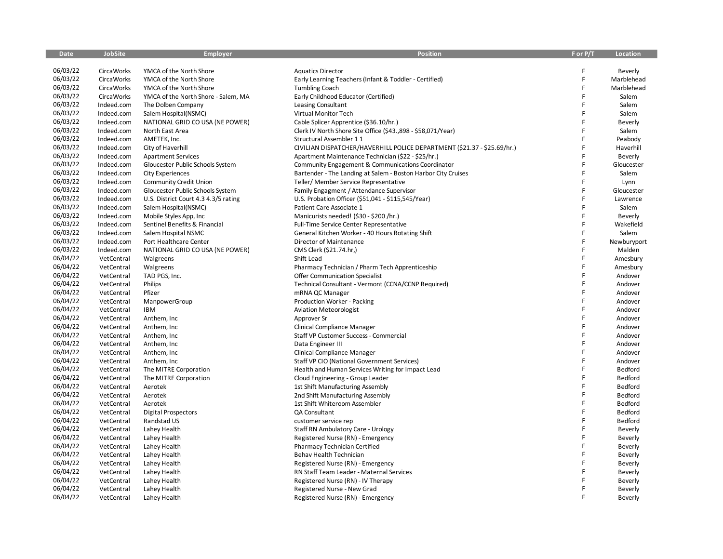| <b>Date</b> | <b>JobSite</b>     | <b>Employer</b>                      | <b>Position</b>                                                         | F or P/T | <b>Location</b> |
|-------------|--------------------|--------------------------------------|-------------------------------------------------------------------------|----------|-----------------|
|             |                    |                                      |                                                                         |          |                 |
| 06/03/22    | <b>Circa Works</b> | YMCA of the North Shore              | <b>Aquatics Director</b>                                                | F        | Beverly         |
| 06/03/22    | <b>Circa Works</b> | YMCA of the North Shore              | Early Learning Teachers (Infant & Toddler - Certified)                  | F        | Marblehead      |
| 06/03/22    | <b>CircaWorks</b>  | YMCA of the North Shore              | <b>Tumbling Coach</b>                                                   | F        | Marblehead      |
| 06/03/22    | <b>Circa Works</b> | YMCA of the North Shore - Salem, MA  | Early Childhood Educator (Certified)                                    | F        | Salem           |
| 06/03/22    | Indeed.com         | The Dolben Company                   | Leasing Consultant                                                      | F        | Salem           |
| 06/03/22    | Indeed.com         | Salem Hospital(NSMC)                 | Virtual Monitor Tech                                                    | F        | Salem           |
| 06/03/22    | Indeed.com         | NATIONAL GRID CO USA (NE POWER)      | Cable Splicer Apprentice (\$36.10/hr.)                                  | F        | Beverly         |
| 06/03/22    | Indeed.com         | North East Area                      | Clerk IV North Shore Site Office (\$43.,898 - \$58,071/Year)            | F        | Salem           |
| 06/03/22    | Indeed.com         | AMETEK, Inc.                         | Structural Assembler 11                                                 | F        | Peabody         |
| 06/03/22    | Indeed.com         | City of Haverhill                    | CIVILIAN DISPATCHER/HAVERHILL POLICE DEPARTMENT (\$21.37 - \$25.69/hr.) | F        | Haverhill       |
| 06/03/22    | Indeed.com         | <b>Apartment Services</b>            | Apartment Maintenance Technician (\$22 - \$25/hr.)                      | F        | Beverly         |
| 06/03/22    | Indeed.com         | Gloucester Public Schools System     | Community Engagement & Communications Coordinator                       | F        | Gloucester      |
| 06/03/22    | Indeed.com         | <b>City Experiences</b>              | Bartender - The Landing at Salem - Boston Harbor City Cruises           | F        | Salem           |
| 06/03/22    | Indeed.com         | <b>Community Credit Union</b>        | Teller/ Member Service Representative                                   | F        | Lynn            |
| 06/03/22    | Indeed.com         | Gloucester Public Schools System     | Family Engagment / Attendance Supervisor                                | F        | Gloucester      |
| 06/03/22    | Indeed.com         | U.S. District Court 4.3 4.3/5 rating | U.S. Probation Officer (\$51,041 - \$115,545/Year)                      | F        | Lawrence        |
| 06/03/22    | Indeed.com         | Salem Hospital(NSMC)                 | Patient Care Associate 1                                                | F        | Salem           |
| 06/03/22    | Indeed.com         | Mobile Styles App, Inc               | Manicurists needed! (\$30 - \$200 /hr.)                                 | F        | Beverly         |
| 06/03/22    | Indeed.com         | Sentinel Benefits & Financial        | Full-Time Service Center Representative                                 | F        | Wakefield       |
| 06/03/22    | Indeed.com         | Salem Hospital NSMC                  | General Kitchen Worker - 40 Hours Rotating Shift                        | F        | Salem           |
| 06/03/22    | Indeed.com         | Port Healthcare Center               | Director of Maintenance                                                 | F        | Newburyport     |
| 06/03/22    | Indeed.com         | NATIONAL GRID CO USA (NE POWER)      | CMS Clerk (\$21.74.hr,)                                                 | F        | Malden          |
| 06/04/22    | VetCentral         | Walgreens                            | Shift Lead                                                              | F        | Amesbury        |
| 06/04/22    | VetCentral         | Walgreens                            | Pharmacy Technician / Pharm Tech Apprenticeship                         | F        | Amesbury        |
| 06/04/22    | VetCentral         | TAD PGS, Inc.                        | <b>Offer Communication Specialist</b>                                   | F        | Andover         |
| 06/04/22    | VetCentral         | Philips                              | Technical Consultant - Vermont (CCNA/CCNP Required)                     | F        | Andover         |
| 06/04/22    | VetCentral         | Pfizer                               | mRNA QC Manager                                                         | F        | Andover         |
| 06/04/22    | VetCentral         | ManpowerGroup                        | Production Worker - Packing                                             | F        | Andover         |
| 06/04/22    | VetCentral         | <b>IBM</b>                           | <b>Aviation Meteorologist</b>                                           | F        | Andover         |
| 06/04/22    | VetCentral         | Anthem, Inc                          | Approver Sr                                                             | F        | Andover         |
| 06/04/22    | VetCentral         | Anthem, Inc                          | Clinical Compliance Manager                                             | F        | Andover         |
| 06/04/22    | VetCentral         | Anthem, Inc.                         | Staff VP Customer Success - Commercial                                  | F        | Andover         |
| 06/04/22    | VetCentral         | Anthem, Inc                          | Data Engineer III                                                       | F        | Andover         |
| 06/04/22    | VetCentral         | Anthem, Inc                          | Clinical Compliance Manager                                             | F        | Andover         |
| 06/04/22    | VetCentral         | Anthem, Inc                          | Staff VP CIO (National Government Services)                             | F        | Andover         |
| 06/04/22    | VetCentral         | The MITRE Corporation                | Health and Human Services Writing for Impact Lead                       | F        | Bedford         |
| 06/04/22    | VetCentral         | The MITRE Corporation                | Cloud Engineering - Group Leader                                        | F        | Bedford         |
| 06/04/22    | VetCentral         | Aerotek                              | 1st Shift Manufacturing Assembly                                        | F        | Bedford         |
| 06/04/22    | VetCentral         | Aerotek                              | 2nd Shift Manufacturing Assembly                                        | F        | Bedford         |
| 06/04/22    | VetCentral         | Aerotek                              | 1st Shift Whiteroom Assembler                                           | F        | Bedford         |
| 06/04/22    | VetCentral         | <b>Digital Prospectors</b>           | QA Consultant                                                           | F        | Bedford         |
| 06/04/22    | VetCentral         | Randstad US                          | customer service rep                                                    | F        | Bedford         |
| 06/04/22    | VetCentral         | Lahey Health                         | Staff RN Ambulatory Care - Urology                                      | F        | Beverly         |
| 06/04/22    | VetCentral         | Lahey Health                         | Registered Nurse (RN) - Emergency                                       | F        | Beverly         |
| 06/04/22    | VetCentral         | Lahey Health                         | Pharmacy Technician Certified                                           | F        | Beverly         |
| 06/04/22    | VetCentral         | Lahey Health                         | Behav Health Technician                                                 | F        | Beverly         |
| 06/04/22    | VetCentral         | Lahey Health                         | Registered Nurse (RN) - Emergency                                       | F        | Beverly         |
| 06/04/22    | VetCentral         | Lahey Health                         | RN Staff Team Leader - Maternal Services                                |          | Beverly         |
| 06/04/22    | VetCentral         | Lahey Health                         | Registered Nurse (RN) - IV Therapy                                      |          | Beverly         |
| 06/04/22    | VetCentral         | Lahey Health                         | Registered Nurse - New Grad                                             | F        | Beverly         |
| 06/04/22    | VetCentral         | Lahey Health                         | Registered Nurse (RN) - Emergency                                       | F        | Beverly         |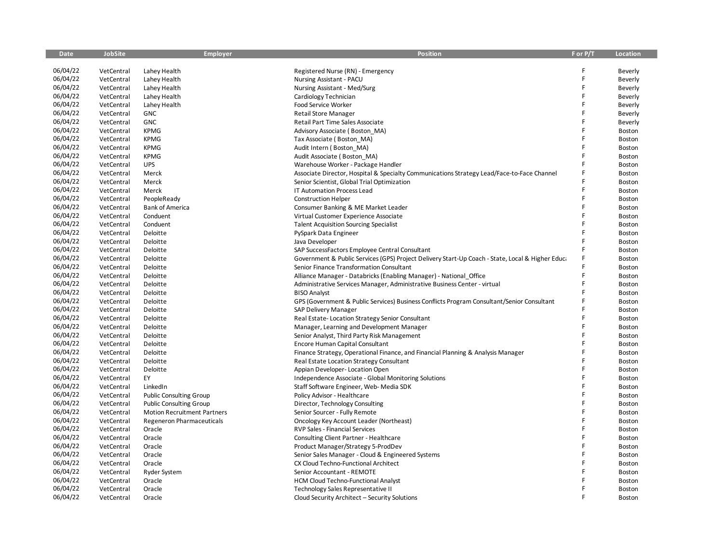| <b>Date</b> | <b>JobSite</b> | <b>Employer</b>                    | <b>Position</b>                                                                                  | F or P/T | <b>Location</b> |
|-------------|----------------|------------------------------------|--------------------------------------------------------------------------------------------------|----------|-----------------|
|             |                |                                    |                                                                                                  |          |                 |
| 06/04/22    | VetCentral     | Lahey Health                       | Registered Nurse (RN) - Emergency                                                                |          | Beverly         |
| 06/04/22    | VetCentral     | Lahey Health                       | Nursing Assistant - PACU                                                                         | F        | Beverly         |
| 06/04/22    | VetCentral     | Lahey Health                       | Nursing Assistant - Med/Surg                                                                     | F        | Beverly         |
| 06/04/22    | VetCentral     | Lahey Health                       | Cardiology Technician                                                                            | F        | Beverly         |
| 06/04/22    | VetCentral     | Lahey Health                       | Food Service Worker                                                                              |          | Beverly         |
| 06/04/22    | VetCentral     | <b>GNC</b>                         | <b>Retail Store Manager</b>                                                                      | F        | Beverly         |
| 06/04/22    | VetCentral     | GNC                                | Retail Part Time Sales Associate                                                                 | F        | Beverly         |
| 06/04/22    | VetCentral     | <b>KPMG</b>                        | Advisory Associate (Boston MA)                                                                   | F        | Boston          |
| 06/04/22    | VetCentral     | <b>KPMG</b>                        | Tax Associate (Boston_MA)                                                                        | F        | Boston          |
| 06/04/22    | VetCentral     | <b>KPMG</b>                        | Audit Intern (Boston MA)                                                                         | F        | Boston          |
| 06/04/22    | VetCentral     | <b>KPMG</b>                        | Audit Associate (Boston_MA)                                                                      | F        | Boston          |
| 06/04/22    | VetCentral     | <b>UPS</b>                         | Warehouse Worker - Package Handler                                                               |          | Boston          |
| 06/04/22    | VetCentral     | Merck                              | Associate Director, Hospital & Specialty Communications Strategy Lead/Face-to-Face Channel       | F        | Boston          |
| 06/04/22    | VetCentral     | Merck                              | Senior Scientist, Global Trial Optimization                                                      | F        | Boston          |
| 06/04/22    | VetCentral     | Merck                              | IT Automation Process Lead                                                                       | F        | Boston          |
| 06/04/22    | VetCentral     | PeopleReady                        | <b>Construction Helper</b>                                                                       | F        | Boston          |
| 06/04/22    | VetCentral     | <b>Bank of America</b>             | Consumer Banking & ME Market Leader                                                              | F        | Boston          |
| 06/04/22    | VetCentral     | Conduent                           | Virtual Customer Experience Associate                                                            | F        | Boston          |
| 06/04/22    | VetCentral     | Conduent                           | <b>Talent Acquisition Sourcing Specialist</b>                                                    | F        | Boston          |
| 06/04/22    | VetCentral     | Deloitte                           | PySpark Data Engineer                                                                            | F        | Boston          |
| 06/04/22    | VetCentral     | Deloitte                           | Java Developer                                                                                   |          | Boston          |
| 06/04/22    | VetCentral     | Deloitte                           | SAP SuccessFactors Employee Central Consultant                                                   |          | Boston          |
| 06/04/22    | VetCentral     | Deloitte                           | Government & Public Services (GPS) Project Delivery Start-Up Coach - State, Local & Higher Educa |          | Boston          |
| 06/04/22    | VetCentral     | Deloitte                           | Senior Finance Transformation Consultant                                                         |          | Boston          |
| 06/04/22    | VetCentral     | Deloitte                           | Alliance Manager - Databricks (Enabling Manager) - National_Office                               | F        | Boston          |
| 06/04/22    | VetCentral     | Deloitte                           | Administrative Services Manager, Administrative Business Center - virtual                        | F        | Boston          |
| 06/04/22    | VetCentral     | Deloitte                           | <b>BISO Analyst</b>                                                                              | F        | Boston          |
| 06/04/22    | VetCentral     | Deloitte                           | GPS (Government & Public Services) Business Conflicts Program Consultant/Senior Consultant       |          | Boston          |
| 06/04/22    | VetCentral     | Deloitte                           | SAP Delivery Manager                                                                             |          | Boston          |
| 06/04/22    | VetCentral     | Deloitte                           | Real Estate-Location Strategy Senior Consultant                                                  | F        | Boston          |
| 06/04/22    | VetCentral     | Deloitte                           | Manager, Learning and Development Manager                                                        |          | Boston          |
| 06/04/22    | VetCentral     | Deloitte                           | Senior Analyst, Third Party Risk Management                                                      |          | Boston          |
| 06/04/22    | VetCentral     | Deloitte                           | Encore Human Capital Consultant                                                                  |          | Boston          |
| 06/04/22    | VetCentral     | Deloitte                           | Finance Strategy, Operational Finance, and Financial Planning & Analysis Manager                 |          | Boston          |
| 06/04/22    | VetCentral     | Deloitte                           | Real Estate Location Strategy Consultant                                                         | F        | Boston          |
| 06/04/22    | VetCentral     | Deloitte                           | Appian Developer- Location Open                                                                  | Ē        | Boston          |
| 06/04/22    | VetCentral     | EY                                 | Independence Associate - Global Monitoring Solutions                                             |          | Boston          |
| 06/04/22    | VetCentral     | LinkedIn                           | Staff Software Engineer, Web- Media SDK                                                          | Ē        | Boston          |
| 06/04/22    | VetCentral     | <b>Public Consulting Group</b>     | Policy Advisor - Healthcare                                                                      |          | Boston          |
| 06/04/22    | VetCentral     | <b>Public Consulting Group</b>     | Director, Technology Consulting                                                                  | F        | Boston          |
| 06/04/22    | VetCentral     | <b>Motion Recruitment Partners</b> | Senior Sourcer - Fully Remote                                                                    |          | Boston          |
| 06/04/22    | VetCentral     | <b>Regeneron Pharmaceuticals</b>   | Oncology Key Account Leader (Northeast)                                                          | F        | Boston          |
| 06/04/22    | VetCentral     | Oracle                             | RVP Sales - Financial Services                                                                   | F        | Boston          |
| 06/04/22    | VetCentral     | Oracle                             | Consulting Client Partner - Healthcare                                                           |          | Boston          |
| 06/04/22    | VetCentral     | Oracle                             | Product Manager/Strategy 5-ProdDev                                                               | F        | Boston          |
| 06/04/22    | VetCentral     | Oracle                             | Senior Sales Manager - Cloud & Engineered Systems                                                |          | Boston          |
| 06/04/22    | VetCentral     | Oracle                             | CX Cloud Techno-Functional Architect                                                             | F        | <b>Boston</b>   |
| 06/04/22    | VetCentral     | Ryder System                       | Senior Accountant - REMOTE                                                                       |          | Boston          |
| 06/04/22    | VetCentral     | Oracle                             | <b>HCM Cloud Techno-Functional Analyst</b>                                                       |          | Boston          |
| 06/04/22    | VetCentral     | Oracle                             | Technology Sales Representative II                                                               |          | Boston          |
| 06/04/22    | VetCentral     | Oracle                             | Cloud Security Architect - Security Solutions                                                    |          | Boston          |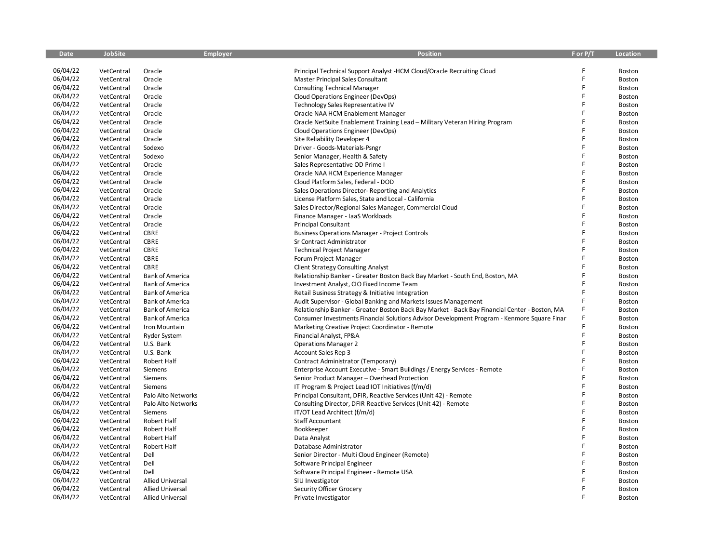| <b>Date</b> | <b>JobSite</b> | <b>Employer</b>         | <b>Position</b>                                                                               | F or P/T | Location      |
|-------------|----------------|-------------------------|-----------------------------------------------------------------------------------------------|----------|---------------|
|             |                |                         |                                                                                               |          |               |
| 06/04/22    | VetCentral     | Oracle                  | Principal Technical Support Analyst -HCM Cloud/Oracle Recruiting Cloud                        | F        | Boston        |
| 06/04/22    | VetCentral     | Oracle                  | Master Principal Sales Consultant                                                             | F        | Boston        |
| 06/04/22    | VetCentral     | Oracle                  | <b>Consulting Technical Manager</b>                                                           | F        | <b>Boston</b> |
| 06/04/22    | VetCentral     | Oracle                  | Cloud Operations Engineer (DevOps)                                                            | F        | Boston        |
| 06/04/22    | VetCentral     | Oracle                  | Technology Sales Representative IV                                                            |          | Boston        |
| 06/04/22    | VetCentral     | Oracle                  | Oracle NAA HCM Enablement Manager                                                             | F        | Boston        |
| 06/04/22    | VetCentral     | Oracle                  | Oracle NetSuite Enablement Training Lead - Military Veteran Hiring Program                    | F        | Boston        |
| 06/04/22    | VetCentral     | Oracle                  | Cloud Operations Engineer (DevOps)                                                            | Ē        | Boston        |
| 06/04/22    | VetCentral     | Oracle                  | Site Reliability Developer 4                                                                  |          | <b>Boston</b> |
| 06/04/22    | VetCentral     | Sodexo                  | Driver - Goods-Materials-Psngr                                                                | F        | Boston        |
| 06/04/22    | VetCentral     | Sodexo                  | Senior Manager, Health & Safety                                                               | Ē        | Boston        |
| 06/04/22    | VetCentral     | Oracle                  | Sales Representative OD Prime I                                                               | F        | Boston        |
| 06/04/22    | VetCentral     | Oracle                  | Oracle NAA HCM Experience Manager                                                             | F        | Boston        |
| 06/04/22    | VetCentral     | Oracle                  | Cloud Platform Sales, Federal - DOD                                                           | F        | Boston        |
| 06/04/22    | VetCentral     | Oracle                  | Sales Operations Director-Reporting and Analytics                                             |          | Boston        |
| 06/04/22    | VetCentral     | Oracle                  | License Platform Sales, State and Local - California                                          | F        | Boston        |
| 06/04/22    | VetCentral     | Oracle                  | Sales Director/Regional Sales Manager, Commercial Cloud                                       |          | Boston        |
| 06/04/22    | VetCentral     | Oracle                  | Finance Manager - IaaS Workloads                                                              | F        | Boston        |
| 06/04/22    | VetCentral     | Oracle                  | <b>Principal Consultant</b>                                                                   | F        | Boston        |
| 06/04/22    | VetCentral     | <b>CBRE</b>             | <b>Business Operations Manager - Project Controls</b>                                         | F        | Boston        |
| 06/04/22    | VetCentral     | CBRE                    | Sr Contract Administrator                                                                     | F        | Boston        |
| 06/04/22    | VetCentral     | <b>CBRE</b>             | <b>Technical Project Manager</b>                                                              |          | Boston        |
| 06/04/22    | VetCentral     | CBRE                    | Forum Project Manager                                                                         | F        | <b>Boston</b> |
| 06/04/22    | VetCentral     | CBRE                    | <b>Client Strategy Consulting Analyst</b>                                                     | Ē        | Boston        |
| 06/04/22    | VetCentral     | <b>Bank of America</b>  | Relationship Banker - Greater Boston Back Bay Market - South End, Boston, MA                  | F        | Boston        |
| 06/04/22    | VetCentral     | <b>Bank of America</b>  | Investment Analyst, CIO Fixed Income Team                                                     | F        | <b>Boston</b> |
| 06/04/22    | VetCentral     | <b>Bank of America</b>  | Retail Business Strategy & Initiative Integration                                             | F        | Boston        |
| 06/04/22    | VetCentral     | <b>Bank of America</b>  | Audit Supervisor - Global Banking and Markets Issues Management                               | F        | Boston        |
| 06/04/22    | VetCentral     | <b>Bank of America</b>  | Relationship Banker - Greater Boston Back Bay Market - Back Bay Financial Center - Boston, MA |          | Boston        |
| 06/04/22    | VetCentral     | <b>Bank of America</b>  | Consumer Investments Financial Solutions Advisor Development Program - Kenmore Square Finan   | F        | Boston        |
| 06/04/22    | VetCentral     | Iron Mountain           | Marketing Creative Project Coordinator - Remote                                               | F        | Boston        |
| 06/04/22    | VetCentral     | Ryder System            | Financial Analyst, FP&A                                                                       | F        | Boston        |
| 06/04/22    | VetCentral     | U.S. Bank               | <b>Operations Manager 2</b>                                                                   | F        | Boston        |
| 06/04/22    | VetCentral     | U.S. Bank               | Account Sales Rep 3                                                                           |          | Boston        |
| 06/04/22    | VetCentral     | Robert Half             | Contract Administrator (Temporary)                                                            | F        | Boston        |
| 06/04/22    | VetCentral     | Siemens                 | Enterprise Account Executive - Smart Buildings / Energy Services - Remote                     | F        | Boston        |
| 06/04/22    | VetCentral     | Siemens                 | Senior Product Manager - Overhead Protection                                                  |          | Boston        |
| 06/04/22    | VetCentral     | Siemens                 | IT Program & Project Lead IOT Initiatives (f/m/d)                                             |          | Boston        |
| 06/04/22    | VetCentral     | Palo Alto Networks      | Principal Consultant, DFIR, Reactive Services (Unit 42) - Remote                              | F        | Boston        |
| 06/04/22    | VetCentral     | Palo Alto Networks      | Consulting Director, DFIR Reactive Services (Unit 42) - Remote                                | F        | Boston        |
| 06/04/22    | VetCentral     | Siemens                 | IT/OT Lead Architect (f/m/d)                                                                  | F        | Boston        |
| 06/04/22    | VetCentral     | Robert Half             | Staff Accountant                                                                              | F        | Boston        |
| 06/04/22    | VetCentral     | Robert Half             | Bookkeeper                                                                                    | Ë        | Boston        |
| 06/04/22    | VetCentral     | Robert Half             | Data Analyst                                                                                  |          | Boston        |
| 06/04/22    | VetCentral     | Robert Half             | Database Administrator                                                                        | F        | Boston        |
| 06/04/22    | VetCentral     | Dell                    | Senior Director - Multi Cloud Engineer (Remote)                                               | F        | Boston        |
| 06/04/22    | VetCentral     | Dell                    | Software Principal Engineer                                                                   | F        | Boston        |
| 06/04/22    | VetCentral     | Dell                    | Software Principal Engineer - Remote USA                                                      |          | Boston        |
| 06/04/22    | VetCentral     | <b>Allied Universal</b> | SIU Investigator                                                                              |          | Boston        |
| 06/04/22    | VetCentral     | <b>Allied Universal</b> | Security Officer Grocery                                                                      |          | Boston        |
| 06/04/22    | VetCentral     | <b>Allied Universal</b> | Private Investigator                                                                          |          | Boston        |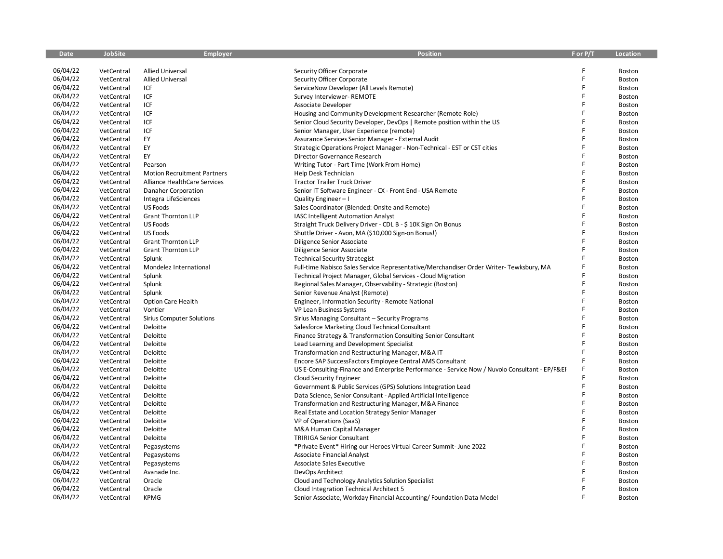| <b>Date</b> | <b>JobSite</b> | <b>Employer</b>                    | <b>Position</b>                                                                                | F or P/T | <b>Location</b> |
|-------------|----------------|------------------------------------|------------------------------------------------------------------------------------------------|----------|-----------------|
|             |                |                                    |                                                                                                |          |                 |
| 06/04/22    | VetCentral     | <b>Allied Universal</b>            | Security Officer Corporate                                                                     |          | Boston          |
| 06/04/22    | VetCentral     | <b>Allied Universal</b>            | Security Officer Corporate                                                                     | F        | Boston          |
| 06/04/22    | VetCentral     | ICF                                | ServiceNow Developer (All Levels Remote)                                                       | F        | Boston          |
| 06/04/22    | VetCentral     | ICF                                | Survey Interviewer- REMOTE                                                                     | F        | Boston          |
| 06/04/22    | VetCentral     | ICF                                | Associate Developer                                                                            | F        | Boston          |
| 06/04/22    | VetCentral     | ICF                                | Housing and Community Development Researcher (Remote Role)                                     | F        | Boston          |
| 06/04/22    | VetCentral     | ICF                                | Senior Cloud Security Developer, DevOps   Remote position within the US                        | F        | Boston          |
| 06/04/22    | VetCentral     | ICF                                | Senior Manager, User Experience (remote)                                                       | F        | Boston          |
| 06/04/22    | VetCentral     | EY                                 | Assurance Services Senior Manager - External Audit                                             |          | Boston          |
| 06/04/22    | VetCentral     | EY                                 | Strategic Operations Project Manager - Non-Technical - EST or CST cities                       | F        | Boston          |
| 06/04/22    | VetCentral     | EY                                 | Director Governance Research                                                                   | F        | Boston          |
| 06/04/22    | VetCentral     | Pearson                            | Writing Tutor - Part Time (Work From Home)                                                     |          | Boston          |
| 06/04/22    | VetCentral     | <b>Motion Recruitment Partners</b> | Help Desk Technician                                                                           | F        | Boston          |
| 06/04/22    | VetCentral     | Alliance HealthCare Services       | <b>Tractor Trailer Truck Driver</b>                                                            | F        | Boston          |
| 06/04/22    | VetCentral     | Danaher Corporation                | Senior IT Software Engineer - CX - Front End - USA Remote                                      | F        | Boston          |
| 06/04/22    | VetCentral     | Integra LifeSciences               | Quality Engineer-I                                                                             | F        | Boston          |
| 06/04/22    | VetCentral     | <b>US Foods</b>                    | Sales Coordinator (Blended: Onsite and Remote)                                                 |          | Boston          |
| 06/04/22    | VetCentral     | <b>Grant Thornton LLP</b>          | IASC Intelligent Automation Analyst                                                            | F        | Boston          |
| 06/04/22    | VetCentral     | <b>US Foods</b>                    | Straight Truck Delivery Driver - CDL B - \$10K Sign On Bonus                                   | F        | Boston          |
| 06/04/22    | VetCentral     | <b>US Foods</b>                    | Shuttle Driver - Avon, MA (\$10,000 Sign-on Bonus!)                                            | F        | Boston          |
| 06/04/22    | VetCentral     | <b>Grant Thornton LLP</b>          | Diligence Senior Associate                                                                     | F        | Boston          |
| 06/04/22    | VetCentral     | <b>Grant Thornton LLP</b>          | Diligence Senior Associate                                                                     |          | Boston          |
| 06/04/22    | VetCentral     | Splunk                             | <b>Technical Security Strategist</b>                                                           | F        | Boston          |
| 06/04/22    | VetCentral     | Mondelez International             | Full-time Nabisco Sales Service Representative/Merchandiser Order Writer- Tewksbury, MA        |          | Boston          |
| 06/04/22    | VetCentral     | Splunk                             | Technical Project Manager, Global Services - Cloud Migration                                   | F        | Boston          |
| 06/04/22    | VetCentral     | Splunk                             | Regional Sales Manager, Observability - Strategic (Boston)                                     | F        | Boston          |
| 06/04/22    | VetCentral     | Splunk                             | Senior Revenue Analyst (Remote)                                                                | F        | Boston          |
| 06/04/22    | VetCentral     | Option Care Health                 | Engineer, Information Security - Remote National                                               |          | Boston          |
| 06/04/22    | VetCentral     | Vontier                            | VP Lean Business Systems                                                                       | F        | Boston          |
| 06/04/22    | VetCentral     | <b>Sirius Computer Solutions</b>   | Sirius Managing Consultant - Security Programs                                                 | F        | Boston          |
| 06/04/22    | VetCentral     | Deloitte                           | Salesforce Marketing Cloud Technical Consultant                                                |          | Boston          |
| 06/04/22    | VetCentral     | Deloitte                           | Finance Strategy & Transformation Consulting Senior Consultant                                 | F        | Boston          |
| 06/04/22    | VetCentral     | Deloitte                           | Lead Learning and Development Specialist                                                       | F        | Boston          |
| 06/04/22    | VetCentral     | Deloitte                           | Transformation and Restructuring Manager, M&A IT                                               | F        | Boston          |
| 06/04/22    | VetCentral     | Deloitte                           | Encore SAP SuccessFactors Employee Central AMS Consultant                                      | F        | Boston          |
| 06/04/22    | VetCentral     | Deloitte                           | US E-Consulting-Finance and Enterprise Performance - Service Now / Nuvolo Consultant - EP/F&EI |          | Boston          |
| 06/04/22    | VetCentral     | Deloitte                           | Cloud Security Engineer                                                                        |          | Boston          |
| 06/04/22    | VetCentral     | Deloitte                           | Government & Public Services (GPS) Solutions Integration Lead                                  | Ë        | Boston          |
| 06/04/22    | VetCentral     | Deloitte                           | Data Science, Senior Consultant - Applied Artificial Intelligence                              | F        | Boston          |
| 06/04/22    | VetCentral     | Deloitte                           | Transformation and Restructuring Manager, M&A Finance                                          | F        | Boston          |
| 06/04/22    | VetCentral     | Deloitte                           | Real Estate and Location Strategy Senior Manager                                               |          | Boston          |
| 06/04/22    | VetCentral     | Deloitte                           | VP of Operations (SaaS)                                                                        | F        | Boston          |
| 06/04/22    | VetCentral     | Deloitte                           | M&A Human Capital Manager                                                                      | F        | Boston          |
| 06/04/22    | VetCentral     | Deloitte                           | <b>TRIRIGA Senior Consultant</b>                                                               |          | Boston          |
| 06/04/22    | VetCentral     | Pegasystems                        | *Private Event* Hiring our Heroes Virtual Career Summit- June 2022                             | F        | Boston          |
| 06/04/22    | VetCentral     | Pegasystems                        | <b>Associate Financial Analyst</b>                                                             |          | Boston          |
| 06/04/22    | VetCentral     | Pegasystems                        | Associate Sales Executive                                                                      | F        | Boston          |
| 06/04/22    | VetCentral     | Avanade Inc.                       | DevOps Architect                                                                               |          | Boston          |
| 06/04/22    | VetCentral     | Oracle                             | Cloud and Technology Analytics Solution Specialist                                             |          | Boston          |
| 06/04/22    | VetCentral     | Oracle                             | Cloud Integration Technical Architect 5                                                        | F        | Boston          |
| 06/04/22    | VetCentral     | <b>KPMG</b>                        | Senior Associate, Workday Financial Accounting/Foundation Data Model                           |          | Boston          |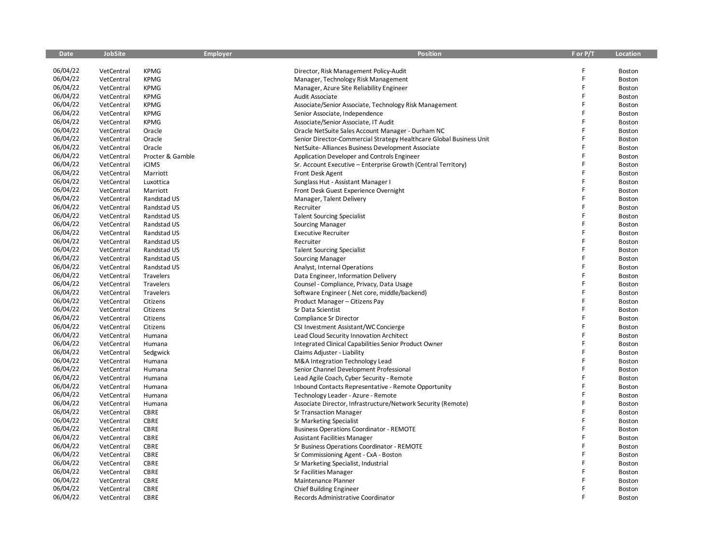| <b>Date</b> | <b>JobSite</b> | <b>Employer</b>  | <b>Position</b>                                                     | F or P/T | <b>Location</b> |
|-------------|----------------|------------------|---------------------------------------------------------------------|----------|-----------------|
|             |                |                  |                                                                     |          |                 |
| 06/04/22    | VetCentral     | <b>KPMG</b>      | Director, Risk Management Policy-Audit                              | F        | Boston          |
| 06/04/22    | VetCentral     | <b>KPMG</b>      | Manager, Technology Risk Management                                 | F        | Boston          |
| 06/04/22    | VetCentral     | <b>KPMG</b>      | Manager, Azure Site Reliability Engineer                            | F        | Boston          |
| 06/04/22    | VetCentral     | <b>KPMG</b>      | Audit Associate                                                     | F        | Boston          |
| 06/04/22    | VetCentral     | <b>KPMG</b>      | Associate/Senior Associate, Technology Risk Management              | F        | Boston          |
| 06/04/22    | VetCentral     | <b>KPMG</b>      | Senior Associate, Independence                                      | F        | Boston          |
| 06/04/22    | VetCentral     | <b>KPMG</b>      | Associate/Senior Associate, IT Audit                                | F        | Boston          |
| 06/04/22    | VetCentral     | Oracle           | Oracle NetSuite Sales Account Manager - Durham NC                   | F        | Boston          |
| 06/04/22    | VetCentral     | Oracle           | Senior Director-Commercial Strategy Healthcare Global Business Unit | F        | Boston          |
| 06/04/22    | VetCentral     | Oracle           | NetSuite-Alliances Business Development Associate                   | F        | Boston          |
| 06/04/22    | VetCentral     | Procter & Gamble | Application Developer and Controls Engineer                         | F        | Boston          |
| 06/04/22    | VetCentral     | <b>iCIMS</b>     | Sr. Account Executive - Enterprise Growth (Central Territory)       |          | Boston          |
| 06/04/22    | VetCentral     | Marriott         | <b>Front Desk Agent</b>                                             | F        | Boston          |
| 06/04/22    | VetCentral     | Luxottica        | Sunglass Hut - Assistant Manager I                                  | F        | Boston          |
| 06/04/22    | VetCentral     | Marriott         | Front Desk Guest Experience Overnight                               | F        | Boston          |
| 06/04/22    | VetCentral     | Randstad US      | Manager, Talent Delivery                                            | F        | Boston          |
| 06/04/22    | VetCentral     | Randstad US      | Recruiter                                                           | F        | Boston          |
| 06/04/22    | VetCentral     | Randstad US      | <b>Talent Sourcing Specialist</b>                                   | F        | Boston          |
| 06/04/22    | VetCentral     | Randstad US      | Sourcing Manager                                                    | F        | Boston          |
| 06/04/22    | VetCentral     | Randstad US      | <b>Executive Recruiter</b>                                          | F        | Boston          |
| 06/04/22    | VetCentral     | Randstad US      | Recruiter                                                           | F        | Boston          |
| 06/04/22    | VetCentral     | Randstad US      | <b>Talent Sourcing Specialist</b>                                   |          | Boston          |
| 06/04/22    | VetCentral     | Randstad US      | Sourcing Manager                                                    | F        | Boston          |
| 06/04/22    | VetCentral     | Randstad US      | Analyst, Internal Operations                                        | F        | Boston          |
| 06/04/22    | VetCentral     | Travelers        | Data Engineer, Information Delivery                                 | F        | Boston          |
| 06/04/22    | VetCentral     | Travelers        | Counsel - Compliance, Privacy, Data Usage                           | F        | Boston          |
| 06/04/22    | VetCentral     | Travelers        | Software Engineer (.Net core, middle/backend)                       | F        | Boston          |
| 06/04/22    | VetCentral     | Citizens         | Product Manager - Citizens Pay                                      | Ē        | Boston          |
| 06/04/22    | VetCentral     | Citizens         | Sr Data Scientist                                                   | F        | Boston          |
| 06/04/22    | VetCentral     | Citizens         | Compliance Sr Director                                              | F        | Boston          |
| 06/04/22    | VetCentral     | Citizens         | CSI Investment Assistant/WC Concierge                               |          | Boston          |
| 06/04/22    | VetCentral     | Humana           | Lead Cloud Security Innovation Architect                            | F        | Boston          |
| 06/04/22    | VetCentral     | Humana           | Integrated Clinical Capabilities Senior Product Owner               | F        | Boston          |
| 06/04/22    | VetCentral     | Sedgwick         | Claims Adjuster - Liability                                         | F        | Boston          |
| 06/04/22    | VetCentral     | Humana           | M&A Integration Technology Lead                                     | F        | Boston          |
| 06/04/22    | VetCentral     | Humana           | Senior Channel Development Professional                             | F        | Boston          |
| 06/04/22    | VetCentral     | Humana           | Lead Agile Coach, Cyber Security - Remote                           | F        | Boston          |
| 06/04/22    | VetCentral     | Humana           | Inbound Contacts Representative - Remote Opportunity                | F        | Boston          |
| 06/04/22    | VetCentral     | Humana           | Technology Leader - Azure - Remote                                  |          | Boston          |
| 06/04/22    | VetCentral     | Humana           | Associate Director, Infrastructure/Network Security (Remote)        | F        | Boston          |
| 06/04/22    | VetCentral     | CBRE             | Sr Transaction Manager                                              | F        | Boston          |
| 06/04/22    | VetCentral     | <b>CBRE</b>      | Sr Marketing Specialist                                             | F        | Boston          |
| 06/04/22    | VetCentral     | CBRE             | <b>Business Operations Coordinator - REMOTE</b>                     | F        | Boston          |
| 06/04/22    | VetCentral     | <b>CBRE</b>      | <b>Assistant Facilities Manager</b>                                 | F        | Boston          |
| 06/04/22    | VetCentral     | CBRE             | Sr Business Operations Coordinator - REMOTE                         | F        | Boston          |
| 06/04/22    | VetCentral     | CBRE             | Sr Commissioning Agent - CxA - Boston                               | F        | Boston          |
| 06/04/22    | VetCentral     | CBRE             | Sr Marketing Specialist, Industrial                                 | F        | Boston          |
| 06/04/22    | VetCentral     | CBRE             | Sr Facilities Manager                                               |          | Boston          |
| 06/04/22    | VetCentral     | <b>CBRE</b>      | Maintenance Planner                                                 |          | Boston          |
| 06/04/22    | VetCentral     | CBRE             | <b>Chief Building Engineer</b>                                      | F        | Boston          |
| 06/04/22    | VetCentral     | <b>CBRE</b>      | Records Administrative Coordinator                                  |          | Boston          |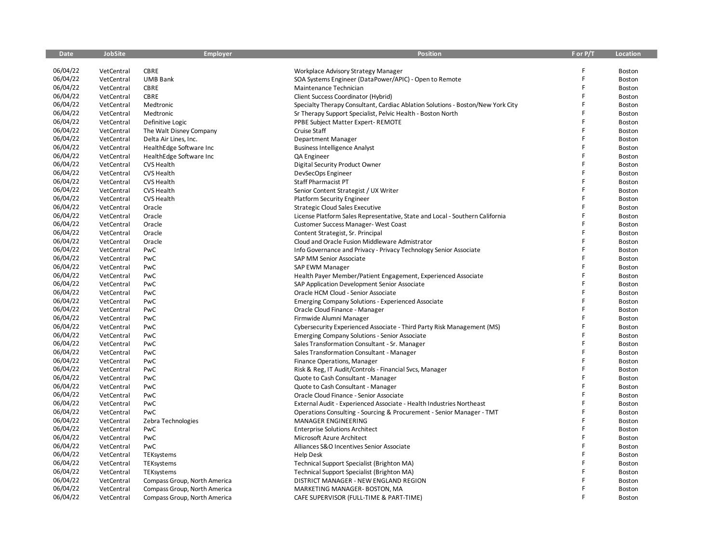| <b>Date</b> | <b>JobSite</b> | <b>Employer</b>              | <b>Position</b>                                                                 | F or P/T | <b>Location</b> |
|-------------|----------------|------------------------------|---------------------------------------------------------------------------------|----------|-----------------|
|             |                |                              |                                                                                 |          |                 |
| 06/04/22    | VetCentral     | <b>CBRE</b>                  | Workplace Advisory Strategy Manager                                             |          | Boston          |
| 06/04/22    | VetCentral     | <b>UMB Bank</b>              | SOA Systems Engineer (DataPower/APIC) - Open to Remote                          | Ē        | Boston          |
| 06/04/22    | VetCentral     | CBRE                         | Maintenance Technician                                                          | F        | Boston          |
| 06/04/22    | VetCentral     | CBRE                         | Client Success Coordinator (Hybrid)                                             | F        | <b>Boston</b>   |
| 06/04/22    | VetCentral     | Medtronic                    | Specialty Therapy Consultant, Cardiac Ablation Solutions - Boston/New York City |          | Boston          |
| 06/04/22    | VetCentral     | Medtronic                    | Sr Therapy Support Specialist, Pelvic Health - Boston North                     |          | Boston          |
| 06/04/22    | VetCentral     | Definitive Logic             | PPBE Subject Matter Expert-REMOTE                                               | F        | Boston          |
| 06/04/22    | VetCentral     | The Walt Disney Company      | Cruise Staff                                                                    | F        | Boston          |
| 06/04/22    | VetCentral     | Delta Air Lines, Inc.        | Department Manager                                                              | Ē        | Boston          |
| 06/04/22    | VetCentral     | HealthEdge Software Inc      | <b>Business Intelligence Analyst</b>                                            | F        | Boston          |
| 06/04/22    | VetCentral     | HealthEdge Software Inc      | QA Engineer                                                                     | F        | Boston          |
| 06/04/22    | VetCentral     | CVS Health                   | Digital Security Product Owner                                                  |          | Boston          |
| 06/04/22    | VetCentral     | CVS Health                   | DevSecOps Engineer                                                              | F        | Boston          |
| 06/04/22    | VetCentral     | <b>CVS Health</b>            | <b>Staff Pharmacist PT</b>                                                      | F        | Boston          |
| 06/04/22    | VetCentral     | <b>CVS Health</b>            | Senior Content Strategist / UX Writer                                           | F        | Boston          |
| 06/04/22    | VetCentral     | <b>CVS Health</b>            | <b>Platform Security Engineer</b>                                               | F        | Boston          |
| 06/04/22    | VetCentral     | Oracle                       | <b>Strategic Cloud Sales Executive</b>                                          |          | Boston          |
| 06/04/22    | VetCentral     | Oracle                       | License Platform Sales Representative, State and Local - Southern California    | F        | Boston          |
| 06/04/22    | VetCentral     | Oracle                       | Customer Success Manager- West Coast                                            | F        | Boston          |
| 06/04/22    | VetCentral     | Oracle                       | Content Strategist, Sr. Principal                                               | F        | Boston          |
| 06/04/22    | VetCentral     | Oracle                       | Cloud and Oracle Fusion Middleware Admistrator                                  |          | Boston          |
| 06/04/22    | VetCentral     | PwC                          | Info Governance and Privacy - Privacy Technology Senior Associate               |          | Boston          |
| 06/04/22    | VetCentral     | PwC                          | SAP MM Senior Associate                                                         | F        | <b>Boston</b>   |
| 06/04/22    | VetCentral     | PwC                          | SAP EWM Manager                                                                 |          | Boston          |
| 06/04/22    | VetCentral     | PwC                          | Health Payer Member/Patient Engagement, Experienced Associate                   | F        | Boston          |
| 06/04/22    | VetCentral     | PwC                          | SAP Application Development Senior Associate                                    | F        | <b>Boston</b>   |
| 06/04/22    | VetCentral     | PwC                          | Oracle HCM Cloud - Senior Associate                                             | F        | Boston          |
| 06/04/22    | VetCentral     | PwC                          | <b>Emerging Company Solutions - Experienced Associate</b>                       |          | Boston          |
| 06/04/22    | VetCentral     | PwC                          | Oracle Cloud Finance - Manager                                                  | F        | Boston          |
| 06/04/22    | VetCentral     | PwC                          | Firmwide Alumni Manager                                                         | F        | Boston          |
| 06/04/22    | VetCentral     | PwC                          | Cybersecurity Experienced Associate - Third Party Risk Management (MS)          |          | Boston          |
| 06/04/22    | VetCentral     | PwC                          | <b>Emerging Company Solutions - Senior Associate</b>                            |          | Boston          |
| 06/04/22    | VetCentral     | PwC                          | Sales Transformation Consultant - Sr. Manager                                   | F        | Boston          |
| 06/04/22    | VetCentral     | PwC                          | Sales Transformation Consultant - Manager                                       |          | Boston          |
| 06/04/22    | VetCentral     | PwC                          | Finance Operations, Manager                                                     | F        | Boston          |
| 06/04/22    | VetCentral     | PwC                          | Risk & Reg, IT Audit/Controls - Financial Svcs, Manager                         | F        | Boston          |
| 06/04/22    | VetCentral     | PwC                          | Quote to Cash Consultant - Manager                                              |          | Boston          |
| 06/04/22    | VetCentral     | PwC                          | Quote to Cash Consultant - Manager                                              |          | Boston          |
| 06/04/22    | VetCentral     | PwC                          | Oracle Cloud Finance - Senior Associate                                         |          | Boston          |
| 06/04/22    | VetCentral     | PwC                          | External Audit - Experienced Associate - Health Industries Northeast            | F        | Boston          |
| 06/04/22    | VetCentral     | PwC                          | Operations Consulting - Sourcing & Procurement - Senior Manager - TMT           |          | Boston          |
| 06/04/22    | VetCentral     | Zebra Technologies           | MANAGER ENGINEERING                                                             | F        | Boston          |
| 06/04/22    | VetCentral     | PwC                          | <b>Enterprise Solutions Architect</b>                                           | F        | Boston          |
| 06/04/22    | VetCentral     | PwC                          | Microsoft Azure Architect                                                       |          | Boston          |
| 06/04/22    | VetCentral     | PwC                          | Alliances S&O Incentives Senior Associate                                       | F        | Boston          |
| 06/04/22    | VetCentral     | TEKsystems                   | <b>Help Desk</b>                                                                |          | Boston          |
| 06/04/22    | VetCentral     | TEKsystems                   | Technical Support Specialist (Brighton MA)                                      | F        | <b>Boston</b>   |
| 06/04/22    | VetCentral     | TEKsystems                   | Technical Support Specialist (Brighton MA)                                      |          | Boston          |
| 06/04/22    | VetCentral     | Compass Group, North America | DISTRICT MANAGER - NEW ENGLAND REGION                                           |          | Boston          |
| 06/04/22    | VetCentral     | Compass Group, North America | MARKETING MANAGER- BOSTON, MA                                                   |          | <b>Boston</b>   |
| 06/04/22    | VetCentral     | Compass Group, North America | CAFE SUPERVISOR (FULL-TIME & PART-TIME)                                         |          | Boston          |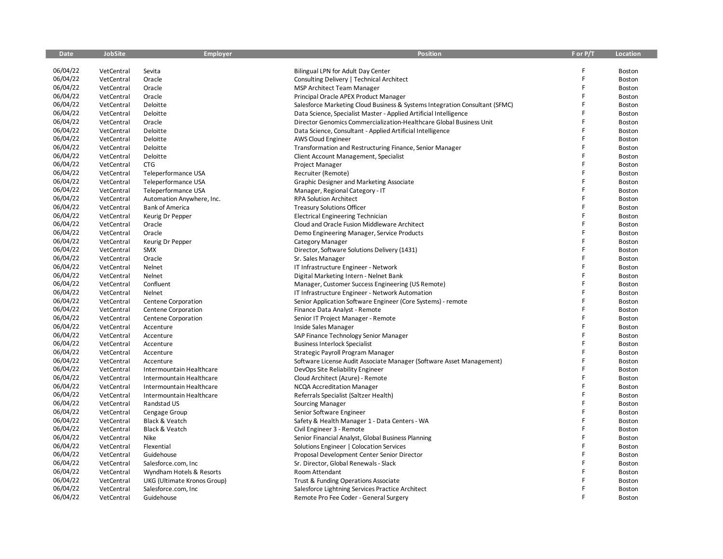| <b>Date</b> | <b>JobSite</b> | Employer                    | <b>Position</b>                                                             | F or P/T | <b>Location</b> |
|-------------|----------------|-----------------------------|-----------------------------------------------------------------------------|----------|-----------------|
|             |                |                             |                                                                             |          |                 |
| 06/04/22    | VetCentral     | Sevita                      | <b>Bilingual LPN for Adult Day Center</b>                                   |          | Boston          |
| 06/04/22    | VetCentral     | Oracle                      | Consulting Delivery   Technical Architect                                   | F        | Boston          |
| 06/04/22    | VetCentral     | Oracle                      | <b>MSP Architect Team Manager</b>                                           | F        | Boston          |
| 06/04/22    | VetCentral     | Oracle                      | Principal Oracle APEX Product Manager                                       | F        | Boston          |
| 06/04/22    | VetCentral     | Deloitte                    | Salesforce Marketing Cloud Business & Systems Integration Consultant (SFMC) | F        | Boston          |
| 06/04/22    | VetCentral     | Deloitte                    | Data Science, Specialist Master - Applied Artificial Intelligence           |          | Boston          |
| 06/04/22    | VetCentral     | Oracle                      | Director Genomics Commercialization-Healthcare Global Business Unit         | F        | Boston          |
| 06/04/22    | VetCentral     | Deloitte                    | Data Science, Consultant - Applied Artificial Intelligence                  | F        | Boston          |
| 06/04/22    | VetCentral     | Deloitte                    | AWS Cloud Engineer                                                          | Ē        | Boston          |
| 06/04/22    | VetCentral     | Deloitte                    | Transformation and Restructuring Finance, Senior Manager                    | F        | Boston          |
| 06/04/22    | VetCentral     | Deloitte                    | Client Account Management, Specialist                                       | F        | Boston          |
| 06/04/22    | VetCentral     | CTG                         | Project Manager                                                             |          | Boston          |
| 06/04/22    | VetCentral     | Teleperformance USA         | Recruiter (Remote)                                                          | F        | Boston          |
| 06/04/22    | VetCentral     | Teleperformance USA         | Graphic Designer and Marketing Associate                                    | F        | Boston          |
| 06/04/22    | VetCentral     | Teleperformance USA         | Manager, Regional Category - IT                                             | F        | Boston          |
| 06/04/22    | VetCentral     | Automation Anywhere, Inc.   | <b>RPA Solution Architect</b>                                               | F        | Boston          |
| 06/04/22    | VetCentral     | <b>Bank of America</b>      | <b>Treasury Solutions Officer</b>                                           | F        | Boston          |
| 06/04/22    | VetCentral     | Keurig Dr Pepper            | <b>Electrical Engineering Technician</b>                                    | F        | Boston          |
| 06/04/22    | VetCentral     | Oracle                      | Cloud and Oracle Fusion Middleware Architect                                | F        | Boston          |
| 06/04/22    | VetCentral     | Oracle                      | Demo Engineering Manager, Service Products                                  | F        | <b>Boston</b>   |
| 06/04/22    | VetCentral     | Keurig Dr Pepper            | Category Manager                                                            | F        | Boston          |
| 06/04/22    | VetCentral     | <b>SMX</b>                  | Director, Software Solutions Delivery (1431)                                |          | Boston          |
| 06/04/22    | VetCentral     | Oracle                      | Sr. Sales Manager                                                           | F        | Boston          |
| 06/04/22    | VetCentral     | Nelnet                      | IT Infrastructure Engineer - Network                                        | F        | Boston          |
| 06/04/22    | VetCentral     | Nelnet                      | Digital Marketing Intern - Nelnet Bank                                      | F        | Boston          |
| 06/04/22    | VetCentral     | Confluent                   | Manager, Customer Success Engineering (US Remote)                           | F        | Boston          |
| 06/04/22    | VetCentral     | Nelnet                      | IT Infrastructure Engineer - Network Automation                             | F        | Boston          |
| 06/04/22    | VetCentral     | Centene Corporation         | Senior Application Software Engineer (Core Systems) - remote                | Ë        | Boston          |
| 06/04/22    | VetCentral     | Centene Corporation         | Finance Data Analyst - Remote                                               | F        | Boston          |
| 06/04/22    | VetCentral     | Centene Corporation         | Senior IT Project Manager - Remote                                          | F        | Boston          |
| 06/04/22    | VetCentral     | Accenture                   | Inside Sales Manager                                                        | F        | Boston          |
| 06/04/22    | VetCentral     | Accenture                   | SAP Finance Technology Senior Manager                                       | F        | Boston          |
| 06/04/22    | VetCentral     | Accenture                   | <b>Business Interlock Specialist</b>                                        | F        | <b>Boston</b>   |
| 06/04/22    | VetCentral     | Accenture                   | Strategic Payroll Program Manager                                           | F        | Boston          |
| 06/04/22    | VetCentral     | Accenture                   | Software License Audit Associate Manager (Software Asset Management)        | F        | Boston          |
| 06/04/22    | VetCentral     | Intermountain Healthcare    | DevOps Site Reliability Engineer                                            | F        | Boston          |
| 06/04/22    | VetCentral     | Intermountain Healthcare    | Cloud Architect (Azure) - Remote                                            | F        | Boston          |
| 06/04/22    | VetCentral     | Intermountain Healthcare    | NCQA Accreditation Manager                                                  | F        | Boston          |
| 06/04/22    | VetCentral     | Intermountain Healthcare    | Referrals Specialist (Saltzer Health)                                       | F        | Boston          |
| 06/04/22    | VetCentral     | Randstad US                 | Sourcing Manager                                                            | F        | Boston          |
| 06/04/22    | VetCentral     | Cengage Group               | Senior Software Engineer                                                    | F        | Boston          |
| 06/04/22    | VetCentral     | Black & Veatch              | Safety & Health Manager 1 - Data Centers - WA                               | F        | Boston          |
| 06/04/22    | VetCentral     | Black & Veatch              | Civil Engineer 3 - Remote                                                   | F        | Boston          |
| 06/04/22    | VetCentral     | Nike                        | Senior Financial Analyst, Global Business Planning                          |          | Boston          |
| 06/04/22    | VetCentral     |                             | Solutions Engineer   Colocation Services                                    | F        | Boston          |
| 06/04/22    | VetCentral     | Flexential<br>Guidehouse    | Proposal Development Center Senior Director                                 | F        | Boston          |
| 06/04/22    |                |                             |                                                                             | F        |                 |
| 06/04/22    | VetCentral     | Salesforce.com, Inc         | Sr. Director, Global Renewals - Slack                                       | F        | Boston          |
| 06/04/22    | VetCentral     | Wyndham Hotels & Resorts    | Room Attendant                                                              |          | Boston          |
| 06/04/22    | VetCentral     | UKG (Ultimate Kronos Group) | Trust & Funding Operations Associate                                        | F        | Boston          |
| 06/04/22    | VetCentral     | Salesforce.com, Inc         | Salesforce Lightning Services Practice Architect                            | F        | Boston          |
|             | VetCentral     | Guidehouse                  | Remote Pro Fee Coder - General Surgery                                      |          | Boston          |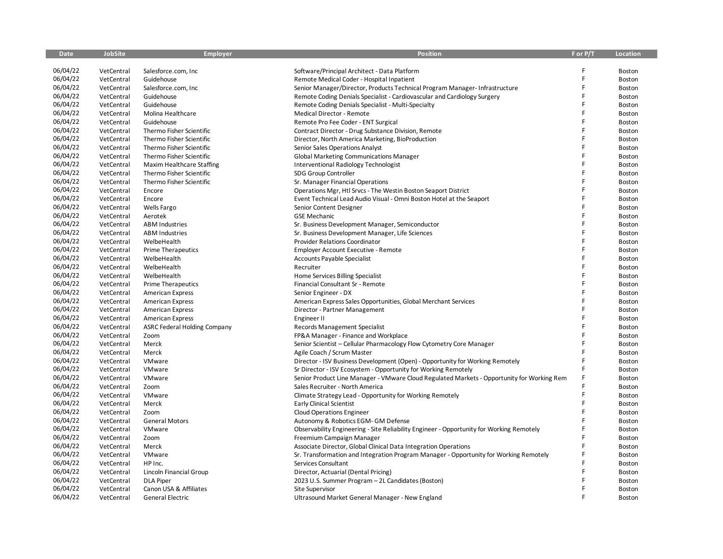| <b>Date</b> | <b>JobSite</b> | <b>Employer</b>                     | <b>Position</b>                                                                            | F or P/T | <b>Location</b>  |
|-------------|----------------|-------------------------------------|--------------------------------------------------------------------------------------------|----------|------------------|
|             |                |                                     |                                                                                            |          |                  |
| 06/04/22    | VetCentral     | Salesforce.com, Inc                 | Software/Principal Architect - Data Platform                                               |          | Boston           |
| 06/04/22    | VetCentral     | Guidehouse                          | Remote Medical Coder - Hospital Inpatient                                                  | F        | Boston           |
| 06/04/22    | VetCentral     | Salesforce.com, Inc                 | Senior Manager/Director, Products Technical Program Manager-Infrastructure                 | F        | Boston           |
| 06/04/22    | VetCentral     | Guidehouse                          | Remote Coding Denials Specialist - Cardiovascular and Cardiology Surgery                   | F        | <b>Boston</b>    |
| 06/04/22    | VetCentral     | Guidehouse                          | Remote Coding Denials Specialist - Multi-Specialty                                         | F        | Boston           |
| 06/04/22    | VetCentral     | Molina Healthcare                   | Medical Director - Remote                                                                  | F        | Boston           |
| 06/04/22    | VetCentral     | Guidehouse                          | Remote Pro Fee Coder - ENT Surgical                                                        | F        | Boston           |
| 06/04/22    | VetCentral     | Thermo Fisher Scientific            | Contract Director - Drug Substance Division, Remote                                        | F        | Boston           |
| 06/04/22    | VetCentral     | Thermo Fisher Scientific            | Director, North America Marketing, BioProduction                                           | F        | Boston           |
| 06/04/22    | VetCentral     | Thermo Fisher Scientific            | Senior Sales Operations Analyst                                                            | F        | Boston           |
| 06/04/22    | VetCentral     | Thermo Fisher Scientific            | <b>Global Marketing Communications Manager</b>                                             | F        | Boston           |
| 06/04/22    | VetCentral     | Maxim Healthcare Staffing           | Interventional Radiology Technologist                                                      |          | Boston           |
| 06/04/22    | VetCentral     | Thermo Fisher Scientific            | SDG Group Controller                                                                       | F        | Boston           |
| 06/04/22    | VetCentral     | Thermo Fisher Scientific            | Sr. Manager Financial Operations                                                           | F        | <b>Boston</b>    |
| 06/04/22    | VetCentral     | Encore                              | Operations Mgr, Htl Srvcs - The Westin Boston Seaport District                             | F        | Boston           |
| 06/04/22    | VetCentral     | Encore                              | Event Technical Lead Audio Visual - Omni Boston Hotel at the Seaport                       | F        | Boston           |
| 06/04/22    | VetCentral     | Wells Fargo                         | Senior Content Designer                                                                    | F        | Boston           |
| 06/04/22    | VetCentral     | Aerotek                             | <b>GSE Mechanic</b>                                                                        | F        | Boston           |
| 06/04/22    | VetCentral     | <b>ABM Industries</b>               | Sr. Business Development Manager, Semiconductor                                            | F        | Boston           |
| 06/04/22    | VetCentral     | <b>ABM Industries</b>               | Sr. Business Development Manager, Life Sciences                                            | F        | Boston           |
| 06/04/22    | VetCentral     | WelbeHealth                         | <b>Provider Relations Coordinator</b>                                                      | F        | Boston           |
| 06/04/22    | VetCentral     | <b>Prime Therapeutics</b>           | <b>Employer Account Executive - Remote</b>                                                 | F        | Boston           |
| 06/04/22    | VetCentral     | WelbeHealth                         | <b>Accounts Payable Specialist</b>                                                         | F        | Boston           |
| 06/04/22    | VetCentral     | WelbeHealth                         | Recruiter                                                                                  | F        | Boston           |
| 06/04/22    | VetCentral     | WelbeHealth                         | Home Services Billing Specialist                                                           | F        | Boston           |
| 06/04/22    | VetCentral     | <b>Prime Therapeutics</b>           | Financial Consultant Sr - Remote                                                           | F        | <b>Boston</b>    |
| 06/04/22    | VetCentral     | <b>American Express</b>             | Senior Engineer - DX                                                                       | F        | Boston           |
| 06/04/22    | VetCentral     | <b>American Express</b>             | American Express Sales Opportunities, Global Merchant Services                             | Ē        | Boston           |
| 06/04/22    | VetCentral     | <b>American Express</b>             | Director - Partner Management                                                              | F        | Boston           |
| 06/04/22    | VetCentral     | <b>American Express</b>             | Engineer II                                                                                | F        | Boston           |
| 06/04/22    | VetCentral     | <b>ASRC Federal Holding Company</b> | <b>Records Management Specialist</b>                                                       |          | <b>Boston</b>    |
| 06/04/22    | VetCentral     | Zoom                                | FP&A Manager - Finance and Workplace                                                       | F        | Boston           |
| 06/04/22    | VetCentral     | Merck                               | Senior Scientist - Cellular Pharmacology Flow Cytometry Core Manager                       | F        | Boston           |
| 06/04/22    | VetCentral     | Merck                               | Agile Coach / Scrum Master                                                                 | F        | Boston           |
| 06/04/22    | VetCentral     | VMware                              | Director - ISV Business Development (Open) - Opportunity for Working Remotely              | F        | Boston           |
| 06/04/22    | VetCentral     | VMware                              | Sr Director - ISV Ecosystem - Opportunity for Working Remotely                             |          | Boston           |
| 06/04/22    | VetCentral     | VMware                              | Senior Product Line Manager - VMware Cloud Regulated Markets - Opportunity for Working Rem |          | Boston           |
| 06/04/22    | VetCentral     | Zoom                                | Sales Recruiter - North America                                                            |          | Boston           |
| 06/04/22    | VetCentral     | VMware                              | Climate Strategy Lead - Opportunity for Working Remotely                                   | F        | Boston           |
| 06/04/22    | VetCentral     | Merck                               | <b>Early Clinical Scientist</b>                                                            | F        | Boston           |
| 06/04/22    | VetCentral     | Zoom                                | <b>Cloud Operations Engineer</b>                                                           | F        | Boston           |
| 06/04/22    | VetCentral     | <b>General Motors</b>               | Autonomy & Robotics EGM- GM Defense                                                        | F        | Boston           |
| 06/04/22    | VetCentral     | VMware                              | Observability Engineering - Site Reliability Engineer - Opportunity for Working Remotely   | Ē        | Boston           |
| 06/04/22    | VetCentral     | Zoom                                | Freemium Campaign Manager                                                                  |          | Boston           |
| 06/04/22    | VetCentral     | Merck                               | Associate Director, Global Clinical Data Integration Operations                            | Ē        | Boston           |
| 06/04/22    | VetCentral     | VMware                              | Sr. Transformation and Integration Program Manager - Opportunity for Working Remotely      |          | Boston           |
| 06/04/22    | VetCentral     | HP Inc.                             | Services Consultant                                                                        |          | <b>Boston</b>    |
| 06/04/22    | VetCentral     | Lincoln Financial Group             |                                                                                            |          | Boston           |
| 06/04/22    | VetCentral     | <b>DLA Piper</b>                    | Director, Actuarial (Dental Pricing)<br>2023 U.S. Summer Program - 2L Candidates (Boston)  |          |                  |
| 06/04/22    | VetCentral     | Canon USA & Affiliates              | Site Supervisor                                                                            | F        | Boston<br>Boston |
| 06/04/22    | VetCentral     | General Electric                    | Ultrasound Market General Manager - New England                                            |          | Boston           |
|             |                |                                     |                                                                                            |          |                  |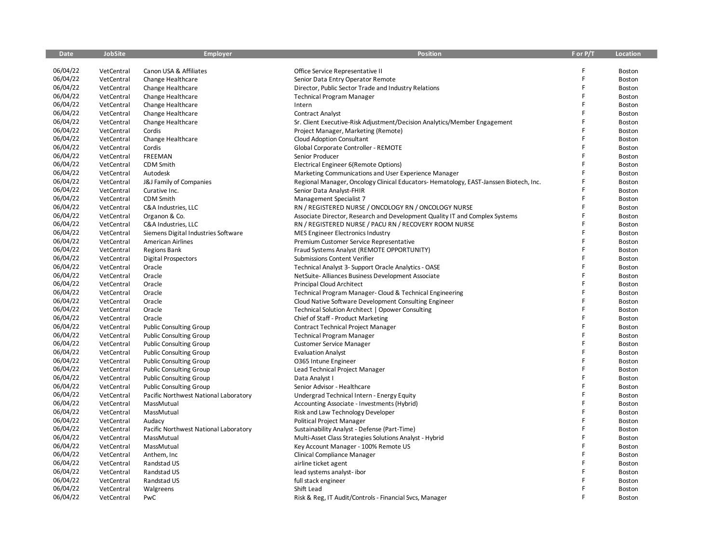| <b>Date</b> | <b>JobSite</b>           | <b>Employer</b>                       | <b>Position</b>                                                                      | F or P/T | <b>Location</b> |
|-------------|--------------------------|---------------------------------------|--------------------------------------------------------------------------------------|----------|-----------------|
|             |                          |                                       |                                                                                      |          |                 |
| 06/04/22    | VetCentral               | Canon USA & Affiliates                | Office Service Representative II                                                     | F        | Boston          |
| 06/04/22    | VetCentral               | Change Healthcare                     | Senior Data Entry Operator Remote                                                    | F        | Boston          |
| 06/04/22    | VetCentral               | Change Healthcare                     | Director, Public Sector Trade and Industry Relations                                 | F        | Boston          |
| 06/04/22    | VetCentral               | Change Healthcare                     | <b>Technical Program Manager</b>                                                     | F        | <b>Boston</b>   |
| 06/04/22    | VetCentral               | Change Healthcare                     | Intern                                                                               | F        | Boston          |
| 06/04/22    | VetCentral               | Change Healthcare                     | <b>Contract Analyst</b>                                                              | F        | <b>Boston</b>   |
| 06/04/22    | VetCentral               | Change Healthcare                     | Sr. Client Executive-Risk Adjustment/Decision Analytics/Member Engagement            | F        | Boston          |
| 06/04/22    | VetCentral               | Cordis                                | Project Manager, Marketing (Remote)                                                  | F        | Boston          |
| 06/04/22    | VetCentral               | Change Healthcare                     | Cloud Adoption Consultant                                                            | F        | Boston          |
| 06/04/22    | VetCentral               | Cordis                                | Global Corporate Controller - REMOTE                                                 | F        | Boston          |
| 06/04/22    | VetCentral               | FREEMAN                               | Senior Producer                                                                      | F        | Boston          |
| 06/04/22    | VetCentral               | <b>CDM Smith</b>                      | Electrical Engineer 6(Remote Options)                                                |          | Boston          |
| 06/04/22    | VetCentral               | Autodesk                              | Marketing Communications and User Experience Manager                                 | F        | Boston          |
| 06/04/22    | VetCentral               | J&J Family of Companies               | Regional Manager, Oncology Clinical Educators-Hematology, EAST-Janssen Biotech, Inc. |          | <b>Boston</b>   |
| 06/04/22    | VetCentral               | Curative Inc.                         | Senior Data Analyst-FHIR                                                             |          | Boston          |
| 06/04/22    | VetCentral               | CDM Smith                             | Management Specialist 7                                                              | F        | Boston          |
| 06/04/22    | VetCentral               | C&A Industries, LLC                   | RN / REGISTERED NURSE / ONCOLOGY RN / ONCOLOGY NURSE                                 | F        | Boston          |
| 06/04/22    | VetCentral               | Organon & Co.                         | Associate Director, Research and Development Quality IT and Complex Systems          | F        | Boston          |
| 06/04/22    | VetCentral               | C&A Industries, LLC                   | RN / REGISTERED NURSE / PACU RN / RECOVERY ROOM NURSE                                | F        | Boston          |
| 06/04/22    | VetCentral               | Siemens Digital Industries Software   | MES Engineer Electronics Industry                                                    | F        | Boston          |
| 06/04/22    | VetCentral               | <b>American Airlines</b>              | Premium Customer Service Representative                                              | F        | Boston          |
| 06/04/22    | VetCentral               | <b>Regions Bank</b>                   | Fraud Systems Analyst (REMOTE OPPORTUNITY)                                           | F        | Boston          |
| 06/04/22    | VetCentral               | <b>Digital Prospectors</b>            | <b>Submissions Content Verifier</b>                                                  | F        | <b>Boston</b>   |
| 06/04/22    | VetCentral               | Oracle                                | Technical Analyst 3- Support Oracle Analytics - OASE                                 | F        | Boston          |
| 06/04/22    | VetCentral               | Oracle                                | NetSuite-Alliances Business Development Associate                                    | F        | Boston          |
| 06/04/22    | VetCentral               | Oracle                                | <b>Principal Cloud Architect</b>                                                     | F        | <b>Boston</b>   |
| 06/04/22    | VetCentral               | Oracle                                | Technical Program Manager- Cloud & Technical Engineering                             | F        | Boston          |
| 06/04/22    | VetCentral               | Oracle                                | Cloud Native Software Development Consulting Engineer                                | F        | Boston          |
| 06/04/22    | VetCentral               | Oracle                                | Technical Solution Architect   Opower Consulting                                     | F        | Boston          |
| 06/04/22    | VetCentral               | Oracle                                | Chief of Staff - Product Marketing                                                   | F        | Boston          |
| 06/04/22    | VetCentral               | <b>Public Consulting Group</b>        | Contract Technical Project Manager                                                   | F        | <b>Boston</b>   |
| 06/04/22    | VetCentral               | <b>Public Consulting Group</b>        | <b>Technical Program Manager</b>                                                     | F        | Boston          |
| 06/04/22    | VetCentral               | <b>Public Consulting Group</b>        | <b>Customer Service Manager</b>                                                      | F        | Boston          |
| 06/04/22    | VetCentral               | <b>Public Consulting Group</b>        | <b>Evaluation Analyst</b>                                                            | F        | Boston          |
| 06/04/22    | VetCentral               | <b>Public Consulting Group</b>        | O365 Intune Engineer                                                                 | F        | Boston          |
| 06/04/22    | VetCentral               | <b>Public Consulting Group</b>        | Lead Technical Project Manager                                                       | F        | Boston          |
| 06/04/22    | VetCentral               | <b>Public Consulting Group</b>        | Data Analyst I                                                                       | F        | Boston          |
| 06/04/22    | VetCentral               | <b>Public Consulting Group</b>        | Senior Advisor - Healthcare                                                          | F        | Boston          |
| 06/04/22    | VetCentral               | Pacific Northwest National Laboratory | Undergrad Technical Intern - Energy Equity                                           |          | Boston          |
| 06/04/22    | VetCentral               | MassMutual                            | Accounting Associate - Investments (Hybrid)                                          | F        | Boston          |
| 06/04/22    | VetCentral               | MassMutual                            | Risk and Law Technology Developer                                                    | F        | Boston          |
| 06/04/22    | VetCentral               | Audacy                                | Political Project Manager                                                            | F        | Boston          |
| 06/04/22    | VetCentral               | Pacific Northwest National Laboratory | Sustainability Analyst - Defense (Part-Time)                                         | F        | Boston          |
| 06/04/22    | VetCentral               | MassMutual                            | Multi-Asset Class Strategies Solutions Analyst - Hybrid                              | F        | Boston          |
| 06/04/22    | VetCentral               | MassMutual                            | Key Account Manager - 100% Remote US                                                 | F        | Boston          |
| 06/04/22    | VetCentral               | Anthem, Inc                           | Clinical Compliance Manager                                                          | F        | Boston          |
| 06/04/22    |                          |                                       |                                                                                      | F        |                 |
| 06/04/22    | VetCentral<br>VetCentral | Randstad US<br>Randstad US            | airline ticket agent                                                                 |          | Boston          |
| 06/04/22    |                          | Randstad US                           | lead systems analyst-ibor                                                            |          | Boston          |
| 06/04/22    | VetCentral               |                                       | full stack engineer<br>Shift Lead                                                    | F        | Boston          |
| 06/04/22    | VetCentral               | Walgreens                             |                                                                                      | F        | Boston          |
|             | VetCentral               | PwC                                   | Risk & Reg. IT Audit/Controls - Financial Svcs, Manager                              |          | Boston          |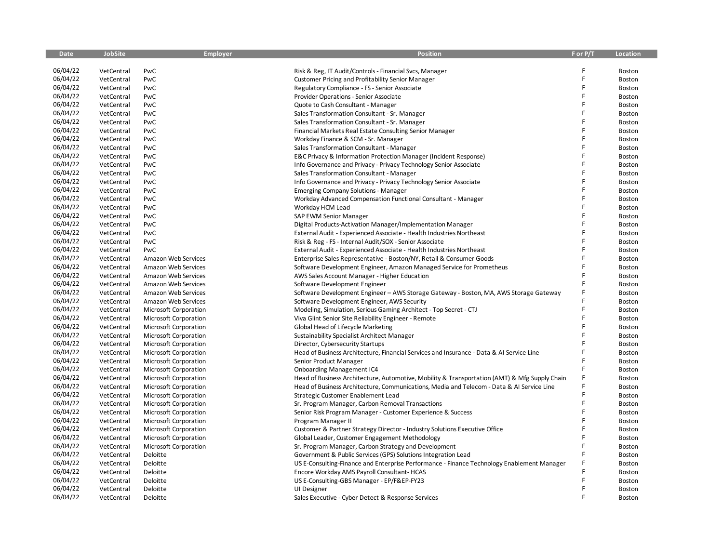| <b>Date</b> | <b>JobSite</b> | <b>Employer</b>              | <b>Position</b>                                                                               | F or P/T | <b>Location</b> |
|-------------|----------------|------------------------------|-----------------------------------------------------------------------------------------------|----------|-----------------|
|             |                |                              |                                                                                               |          |                 |
| 06/04/22    | VetCentral     | PwC                          | Risk & Reg, IT Audit/Controls - Financial Svcs, Manager                                       |          | Boston          |
| 06/04/22    | VetCentral     | PwC                          | Customer Pricing and Profitability Senior Manager                                             | F        | Boston          |
| 06/04/22    | VetCentral     | PwC                          | Regulatory Compliance - FS - Senior Associate                                                 | F        | Boston          |
| 06/04/22    | VetCentral     | PwC                          | Provider Operations - Senior Associate                                                        | F        | <b>Boston</b>   |
| 06/04/22    | VetCentral     | PwC                          | Quote to Cash Consultant - Manager                                                            | F        | Boston          |
| 06/04/22    | VetCentral     | PwC                          | Sales Transformation Consultant - Sr. Manager                                                 | F        | Boston          |
| 06/04/22    | VetCentral     | PwC                          | Sales Transformation Consultant - Sr. Manager                                                 | F        | Boston          |
| 06/04/22    | VetCentral     | PwC                          | Financial Markets Real Estate Consulting Senior Manager                                       | F        | Boston          |
| 06/04/22    | VetCentral     | PwC                          | Workday Finance & SCM - Sr. Manager                                                           |          | Boston          |
| 06/04/22    | VetCentral     | PwC                          | Sales Transformation Consultant - Manager                                                     | F        | Boston          |
| 06/04/22    | VetCentral     | PwC                          | E&C Privacy & Information Protection Manager (Incident Response)                              | F        | Boston          |
| 06/04/22    | VetCentral     | PwC                          | Info Governance and Privacy - Privacy Technology Senior Associate                             |          | Boston          |
| 06/04/22    | VetCentral     | PwC                          | Sales Transformation Consultant - Manager                                                     | F        | Boston          |
| 06/04/22    | VetCentral     | PwC                          | Info Governance and Privacy - Privacy Technology Senior Associate                             | F        | Boston          |
| 06/04/22    | VetCentral     | PwC                          | <b>Emerging Company Solutions - Manager</b>                                                   | F        | Boston          |
| 06/04/22    | VetCentral     | PwC                          | Workday Advanced Compensation Functional Consultant - Manager                                 | F        | Boston          |
| 06/04/22    | VetCentral     | PwC                          | Workday HCM Lead                                                                              |          | Boston          |
| 06/04/22    | VetCentral     | PwC                          | SAP EWM Senior Manager                                                                        | F        | Boston          |
| 06/04/22    | VetCentral     | PwC                          | Digital Products-Activation Manager/Implementation Manager                                    | F        | Boston          |
| 06/04/22    | VetCentral     | PwC                          | External Audit - Experienced Associate - Health Industries Northeast                          | F        | <b>Boston</b>   |
| 06/04/22    | VetCentral     | PwC                          | Risk & Reg - FS - Internal Audit/SOX - Senior Associate                                       | F        | Boston          |
| 06/04/22    | VetCentral     | PwC                          | External Audit - Experienced Associate - Health Industries Northeast                          |          | Boston          |
| 06/04/22    | VetCentral     | Amazon Web Services          | Enterprise Sales Representative - Boston/NY, Retail & Consumer Goods                          | F        | Boston          |
| 06/04/22    | VetCentral     | Amazon Web Services          | Software Development Engineer, Amazon Managed Service for Prometheus                          | F        | Boston          |
| 06/04/22    | VetCentral     | Amazon Web Services          | AWS Sales Account Manager - Higher Education                                                  | F        | Boston          |
| 06/04/22    | VetCentral     | Amazon Web Services          | Software Development Engineer                                                                 |          | <b>Boston</b>   |
| 06/04/22    | VetCentral     | Amazon Web Services          | Software Development Engineer - AWS Storage Gateway - Boston, MA, AWS Storage Gateway         | F        | <b>Boston</b>   |
| 06/04/22    | VetCentral     | Amazon Web Services          | Software Development Engineer, AWS Security                                                   | F        | <b>Boston</b>   |
| 06/04/22    | VetCentral     | Microsoft Corporation        | Modeling, Simulation, Serious Gaming Architect - Top Secret - CTJ                             | F        | Boston          |
| 06/04/22    | VetCentral     | Microsoft Corporation        | Viva Glint Senior Site Reliability Engineer - Remote                                          | F        | Boston          |
| 06/04/22    | VetCentral     | Microsoft Corporation        | Global Head of Lifecycle Marketing                                                            | F        | Boston          |
| 06/04/22    | VetCentral     | Microsoft Corporation        | Sustainability Specialist Architect Manager                                                   | F        | Boston          |
| 06/04/22    | VetCentral     | Microsoft Corporation        | Director, Cybersecurity Startups                                                              | F        | <b>Boston</b>   |
| 06/04/22    | VetCentral     | Microsoft Corporation        | Head of Business Architecture, Financial Services and Insurance - Data & AI Service Line      |          | Boston          |
| 06/04/22    | VetCentral     | Microsoft Corporation        | Senior Product Manager                                                                        |          | <b>Boston</b>   |
| 06/04/22    | VetCentral     | Microsoft Corporation        | <b>Onboarding Management IC4</b>                                                              | F        | <b>Boston</b>   |
| 06/04/22    | VetCentral     | <b>Microsoft Corporation</b> | Head of Business Architecture, Automotive, Mobility & Transportation (AMT) & Mfg Supply Chain |          | Boston          |
| 06/04/22    | VetCentral     | Microsoft Corporation        | Head of Business Architecture, Communications, Media and Telecom - Data & AI Service Line     |          | Boston          |
| 06/04/22    | VetCentral     | Microsoft Corporation        | Strategic Customer Enablement Lead                                                            | F        | Boston          |
| 06/04/22    | VetCentral     | <b>Microsoft Corporation</b> | Sr. Program Manager, Carbon Removal Transactions                                              | F        | Boston          |
| 06/04/22    | VetCentral     | <b>Microsoft Corporation</b> | Senior Risk Program Manager - Customer Experience & Success                                   |          | <b>Boston</b>   |
| 06/04/22    | VetCentral     | <b>Microsoft Corporation</b> | Program Manager II                                                                            | F        | Boston          |
| 06/04/22    | VetCentral     | Microsoft Corporation        | Customer & Partner Strategy Director - Industry Solutions Executive Office                    | F        | Boston          |
| 06/04/22    | VetCentral     | Microsoft Corporation        | Global Leader, Customer Engagement Methodology                                                |          | Boston          |
| 06/04/22    | VetCentral     | Microsoft Corporation        | Sr. Program Manager, Carbon Strategy and Development                                          | F        | <b>Boston</b>   |
| 06/04/22    | VetCentral     | Deloitte                     | Government & Public Services (GPS) Solutions Integration Lead                                 |          | Boston          |
| 06/04/22    | VetCentral     | Deloitte                     | US E-Consulting-Finance and Enterprise Performance - Finance Technology Enablement Manager    | F        | Boston          |
| 06/04/22    | VetCentral     | Deloitte                     | Encore Workday AMS Payroll Consultant- HCAS                                                   |          | Boston          |
| 06/04/22    | VetCentral     | Deloitte                     | US E-Consulting-GBS Manager - EP/F&EP-FY23                                                    |          | Boston          |
| 06/04/22    | VetCentral     | Deloitte                     | UI Designer                                                                                   | F        | Boston          |
| 06/04/22    | VetCentral     | Deloitte                     | Sales Executive - Cyber Detect & Response Services                                            | F        | Boston          |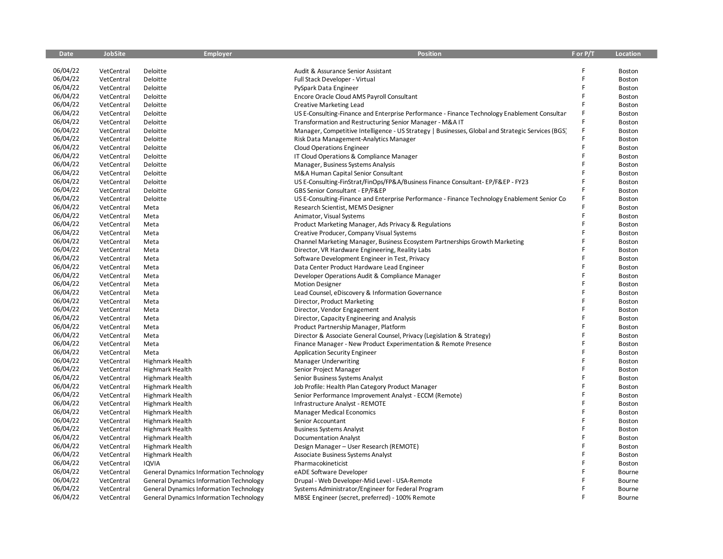| <b>Date</b> | <b>JobSite</b> | <b>Employer</b>                                | <b>Position</b>                                                                                   | F or P/T | Location |
|-------------|----------------|------------------------------------------------|---------------------------------------------------------------------------------------------------|----------|----------|
|             |                |                                                |                                                                                                   |          |          |
| 06/04/22    | VetCentral     | Deloitte                                       | Audit & Assurance Senior Assistant                                                                | F        | Boston   |
| 06/04/22    | VetCentral     | Deloitte                                       | Full Stack Developer - Virtual                                                                    | F        | Boston   |
| 06/04/22    | VetCentral     | Deloitte                                       | PySpark Data Engineer                                                                             | F        | Boston   |
| 06/04/22    | VetCentral     | Deloitte                                       | Encore Oracle Cloud AMS Payroll Consultant                                                        | F        | Boston   |
| 06/04/22    | VetCentral     | Deloitte                                       | <b>Creative Marketing Lead</b>                                                                    |          | Boston   |
| 06/04/22    | VetCentral     | Deloitte                                       | US E-Consulting-Finance and Enterprise Performance - Finance Technology Enablement Consultan      | F        | Boston   |
| 06/04/22    | VetCentral     | Deloitte                                       | Transformation and Restructuring Senior Manager - M&A IT                                          |          | Boston   |
| 06/04/22    | VetCentral     | Deloitte                                       | Manager, Competitive Intelligence - US Strategy   Businesses, Global and Strategic Services (BGS) | F        | Boston   |
| 06/04/22    | VetCentral     | Deloitte                                       | Risk Data Management-Analytics Manager                                                            |          | Boston   |
| 06/04/22    | VetCentral     | Deloitte                                       | <b>Cloud Operations Engineer</b>                                                                  | F        | Boston   |
| 06/04/22    | VetCentral     | Deloitte                                       | IT Cloud Operations & Compliance Manager                                                          | F        | Boston   |
| 06/04/22    | VetCentral     | Deloitte                                       | Manager, Business Systems Analysis                                                                | F        | Boston   |
| 06/04/22    | VetCentral     | Deloitte                                       | M&A Human Capital Senior Consultant                                                               | F        | Boston   |
| 06/04/22    | VetCentral     | Deloitte                                       | US E-Consulting-FinStrat/FinOps/FP&A/Business Finance Consultant-EP/F&EP - FY23                   |          | Boston   |
| 06/04/22    | VetCentral     | Deloitte                                       | GBS Senior Consultant - EP/F&EP                                                                   |          | Boston   |
| 06/04/22    | VetCentral     | Deloitte                                       | US E-Consulting-Finance and Enterprise Performance - Finance Technology Enablement Senior Co      |          | Boston   |
| 06/04/22    | VetCentral     | Meta                                           | Research Scientist, MEMS Designer                                                                 |          | Boston   |
| 06/04/22    | VetCentral     | Meta                                           | Animator, Visual Systems                                                                          | F        | Boston   |
| 06/04/22    | VetCentral     | Meta                                           | Product Marketing Manager, Ads Privacy & Regulations                                              | Ē        | Boston   |
| 06/04/22    | VetCentral     | Meta                                           | Creative Producer, Company Visual Systems                                                         |          | Boston   |
| 06/04/22    | VetCentral     | Meta                                           | Channel Marketing Manager, Business Ecosystem Partnerships Growth Marketing                       |          | Boston   |
| 06/04/22    | VetCentral     | Meta                                           | Director, VR Hardware Engineering, Reality Labs                                                   |          | Boston   |
| 06/04/22    | VetCentral     | Meta                                           | Software Development Engineer in Test, Privacy                                                    |          | Boston   |
| 06/04/22    | VetCentral     | Meta                                           | Data Center Product Hardware Lead Engineer                                                        |          | Boston   |
| 06/04/22    | VetCentral     | Meta                                           | Developer Operations Audit & Compliance Manager                                                   | F        | Boston   |
| 06/04/22    | VetCentral     | Meta                                           | <b>Motion Designer</b>                                                                            | F        | Boston   |
| 06/04/22    | VetCentral     | Meta                                           | Lead Counsel, eDiscovery & Information Governance                                                 |          | Boston   |
| 06/04/22    | VetCentral     | Meta                                           | Director, Product Marketing                                                                       | F        | Boston   |
| 06/04/22    | VetCentral     | Meta                                           | Director, Vendor Engagement                                                                       |          | Boston   |
| 06/04/22    | VetCentral     | Meta                                           | Director, Capacity Engineering and Analysis                                                       | Ë        | Boston   |
| 06/04/22    | VetCentral     | Meta                                           | Product Partnership Manager, Platform                                                             | F        | Boston   |
| 06/04/22    | VetCentral     | Meta                                           | Director & Associate General Counsel, Privacy (Legislation & Strategy)                            |          | Boston   |
| 06/04/22    | VetCentral     | Meta                                           | Finance Manager - New Product Experimentation & Remote Presence                                   |          | Boston   |
| 06/04/22    | VetCentral     | Meta                                           | <b>Application Security Engineer</b>                                                              |          | Boston   |
| 06/04/22    | VetCentral     | <b>Highmark Health</b>                         | <b>Manager Underwriting</b>                                                                       | F        | Boston   |
| 06/04/22    | VetCentral     | <b>Highmark Health</b>                         | Senior Project Manager                                                                            | F        | Boston   |
| 06/04/22    | VetCentral     | <b>Highmark Health</b>                         | Senior Business Systems Analyst                                                                   | F        | Boston   |
| 06/04/22    | VetCentral     | <b>Highmark Health</b>                         | Job Profile: Health Plan Category Product Manager                                                 |          | Boston   |
| 06/04/22    | VetCentral     | <b>Highmark Health</b>                         | Senior Performance Improvement Analyst - ECCM (Remote)                                            | F        | Boston   |
| 06/04/22    | VetCentral     | <b>Highmark Health</b>                         | Infrastructure Analyst - REMOTE                                                                   | F        | Boston   |
| 06/04/22    | VetCentral     | <b>Highmark Health</b>                         | <b>Manager Medical Economics</b>                                                                  | F        | Boston   |
| 06/04/22    | VetCentral     | <b>Highmark Health</b>                         | Senior Accountant                                                                                 | F        | Boston   |
| 06/04/22    | VetCentral     | <b>Highmark Health</b>                         | <b>Business Systems Analyst</b>                                                                   | F        | Boston   |
| 06/04/22    | VetCentral     |                                                |                                                                                                   |          | Boston   |
| 06/04/22    |                | <b>Highmark Health</b>                         | <b>Documentation Analyst</b>                                                                      | F        |          |
| 06/04/22    | VetCentral     | <b>Highmark Health</b>                         | Design Manager – User Research (REMOTE)                                                           |          | Boston   |
| 06/04/22    | VetCentral     | <b>Highmark Health</b>                         | Associate Business Systems Analyst                                                                |          | Boston   |
| 06/04/22    | VetCentral     | <b>IQVIA</b>                                   | Pharmacokineticist                                                                                |          | Boston   |
| 06/04/22    | VetCentral     | <b>General Dynamics Information Technology</b> | eADE Software Developer                                                                           |          | Bourne   |
| 06/04/22    | VetCentral     | <b>General Dynamics Information Technology</b> | Drupal - Web Developer-Mid Level - USA-Remote                                                     |          | Bourne   |
|             | VetCentral     | <b>General Dynamics Information Technology</b> | Systems Administrator/Engineer for Federal Program                                                |          | Bourne   |
| 06/04/22    | VetCentral     | <b>General Dynamics Information Technology</b> | MBSE Engineer (secret, preferred) - 100% Remote                                                   |          | Bourne   |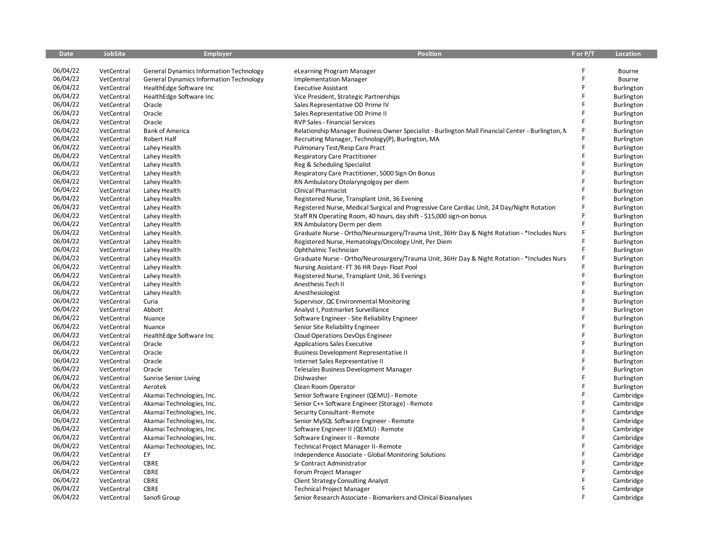| <b>Date</b> | <b>JobSite</b>           | <b>Employer</b>                                | Position                                                                                          | F or P/T | Location          |
|-------------|--------------------------|------------------------------------------------|---------------------------------------------------------------------------------------------------|----------|-------------------|
|             |                          |                                                |                                                                                                   |          |                   |
| 06/04/22    | VetCentral               | <b>General Dynamics Information Technology</b> | eLearning Program Manager                                                                         | F        | Bourne            |
| 06/04/22    | VetCentral               | <b>General Dynamics Information Technology</b> | <b>Implementation Manager</b>                                                                     | F        | Bourne            |
| 06/04/22    | VetCentral               | HealthEdge Software Inc                        | <b>Executive Assistant</b>                                                                        | F        | <b>Burlington</b> |
| 06/04/22    | VetCentral               | HealthEdge Software Inc                        | Vice President, Strategic Partnerships                                                            | F        | Burlington        |
| 06/04/22    | VetCentral               | Oracle                                         | Sales Representative OD Prime IV                                                                  | F        | <b>Burlington</b> |
| 06/04/22    | VetCentral               | Oracle                                         | Sales Representative OD Prime II                                                                  | F        | Burlington        |
| 06/04/22    | VetCentral               | Oracle                                         | RVP Sales - Financial Services                                                                    | F        | Burlington        |
| 06/04/22    | VetCentral               | <b>Bank of America</b>                         | Relationship Manager Business Owner Specialist - Burlington Mall Financial Center - Burlington, N | F        | Burlington        |
| 06/04/22    | VetCentral               | <b>Robert Half</b>                             | Recruiting Manager, Technology(P), Burlington, MA                                                 | F        | Burlington        |
| 06/04/22    | VetCentral               | Lahey Health                                   | Pulmonary Test/Resp Care Pract                                                                    | F        | Burlington        |
| 06/04/22    | VetCentral               | Lahey Health                                   | <b>Respiratory Care Practitioner</b>                                                              | F        | <b>Burlington</b> |
| 06/04/22    | VetCentral               | Lahey Health                                   | Reg & Scheduling Specialist                                                                       | F        | Burlington        |
| 06/04/22    | VetCentral               | Lahey Health                                   | Respiratory Care Practitioner, 5000 Sign On Bonus                                                 | F        | Burlington        |
| 06/04/22    | VetCentral               | Lahey Health                                   | RN Ambulatory Otolaryngolgoy per diem                                                             |          | Burlington        |
| 06/04/22    | VetCentral               | Lahey Health                                   | Clinical Pharmacist                                                                               | F        | Burlington        |
| 06/04/22    | VetCentral               | Lahey Health                                   | Registered Nurse, Transplant Unit, 36 Evening                                                     | F        | Burlington        |
| 06/04/22    | VetCentral               | Lahey Health                                   | Registered Nurse, Medical Surgical and Progressive Care Cardiac Unit, 24 Day/Night Rotation       | F        | Burlington        |
| 06/04/22    | VetCentral               | Lahey Health                                   | Staff RN Operating Room, 40 hours, day shift - \$15,000 sign-on bonus                             | F        | Burlington        |
| 06/04/22    | VetCentral               | Lahey Health                                   | RN Ambulatory Derm per diem                                                                       | F        | Burlington        |
| 06/04/22    | VetCentral               | Lahey Health                                   | Graduate Nurse - Ortho/Neurosurgery/Trauma Unit, 36Hr Day & Night Rotation - *Includes Nurs       |          | Burlington        |
| 06/04/22    | VetCentral               | Lahey Health                                   | Registered Nurse, Hematology/Oncology Unit, Per Diem                                              | F        | Burlington        |
| 06/04/22    | VetCentral               | Lahey Health                                   | Ophthalmic Technician                                                                             | F        | Burlington        |
| 06/04/22    | VetCentral               | Lahey Health                                   | Graduate Nurse - Ortho/Neurosurgery/Trauma Unit, 36Hr Day & Night Rotation - * Includes Nurse     | F        | Burlington        |
| 06/04/22    | VetCentral               | Lahey Health                                   | Nursing Assistant- FT 36 HR Days- Float Pool                                                      |          | Burlington        |
| 06/04/22    | VetCentral               | Lahey Health                                   | Registered Nurse, Transplant Unit, 36 Evenings                                                    | F        | Burlington        |
| 06/04/22    | VetCentral               | Lahey Health                                   | Anesthesis Tech II                                                                                | F        | Burlington        |
| 06/04/22    | VetCentral               | Lahey Health                                   | Anesthesiologist                                                                                  | F        | Burlington        |
| 06/04/22    | VetCentral               | Curia                                          | Supervisor, QC Environmental Monitoring                                                           | F        | Burlington        |
| 06/04/22    | VetCentral               | Abbott                                         | Analyst I, Postmarket Surveillance                                                                | F        | <b>Burlington</b> |
| 06/04/22    | VetCentral               | Nuance                                         | Software Engineer - Site Reliability Engineer                                                     | F        | Burlington        |
| 06/04/22    |                          |                                                |                                                                                                   | F        |                   |
| 06/04/22    | VetCentral<br>VetCentral | Nuance                                         | Senior Site Reliability Engineer                                                                  |          | Burlington        |
| 06/04/22    |                          | HealthEdge Software Inc                        | Cloud Operations DevOps Engineer                                                                  | F        | Burlington        |
| 06/04/22    | VetCentral               | Oracle                                         | <b>Applications Sales Executive</b>                                                               | F        | Burlington        |
| 06/04/22    | VetCentral               | Oracle                                         | <b>Business Development Representative II</b>                                                     | F        | Burlington        |
|             | VetCentral               | Oracle                                         | Internet Sales Representative II                                                                  | F        | Burlington        |
| 06/04/22    | VetCentral               | Oracle                                         | Telesales Business Development Manager                                                            | F        | Burlington        |
| 06/04/22    | VetCentral               | <b>Sunrise Senior Living</b>                   | Dishwasher                                                                                        | F        | Burlington        |
| 06/04/22    | VetCentral               | Aerotek                                        | Clean Room Operator                                                                               | F        | Burlington        |
| 06/04/22    | VetCentral               | Akamai Technologies, Inc.                      | Senior Software Engineer (QEMU) - Remote                                                          |          | Cambridge         |
| 06/04/22    | VetCentral               | Akamai Technologies, Inc.                      | Senior C++ Software Engineer (Storage) - Remote                                                   | F        | Cambridge         |
| 06/04/22    | VetCentral               | Akamai Technologies, Inc.                      | Security Consultant-Remote                                                                        | F        | Cambridge         |
| 06/04/22    | VetCentral               | Akamai Technologies, Inc.                      | Senior MySQL Software Engineer - Remote                                                           | F        | Cambridge         |
| 06/04/22    | VetCentral               | Akamai Technologies, Inc.                      | Software Engineer II (QEMU) - Remote                                                              | F        | Cambridge         |
| 06/04/22    | VetCentral               | Akamai Technologies, Inc.                      | Software Engineer II - Remote                                                                     | F        | Cambridge         |
| 06/04/22    | VetCentral               | Akamai Technologies, Inc.                      | Technical Project Manager II- Remote                                                              | F        | Cambridge         |
| 06/04/22    | VetCentral               | EY                                             | Independence Associate - Global Monitoring Solutions                                              | F        | Cambridge         |
| 06/04/22    | VetCentral               | CBRE                                           | Sr Contract Administrator                                                                         | F        | Cambridge         |
| 06/04/22    | VetCentral               | CBRE                                           | Forum Project Manager                                                                             | F        | Cambridge         |
| 06/04/22    | VetCentral               | CBRE                                           | <b>Client Strategy Consulting Analyst</b>                                                         |          | Cambridge         |
| 06/04/22    | VetCentral               | CBRE                                           | <b>Technical Project Manager</b>                                                                  | F        | Cambridge         |
| 06/04/22    | VetCentral               | Sanofi Group                                   | Senior Research Associate - Biomarkers and Clinical Bioanalyses                                   | F        | Cambridge         |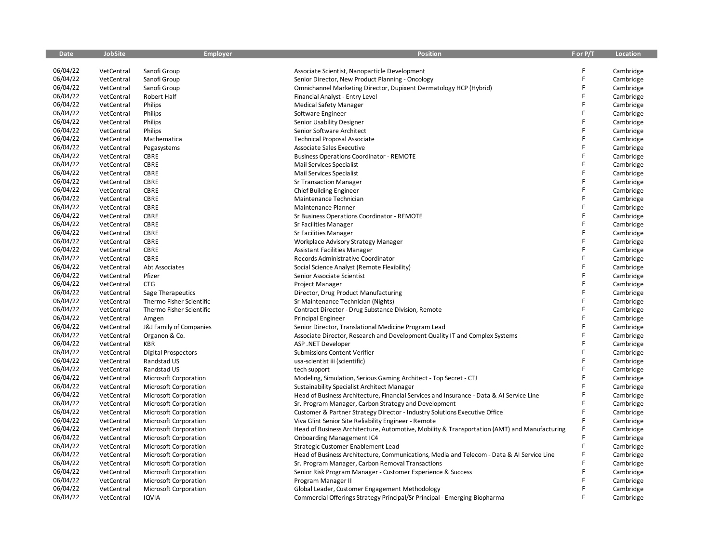| <b>Date</b> | <b>JobSite</b> | <b>Employer</b>              | <b>Position</b>                                                                              | F or P/T | Location  |
|-------------|----------------|------------------------------|----------------------------------------------------------------------------------------------|----------|-----------|
|             |                |                              |                                                                                              |          |           |
| 06/04/22    | VetCentral     | Sanofi Group                 | Associate Scientist, Nanoparticle Development                                                | F        | Cambridge |
| 06/04/22    | VetCentral     | Sanofi Group                 | Senior Director, New Product Planning - Oncology                                             | F        | Cambridge |
| 06/04/22    | VetCentral     | Sanofi Group                 | Omnichannel Marketing Director, Dupixent Dermatology HCP (Hybrid)                            | F        | Cambridge |
| 06/04/22    | VetCentral     | Robert Half                  | Financial Analyst - Entry Level                                                              | F        | Cambridge |
| 06/04/22    | VetCentral     | Philips                      | <b>Medical Safety Manager</b>                                                                | F        | Cambridge |
| 06/04/22    | VetCentral     | Philips                      | Software Engineer                                                                            | F        | Cambridge |
| 06/04/22    | VetCentral     | Philips                      | Senior Usability Designer                                                                    | F        | Cambridge |
| 06/04/22    | VetCentral     | Philips                      | Senior Software Architect                                                                    | F        | Cambridge |
| 06/04/22    | VetCentral     | Mathematica                  | <b>Technical Proposal Associate</b>                                                          | F        | Cambridge |
| 06/04/22    | VetCentral     | Pegasystems                  | <b>Associate Sales Executive</b>                                                             | F        | Cambridge |
| 06/04/22    | VetCentral     | CBRE                         | <b>Business Operations Coordinator - REMOTE</b>                                              | F        | Cambridge |
| 06/04/22    | VetCentral     | CBRE                         | Mail Services Specialist                                                                     | F        | Cambridge |
| 06/04/22    | VetCentral     | CBRE                         | Mail Services Specialist                                                                     | F        | Cambridge |
| 06/04/22    | VetCentral     | CBRE                         | <b>Sr Transaction Manager</b>                                                                | F        | Cambridge |
| 06/04/22    | VetCentral     | CBRE                         | Chief Building Engineer                                                                      | F        | Cambridge |
| 06/04/22    | VetCentral     | CBRE                         | Maintenance Technician                                                                       | F        | Cambridge |
| 06/04/22    | VetCentral     | CBRE                         | Maintenance Planner                                                                          | F        | Cambridge |
| 06/04/22    | VetCentral     | CBRE                         | Sr Business Operations Coordinator - REMOTE                                                  | F        | Cambridge |
| 06/04/22    | VetCentral     | CBRE                         | Sr Facilities Manager                                                                        | F        | Cambridge |
| 06/04/22    | VetCentral     | CBRE                         | Sr Facilities Manager                                                                        | F        | Cambridge |
| 06/04/22    | VetCentral     | CBRE                         | Workplace Advisory Strategy Manager                                                          | F        | Cambridge |
| 06/04/22    | VetCentral     | CBRE                         | <b>Assistant Facilities Manager</b>                                                          | F        | Cambridge |
| 06/04/22    | VetCentral     | CBRE                         | Records Administrative Coordinator                                                           | F        | Cambridge |
| 06/04/22    | VetCentral     | Abt Associates               | Social Science Analyst (Remote Flexibility)                                                  | F        | Cambridge |
| 06/04/22    | VetCentral     | Pfizer                       | Senior Associate Scientist                                                                   | F        | Cambridge |
| 06/04/22    | VetCentral     | <b>CTG</b>                   | Project Manager                                                                              | F        | Cambridge |
| 06/04/22    | VetCentral     | Sage Therapeutics            | Director, Drug Product Manufacturing                                                         | F        | Cambridge |
| 06/04/22    | VetCentral     | Thermo Fisher Scientific     | Sr Maintenance Technician (Nights)                                                           | F        | Cambridge |
| 06/04/22    | VetCentral     | Thermo Fisher Scientific     | Contract Director - Drug Substance Division, Remote                                          | F        | Cambridge |
| 06/04/22    | VetCentral     | Amgen                        | <b>Principal Engineer</b>                                                                    | F        | Cambridge |
| 06/04/22    | VetCentral     | J&J Family of Companies      | Senior Director, Translational Medicine Program Lead                                         | F        | Cambridge |
| 06/04/22    | VetCentral     | Organon & Co.                | Associate Director, Research and Development Quality IT and Complex Systems                  | F        | Cambridge |
| 06/04/22    | VetCentral     | KBR                          | ASP .NET Developer                                                                           | F        | Cambridge |
| 06/04/22    | VetCentral     | <b>Digital Prospectors</b>   | Submissions Content Verifier                                                                 | F        | Cambridge |
| 06/04/22    | VetCentral     | Randstad US                  | usa-scientist iii (scientific)                                                               | F        | Cambridge |
| 06/04/22    | VetCentral     | Randstad US                  | tech support                                                                                 | F        | Cambridge |
| 06/04/22    |                |                              |                                                                                              | F        |           |
| 06/04/22    | VetCentral     | Microsoft Corporation        | Modeling, Simulation, Serious Gaming Architect - Top Secret - CTJ                            | F        | Cambridge |
| 06/04/22    | VetCentral     | Microsoft Corporation        | Sustainability Specialist Architect Manager                                                  | F        | Cambridge |
|             | VetCentral     | Microsoft Corporation        | Head of Business Architecture, Financial Services and Insurance - Data & AI Service Line     | F        | Cambridge |
| 06/04/22    | VetCentral     | Microsoft Corporation        | Sr. Program Manager, Carbon Strategy and Development                                         | F        | Cambridge |
| 06/04/22    | VetCentral     | Microsoft Corporation        | Customer & Partner Strategy Director - Industry Solutions Executive Office                   |          | Cambridge |
| 06/04/22    | VetCentral     | Microsoft Corporation        | Viva Glint Senior Site Reliability Engineer - Remote                                         | F        | Cambridge |
| 06/04/22    | VetCentral     | Microsoft Corporation        | Head of Business Architecture, Automotive, Mobility & Transportation (AMT) and Manufacturing | F        | Cambridge |
| 06/04/22    | VetCentral     | Microsoft Corporation        | <b>Onboarding Management IC4</b>                                                             | F        | Cambridge |
| 06/04/22    | VetCentral     | Microsoft Corporation        | Strategic Customer Enablement Lead                                                           | F        | Cambridge |
| 06/04/22    | VetCentral     | Microsoft Corporation        | Head of Business Architecture, Communications, Media and Telecom - Data & AI Service Line    | F        | Cambridge |
| 06/04/22    | VetCentral     | <b>Microsoft Corporation</b> | Sr. Program Manager, Carbon Removal Transactions                                             | F        | Cambridge |
| 06/04/22    | VetCentral     | Microsoft Corporation        | Senior Risk Program Manager - Customer Experience & Success                                  | F        | Cambridge |
| 06/04/22    | VetCentral     | Microsoft Corporation        | Program Manager II                                                                           | F        | Cambridge |
| 06/04/22    | VetCentral     | Microsoft Corporation        | Global Leader, Customer Engagement Methodology                                               | F        | Cambridge |
| 06/04/22    | VetCentral     | <b>IQVIA</b>                 | Commercial Offerings Strategy Principal/Sr Principal - Emerging Biopharma                    | F        | Cambridge |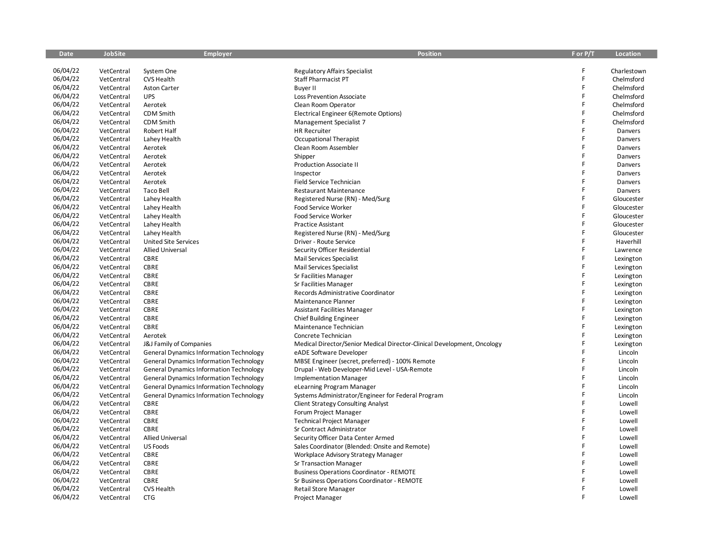| <b>Date</b> | <b>JobSite</b> | <b>Employer</b>                                | <b>Position</b>                                                         | F or P/T | Location    |
|-------------|----------------|------------------------------------------------|-------------------------------------------------------------------------|----------|-------------|
|             |                |                                                |                                                                         |          |             |
| 06/04/22    | VetCentral     | System One                                     | <b>Regulatory Affairs Specialist</b>                                    | F        | Charlestown |
| 06/04/22    | VetCentral     | CVS Health                                     | <b>Staff Pharmacist PT</b>                                              | F        | Chelmsford  |
| 06/04/22    | VetCentral     | <b>Aston Carter</b>                            | <b>Buyer II</b>                                                         | F        | Chelmsford  |
| 06/04/22    | VetCentral     | <b>UPS</b>                                     | Loss Prevention Associate                                               | F        | Chelmsford  |
| 06/04/22    | VetCentral     | Aerotek                                        | Clean Room Operator                                                     | F        | Chelmsford  |
| 06/04/22    | VetCentral     | <b>CDM Smith</b>                               | Electrical Engineer 6(Remote Options)                                   | F        | Chelmsford  |
| 06/04/22    | VetCentral     | <b>CDM Smith</b>                               | Management Specialist 7                                                 | F        | Chelmsford  |
| 06/04/22    | VetCentral     | Robert Half                                    | <b>HR Recruiter</b>                                                     | F        | Danvers     |
| 06/04/22    | VetCentral     | Lahey Health                                   | Occupational Therapist                                                  | F        | Danvers     |
| 06/04/22    | VetCentral     | Aerotek                                        | Clean Room Assembler                                                    | F        | Danvers     |
| 06/04/22    | VetCentral     | Aerotek                                        | Shipper                                                                 | Ë        | Danvers     |
| 06/04/22    | VetCentral     | Aerotek                                        | Production Associate II                                                 | F        | Danvers     |
| 06/04/22    | VetCentral     | Aerotek                                        | Inspector                                                               | F        | Danvers     |
| 06/04/22    | VetCentral     | Aerotek                                        | Field Service Technician                                                | F        | Danvers     |
| 06/04/22    | VetCentral     | <b>Taco Bell</b>                               | <b>Restaurant Maintenance</b>                                           | F        | Danvers     |
| 06/04/22    | VetCentral     | Lahey Health                                   | Registered Nurse (RN) - Med/Surg                                        | F        | Gloucester  |
| 06/04/22    | VetCentral     | Lahey Health                                   | Food Service Worker                                                     | F        | Gloucester  |
| 06/04/22    | VetCentral     | Lahey Health                                   | Food Service Worker                                                     | F        | Gloucester  |
| 06/04/22    | VetCentral     | Lahey Health                                   | <b>Practice Assistant</b>                                               | F        | Gloucester  |
| 06/04/22    | VetCentral     | Lahey Health                                   | Registered Nurse (RN) - Med/Surg                                        | F        | Gloucester  |
| 06/04/22    | VetCentral     | <b>United Site Services</b>                    | Driver - Route Service                                                  | F        | Haverhill   |
| 06/04/22    | VetCentral     | <b>Allied Universal</b>                        | Security Officer Residential                                            | F        | Lawrence    |
| 06/04/22    | VetCentral     | <b>CBRE</b>                                    | <b>Mail Services Specialist</b>                                         | F        | Lexington   |
| 06/04/22    | VetCentral     | CBRE                                           | Mail Services Specialist                                                | F        | Lexington   |
| 06/04/22    | VetCentral     | <b>CBRE</b>                                    | Sr Facilities Manager                                                   | F        | Lexington   |
| 06/04/22    | VetCentral     | CBRE                                           | Sr Facilities Manager                                                   | F        | Lexington   |
| 06/04/22    | VetCentral     | <b>CBRE</b>                                    | Records Administrative Coordinator                                      | F        | Lexington   |
| 06/04/22    | VetCentral     | CBRE                                           | Maintenance Planner                                                     | F        | Lexington   |
| 06/04/22    | VetCentral     | CBRE                                           | <b>Assistant Facilities Manager</b>                                     | F        | Lexington   |
| 06/04/22    | VetCentral     | <b>CBRE</b>                                    | <b>Chief Building Engineer</b>                                          | F        | Lexington   |
| 06/04/22    | VetCentral     | CBRE                                           | Maintenance Technician                                                  | F        | Lexington   |
| 06/04/22    | VetCentral     | Aerotek                                        | Concrete Technician                                                     | F        | Lexington   |
| 06/04/22    | VetCentral     | J&J Family of Companies                        | Medical Director/Senior Medical Director-Clinical Development, Oncology | F        | Lexington   |
| 06/04/22    | VetCentral     | <b>General Dynamics Information Technology</b> | eADE Software Developer                                                 | F        | Lincoln     |
| 06/04/22    | VetCentral     | <b>General Dynamics Information Technology</b> | MBSE Engineer (secret, preferred) - 100% Remote                         | F        | Lincoln     |
| 06/04/22    | VetCentral     | <b>General Dynamics Information Technology</b> | Drupal - Web Developer-Mid Level - USA-Remote                           | F        | Lincoln     |
| 06/04/22    | VetCentral     | <b>General Dynamics Information Technology</b> | <b>Implementation Manager</b>                                           | F        | Lincoln     |
| 06/04/22    | VetCentral     | <b>General Dynamics Information Technology</b> | eLearning Program Manager                                               | F        | Lincoln     |
| 06/04/22    | VetCentral     | <b>General Dynamics Information Technology</b> | Systems Administrator/Engineer for Federal Program                      | F        | Lincoln     |
| 06/04/22    | VetCentral     | <b>CBRE</b>                                    | <b>Client Strategy Consulting Analyst</b>                               | F        | Lowell      |
| 06/04/22    | VetCentral     | CBRE                                           | Forum Project Manager                                                   | F        | Lowell      |
| 06/04/22    | VetCentral     | CBRE                                           | <b>Technical Project Manager</b>                                        | F        | Lowell      |
| 06/04/22    | VetCentral     | <b>CBRE</b>                                    | Sr Contract Administrator                                               | F        | Lowell      |
| 06/04/22    | VetCentral     | <b>Allied Universal</b>                        | Security Officer Data Center Armed                                      | F        | Lowell      |
| 06/04/22    | VetCentral     | <b>US Foods</b>                                | Sales Coordinator (Blended: Onsite and Remote)                          | F        | Lowell      |
| 06/04/22    | VetCentral     | <b>CBRE</b>                                    | Workplace Advisory Strategy Manager                                     | F        | Lowell      |
| 06/04/22    | VetCentral     | <b>CBRE</b>                                    | <b>Sr Transaction Manager</b>                                           | F        | Lowell      |
| 06/04/22    | VetCentral     | CBRE                                           | <b>Business Operations Coordinator - REMOTE</b>                         | F        | Lowell      |
| 06/04/22    | VetCentral     | <b>CBRE</b>                                    | Sr Business Operations Coordinator - REMOTE                             |          | Lowell      |
| 06/04/22    | VetCentral     | CVS Health                                     | <b>Retail Store Manager</b>                                             |          | Lowell      |
| 06/04/22    | VetCentral     | <b>CTG</b>                                     | Project Manager                                                         | F        | Lowell      |
|             |                |                                                |                                                                         |          |             |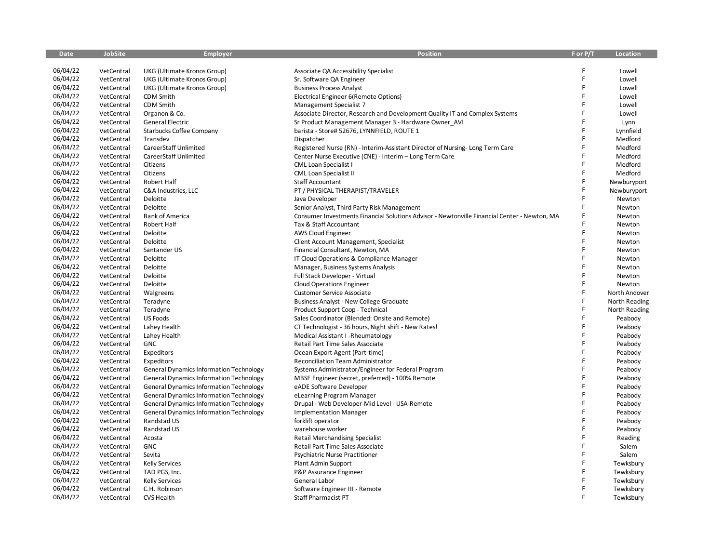| <b>Date</b> | <b>JobSite</b> | <b>Employer</b>                                | <b>Position</b>                                                                              | F or P/T | <b>Location</b> |
|-------------|----------------|------------------------------------------------|----------------------------------------------------------------------------------------------|----------|-----------------|
|             |                |                                                |                                                                                              |          |                 |
| 06/04/22    | VetCentral     | UKG (Ultimate Kronos Group)                    | Associate QA Accessibility Specialist                                                        | F        | Lowell          |
| 06/04/22    | VetCentral     | UKG (Ultimate Kronos Group)                    | Sr. Software QA Engineer                                                                     | F        | Lowell          |
| 06/04/22    | VetCentral     | UKG (Ultimate Kronos Group)                    | <b>Business Process Analyst</b>                                                              | F        | Lowell          |
| 06/04/22    | VetCentral     | <b>CDM Smith</b>                               | Electrical Engineer 6(Remote Options)                                                        | F        | Lowell          |
| 06/04/22    | VetCentral     | CDM Smith                                      | Management Specialist 7                                                                      | F        | Lowell          |
| 06/04/22    | VetCentral     | Organon & Co.                                  | Associate Director, Research and Development Quality IT and Complex Systems                  | F        | Lowell          |
| 06/04/22    | VetCentral     | <b>General Electric</b>                        | Sr Product Management Manager 3 - Hardware Owner AVI                                         | F        | Lynn            |
| 06/04/22    | VetCentral     | <b>Starbucks Coffee Company</b>                | barista - Store# 52676, LYNNFIELD, ROUTE 1                                                   | F        | Lynnfield       |
| 06/04/22    | VetCentral     | Transdev                                       | Dispatcher                                                                                   | F        | Medford         |
| 06/04/22    | VetCentral     | CareerStaff Unlimited                          | Registered Nurse (RN) - Interim-Assistant Director of Nursing-Long Term Care                 | F        | Medford         |
| 06/04/22    | VetCentral     | CareerStaff Unlimited                          | Center Nurse Executive (CNE) - Interim - Long Term Care                                      | F        | Medford         |
| 06/04/22    | VetCentral     | Citizens                                       | CML Loan Specialist I                                                                        |          | Medford         |
| 06/04/22    | VetCentral     | Citizens                                       | <b>CML Loan Specialist II</b>                                                                | F        | Medford         |
| 06/04/22    | VetCentral     | Robert Half                                    | Staff Accountant                                                                             | F        | Newburyport     |
| 06/04/22    | VetCentral     | C&A Industries, LLC                            | PT / PHYSICAL THERAPIST/TRAVELER                                                             | F        | Newburyport     |
| 06/04/22    | VetCentral     | Deloitte                                       | Java Developer                                                                               | F        | Newton          |
| 06/04/22    | VetCentral     | Deloitte                                       | Senior Analyst, Third Party Risk Management                                                  | F        | Newton          |
| 06/04/22    | VetCentral     | <b>Bank of America</b>                         | Consumer Investments Financial Solutions Advisor - Newtonville Financial Center - Newton, MA | F        | Newton          |
| 06/04/22    | VetCentral     | Robert Half                                    | Tax & Staff Accountant                                                                       | F        | Newton          |
| 06/04/22    | VetCentral     | Deloitte                                       | AWS Cloud Engineer                                                                           | F        | Newton          |
| 06/04/22    | VetCentral     | Deloitte                                       | Client Account Management, Specialist                                                        | F        | Newton          |
| 06/04/22    | VetCentral     | Santander US                                   | Financial Consultant, Newton, MA                                                             | F        | Newton          |
| 06/04/22    | VetCentral     | Deloitte                                       | IT Cloud Operations & Compliance Manager                                                     | F        | Newton          |
| 06/04/22    | VetCentral     | Deloitte                                       | Manager, Business Systems Analysis                                                           | F        | Newton          |
| 06/04/22    | VetCentral     | Deloitte                                       | Full Stack Developer - Virtual                                                               | F        | Newton          |
| 06/04/22    | VetCentral     | Deloitte                                       | <b>Cloud Operations Engineer</b>                                                             | F        | Newton          |
| 06/04/22    | VetCentral     | Walgreens                                      | <b>Customer Service Associate</b>                                                            | F        | North Andover   |
| 06/04/22    | VetCentral     | Teradyne                                       | Business Analyst - New College Graduate                                                      | F        | North Reading   |
| 06/04/22    | VetCentral     | Teradyne                                       | Product Support Coop - Technical                                                             | F        | North Reading   |
| 06/04/22    | VetCentral     | <b>US Foods</b>                                | Sales Coordinator (Blended: Onsite and Remote)                                               | F        | Peabody         |
| 06/04/22    | VetCentral     | Lahey Health                                   | CT Technologist - 36 hours, Night shift - New Rates!                                         | F        | Peabody         |
| 06/04/22    | VetCentral     | Lahey Health                                   | Medical Assistant I -Rheumatology                                                            | F        | Peabody         |
| 06/04/22    | VetCentral     | GNC                                            | Retail Part Time Sales Associate                                                             | F        | Peabody         |
| 06/04/22    | VetCentral     | Expeditors                                     | Ocean Export Agent (Part-time)                                                               | F        | Peabody         |
| 06/04/22    | VetCentral     | Expeditors                                     | Reconciliation Team Administrator                                                            | F        | Peabody         |
| 06/04/22    | VetCentral     | <b>General Dynamics Information Technology</b> | Systems Administrator/Engineer for Federal Program                                           | F        | Peabody         |
| 06/04/22    | VetCentral     | <b>General Dynamics Information Technology</b> | MBSE Engineer (secret, preferred) - 100% Remote                                              | F        | Peabody         |
| 06/04/22    | VetCentral     | <b>General Dynamics Information Technology</b> | eADE Software Developer                                                                      | F        | Peabody         |
| 06/04/22    | VetCentral     | <b>General Dynamics Information Technology</b> | eLearning Program Manager                                                                    | F        | Peabody         |
| 06/04/22    | VetCentral     | <b>General Dynamics Information Technology</b> | Drupal - Web Developer-Mid Level - USA-Remote                                                | F        | Peabody         |
| 06/04/22    | VetCentral     | <b>General Dynamics Information Technology</b> | <b>Implementation Manager</b>                                                                | F        | Peabody         |
| 06/04/22    | VetCentral     | Randstad US                                    | forklift operator                                                                            | F        | Peabody         |
| 06/04/22    | VetCentral     | Randstad US                                    | warehouse worker                                                                             | F        | Peabody         |
| 06/04/22    | VetCentral     | Acosta                                         | <b>Retail Merchandising Specialist</b>                                                       | F        | Reading         |
| 06/04/22    | VetCentral     | GNC                                            | Retail Part Time Sales Associate                                                             | F        | Salem           |
| 06/04/22    | VetCentral     | Sevita                                         | Psychiatric Nurse Practitioner                                                               | F        | Salem           |
| 06/04/22    | VetCentral     | <b>Kelly Services</b>                          | Plant Admin Support                                                                          | F        | Tewksbury       |
| 06/04/22    | VetCentral     | TAD PGS, Inc.                                  | P&P Assurance Engineer                                                                       | F        | Tewksbury       |
| 06/04/22    | VetCentral     | <b>Kelly Services</b>                          | General Labor                                                                                |          | Tewksbury       |
| 06/04/22    | VetCentral     | C.H. Robinson                                  | Software Engineer III - Remote                                                               | F        | Tewksbury       |
| 06/04/22    | VetCentral     | CVS Health                                     | Staff Pharmacist PT                                                                          | F        | Tewksbury       |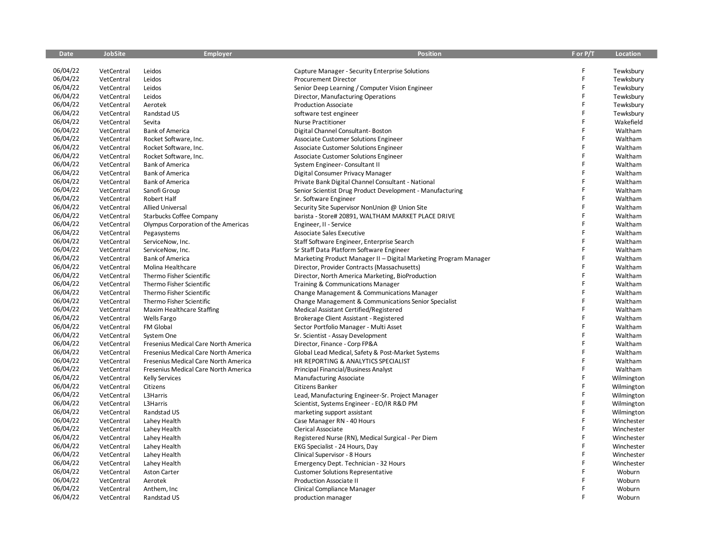| <b>Date</b> | <b>JobSite</b> | Employer                             | <b>Position</b>                                                  | F or P/T | Location   |
|-------------|----------------|--------------------------------------|------------------------------------------------------------------|----------|------------|
|             |                |                                      |                                                                  |          |            |
| 06/04/22    | VetCentral     | Leidos                               | Capture Manager - Security Enterprise Solutions                  | F        | Tewksbury  |
| 06/04/22    | VetCentral     | Leidos                               | Procurement Director                                             | F        | Tewksbury  |
| 06/04/22    | VetCentral     | Leidos                               | Senior Deep Learning / Computer Vision Engineer                  | F        | Tewksbury  |
| 06/04/22    | VetCentral     | Leidos                               | Director, Manufacturing Operations                               | F        | Tewksbury  |
| 06/04/22    | VetCentral     | Aerotek                              | <b>Production Associate</b>                                      | F        | Tewksbury  |
| 06/04/22    | VetCentral     | Randstad US                          | software test engineer                                           | F        | Tewksbury  |
| 06/04/22    | VetCentral     | Sevita                               | <b>Nurse Practitioner</b>                                        | F        | Wakefield  |
| 06/04/22    | VetCentral     | <b>Bank of America</b>               | Digital Channel Consultant-Boston                                | F        | Waltham    |
| 06/04/22    | VetCentral     | Rocket Software, Inc.                | Associate Customer Solutions Engineer                            | F        | Waltham    |
| 06/04/22    | VetCentral     | Rocket Software, Inc.                | Associate Customer Solutions Engineer                            | F        | Waltham    |
| 06/04/22    | VetCentral     | Rocket Software, Inc.                | Associate Customer Solutions Engineer                            | F        | Waltham    |
| 06/04/22    | VetCentral     | <b>Bank of America</b>               | System Engineer- Consultant II                                   | F        | Waltham    |
| 06/04/22    | VetCentral     | <b>Bank of America</b>               | Digital Consumer Privacy Manager                                 | F        | Waltham    |
| 06/04/22    | VetCentral     | <b>Bank of America</b>               | Private Bank Digital Channel Consultant - National               | F        | Waltham    |
| 06/04/22    | VetCentral     | Sanofi Group                         | Senior Scientist Drug Product Development - Manufacturing        | F        | Waltham    |
| 06/04/22    | VetCentral     | Robert Half                          | Sr. Software Engineer                                            | F        | Waltham    |
| 06/04/22    | VetCentral     | <b>Allied Universal</b>              | Security Site Supervisor NonUnion @ Union Site                   | F        | Waltham    |
| 06/04/22    | VetCentral     | Starbucks Coffee Company             | barista - Store# 20891, WALTHAM MARKET PLACE DRIVE               | F        | Waltham    |
| 06/04/22    | VetCentral     | Olympus Corporation of the Americas  | Engineer, II - Service                                           | F        | Waltham    |
| 06/04/22    | VetCentral     | Pegasystems                          | <b>Associate Sales Executive</b>                                 | F        | Waltham    |
| 06/04/22    | VetCentral     | ServiceNow, Inc.                     | Staff Software Engineer, Enterprise Search                       | F        | Waltham    |
| 06/04/22    | VetCentral     | ServiceNow, Inc.                     | Sr Staff Data Platform Software Engineer                         | F        | Waltham    |
| 06/04/22    | VetCentral     | <b>Bank of America</b>               | Marketing Product Manager II - Digital Marketing Program Manager | F        | Waltham    |
| 06/04/22    | VetCentral     | Molina Healthcare                    | Director, Provider Contracts (Massachusetts)                     | F        | Waltham    |
| 06/04/22    | VetCentral     | Thermo Fisher Scientific             | Director, North America Marketing, BioProduction                 | F        | Waltham    |
| 06/04/22    | VetCentral     | Thermo Fisher Scientific             | Training & Communications Manager                                | F        | Waltham    |
| 06/04/22    | VetCentral     | Thermo Fisher Scientific             | Change Management & Communications Manager                       | F        | Waltham    |
| 06/04/22    | VetCentral     | Thermo Fisher Scientific             | Change Management & Communications Senior Specialist             | Ë        | Waltham    |
| 06/04/22    | VetCentral     | Maxim Healthcare Staffing            | Medical Assistant Certified/Registered                           | F        | Waltham    |
| 06/04/22    | VetCentral     | <b>Wells Fargo</b>                   | Brokerage Client Assistant - Registered                          | F        | Waltham    |
| 06/04/22    | VetCentral     | FM Global                            | Sector Portfolio Manager - Multi Asset                           | F        | Waltham    |
| 06/04/22    | VetCentral     | System One                           | Sr. Scientist - Assay Development                                | F        | Waltham    |
| 06/04/22    | VetCentral     | Fresenius Medical Care North America | Director, Finance - Corp FP&A                                    | F        | Waltham    |
| 06/04/22    | VetCentral     | Fresenius Medical Care North America | Global Lead Medical, Safety & Post-Market Systems                | F        | Waltham    |
| 06/04/22    | VetCentral     | Fresenius Medical Care North America | HR REPORTING & ANALYTICS SPECIALIST                              | F        | Waltham    |
| 06/04/22    | VetCentral     | Fresenius Medical Care North America | <b>Principal Financial/Business Analyst</b>                      | F        | Waltham    |
| 06/04/22    | VetCentral     | <b>Kelly Services</b>                | Manufacturing Associate                                          | F        | Wilmington |
| 06/04/22    | VetCentral     | Citizens                             | Citizens Banker                                                  | F        | Wilmington |
| 06/04/22    | VetCentral     | L3Harris                             | Lead, Manufacturing Engineer-Sr. Project Manager                 | F        | Wilmington |
| 06/04/22    | VetCentral     | L3Harris                             | Scientist, Systems Engineer - EO/IR R&D PM                       | F        | Wilmington |
| 06/04/22    | VetCentral     | Randstad US                          | marketing support assistant                                      | F        | Wilmington |
| 06/04/22    | VetCentral     | Lahey Health                         | Case Manager RN - 40 Hours                                       | F.       | Winchester |
| 06/04/22    | VetCentral     | Lahey Health                         | Clerical Associate                                               | F        | Winchester |
| 06/04/22    | VetCentral     | Lahey Health                         | Registered Nurse (RN), Medical Surgical - Per Diem               | F        | Winchester |
| 06/04/22    | VetCentral     | Lahey Health                         | EKG Specialist - 24 Hours, Day                                   | F        | Winchester |
| 06/04/22    | VetCentral     | Lahey Health                         | Clinical Supervisor - 8 Hours                                    | F        | Winchester |
| 06/04/22    | VetCentral     | Lahey Health                         | Emergency Dept. Technician - 32 Hours                            | F        | Winchester |
| 06/04/22    | VetCentral     | Aston Carter                         | <b>Customer Solutions Representative</b>                         |          | Woburn     |
| 06/04/22    | VetCentral     | Aerotek                              | <b>Production Associate II</b>                                   |          | Woburn     |
| 06/04/22    | VetCentral     | Anthem, Inc                          | Clinical Compliance Manager                                      | F        | Woburn     |
| 06/04/22    | VetCentral     | Randstad US                          | production manager                                               | F        | Woburn     |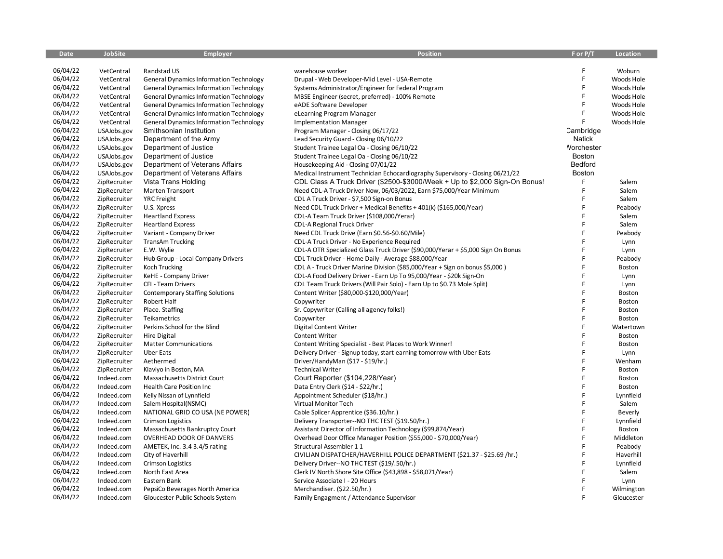| <b>Date</b> | <b>JobSite</b> | <b>Employer</b>                                | <b>Position</b>                                                                  | F or P/T      | Location   |
|-------------|----------------|------------------------------------------------|----------------------------------------------------------------------------------|---------------|------------|
|             |                |                                                |                                                                                  |               |            |
| 06/04/22    | VetCentral     | Randstad US                                    | warehouse worker                                                                 | F             | Woburn     |
| 06/04/22    | VetCentral     | <b>General Dynamics Information Technology</b> | Drupal - Web Developer-Mid Level - USA-Remote                                    | F             | Woods Hole |
| 06/04/22    | VetCentral     | <b>General Dynamics Information Technology</b> | Systems Administrator/Engineer for Federal Program                               | F             | Woods Hole |
| 06/04/22    | VetCentral     | <b>General Dynamics Information Technology</b> | MBSE Engineer (secret, preferred) - 100% Remote                                  | F             | Woods Hole |
| 06/04/22    | VetCentral     | <b>General Dynamics Information Technology</b> | eADE Software Developer                                                          | F             | Woods Hole |
| 06/04/22    | VetCentral     | <b>General Dynamics Information Technology</b> | eLearning Program Manager                                                        | F             | Woods Hole |
| 06/04/22    | VetCentral     | <b>General Dynamics Information Technology</b> | <b>Implementation Manager</b>                                                    | F             | Woods Hole |
| 06/04/22    | USAJobs.gov    | Smithsonian Institution                        | Program Manager - Closing 06/17/22                                               | Cambridge     |            |
| 06/04/22    | USAJobs.gov    | Department of the Army                         | Lead Security Guard - Closing 06/10/22                                           | <b>Natick</b> |            |
| 06/04/22    | USAJobs.gov    | Department of Justice                          | Student Trainee Legal Oa - Closing 06/10/22                                      | Norchester    |            |
| 06/04/22    | USAJobs.gov    | Department of Justice                          | Student Trainee Legal Oa - Closing 06/10/22                                      | Boston        |            |
| 06/04/22    | USAJobs.gov    | Department of Veterans Affairs                 | Housekeeping Aid - Closing 07/01/22                                              | Bedford       |            |
| 06/04/22    | USAJobs.gov    | Department of Veterans Affairs                 | Medical Instrument Technician Echocardiography Supervisory - Closing 06/21/22    | Boston        |            |
| 06/04/22    | ZipRecruiter   | Vista Trans Holding                            | CDL Class A Truck Driver (\$2500-\$3000/Week + Up to \$2,000 Sign-On Bonus!      | F             | Salem      |
| 06/04/22    | ZipRecruiter   | Marten Transport                               | Need CDL-A Truck Driver Now, 06/03/2022, Earn \$75,000/Year Minimum              | F             | Salem      |
| 06/04/22    | ZipRecruiter   | <b>YRC</b> Freight                             | CDL A Truck Driver - \$7,500 Sign-on Bonus                                       |               | Salem      |
| 06/04/22    | ZipRecruiter   | U.S. Xpress                                    | Need CDL Truck Driver + Medical Benefits + 401(k) (\$165,000/Year)               | F             | Peabody    |
| 06/04/22    | ZipRecruiter   | <b>Heartland Express</b>                       | CDL-A Team Truck Driver (\$108,000/Yerar)                                        | F             | Salem      |
| 06/04/22    | ZipRecruiter   | <b>Heartland Express</b>                       | CDL-A Regional Truck Driver                                                      | F             | Salem      |
| 06/04/22    | ZipRecruiter   | Variant - Company Driver                       | Need CDL Truck Drive (Earn \$0.56-\$0.60/Mile)                                   | F             | Peabody    |
| 06/04/22    | ZipRecruiter   | <b>TransAm Trucking</b>                        | CDL-A Truck Driver - No Experience Required                                      | F             | Lynn       |
| 06/04/22    | ZipRecruiter   | E.W. Wylie                                     | CDL-A OTR Specialized Glass Truck Driver (\$90,000/Yerar + \$5,000 Sign On Bonus | F             | Lynn       |
| 06/04/22    | ZipRecruiter   | Hub Group - Local Company Drivers              | CDL Truck Driver - Home Daily - Average \$88,000/Year                            | F             | Peabody    |
| 06/04/22    | ZipRecruiter   | Koch Trucking                                  | CDL A - Truck Driver Marine Division (\$85,000/Year + Sign on bonus \$5,000)     | F             | Boston     |
| 06/04/22    | ZipRecruiter   | KeHE - Company Driver                          | CDL-A Food Delivery Driver - Earn Up To 95,000/Year - \$20k Sign-On              | Ë             | Lynn       |
| 06/04/22    | ZipRecruiter   | CFI - Team Drivers                             | CDL Team Truck Drivers (Will Pair Solo) - Earn Up to \$0.73 Mole Split)          | F             | Lynn       |
| 06/04/22    | ZipRecruiter   | <b>Contemporary Staffing Solutions</b>         | Content Writer (\$80,000-\$120,000/Year)                                         | F             | Boston     |
| 06/04/22    | ZipRecruiter   | Robert Half                                    | Copywriter                                                                       | F             | Boston     |
| 06/04/22    | ZipRecruiter   | Place. Staffing                                | Sr. Copywriter (Calling all agency folks!)                                       | F             | Boston     |
| 06/04/22    | ZipRecruiter   | Teikametrics                                   | Copywriter                                                                       | F             | Boston     |
| 06/04/22    | ZipRecruiter   | Perkins School for the Blind                   | Digital Content Writer                                                           | F             | Watertown  |
| 06/04/22    | ZipRecruiter   | <b>Hire Digital</b>                            | Content Writer                                                                   | F             | Boston     |
| 06/04/22    | ZipRecruiter   | <b>Matter Communications</b>                   | Content Writing Specialist - Best Places to Work Winner!                         | F             | Boston     |
| 06/04/22    | ZipRecruiter   | <b>Uber Eats</b>                               | Delivery Driver - Signup today, start earning tomorrow with Uber Eats            | F             | Lynn       |
| 06/04/22    | ZipRecruiter   | Aethermed                                      | Driver/HandyMan (\$17 - \$19/hr.)                                                | F             | Wenham     |
| 06/04/22    | ZipRecruiter   | Klaviyo in Boston, MA                          | <b>Technical Writer</b>                                                          | F             | Boston     |
| 06/04/22    | Indeed.com     | Massachusetts District Court                   | Court Reporter (\$104,228/Year)                                                  | F             | Boston     |
| 06/04/22    | Indeed.com     | <b>Health Care Position Inc</b>                | Data Entry Clerk (\$14 - \$22/hr.)                                               | F             | Boston     |
| 06/04/22    | Indeed.com     | Kelly Nissan of Lynnfield                      | Appointment Scheduler (\$18/hr.)                                                 | F             | Lynnfield  |
| 06/04/22    | Indeed.com     | Salem Hospital(NSMC)                           | Virtual Monitor Tech                                                             | F             | Salem      |
| 06/04/22    | Indeed.com     | NATIONAL GRID CO USA (NE POWER)                | Cable Splicer Apprentice (\$36.10/hr.)                                           | F             | Beverly    |
| 06/04/22    | Indeed.com     | <b>Crimson Logistics</b>                       | Delivery Transporter--NO THC TEST (\$19.50/hr.)                                  | F             | Lynnfield  |
| 06/04/22    | Indeed.com     | Massachusetts Bankruptcy Court                 | Assistant Director of Information Technology (\$99,874/Year)                     | F             | Boston     |
| 06/04/22    | Indeed.com     | OVERHEAD DOOR OF DANVERS                       | Overhead Door Office Manager Position (\$55,000 - \$70,000/Year)                 | F             | Middleton  |
| 06/04/22    | Indeed.com     | AMETEK, Inc. 3.4 3.4/5 rating                  | Structural Assembler 11                                                          | F             | Peabody    |
| 06/04/22    | Indeed.com     | City of Haverhill                              | CIVILIAN DISPATCHER/HAVERHILL POLICE DEPARTMENT (\$21.37 - \$25.69 /hr.)         | F             | Haverhill  |
| 06/04/22    | Indeed.com     | <b>Crimson Logistics</b>                       | Delivery Driver--NO THC TEST (\$19/.50/hr.)                                      |               | Lynnfield  |
| 06/04/22    | Indeed.com     | North East Area                                | Clerk IV North Shore Site Office (\$43,898 - \$58,071/Year)                      | F             | Salem      |
| 06/04/22    | Indeed.com     | Eastern Bank                                   | Service Associate I - 20 Hours                                                   |               | Lynn       |
| 06/04/22    | Indeed.com     | PepsiCo Beverages North America                | Merchandiser. (\$22.50/hr.)                                                      | F             | Wilmington |
| 06/04/22    | Indeed.com     | Gloucester Public Schools System               | Family Engagment / Attendance Supervisor                                         | F             | Gloucester |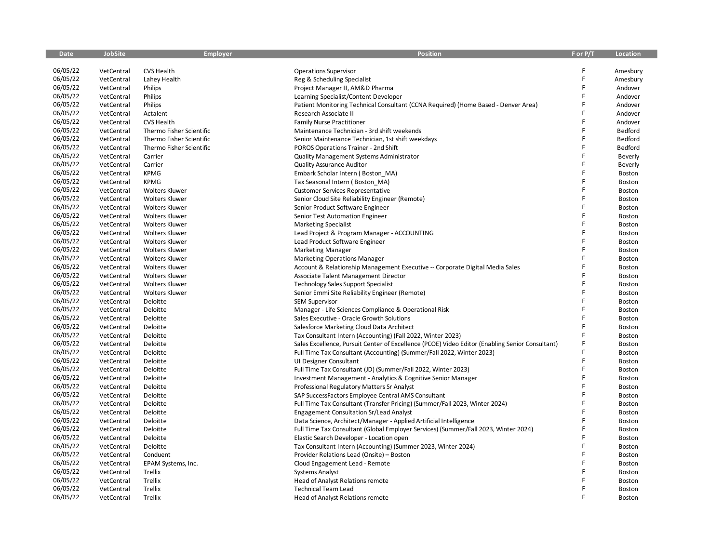| <b>Date</b> | <b>JobSite</b> | <b>Employer</b>          | <b>Position</b>                                                                                 | F or P/T | Location      |
|-------------|----------------|--------------------------|-------------------------------------------------------------------------------------------------|----------|---------------|
|             |                |                          |                                                                                                 |          |               |
| 06/05/22    | VetCentral     | CVS Health               | <b>Operations Supervisor</b>                                                                    | F        | Amesbury      |
| 06/05/22    | VetCentral     | Lahey Health             | Reg & Scheduling Specialist                                                                     | F        | Amesbury      |
| 06/05/22    | VetCentral     | Philips                  | Project Manager II, AM&D Pharma                                                                 | F        | Andover       |
| 06/05/22    | VetCentral     | Philips                  | Learning Specialist/Content Developer                                                           | F        | Andover       |
| 06/05/22    | VetCentral     | Philips                  | Patient Monitoring Technical Consultant (CCNA Required) (Home Based - Denver Area)              |          | Andover       |
| 06/05/22    | VetCentral     | Actalent                 | Research Associate II                                                                           | F        | Andover       |
| 06/05/22    | VetCentral     | CVS Health               | <b>Family Nurse Practitioner</b>                                                                | F        | Andover       |
| 06/05/22    | VetCentral     | Thermo Fisher Scientific | Maintenance Technician - 3rd shift weekends                                                     | F        | Bedford       |
| 06/05/22    | VetCentral     | Thermo Fisher Scientific | Senior Maintenance Technician, 1st shift weekdays                                               | F        | Bedford       |
| 06/05/22    | VetCentral     | Thermo Fisher Scientific | POROS Operations Trainer - 2nd Shift                                                            | F        | Bedford       |
| 06/05/22    | VetCentral     | Carrier                  | Quality Management Systems Administrator                                                        |          | Beverly       |
| 06/05/22    | VetCentral     | Carrier                  | <b>Quality Assurance Auditor</b>                                                                | F        | Beverly       |
| 06/05/22    | VetCentral     | <b>KPMG</b>              | Embark Scholar Intern (Boston_MA)                                                               | F        | Boston        |
| 06/05/22    | VetCentral     | <b>KPMG</b>              | Tax Seasonal Intern (Boston MA)                                                                 | F        | Boston        |
| 06/05/22    | VetCentral     | <b>Wolters Kluwer</b>    | <b>Customer Services Representative</b>                                                         | F        | Boston        |
| 06/05/22    | VetCentral     | <b>Wolters Kluwer</b>    | Senior Cloud Site Reliability Engineer (Remote)                                                 | F        | Boston        |
| 06/05/22    | VetCentral     | <b>Wolters Kluwer</b>    | Senior Product Software Engineer                                                                |          | Boston        |
| 06/05/22    | VetCentral     | <b>Wolters Kluwer</b>    | Senior Test Automation Engineer                                                                 | F        | Boston        |
| 06/05/22    | VetCentral     | <b>Wolters Kluwer</b>    | <b>Marketing Specialist</b>                                                                     | F        | Boston        |
| 06/05/22    | VetCentral     | <b>Wolters Kluwer</b>    | Lead Project & Program Manager - ACCOUNTING                                                     | F        | Boston        |
| 06/05/22    | VetCentral     | <b>Wolters Kluwer</b>    | Lead Product Software Engineer                                                                  | Ē        | Boston        |
| 06/05/22    | VetCentral     | <b>Wolters Kluwer</b>    | <b>Marketing Manager</b>                                                                        |          | Boston        |
| 06/05/22    | VetCentral     | <b>Wolters Kluwer</b>    | <b>Marketing Operations Manager</b>                                                             | F        | Boston        |
| 06/05/22    | VetCentral     | <b>Wolters Kluwer</b>    | Account & Relationship Management Executive -- Corporate Digital Media Sales                    |          | Boston        |
| 06/05/22    | VetCentral     | <b>Wolters Kluwer</b>    | Associate Talent Management Director                                                            | F        | Boston        |
| 06/05/22    | VetCentral     | <b>Wolters Kluwer</b>    | <b>Technology Sales Support Specialist</b>                                                      | F        | Boston        |
| 06/05/22    | VetCentral     | <b>Wolters Kluwer</b>    | Senior Emmi Site Reliability Engineer (Remote)                                                  | F        | Boston        |
| 06/05/22    | VetCentral     | Deloitte                 | <b>SEM Supervisor</b>                                                                           | F        | Boston        |
| 06/05/22    | VetCentral     | Deloitte                 | Manager - Life Sciences Compliance & Operational Risk                                           | F        | Boston        |
| 06/05/22    | VetCentral     | Deloitte                 | Sales Executive - Oracle Growth Solutions                                                       | Ë        | Boston        |
| 06/05/22    | VetCentral     | Deloitte                 | Salesforce Marketing Cloud Data Architect                                                       | F        | <b>Boston</b> |
| 06/05/22    | VetCentral     | Deloitte                 | Tax Consultant Intern (Accounting) (Fall 2022, Winter 2023)                                     | F        | Boston        |
| 06/05/22    | VetCentral     | Deloitte                 | Sales Excellence, Pursuit Center of Excellence (PCOE) Video Editor (Enabling Senior Consultant) | F        | Boston        |
| 06/05/22    | VetCentral     | Deloitte                 | Full Time Tax Consultant (Accounting) (Summer/Fall 2022, Winter 2023)                           | F        | Boston        |
| 06/05/22    | VetCentral     | Deloitte                 | UI Designer Consultant                                                                          | F        | Boston        |
| 06/05/22    | VetCentral     | Deloitte                 | Full Time Tax Consultant (JD) (Summer/Fall 2022, Winter 2023)                                   | F        | Boston        |
| 06/05/22    | VetCentral     | Deloitte                 | Investment Management - Analytics & Cognitive Senior Manager                                    | F        | Boston        |
| 06/05/22    | VetCentral     | Deloitte                 | Professional Regulatory Matters Sr Analyst                                                      |          | Boston        |
| 06/05/22    | VetCentral     | Deloitte                 | SAP SuccessFactors Employee Central AMS Consultant                                              | F        | Boston        |
| 06/05/22    | VetCentral     | Deloitte                 | Full Time Tax Consultant (Transfer Pricing) (Summer/Fall 2023, Winter 2024)                     | F        | Boston        |
| 06/05/22    | VetCentral     | Deloitte                 | <b>Engagement Consultation Sr/Lead Analyst</b>                                                  | F        | <b>Boston</b> |
| 06/05/22    | VetCentral     | Deloitte                 | Data Science, Architect/Manager - Applied Artificial Intelligence                               | F        | Boston        |
| 06/05/22    | VetCentral     | Deloitte                 | Full Time Tax Consultant (Global Employer Services) (Summer/Fall 2023, Winter 2024)             | F        | Boston        |
| 06/05/22    | VetCentral     | Deloitte                 | Elastic Search Developer - Location open                                                        |          | Boston        |
| 06/05/22    | VetCentral     | Deloitte                 | Tax Consultant Intern (Accounting) (Summer 2023, Winter 2024)                                   | F        | Boston        |
| 06/05/22    | VetCentral     | Conduent                 | Provider Relations Lead (Onsite) - Boston                                                       | F        | Boston        |
| 06/05/22    | VetCentral     | EPAM Systems, Inc.       | Cloud Engagement Lead - Remote                                                                  | F        | <b>Boston</b> |
| 06/05/22    | VetCentral     | Trellix                  | <b>Systems Analyst</b>                                                                          |          | <b>Boston</b> |
| 06/05/22    | VetCentral     | Trellix                  | Head of Analyst Relations remote                                                                |          | Boston        |
| 06/05/22    | VetCentral     | Trellix                  | <b>Technical Team Lead</b>                                                                      | F        | Boston        |
| 06/05/22    | VetCentral     | Trellix                  | Head of Analyst Relations remote                                                                |          | Boston        |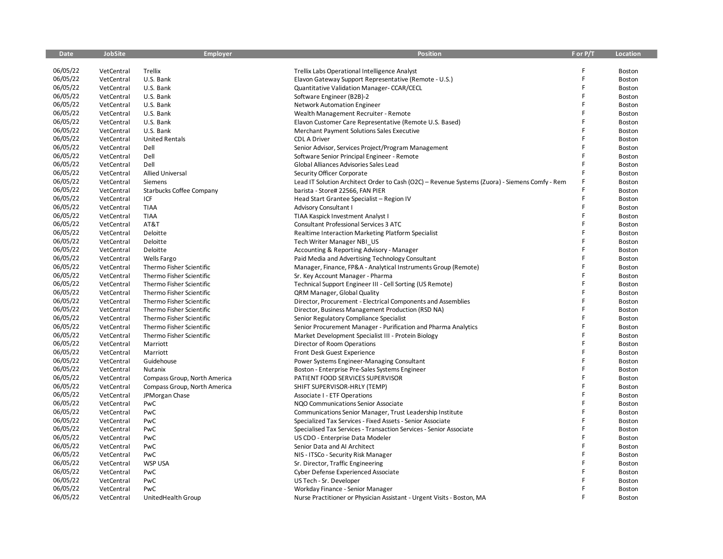| <b>Date</b> | <b>JobSite</b> | <b>Employer</b>                 | <b>Position</b>                                                                                | F or P/T | <b>Location</b> |
|-------------|----------------|---------------------------------|------------------------------------------------------------------------------------------------|----------|-----------------|
|             |                |                                 |                                                                                                |          |                 |
| 06/05/22    | VetCentral     | Trellix                         | Trellix Labs Operational Intelligence Analyst                                                  |          | Boston          |
| 06/05/22    | VetCentral     | U.S. Bank                       | Elavon Gateway Support Representative (Remote - U.S.)                                          | F        | Boston          |
| 06/05/22    | VetCentral     | U.S. Bank                       | Quantitative Validation Manager-CCAR/CECL                                                      | F        | Boston          |
| 06/05/22    | VetCentral     | U.S. Bank                       | Software Engineer (B2B)-2                                                                      | F        | <b>Boston</b>   |
| 06/05/22    | VetCentral     | U.S. Bank                       | <b>Network Automation Engineer</b>                                                             | F        | Boston          |
| 06/05/22    | VetCentral     | U.S. Bank                       | Wealth Management Recruiter - Remote                                                           | F        | Boston          |
| 06/05/22    | VetCentral     | U.S. Bank                       | Elavon Customer Care Representative (Remote U.S. Based)                                        | F        | Boston          |
| 06/05/22    | VetCentral     | U.S. Bank                       | Merchant Payment Solutions Sales Executive                                                     | F        | Boston          |
| 06/05/22    | VetCentral     | <b>United Rentals</b>           | <b>CDL A Driver</b>                                                                            | F        | Boston          |
| 06/05/22    | VetCentral     | Dell                            | Senior Advisor, Services Project/Program Management                                            | F        | Boston          |
| 06/05/22    | VetCentral     | Dell                            | Software Senior Principal Engineer - Remote                                                    | F        | Boston          |
| 06/05/22    | VetCentral     | Dell                            | Global Alliances Advisories Sales Lead                                                         |          | Boston          |
| 06/05/22    | VetCentral     | <b>Allied Universal</b>         | Security Officer Corporate                                                                     | F        | Boston          |
| 06/05/22    | VetCentral     | Siemens                         | Lead IT Solution Architect Order to Cash (O2C) - Revenue Systems (Zuora) - Siemens Comfy - Rem |          | <b>Boston</b>   |
| 06/05/22    | VetCentral     | <b>Starbucks Coffee Company</b> | barista - Store# 22566, FAN PIER                                                               | F        | Boston          |
| 06/05/22    | VetCentral     | ICF                             | Head Start Grantee Specialist - Region IV                                                      | F        | Boston          |
| 06/05/22    | VetCentral     | <b>TIAA</b>                     | <b>Advisory Consultant I</b>                                                                   | F        | Boston          |
| 06/05/22    | VetCentral     | <b>TIAA</b>                     | TIAA Kaspick Investment Analyst I                                                              | F        | Boston          |
| 06/05/22    | VetCentral     | AT&T                            | Consultant Professional Services 3 ATC                                                         | F        | Boston          |
| 06/05/22    | VetCentral     | Deloitte                        | Realtime Interaction Marketing Platform Specialist                                             | F        | Boston          |
| 06/05/22    | VetCentral     | Deloitte                        | Tech Writer Manager NBI US                                                                     |          | Boston          |
| 06/05/22    | VetCentral     | Deloitte                        | Accounting & Reporting Advisory - Manager                                                      |          | Boston          |
| 06/05/22    | VetCentral     | Wells Fargo                     | Paid Media and Advertising Technology Consultant                                               | F        | Boston          |
| 06/05/22    | VetCentral     | Thermo Fisher Scientific        | Manager, Finance, FP&A - Analytical Instruments Group (Remote)                                 |          | Boston          |
| 06/05/22    | VetCentral     | Thermo Fisher Scientific        | Sr. Key Account Manager - Pharma                                                               | F        | Boston          |
| 06/05/22    | VetCentral     | Thermo Fisher Scientific        | Technical Support Engineer III - Cell Sorting (US Remote)                                      | F        | Boston          |
| 06/05/22    | VetCentral     | Thermo Fisher Scientific        | QRM Manager, Global Quality                                                                    | F        | Boston          |
| 06/05/22    | VetCentral     | Thermo Fisher Scientific        | Director, Procurement - Electrical Components and Assemblies                                   | Ē        | Boston          |
| 06/05/22    | VetCentral     | Thermo Fisher Scientific        | Director, Business Management Production (RSD NA)                                              | F        | Boston          |
| 06/05/22    | VetCentral     | Thermo Fisher Scientific        | Senior Regulatory Compliance Specialist                                                        | F        | Boston          |
| 06/05/22    | VetCentral     | Thermo Fisher Scientific        | Senior Procurement Manager - Purification and Pharma Analytics                                 |          | Boston          |
| 06/05/22    | VetCentral     | Thermo Fisher Scientific        | Market Development Specialist III - Protein Biology                                            | F        | Boston          |
| 06/05/22    | VetCentral     | Marriott                        | Director of Room Operations                                                                    | F        | Boston          |
| 06/05/22    | VetCentral     | Marriott                        | Front Desk Guest Experience                                                                    | F        | Boston          |
| 06/05/22    | VetCentral     | Guidehouse                      | Power Systems Engineer-Managing Consultant                                                     | F        | Boston          |
| 06/05/22    | VetCentral     | Nutanix                         | Boston - Enterprise Pre-Sales Systems Engineer                                                 | F        | Boston          |
| 06/05/22    | VetCentral     | Compass Group, North America    | PATIENT FOOD SERVICES SUPERVISOR                                                               | F        | Boston          |
| 06/05/22    | VetCentral     | Compass Group, North America    | SHIFT SUPERVISOR-HRLY (TEMP)                                                                   | F        | Boston          |
| 06/05/22    | VetCentral     | JPMorgan Chase                  | Associate I - ETF Operations                                                                   |          | Boston          |
| 06/05/22    | VetCentral     | PwC                             | NQO Communications Senior Associate                                                            | F        | Boston          |
| 06/05/22    | VetCentral     | PwC                             | Communications Senior Manager, Trust Leadership Institute                                      |          | Boston          |
| 06/05/22    | VetCentral     | PwC                             | Specialized Tax Services - Fixed Assets - Senior Associate                                     | F        | Boston          |
| 06/05/22    | VetCentral     | PwC                             | Specialised Tax Services - Transaction Services - Senior Associate                             | F        | Boston          |
| 06/05/22    | VetCentral     | PwC                             | US CDO - Enterprise Data Modeler                                                               | F        | Boston          |
| 06/05/22    | VetCentral     | PwC                             | Senior Data and AI Architect                                                                   | F        | Boston          |
| 06/05/22    | VetCentral     | PwC                             | NIS - ITSCo - Security Risk Manager                                                            | F        | Boston          |
| 06/05/22    | VetCentral     | <b>WSP USA</b>                  | Sr. Director, Traffic Engineering                                                              | F        | Boston          |
| 06/05/22    | VetCentral     | PwC                             | Cyber Defense Experienced Associate                                                            |          | Boston          |
| 06/05/22    | VetCentral     | PwC                             | US Tech - Sr. Developer                                                                        |          | Boston          |
| 06/05/22    | VetCentral     | PwC                             | Workday Finance - Senior Manager                                                               |          | Boston          |
| 06/05/22    | VetCentral     | UnitedHealth Group              | Nurse Practitioner or Physician Assistant - Urgent Visits - Boston, MA                         |          | Boston          |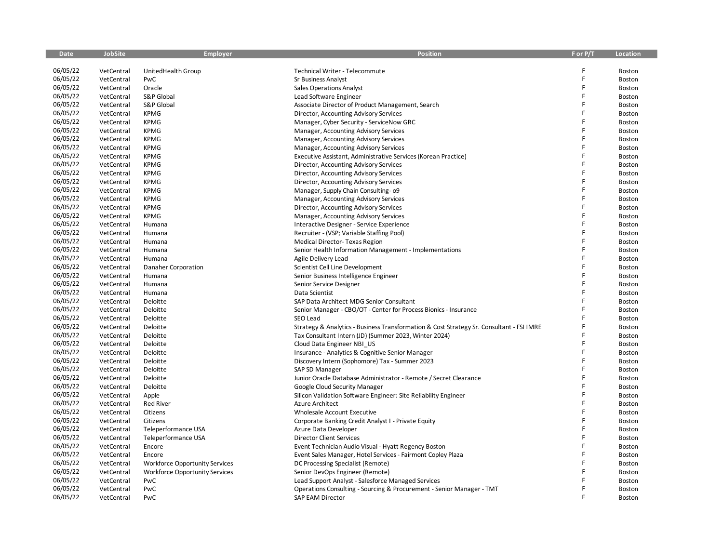| <b>Date</b> | <b>JobSite</b> | <b>Employer</b>                       | <b>Position</b>                                                                          | F or P/T | <b>Location</b> |
|-------------|----------------|---------------------------------------|------------------------------------------------------------------------------------------|----------|-----------------|
|             |                |                                       |                                                                                          |          |                 |
| 06/05/22    | VetCentral     | UnitedHealth Group                    | Technical Writer - Telecommute                                                           | F        | Boston          |
| 06/05/22    | VetCentral     | PwC                                   | <b>Sr Business Analyst</b>                                                               | F        | Boston          |
| 06/05/22    | VetCentral     | Oracle                                | <b>Sales Operations Analyst</b>                                                          | F        | Boston          |
| 06/05/22    | VetCentral     | S&P Global                            | Lead Software Engineer                                                                   | F        | Boston          |
| 06/05/22    | VetCentral     | S&P Global                            | Associate Director of Product Management, Search                                         | F        | Boston          |
| 06/05/22    | VetCentral     | <b>KPMG</b>                           | Director, Accounting Advisory Services                                                   | F        | Boston          |
| 06/05/22    | VetCentral     | <b>KPMG</b>                           | Manager, Cyber Security - ServiceNow GRC                                                 | F        | Boston          |
| 06/05/22    | VetCentral     | <b>KPMG</b>                           | Manager, Accounting Advisory Services                                                    | F        | Boston          |
| 06/05/22    | VetCentral     | <b>KPMG</b>                           | Manager, Accounting Advisory Services                                                    | F        | Boston          |
| 06/05/22    | VetCentral     | <b>KPMG</b>                           | Manager, Accounting Advisory Services                                                    | F        | Boston          |
| 06/05/22    | VetCentral     | <b>KPMG</b>                           | Executive Assistant, Administrative Services (Korean Practice)                           | F        | Boston          |
| 06/05/22    | VetCentral     | <b>KPMG</b>                           | Director, Accounting Advisory Services                                                   |          | Boston          |
| 06/05/22    | VetCentral     | <b>KPMG</b>                           | Director, Accounting Advisory Services                                                   | F        | Boston          |
| 06/05/22    | VetCentral     | <b>KPMG</b>                           | Director, Accounting Advisory Services                                                   | F        | Boston          |
| 06/05/22    | VetCentral     | <b>KPMG</b>                           | Manager, Supply Chain Consulting- 09                                                     | F        | Boston          |
| 06/05/22    | VetCentral     | <b>KPMG</b>                           | Manager, Accounting Advisory Services                                                    | F        | Boston          |
| 06/05/22    | VetCentral     | <b>KPMG</b>                           | Director, Accounting Advisory Services                                                   |          | Boston          |
| 06/05/22    | VetCentral     | <b>KPMG</b>                           | Manager, Accounting Advisory Services                                                    | F        | Boston          |
| 06/05/22    | VetCentral     | Humana                                | Interactive Designer - Service Experience                                                | F        | Boston          |
| 06/05/22    | VetCentral     | Humana                                | Recruiter - (VSP; Variable Staffing Pool)                                                | F        | Boston          |
| 06/05/22    | VetCentral     | Humana                                | <b>Medical Director-Texas Region</b>                                                     | F        | Boston          |
| 06/05/22    | VetCentral     | Humana                                | Senior Health Information Management - Implementations                                   |          | Boston          |
| 06/05/22    | VetCentral     | Humana                                | Agile Delivery Lead                                                                      | F        | Boston          |
| 06/05/22    | VetCentral     | Danaher Corporation                   | Scientist Cell Line Development                                                          | Ē        | Boston          |
| 06/05/22    | VetCentral     | Humana                                | Senior Business Intelligence Engineer                                                    | F        | Boston          |
| 06/05/22    | VetCentral     | Humana                                | Senior Service Designer                                                                  | F        | Boston          |
| 06/05/22    | VetCentral     | Humana                                | Data Scientist                                                                           |          | Boston          |
| 06/05/22    | VetCentral     | Deloitte                              | SAP Data Architect MDG Senior Consultant                                                 | F        | Boston          |
| 06/05/22    | VetCentral     | Deloitte                              | Senior Manager - CBO/OT - Center for Process Bionics - Insurance                         |          | Boston          |
| 06/05/22    | VetCentral     | Deloitte                              | SEO Lead                                                                                 | Ē        | Boston          |
| 06/05/22    | VetCentral     | Deloitte                              | Strategy & Analytics - Business Transformation & Cost Strategy Sr. Consultant - FSI IMRE |          | Boston          |
| 06/05/22    | VetCentral     | Deloitte                              | Tax Consultant Intern (JD) (Summer 2023, Winter 2024)                                    | F        | Boston          |
| 06/05/22    | VetCentral     | Deloitte                              | Cloud Data Engineer NBI US                                                               |          | Boston          |
| 06/05/22    | VetCentral     | Deloitte                              | Insurance - Analytics & Cognitive Senior Manager                                         | F        | Boston          |
| 06/05/22    | VetCentral     | Deloitte                              | Discovery Intern (Sophomore) Tax - Summer 2023                                           | F        | Boston          |
| 06/05/22    | VetCentral     | Deloitte                              | SAP SD Manager                                                                           |          | Boston          |
| 06/05/22    | VetCentral     | Deloitte                              | Junior Oracle Database Administrator - Remote / Secret Clearance                         | F        | Boston          |
| 06/05/22    | VetCentral     | Deloitte                              | Google Cloud Security Manager                                                            |          | Boston          |
| 06/05/22    | VetCentral     | Apple                                 | Silicon Validation Software Engineer: Site Reliability Engineer                          | F        | Boston          |
| 06/05/22    | VetCentral     | <b>Red River</b>                      | <b>Azure Architect</b>                                                                   | Ë        | Boston          |
| 06/05/22    | VetCentral     | Citizens                              | Wholesale Account Executive                                                              | F        | Boston          |
| 06/05/22    | VetCentral     | Citizens                              | Corporate Banking Credit Analyst I - Private Equity                                      | F        | Boston          |
| 06/05/22    | VetCentral     | Teleperformance USA                   | Azure Data Developer                                                                     | Ē        | Boston          |
| 06/05/22    | VetCentral     | Teleperformance USA                   | <b>Director Client Services</b>                                                          | F        | Boston          |
| 06/05/22    | VetCentral     | Encore                                | Event Technician Audio Visual - Hyatt Regency Boston                                     | F        | Boston          |
| 06/05/22    | VetCentral     | Encore                                | Event Sales Manager, Hotel Services - Fairmont Copley Plaza                              |          | Boston          |
| 06/05/22    | VetCentral     | <b>Workforce Opportunity Services</b> | DC Processing Specialist (Remote)                                                        |          | Boston          |
| 06/05/22    | VetCentral     | <b>Workforce Opportunity Services</b> | Senior DevOps Engineer (Remote)                                                          |          | Boston          |
| 06/05/22    | VetCentral     | PwC                                   | Lead Support Analyst - Salesforce Managed Services                                       |          | Boston          |
| 06/05/22    | VetCentral     | PwC                                   | Operations Consulting - Sourcing & Procurement - Senior Manager - TMT                    | F        | Boston          |
| 06/05/22    | VetCentral     | PwC                                   | SAP EAM Director                                                                         | F        | Boston          |
|             |                |                                       |                                                                                          |          |                 |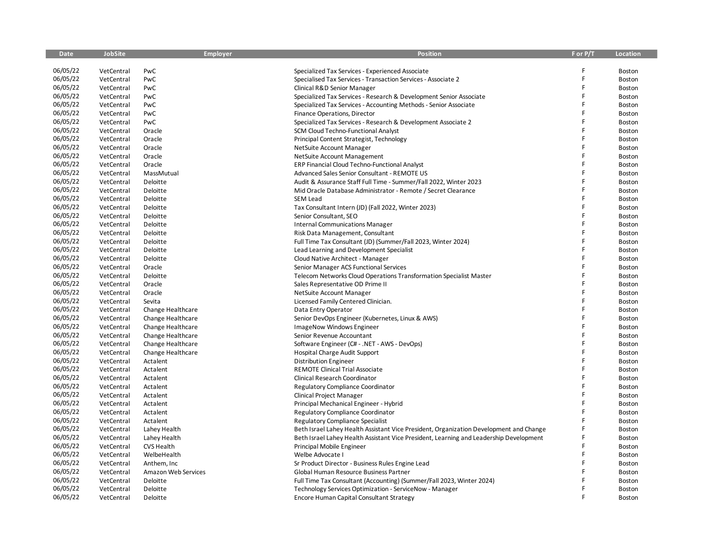| <b>Date</b> | <b>JobSite</b> | <b>Employer</b>     | <b>Position</b>                                                                        | F or P/T | <b>Location</b> |
|-------------|----------------|---------------------|----------------------------------------------------------------------------------------|----------|-----------------|
|             |                |                     |                                                                                        |          |                 |
| 06/05/22    | VetCentral     | PwC                 | Specialized Tax Services - Experienced Associate                                       |          | Boston          |
| 06/05/22    | VetCentral     | PwC                 | Specialised Tax Services - Transaction Services - Associate 2                          | F        | Boston          |
| 06/05/22    | VetCentral     | PwC                 | Clinical R&D Senior Manager                                                            | F        | Boston          |
| 06/05/22    | VetCentral     | PwC                 | Specialized Tax Services - Research & Development Senior Associate                     | F        | Boston          |
| 06/05/22    | VetCentral     | PwC                 | Specialized Tax Services - Accounting Methods - Senior Associate                       |          | Boston          |
| 06/05/22    | VetCentral     | PwC                 | Finance Operations, Director                                                           | Ē        | Boston          |
| 06/05/22    | VetCentral     | PwC                 | Specialized Tax Services - Research & Development Associate 2                          | F        | Boston          |
| 06/05/22    | VetCentral     | Oracle              | SCM Cloud Techno-Functional Analyst                                                    | F        | Boston          |
| 06/05/22    | VetCentral     | Oracle              | Principal Content Strategist, Technology                                               |          | Boston          |
| 06/05/22    | VetCentral     | Oracle              | NetSuite Account Manager                                                               |          | Boston          |
| 06/05/22    | VetCentral     | Oracle              | NetSuite Account Management                                                            | Ē        | Boston          |
| 06/05/22    | VetCentral     | Oracle              | ERP Financial Cloud Techno-Functional Analyst                                          |          | Boston          |
| 06/05/22    | VetCentral     | MassMutual          | Advanced Sales Senior Consultant - REMOTE US                                           | F        | Boston          |
| 06/05/22    | VetCentral     | Deloitte            | Audit & Assurance Staff Full Time - Summer/Fall 2022, Winter 2023                      |          | <b>Boston</b>   |
| 06/05/22    | VetCentral     | Deloitte            | Mid Oracle Database Administrator - Remote / Secret Clearance                          | F        | Boston          |
| 06/05/22    | VetCentral     | Deloitte            | <b>SEM Lead</b>                                                                        | F        | Boston          |
| 06/05/22    | VetCentral     | Deloitte            | Tax Consultant Intern (JD) (Fall 2022, Winter 2023)                                    |          | Boston          |
| 06/05/22    | VetCentral     | Deloitte            | Senior Consultant, SEO                                                                 | F        | Boston          |
| 06/05/22    | VetCentral     | Deloitte            | <b>Internal Communications Manager</b>                                                 | F        | Boston          |
| 06/05/22    | VetCentral     | Deloitte            | Risk Data Management, Consultant                                                       | F        | Boston          |
| 06/05/22    | VetCentral     | Deloitte            | Full Time Tax Consultant (JD) (Summer/Fall 2023, Winter 2024)                          | F        | Boston          |
| 06/05/22    | VetCentral     | Deloitte            | Lead Learning and Development Specialist                                               |          | Boston          |
| 06/05/22    | VetCentral     | Deloitte            | Cloud Native Architect - Manager                                                       | F        | Boston          |
| 06/05/22    | VetCentral     | Oracle              | Senior Manager ACS Functional Services                                                 |          | Boston          |
| 06/05/22    | VetCentral     | Deloitte            | Telecom Networks Cloud Operations Transformation Specialist Master                     | F        | Boston          |
| 06/05/22    | VetCentral     | Oracle              | Sales Representative OD Prime II                                                       | F        | Boston          |
| 06/05/22    | VetCentral     | Oracle              | NetSuite Account Manager                                                               |          | Boston          |
| 06/05/22    | VetCentral     | Sevita              | Licensed Family Centered Clinician.                                                    | F        | Boston          |
| 06/05/22    | VetCentral     | Change Healthcare   | Data Entry Operator                                                                    | F        | Boston          |
| 06/05/22    | VetCentral     | Change Healthcare   | Senior DevOps Engineer (Kubernetes, Linux & AWS)                                       | F        | Boston          |
| 06/05/22    | VetCentral     | Change Healthcare   | ImageNow Windows Engineer                                                              |          | Boston          |
| 06/05/22    | VetCentral     | Change Healthcare   | Senior Revenue Accountant                                                              | F        | Boston          |
| 06/05/22    | VetCentral     | Change Healthcare   | Software Engineer (C# - .NET - AWS - DevOps)                                           | Ē        | Boston          |
| 06/05/22    | VetCentral     | Change Healthcare   | Hospital Charge Audit Support                                                          | F        | Boston          |
| 06/05/22    | VetCentral     | Actalent            | <b>Distribution Engineer</b>                                                           | F        | Boston          |
| 06/05/22    | VetCentral     | Actalent            | <b>REMOTE Clinical Trial Associate</b>                                                 |          | Boston          |
| 06/05/22    | VetCentral     | Actalent            | Clinical Research Coordinator                                                          | F        | Boston          |
| 06/05/22    | VetCentral     | Actalent            | <b>Regulatory Compliance Coordinator</b>                                               |          | Boston          |
| 06/05/22    | VetCentral     | Actalent            | Clinical Project Manager                                                               | F        | Boston          |
| 06/05/22    | VetCentral     | Actalent            | Principal Mechanical Engineer - Hybrid                                                 | F        | <b>Boston</b>   |
| 06/05/22    | VetCentral     | Actalent            | Regulatory Compliance Coordinator                                                      |          | <b>Boston</b>   |
| 06/05/22    | VetCentral     | Actalent            | <b>Regulatory Compliance Specialist</b>                                                |          | Boston          |
| 06/05/22    | VetCentral     | Lahey Health        | Beth Israel Lahey Health Assistant Vice President, Organization Development and Change |          | Boston          |
| 06/05/22    | VetCentral     | Lahey Health        | Beth Israel Lahey Health Assistant Vice President, Learning and Leadership Development |          | Boston          |
| 06/05/22    | VetCentral     | CVS Health          | Principal Mobile Engineer                                                              | F        | Boston          |
| 06/05/22    | VetCentral     | WelbeHealth         | Welbe Advocate I                                                                       |          | Boston          |
| 06/05/22    | VetCentral     | Anthem, Inc.        | Sr Product Director - Business Rules Engine Lead                                       |          | Boston          |
| 06/05/22    | VetCentral     | Amazon Web Services | Global Human Resource Business Partner                                                 |          | Boston          |
| 06/05/22    | VetCentral     | Deloitte            | Full Time Tax Consultant (Accounting) (Summer/Fall 2023, Winter 2024)                  |          | Boston          |
| 06/05/22    | VetCentral     | Deloitte            | Technology Services Optimization - ServiceNow - Manager                                |          | Boston          |
| 06/05/22    | VetCentral     | Deloitte            | Encore Human Capital Consultant Strategy                                               | F        | Boston          |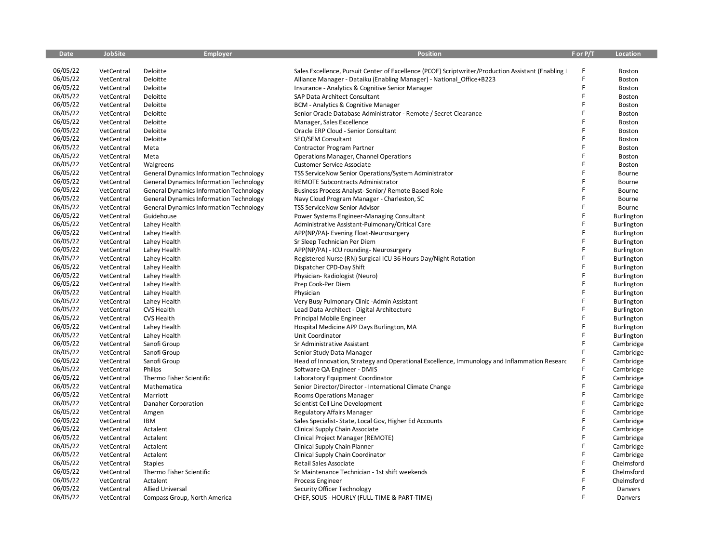| <b>Date</b> | <b>JobSite</b> | <b>Employer</b>                                | <b>Position</b>                                                                                     | F or P/T | Location   |
|-------------|----------------|------------------------------------------------|-----------------------------------------------------------------------------------------------------|----------|------------|
|             |                |                                                |                                                                                                     |          |            |
| 06/05/22    | VetCentral     | Deloitte                                       | Sales Excellence, Pursuit Center of Excellence (PCOE) Scriptwriter/Production Assistant (Enabling I | F        | Boston     |
| 06/05/22    | VetCentral     | Deloitte                                       | Alliance Manager - Dataiku (Enabling Manager) - National Office+B223                                | Ē        | Boston     |
| 06/05/22    | VetCentral     | Deloitte                                       | Insurance - Analytics & Cognitive Senior Manager                                                    | F        | Boston     |
| 06/05/22    | VetCentral     | Deloitte                                       | SAP Data Architect Consultant                                                                       | F        | Boston     |
| 06/05/22    | VetCentral     | Deloitte                                       | <b>BCM - Analytics &amp; Cognitive Manager</b>                                                      | F        | Boston     |
| 06/05/22    | VetCentral     | Deloitte                                       | Senior Oracle Database Administrator - Remote / Secret Clearance                                    | F        | Boston     |
| 06/05/22    | VetCentral     | Deloitte                                       | Manager, Sales Excellence                                                                           | F        | Boston     |
| 06/05/22    | VetCentral     | Deloitte                                       | Oracle ERP Cloud - Senior Consultant                                                                | F        | Boston     |
| 06/05/22    | VetCentral     | Deloitte                                       | SEO/SEM Consultant                                                                                  | F        | Boston     |
| 06/05/22    | VetCentral     | Meta                                           | Contractor Program Partner                                                                          | F        | Boston     |
| 06/05/22    | VetCentral     | Meta                                           | Operations Manager, Channel Operations                                                              | F        | Boston     |
| 06/05/22    | VetCentral     | Walgreens                                      | <b>Customer Service Associate</b>                                                                   |          | Boston     |
| 06/05/22    | VetCentral     | <b>General Dynamics Information Technology</b> | TSS ServiceNow Senior Operations/System Administrator                                               | F        | Bourne     |
| 06/05/22    | VetCentral     | <b>General Dynamics Information Technology</b> | REMOTE Subcontracts Administrator                                                                   | F        | Bourne     |
| 06/05/22    | VetCentral     | <b>General Dynamics Information Technology</b> | Business Process Analyst-Senior/Remote Based Role                                                   | F        | Bourne     |
| 06/05/22    | VetCentral     | <b>General Dynamics Information Technology</b> | Navy Cloud Program Manager - Charleston, SC                                                         | F        | Bourne     |
| 06/05/22    | VetCentral     | <b>General Dynamics Information Technology</b> | TSS ServiceNow Senior Advisor                                                                       | F        | Bourne     |
| 06/05/22    | VetCentral     | Guidehouse                                     | Power Systems Engineer-Managing Consultant                                                          | F        | Burlington |
| 06/05/22    | VetCentral     | Lahey Health                                   | Administrative Assistant-Pulmonary/Critical Care                                                    | F        | Burlington |
| 06/05/22    | VetCentral     | Lahey Health                                   | APP(NP/PA)- Evening Float-Neurosurgery                                                              | F        | Burlington |
| 06/05/22    | VetCentral     | Lahey Health                                   | Sr Sleep Technician Per Diem                                                                        | F        | Burlington |
| 06/05/22    | VetCentral     | Lahey Health                                   | APP(NP/PA) - ICU rounding- Neurosurgery                                                             | F        | Burlington |
| 06/05/22    | VetCentral     | Lahey Health                                   | Registered Nurse (RN) Surgical ICU 36 Hours Day/Night Rotation                                      | F        | Burlington |
| 06/05/22    | VetCentral     | Lahey Health                                   | Dispatcher CPD-Day Shift                                                                            | F        | Burlington |
| 06/05/22    | VetCentral     | Lahey Health                                   | Physician-Radiologist (Neuro)                                                                       | F        | Burlington |
| 06/05/22    | VetCentral     | Lahey Health                                   | Prep Cook-Per Diem                                                                                  | F        | Burlington |
| 06/05/22    | VetCentral     | Lahey Health                                   | Physician                                                                                           | F        | Burlington |
| 06/05/22    | VetCentral     | Lahey Health                                   | Very Busy Pulmonary Clinic - Admin Assistant                                                        | F        | Burlington |
| 06/05/22    | VetCentral     | CVS Health                                     | Lead Data Architect - Digital Architecture                                                          | F        | Burlington |
| 06/05/22    | VetCentral     | CVS Health                                     | Principal Mobile Engineer                                                                           | F        | Burlington |
| 06/05/22    | VetCentral     | Lahey Health                                   | Hospital Medicine APP Days Burlington, MA                                                           | F        | Burlington |
| 06/05/22    | VetCentral     | Lahey Health                                   | Unit Coordinator                                                                                    | F        | Burlington |
| 06/05/22    | VetCentral     | Sanofi Group                                   | Sr Administrative Assistant                                                                         | F        | Cambridge  |
| 06/05/22    | VetCentral     | Sanofi Group                                   | Senior Study Data Manager                                                                           | F        | Cambridge  |
| 06/05/22    | VetCentral     | Sanofi Group                                   | Head of Innovation, Strategy and Operational Excellence, Immunology and Inflammation Researc        | F        | Cambridge  |
| 06/05/22    | VetCentral     | Philips                                        | Software QA Engineer - DMIS                                                                         | F        | Cambridge  |
| 06/05/22    | VetCentral     | Thermo Fisher Scientific                       | Laboratory Equipment Coordinator                                                                    | F        | Cambridge  |
| 06/05/22    | VetCentral     | Mathematica                                    | Senior Director/Director - International Climate Change                                             | F        | Cambridge  |
| 06/05/22    | VetCentral     | Marriott                                       | Rooms Operations Manager                                                                            | F        | Cambridge  |
| 06/05/22    | VetCentral     | Danaher Corporation                            | Scientist Cell Line Development                                                                     | F        | Cambridge  |
| 06/05/22    | VetCentral     | Amgen                                          | Regulatory Affairs Manager                                                                          | F        | Cambridge  |
| 06/05/22    | VetCentral     | <b>IBM</b>                                     | Sales Specialist-State, Local Gov, Higher Ed Accounts                                               | F        | Cambridge  |
| 06/05/22    | VetCentral     | Actalent                                       | Clinical Supply Chain Associate                                                                     | F        | Cambridge  |
| 06/05/22    | VetCentral     | Actalent                                       | Clinical Project Manager (REMOTE)                                                                   | F        | Cambridge  |
| 06/05/22    | VetCentral     | Actalent                                       | Clinical Supply Chain Planner                                                                       | F        | Cambridge  |
| 06/05/22    | VetCentral     | Actalent                                       | Clinical Supply Chain Coordinator                                                                   | F        | Cambridge  |
| 06/05/22    | VetCentral     | <b>Staples</b>                                 | Retail Sales Associate                                                                              | F        | Chelmsford |
| 06/05/22    | VetCentral     | Thermo Fisher Scientific                       | Sr Maintenance Technician - 1st shift weekends                                                      | F        | Chelmsford |
| 06/05/22    | VetCentral     | Actalent                                       | Process Engineer                                                                                    |          | Chelmsford |
| 06/05/22    | VetCentral     | <b>Allied Universal</b>                        | Security Officer Technology                                                                         | F        | Danvers    |
| 06/05/22    | VetCentral     | Compass Group, North America                   | CHEF, SOUS - HOURLY (FULL-TIME & PART-TIME)                                                         |          | Danvers    |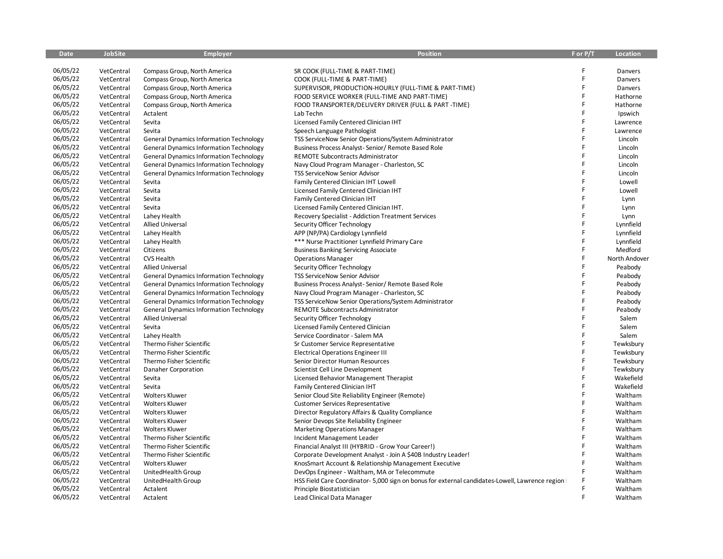| <b>Date</b> | <b>JobSite</b> | <b>Employer</b>                                | <b>Position</b>                                                                                  | F or P/T | <b>Location</b> |
|-------------|----------------|------------------------------------------------|--------------------------------------------------------------------------------------------------|----------|-----------------|
|             |                |                                                |                                                                                                  |          |                 |
| 06/05/22    | VetCentral     | Compass Group, North America                   | SR COOK (FULL-TIME & PART-TIME)                                                                  | F        | Danvers         |
| 06/05/22    | VetCentral     | Compass Group, North America                   | COOK (FULL-TIME & PART-TIME)                                                                     | F        | Danvers         |
| 06/05/22    | VetCentral     | Compass Group, North America                   | SUPERVISOR, PRODUCTION-HOURLY (FULL-TIME & PART-TIME)                                            | F        | Danvers         |
| 06/05/22    | VetCentral     | Compass Group, North America                   | FOOD SERVICE WORKER (FULL-TIME AND PART-TIME)                                                    | F        | Hathorne        |
| 06/05/22    | VetCentral     | Compass Group, North America                   | FOOD TRANSPORTER/DELIVERY DRIVER (FULL & PART-TIME)                                              | F        | Hathorne        |
| 06/05/22    | VetCentral     | Actalent                                       | Lab Techn                                                                                        | F        | Ipswich         |
| 06/05/22    | VetCentral     | Sevita                                         | Licensed Family Centered Clinician IHT                                                           | F        | Lawrence        |
| 06/05/22    | VetCentral     | Sevita                                         | Speech Language Pathologist                                                                      | F        | Lawrence        |
| 06/05/22    | VetCentral     | <b>General Dynamics Information Technology</b> | TSS ServiceNow Senior Operations/System Administrator                                            | F        | Lincoln         |
| 06/05/22    | VetCentral     | <b>General Dynamics Information Technology</b> | Business Process Analyst-Senior/Remote Based Role                                                | F        | Lincoln         |
| 06/05/22    | VetCentral     | <b>General Dynamics Information Technology</b> | <b>REMOTE Subcontracts Administrator</b>                                                         | F        | Lincoln         |
| 06/05/22    | VetCentral     | <b>General Dynamics Information Technology</b> | Navy Cloud Program Manager - Charleston, SC                                                      |          | Lincoln         |
| 06/05/22    | VetCentral     | <b>General Dynamics Information Technology</b> | <b>TSS ServiceNow Senior Advisor</b>                                                             | F        | Lincoln         |
| 06/05/22    | VetCentral     | Sevita                                         | Family Centered Clinician IHT Lowell                                                             | F        | Lowell          |
| 06/05/22    | VetCentral     | Sevita                                         | Licensed Family Centered Clinician IHT                                                           | F        | Lowell          |
| 06/05/22    | VetCentral     | Sevita                                         | Family Centered Clinician IHT                                                                    | F        | Lynn            |
| 06/05/22    | VetCentral     | Sevita                                         | Licensed Family Centered Clinician IHT.                                                          | F        | Lynn            |
| 06/05/22    | VetCentral     | Lahey Health                                   | Recovery Specialist - Addiction Treatment Services                                               | F        | Lynn            |
| 06/05/22    | VetCentral     | <b>Allied Universal</b>                        | Security Officer Technology                                                                      | F        | Lynnfield       |
| 06/05/22    | VetCentral     | Lahey Health                                   | APP (NP/PA) Cardiology Lynnfield                                                                 | F        | Lynnfield       |
| 06/05/22    | VetCentral     | Lahey Health                                   | *** Nurse Practitioner Lynnfield Primary Care                                                    | F        | Lynnfield       |
| 06/05/22    | VetCentral     | Citizens                                       | <b>Business Banking Servicing Associate</b>                                                      | F        | Medford         |
| 06/05/22    | VetCentral     | <b>CVS Health</b>                              | <b>Operations Manager</b>                                                                        | F        | North Andover   |
| 06/05/22    | VetCentral     | <b>Allied Universal</b>                        | Security Officer Technology                                                                      | F        | Peabody         |
| 06/05/22    | VetCentral     | <b>General Dynamics Information Technology</b> | <b>TSS ServiceNow Senior Advisor</b>                                                             | F        | Peabody         |
| 06/05/22    | VetCentral     | <b>General Dynamics Information Technology</b> | Business Process Analyst-Senior/Remote Based Role                                                | F        | Peabody         |
| 06/05/22    | VetCentral     | <b>General Dynamics Information Technology</b> | Navy Cloud Program Manager - Charleston, SC                                                      | F        | Peabody         |
| 06/05/22    | VetCentral     | <b>General Dynamics Information Technology</b> | TSS ServiceNow Senior Operations/System Administrator                                            | F        | Peabody         |
| 06/05/22    | VetCentral     | <b>General Dynamics Information Technology</b> | REMOTE Subcontracts Administrator                                                                | F        | Peabody         |
| 06/05/22    | VetCentral     | <b>Allied Universal</b>                        | Security Officer Technology                                                                      | F        | Salem           |
| 06/05/22    | VetCentral     | Sevita                                         | Licensed Family Centered Clinician                                                               | F        | Salem           |
| 06/05/22    | VetCentral     | Lahey Health                                   | Service Coordinator - Salem MA                                                                   | F        | Salem           |
| 06/05/22    | VetCentral     | Thermo Fisher Scientific                       | Sr Customer Service Representative                                                               | F        | Tewksbury       |
| 06/05/22    | VetCentral     | Thermo Fisher Scientific                       | <b>Electrical Operations Engineer III</b>                                                        | F        | Tewksbury       |
| 06/05/22    | VetCentral     | Thermo Fisher Scientific                       | Senior Director Human Resources                                                                  | F        | Tewksbury       |
| 06/05/22    | VetCentral     | Danaher Corporation                            | Scientist Cell Line Development                                                                  | F        | Tewksbury       |
| 06/05/22    | VetCentral     | Sevita                                         | Licensed Behavior Management Therapist                                                           | F        | Wakefield       |
| 06/05/22    | VetCentral     | Sevita                                         | Family Centered Clinician IHT                                                                    | F        | Wakefield       |
| 06/05/22    | VetCentral     | <b>Wolters Kluwer</b>                          | Senior Cloud Site Reliability Engineer (Remote)                                                  | F        | Waltham         |
| 06/05/22    | VetCentral     | <b>Wolters Kluwer</b>                          | <b>Customer Services Representative</b>                                                          | F        | Waltham         |
| 06/05/22    | VetCentral     | <b>Wolters Kluwer</b>                          | Director Regulatory Affairs & Quality Compliance                                                 | Ë        | Waltham         |
| 06/05/22    | VetCentral     | <b>Wolters Kluwer</b>                          | Senior Devops Site Reliability Engineer                                                          | F        | Waltham         |
| 06/05/22    | VetCentral     | <b>Wolters Kluwer</b>                          | <b>Marketing Operations Manager</b>                                                              | F        | Waltham         |
| 06/05/22    | VetCentral     | Thermo Fisher Scientific                       | Incident Management Leader                                                                       | F        | Waltham         |
| 06/05/22    | VetCentral     | Thermo Fisher Scientific                       | Financial Analyst III (HYBRID - Grow Your Career!)                                               | F        | Waltham         |
| 06/05/22    | VetCentral     | Thermo Fisher Scientific                       | Corporate Development Analyst - Join A \$40B Industry Leader!                                    | F        | Waltham         |
| 06/05/22    | VetCentral     | <b>Wolters Kluwer</b>                          | KnosSmart Account & Relationship Management Executive                                            | F        | Waltham         |
| 06/05/22    | VetCentral     | UnitedHealth Group                             | DevOps Engineer - Waltham, MA or Telecommute                                                     |          | Waltham         |
| 06/05/22    | VetCentral     | UnitedHealth Group                             | HSS Field Care Coordinator-5,000 sign on bonus for external candidates-Lowell, Lawrence region I |          | Waltham         |
| 06/05/22    | VetCentral     | Actalent                                       | Principle Biostatistician                                                                        | F        | Waltham         |
| 06/05/22    | VetCentral     | Actalent                                       | Lead Clinical Data Manager                                                                       | F        | Waltham         |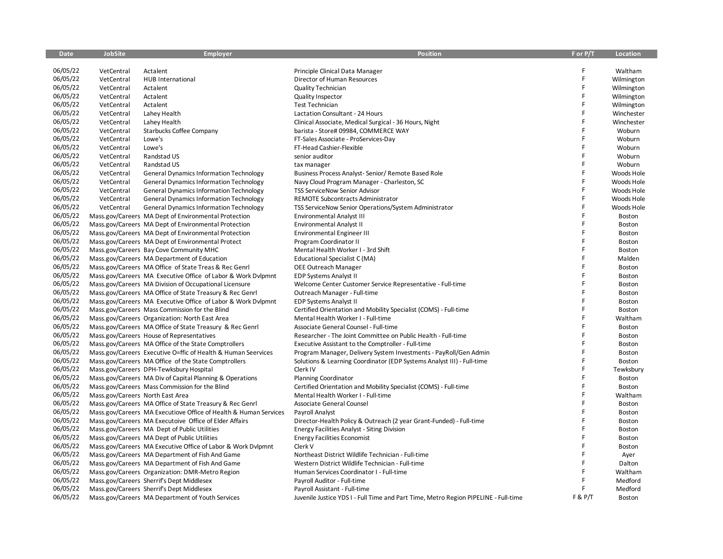| <b>Date</b> | <b>JobSite</b>                   | <b>Employer</b>                                                  | <b>Position</b>                                                                     | F or P/T | Location   |
|-------------|----------------------------------|------------------------------------------------------------------|-------------------------------------------------------------------------------------|----------|------------|
|             |                                  |                                                                  |                                                                                     |          |            |
| 06/05/22    | VetCentral                       | Actalent                                                         | Principle Clinical Data Manager                                                     | F        | Waltham    |
| 06/05/22    | VetCentral                       | HUB International                                                | Director of Human Resources                                                         | F        | Wilmington |
| 06/05/22    | VetCentral                       | Actalent                                                         | Quality Technician                                                                  | F        | Wilmington |
| 06/05/22    | VetCentral                       | Actalent                                                         | Quality Inspector                                                                   | F        | Wilmington |
| 06/05/22    | VetCentral                       | Actalent                                                         | <b>Test Technician</b>                                                              | F        | Wilmington |
| 06/05/22    | VetCentral                       | Lahey Health                                                     | Lactation Consultant - 24 Hours                                                     | F        | Winchester |
| 06/05/22    | VetCentral                       | Lahey Health                                                     | Clinical Associate, Medical Surgical - 36 Hours, Night                              | F        | Winchester |
| 06/05/22    | VetCentral                       | <b>Starbucks Coffee Company</b>                                  | barista - Store# 09984, COMMERCE WAY                                                | F        | Woburn     |
| 06/05/22    | VetCentral                       | Lowe's                                                           | FT-Sales Associate - ProServices-Day                                                | F        | Woburn     |
| 06/05/22    | VetCentral                       | Lowe's                                                           | FT-Head Cashier-Flexible                                                            | F        | Woburn     |
| 06/05/22    | VetCentral                       | Randstad US                                                      | senior auditor                                                                      | F        | Woburn     |
| 06/05/22    | VetCentral                       | Randstad US                                                      | tax manager                                                                         |          | Woburn     |
| 06/05/22    | VetCentral                       | <b>General Dynamics Information Technology</b>                   | Business Process Analyst-Senior/Remote Based Role                                   | F        | Woods Hole |
| 06/05/22    | VetCentral                       | <b>General Dynamics Information Technology</b>                   | Navy Cloud Program Manager - Charleston, SC                                         | F        | Woods Hole |
| 06/05/22    | VetCentral                       | <b>General Dynamics Information Technology</b>                   | <b>TSS ServiceNow Senior Advisor</b>                                                | F        | Woods Hole |
| 06/05/22    | VetCentral                       | <b>General Dynamics Information Technology</b>                   | REMOTE Subcontracts Administrator                                                   | F        | Woods Hole |
| 06/05/22    | VetCentral                       | <b>General Dynamics Information Technology</b>                   | TSS ServiceNow Senior Operations/System Administrator                               | F        | Woods Hole |
| 06/05/22    |                                  | Mass.gov/Careers MA Dept of Environmental Protection             | <b>Environmental Analyst III</b>                                                    | F        | Boston     |
| 06/05/22    |                                  | Mass.gov/Careers MA Dept of Environmental Protection             | Environmental Analyst II                                                            | F        | Boston     |
| 06/05/22    |                                  | Mass.gov/Careers MA Dept of Environmental Protection             | Environmental Engineer III                                                          | F        | Boston     |
| 06/05/22    |                                  | Mass.gov/Careers MA Dept of Environmental Protect                | Program Coordinator II                                                              | F        | Boston     |
| 06/05/22    |                                  | Mass.gov/Careers Bay Cove Community MHC                          | Mental Health Worker I - 3rd Shift                                                  | F        | Boston     |
| 06/05/22    |                                  | Mass.gov/Careers MA Department of Education                      | Educational Specialist C (MA)                                                       | F        | Malden     |
| 06/05/22    |                                  | Mass.gov/Careers MA Office of State Treas & Rec Genrl            | OEE Outreach Manager                                                                | F        | Boston     |
| 06/05/22    |                                  | Mass.gov/Careers MA Executive Office of Labor & Work Dylpmnt     | <b>EDP Systems Analyst II</b>                                                       | F        | Boston     |
| 06/05/22    |                                  | Mass.gov/Careers MA Division of Occupational Licensure           | Welcome Center Customer Service Representative - Full-time                          | F        | Boston     |
| 06/05/22    |                                  | Mass.gov/Careers MA Office of State Treasury & Rec Genrl         | Outreach Manager - Full-time                                                        | F        | Boston     |
| 06/05/22    |                                  | Mass.gov/Careers MA Executive Office of Labor & Work Dvlpmnt     | <b>EDP Systems Analyst II</b>                                                       | F        | Boston     |
| 06/05/22    |                                  | Mass.gov/Careers Mass Commission for the Blind                   | Certified Orientation and Mobility Specialist (COMS) - Full-time                    | F        | Boston     |
| 06/05/22    |                                  | Mass.gov/Careers Organization: North East Area                   | Mental Health Worker I - Full-time                                                  | F        | Waltham    |
| 06/05/22    |                                  | Mass.gov/Careers MA Office of State Treasury & Rec Genrl         | Associate General Counsel - Full-time                                               |          | Boston     |
| 06/05/22    |                                  | Mass.gov/Careers House of Representatives                        | Researcher - The Joint Committee on Public Health - Full-time                       | F        | Boston     |
| 06/05/22    |                                  | Mass.gov/Careers MA Office of the State Comptrollers             | Executive Assistant to the Comptroller - Full-time                                  | F        | Boston     |
| 06/05/22    |                                  | Mass.gov/Careers Executive O=ffic of Health & Human Seervices    | Program Manager, Delivery System Investments - PayRoll/Gen Admin                    | F        | Boston     |
| 06/05/22    |                                  | Mass.gov/Careers MA Office of the State Comptrollers             | Solutions & Learning Coordinator (EDP Systems Analyst III) - Full-time              | F        | Boston     |
| 06/05/22    |                                  | Mass.gov/Careers DPH-Tewksbury Hospital                          | Clerk IV                                                                            | F        | Tewksbury  |
| 06/05/22    |                                  | Mass.gov/Careers MA Div of Capital Planning & Operations         | <b>Planning Coordinator</b>                                                         | F        | Boston     |
| 06/05/22    |                                  | Mass.gov/Careers Mass Commission for the Blind                   | Certified Orientation and Mobility Specialist (COMS) - Full-time                    | F        | Boston     |
| 06/05/22    | Mass.gov/Careers North East Area |                                                                  | Mental Health Worker I - Full-time                                                  |          | Waltham    |
| 06/05/22    |                                  | Mass.gov/Careers MA Office of State Treasury & Rec Genrl         | Associate General Counsel                                                           | F        | Boston     |
| 06/05/22    |                                  | Mass.gov/Careers MA Executiove Office of Health & Human Services | Payroll Analyst                                                                     |          | Boston     |
| 06/05/22    |                                  | Mass.gov/Careers MA Executoive Office of Elder Affairs           | Director-Health Policy & Outreach (2 year Grant-Funded) - Full-time                 | F        | Boston     |
| 06/05/22    |                                  | Mass.gov/Careers MA Dept of Public Utilities                     | <b>Energy Facilities Analyst - Siting Division</b>                                  | F        | Boston     |
| 06/05/22    |                                  | Mass.gov/Careers MA Dept of Public Utilities                     | <b>Energy Facilities Economist</b>                                                  | F        | Boston     |
| 06/05/22    |                                  | Mass.gov/Careers MA Executive Office of Labor & Work Dvlpmnt     | Clerk V                                                                             | F        | Boston     |
| 06/05/22    |                                  | Mass.gov/Careers MA Department of Fish And Game                  | Northeast District Wildlife Technician - Full-time                                  | F        | Ayer       |
| 06/05/22    |                                  | Mass.gov/Careers MA Department of Fish And Game                  | Western District Wildlife Technician - Full-time                                    | F        | Dalton     |
| 06/05/22    |                                  | Mass.gov/Careers Organization: DMR-Metro Region                  | Human Services Coordinator I - Full-time                                            |          | Waltham    |
| 06/05/22    |                                  | Mass.gov/Careers Sherrif's Dept Middlesex                        | Payroll Auditor - Full-time                                                         |          | Medford    |
| 06/05/22    |                                  | Mass.gov/Careers Sherrif's Dept Middlesex                        | Payroll Assistant - Full-time                                                       |          | Medford    |
| 06/05/22    |                                  | Mass.gov/Careers MA Department of Youth Services                 | Juvenile Justice YDS I - Full Time and Part Time, Metro Region PIPELINE - Full-time | F & P/T  | Boston     |